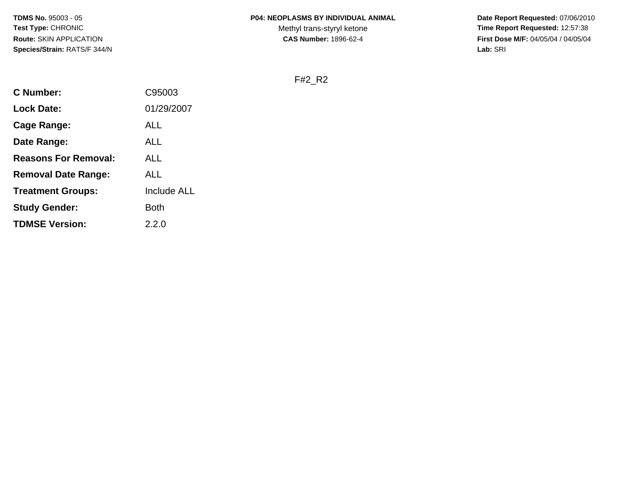Methyl trans-styryl ketone<br>CAS Number: 1896-62-4

 **Date Report Requested:** 07/06/2010 **Time Report Requested:** 12:57:38 **First Dose M/F:** 04/05/04 / 04/05/04<br>Lab: SRI **Lab:** SRI

F#2\_R2

| <b>C</b> Number:            | C95003             |
|-----------------------------|--------------------|
| <b>Lock Date:</b>           | 01/29/2007         |
| Cage Range:                 | ALL                |
| Date Range:                 | ALL                |
| <b>Reasons For Removal:</b> | ALL                |
| <b>Removal Date Range:</b>  | ALL                |
| <b>Treatment Groups:</b>    | <b>Include ALL</b> |
| <b>Study Gender:</b>        | Both               |
| <b>TDMSE Version:</b>       | 2.2.0              |
|                             |                    |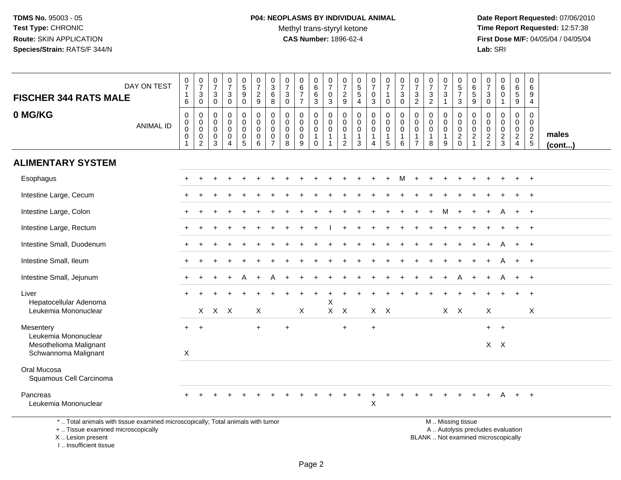I .. Insufficient tissue

|                                                                                                                                            |                  |                                                 |                               | 0                                           | $\frac{0}{7}$                             | $\mathbf 0$                               |                                           | 0                             | 0                                           | 0                                | 0                                   | $\frac{0}{7}$                          | 0                                | 0                                   |                            |                                 |                                 | $\frac{0}{7}$                 | $\frac{0}{7}$                             | 0                                           | 0                                                                                             | 0                              | 0                              |                                 | 0                                         | 0                                           |                       |
|--------------------------------------------------------------------------------------------------------------------------------------------|------------------|-------------------------------------------------|-------------------------------|---------------------------------------------|-------------------------------------------|-------------------------------------------|-------------------------------------------|-------------------------------|---------------------------------------------|----------------------------------|-------------------------------------|----------------------------------------|----------------------------------|-------------------------------------|----------------------------|---------------------------------|---------------------------------|-------------------------------|-------------------------------------------|---------------------------------------------|-----------------------------------------------------------------------------------------------|--------------------------------|--------------------------------|---------------------------------|-------------------------------------------|---------------------------------------------|-----------------------|
| <b>FISCHER 344 RATS MALE</b>                                                                                                               | DAY ON TEST      | $\frac{0}{7}$<br>$\mathbf{1}$                   | $\frac{0}{7}$<br>$\mathbf{3}$ | $\overline{7}$<br>$\ensuremath{\mathsf{3}}$ | $\ensuremath{\mathsf{3}}$                 | $\overline{5}$<br>$\boldsymbol{9}$        | $\frac{0}{7}$<br>$\overline{2}$           | $\overline{3}$<br>6           | $\overline{7}$<br>$\ensuremath{\mathsf{3}}$ | $6\phantom{a}$<br>$\overline{7}$ | $6\overline{6}$<br>$\,6$            | $\pmb{0}$                              | $\overline{7}$<br>$\overline{2}$ | $\overline{5}$<br>$\overline{5}$    | $\frac{0}{7}$<br>$\pmb{0}$ | $\frac{0}{7}$<br>$\mathbf{1}$   | $\frac{0}{7}$<br>$\sqrt{3}$     | $\ensuremath{\mathsf{3}}$     | $\frac{3}{2}$                             | $\overline{7}$<br>$\ensuremath{\mathsf{3}}$ | $\sqrt{5}$<br>$\overline{7}$                                                                  | $\,6$<br>$\,$ 5 $\,$           | $\overline{7}$<br>$\mathbf{3}$ | $_{6}^{\rm 0}$<br>$\pmb{0}$     | $\,6\,$<br>$5\,$                          | 6<br>9                                      |                       |
|                                                                                                                                            |                  | 6                                               | $\mathbf 0$                   | $\mathbf 0$                                 | $\mathbf 0$                               | $\mathbf 0$                               | 9                                         | 8                             | $\mathbf 0$                                 | $\overline{7}$                   | 3                                   | $\mathbf{3}$                           | 9                                | $\overline{4}$                      | 3                          | 0                               | $\mathbf 0$                     | $\overline{2}$                |                                           | $\mathbf{1}$                                | $\mathbf{3}$                                                                                  | 9                              | $\mathbf 0$                    | $\mathbf{1}$                    | 9                                         | $\overline{4}$                              |                       |
| 0 MG/KG                                                                                                                                    | <b>ANIMAL ID</b> | $\mathbf 0$<br>$\mathsf{O}\xspace$<br>$\pmb{0}$ | 0<br>$\mathbf 0$<br>0         | 0<br>$\Omega$<br>0                          | $\mathbf 0$<br>$\mathsf 0$<br>$\mathbf 0$ | $\mathbf 0$<br>$\mathbf 0$<br>$\mathbf 0$ | $\mathbf 0$<br>$\mathbf 0$<br>$\mathbf 0$ | 0<br>$\Omega$<br>0            | $\Omega$<br>$\mathbf 0$<br>0                | $\mathbf 0$<br>$\Omega$<br>0     | 0<br>$\mathbf 0$<br>0               | $\mathbf 0$<br>$\Omega$<br>$\mathbf 0$ | $\mathbf 0$<br>$\Omega$<br>0     | $\Omega$<br>$\Omega$<br>$\mathbf 0$ | 0<br>$\mathbf 0$<br>0      | $\mathbf 0$<br>$\mathbf 0$<br>0 | $\mathbf 0$<br>$\mathbf 0$<br>0 | $\mathbf 0$<br>$\Omega$<br>0  | $\mathbf 0$<br>$\mathbf 0$<br>$\mathbf 0$ | 0<br>$\mathbf 0$<br>$\mathbf 0$             | $\mathbf 0$<br>$\Omega$<br>$\mathbf 0$                                                        | $\mathbf 0$<br>$\Omega$<br>0   | $\Omega$<br>$\Omega$<br>0      | $\mathbf 0$<br>$\mathbf 0$<br>0 | $\mathbf 0$<br>$\mathbf 0$<br>$\mathbf 0$ | $\mathbf{0}$<br>$\mathbf{0}$<br>$\mathbf 0$ |                       |
|                                                                                                                                            |                  | $\mathbf 0$<br>1                                | 0<br>$\overline{2}$           | 0<br>3                                      | 0<br>$\overline{4}$                       | $\pmb{0}$<br>$\overline{5}$               | $\mathbf 0$<br>6                          | $\mathbf 0$<br>$\overline{7}$ | $\boldsymbol{0}$<br>8                       | $\mathbf 0$<br>9                 | $\mathbf{1}$<br>$\mathsf{O}\xspace$ | $\mathbf{1}$<br>$\overline{1}$         | $\overline{1}$<br>$\overline{2}$ | $\mathbf{1}$<br>$\mathbf{3}$        | 1<br>4                     | $\mathbf{1}$<br>5               | 1<br>6                          | $\mathbf 1$<br>$\overline{7}$ | $\mathbf{1}$<br>8                         | $\mathbf{1}$<br>9                           | $\overline{c}$<br>$\mathbf 0$                                                                 | $\overline{2}$<br>$\mathbf{1}$ | $\frac{2}{2}$                  | $\frac{2}{3}$                   | $\overline{2}$<br>$\overline{4}$          | $\frac{2}{5}$                               | males<br>$($ cont $)$ |
| <b>ALIMENTARY SYSTEM</b>                                                                                                                   |                  |                                                 |                               |                                             |                                           |                                           |                                           |                               |                                             |                                  |                                     |                                        |                                  |                                     |                            |                                 |                                 |                               |                                           |                                             |                                                                                               |                                |                                |                                 |                                           |                                             |                       |
| Esophagus                                                                                                                                  |                  |                                                 |                               |                                             |                                           |                                           |                                           |                               |                                             |                                  |                                     |                                        |                                  |                                     |                            |                                 | м                               | $\pm$                         |                                           |                                             |                                                                                               |                                |                                |                                 |                                           | $\overline{+}$                              |                       |
| Intestine Large, Cecum                                                                                                                     |                  |                                                 |                               |                                             |                                           |                                           |                                           |                               |                                             |                                  |                                     |                                        |                                  |                                     |                            |                                 |                                 |                               |                                           |                                             |                                                                                               |                                |                                |                                 |                                           |                                             |                       |
| Intestine Large, Colon                                                                                                                     |                  |                                                 |                               |                                             |                                           |                                           |                                           |                               |                                             |                                  |                                     |                                        |                                  |                                     |                            |                                 |                                 |                               |                                           | м                                           | $\ddot{}$                                                                                     |                                |                                | A                               | $+$                                       | $+$                                         |                       |
| Intestine Large, Rectum                                                                                                                    |                  |                                                 |                               |                                             |                                           |                                           |                                           |                               |                                             |                                  |                                     |                                        |                                  |                                     |                            |                                 |                                 |                               |                                           |                                             |                                                                                               |                                |                                |                                 |                                           | $+$                                         |                       |
| Intestine Small, Duodenum                                                                                                                  |                  |                                                 |                               |                                             |                                           |                                           |                                           |                               |                                             |                                  |                                     |                                        |                                  |                                     |                            |                                 |                                 |                               |                                           |                                             |                                                                                               |                                |                                |                                 |                                           |                                             |                       |
| Intestine Small, Ileum                                                                                                                     |                  |                                                 |                               |                                             |                                           |                                           |                                           |                               |                                             |                                  |                                     |                                        |                                  |                                     |                            |                                 |                                 |                               |                                           |                                             |                                                                                               |                                |                                | А                               | $\ddot{}$                                 | $+$                                         |                       |
| Intestine Small, Jejunum                                                                                                                   |                  |                                                 |                               |                                             |                                           |                                           |                                           |                               |                                             |                                  |                                     |                                        |                                  |                                     |                            |                                 |                                 |                               |                                           |                                             |                                                                                               |                                |                                | A                               | $+$                                       | $+$                                         |                       |
| Liver                                                                                                                                      |                  |                                                 |                               |                                             |                                           |                                           |                                           |                               |                                             |                                  |                                     |                                        |                                  |                                     |                            |                                 |                                 |                               |                                           |                                             |                                                                                               |                                |                                |                                 |                                           | $\ddot{}$                                   |                       |
| Hepatocellular Adenoma<br>Leukemia Mononuclear                                                                                             |                  |                                                 |                               | $X$ $X$ $X$                                 |                                           |                                           | X                                         |                               |                                             | Χ                                |                                     | X<br>$\mathsf{X}$                      | X                                |                                     |                            | $X$ $X$                         |                                 |                               |                                           |                                             | $X$ $X$                                                                                       |                                | X                              |                                 |                                           | X                                           |                       |
| Mesentery                                                                                                                                  |                  |                                                 | $+$                           |                                             |                                           |                                           | $\ddot{}$                                 |                               | $\ddot{}$                                   |                                  |                                     |                                        | $\ddot{}$                        |                                     | $\ddot{}$                  |                                 |                                 |                               |                                           |                                             |                                                                                               |                                | $+$                            | $+$                             |                                           |                                             |                       |
| Leukemia Mononuclear<br>Mesothelioma Malignant                                                                                             |                  |                                                 |                               |                                             |                                           |                                           |                                           |                               |                                             |                                  |                                     |                                        |                                  |                                     |                            |                                 |                                 |                               |                                           |                                             |                                                                                               |                                |                                | $X$ $X$                         |                                           |                                             |                       |
| Schwannoma Malignant                                                                                                                       |                  | $\boldsymbol{\mathsf{X}}$                       |                               |                                             |                                           |                                           |                                           |                               |                                             |                                  |                                     |                                        |                                  |                                     |                            |                                 |                                 |                               |                                           |                                             |                                                                                               |                                |                                |                                 |                                           |                                             |                       |
| Oral Mucosa<br>Squamous Cell Carcinoma                                                                                                     |                  |                                                 |                               |                                             |                                           |                                           |                                           |                               |                                             |                                  |                                     |                                        |                                  |                                     |                            |                                 |                                 |                               |                                           |                                             |                                                                                               |                                |                                |                                 |                                           |                                             |                       |
| Pancreas<br>Leukemia Mononuclear                                                                                                           |                  |                                                 |                               |                                             |                                           |                                           |                                           |                               |                                             |                                  |                                     |                                        |                                  |                                     | $\ddot{}$<br>X             |                                 |                                 |                               |                                           |                                             |                                                                                               |                                |                                | А                               | $+$                                       | $+$                                         |                       |
| *  Total animals with tissue examined microscopically; Total animals with tumor<br>+  Tissue examined microscopically<br>X  Lesion present |                  |                                                 |                               |                                             |                                           |                                           |                                           |                               |                                             |                                  |                                     |                                        |                                  |                                     |                            |                                 |                                 |                               |                                           |                                             | M  Missing tissue<br>A  Autolysis precludes evaluation<br>BLANK  Not examined microscopically |                                |                                |                                 |                                           |                                             |                       |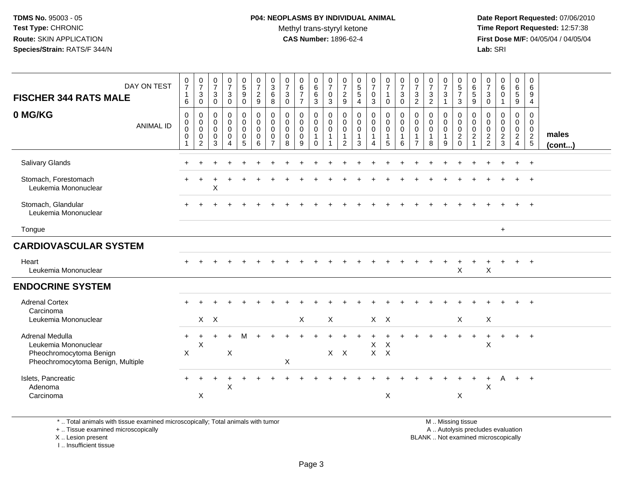#### **P04: NEOPLASMS BY INDIVIDUAL ANIMAL**Methyl trans-styryl ketone<br>CAS Number: 1896-62-4

 **Date Report Requested:** 07/06/2010 **Time Report Requested:** 12:57:38 **First Dose M/F:** 04/05/04 / 04/05/04<br>**Lab:** SRI **Lab:** SRI

| DAY ON TEST<br><b>FISCHER 344 RATS MALE</b>                                                             | $\begin{smallmatrix}0\\7\end{smallmatrix}$<br>$\mathbf{1}$<br>6                  | $\frac{0}{7}$<br>$\sqrt{3}$<br>$\mathsf 0$                               | $\frac{0}{7}$<br>$\mathbf{3}$<br>$\mathbf 0$                  | $\frac{0}{7}$<br>$\mathbf{3}$<br>$\pmb{0}$             | $\begin{array}{c} 0 \\ 5 \end{array}$<br>9<br>$\overline{0}$            | $\frac{0}{7}$<br>$\frac{2}{9}$                                | $_3^0$<br>$\,6\,$<br>$\overline{8}$                                        | $\frac{0}{7}$<br>$\mathbf{3}$<br>$\mathbf 0$                  | 0<br>$\overline{6}$<br>$\overline{7}$<br>$\overline{7}$       | $\begin{matrix} 0 \\ 6 \end{matrix}$<br>$\,6\,$<br>$\overline{3}$         | $\begin{smallmatrix}0\\7\end{smallmatrix}$<br>$\mathbf 0$<br>$\overline{3}$               | $\frac{0}{7}$<br>$\frac{2}{9}$                                    | $\begin{array}{c} 0 \\ 5 \\ 5 \end{array}$<br>$\overline{4}$        | $\frac{0}{7}$<br>$\pmb{0}$<br>$\mathbf{3}$                   | $\frac{0}{7}$<br>$\mathbf{1}$<br>$\mathbf 0$                 | $\frac{0}{7}$<br>$\mathbf{3}$<br>$\mathbf 0$      | $\frac{0}{7}$<br>$\sqrt{3}$<br>$\overline{2}$                       | $\frac{0}{7}$<br>$\frac{3}{2}$               | $\frac{0}{7}$<br>$\mathbf 3$<br>$\mathbf{1}$                                | $\begin{array}{c} 0 \\ 5 \\ 7 \end{array}$<br>$\mathbf{3}$                                 | 0<br>$6\phantom{a}$<br>5<br>9                               | $\frac{0}{7}$<br>$\mathbf{3}$<br>$\mathbf 0$               | $_{6}^{\rm 0}$<br>$\pmb{0}$<br>$\mathbf{1}$          | 0<br>$\,6\,$<br>$5\,$<br>$\overline{9}$                             | 0<br>$\,6\,$<br>9<br>$\overline{4}$                                           |                       |
|---------------------------------------------------------------------------------------------------------|----------------------------------------------------------------------------------|--------------------------------------------------------------------------|---------------------------------------------------------------|--------------------------------------------------------|-------------------------------------------------------------------------|---------------------------------------------------------------|----------------------------------------------------------------------------|---------------------------------------------------------------|---------------------------------------------------------------|---------------------------------------------------------------------------|-------------------------------------------------------------------------------------------|-------------------------------------------------------------------|---------------------------------------------------------------------|--------------------------------------------------------------|--------------------------------------------------------------|---------------------------------------------------|---------------------------------------------------------------------|----------------------------------------------|-----------------------------------------------------------------------------|--------------------------------------------------------------------------------------------|-------------------------------------------------------------|------------------------------------------------------------|------------------------------------------------------|---------------------------------------------------------------------|-------------------------------------------------------------------------------|-----------------------|
| 0 MG/KG<br><b>ANIMAL ID</b>                                                                             | $\boldsymbol{0}$<br>$\boldsymbol{0}$<br>$\pmb{0}$<br>$\pmb{0}$<br>$\overline{1}$ | $\mathsf 0$<br>$\mathbf 0$<br>$\mathsf 0$<br>$\pmb{0}$<br>$\overline{2}$ | $\mathbf 0$<br>$\mathbf 0$<br>$\mathbf 0$<br>$\mathbf 0$<br>3 | 0<br>$\mathbf 0$<br>$\mathbf 0$<br>0<br>$\overline{4}$ | $\pmb{0}$<br>$\mathbf 0$<br>$\mathbf 0$<br>$\pmb{0}$<br>$5\phantom{.0}$ | $\mathsf 0$<br>$\pmb{0}$<br>$\pmb{0}$<br>$\pmb{0}$<br>$\,6\,$ | $\mathbf 0$<br>$\mathbf 0$<br>$\mathbf 0$<br>$\mathbf 0$<br>$\overline{7}$ | $\mathbf 0$<br>$\mathbf 0$<br>$\mathbf 0$<br>$\mathbf 0$<br>8 | $\mathbf 0$<br>$\mathbf 0$<br>$\mathbf 0$<br>$\mathbf 0$<br>9 | $\pmb{0}$<br>$\mathbf 0$<br>$\overline{0}$<br>$\mathbf{1}$<br>$\mathbf 0$ | $\mathsf{O}\xspace$<br>$\mathbf 0$<br>$\mathsf{O}\xspace$<br>$\mathbf{1}$<br>$\mathbf{1}$ | $\mathbf 0$<br>$\mathbf 0$<br>0<br>$\mathbf{1}$<br>$\overline{2}$ | $\pmb{0}$<br>$\pmb{0}$<br>$\pmb{0}$<br>$\mathbf{1}$<br>$\mathbf{3}$ | $\pmb{0}$<br>$\mathbf 0$<br>$\mathbf 0$<br>$\mathbf{1}$<br>4 | $\mathbf 0$<br>$\pmb{0}$<br>$\mathbf 0$<br>$\mathbf{1}$<br>5 | 0<br>$\mathbf 0$<br>$\mathsf{O}\xspace$<br>1<br>6 | $\mathbf 0$<br>0<br>$\mathbf 0$<br>$\overline{1}$<br>$\overline{7}$ | $\mathbf 0$<br>$\pmb{0}$<br>$\mathbf 0$<br>8 | $\boldsymbol{0}$<br>$\mathsf{O}\xspace$<br>$\mathbf 0$<br>$\mathbf{1}$<br>9 | $\mathsf{O}\xspace$<br>$\mathsf 0$<br>$\mathsf{O}\xspace$<br>$\overline{2}$<br>$\mathbf 0$ | $\mathbf 0$<br>$\mathbf 0$<br>$\mathbf 0$<br>$\overline{c}$ | $\mathbf 0$<br>$\mathbf 0$<br>$\mathbf 0$<br>$\frac{2}{2}$ | $\pmb{0}$<br>0<br>$\mathbf 0$<br>$\overline{c}$<br>3 | $\mathbf 0$<br>0<br>$\mathbf 0$<br>$\overline{2}$<br>$\overline{4}$ | $\mathbf 0$<br>$\mathbf 0$<br>$\mathbf 0$<br>$\overline{2}$<br>$\overline{5}$ | males<br>$($ cont $)$ |
| Salivary Glands                                                                                         |                                                                                  |                                                                          |                                                               |                                                        |                                                                         |                                                               |                                                                            |                                                               |                                                               |                                                                           |                                                                                           |                                                                   |                                                                     |                                                              |                                                              |                                                   |                                                                     |                                              |                                                                             |                                                                                            |                                                             |                                                            |                                                      |                                                                     | $+$                                                                           |                       |
| Stomach, Forestomach<br>Leukemia Mononuclear                                                            |                                                                                  |                                                                          | X                                                             |                                                        |                                                                         |                                                               |                                                                            |                                                               |                                                               |                                                                           |                                                                                           |                                                                   |                                                                     |                                                              |                                                              |                                                   |                                                                     |                                              |                                                                             |                                                                                            |                                                             |                                                            |                                                      |                                                                     |                                                                               |                       |
| Stomach, Glandular<br>Leukemia Mononuclear                                                              |                                                                                  |                                                                          |                                                               |                                                        |                                                                         |                                                               |                                                                            |                                                               |                                                               |                                                                           |                                                                                           |                                                                   |                                                                     |                                                              |                                                              |                                                   |                                                                     |                                              |                                                                             |                                                                                            |                                                             |                                                            |                                                      |                                                                     |                                                                               |                       |
| Tongue                                                                                                  |                                                                                  |                                                                          |                                                               |                                                        |                                                                         |                                                               |                                                                            |                                                               |                                                               |                                                                           |                                                                                           |                                                                   |                                                                     |                                                              |                                                              |                                                   |                                                                     |                                              |                                                                             |                                                                                            |                                                             |                                                            | $+$                                                  |                                                                     |                                                                               |                       |
| <b>CARDIOVASCULAR SYSTEM</b>                                                                            |                                                                                  |                                                                          |                                                               |                                                        |                                                                         |                                                               |                                                                            |                                                               |                                                               |                                                                           |                                                                                           |                                                                   |                                                                     |                                                              |                                                              |                                                   |                                                                     |                                              |                                                                             |                                                                                            |                                                             |                                                            |                                                      |                                                                     |                                                                               |                       |
| Heart<br>Leukemia Mononuclear                                                                           |                                                                                  |                                                                          |                                                               |                                                        |                                                                         |                                                               |                                                                            |                                                               |                                                               |                                                                           |                                                                                           |                                                                   |                                                                     |                                                              |                                                              |                                                   |                                                                     |                                              |                                                                             | X                                                                                          |                                                             | $\sf X$                                                    |                                                      |                                                                     | $+$                                                                           |                       |
| <b>ENDOCRINE SYSTEM</b>                                                                                 |                                                                                  |                                                                          |                                                               |                                                        |                                                                         |                                                               |                                                                            |                                                               |                                                               |                                                                           |                                                                                           |                                                                   |                                                                     |                                                              |                                                              |                                                   |                                                                     |                                              |                                                                             |                                                                                            |                                                             |                                                            |                                                      |                                                                     |                                                                               |                       |
| <b>Adrenal Cortex</b><br>Carcinoma<br>Leukemia Mononuclear                                              |                                                                                  |                                                                          | $X$ $X$                                                       |                                                        |                                                                         |                                                               |                                                                            |                                                               | $\times$                                                      |                                                                           | $\sf X$                                                                                   |                                                                   |                                                                     |                                                              | $X$ $X$                                                      |                                                   |                                                                     |                                              |                                                                             | $\times$                                                                                   |                                                             | $\boldsymbol{\mathsf{X}}$                                  |                                                      |                                                                     |                                                                               |                       |
| Adrenal Medulla<br>Leukemia Mononuclear<br>Pheochromocytoma Benign<br>Pheochromocytoma Benign, Multiple | $\ddot{}$<br>X                                                                   | $\ddot{}$<br>X                                                           |                                                               | X                                                      | м                                                                       |                                                               |                                                                            | X                                                             |                                                               |                                                                           |                                                                                           | $X$ $X$                                                           |                                                                     | $\pmb{\times}$                                               | $\times$<br>$X$ $X$                                          |                                                   |                                                                     |                                              |                                                                             |                                                                                            |                                                             | X                                                          |                                                      |                                                                     | $+$                                                                           |                       |
| Islets, Pancreatic<br>Adenoma<br>Carcinoma                                                              |                                                                                  | X                                                                        |                                                               | $\pmb{\times}$                                         |                                                                         |                                                               |                                                                            |                                                               |                                                               |                                                                           |                                                                                           |                                                                   |                                                                     |                                                              | X                                                            |                                                   |                                                                     |                                              |                                                                             | X                                                                                          |                                                             | $\sf X$                                                    | A                                                    | $+$                                                                 | $+$                                                                           |                       |

\* .. Total animals with tissue examined microscopically; Total animals with tumor

+ .. Tissue examined microscopically

 Lesion present BLANK .. Not examined microscopicallyX .. Lesion present

I .. Insufficient tissue

M .. Missing tissue

y the contract of the contract of the contract of the contract of the contract of the contract of the contract of  $A$ . Autolysis precludes evaluation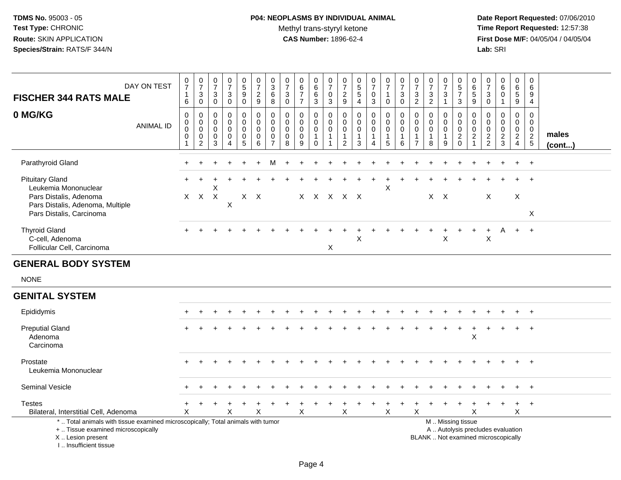#### **P04: NEOPLASMS BY INDIVIDUAL ANIMAL**Methyl trans-styryl ketone<br>CAS Number: 1896-62-4

 **Date Report Requested:** 07/06/2010 **Time Report Requested:** 12:57:38 **First Dose M/F:** 04/05/04 / 04/05/04<br>Lab: SRI **Lab:** SRI

| DAY ON TEST<br><b>FISCHER 344 RATS MALE</b>                                                                                              | $\frac{0}{7}$<br>$\mathbf{1}$<br>6           | $\frac{0}{7}$<br>$\mathbf 3$<br>$\mathbf 0$                          | 0<br>$\overline{7}$<br>3<br>$\mathbf 0$   | $\frac{0}{7}$<br>$\mathbf{3}$<br>$\mathbf 0$        | $\begin{matrix} 0 \\ 5 \end{matrix}$<br>$\boldsymbol{9}$<br>$\mathbf 0$ | $\begin{array}{c} 0 \\ 7 \end{array}$<br>$\overline{c}$<br>$\mathsf g$ | $_{3}^{\rm 0}$<br>$\,6\,$<br>8                                               | $\frac{0}{7}$<br>$\mathbf{3}$<br>$\mathbf 0$ | $\pmb{0}$<br>$\frac{6}{7}$<br>$\overline{7}$                  | $\pmb{0}$<br>$\,6\,$<br>$\,6\,$<br>$\mathfrak{S}$                | 0<br>$\boldsymbol{7}$<br>$\mathbf 0$<br>3              | 0<br>$\boldsymbol{7}$<br>$\frac{2}{9}$ | $\begin{array}{c} 0 \\ 5 \\ 5 \end{array}$<br>$\overline{4}$ | $\frac{0}{7}$<br>$\mathbf 0$<br>$\mathbf{3}$       | $\frac{0}{7}$<br>$\mathbf{1}$<br>$\mathbf 0$                        | $\frac{0}{7}$<br>$\mathbf{3}$<br>$\mathbf 0$                   | 0<br>$\boldsymbol{7}$<br>3<br>$\overline{c}$            | $\frac{0}{7}$<br>$\mathbf{3}$<br>$\overline{2}$            | $\frac{0}{7}$<br>3<br>$\mathbf 1$                    | $\begin{array}{c} 0 \\ 5 \\ 7 \end{array}$<br>$\mathfrak{S}$  | 0<br>$\frac{6}{5}$<br>$\overline{9}$                            | $\frac{0}{7}$<br>3<br>$\mathbf 0$                | $\begin{array}{c} 0 \\ 6 \end{array}$<br>$\mathbf 0$<br>$\mathbf{1}$ | 0<br>$\,6\,$<br>$\sqrt{5}$<br>9                                     | 0<br>$\,6\,$<br>9<br>4                      |                       |
|------------------------------------------------------------------------------------------------------------------------------------------|----------------------------------------------|----------------------------------------------------------------------|-------------------------------------------|-----------------------------------------------------|-------------------------------------------------------------------------|------------------------------------------------------------------------|------------------------------------------------------------------------------|----------------------------------------------|---------------------------------------------------------------|------------------------------------------------------------------|--------------------------------------------------------|----------------------------------------|--------------------------------------------------------------|----------------------------------------------------|---------------------------------------------------------------------|----------------------------------------------------------------|---------------------------------------------------------|------------------------------------------------------------|------------------------------------------------------|---------------------------------------------------------------|-----------------------------------------------------------------|--------------------------------------------------|----------------------------------------------------------------------|---------------------------------------------------------------------|---------------------------------------------|-----------------------|
| 0 MG/KG<br><b>ANIMAL ID</b>                                                                                                              | 0<br>$\mathbf 0$<br>$\pmb{0}$<br>$\mathbf 0$ | $\mathbf 0$<br>$\pmb{0}$<br>$\pmb{0}$<br>$\pmb{0}$<br>$\overline{2}$ | 0<br>0<br>$\mathbf 0$<br>$\mathbf 0$<br>3 | 0<br>$\mathbf 0$<br>$\mathbf 0$<br>$\mathbf 0$<br>Δ | 0<br>0<br>$\pmb{0}$<br>$\pmb{0}$<br>5                                   | $\pmb{0}$<br>$\mathbf 0$<br>$\mathbf 0$<br>$\mathbf 0$<br>6            | $\pmb{0}$<br>$\pmb{0}$<br>$\mathsf{O}\xspace$<br>$\pmb{0}$<br>$\overline{7}$ | 0<br>0<br>$\mathbf 0$<br>$\pmb{0}$<br>8      | $\mathbf 0$<br>$\mathbf 0$<br>$\mathbf 0$<br>$\mathbf 0$<br>9 | 0<br>$\boldsymbol{0}$<br>$\mathbf 0$<br>$\mathbf{1}$<br>$\Omega$ | 0<br>$\mathbf 0$<br>$\mathbf 0$<br>$\overline{1}$<br>1 | 0<br>0<br>0<br>$\mathbf{1}$<br>2       | 0<br>0<br>0<br>$\mathbf{1}$<br>3                             | 0<br>$\mathbf 0$<br>$\pmb{0}$<br>$\mathbf{1}$<br>4 | $\boldsymbol{0}$<br>$\mathsf 0$<br>$\mathbf 0$<br>$\mathbf{1}$<br>5 | $\mathbf 0$<br>$\mathbf 0$<br>$\mathbf 0$<br>$\mathbf{1}$<br>6 | 0<br>0<br>$\mathbf 0$<br>$\mathbf{1}$<br>$\overline{7}$ | $\pmb{0}$<br>$\mathbf 0$<br>$\pmb{0}$<br>$\mathbf{1}$<br>8 | 0<br>$\mathbf 0$<br>$\mathbf 0$<br>$\mathbf{1}$<br>9 | $\pmb{0}$<br>$\pmb{0}$<br>$\pmb{0}$<br>$\sqrt{2}$<br>$\Omega$ | 0<br>$\mathbf 0$<br>$\mathbf 0$<br>$\sqrt{2}$<br>$\overline{1}$ | $\mathbf 0$<br>0<br>$\mathbf 0$<br>$\frac{2}{2}$ | $\mathbf 0$<br>$\mathbf 0$<br>$\mathbf 0$<br>$\overline{c}$<br>3     | 0<br>$\mathbf 0$<br>$\mathbf 0$<br>$\overline{2}$<br>$\overline{4}$ | $\mathbf 0$<br>$\mathbf 0$<br>$\frac{0}{2}$ | males<br>$($ cont $)$ |
| Parathyroid Gland                                                                                                                        |                                              |                                                                      |                                           |                                                     |                                                                         |                                                                        | м                                                                            |                                              |                                                               |                                                                  |                                                        |                                        |                                                              |                                                    |                                                                     |                                                                |                                                         |                                                            |                                                      |                                                               |                                                                 |                                                  |                                                                      |                                                                     | $\overline{+}$                              |                       |
| <b>Pituitary Gland</b><br>Leukemia Mononuclear<br>Pars Distalis, Adenoma<br>Pars Distalis, Adenoma, Multiple<br>Pars Distalis, Carcinoma | $\times$                                     | $\mathsf{X}$                                                         | Χ<br>$\boldsymbol{\mathsf{X}}$            | $\boldsymbol{\mathsf{X}}$                           |                                                                         | $X$ $X$                                                                |                                                                              |                                              |                                                               |                                                                  |                                                        | x x x x x                              |                                                              |                                                    | X                                                                   |                                                                |                                                         | $X$ $X$                                                    |                                                      |                                                               |                                                                 | X                                                |                                                                      | X                                                                   | X                                           |                       |
| <b>Thyroid Gland</b><br>C-cell, Adenoma<br>Follicular Cell, Carcinoma                                                                    |                                              |                                                                      |                                           |                                                     |                                                                         |                                                                        |                                                                              |                                              |                                                               |                                                                  | $\sf X$                                                |                                        | X                                                            |                                                    |                                                                     |                                                                |                                                         |                                                            | $\sf X$                                              |                                                               |                                                                 | $\boldsymbol{\mathsf{X}}$                        | A                                                                    | $+$                                                                 | $+$                                         |                       |
| <b>GENERAL BODY SYSTEM</b>                                                                                                               |                                              |                                                                      |                                           |                                                     |                                                                         |                                                                        |                                                                              |                                              |                                                               |                                                                  |                                                        |                                        |                                                              |                                                    |                                                                     |                                                                |                                                         |                                                            |                                                      |                                                               |                                                                 |                                                  |                                                                      |                                                                     |                                             |                       |
| <b>NONE</b>                                                                                                                              |                                              |                                                                      |                                           |                                                     |                                                                         |                                                                        |                                                                              |                                              |                                                               |                                                                  |                                                        |                                        |                                                              |                                                    |                                                                     |                                                                |                                                         |                                                            |                                                      |                                                               |                                                                 |                                                  |                                                                      |                                                                     |                                             |                       |
| <b>GENITAL SYSTEM</b>                                                                                                                    |                                              |                                                                      |                                           |                                                     |                                                                         |                                                                        |                                                                              |                                              |                                                               |                                                                  |                                                        |                                        |                                                              |                                                    |                                                                     |                                                                |                                                         |                                                            |                                                      |                                                               |                                                                 |                                                  |                                                                      |                                                                     |                                             |                       |
| Epididymis                                                                                                                               |                                              |                                                                      |                                           |                                                     |                                                                         |                                                                        |                                                                              |                                              |                                                               |                                                                  |                                                        |                                        |                                                              |                                                    |                                                                     |                                                                |                                                         |                                                            |                                                      |                                                               |                                                                 |                                                  |                                                                      |                                                                     | $+$                                         |                       |
| <b>Preputial Gland</b><br>Adenoma<br>Carcinoma                                                                                           |                                              |                                                                      |                                           |                                                     |                                                                         |                                                                        |                                                                              |                                              |                                                               |                                                                  |                                                        |                                        |                                                              |                                                    |                                                                     |                                                                |                                                         |                                                            |                                                      | $\ddot{}$                                                     | $\ddot{}$<br>$\times$                                           |                                                  |                                                                      |                                                                     | $\overline{ }$                              |                       |
| Prostate<br>Leukemia Mononuclear                                                                                                         |                                              |                                                                      |                                           |                                                     |                                                                         |                                                                        |                                                                              |                                              |                                                               |                                                                  |                                                        |                                        |                                                              |                                                    |                                                                     |                                                                |                                                         |                                                            |                                                      |                                                               |                                                                 |                                                  |                                                                      |                                                                     | $+$                                         |                       |
| Seminal Vesicle                                                                                                                          |                                              |                                                                      |                                           |                                                     |                                                                         |                                                                        |                                                                              |                                              |                                                               |                                                                  |                                                        |                                        |                                                              |                                                    |                                                                     |                                                                |                                                         |                                                            |                                                      |                                                               |                                                                 |                                                  |                                                                      |                                                                     | $\ddot{}$                                   |                       |
| <b>Testes</b><br>Bilateral, Interstitial Cell, Adenoma                                                                                   | X                                            |                                                                      |                                           | X                                                   |                                                                         | X                                                                      |                                                                              |                                              | X                                                             |                                                                  |                                                        | Χ                                      |                                                              |                                                    | X                                                                   |                                                                | X                                                       |                                                            |                                                      |                                                               | X                                                               |                                                  |                                                                      | Χ                                                                   | $\overline{+}$                              |                       |

Bilateral, Interstitial Cell, Adenoma

Interstitial Cell, Adenoma<br>\* .. Total animals with tissue examined microscopically; Total animals with tumor

y the contract of the contract of the contract of the contract of the contract of the contract of the contract of  $A$ . Autolysis precludes evaluation + .. Tissue examined microscopically

 Lesion present BLANK .. Not examined microscopicallyX .. Lesion present

I .. Insufficient tissue

M .. Missing tissue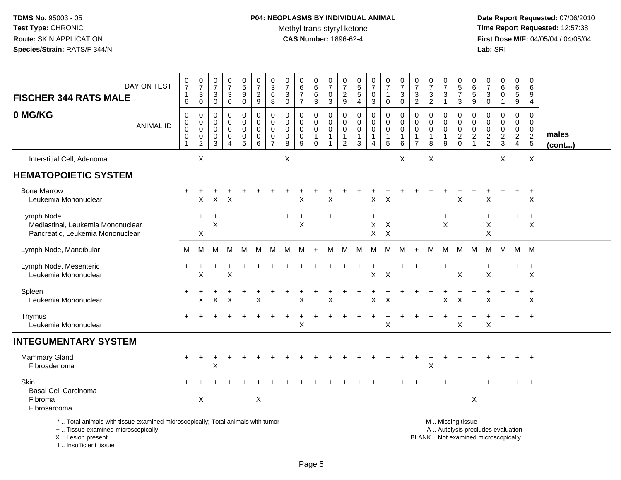# **P04: NEOPLASMS BY INDIVIDUAL ANIMAL**Methyl trans-styryl ketone<br>CAS Number: 1896-62-4

 **Date Report Requested:** 07/06/2010 **Time Report Requested:** 12:57:38 **First Dose M/F:** 04/05/04 / 04/05/04<br>Lab: SRI **Lab:** SRI

| DAY ON TEST<br><b>FISCHER 344 RATS MALE</b>                                                                           | $\pmb{0}$<br>$\overline{7}$<br>$\mathbf{1}$<br>$\,6$                       | $\frac{0}{7}$<br>3<br>0                                        | 0<br>$\overline{7}$<br>3<br>0                       | $\frac{0}{7}$<br>$\mathbf{3}$<br>$\mathsf 0$ | 0<br>5<br>$9\,$<br>0            | $\frac{0}{7}$<br>$\frac{2}{9}$                          | 0<br>$\mathbf{3}$<br>6<br>8                                             | 0<br>$\overline{7}$<br>$\mathbf{3}$<br>$\mathbf 0$                    | 0<br>6<br>$\overline{7}$<br>$\overline{7}$          | 0<br>6<br>6<br>$\overline{3}$                                                | 0<br>$\overline{7}$<br>0<br>3                                   | 0<br>$\overline{7}$<br>$\frac{2}{9}$                                        | $\begin{array}{c} 0 \\ 5 \\ 5 \end{array}$<br>$\overline{4}$        | $\boldsymbol{0}$<br>$\overline{7}$<br>0<br>$\mathbf{3}$ | $\begin{array}{c} 0 \\ 7 \end{array}$<br>$\mathbf{1}$<br>$\mathbf 0$      | $\begin{array}{c} 0 \\ 7 \end{array}$<br>3<br>$\mathbf 0$ | $\frac{0}{7}$<br>$\frac{3}{2}$                                            | $\frac{0}{7}$<br>$\mathbf{3}$<br>$\overline{2}$      | $\pmb{0}$<br>$\overline{7}$<br>$\ensuremath{\mathsf{3}}$<br>$\mathbf{1}$ | $\begin{array}{c} 0 \\ 5 \end{array}$<br>$\overline{7}$<br>$\mathbf{3}$ | $\pmb{0}$<br>$\,6\,$<br>$\frac{5}{9}$       | $\pmb{0}$<br>$\overline{7}$<br>$\sqrt{3}$<br>0   | $\pmb{0}$<br>$\,6\,$<br>$\mathbf 0$<br>$\mathbf{1}$ | 0<br>6<br>$5\phantom{.0}$<br>9                                                   | 0<br>6<br>9<br>4                       |                 |
|-----------------------------------------------------------------------------------------------------------------------|----------------------------------------------------------------------------|----------------------------------------------------------------|-----------------------------------------------------|----------------------------------------------|---------------------------------|---------------------------------------------------------|-------------------------------------------------------------------------|-----------------------------------------------------------------------|-----------------------------------------------------|------------------------------------------------------------------------------|-----------------------------------------------------------------|-----------------------------------------------------------------------------|---------------------------------------------------------------------|---------------------------------------------------------|---------------------------------------------------------------------------|-----------------------------------------------------------|---------------------------------------------------------------------------|------------------------------------------------------|--------------------------------------------------------------------------|-------------------------------------------------------------------------|---------------------------------------------|--------------------------------------------------|-----------------------------------------------------|----------------------------------------------------------------------------------|----------------------------------------|-----------------|
| 0 MG/KG<br><b>ANIMAL ID</b>                                                                                           | $\mathbf 0$<br>$\mathbf 0$<br>$\mathbf 0$<br>$\mathbf 0$<br>$\overline{1}$ | 0<br>$\mathbf 0$<br>$\pmb{0}$<br>$\mathbf 0$<br>$\overline{c}$ | 0<br>$\mathbf 0$<br>$\mathbf 0$<br>$\mathbf 0$<br>3 | 0<br>0<br>$\mathbf 0$<br>0<br>$\overline{4}$ | 0<br>0<br>$\mathbf 0$<br>0<br>5 | 0<br>$\mathbf 0$<br>$\pmb{0}$<br>$\mathbf 0$<br>$\,6\,$ | $\mathbf 0$<br>$\Omega$<br>$\mathbf 0$<br>$\mathbf 0$<br>$\overline{7}$ | $\mathbf 0$<br>$\mathbf{0}$<br>$\mathbf{0}$<br>$\mathbf 0$<br>$\,8\,$ | 0<br>$\mathbf 0$<br>$\mathbf 0$<br>$\mathbf 0$<br>9 | 0<br>$\mathsf{O}\xspace$<br>$\pmb{0}$<br>$\mathbf{1}$<br>$\mathsf{O}\xspace$ | 0<br>$\mathbf 0$<br>$\mathbf 0$<br>$\mathbf{1}$<br>$\mathbf{1}$ | $\mathbf 0$<br>$\mathbf 0$<br>$\mathbf 0$<br>$\mathbf{1}$<br>$\overline{2}$ | $\pmb{0}$<br>$\pmb{0}$<br>$\pmb{0}$<br>$\mathbf{1}$<br>$\mathbf{3}$ | 0<br>$\pmb{0}$<br>$\pmb{0}$<br>$\mathbf{1}$<br>4        | $\pmb{0}$<br>$\mathbf 0$<br>$\mathbf 0$<br>$\mathbf{1}$<br>$\overline{5}$ | 0<br>$\mathbf 0$<br>$\mathbf 0$<br>1<br>6                 | $\mathbf 0$<br>$\mathbf 0$<br>$\pmb{0}$<br>$\mathbf{1}$<br>$\overline{7}$ | 0<br>$\mathbf 0$<br>$\mathbf 0$<br>$\mathbf{1}$<br>8 | 0<br>0<br>$\pmb{0}$<br>$\mathbf{1}$<br>$9\,$                             | $\mathbf 0$<br>$\mathbf 0$<br>$\pmb{0}$<br>$^2_{\rm 0}$                 | 0<br>0<br>$\boldsymbol{0}$<br>$\frac{2}{1}$ | 0<br>$\mathbf 0$<br>$\mathbf 0$<br>$\frac{2}{2}$ | 0<br>$\mathbf 0$<br>$\pmb{0}$<br>$\frac{2}{3}$      | $\mathbf 0$<br>$\mathbf 0$<br>$\overline{0}$<br>$\overline{a}$<br>$\overline{4}$ | 0<br>$\mathbf 0$<br>0<br>$\frac{2}{5}$ | males<br>(cont) |
| Interstitial Cell, Adenoma                                                                                            |                                                                            | X                                                              |                                                     |                                              |                                 |                                                         |                                                                         | X                                                                     |                                                     |                                                                              |                                                                 |                                                                             |                                                                     |                                                         |                                                                           | X                                                         |                                                                           | X                                                    |                                                                          |                                                                         |                                             |                                                  | X                                                   |                                                                                  | X                                      |                 |
| <b>HEMATOPOIETIC SYSTEM</b>                                                                                           |                                                                            |                                                                |                                                     |                                              |                                 |                                                         |                                                                         |                                                                       |                                                     |                                                                              |                                                                 |                                                                             |                                                                     |                                                         |                                                                           |                                                           |                                                                           |                                                      |                                                                          |                                                                         |                                             |                                                  |                                                     |                                                                                  |                                        |                 |
| <b>Bone Marrow</b><br>Leukemia Mononuclear                                                                            |                                                                            | X                                                              |                                                     | $X$ $X$                                      |                                 |                                                         |                                                                         |                                                                       | X                                                   |                                                                              | X                                                               |                                                                             |                                                                     | $\mathsf{X}$                                            | $\mathsf{X}$                                                              |                                                           |                                                                           |                                                      |                                                                          | X                                                                       |                                             | X                                                |                                                     |                                                                                  | $\ddot{}$<br>X                         |                 |
| Lymph Node<br>Mediastinal, Leukemia Mononuclear<br>Pancreatic, Leukemia Mononuclear                                   |                                                                            | $\ddot{}$<br>X                                                 | $\ddot{}$<br>$\mathsf X$                            |                                              |                                 |                                                         |                                                                         | $\pm$                                                                 | $\ddot{}$<br>X                                      |                                                                              | $\ddot{}$                                                       |                                                                             |                                                                     | $+$<br>$\mathsf X$<br>$X$ $X$                           | $\ddot{}$<br>X                                                            |                                                           |                                                                           |                                                      | $\ddot{}$<br>X                                                           |                                                                         |                                             | $\ddot{}$<br>X<br>$\times$                       |                                                     | $+$                                                                              | $\ddot{}$<br>X                         |                 |
| Lymph Node, Mandibular                                                                                                | м                                                                          | M                                                              | м                                                   | M                                            | M                               | M                                                       | M                                                                       | м                                                                     | M                                                   | $\ddot{}$                                                                    | м                                                               | M                                                                           | M                                                                   | M                                                       | M                                                                         | M                                                         | $+$                                                                       | м                                                    | M                                                                        | M                                                                       | M                                           | M                                                | м                                                   |                                                                                  | M M                                    |                 |
| Lymph Node, Mesenteric<br>Leukemia Mononuclear                                                                        |                                                                            | X                                                              |                                                     | $\sf X$                                      |                                 |                                                         |                                                                         |                                                                       |                                                     |                                                                              |                                                                 |                                                                             |                                                                     | $\sf X$                                                 | $\times$                                                                  |                                                           |                                                                           |                                                      |                                                                          | $\sf X$                                                                 |                                             | $\times$                                         |                                                     |                                                                                  | $\ddot{}$<br>X                         |                 |
| Spleen<br>Leukemia Mononuclear                                                                                        |                                                                            | Χ                                                              | X                                                   | $\ddot{}$<br>X                               |                                 | X                                                       |                                                                         |                                                                       | Χ                                                   |                                                                              | X                                                               |                                                                             |                                                                     | $\pmb{\times}$                                          | $\times$                                                                  |                                                           |                                                                           |                                                      | X                                                                        | X                                                                       |                                             | X                                                | $+$                                                 | $\div$                                                                           | $\ddot{}$<br>X                         |                 |
| Thymus<br>Leukemia Mononuclear                                                                                        |                                                                            |                                                                |                                                     |                                              |                                 |                                                         |                                                                         |                                                                       | X                                                   |                                                                              |                                                                 |                                                                             |                                                                     |                                                         | X                                                                         |                                                           |                                                                           |                                                      |                                                                          | X                                                                       |                                             | X                                                |                                                     |                                                                                  |                                        |                 |
| <b>INTEGUMENTARY SYSTEM</b>                                                                                           |                                                                            |                                                                |                                                     |                                              |                                 |                                                         |                                                                         |                                                                       |                                                     |                                                                              |                                                                 |                                                                             |                                                                     |                                                         |                                                                           |                                                           |                                                                           |                                                      |                                                                          |                                                                         |                                             |                                                  |                                                     |                                                                                  |                                        |                 |
| Mammary Gland<br>Fibroadenoma                                                                                         |                                                                            | $\pm$                                                          | $\ddot{}$<br>$\mathsf X$                            | $\ddot{}$                                    |                                 |                                                         |                                                                         |                                                                       |                                                     |                                                                              |                                                                 |                                                                             |                                                                     |                                                         |                                                                           |                                                           |                                                                           | $\ddot{}$<br>X                                       | $\ddot{}$                                                                |                                                                         |                                             |                                                  |                                                     |                                                                                  | $\ddot{}$                              |                 |
| Skin<br><b>Basal Cell Carcinoma</b><br>Fibroma<br>Fibrosarcoma                                                        |                                                                            | X                                                              |                                                     |                                              |                                 | X                                                       |                                                                         |                                                                       |                                                     |                                                                              |                                                                 |                                                                             |                                                                     |                                                         |                                                                           |                                                           |                                                                           |                                                      |                                                                          |                                                                         | X                                           |                                                  |                                                     |                                                                                  |                                        |                 |
| *  Total animals with tissue examined microscopically; Total animals with tumor<br>+  Tissue examined microscopically |                                                                            |                                                                |                                                     |                                              |                                 |                                                         |                                                                         |                                                                       |                                                     |                                                                              |                                                                 |                                                                             |                                                                     |                                                         |                                                                           |                                                           |                                                                           |                                                      |                                                                          | M  Missing tissue<br>A  Autolysis precludes evaluation                  |                                             |                                                  |                                                     |                                                                                  |                                        |                 |

X .. Lesion present

I .. Insufficient tissue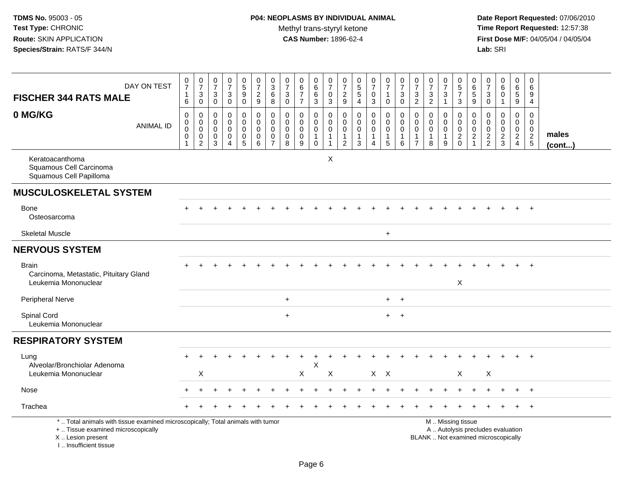| <b>FISCHER 344 RATS MALE</b>                                                                                                                                        | DAY ON TEST      | $\frac{0}{7}$<br>$\mathbf{1}$<br>6                         | $\frac{0}{7}$<br>$\ensuremath{\mathsf{3}}$<br>$\mathsf 0$ | $\begin{smallmatrix}0\\7\end{smallmatrix}$<br>$\ensuremath{\mathsf{3}}$<br>$\mathsf 0$ | $\frac{0}{7}$<br>$\ensuremath{\mathsf{3}}$<br>$\mathbf 0$        | $\begin{array}{c} 0 \\ 5 \end{array}$<br>$\overline{9}$<br>$\mathbf 0$ | $\begin{array}{c} 0 \\ 7 \end{array}$<br>$\sqrt{2}$<br>9    | $\frac{0}{3}$<br>$\,6\,$<br>8                          | $\frac{0}{7}$<br>$\ensuremath{\mathsf{3}}$<br>$\mathbf 0$   | $\begin{array}{c} 0 \\ 6 \\ 7 \end{array}$<br>$\overline{7}$ | $_{6}^{\rm 0}$<br>$\overline{6}$<br>3              | $\frac{0}{7}$<br>$_{3}^{\rm 0}$                         | $\begin{array}{c} 0 \\ 7 \end{array}$<br>$\frac{2}{9}$ | $0$<br>5<br>5<br>5<br>4                                      | $\begin{array}{c} 0 \\ 7 \end{array}$<br>$\pmb{0}$<br>$\mathbf{3}$ | $\frac{0}{7}$<br>$\mathbf{1}$<br>$\mathbf 0$                 | $\frac{0}{7}$<br>3<br>$\mathbf 0$                 | $\frac{0}{7}$<br>$\frac{3}{2}$                                   | $\begin{array}{c} 0 \\ 7 \end{array}$<br>$\frac{3}{2}$      | $\begin{array}{c} 0 \\ 7 \end{array}$<br>$\ensuremath{\mathsf{3}}$<br>$\mathbf{1}$ | $\begin{array}{c} 0 \\ 5 \\ 7 \end{array}$<br>3                                               | 0<br>$\,6\,$<br>$\,$ 5 $\,$<br>9                  | $\frac{0}{7}$<br>$\sqrt{3}$<br>$\mathbf 0$       | $_6^0$<br>$\mathbf 0$<br>1                       | 0<br>5<br>5<br>9                                               | $\mathbf 0$<br>6<br>9<br>4                    |                 |
|---------------------------------------------------------------------------------------------------------------------------------------------------------------------|------------------|------------------------------------------------------------|-----------------------------------------------------------|----------------------------------------------------------------------------------------|------------------------------------------------------------------|------------------------------------------------------------------------|-------------------------------------------------------------|--------------------------------------------------------|-------------------------------------------------------------|--------------------------------------------------------------|----------------------------------------------------|---------------------------------------------------------|--------------------------------------------------------|--------------------------------------------------------------|--------------------------------------------------------------------|--------------------------------------------------------------|---------------------------------------------------|------------------------------------------------------------------|-------------------------------------------------------------|------------------------------------------------------------------------------------|-----------------------------------------------------------------------------------------------|---------------------------------------------------|--------------------------------------------------|--------------------------------------------------|----------------------------------------------------------------|-----------------------------------------------|-----------------|
| 0 MG/KG                                                                                                                                                             | <b>ANIMAL ID</b> | $\pmb{0}$<br>$\overline{0}$<br>$\mathbf 0$<br>$\mathbf{1}$ | 0<br>$\overline{0}$<br>$\pmb{0}$<br>$\sqrt{2}$            | $\mathbf 0$<br>$\mathbf 0$<br>$\mathbf 0$<br>0<br>3                                    | $\mathbf 0$<br>$\mathbf 0$<br>$\mathbf 0$<br>0<br>$\overline{4}$ | 0<br>$\mathbf 0$<br>$\mathbf 0$<br>$\pmb{0}$<br>$\sqrt{5}$             | $\mathbf 0$<br>$\mathbf 0$<br>$\mathbf 0$<br>$\pmb{0}$<br>6 | 0<br>$\mathbf 0$<br>$\mathbf 0$<br>0<br>$\overline{7}$ | $\mathbf 0$<br>$\mathbf 0$<br>$\mathbf 0$<br>$\pmb{0}$<br>8 | 0<br>$\mathbf 0$<br>$\mathbf 0$<br>$\pmb{0}$<br>9            | 0<br>$\overline{0}$<br>$\mathbf{1}$<br>$\mathbf 0$ | 0<br>$\mathsf{O}\xspace$<br>$\mathsf 0$<br>$\mathbf{1}$ | 0<br>$\mathbf 0$<br>$\mathbf 0$<br>$\frac{1}{2}$       | $\pmb{0}$<br>$\mathbf 0$<br>$\mathbf 0$<br>$\mathbf{1}$<br>3 | 0<br>$\pmb{0}$<br>$\mathbf 0$<br>$\mathbf{1}$<br>$\overline{4}$    | $\pmb{0}$<br>$\mathbf 0$<br>$\mathbf 0$<br>$\mathbf{1}$<br>5 | $\mathbf 0$<br>$\pmb{0}$<br>$\mathbf 0$<br>1<br>6 | $\Omega$<br>$\mathbf 0$<br>0<br>$\overline{1}$<br>$\overline{7}$ | $\mathbf 0$<br>$\mathsf{O}\xspace$<br>$\mathbf 0$<br>1<br>8 | $\mathbf 0$<br>$\mathbf 0$<br>$\mathbf 0$<br>$\mathbf{1}$<br>9                     | $\mathbf 0$<br>$\mathbf 0$<br>$\mathsf{O}\xspace$<br>$\frac{2}{0}$                            | 0<br>$\mathbf 0$<br>$\mathbf 0$<br>$\overline{2}$ | 0<br>$\mathbf 0$<br>$\mathbf 0$<br>$\frac{2}{2}$ | 0<br>$\mathbf 0$<br>$\mathbf 0$<br>$\frac{2}{3}$ | $\pmb{0}$<br>$\pmb{0}$<br>$\ddot{\mathbf{0}}$<br>$\frac{2}{4}$ | $\Omega$<br>$\mathbf 0$<br>0<br>$\frac{2}{5}$ | males<br>(cont) |
| Keratoacanthoma<br>Squamous Cell Carcinoma<br>Squamous Cell Papilloma                                                                                               |                  |                                                            |                                                           |                                                                                        |                                                                  |                                                                        |                                                             |                                                        |                                                             |                                                              |                                                    | $\times$                                                |                                                        |                                                              |                                                                    |                                                              |                                                   |                                                                  |                                                             |                                                                                    |                                                                                               |                                                   |                                                  |                                                  |                                                                |                                               |                 |
| <b>MUSCULOSKELETAL SYSTEM</b>                                                                                                                                       |                  |                                                            |                                                           |                                                                                        |                                                                  |                                                                        |                                                             |                                                        |                                                             |                                                              |                                                    |                                                         |                                                        |                                                              |                                                                    |                                                              |                                                   |                                                                  |                                                             |                                                                                    |                                                                                               |                                                   |                                                  |                                                  |                                                                |                                               |                 |
| Bone<br>Osteosarcoma                                                                                                                                                |                  |                                                            |                                                           |                                                                                        |                                                                  |                                                                        |                                                             |                                                        |                                                             |                                                              |                                                    |                                                         |                                                        |                                                              |                                                                    |                                                              |                                                   |                                                                  |                                                             |                                                                                    |                                                                                               |                                                   |                                                  |                                                  |                                                                | $\ddot{}$                                     |                 |
| <b>Skeletal Muscle</b>                                                                                                                                              |                  |                                                            |                                                           |                                                                                        |                                                                  |                                                                        |                                                             |                                                        |                                                             |                                                              |                                                    |                                                         |                                                        |                                                              |                                                                    | $\ddot{}$                                                    |                                                   |                                                                  |                                                             |                                                                                    |                                                                                               |                                                   |                                                  |                                                  |                                                                |                                               |                 |
| <b>NERVOUS SYSTEM</b>                                                                                                                                               |                  |                                                            |                                                           |                                                                                        |                                                                  |                                                                        |                                                             |                                                        |                                                             |                                                              |                                                    |                                                         |                                                        |                                                              |                                                                    |                                                              |                                                   |                                                                  |                                                             |                                                                                    |                                                                                               |                                                   |                                                  |                                                  |                                                                |                                               |                 |
| <b>Brain</b><br>Carcinoma, Metastatic, Pituitary Gland<br>Leukemia Mononuclear                                                                                      |                  |                                                            |                                                           |                                                                                        |                                                                  |                                                                        |                                                             |                                                        |                                                             |                                                              |                                                    |                                                         |                                                        |                                                              |                                                                    |                                                              |                                                   |                                                                  |                                                             |                                                                                    | X                                                                                             |                                                   |                                                  |                                                  |                                                                | $\ddot{}$                                     |                 |
| Peripheral Nerve                                                                                                                                                    |                  |                                                            |                                                           |                                                                                        |                                                                  |                                                                        |                                                             |                                                        | $\ddot{}$                                                   |                                                              |                                                    |                                                         |                                                        |                                                              |                                                                    | $+$                                                          | $\ddot{}$                                         |                                                                  |                                                             |                                                                                    |                                                                                               |                                                   |                                                  |                                                  |                                                                |                                               |                 |
| Spinal Cord<br>Leukemia Mononuclear                                                                                                                                 |                  |                                                            |                                                           |                                                                                        |                                                                  |                                                                        |                                                             |                                                        | $\ddot{}$                                                   |                                                              |                                                    |                                                         |                                                        |                                                              |                                                                    | $+$                                                          | $+$                                               |                                                                  |                                                             |                                                                                    |                                                                                               |                                                   |                                                  |                                                  |                                                                |                                               |                 |
| <b>RESPIRATORY SYSTEM</b>                                                                                                                                           |                  |                                                            |                                                           |                                                                                        |                                                                  |                                                                        |                                                             |                                                        |                                                             |                                                              |                                                    |                                                         |                                                        |                                                              |                                                                    |                                                              |                                                   |                                                                  |                                                             |                                                                                    |                                                                                               |                                                   |                                                  |                                                  |                                                                |                                               |                 |
| Lung<br>Alveolar/Bronchiolar Adenoma<br>Leukemia Mononuclear                                                                                                        |                  |                                                            | X                                                         |                                                                                        |                                                                  |                                                                        |                                                             |                                                        |                                                             | X                                                            | X                                                  | X                                                       |                                                        |                                                              |                                                                    | $X$ $X$                                                      |                                                   |                                                                  |                                                             |                                                                                    | X                                                                                             |                                                   | X                                                |                                                  |                                                                | $\ddot{}$                                     |                 |
| Nose                                                                                                                                                                |                  |                                                            |                                                           |                                                                                        |                                                                  |                                                                        |                                                             |                                                        |                                                             |                                                              |                                                    |                                                         |                                                        |                                                              |                                                                    |                                                              |                                                   |                                                                  |                                                             |                                                                                    |                                                                                               |                                                   |                                                  |                                                  |                                                                | $\ddot{}$                                     |                 |
| Trachea                                                                                                                                                             |                  |                                                            |                                                           |                                                                                        |                                                                  |                                                                        |                                                             |                                                        |                                                             |                                                              |                                                    |                                                         |                                                        |                                                              |                                                                    |                                                              |                                                   |                                                                  |                                                             |                                                                                    |                                                                                               |                                                   |                                                  |                                                  |                                                                |                                               |                 |
| *  Total animals with tissue examined microscopically; Total animals with tumor<br>+  Tissue examined microscopically<br>X  Lesion present<br>I Insufficient tissue |                  |                                                            |                                                           |                                                                                        |                                                                  |                                                                        |                                                             |                                                        |                                                             |                                                              |                                                    |                                                         |                                                        |                                                              |                                                                    |                                                              |                                                   |                                                                  |                                                             |                                                                                    | M  Missing tissue<br>A  Autolysis precludes evaluation<br>BLANK  Not examined microscopically |                                                   |                                                  |                                                  |                                                                |                                               |                 |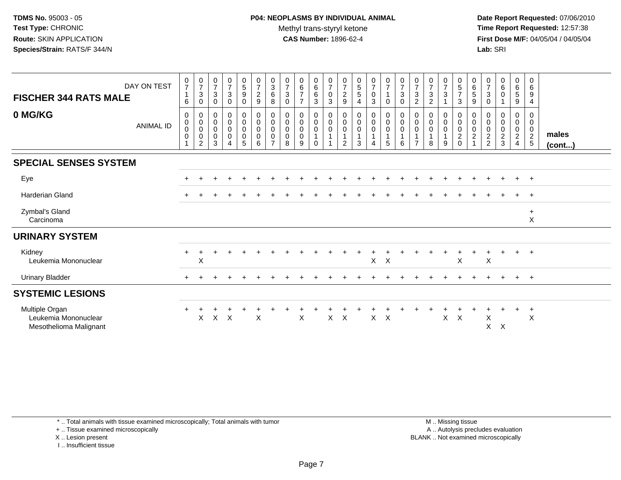**Date Report Requested:** 07/06/2010 **Time Report Requested:** 12:57:38 **First Dose M/F:** 04/05/04 / 04/05/04<br>**Lab:** SRI **Lab:** SRI

| <b>FISCHER 344 RATS MALE</b>                                     | DAY ON TEST      | $\frac{0}{7}$<br>$\mathbf{1}$<br>$\,6\,$                             | $\frac{0}{7}$<br>3<br>$\mathbf 0$                            | $\frac{0}{7}$<br>$\mathbf 3$<br>$\mathbf 0$   | $\frac{0}{7}$<br>$\mathbf{3}$<br>0    | $\begin{array}{c} 0 \\ 5 \end{array}$<br>$\boldsymbol{9}$<br>0 | $\frac{0}{7}$<br>$\frac{2}{9}$                        | $_{3}^{\rm 0}$<br>$6\phantom{a}$<br>$\bf8$                   | $\frac{0}{7}$<br>$\mathbf{3}$<br>$\mathbf 0$                 | $0\over 6$<br>$\overline{7}$<br>$\overline{7}$ | $\begin{matrix}0\0\0\0\end{matrix}$<br>$\mathbf{3}$                     | $\frac{0}{7}$<br>$\pmb{0}$<br>$\overline{3}$                                | $\frac{0}{7}$<br>$\frac{2}{9}$     | $\begin{array}{c} 0 \\ 5 \\ 5 \end{array}$<br>$\overline{4}$                       | $\frac{0}{7}$<br>$\mathsf 0$<br>3 | $\frac{0}{7}$<br>1<br>0                                                 | $\frac{0}{7}$<br>$\mathsf 3$<br>$\mathbf 0$ | $\frac{0}{7}$<br>$\sqrt{3}$<br>$\overline{2}$                               | $\frac{0}{7}$<br>$\sqrt{3}$<br>$\overline{2}$                                | $\frac{0}{7}$<br>$\mathfrak{S}$ | $\begin{array}{c} 0 \\ 5 \\ 7 \end{array}$<br>$\mathbf{3}$    | $\begin{matrix} 0 \\ 6 \end{matrix}$<br>$\overline{5}$<br>9 | $\frac{0}{7}$<br>3<br>$\mathbf 0$ | $\begin{array}{c} 0 \\ 6 \end{array}$<br>$\overline{0}$     | $\begin{matrix} 0 \\ 6 \end{matrix}$<br>$\overline{5}$<br>9       | $\mathbf 0$<br>$\,6\,$<br>9<br>4                    |                       |
|------------------------------------------------------------------|------------------|----------------------------------------------------------------------|--------------------------------------------------------------|-----------------------------------------------|---------------------------------------|----------------------------------------------------------------|-------------------------------------------------------|--------------------------------------------------------------|--------------------------------------------------------------|------------------------------------------------|-------------------------------------------------------------------------|-----------------------------------------------------------------------------|------------------------------------|------------------------------------------------------------------------------------|-----------------------------------|-------------------------------------------------------------------------|---------------------------------------------|-----------------------------------------------------------------------------|------------------------------------------------------------------------------|---------------------------------|---------------------------------------------------------------|-------------------------------------------------------------|-----------------------------------|-------------------------------------------------------------|-------------------------------------------------------------------|-----------------------------------------------------|-----------------------|
| 0 MG/KG                                                          | <b>ANIMAL ID</b> | $\mathbf 0$<br>$\pmb{0}$<br>$\mathbf 0$<br>$\pmb{0}$<br>$\mathbf{1}$ | 0<br>$\mathbf 0$<br>$\pmb{0}$<br>$\pmb{0}$<br>$\overline{2}$ | 0<br>$\pmb{0}$<br>$\pmb{0}$<br>$\pmb{0}$<br>3 | $_0^0$<br>$\pmb{0}$<br>$\pmb{0}$<br>4 | $_0^0$<br>$\mathsf{O}$<br>$\pmb{0}$<br>5                       | $_{\rm 0}^{\rm 0}$<br>$\mathsf 0$<br>$\mathbf 0$<br>6 | 0<br>$\mathbf 0$<br>$\pmb{0}$<br>$\pmb{0}$<br>$\overline{7}$ | $\boldsymbol{0}$<br>$\pmb{0}$<br>$\pmb{0}$<br>$\pmb{0}$<br>8 | 0<br>$\mathsf{O}$<br>0<br>0<br>9               | $\begin{smallmatrix}0\0\0\end{smallmatrix}$<br>$\mathbf{1}$<br>$\Omega$ | $\begin{smallmatrix} 0\\0 \end{smallmatrix}$<br>$\pmb{0}$<br>$\overline{1}$ | 0<br>$\pmb{0}$<br>$\mathbf 0$<br>2 | $\begin{smallmatrix} 0\\0 \end{smallmatrix}$<br>$\mathbf 0$<br>$\overline{1}$<br>3 | 0<br>$\mathbf 0$<br>0<br>4        | $\begin{smallmatrix}0\0\0\end{smallmatrix}$<br>0<br>$\overline{1}$<br>5 | $_{\rm 0}^{\rm 0}$<br>$\pmb{0}$<br>6        | $\begin{smallmatrix} 0\\0 \end{smallmatrix}$<br>$\pmb{0}$<br>$\overline{7}$ | $\begin{smallmatrix}0\\0\end{smallmatrix}$<br>$\pmb{0}$<br>$\mathbf{1}$<br>8 | 0<br>$\mathbf 0$<br>0<br>9      | $\begin{smallmatrix} 0\\0 \end{smallmatrix}$<br>$\frac{0}{2}$ | 0<br>$\mathbf 0$<br>$\mathbf 0$<br>$\overline{c}$           | 0<br>0<br>0<br>$\frac{2}{2}$      | 0<br>$\mathbf 0$<br>$\pmb{0}$<br>$\sqrt{2}$<br>$\mathbf{3}$ | 0<br>$\mathsf{O}\xspace$<br>0<br>$\overline{2}$<br>$\overline{4}$ | 0<br>$\mathbf 0$<br>$\overline{0}$<br>$\frac{2}{5}$ | males<br>$($ cont $)$ |
| <b>SPECIAL SENSES SYSTEM</b>                                     |                  |                                                                      |                                                              |                                               |                                       |                                                                |                                                       |                                                              |                                                              |                                                |                                                                         |                                                                             |                                    |                                                                                    |                                   |                                                                         |                                             |                                                                             |                                                                              |                                 |                                                               |                                                             |                                   |                                                             |                                                                   |                                                     |                       |
| Eye                                                              |                  |                                                                      |                                                              |                                               |                                       |                                                                |                                                       |                                                              |                                                              |                                                |                                                                         |                                                                             |                                    |                                                                                    |                                   |                                                                         |                                             |                                                                             |                                                                              |                                 |                                                               |                                                             |                                   |                                                             | $\ddot{}$                                                         | $+$                                                 |                       |
| <b>Harderian Gland</b>                                           |                  |                                                                      |                                                              |                                               |                                       |                                                                |                                                       |                                                              |                                                              |                                                |                                                                         |                                                                             |                                    |                                                                                    |                                   |                                                                         |                                             |                                                                             |                                                                              |                                 |                                                               |                                                             |                                   |                                                             |                                                                   | $+$                                                 |                       |
| Zymbal's Gland<br>Carcinoma                                      |                  |                                                                      |                                                              |                                               |                                       |                                                                |                                                       |                                                              |                                                              |                                                |                                                                         |                                                                             |                                    |                                                                                    |                                   |                                                                         |                                             |                                                                             |                                                                              |                                 |                                                               |                                                             |                                   |                                                             |                                                                   | $\ddot{}$<br>$\mathsf X$                            |                       |
| <b>URINARY SYSTEM</b>                                            |                  |                                                                      |                                                              |                                               |                                       |                                                                |                                                       |                                                              |                                                              |                                                |                                                                         |                                                                             |                                    |                                                                                    |                                   |                                                                         |                                             |                                                                             |                                                                              |                                 |                                                               |                                                             |                                   |                                                             |                                                                   |                                                     |                       |
| Kidney<br>Leukemia Mononuclear                                   |                  | $+$                                                                  | $\mathsf X$                                                  |                                               |                                       |                                                                |                                                       |                                                              |                                                              |                                                |                                                                         |                                                                             |                                    |                                                                                    | $\mathsf{X}$                      | $\mathsf{X}$                                                            |                                             |                                                                             |                                                                              |                                 | $\boldsymbol{\mathsf{X}}$                                     |                                                             | X                                 |                                                             | $+$                                                               | $+$                                                 |                       |
| <b>Urinary Bladder</b>                                           |                  |                                                                      |                                                              |                                               |                                       |                                                                |                                                       |                                                              |                                                              |                                                |                                                                         |                                                                             |                                    |                                                                                    |                                   |                                                                         |                                             |                                                                             |                                                                              |                                 |                                                               |                                                             |                                   |                                                             | $\pm$                                                             | $+$                                                 |                       |
| <b>SYSTEMIC LESIONS</b>                                          |                  |                                                                      |                                                              |                                               |                                       |                                                                |                                                       |                                                              |                                                              |                                                |                                                                         |                                                                             |                                    |                                                                                    |                                   |                                                                         |                                             |                                                                             |                                                                              |                                 |                                                               |                                                             |                                   |                                                             |                                                                   |                                                     |                       |
| Multiple Organ<br>Leukemia Mononuclear<br>Mesothelioma Malignant |                  |                                                                      | X                                                            |                                               | $X$ $X$                               |                                                                | X                                                     |                                                              |                                                              | X                                              |                                                                         | $\mathsf{X}$                                                                | $\boldsymbol{\mathsf{X}}$          |                                                                                    | $\mathsf{X}$                      | $\mathsf{X}$                                                            |                                             |                                                                             |                                                                              | X                               | $\boldsymbol{\mathsf{X}}$                                     |                                                             | X<br>$\mathsf{X}$                 | X                                                           | +                                                                 | $\ddot{}$<br>$\boldsymbol{\mathsf{X}}$              |                       |

\* .. Total animals with tissue examined microscopically; Total animals with tumor

+ .. Tissue examined microscopically

X .. Lesion present

I .. Insufficient tissue

 M .. Missing tissuey the contract of the contract of the contract of the contract of the contract of the contract of the contract of  $A$ . Autolysis precludes evaluation Lesion present BLANK .. Not examined microscopically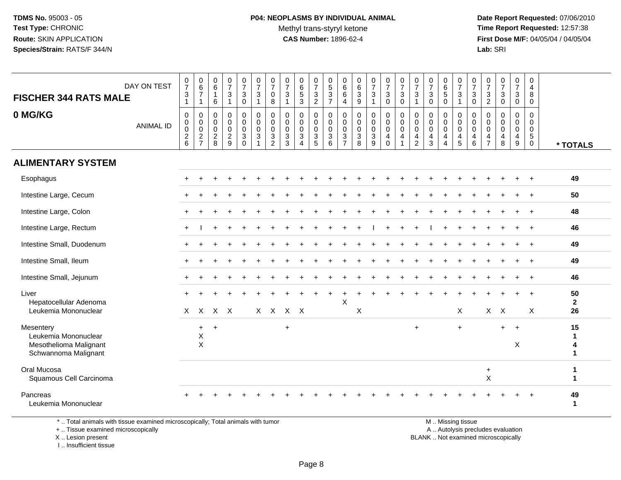**Date Report Requested:** 07/06/2010 **Time Report Requested:** 12:57:38 **First Dose M/F:** 04/05/04 / 04/05/04<br>**Lab:** SRI **Lab:** SRI

| DAY ON TEST<br><b>FISCHER 344 RATS MALE</b>                                                                                                                                                                                    |                             | $\frac{0}{7}$<br>$\mathbf{3}$<br>$\mathbf{1}$        | $\begin{array}{c} 0 \\ 6 \end{array}$<br>$\overline{7}$<br>$\mathbf{1}$ | 0<br>$\,6\,$<br>$\overline{1}$<br>6            | $\begin{array}{c} 0 \\ 7 \end{array}$<br>3<br>$\mathbf{1}$   | 0<br>$\overline{7}$<br>$\mathbf{3}$<br>$\mathbf 0$ | $\frac{0}{7}$<br>$\mathbf{3}$<br>$\overline{1}$               | $\begin{array}{c} 0 \\ 7 \end{array}$<br>0<br>8                     | 0<br>$\overline{7}$<br>3<br>$\overline{1}$                           | 0<br>$6\phantom{a}$<br>$\sqrt{5}$<br>3                                             | $\frac{0}{7}$<br>$\frac{3}{2}$                   | 0<br>$\frac{5}{3}$<br>$\overline{7}$      | 0<br>$\overline{6}$<br>6<br>$\overline{4}$                      | 0<br>6<br>3<br>9                | $\frac{0}{7}$<br>$\sqrt{3}$                                                          | 0<br>$\overline{7}$<br>$\mathbf{3}$<br>0                                        | $\frac{0}{7}$<br>$\overline{3}$<br>$\mathbf 0$                              | 0<br>$\overline{7}$<br>3<br>1                        | $\frac{0}{7}$<br>$\mathbf{3}$<br>0      | 0<br>$\frac{6}{5}$<br>0                                                   | 0<br>$\overline{7}$<br>3<br>$\overline{1}$                    | 0<br>$\overline{7}$<br>$\mathsf 3$<br>$\mathbf 0$                | 0<br>$\overline{7}$<br>3<br>$\overline{2}$   | $\begin{array}{c} 0 \\ 7 \end{array}$<br>3<br>$\mathbf 0$ | $\frac{0}{7}$<br>3<br>0              | 0<br>4<br>8<br>$\mathbf 0$                                     |                             |
|--------------------------------------------------------------------------------------------------------------------------------------------------------------------------------------------------------------------------------|-----------------------------|------------------------------------------------------|-------------------------------------------------------------------------|------------------------------------------------|--------------------------------------------------------------|----------------------------------------------------|---------------------------------------------------------------|---------------------------------------------------------------------|----------------------------------------------------------------------|------------------------------------------------------------------------------------|--------------------------------------------------|-------------------------------------------|-----------------------------------------------------------------|---------------------------------|--------------------------------------------------------------------------------------|---------------------------------------------------------------------------------|-----------------------------------------------------------------------------|------------------------------------------------------|-----------------------------------------|---------------------------------------------------------------------------|---------------------------------------------------------------|------------------------------------------------------------------|----------------------------------------------|-----------------------------------------------------------|--------------------------------------|----------------------------------------------------------------|-----------------------------|
| 0 MG/KG                                                                                                                                                                                                                        | <b>ANIMAL ID</b>            | $\pmb{0}$<br>$\pmb{0}$<br>$\pmb{0}$<br>$\frac{2}{6}$ | $\,0\,$<br>$\begin{array}{c} 0 \\ 0 \\ 2 \\ 7 \end{array}$              | 0<br>0<br>$\mathbf 0$<br>$\boldsymbol{2}$<br>8 | $\mathbf 0$<br>$\mathbf 0$<br>$\mathbf 0$<br>$\sqrt{2}$<br>9 | 0<br>0<br>$\mathbf 0$<br>$\mathbf{3}$<br>$\Omega$  | $\pmb{0}$<br>$\mathsf{O}\xspace$<br>$\mathbf 0$<br>$\sqrt{3}$ | $\pmb{0}$<br>$\pmb{0}$<br>$\pmb{0}$<br>$\sqrt{3}$<br>$\overline{2}$ | 0<br>$\boldsymbol{0}$<br>$\mathbf 0$<br>$\mathbf{3}$<br>$\mathbf{3}$ | $\mathbf 0$<br>$\mathbf 0$<br>$\mathbf 0$<br>$\ensuremath{\mathsf{3}}$<br>$\Delta$ | 0<br>$\pmb{0}$<br>$\mathbf 0$<br>$\sqrt{3}$<br>5 | 0<br>$\mathsf 0$<br>$\mathbf 0$<br>3<br>6 | $\mathbf 0$<br>0<br>$\mathbf 0$<br>$\sqrt{3}$<br>$\overline{7}$ | 0<br>0<br>0<br>$\mathsf 3$<br>8 | $\pmb{0}$<br>$\pmb{0}$<br>$\pmb{0}$<br>$\ensuremath{\mathsf{3}}$<br>$\boldsymbol{9}$ | $\mathbf 0$<br>$\boldsymbol{0}$<br>$\mathbf 0$<br>$\overline{4}$<br>$\mathbf 0$ | $\pmb{0}$<br>$\mathbf 0$<br>$\mathbf 0$<br>$\overline{4}$<br>$\overline{1}$ | 0<br>$\pmb{0}$<br>$\mathbf 0$<br>4<br>$\overline{2}$ | 0<br>$\pmb{0}$<br>$\mathbf 0$<br>4<br>3 | 0<br>$\pmb{0}$<br>$\mathbf 0$<br>$\overline{4}$<br>$\boldsymbol{\Lambda}$ | 0<br>$\mathsf{O}\xspace$<br>0<br>$\overline{4}$<br>$\sqrt{5}$ | $\mathbf 0$<br>$\mathbf 0$<br>$\mathbf 0$<br>$\overline{a}$<br>6 | 0<br>0<br>$\mathbf 0$<br>4<br>$\overline{7}$ | 0<br>$\mathbf 0$<br>$\Omega$<br>4<br>8                    | 0<br>0<br>0<br>4<br>$\boldsymbol{9}$ | 0<br>$\pmb{0}$<br>$\mathbf 0$<br>$\overline{5}$<br>$\mathbf 0$ | * TOTALS                    |
| <b>ALIMENTARY SYSTEM</b>                                                                                                                                                                                                       |                             |                                                      |                                                                         |                                                |                                                              |                                                    |                                                               |                                                                     |                                                                      |                                                                                    |                                                  |                                           |                                                                 |                                 |                                                                                      |                                                                                 |                                                                             |                                                      |                                         |                                                                           |                                                               |                                                                  |                                              |                                                           |                                      |                                                                |                             |
| Esophagus                                                                                                                                                                                                                      |                             |                                                      |                                                                         |                                                |                                                              |                                                    |                                                               |                                                                     |                                                                      |                                                                                    |                                                  |                                           |                                                                 |                                 |                                                                                      |                                                                                 |                                                                             |                                                      |                                         |                                                                           |                                                               |                                                                  |                                              |                                                           |                                      |                                                                | 49                          |
| Intestine Large, Cecum                                                                                                                                                                                                         |                             |                                                      |                                                                         |                                                |                                                              |                                                    |                                                               |                                                                     |                                                                      |                                                                                    |                                                  |                                           |                                                                 |                                 |                                                                                      |                                                                                 |                                                                             |                                                      |                                         |                                                                           |                                                               |                                                                  |                                              |                                                           |                                      | $\ddot{}$                                                      | 50                          |
| Intestine Large, Colon                                                                                                                                                                                                         |                             |                                                      |                                                                         |                                                |                                                              |                                                    |                                                               |                                                                     |                                                                      |                                                                                    |                                                  |                                           |                                                                 |                                 |                                                                                      |                                                                                 |                                                                             |                                                      |                                         |                                                                           |                                                               |                                                                  |                                              |                                                           |                                      | $\overline{+}$                                                 | 48                          |
| Intestine Large, Rectum                                                                                                                                                                                                        |                             | $+$                                                  |                                                                         | +                                              |                                                              |                                                    |                                                               |                                                                     |                                                                      |                                                                                    |                                                  |                                           |                                                                 |                                 |                                                                                      |                                                                                 |                                                                             |                                                      |                                         |                                                                           |                                                               |                                                                  |                                              |                                                           |                                      | $\ddot{}$                                                      | 46                          |
| Intestine Small, Duodenum                                                                                                                                                                                                      |                             |                                                      |                                                                         |                                                |                                                              |                                                    |                                                               |                                                                     |                                                                      |                                                                                    |                                                  |                                           |                                                                 |                                 |                                                                                      |                                                                                 |                                                                             |                                                      |                                         |                                                                           |                                                               |                                                                  |                                              |                                                           |                                      |                                                                | 49                          |
| Intestine Small, Ileum                                                                                                                                                                                                         |                             |                                                      |                                                                         |                                                |                                                              |                                                    |                                                               |                                                                     |                                                                      |                                                                                    |                                                  |                                           |                                                                 |                                 |                                                                                      |                                                                                 |                                                                             |                                                      |                                         |                                                                           |                                                               |                                                                  |                                              |                                                           |                                      | $\ddot{}$                                                      | 49                          |
| Intestine Small, Jejunum                                                                                                                                                                                                       |                             |                                                      |                                                                         |                                                |                                                              |                                                    |                                                               |                                                                     |                                                                      |                                                                                    |                                                  |                                           |                                                                 |                                 |                                                                                      |                                                                                 |                                                                             |                                                      |                                         |                                                                           |                                                               |                                                                  |                                              |                                                           |                                      |                                                                | 46                          |
| Liver<br>Hepatocellular Adenoma<br>Leukemia Mononuclear                                                                                                                                                                        |                             |                                                      | $X$ $X$                                                                 |                                                | $X$ $X$                                                      |                                                    |                                                               |                                                                     | X X X X                                                              |                                                                                    |                                                  |                                           | X                                                               | X                               |                                                                                      |                                                                                 |                                                                             |                                                      |                                         |                                                                           | X                                                             |                                                                  |                                              | $X$ $X$                                                   |                                      | X                                                              | 50<br>$\mathbf{2}$<br>26    |
| Mesentery<br>Leukemia Mononuclear<br>Mesothelioma Malignant<br>Schwannoma Malignant                                                                                                                                            |                             |                                                      | $\ddot{}$<br>X<br>$\pmb{\times}$                                        | $\ddot{}$                                      |                                                              |                                                    |                                                               |                                                                     | $\ddot{}$                                                            |                                                                                    |                                                  |                                           |                                                                 |                                 |                                                                                      |                                                                                 |                                                                             | $\ddot{}$                                            |                                         |                                                                           | $+$                                                           |                                                                  |                                              | $+$                                                       | $+$<br>X                             |                                                                | 15<br>$\mathbf 1$<br>4<br>1 |
| Oral Mucosa<br>Squamous Cell Carcinoma                                                                                                                                                                                         |                             |                                                      |                                                                         |                                                |                                                              |                                                    |                                                               |                                                                     |                                                                      |                                                                                    |                                                  |                                           |                                                                 |                                 |                                                                                      |                                                                                 |                                                                             |                                                      |                                         |                                                                           |                                                               |                                                                  | $\ddot{}$<br>$\sf X$                         |                                                           |                                      |                                                                | 1<br>1                      |
| Pancreas<br>Leukemia Mononuclear                                                                                                                                                                                               |                             |                                                      |                                                                         |                                                |                                                              |                                                    |                                                               |                                                                     |                                                                      |                                                                                    |                                                  |                                           |                                                                 |                                 |                                                                                      |                                                                                 |                                                                             |                                                      |                                         |                                                                           |                                                               |                                                                  |                                              |                                                           |                                      |                                                                | 49<br>$\mathbf{1}$          |
| 14 The Contract Contract Constitution of the Constitution of the Constitution of the Constitution of the Constitution of the Constitution of the Constitution of the Constitution of the Constitution of the Constitution of t | والمحاوي والمراجع والمحاوية |                                                      |                                                                         |                                                |                                                              | والمناجر ومراجع والمستحقق والمنافر والمستحدث       | والمناولات                                                    |                                                                     |                                                                      |                                                                                    |                                                  |                                           |                                                                 |                                 |                                                                                      |                                                                                 |                                                                             |                                                      |                                         |                                                                           | <b>ALC: A March 2010</b>                                      |                                                                  |                                              |                                                           |                                      |                                                                |                             |

\* .. Total animals with tissue examined microscopically; Total animals with tumor

+ .. Tissue examined microscopically

X .. Lesion present

I .. Insufficient tissue

M .. Missing tissue

y the contract of the contract of the contract of the contract of the contract of the contract of the contract of  $A$ . Autolysis precludes evaluation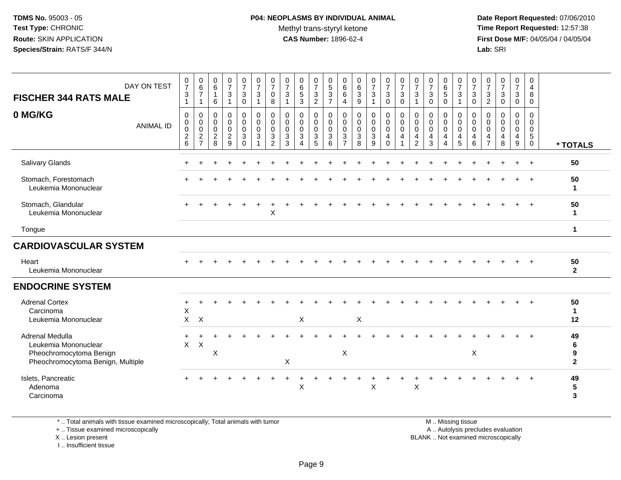#### **P04: NEOPLASMS BY INDIVIDUAL ANIMAL**Methyl trans-styryl ketone<br>CAS Number: 1896-62-4

 **Date Report Requested:** 07/06/2010 **Time Report Requested:** 12:57:38 **First Dose M/F:** 04/05/04 / 04/05/04<br>**Lab:** SRI **Lab:** SRI

| DAY ON TEST<br><b>FISCHER 344 RATS MALE</b>                                                             |                  | $\frac{0}{7}$<br>$\sqrt{3}$<br>$\mathbf{1}$         | 0<br>$\,6\,$<br>$\overline{7}$<br>$\mathbf{1}$             | 0<br>$\,6\,$<br>1<br>6                                           | $\frac{0}{7}$<br>$\frac{3}{1}$                                              | $\frac{0}{7}$<br>$_{0}^{3}$                                          | $\frac{0}{7}$<br>3<br>$\mathbf{1}$  | 0<br>$\overline{7}$<br>0<br>8                          | 0<br>$\overline{7}$<br>3<br>$\overline{1}$                      | 0<br>$\,6\,$<br>$\overline{5}$<br>3                                 | 0<br>$\overline{7}$<br>$\frac{3}{2}$                 | 0<br>$\sqrt{5}$<br>$\frac{3}{7}$                                     | 0<br>$\,6\,$<br>$\,6\,$<br>$\overline{4}$                       | 0<br>$\,6\,$<br>$\overline{3}$<br>9                | $\frac{0}{7}$<br>$\sqrt{3}$<br>$\mathbf{1}$        | $\frac{0}{7}$<br>3<br>$\mathbf 0$                   | $\frac{0}{7}$<br>$_{0}^{3}$                                                  | $\frac{0}{7}$<br>$\mathbf{3}$<br>$\mathbf{1}$                                 | 0<br>$\overline{7}$<br>$\mathbf{3}$<br>$\mathbf 0$ | 0<br>$6\phantom{a}$<br>$\sqrt{5}$<br>$\mathbf 0$                    | 0<br>$\overline{7}$<br>$\sqrt{3}$<br>$\overline{1}$ | 0<br>$\overline{7}$<br>$\mathbf{3}$<br>$\mathbf 0$                                 | 0<br>$\overline{7}$<br>$\mathbf{3}$<br>$\overline{c}$ | 0<br>$\overline{7}$<br>$\mathbf{3}$<br>0      | $\frac{0}{7}$<br>$\mathbf{3}$<br>$\mathbf 0$                       | 0<br>$\overline{4}$<br>8<br>$\mathbf 0$                                        |                                |
|---------------------------------------------------------------------------------------------------------|------------------|-----------------------------------------------------|------------------------------------------------------------|------------------------------------------------------------------|-----------------------------------------------------------------------------|----------------------------------------------------------------------|-------------------------------------|--------------------------------------------------------|-----------------------------------------------------------------|---------------------------------------------------------------------|------------------------------------------------------|----------------------------------------------------------------------|-----------------------------------------------------------------|----------------------------------------------------|----------------------------------------------------|-----------------------------------------------------|------------------------------------------------------------------------------|-------------------------------------------------------------------------------|----------------------------------------------------|---------------------------------------------------------------------|-----------------------------------------------------|------------------------------------------------------------------------------------|-------------------------------------------------------|-----------------------------------------------|--------------------------------------------------------------------|--------------------------------------------------------------------------------|--------------------------------|
| 0 MG/KG                                                                                                 | <b>ANIMAL ID</b> | $\mathbf 0$<br>0<br>$\mathbf 0$<br>$^2\phantom{1}6$ | $\mathbf 0$<br>$\mathbf 0$<br>$\mathsf 0$<br>$\frac{2}{7}$ | $\mathbf 0$<br>$\mathbf 0$<br>$\mathbf 0$<br>$\overline{c}$<br>8 | $\mathbf 0$<br>$\pmb{0}$<br>$\mathbf 0$<br>$\overline{2}$<br>$\overline{9}$ | $\mathsf{O}$<br>$\pmb{0}$<br>$\mathbf 0$<br>$\mathbf{3}$<br>$\Omega$ | 0<br>0<br>$\mathbf 0$<br>$\sqrt{3}$ | $\pmb{0}$<br>$\pmb{0}$<br>$\mathbf 0$<br>$\frac{3}{2}$ | 0<br>$\mathbf 0$<br>$\mathbf 0$<br>$\mathbf{3}$<br>$\mathbf{3}$ | $\mathbf 0$<br>$\mathbf 0$<br>$\mathbf 0$<br>$\sqrt{3}$<br>$\Delta$ | $\mathbf{0}$<br>$\mathbf 0$<br>$\mathbf 0$<br>3<br>5 | 0<br>0<br>$\mathbf 0$<br>$\ensuremath{\mathsf{3}}$<br>$6\phantom{1}$ | 0<br>$\mathbf 0$<br>$\mathbf 0$<br>$\sqrt{3}$<br>$\overline{7}$ | 0<br>$\mathbf 0$<br>$\mathbf 0$<br>$\sqrt{3}$<br>8 | $\mathbf 0$<br>0<br>$\mathbf 0$<br>$\sqrt{3}$<br>9 | 0<br>$\mathbf 0$<br>$\mathbf 0$<br>4<br>$\mathbf 0$ | $\pmb{0}$<br>$\mathsf 0$<br>$\overline{0}$<br>$\overline{4}$<br>$\mathbf{1}$ | $\mathbf 0$<br>$\mathbf 0$<br>$\mathbf 0$<br>$\overline{4}$<br>$\overline{2}$ | 0<br>0<br>0<br>4<br>$\mathbf{3}$                   | 0<br>$\mathbf 0$<br>$\mathbf 0$<br>$\overline{4}$<br>$\overline{4}$ | 0<br>0<br>$\mathbf 0$<br>4<br>$\overline{5}$        | $\mathbf 0$<br>$\overline{0}$<br>$\mathbf 0$<br>$\overline{\mathbf{4}}$<br>$\,6\,$ | 0<br>$\Omega$<br>$\mathbf 0$<br>4<br>$\overline{7}$   | $\Omega$<br>$\Omega$<br>$\mathbf 0$<br>4<br>8 | $\mathbf 0$<br>$\mathbf 0$<br>$\mathbf 0$<br>4<br>$\boldsymbol{9}$ | $\mathbf 0$<br>$\mathbf 0$<br>$\mathbf 0$<br>$\sqrt{5}$<br>$\mathsf{O}\xspace$ | * TOTALS                       |
| Salivary Glands                                                                                         |                  |                                                     |                                                            |                                                                  |                                                                             | ÷                                                                    | ÷                                   |                                                        |                                                                 |                                                                     |                                                      |                                                                      |                                                                 |                                                    |                                                    |                                                     |                                                                              | ÷                                                                             | +                                                  |                                                                     | ÷                                                   |                                                                                    |                                                       |                                               | $\ddot{}$                                                          | $+$                                                                            | 50                             |
| Stomach, Forestomach<br>Leukemia Mononuclear                                                            |                  |                                                     |                                                            |                                                                  |                                                                             |                                                                      |                                     |                                                        |                                                                 |                                                                     |                                                      |                                                                      |                                                                 |                                                    |                                                    |                                                     |                                                                              |                                                                               |                                                    |                                                                     |                                                     |                                                                                    |                                                       |                                               |                                                                    |                                                                                | 50<br>$\mathbf{1}$             |
| Stomach, Glandular<br>Leukemia Mononuclear                                                              |                  |                                                     |                                                            |                                                                  |                                                                             |                                                                      |                                     | X                                                      |                                                                 |                                                                     |                                                      |                                                                      |                                                                 |                                                    |                                                    |                                                     |                                                                              |                                                                               |                                                    |                                                                     |                                                     |                                                                                    |                                                       |                                               |                                                                    |                                                                                | 50<br>$\mathbf{1}$             |
| Tongue                                                                                                  |                  |                                                     |                                                            |                                                                  |                                                                             |                                                                      |                                     |                                                        |                                                                 |                                                                     |                                                      |                                                                      |                                                                 |                                                    |                                                    |                                                     |                                                                              |                                                                               |                                                    |                                                                     |                                                     |                                                                                    |                                                       |                                               |                                                                    |                                                                                | $\mathbf{1}$                   |
| <b>CARDIOVASCULAR SYSTEM</b>                                                                            |                  |                                                     |                                                            |                                                                  |                                                                             |                                                                      |                                     |                                                        |                                                                 |                                                                     |                                                      |                                                                      |                                                                 |                                                    |                                                    |                                                     |                                                                              |                                                                               |                                                    |                                                                     |                                                     |                                                                                    |                                                       |                                               |                                                                    |                                                                                |                                |
| Heart<br>Leukemia Mononuclear                                                                           |                  |                                                     |                                                            |                                                                  |                                                                             |                                                                      |                                     |                                                        |                                                                 |                                                                     |                                                      |                                                                      |                                                                 |                                                    |                                                    |                                                     |                                                                              |                                                                               |                                                    |                                                                     |                                                     |                                                                                    |                                                       |                                               |                                                                    |                                                                                | 50<br>$\mathbf 2$              |
| <b>ENDOCRINE SYSTEM</b>                                                                                 |                  |                                                     |                                                            |                                                                  |                                                                             |                                                                      |                                     |                                                        |                                                                 |                                                                     |                                                      |                                                                      |                                                                 |                                                    |                                                    |                                                     |                                                                              |                                                                               |                                                    |                                                                     |                                                     |                                                                                    |                                                       |                                               |                                                                    |                                                                                |                                |
| <b>Adrenal Cortex</b><br>Carcinoma<br>Leukemia Mononuclear                                              |                  | +<br>X<br>X                                         | $\boldsymbol{\mathsf{X}}$                                  |                                                                  |                                                                             |                                                                      |                                     |                                                        |                                                                 | $\boldsymbol{\mathsf{X}}$                                           |                                                      |                                                                      |                                                                 | $\mathsf X$                                        |                                                    |                                                     |                                                                              |                                                                               |                                                    |                                                                     |                                                     |                                                                                    |                                                       |                                               |                                                                    |                                                                                | 50<br>$\mathbf{1}$<br>12       |
| Adrenal Medulla<br>Leukemia Mononuclear<br>Pheochromocytoma Benign<br>Pheochromocytoma Benign, Multiple |                  | $\ddot{}$<br>X                                      | $\mathsf{X}$                                               | X                                                                |                                                                             |                                                                      |                                     |                                                        | $\mathsf X$                                                     |                                                                     |                                                      |                                                                      | $\boldsymbol{\mathsf{X}}$                                       |                                                    |                                                    |                                                     |                                                                              |                                                                               |                                                    |                                                                     |                                                     | $\times$                                                                           |                                                       |                                               |                                                                    |                                                                                | 49<br>6<br>9<br>$\overline{2}$ |
| Islets, Pancreatic<br>Adenoma<br>Carcinoma                                                              |                  |                                                     |                                                            |                                                                  |                                                                             |                                                                      |                                     |                                                        |                                                                 | X                                                                   |                                                      |                                                                      |                                                                 |                                                    | Χ                                                  |                                                     |                                                                              | $\mathsf X$                                                                   |                                                    |                                                                     |                                                     |                                                                                    |                                                       |                                               |                                                                    |                                                                                | 49<br>5<br>3                   |

\* .. Total animals with tissue examined microscopically; Total animals with tumor

+ .. Tissue examined microscopically

X .. Lesion present

I .. Insufficient tissue

M .. Missing tissue

y the contract of the contract of the contract of the contract of the contract of the contract of the contract of  $A$ . Autolysis precludes evaluation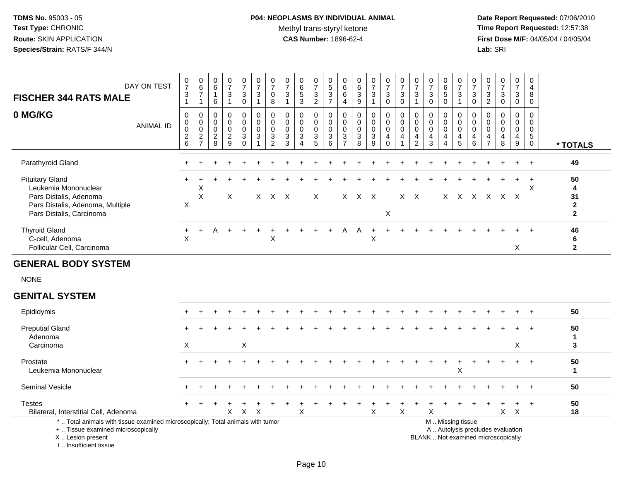# **P04: NEOPLASMS BY INDIVIDUAL ANIMAL**Methyl trans-styryl ketone<br>CAS Number: 1896-62-4

 **Date Report Requested:** 07/06/2010 **Time Report Requested:** 12:57:38 **First Dose M/F:** 04/05/04 / 04/05/04<br>Lab: SRI **Lab:** SRI

| <b>FISCHER 344 RATS MALE</b><br>0 MG/KG                                                                                                    | DAY ON TEST      | $\pmb{0}$<br>$\overline{7}$<br>$\ensuremath{\mathsf{3}}$<br>$\mathbf{1}$<br>$\mathbf 0$ | $\begin{array}{c} 0 \\ 6 \end{array}$<br>$\boldsymbol{7}$<br>$\overline{1}$<br>$\mathbf 0$ | $\mathbf 0$<br>6<br>$\mathbf{1}$<br>6<br>0    | 0<br>$\overline{7}$<br>3<br>$\mathbf{1}$<br>$\mathbf 0$ | $\frac{0}{7}$<br>$\sqrt{3}$<br>$\mathsf 0$<br>0 | $\begin{array}{c} 0 \\ 7 \end{array}$<br>$\ensuremath{\mathsf{3}}$<br>$\mathbf{1}$<br>0 | $\begin{array}{c} 0 \\ 7 \end{array}$<br>0<br>$\,8\,$<br>0    | $\mathbf 0$<br>$\overline{7}$<br>$\mathbf{3}$<br>$\mathbf{1}$<br>$\mathbf 0$ | $\mathbf 0$<br>$\,6\,$<br>$\sqrt{5}$<br>$\mathbf{3}$<br>$\mathbf 0$ | 0<br>$\overline{7}$<br>$\sqrt{3}$<br>$\overline{2}$<br>0 | $\mathbf 0$<br>$\overline{5}$<br>$\frac{3}{7}$<br>0 | 0<br>6<br>6<br>$\overline{4}$<br>0                         | 0<br>6<br>$\frac{3}{9}$<br>0                  | $\frac{0}{7}$<br>$\ensuremath{\mathsf{3}}$<br>$\mathbf{1}$<br>0 | $\frac{0}{7}$<br>3<br>$\mathbf 0$<br>0            | $\begin{array}{c} 0 \\ 7 \end{array}$<br>$\sqrt{3}$<br>$\pmb{0}$<br>$\mathbf 0$ | 0<br>$\overline{7}$<br>3<br>$\overline{1}$<br>0   | $\mathbf 0$<br>$\overline{7}$<br>3<br>$\mathbf 0$<br>$\mathbf 0$ | $_{6}^{\rm 0}$<br>5<br>$\mathbf 0$<br>0 | $\frac{0}{7}$<br>$\frac{3}{1}$<br>0                    | $\pmb{0}$<br>$\overline{7}$<br>$\ensuremath{\mathsf{3}}$<br>$\pmb{0}$<br>0 | 0<br>$\overline{7}$<br>3<br>$\overline{2}$<br>0 | $\begin{array}{c} 0 \\ 7 \end{array}$<br>$\sqrt{3}$<br>$\mathsf{O}\xspace$<br>$\mathbf 0$ | 0<br>$\overline{7}$<br>3<br>$\mathbf 0$<br>0 | $\mathbf 0$<br>$\overline{4}$<br>8<br>$\mathbf 0$<br>$\mathbf 0$ |                                              |
|--------------------------------------------------------------------------------------------------------------------------------------------|------------------|-----------------------------------------------------------------------------------------|--------------------------------------------------------------------------------------------|-----------------------------------------------|---------------------------------------------------------|-------------------------------------------------|-----------------------------------------------------------------------------------------|---------------------------------------------------------------|------------------------------------------------------------------------------|---------------------------------------------------------------------|----------------------------------------------------------|-----------------------------------------------------|------------------------------------------------------------|-----------------------------------------------|-----------------------------------------------------------------|---------------------------------------------------|---------------------------------------------------------------------------------|---------------------------------------------------|------------------------------------------------------------------|-----------------------------------------|--------------------------------------------------------|----------------------------------------------------------------------------|-------------------------------------------------|-------------------------------------------------------------------------------------------|----------------------------------------------|------------------------------------------------------------------|----------------------------------------------|
|                                                                                                                                            | <b>ANIMAL ID</b> | $\mathbf 0$<br>$\mathsf{O}\xspace$<br>$^2$ 6                                            | $\pmb{0}$<br>$\pmb{0}$<br>$\frac{2}{7}$                                                    | $\mathbf 0$<br>$\mathbf 0$<br>$\sqrt{2}$<br>8 | $\mathbf 0$<br>$\Omega$<br>$\overline{c}$<br>9          | 0<br>0<br>$\mathbf{3}$<br>$\Omega$              | 0<br>$\mathbf 0$<br>$\mathbf{3}$                                                        | 0<br>$\pmb{0}$<br>$\ensuremath{\mathsf{3}}$<br>$\overline{2}$ | $\mathbf 0$<br>$\mathbf 0$<br>$\mathbf{3}$<br>3                              | $\mathbf 0$<br>$\mathbf 0$<br>$\mathbf{3}$<br>$\Delta$              | $\mathbf 0$<br>0<br>$\ensuremath{\mathsf{3}}$<br>5       | $\mathbf 0$<br>$\mathbf 0$<br>$\sqrt{3}$<br>6       | $\mathbf 0$<br>$\mathbf 0$<br>$\sqrt{3}$<br>$\overline{7}$ | $\mathbf 0$<br>$\mathbf 0$<br>$\sqrt{3}$<br>8 | 0<br>$\pmb{0}$<br>$\ensuremath{\mathsf{3}}$<br>9                | $\overline{0}$<br>0<br>$\overline{4}$<br>$\Omega$ | $\mathsf{O}\xspace$<br>$\pmb{0}$<br>$\overline{4}$<br>1                         | $\mathbf 0$<br>$\mathbf 0$<br>4<br>$\overline{2}$ | $\mathbf 0$<br>$\Omega$<br>4<br>3                                | $\mathbf 0$<br>0<br>$\overline{4}$<br>4 | 0<br>$\pmb{0}$<br>$\overline{\mathbf{4}}$<br>5         | $\mathbf 0$<br>0<br>4<br>6                                                 | $\Omega$<br>0<br>4<br>$\overline{7}$            | $\mathbf 0$<br>$\mathbf 0$<br>$\overline{4}$<br>8                                         | $\mathbf 0$<br>0<br>4<br>9                   | $\mathbf 0$<br>$\mathbf 0$<br>$\sqrt{5}$<br>$\mathbf 0$          | * TOTALS                                     |
| Parathyroid Gland                                                                                                                          |                  |                                                                                         |                                                                                            |                                               |                                                         |                                                 |                                                                                         |                                                               |                                                                              |                                                                     |                                                          |                                                     |                                                            |                                               |                                                                 |                                                   |                                                                                 |                                                   |                                                                  |                                         |                                                        |                                                                            |                                                 |                                                                                           |                                              | $\ddot{}$                                                        | 49                                           |
| <b>Pituitary Gland</b><br>Leukemia Mononuclear<br>Pars Distalis, Adenoma<br>Pars Distalis, Adenoma, Multiple<br>Pars Distalis, Carcinoma   |                  | $\mathsf X$                                                                             | Χ<br>$\boldsymbol{\mathsf{X}}$                                                             |                                               | X                                                       |                                                 |                                                                                         | X X X                                                         |                                                                              |                                                                     | X                                                        |                                                     |                                                            | X X X                                         |                                                                 | X                                                 |                                                                                 | $X$ $X$                                           |                                                                  |                                         | X X X X X X                                            |                                                                            |                                                 |                                                                                           |                                              | $\ddot{}$<br>X                                                   | 50<br>4<br>31<br>$\mathbf 2$<br>$\mathbf{2}$ |
| <b>Thyroid Gland</b><br>C-cell, Adenoma<br>Follicular Cell, Carcinoma                                                                      |                  | +<br>X                                                                                  |                                                                                            |                                               |                                                         |                                                 |                                                                                         | X                                                             |                                                                              |                                                                     |                                                          |                                                     | Α                                                          | A                                             | X                                                               |                                                   |                                                                                 |                                                   |                                                                  |                                         |                                                        |                                                                            |                                                 |                                                                                           | X                                            |                                                                  | 46<br>6<br>$\mathbf{2}$                      |
| <b>GENERAL BODY SYSTEM</b>                                                                                                                 |                  |                                                                                         |                                                                                            |                                               |                                                         |                                                 |                                                                                         |                                                               |                                                                              |                                                                     |                                                          |                                                     |                                                            |                                               |                                                                 |                                                   |                                                                                 |                                                   |                                                                  |                                         |                                                        |                                                                            |                                                 |                                                                                           |                                              |                                                                  |                                              |
| <b>NONE</b>                                                                                                                                |                  |                                                                                         |                                                                                            |                                               |                                                         |                                                 |                                                                                         |                                                               |                                                                              |                                                                     |                                                          |                                                     |                                                            |                                               |                                                                 |                                                   |                                                                                 |                                                   |                                                                  |                                         |                                                        |                                                                            |                                                 |                                                                                           |                                              |                                                                  |                                              |
| <b>GENITAL SYSTEM</b>                                                                                                                      |                  |                                                                                         |                                                                                            |                                               |                                                         |                                                 |                                                                                         |                                                               |                                                                              |                                                                     |                                                          |                                                     |                                                            |                                               |                                                                 |                                                   |                                                                                 |                                                   |                                                                  |                                         |                                                        |                                                                            |                                                 |                                                                                           |                                              |                                                                  |                                              |
| Epididymis                                                                                                                                 |                  |                                                                                         |                                                                                            |                                               |                                                         |                                                 |                                                                                         |                                                               |                                                                              |                                                                     |                                                          |                                                     |                                                            |                                               |                                                                 |                                                   |                                                                                 |                                                   |                                                                  |                                         |                                                        |                                                                            |                                                 |                                                                                           |                                              |                                                                  | 50                                           |
| <b>Preputial Gland</b><br>Adenoma                                                                                                          |                  |                                                                                         |                                                                                            |                                               |                                                         |                                                 |                                                                                         |                                                               |                                                                              |                                                                     |                                                          |                                                     |                                                            |                                               |                                                                 |                                                   |                                                                                 |                                                   |                                                                  |                                         |                                                        |                                                                            |                                                 |                                                                                           |                                              |                                                                  | 50<br>1                                      |
| Carcinoma                                                                                                                                  |                  | X                                                                                       |                                                                                            |                                               |                                                         | X                                               |                                                                                         |                                                               |                                                                              |                                                                     |                                                          |                                                     |                                                            |                                               |                                                                 |                                                   |                                                                                 |                                                   |                                                                  |                                         |                                                        |                                                                            |                                                 |                                                                                           | X                                            |                                                                  | 3                                            |
| Prostate<br>Leukemia Mononuclear                                                                                                           |                  |                                                                                         |                                                                                            |                                               |                                                         |                                                 |                                                                                         |                                                               |                                                                              |                                                                     |                                                          |                                                     |                                                            |                                               |                                                                 |                                                   |                                                                                 |                                                   |                                                                  |                                         | X                                                      |                                                                            |                                                 |                                                                                           |                                              | $+$                                                              | 50<br>$\mathbf 1$                            |
| Seminal Vesicle                                                                                                                            |                  |                                                                                         |                                                                                            |                                               |                                                         |                                                 |                                                                                         |                                                               |                                                                              |                                                                     |                                                          |                                                     |                                                            |                                               |                                                                 |                                                   |                                                                                 |                                                   |                                                                  |                                         |                                                        |                                                                            |                                                 |                                                                                           |                                              |                                                                  | 50                                           |
| <b>Testes</b><br>Bilateral, Interstitial Cell, Adenoma                                                                                     |                  |                                                                                         |                                                                                            |                                               | X                                                       | $\times$                                        | X                                                                                       |                                                               |                                                                              | X                                                                   |                                                          |                                                     |                                                            |                                               | X                                                               |                                                   | $\times$                                                                        |                                                   | X                                                                |                                         |                                                        |                                                                            |                                                 | X                                                                                         | $\ddot{}$<br>$\boldsymbol{\mathsf{X}}$       | $+$                                                              | 50<br>18                                     |
| *  Total animals with tissue examined microscopically; Total animals with tumor<br>+  Tissue examined microscopically<br>X  Lesion present |                  |                                                                                         |                                                                                            |                                               |                                                         |                                                 |                                                                                         |                                                               |                                                                              |                                                                     |                                                          |                                                     |                                                            |                                               |                                                                 |                                                   |                                                                                 |                                                   | BLANK  Not examined microscopically                              |                                         | M  Missing tissue<br>A  Autolysis precludes evaluation |                                                                            |                                                 |                                                                                           |                                              |                                                                  |                                              |

I .. Insufficient tissue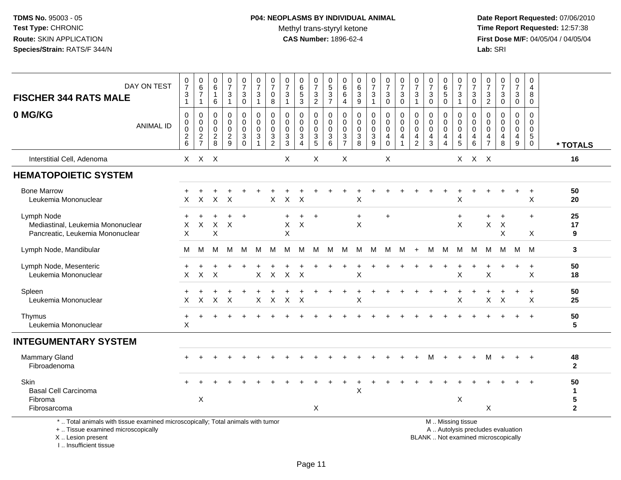# **P04: NEOPLASMS BY INDIVIDUAL ANIMAL**Methyl trans-styryl ketone<br>CAS Number: 1896-62-4

 **Date Report Requested:** 07/06/2010 **Time Report Requested:** 12:57:38 **First Dose M/F:** 04/05/04 / 04/05/04<br>Lab: SRI **Lab:** SRI

| DAY ON TEST<br><b>FISCHER 344 RATS MALE</b>                                                                                           | $\frac{0}{7}$<br>$\ensuremath{\mathsf{3}}$<br>$\mathbf{1}$ | $_6^0$<br>$\overline{7}$<br>$\mathbf{1}$ | 0<br>6<br>$\mathbf{1}$<br>6                      | $\frac{0}{7}$<br>3<br>$\mathbf{1}$             | $\frac{0}{7}$<br>3<br>$\pmb{0}$                                        | $\frac{0}{7}$<br>$\mathbf{3}$<br>$\mathbf{1}$                             | $\frac{0}{7}$<br>0<br>8                       | $\frac{0}{7}$<br>$\mathbf{3}$<br>$\mathbf{1}$                           | 0<br>$\overline{6}$<br>$\overline{5}$<br>3                               | $\frac{0}{7}$<br>$\mathbf{3}$<br>$\overline{2}$ | 0<br>$\overline{5}$<br>$\frac{3}{7}$                     | 0<br>6<br>6<br>4                                               | 0<br>$\,6$<br>$\mathbf{3}$<br>$\overline{9}$                 | $\frac{0}{7}$<br>3<br>1                                       | $\frac{0}{7}$<br>3<br>$\mathbf 0$                           | $\frac{0}{7}$<br>$\mathbf{3}$<br>$\mathbf 0$                | $\frac{0}{7}$<br>$\mathbf{3}$                            | $\begin{array}{c} 0 \\ 7 \end{array}$<br>$\sqrt{3}$<br>$\mathbf 0$ | 0<br>6<br>$\overline{5}$<br>0                                      | 0<br>$\overline{7}$<br>$\sqrt{3}$<br>$\mathbf{1}$                                | 0<br>$\overline{7}$<br>3<br>$\mathbf 0$ | 0<br>$\overline{7}$<br>$\mathbf{3}$<br>$\overline{2}$  | $\frac{0}{7}$<br>$\mathbf{3}$<br>$\mathbf 0$      | 0<br>$\overline{7}$<br>3<br>$\mathbf 0$                            | 0<br>$\overline{4}$<br>8<br>0                                          |                         |
|---------------------------------------------------------------------------------------------------------------------------------------|------------------------------------------------------------|------------------------------------------|--------------------------------------------------|------------------------------------------------|------------------------------------------------------------------------|---------------------------------------------------------------------------|-----------------------------------------------|-------------------------------------------------------------------------|--------------------------------------------------------------------------|-------------------------------------------------|----------------------------------------------------------|----------------------------------------------------------------|--------------------------------------------------------------|---------------------------------------------------------------|-------------------------------------------------------------|-------------------------------------------------------------|----------------------------------------------------------|--------------------------------------------------------------------|--------------------------------------------------------------------|----------------------------------------------------------------------------------|-----------------------------------------|--------------------------------------------------------|---------------------------------------------------|--------------------------------------------------------------------|------------------------------------------------------------------------|-------------------------|
| 0 MG/KG<br><b>ANIMAL ID</b>                                                                                                           | $\pmb{0}$<br>$\pmb{0}$<br>$\mathbf 0$<br>$\frac{2}{6}$     | 0<br>0<br>$\mathbf 0$<br>$\frac{2}{7}$   | $\mathbf 0$<br>$\mathbf 0$<br>0<br>$\frac{2}{8}$ | 0<br>$\mathbf 0$<br>$\pmb{0}$<br>$\frac{2}{9}$ | $\mathbf 0$<br>$\mathbf 0$<br>$\mathbf 0$<br>$\sqrt{3}$<br>$\mathbf 0$ | $\mathbf 0$<br>$\mathbf 0$<br>$\mathbf 0$<br>$\sqrt{3}$<br>$\overline{1}$ | 0<br>0<br>0<br>$\mathbf{3}$<br>$\overline{2}$ | 0<br>$\mathbf 0$<br>$\mathsf{O}\xspace$<br>$\sqrt{3}$<br>$\overline{3}$ | $\mathbf 0$<br>$\mathbf 0$<br>$\mathbf 0$<br>3<br>$\boldsymbol{\Lambda}$ | 0<br>0<br>$\mathsf{O}\xspace$<br>$\frac{3}{5}$  | $\mathbf 0$<br>$\mathbf 0$<br>$\pmb{0}$<br>$\frac{3}{6}$ | 0<br>$\Omega$<br>$\mathbf 0$<br>$\mathbf{3}$<br>$\overline{7}$ | $\mathbf 0$<br>$\mathbf 0$<br>$\mathbf 0$<br>$\sqrt{3}$<br>8 | 0<br>$\mathbf 0$<br>$\pmb{0}$<br>$\sqrt{3}$<br>$\overline{9}$ | $\mathbf 0$<br>$\mathbf 0$<br>$\mathbf 0$<br>4<br>$\pmb{0}$ | $\mathbf 0$<br>$\mathbf 0$<br>$\pmb{0}$<br>4<br>$\mathbf 1$ | $\mathbf 0$<br>$\mathbf 0$<br>0<br>4<br>$\boldsymbol{2}$ | $\mathbf 0$<br>$\mathbf 0$<br>$\pmb{0}$<br>4<br>$\mathbf{3}$       | 0<br>0<br>$\mathbf 0$<br>$\overline{4}$<br>$\overline{\mathbf{4}}$ | $\mathbf 0$<br>$\overline{0}$<br>$\mathbf 0$<br>$\overline{4}$<br>$\overline{5}$ | 0<br>$\Omega$<br>$\mathbf 0$<br>4<br>6  | 0<br>$\Omega$<br>0<br>$\overline{4}$<br>$\overline{7}$ | $\mathbf 0$<br>$\mathbf 0$<br>$\pmb{0}$<br>4<br>8 | $\mathbf 0$<br>$\mathbf 0$<br>$\mathbf 0$<br>4<br>$\boldsymbol{9}$ | $\mathbf 0$<br>$\mathbf 0$<br>$\mathbf 0$<br>$\sqrt{5}$<br>$\mathbf 0$ | * TOTALS                |
| Interstitial Cell, Adenoma                                                                                                            |                                                            | X X X                                    |                                                  |                                                |                                                                        |                                                                           |                                               | X                                                                       |                                                                          | Χ                                               |                                                          | X                                                              |                                                              |                                                               | X                                                           |                                                             |                                                          |                                                                    |                                                                    | $\times$                                                                         | X X                                     |                                                        |                                                   |                                                                    |                                                                        | 16                      |
| <b>HEMATOPOIETIC SYSTEM</b>                                                                                                           |                                                            |                                          |                                                  |                                                |                                                                        |                                                                           |                                               |                                                                         |                                                                          |                                                 |                                                          |                                                                |                                                              |                                                               |                                                             |                                                             |                                                          |                                                                    |                                                                    |                                                                                  |                                         |                                                        |                                                   |                                                                    |                                                                        |                         |
| <b>Bone Marrow</b><br>Leukemia Mononuclear                                                                                            | X                                                          | X                                        | $\mathsf{X}$                                     | $\boldsymbol{\mathsf{X}}$                      |                                                                        |                                                                           | X                                             | $\sf X$                                                                 | $\times$                                                                 |                                                 |                                                          |                                                                | Χ                                                            |                                                               |                                                             |                                                             |                                                          |                                                                    |                                                                    | X                                                                                |                                         |                                                        |                                                   |                                                                    | $\ddot{}$<br>$\boldsymbol{\mathsf{X}}$                                 | 50<br>20                |
| Lymph Node<br>Mediastinal, Leukemia Mononuclear<br>Pancreatic, Leukemia Mononuclear                                                   | X<br>X                                                     | X                                        | X<br>X                                           | $\overline{ }$<br>X                            | $+$                                                                    |                                                                           |                                               | $\ddot{}$<br>X<br>X                                                     | $+$<br>$\times$                                                          | $+$                                             |                                                          |                                                                | $\ddot{}$<br>X                                               |                                                               | $\ddot{}$                                                   |                                                             |                                                          |                                                                    |                                                                    | $\ddot{}$<br>$\boldsymbol{\mathsf{X}}$                                           |                                         | $\ddot{}$<br>X                                         | $\overline{+}$<br>X<br>X                          |                                                                    | $\ddot{}$<br>X                                                         | 25<br>17<br>9           |
| Lymph Node, Mandibular                                                                                                                | м                                                          | м                                        | М                                                | м                                              | м                                                                      | М                                                                         | M                                             | м                                                                       | M                                                                        | M                                               | M                                                        | м                                                              | М                                                            | M                                                             | M                                                           | M                                                           | $+$                                                      | м                                                                  | M                                                                  | M                                                                                | M                                       | м                                                      | M                                                 | M                                                                  | M                                                                      | 3                       |
| Lymph Node, Mesenteric<br>Leukemia Mononuclear                                                                                        | X                                                          | X                                        | X                                                |                                                |                                                                        | X                                                                         | X                                             | $\sf X$                                                                 | $\times$                                                                 |                                                 |                                                          |                                                                | X                                                            |                                                               |                                                             |                                                             |                                                          |                                                                    |                                                                    | X                                                                                |                                         | $\mathsf X$                                            |                                                   |                                                                    | $\ddot{}$<br>$\boldsymbol{\mathsf{X}}$                                 | 50<br>18                |
| Spleen<br>Leukemia Mononuclear                                                                                                        | X                                                          | $\ddot{}$<br>X                           | X                                                | X                                              |                                                                        | X                                                                         | X                                             | X                                                                       | $\times$                                                                 |                                                 |                                                          |                                                                | X                                                            |                                                               |                                                             |                                                             |                                                          |                                                                    | $\ddot{}$                                                          | X                                                                                |                                         | X                                                      | $\div$<br>$\times$                                | $\ddot{}$                                                          | $\ddot{}$<br>X                                                         | 50<br>25                |
| Thymus<br>Leukemia Mononuclear                                                                                                        | +<br>$\boldsymbol{\mathsf{X}}$                             |                                          |                                                  |                                                |                                                                        |                                                                           |                                               |                                                                         |                                                                          |                                                 |                                                          |                                                                |                                                              |                                                               |                                                             |                                                             |                                                          |                                                                    |                                                                    |                                                                                  |                                         |                                                        |                                                   |                                                                    | $+$                                                                    | 50<br>5                 |
| <b>INTEGUMENTARY SYSTEM</b>                                                                                                           |                                                            |                                          |                                                  |                                                |                                                                        |                                                                           |                                               |                                                                         |                                                                          |                                                 |                                                          |                                                                |                                                              |                                                               |                                                             |                                                             |                                                          |                                                                    |                                                                    |                                                                                  |                                         |                                                        |                                                   |                                                                    |                                                                        |                         |
| Mammary Gland<br>Fibroadenoma                                                                                                         |                                                            |                                          |                                                  |                                                |                                                                        |                                                                           |                                               |                                                                         |                                                                          |                                                 |                                                          |                                                                |                                                              |                                                               |                                                             |                                                             |                                                          |                                                                    |                                                                    |                                                                                  |                                         |                                                        |                                                   |                                                                    |                                                                        | 48<br>$\overline{2}$    |
| Skin<br><b>Basal Cell Carcinoma</b><br>Fibroma                                                                                        |                                                            | Χ                                        |                                                  |                                                |                                                                        |                                                                           |                                               |                                                                         |                                                                          |                                                 |                                                          |                                                                | $\pmb{\times}$                                               |                                                               |                                                             |                                                             |                                                          |                                                                    |                                                                    | $\boldsymbol{\mathsf{X}}$                                                        |                                         |                                                        |                                                   |                                                                    |                                                                        | 50<br>$\mathbf{1}$<br>5 |
| Fibrosarcoma<br>*  Total animals with tissue examined microscopically; Total animals with tumor<br>+  Tissue examined microscopically |                                                            |                                          |                                                  |                                                |                                                                        |                                                                           |                                               |                                                                         |                                                                          | X                                               |                                                          |                                                                |                                                              |                                                               |                                                             |                                                             |                                                          |                                                                    |                                                                    | M  Missing tissue                                                                |                                         | X                                                      | A  Autolysis precludes evaluation                 |                                                                    |                                                                        | $\mathbf 2$             |

 Lesion present BLANK .. Not examined microscopicallyX .. Lesion present

I .. Insufficient tissue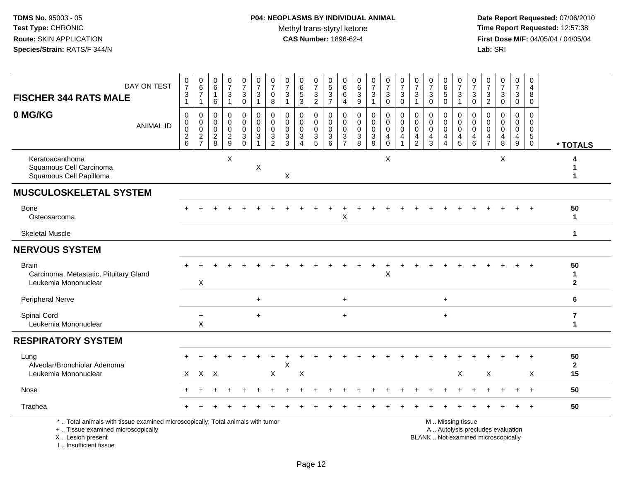| <b>FISCHER 344 RATS MALE</b>                                                                                                                                        | DAY ON TEST      | $\frac{0}{7}$<br>$\ensuremath{\mathsf{3}}$<br>$\mathbf{1}$ | $\begin{array}{c} 0 \\ 6 \\ 7 \end{array}$<br>$\mathbf{1}$ | $\begin{array}{c} 0 \\ 6 \end{array}$<br>$\mathbf{1}$<br>6 | $\frac{0}{7}$<br>$\ensuremath{\mathsf{3}}$<br>$\overline{1}$ | $\begin{smallmatrix}0\\7\end{smallmatrix}$<br>$\ensuremath{\mathsf{3}}$<br>$\mathbf 0$ | $\frac{0}{7}$<br>$\ensuremath{\mathsf{3}}$<br>$\mathbf{1}$     | $\frac{0}{7}$<br>0<br>8                                                      | $\frac{0}{7}$<br>$\ensuremath{\mathsf{3}}$<br>$\mathbf{1}$ | $\begin{array}{c} 0 \\ 6 \end{array}$<br>$\overline{5}$<br>$\mathbf{3}$             | $\begin{array}{c} 0 \\ 7 \end{array}$<br>$\frac{3}{2}$ | 0<br>$\overline{5}$<br>$\frac{3}{7}$                                 | 0<br>6<br>$\,6$<br>$\overline{4}$                          | $\begin{array}{c} 0 \\ 6 \end{array}$<br>$\ensuremath{\mathsf{3}}$<br>9     | $\frac{0}{7}$<br>$\mathbf{3}$<br>$\mathbf{1}$    | $\begin{array}{c} 0 \\ 7 \end{array}$<br>$\frac{3}{0}$                           | $\frac{0}{7}$<br>$\ensuremath{\mathsf{3}}$<br>$\pmb{0}$ | $\begin{array}{c} 0 \\ 7 \end{array}$<br>$\ensuremath{\mathsf{3}}$<br>$\mathbf{1}$ | $\begin{array}{c} 0 \\ 7 \end{array}$<br>$\ensuremath{\mathsf{3}}$<br>$\mathbf 0$ | $\begin{array}{c} 0 \\ 6 \end{array}$<br>$\overline{5}$<br>$\pmb{0}$ | $\frac{0}{7}$<br>$\frac{3}{1}$                                 | $\frac{0}{7}$<br>3<br>$\mathbf 0$ | $\pmb{0}$<br>$\boldsymbol{7}$<br>$\frac{3}{2}$ | $\frac{0}{7}$<br>$\ensuremath{\mathsf{3}}$<br>$\mathsf{O}\xspace$ | $\begin{array}{c} 0 \\ 7 \end{array}$<br>$_{\rm 0}^3$                       | $\mathbf 0$<br>$\overline{a}$<br>8<br>$\mathbf 0$                            |                                         |
|---------------------------------------------------------------------------------------------------------------------------------------------------------------------|------------------|------------------------------------------------------------|------------------------------------------------------------|------------------------------------------------------------|--------------------------------------------------------------|----------------------------------------------------------------------------------------|----------------------------------------------------------------|------------------------------------------------------------------------------|------------------------------------------------------------|-------------------------------------------------------------------------------------|--------------------------------------------------------|----------------------------------------------------------------------|------------------------------------------------------------|-----------------------------------------------------------------------------|--------------------------------------------------|----------------------------------------------------------------------------------|---------------------------------------------------------|------------------------------------------------------------------------------------|-----------------------------------------------------------------------------------|----------------------------------------------------------------------|----------------------------------------------------------------|-----------------------------------|------------------------------------------------|-------------------------------------------------------------------|-----------------------------------------------------------------------------|------------------------------------------------------------------------------|-----------------------------------------|
| 0 MG/KG                                                                                                                                                             | <b>ANIMAL ID</b> | 0<br>$\boldsymbol{0}$<br>$\pmb{0}$<br>$\frac{2}{6}$        | 0<br>$\pmb{0}$<br>$\pmb{0}$<br>$\frac{2}{7}$               | $\mathbf 0$<br>$\mathbf 0$<br>$\mathbf 0$<br>$\frac{2}{8}$ | $\mathbf 0$<br>$\mathbf 0$<br>$\mathbf 0$<br>$\frac{2}{9}$   | 0<br>$\mathbf 0$<br>$\mathbf 0$<br>$\sqrt{3}$<br>$\mathbf 0$                           | $\mathbf 0$<br>$\mathbf 0$<br>$\mathbf 0$<br>3<br>$\mathbf{1}$ | 0<br>$\pmb{0}$<br>$\mathbf 0$<br>$\ensuremath{\mathsf{3}}$<br>$\overline{2}$ | $\Omega$<br>$\mathbf 0$<br>0<br>$\sqrt{3}$<br>$\mathbf{3}$ | $\Omega$<br>$\mathbf 0$<br>0<br>$\ensuremath{\mathsf{3}}$<br>$\boldsymbol{\Lambda}$ | 0<br>$\mathbf 0$<br>$\mathbf 0$<br>$\frac{3}{5}$       | $\mathbf 0$<br>$\mathsf{O}\xspace$<br>$\mathbf 0$<br>$\sqrt{3}$<br>6 | $\mathbf 0$<br>$\mathbf 0$<br>$\mathbf 0$<br>$\frac{3}{7}$ | $\mathbf 0$<br>$\mathbf 0$<br>$\mathbf 0$<br>$\ensuremath{\mathsf{3}}$<br>8 | 0<br>$\mathbf 0$<br>$\mathbf 0$<br>$\frac{3}{9}$ | 0<br>$\mathsf{O}\xspace$<br>$\mathbf 0$<br>$\overline{4}$<br>$\mathsf{O}\xspace$ | $\mathbf 0$<br>$\pmb{0}$<br>$\mathbf 0$<br>4            | $\mathbf 0$<br>$\mathbf 0$<br>$\mathbf 0$<br>$\overline{4}$<br>$\overline{2}$      | 0<br>$\mathbf 0$<br>$\mathbf 0$<br>$\overline{4}$<br>$\mathbf{3}$                 | 0<br>$\mathsf{O}\xspace$<br>$\mathbf 0$<br>4<br>$\overline{4}$       | 0<br>$\mathsf{O}\xspace$<br>$\mathbf 0$<br>$\overline{4}$<br>5 | 0<br>0<br>$\mathbf 0$<br>4<br>6   | $\mathbf 0$<br>0<br>0<br>$\frac{4}{7}$         | $\mathbf 0$<br>$\mathbf 0$<br>$\mathbf 0$<br>$\overline{4}$<br>8  | 0<br>$\pmb{0}$<br>$\mathsf{O}\xspace$<br>$\overline{4}$<br>$\boldsymbol{9}$ | $\mathbf 0$<br>$\mathbf 0$<br>$\mathbf 0$<br>$5\phantom{.0}$<br>$\mathbf{0}$ | * TOTALS                                |
| Keratoacanthoma<br>Squamous Cell Carcinoma<br>Squamous Cell Papilloma                                                                                               |                  |                                                            |                                                            |                                                            | X                                                            |                                                                                        | X                                                              |                                                                              | X                                                          |                                                                                     |                                                        |                                                                      |                                                            |                                                                             |                                                  | X                                                                                |                                                         |                                                                                    |                                                                                   |                                                                      |                                                                |                                   |                                                | X                                                                 |                                                                             |                                                                              | 1                                       |
| <b>MUSCULOSKELETAL SYSTEM</b>                                                                                                                                       |                  |                                                            |                                                            |                                                            |                                                              |                                                                                        |                                                                |                                                                              |                                                            |                                                                                     |                                                        |                                                                      |                                                            |                                                                             |                                                  |                                                                                  |                                                         |                                                                                    |                                                                                   |                                                                      |                                                                |                                   |                                                |                                                                   |                                                                             |                                                                              |                                         |
| Bone<br>Osteosarcoma                                                                                                                                                |                  |                                                            |                                                            |                                                            |                                                              |                                                                                        |                                                                |                                                                              |                                                            |                                                                                     |                                                        |                                                                      | X                                                          |                                                                             |                                                  |                                                                                  |                                                         |                                                                                    |                                                                                   |                                                                      |                                                                |                                   |                                                |                                                                   |                                                                             |                                                                              | 50<br>$\mathbf 1$                       |
| <b>Skeletal Muscle</b>                                                                                                                                              |                  |                                                            |                                                            |                                                            |                                                              |                                                                                        |                                                                |                                                                              |                                                            |                                                                                     |                                                        |                                                                      |                                                            |                                                                             |                                                  |                                                                                  |                                                         |                                                                                    |                                                                                   |                                                                      |                                                                |                                   |                                                |                                                                   |                                                                             |                                                                              | 1                                       |
| <b>NERVOUS SYSTEM</b>                                                                                                                                               |                  |                                                            |                                                            |                                                            |                                                              |                                                                                        |                                                                |                                                                              |                                                            |                                                                                     |                                                        |                                                                      |                                                            |                                                                             |                                                  |                                                                                  |                                                         |                                                                                    |                                                                                   |                                                                      |                                                                |                                   |                                                |                                                                   |                                                                             |                                                                              |                                         |
| <b>Brain</b><br>Carcinoma, Metastatic, Pituitary Gland<br>Leukemia Mononuclear                                                                                      |                  |                                                            | X                                                          |                                                            |                                                              |                                                                                        |                                                                |                                                                              |                                                            |                                                                                     |                                                        |                                                                      |                                                            |                                                                             |                                                  | X                                                                                |                                                         |                                                                                    |                                                                                   |                                                                      |                                                                |                                   |                                                |                                                                   |                                                                             |                                                                              | 50<br>$\mathbf{1}$<br>$\mathbf{2}$      |
| Peripheral Nerve                                                                                                                                                    |                  |                                                            |                                                            |                                                            |                                                              |                                                                                        | $\ddot{}$                                                      |                                                                              |                                                            |                                                                                     |                                                        |                                                                      | $\ddot{}$                                                  |                                                                             |                                                  |                                                                                  |                                                         |                                                                                    |                                                                                   | $\ddot{}$                                                            |                                                                |                                   |                                                |                                                                   |                                                                             |                                                                              | 6                                       |
| Spinal Cord<br>Leukemia Mononuclear                                                                                                                                 |                  |                                                            | $\ddot{}$<br>$\boldsymbol{\mathsf{X}}$                     |                                                            |                                                              |                                                                                        | $\ddot{}$                                                      |                                                                              |                                                            |                                                                                     |                                                        |                                                                      | $\ddot{}$                                                  |                                                                             |                                                  |                                                                                  |                                                         |                                                                                    |                                                                                   | $\ddot{}$                                                            |                                                                |                                   |                                                |                                                                   |                                                                             |                                                                              | $\overline{\mathbf{r}}$<br>$\mathbf{1}$ |
| <b>RESPIRATORY SYSTEM</b>                                                                                                                                           |                  |                                                            |                                                            |                                                            |                                                              |                                                                                        |                                                                |                                                                              |                                                            |                                                                                     |                                                        |                                                                      |                                                            |                                                                             |                                                  |                                                                                  |                                                         |                                                                                    |                                                                                   |                                                                      |                                                                |                                   |                                                |                                                                   |                                                                             |                                                                              |                                         |
| Lung<br>Alveolar/Bronchiolar Adenoma<br>Leukemia Mononuclear                                                                                                        |                  | $\mathsf{X}$                                               | $\mathsf{X}$                                               | $\times$                                                   |                                                              |                                                                                        |                                                                | X                                                                            | Χ                                                          | X                                                                                   |                                                        |                                                                      |                                                            |                                                                             |                                                  |                                                                                  |                                                         |                                                                                    |                                                                                   |                                                                      | X                                                              |                                   | X                                              |                                                                   |                                                                             | X                                                                            | 50<br>$\mathbf{2}$<br>15                |
| Nose                                                                                                                                                                |                  |                                                            |                                                            |                                                            |                                                              |                                                                                        |                                                                |                                                                              |                                                            |                                                                                     |                                                        |                                                                      |                                                            |                                                                             |                                                  |                                                                                  |                                                         |                                                                                    |                                                                                   |                                                                      |                                                                |                                   |                                                |                                                                   |                                                                             |                                                                              | 50                                      |
| Trachea                                                                                                                                                             |                  |                                                            |                                                            |                                                            |                                                              |                                                                                        |                                                                |                                                                              |                                                            |                                                                                     |                                                        |                                                                      |                                                            |                                                                             |                                                  |                                                                                  |                                                         |                                                                                    |                                                                                   |                                                                      |                                                                |                                   |                                                |                                                                   |                                                                             |                                                                              | 50                                      |
| *  Total animals with tissue examined microscopically; Total animals with tumor<br>+  Tissue examined microscopically<br>X  Lesion present<br>I Insufficient tissue |                  |                                                            |                                                            |                                                            |                                                              |                                                                                        |                                                                |                                                                              |                                                            |                                                                                     |                                                        |                                                                      |                                                            |                                                                             |                                                  |                                                                                  |                                                         |                                                                                    | BLANK  Not examined microscopically                                               |                                                                      | M  Missing tissue                                              | A  Autolysis precludes evaluation |                                                |                                                                   |                                                                             |                                                                              |                                         |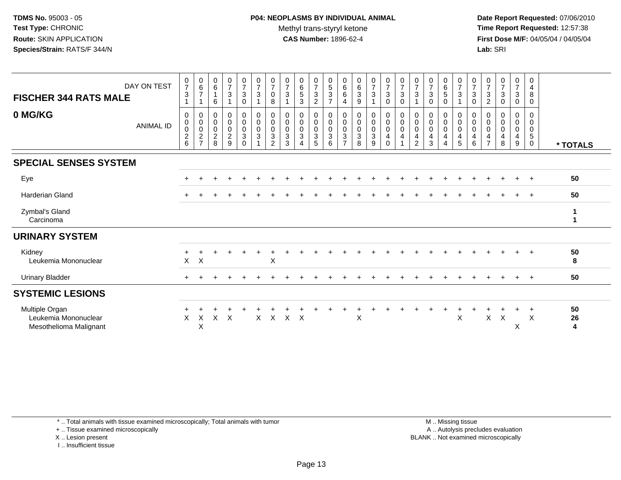**Date Report Requested:** 07/06/2010 **Time Report Requested:** 12:57:38 **First Dose M/F:** 04/05/04 / 04/05/04<br>Lab: SRI **Lab:** SRI

| DAY ON TEST<br><b>FISCHER 344 RATS MALE</b>                      | $\frac{0}{7}$<br>$\mathbf{3}$                                      | $\begin{matrix} 0 \\ 6 \\ 7 \end{matrix}$<br>$\overline{1}$ | $\begin{array}{c} 0 \\ 6 \end{array}$<br>$\mathbf{1}$<br>$\,6\,$ | $\frac{0}{7}$<br>3                           | $\frac{0}{7}$<br>$\mathbf{3}$<br>$\pmb{0}$                                    | $\frac{0}{7}$<br>$\mathbf{3}$<br>$\mathbf{1}$ | 0<br>$\overline{7}$<br>0<br>8  | $\frac{0}{7}$<br>$\ensuremath{\mathsf{3}}$            | $\begin{array}{c} 0 \\ 6 \\ 5 \end{array}$<br>$\sqrt{3}$ | $\frac{0}{7}$<br>$\frac{3}{2}$                                 | 0<br>5<br>$\mathbf{3}$<br>$\overline{7}$ | $0$<br>6<br>6<br>4                                                | $\begin{array}{c} 0 \\ 6 \\ 3 \end{array}$<br>9                 | $\begin{array}{c} 0 \\ 7 \\ 3 \end{array}$      | $\begin{smallmatrix}0\\7\end{smallmatrix}$<br>$\sqrt{3}$<br>$\pmb{0}$ | $\frac{0}{7}$<br>$\ensuremath{\mathsf{3}}$<br>0 | $\frac{0}{7}$<br>$\mathbf{3}$<br>$\overline{1}$                     | $\frac{0}{7}$<br>$\mathbf{3}$<br>$\mathbf 0$           | $\begin{array}{c} 0 \\ 6 \\ 5 \end{array}$<br>$\pmb{0}$ | $\frac{0}{7}$<br>$\ensuremath{\mathsf{3}}$<br>1             | 0<br>$\overline{7}$<br>$\sqrt{3}$<br>0 | $\frac{0}{7}$<br>$\frac{3}{2}$                                           | $\frac{0}{7}$<br>$\mathbf{3}$<br>0 | $\pmb{0}$<br>$\overline{7}$<br>$\sqrt{3}$<br>$\mathbf 0$   | 0<br>4<br>8<br>0                |               |
|------------------------------------------------------------------|--------------------------------------------------------------------|-------------------------------------------------------------|------------------------------------------------------------------|----------------------------------------------|-------------------------------------------------------------------------------|-----------------------------------------------|--------------------------------|-------------------------------------------------------|----------------------------------------------------------|----------------------------------------------------------------|------------------------------------------|-------------------------------------------------------------------|-----------------------------------------------------------------|-------------------------------------------------|-----------------------------------------------------------------------|-------------------------------------------------|---------------------------------------------------------------------|--------------------------------------------------------|---------------------------------------------------------|-------------------------------------------------------------|----------------------------------------|--------------------------------------------------------------------------|------------------------------------|------------------------------------------------------------|---------------------------------|---------------|
| 0 MG/KG<br><b>ANIMAL ID</b>                                      | 0<br>$\pmb{0}$<br>$\,0\,$<br>$\begin{array}{c} 2 \\ 6 \end{array}$ | 0000027                                                     | $\pmb{0}$<br>$_{\rm 0}^{\rm 0}$<br>$\frac{2}{8}$                 | 0<br>$\mathbf 0$<br>0<br>$\overline{a}$<br>9 | $\pmb{0}$<br>$\mathsf{O}\xspace$<br>$\mathbf 0$<br>$\mathsf 3$<br>$\mathbf 0$ | 0<br>$\mathbf 0$<br>0<br>3                    | 0<br>0<br>0<br>$\sqrt{3}$<br>2 | 0<br>$\begin{bmatrix} 0 \\ 0 \\ 3 \end{bmatrix}$<br>3 | 0<br>$\mathbf 0$<br>$\pmb{0}$<br>$\mathfrak{Z}$<br>4     | 0<br>$\overline{0}$<br>$\pmb{0}$<br>$\mathbf{3}$<br>$\sqrt{5}$ | 0<br>0<br>0<br>3<br>6                    | 0<br>$\mathbf 0$<br>$\pmb{0}$<br>$\overline{3}$<br>$\overline{7}$ | $\mathbf 0$<br>$\begin{bmatrix} 0 \\ 0 \\ 3 \end{bmatrix}$<br>8 | 0<br>0<br>$\boldsymbol{0}$<br>$\mathbf{3}$<br>9 | 0<br>$\pmb{0}$<br>$\pmb{0}$<br>$\overline{a}$<br>$\mathbf 0$          | 0<br>0<br>0<br>4                                | 0<br>$\mathbf 0$<br>$\mathbf 0$<br>$\overline{4}$<br>$\overline{2}$ | 0<br>$\mathbf 0$<br>$\mathbf 0$<br>$\overline{4}$<br>3 | 0<br>$\pmb{0}$<br>$\pmb{0}$<br>4<br>$\overline{4}$      | 0<br>$\pmb{0}$<br>$\pmb{0}$<br>$\overline{\mathbf{4}}$<br>5 | 0<br>0<br>0<br>4<br>6                  | 0<br>$\pmb{0}$<br>$\pmb{0}$<br>$\overline{\mathbf{4}}$<br>$\overline{7}$ | 0<br>0<br>0<br>4<br>8              | 0<br>$\mathbf 0$<br>$\mathbf 0$<br>$\overline{4}$<br>$9\,$ | 0<br>0<br>0<br>5<br>$\mathbf 0$ | * TOTALS      |
| <b>SPECIAL SENSES SYSTEM</b>                                     |                                                                    |                                                             |                                                                  |                                              |                                                                               |                                               |                                |                                                       |                                                          |                                                                |                                          |                                                                   |                                                                 |                                                 |                                                                       |                                                 |                                                                     |                                                        |                                                         |                                                             |                                        |                                                                          |                                    |                                                            |                                 |               |
| Eye                                                              |                                                                    |                                                             |                                                                  |                                              |                                                                               |                                               |                                |                                                       |                                                          |                                                                |                                          |                                                                   |                                                                 |                                                 |                                                                       |                                                 |                                                                     |                                                        |                                                         |                                                             |                                        |                                                                          |                                    |                                                            |                                 | 50            |
| <b>Harderian Gland</b>                                           |                                                                    |                                                             |                                                                  |                                              |                                                                               |                                               |                                |                                                       |                                                          |                                                                |                                          |                                                                   |                                                                 |                                                 |                                                                       |                                                 |                                                                     |                                                        |                                                         |                                                             |                                        |                                                                          |                                    |                                                            | $+$                             | 50            |
| Zymbal's Gland<br>Carcinoma                                      |                                                                    |                                                             |                                                                  |                                              |                                                                               |                                               |                                |                                                       |                                                          |                                                                |                                          |                                                                   |                                                                 |                                                 |                                                                       |                                                 |                                                                     |                                                        |                                                         |                                                             |                                        |                                                                          |                                    |                                                            |                                 | 1             |
| <b>URINARY SYSTEM</b>                                            |                                                                    |                                                             |                                                                  |                                              |                                                                               |                                               |                                |                                                       |                                                          |                                                                |                                          |                                                                   |                                                                 |                                                 |                                                                       |                                                 |                                                                     |                                                        |                                                         |                                                             |                                        |                                                                          |                                    |                                                            |                                 |               |
| Kidney<br>Leukemia Mononuclear                                   | X                                                                  | $\boldsymbol{\mathsf{X}}$                                   |                                                                  |                                              |                                                                               |                                               | $\pmb{\times}$                 |                                                       |                                                          |                                                                |                                          |                                                                   |                                                                 |                                                 |                                                                       |                                                 |                                                                     |                                                        |                                                         |                                                             |                                        |                                                                          |                                    |                                                            |                                 | 50<br>8       |
| <b>Urinary Bladder</b>                                           |                                                                    |                                                             |                                                                  |                                              |                                                                               |                                               |                                |                                                       |                                                          |                                                                |                                          |                                                                   |                                                                 |                                                 |                                                                       |                                                 |                                                                     |                                                        |                                                         |                                                             |                                        |                                                                          |                                    |                                                            | $+$                             | 50            |
| <b>SYSTEMIC LESIONS</b>                                          |                                                                    |                                                             |                                                                  |                                              |                                                                               |                                               |                                |                                                       |                                                          |                                                                |                                          |                                                                   |                                                                 |                                                 |                                                                       |                                                 |                                                                     |                                                        |                                                         |                                                             |                                        |                                                                          |                                    |                                                            |                                 |               |
| Multiple Organ<br>Leukemia Mononuclear<br>Mesothelioma Malignant | X                                                                  | X<br>X                                                      |                                                                  | $X$ $X$                                      |                                                                               |                                               |                                | X X X X                                               |                                                          |                                                                |                                          |                                                                   | X                                                               |                                                 |                                                                       |                                                 |                                                                     |                                                        |                                                         | X                                                           |                                        | $\mathsf{X}$                                                             | $\boldsymbol{\mathsf{X}}$          | X                                                          | $\times$                        | 50<br>26<br>4 |

\* .. Total animals with tissue examined microscopically; Total animals with tumor

+ .. Tissue examined microscopically

X .. Lesion present

I .. Insufficient tissue

 M .. Missing tissuey the contract of the contract of the contract of the contract of the contract of the contract of the contract of  $A$ . Autolysis precludes evaluation Lesion present BLANK .. Not examined microscopically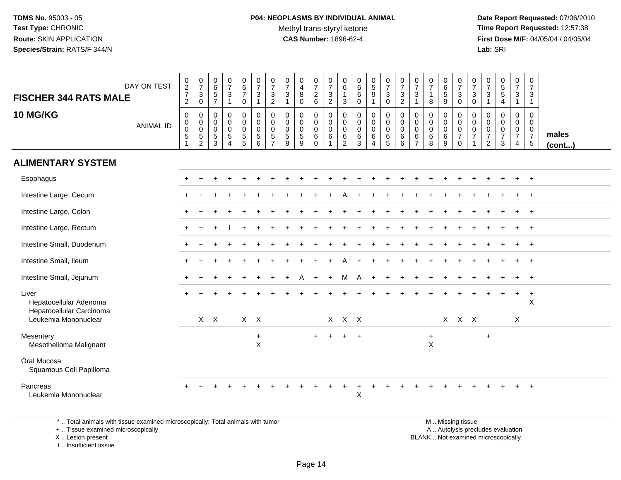# **P04: NEOPLASMS BY INDIVIDUAL ANIMAL**Methyl trans-styryl ketone<br>CAS Number: 1896-62-4

 **Date Report Requested:** 07/06/2010 **Time Report Requested:** 12:57:38 **First Dose M/F:** 04/05/04 / 04/05/04<br>**Lab:** SRI **Lab:** SRI

| DAY ON TEST<br><b>FISCHER 344 RATS MALE</b>                 | $\begin{array}{c} 0 \\ 2 \\ 7 \end{array}$<br>$\overline{a}$ | $\begin{array}{c} 0 \\ 7 \end{array}$<br>$\mathbf{3}$<br>$\mathbf 0$ | $065$<br>7                                                  | $\frac{0}{7}$<br>$\mathsf 3$<br>$\mathbf{1}$                | $\begin{array}{c} 0 \\ 6 \\ 7 \end{array}$<br>0                 | $\frac{0}{7}$<br>$\mathbf{3}$<br>$\mathbf{1}$                            | $\frac{0}{7}$<br>3<br>$\overline{c}$       | $\frac{0}{7}$<br>$\sqrt{3}$<br>$\mathbf{1}$              | 0<br>$\overline{4}$<br>8<br>$\mathbf 0$            | $\frac{0}{7}$<br>$\frac{2}{6}$                                | $\frac{0}{7}$<br>$\frac{3}{2}$                                          | 0<br>$\,6\,$<br>$\overline{1}$<br>3 | $\pmb{0}$<br>$\,6\,$<br>$\,6\,$<br>$\mathbf 0$          | $\begin{matrix} 0 \\ 5 \end{matrix}$<br>$\overline{9}$<br>1    | $\frac{0}{7}$<br>$\mathbf{3}$<br>0                              | $\frac{0}{7}$<br>$\sqrt{3}$<br>$\overline{2}$                    | 0<br>$\overline{7}$<br>$\mathbf{3}$<br>$\overline{1}$                  | $\frac{0}{7}$<br>$\mathbf{1}$<br>8                  | $\pmb{0}$<br>$\,6\,$<br>$\overline{5}$<br>$\boldsymbol{9}$ | $\frac{0}{7}$<br>$\mathbf{3}$<br>$\mathbf 0$                             | $\frac{0}{7}$<br>$\mathbf{3}$<br>$\mathsf{O}\xspace$ | $\frac{0}{7}$<br>$\sqrt{3}$<br>$\mathbf{1}$                         | $\begin{array}{c} 0 \\ 5 \\ 5 \end{array}$<br>4 | $\begin{smallmatrix}0\\7\end{smallmatrix}$<br>$\mathbf{3}$<br>$\mathbf{1}$ | $\pmb{0}$<br>$\overline{7}$<br>$\mathbf{3}$<br>$\mathbf{1}$                     |                 |
|-------------------------------------------------------------|--------------------------------------------------------------|----------------------------------------------------------------------|-------------------------------------------------------------|-------------------------------------------------------------|-----------------------------------------------------------------|--------------------------------------------------------------------------|--------------------------------------------|----------------------------------------------------------|----------------------------------------------------|---------------------------------------------------------------|-------------------------------------------------------------------------|-------------------------------------|---------------------------------------------------------|----------------------------------------------------------------|-----------------------------------------------------------------|------------------------------------------------------------------|------------------------------------------------------------------------|-----------------------------------------------------|------------------------------------------------------------|--------------------------------------------------------------------------|------------------------------------------------------|---------------------------------------------------------------------|-------------------------------------------------|----------------------------------------------------------------------------|---------------------------------------------------------------------------------|-----------------|
| <b>10 MG/KG</b><br><b>ANIMAL ID</b>                         | $\pmb{0}$<br>$\mathbf 0$<br>$\mathbf 0$<br>5<br>1            | $\mathbf 0$<br>$\mathbf 0$<br>$\frac{0}{5}$<br>$\overline{2}$        | $\pmb{0}$<br>$\boldsymbol{0}$<br>$\pmb{0}$<br>$\frac{5}{3}$ | $\pmb{0}$<br>$\mathsf 0$<br>$\frac{0}{5}$<br>$\overline{4}$ | $\pmb{0}$<br>$\mathsf{O}\xspace$<br>$\pmb{0}$<br>$\overline{5}$ | $\pmb{0}$<br>$\mathbf 0$<br>$\mathbf 0$<br>$\sqrt{5}$<br>$6\phantom{1}6$ | 0<br>0<br>$\pmb{0}$<br>5<br>$\overline{7}$ | $\pmb{0}$<br>$\mathbf 0$<br>$\pmb{0}$<br>$\sqrt{5}$<br>8 | $\mathbf 0$<br>$\mathsf{O}$<br>$\pmb{0}$<br>5<br>9 | 0<br>$\mathsf{O}\xspace$<br>$\pmb{0}$<br>$\,6$<br>$\mathbf 0$ | $\pmb{0}$<br>$\mathbf 0$<br>$\overline{0}$<br>$\,6\,$<br>$\overline{1}$ | 0<br>$\mathbf 0$<br>0<br>$\,6$<br>2 | $\mathbf 0$<br>$\mathbf 0$<br>$\pmb{0}$<br>$\,6\,$<br>3 | $\pmb{0}$<br>$\mathbf 0$<br>$\mathbf 0$<br>6<br>$\overline{A}$ | 0<br>$\mathsf{O}\xspace$<br>$\mathsf{O}\xspace$<br>$\,6\,$<br>5 | $\pmb{0}$<br>$\pmb{0}$<br>$\pmb{0}$<br>$\,6\,$<br>$6\phantom{1}$ | $\mathbf 0$<br>$\mathbf 0$<br>$\mathbf 0$<br>$\,6\,$<br>$\overline{7}$ | $\mathbf 0$<br>$\mathbf 0$<br>$\mathsf 0$<br>6<br>8 | $\pmb{0}$<br>$\mathbf 0$<br>$\pmb{0}$<br>$\,6\,$<br>9      | $\pmb{0}$<br>$\mathbf 0$<br>$\pmb{0}$<br>$\boldsymbol{7}$<br>$\mathbf 0$ | 0<br>0<br>$\mathsf{O}\xspace$<br>$\boldsymbol{7}$    | 0<br>$\mathbf 0$<br>$\pmb{0}$<br>$\boldsymbol{7}$<br>$\overline{2}$ | 0<br>0<br>$\pmb{0}$<br>$\overline{7}$<br>3      | $\pmb{0}$<br>$\mathbf 0$<br>$\frac{0}{7}$<br>$\overline{4}$                | $\mathbf 0$<br>$\mathbf{0}$<br>$\mathbf 0$<br>$\overline{7}$<br>$5\phantom{.0}$ | males<br>(cont) |
| <b>ALIMENTARY SYSTEM</b>                                    |                                                              |                                                                      |                                                             |                                                             |                                                                 |                                                                          |                                            |                                                          |                                                    |                                                               |                                                                         |                                     |                                                         |                                                                |                                                                 |                                                                  |                                                                        |                                                     |                                                            |                                                                          |                                                      |                                                                     |                                                 |                                                                            |                                                                                 |                 |
| Esophagus                                                   |                                                              |                                                                      |                                                             |                                                             |                                                                 |                                                                          |                                            |                                                          |                                                    |                                                               |                                                                         |                                     |                                                         |                                                                |                                                                 |                                                                  |                                                                        |                                                     |                                                            |                                                                          |                                                      |                                                                     |                                                 |                                                                            | $+$                                                                             |                 |
| Intestine Large, Cecum                                      |                                                              |                                                                      |                                                             |                                                             |                                                                 |                                                                          |                                            |                                                          |                                                    |                                                               |                                                                         |                                     |                                                         |                                                                |                                                                 |                                                                  |                                                                        |                                                     |                                                            |                                                                          |                                                      |                                                                     |                                                 |                                                                            | $+$                                                                             |                 |
| Intestine Large, Colon                                      |                                                              |                                                                      |                                                             |                                                             |                                                                 |                                                                          |                                            |                                                          |                                                    |                                                               |                                                                         |                                     |                                                         |                                                                |                                                                 |                                                                  |                                                                        |                                                     |                                                            |                                                                          |                                                      |                                                                     |                                                 |                                                                            | $+$                                                                             |                 |
| Intestine Large, Rectum                                     |                                                              |                                                                      |                                                             |                                                             |                                                                 |                                                                          |                                            |                                                          |                                                    |                                                               |                                                                         |                                     |                                                         |                                                                |                                                                 |                                                                  |                                                                        |                                                     |                                                            |                                                                          |                                                      |                                                                     |                                                 |                                                                            | $\ddot{}$                                                                       |                 |
| Intestine Small, Duodenum                                   |                                                              |                                                                      |                                                             |                                                             |                                                                 |                                                                          |                                            |                                                          |                                                    |                                                               |                                                                         |                                     |                                                         |                                                                |                                                                 |                                                                  |                                                                        |                                                     |                                                            |                                                                          |                                                      |                                                                     |                                                 |                                                                            | $+$                                                                             |                 |
| Intestine Small, Ileum                                      |                                                              |                                                                      |                                                             |                                                             |                                                                 |                                                                          |                                            |                                                          |                                                    |                                                               |                                                                         |                                     |                                                         |                                                                |                                                                 |                                                                  |                                                                        |                                                     |                                                            |                                                                          |                                                      |                                                                     |                                                 |                                                                            |                                                                                 |                 |
| Intestine Small, Jejunum                                    |                                                              |                                                                      |                                                             |                                                             |                                                                 |                                                                          |                                            |                                                          | A                                                  | $\ddot{}$                                                     | $+$                                                                     | м                                   | A                                                       |                                                                |                                                                 |                                                                  |                                                                        |                                                     |                                                            |                                                                          |                                                      |                                                                     |                                                 | $\ddot{}$                                                                  | $+$                                                                             |                 |
| Liver<br>Hepatocellular Adenoma<br>Hepatocellular Carcinoma |                                                              |                                                                      |                                                             |                                                             |                                                                 |                                                                          |                                            |                                                          |                                                    |                                                               |                                                                         |                                     |                                                         |                                                                |                                                                 |                                                                  |                                                                        |                                                     |                                                            |                                                                          |                                                      |                                                                     |                                                 | $+$                                                                        | $+$<br>$\mathsf X$                                                              |                 |
| Leukemia Mononuclear                                        |                                                              |                                                                      | $X$ $X$                                                     |                                                             | $X$ $X$                                                         |                                                                          |                                            |                                                          |                                                    |                                                               |                                                                         | X X X                               |                                                         |                                                                |                                                                 |                                                                  |                                                                        |                                                     |                                                            | X X X                                                                    |                                                      |                                                                     |                                                 | X                                                                          |                                                                                 |                 |
| Mesentery<br>Mesothelioma Malignant                         |                                                              |                                                                      |                                                             |                                                             |                                                                 | $+$<br>$\boldsymbol{\mathsf{X}}$                                         |                                            |                                                          |                                                    | $+$                                                           | $+$                                                                     | $+$                                 | $+$                                                     |                                                                |                                                                 |                                                                  |                                                                        | $+$<br>$\boldsymbol{\mathsf{X}}$                    |                                                            |                                                                          |                                                      | $+$                                                                 |                                                 |                                                                            |                                                                                 |                 |
| Oral Mucosa<br>Squamous Cell Papilloma                      |                                                              |                                                                      |                                                             |                                                             |                                                                 |                                                                          |                                            |                                                          |                                                    |                                                               |                                                                         |                                     |                                                         |                                                                |                                                                 |                                                                  |                                                                        |                                                     |                                                            |                                                                          |                                                      |                                                                     |                                                 |                                                                            |                                                                                 |                 |
| Pancreas<br>Leukemia Mononuclear                            |                                                              |                                                                      |                                                             |                                                             |                                                                 |                                                                          |                                            |                                                          |                                                    |                                                               |                                                                         |                                     | $\pmb{\times}$                                          |                                                                |                                                                 |                                                                  |                                                                        |                                                     |                                                            |                                                                          |                                                      |                                                                     |                                                 |                                                                            | $+$                                                                             |                 |

\* .. Total animals with tissue examined microscopically; Total animals with tumor

+ .. Tissue examined microscopically

X .. Lesion present

I .. Insufficient tissue

 M .. Missing tissuey the contract of the contract of the contract of the contract of the contract of the contract of the contract of  $A$ . Autolysis precludes evaluation Lesion present BLANK .. Not examined microscopically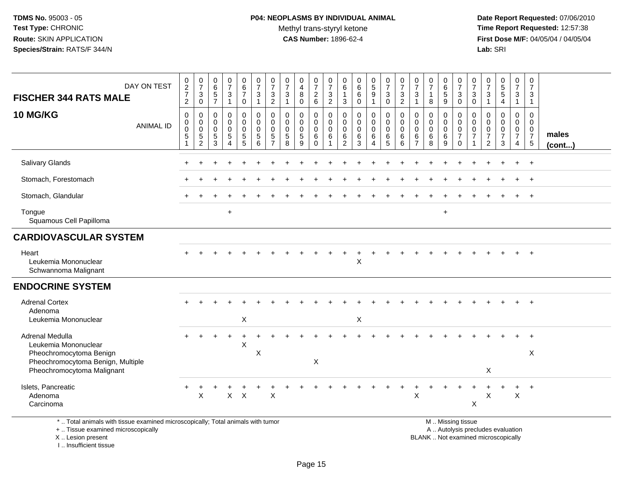#### **P04: NEOPLASMS BY INDIVIDUAL ANIMAL**Methyl trans-styryl ketone<br>CAS Number: 1896-62-4

 **Date Report Requested:** 07/06/2010 **Time Report Requested:** 12:57:38 **First Dose M/F:** 04/05/04 / 04/05/04<br>**Lab:** SRI **Lab:** SRI

| DAY ON TEST<br><b>FISCHER 344 RATS MALE</b>                                                                        | 0<br>$\overline{2}$<br>$\overline{7}$<br>2   | $\frac{0}{7}$<br>$\mathbf 3$<br>$\mathsf{O}\xspace$   | $\mathbf 0$<br>$6\overline{6}$<br>$\overline{5}$<br>$\overline{7}$ | $\begin{array}{c} 0 \\ 7 \end{array}$<br>$\mathbf{3}$<br>$\mathbf{1}$ | 0<br>$\,6\,$<br>$\overline{7}$<br>$\mathbf 0$                            | $\begin{array}{c} 0 \\ 7 \end{array}$<br>$\mathbf{3}$<br>$\mathbf{1}$            | 0<br>$\overline{7}$<br>$\mathbf{3}$<br>$\overline{2}$ | $\frac{0}{7}$<br>$\sqrt{3}$<br>$\overline{1}$              | 0<br>$\overline{\mathbf{4}}$<br>$\,8\,$<br>$\mathbf 0$ | 0<br>$\boldsymbol{7}$<br>$\overline{c}$<br>$\,6\,$             | 0<br>$\overline{7}$<br>3<br>$\overline{2}$ | 0<br>6<br>$\overline{1}$<br>3                | 0<br>$6\overline{6}$<br>$\,6\,$<br>$\mathbf 0$ | 0<br>$5\,$<br>9<br>$\mathbf{1}$              | 0<br>$\overline{7}$<br>$\sqrt{3}$<br>$\mathbf 0$           | 0<br>$\overline{7}$<br>$\sqrt{3}$<br>$\overline{2}$ | 0<br>$\overline{7}$<br>$\mathbf{3}$<br>$\mathbf{1}$              | 0<br>$\overline{7}$<br>$\mathbf{1}$<br>8 | 0<br>6<br>5<br>9                                    | 0<br>$\overline{7}$<br>$\sqrt{3}$<br>$\pmb{0}$            | 0<br>$\overline{7}$<br>$\mathsf 3$<br>$\mathbf 0$ | 0<br>$\overline{7}$<br>$\sqrt{3}$<br>$\mathbf{1}$                | $\begin{array}{c} 0 \\ 5 \\ 5 \end{array}$<br>$\overline{\mathbf{4}}$ | 0<br>$\overline{7}$<br>$\mathbf{3}$<br>$\mathbf{1}$                              | $\mathbf 0$<br>$\overline{7}$<br>3<br>$\mathbf{1}$ |                 |
|--------------------------------------------------------------------------------------------------------------------|----------------------------------------------|-------------------------------------------------------|--------------------------------------------------------------------|-----------------------------------------------------------------------|--------------------------------------------------------------------------|----------------------------------------------------------------------------------|-------------------------------------------------------|------------------------------------------------------------|--------------------------------------------------------|----------------------------------------------------------------|--------------------------------------------|----------------------------------------------|------------------------------------------------|----------------------------------------------|------------------------------------------------------------|-----------------------------------------------------|------------------------------------------------------------------|------------------------------------------|-----------------------------------------------------|-----------------------------------------------------------|---------------------------------------------------|------------------------------------------------------------------|-----------------------------------------------------------------------|----------------------------------------------------------------------------------|----------------------------------------------------|-----------------|
| <b>10 MG/KG</b><br><b>ANIMAL ID</b>                                                                                | $\mathbf 0$<br>$\mathbf 0$<br>$\pmb{0}$<br>5 | 0<br>0<br>$\mathbf 0$<br>$\sqrt{5}$<br>$\overline{2}$ | $\pmb{0}$<br>$\mathbf 0$<br>$\mathbf 0$<br>$\sqrt{5}$<br>3         | 0<br>$\mathbf 0$<br>0<br>$5\,$<br>4                                   | $\pmb{0}$<br>$\ddot{\mathbf{0}}$<br>$\mathsf{O}\xspace$<br>$\frac{5}{5}$ | $\mathbf 0$<br>$\ddot{\mathbf{0}}$<br>$\mathsf{O}\xspace$<br>5<br>$6\phantom{a}$ | 0<br>0<br>0<br>5                                      | $\mathbf 0$<br>$\pmb{0}$<br>$\mathbf 0$<br>$\sqrt{5}$<br>8 | 0<br>0<br>$\mathbf 0$<br>$\sqrt{5}$<br>9               | $\mathbf 0$<br>$\mathbf 0$<br>$\pmb{0}$<br>$\,6\,$<br>$\Omega$ | 0<br>$\mathbf 0$<br>$\mathbf 0$<br>6       | 0<br>0<br>$\mathbf 0$<br>6<br>$\overline{2}$ | 0<br>$\mathsf 0$<br>$\mathsf 0$<br>6<br>3      | 0<br>$\mathbf 0$<br>0<br>6<br>$\overline{4}$ | $\pmb{0}$<br>$\overline{0}$<br>$\mathbf 0$<br>$\,6\,$<br>5 | $\mathbf 0$<br>$\mathbf 0$<br>$\mathbf 0$<br>6<br>6 | $\mathbf 0$<br>$\mathbf 0$<br>$\mathbf 0$<br>6<br>$\overline{7}$ | 0<br>0<br>$\mathbf 0$<br>$\,6$<br>8      | $\pmb{0}$<br>$\pmb{0}$<br>$\pmb{0}$<br>$\,6\,$<br>9 | 0<br>$\pmb{0}$<br>$\pmb{0}$<br>$\overline{7}$<br>$\Omega$ | 0<br>$\mathbf 0$<br>$\mathbf 0$<br>$\overline{7}$ | $\mathbf 0$<br>$\Omega$<br>0<br>$\overline{7}$<br>$\overline{2}$ | 0<br>$\mathbf 0$<br>$\pmb{0}$<br>$\boldsymbol{7}$<br>3                | $\mathbf 0$<br>$\mathbf 0$<br>$\overline{0}$<br>$\overline{7}$<br>$\overline{4}$ | $\Omega$<br>$\Omega$<br>0<br>$\overline{7}$<br>5   | males<br>(cont) |
| Salivary Glands                                                                                                    |                                              |                                                       |                                                                    |                                                                       |                                                                          |                                                                                  |                                                       |                                                            |                                                        |                                                                |                                            |                                              |                                                |                                              |                                                            |                                                     |                                                                  |                                          |                                                     |                                                           |                                                   |                                                                  |                                                                       |                                                                                  | $\ddot{}$                                          |                 |
| Stomach, Forestomach                                                                                               |                                              |                                                       |                                                                    |                                                                       |                                                                          |                                                                                  |                                                       |                                                            |                                                        |                                                                |                                            |                                              |                                                |                                              |                                                            |                                                     |                                                                  |                                          |                                                     |                                                           |                                                   |                                                                  |                                                                       |                                                                                  | $^{+}$                                             |                 |
| Stomach, Glandular                                                                                                 |                                              |                                                       |                                                                    |                                                                       |                                                                          |                                                                                  |                                                       |                                                            |                                                        |                                                                |                                            |                                              |                                                |                                              |                                                            |                                                     |                                                                  |                                          |                                                     |                                                           |                                                   |                                                                  |                                                                       |                                                                                  | $+$                                                |                 |
| Tongue<br>Squamous Cell Papilloma                                                                                  |                                              |                                                       |                                                                    | $\ddot{}$                                                             |                                                                          |                                                                                  |                                                       |                                                            |                                                        |                                                                |                                            |                                              |                                                |                                              |                                                            |                                                     |                                                                  |                                          | $\ddot{}$                                           |                                                           |                                                   |                                                                  |                                                                       |                                                                                  |                                                    |                 |
| <b>CARDIOVASCULAR SYSTEM</b>                                                                                       |                                              |                                                       |                                                                    |                                                                       |                                                                          |                                                                                  |                                                       |                                                            |                                                        |                                                                |                                            |                                              |                                                |                                              |                                                            |                                                     |                                                                  |                                          |                                                     |                                                           |                                                   |                                                                  |                                                                       |                                                                                  |                                                    |                 |
| Heart<br>Leukemia Mononuclear<br>Schwannoma Malignant                                                              |                                              |                                                       |                                                                    |                                                                       |                                                                          |                                                                                  |                                                       |                                                            |                                                        |                                                                |                                            |                                              | $\pmb{\times}$                                 |                                              |                                                            |                                                     |                                                                  |                                          |                                                     |                                                           |                                                   |                                                                  |                                                                       |                                                                                  | $+$                                                |                 |
| <b>ENDOCRINE SYSTEM</b>                                                                                            |                                              |                                                       |                                                                    |                                                                       |                                                                          |                                                                                  |                                                       |                                                            |                                                        |                                                                |                                            |                                              |                                                |                                              |                                                            |                                                     |                                                                  |                                          |                                                     |                                                           |                                                   |                                                                  |                                                                       |                                                                                  |                                                    |                 |
| <b>Adrenal Cortex</b><br>Adenoma<br>Leukemia Mononuclear                                                           |                                              |                                                       |                                                                    |                                                                       | X                                                                        |                                                                                  |                                                       |                                                            |                                                        |                                                                |                                            |                                              | X                                              |                                              |                                                            |                                                     |                                                                  |                                          |                                                     |                                                           |                                                   |                                                                  |                                                                       |                                                                                  |                                                    |                 |
| Adrenal Medulla                                                                                                    |                                              |                                                       |                                                                    |                                                                       |                                                                          |                                                                                  |                                                       |                                                            |                                                        |                                                                |                                            |                                              |                                                |                                              |                                                            |                                                     |                                                                  |                                          |                                                     |                                                           |                                                   |                                                                  |                                                                       |                                                                                  |                                                    |                 |
| Leukemia Mononuclear<br>Pheochromocytoma Benign<br>Pheochromocytoma Benign, Multiple<br>Pheochromocytoma Malignant |                                              |                                                       |                                                                    |                                                                       | X                                                                        | X                                                                                |                                                       |                                                            |                                                        | $\boldsymbol{\mathsf{X}}$                                      |                                            |                                              |                                                |                                              |                                                            |                                                     |                                                                  |                                          |                                                     |                                                           |                                                   | X                                                                |                                                                       |                                                                                  | X                                                  |                 |
| Islets, Pancreatic<br>Adenoma<br>Carcinoma                                                                         |                                              | $\boldsymbol{\mathsf{X}}$                             |                                                                    | $\mathsf{X}^-$                                                        | $\mathsf{X}$                                                             |                                                                                  | $\boldsymbol{\mathsf{X}}$                             |                                                            |                                                        |                                                                |                                            |                                              |                                                |                                              |                                                            |                                                     | Χ                                                                |                                          |                                                     |                                                           | X                                                 | Х                                                                |                                                                       | X                                                                                | $+$                                                |                 |
| $\star$ . Tatel exists the city theory accounts and achievements allow Tatel existence critical                    |                                              |                                                       |                                                                    |                                                                       |                                                                          |                                                                                  |                                                       |                                                            |                                                        |                                                                |                                            |                                              |                                                |                                              |                                                            |                                                     |                                                                  |                                          |                                                     | <b>M. M. Mineter and Alane</b>                            |                                                   |                                                                  |                                                                       |                                                                                  |                                                    |                 |

\* .. Total animals with tissue examined microscopically; Total animals with tumor

+ .. Tissue examined microscopically

X .. Lesion present

I .. Insufficient tissue

M .. Missing tissue

y the contract of the contract of the contract of the contract of the contract of the contract of the contract of  $A$ . Autolysis precludes evaluation Lesion present BLANK .. Not examined microscopically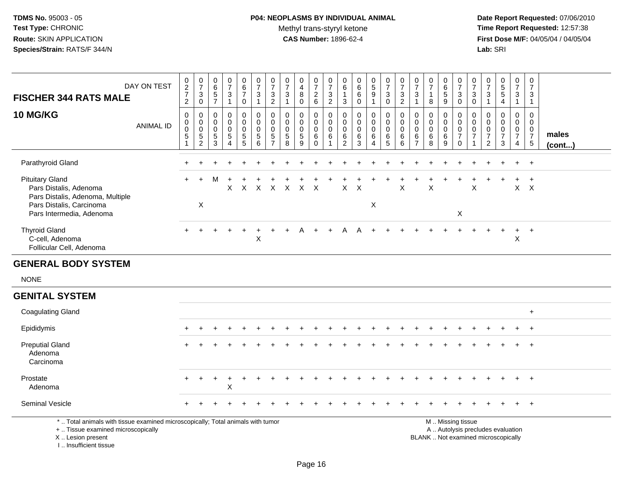# **P04: NEOPLASMS BY INDIVIDUAL ANIMAL**Methyl trans-styryl ketone<br>CAS Number: 1896-62-4

 **Date Report Requested:** 07/06/2010 **Time Report Requested:** 12:57:38 **First Dose M/F:** 04/05/04 / 04/05/04<br>Lab: SRI **Lab:** SRI

| <b>FISCHER 344 RATS MALE</b><br><b>10 MG/KG</b>                                                                                            | DAY ON TEST<br><b>ANIMAL ID</b> | 0<br>$\frac{2}{7}$<br>$\overline{2}$<br>0<br>0<br>0<br>$5\,$ | $\frac{0}{7}$<br>$\mathsf 3$<br>$\mathbf 0$<br>0<br>$\mathbf 0$<br>$\mathsf{O}\xspace$<br>$\frac{5}{2}$ | $\boldsymbol{0}$<br>$\,6\,$<br>$\sqrt{5}$<br>$\overline{7}$<br>0<br>$\mathbf 0$<br>$\mathbf 0$<br>$\,$ 5 $\,$ | 0<br>$\overline{7}$<br>$\mathbf{3}$<br>$\overline{1}$<br>$\mathbf 0$<br>$\mathbf 0$<br>$\mathbf 0$<br>$\sqrt{5}$ | $\begin{matrix} 0 \\ 6 \end{matrix}$<br>$\overline{7}$<br>0<br>0<br>$\mathbf 0$<br>$\mathbf 0$<br>5 | 0<br>$\overline{7}$<br>3<br>$\mathbf{1}$<br>0<br>0<br>0<br>$5\phantom{.0}$ | $\frac{0}{7}$<br>3<br>$\overline{2}$<br>0<br>$\mathbf 0$<br>$\pmb{0}$<br>$\sqrt{5}$ | 0<br>$\overline{7}$<br>3<br>$\mathbf{1}$<br>$\mathbf 0$<br>$\mathbf 0$<br>$\mathbf 0$<br>$\sqrt{5}$ | 0<br>$\overline{4}$<br>8<br>$\mathbf 0$<br>$\mathbf 0$<br>$\mathbf 0$<br>$\mathbf 0$<br>$\overline{5}$ | 0<br>$\overline{7}$<br>$^2\phantom{1}6$<br>0<br>$\mathbf 0$<br>0<br>$\,6\,$ | 0<br>$\overline{7}$<br>$\sqrt{3}$<br>$\overline{2}$<br>0<br>$\mathbf 0$<br>$\mathbf 0$<br>$\,6\,$ | 0<br>$\,6$<br>1<br>$\mathbf{3}$<br>0<br>$\mathbf 0$<br>$\mathbf 0$<br>6 | 0<br>$\,6\,$<br>$\,6\,$<br>0<br>$\mathbf 0$<br>$\mathbf 0$<br>0<br>$\,6\,$ | $\begin{smallmatrix} 0\\5 \end{smallmatrix}$<br>$\boldsymbol{9}$<br>$\mathbf{1}$<br>0<br>$\mathbf 0$<br>$\mathbf 0$<br>$\,6\,$ | $\begin{smallmatrix}0\\7\end{smallmatrix}$<br>3<br>$\mathbf 0$<br>0<br>$\mathbf 0$<br>$\mathbf 0$<br>$\,6\,$ | $\frac{0}{7}$<br>$\frac{3}{2}$<br>0<br>$\mathbf 0$<br>$\mathbf 0$<br>$\,6\,$ | $\pmb{0}$<br>$\overline{7}$<br>$\mathbf{3}$<br>$\mathbf{1}$<br>$\mathbf 0$<br>$\mathbf 0$<br>$\mathbf 0$<br>$\,6$ | $\boldsymbol{0}$<br>$\overline{7}$<br>$\mathbf{1}$<br>8<br>$\mathbf 0$<br>$\mathbf 0$<br>$\mathbf 0$<br>$\,6\,$ | $0$ 6<br>5<br>$\overline{9}$<br>0<br>$\mathbf 0$<br>0<br>6 | $\frac{0}{7}$<br>$\ensuremath{\mathsf{3}}$<br>$\overline{0}$<br>0<br>0<br>$\pmb{0}$<br>$\overline{7}$ | $\frac{0}{7}$<br>3<br>$\mathbf 0$<br>0<br>$\mathbf 0$<br>$\mathsf 0$<br>$\overline{7}$ | $\frac{0}{7}$<br>3<br>$\overline{1}$<br>$\mathbf 0$<br>$\mathbf 0$<br>$\mathbf 0$<br>$\overline{7}$ | $\begin{array}{c} 0 \\ 5 \\ 5 \end{array}$<br>4<br>$\mathbf 0$<br>$\Omega$<br>0<br>$\overline{7}$ | $\frac{0}{7}$<br>3<br>$\mathbf{1}$<br>0<br>$\mathbf 0$<br>$\overline{0}$<br>$\overline{7}$ | 0<br>$\overline{7}$<br>3<br>$\mathbf{1}$<br>0<br>$\mathbf 0$<br>$\boldsymbol{0}$<br>$\overline{7}$ | males  |
|--------------------------------------------------------------------------------------------------------------------------------------------|---------------------------------|--------------------------------------------------------------|---------------------------------------------------------------------------------------------------------|---------------------------------------------------------------------------------------------------------------|------------------------------------------------------------------------------------------------------------------|-----------------------------------------------------------------------------------------------------|----------------------------------------------------------------------------|-------------------------------------------------------------------------------------|-----------------------------------------------------------------------------------------------------|--------------------------------------------------------------------------------------------------------|-----------------------------------------------------------------------------|---------------------------------------------------------------------------------------------------|-------------------------------------------------------------------------|----------------------------------------------------------------------------|--------------------------------------------------------------------------------------------------------------------------------|--------------------------------------------------------------------------------------------------------------|------------------------------------------------------------------------------|-------------------------------------------------------------------------------------------------------------------|-----------------------------------------------------------------------------------------------------------------|------------------------------------------------------------|-------------------------------------------------------------------------------------------------------|----------------------------------------------------------------------------------------|-----------------------------------------------------------------------------------------------------|---------------------------------------------------------------------------------------------------|--------------------------------------------------------------------------------------------|----------------------------------------------------------------------------------------------------|--------|
|                                                                                                                                            |                                 |                                                              |                                                                                                         | 3                                                                                                             | $\boldsymbol{\Lambda}$                                                                                           | 5                                                                                                   | $6\phantom{1}$                                                             | $\overline{7}$                                                                      | 8                                                                                                   | 9                                                                                                      | $\mathbf 0$                                                                 | -1                                                                                                | $\overline{2}$                                                          | 3                                                                          | $\Delta$                                                                                                                       | 5                                                                                                            | 6                                                                            | $\overline{7}$                                                                                                    | 8                                                                                                               | $\overline{9}$                                             | $\mathbf 0$                                                                                           |                                                                                        | $\overline{2}$                                                                                      | $\mathbf{3}$                                                                                      | $\overline{4}$                                                                             | $\overline{5}$                                                                                     | (cont) |
| Parathyroid Gland                                                                                                                          |                                 |                                                              |                                                                                                         |                                                                                                               |                                                                                                                  |                                                                                                     |                                                                            |                                                                                     |                                                                                                     |                                                                                                        |                                                                             |                                                                                                   |                                                                         |                                                                            |                                                                                                                                |                                                                                                              |                                                                              |                                                                                                                   |                                                                                                                 |                                                            |                                                                                                       |                                                                                        |                                                                                                     |                                                                                                   |                                                                                            | $+$                                                                                                |        |
| <b>Pituitary Gland</b><br>Pars Distalis, Adenoma<br>Pars Distalis, Adenoma, Multiple<br>Pars Distalis, Carcinoma                           |                                 |                                                              | $\boldsymbol{\mathsf{X}}$                                                                               | M                                                                                                             | X                                                                                                                | X                                                                                                   | $\boldsymbol{\mathsf{X}}$                                                  | $\mathsf{X}$                                                                        | $\times$                                                                                            | X.                                                                                                     | $\times$                                                                    |                                                                                                   | X                                                                       | X                                                                          | X                                                                                                                              |                                                                                                              | X                                                                            |                                                                                                                   | X                                                                                                               |                                                            |                                                                                                       | X                                                                                      |                                                                                                     |                                                                                                   |                                                                                            | $X$ $X$                                                                                            |        |
| Pars Intermedia, Adenoma                                                                                                                   |                                 |                                                              |                                                                                                         |                                                                                                               |                                                                                                                  |                                                                                                     |                                                                            |                                                                                     |                                                                                                     |                                                                                                        |                                                                             |                                                                                                   |                                                                         |                                                                            |                                                                                                                                |                                                                                                              |                                                                              |                                                                                                                   |                                                                                                                 |                                                            | $\mathsf X$                                                                                           |                                                                                        |                                                                                                     |                                                                                                   |                                                                                            |                                                                                                    |        |
| <b>Thyroid Gland</b><br>C-cell, Adenoma<br>Follicular Cell, Adenoma                                                                        |                                 |                                                              |                                                                                                         |                                                                                                               |                                                                                                                  |                                                                                                     | $\mathsf X$                                                                |                                                                                     |                                                                                                     |                                                                                                        | $\overline{+}$                                                              |                                                                                                   |                                                                         |                                                                            |                                                                                                                                |                                                                                                              |                                                                              |                                                                                                                   |                                                                                                                 |                                                            |                                                                                                       |                                                                                        |                                                                                                     |                                                                                                   | +<br>Χ                                                                                     | $+$                                                                                                |        |
| <b>GENERAL BODY SYSTEM</b>                                                                                                                 |                                 |                                                              |                                                                                                         |                                                                                                               |                                                                                                                  |                                                                                                     |                                                                            |                                                                                     |                                                                                                     |                                                                                                        |                                                                             |                                                                                                   |                                                                         |                                                                            |                                                                                                                                |                                                                                                              |                                                                              |                                                                                                                   |                                                                                                                 |                                                            |                                                                                                       |                                                                                        |                                                                                                     |                                                                                                   |                                                                                            |                                                                                                    |        |
| <b>NONE</b>                                                                                                                                |                                 |                                                              |                                                                                                         |                                                                                                               |                                                                                                                  |                                                                                                     |                                                                            |                                                                                     |                                                                                                     |                                                                                                        |                                                                             |                                                                                                   |                                                                         |                                                                            |                                                                                                                                |                                                                                                              |                                                                              |                                                                                                                   |                                                                                                                 |                                                            |                                                                                                       |                                                                                        |                                                                                                     |                                                                                                   |                                                                                            |                                                                                                    |        |
| <b>GENITAL SYSTEM</b>                                                                                                                      |                                 |                                                              |                                                                                                         |                                                                                                               |                                                                                                                  |                                                                                                     |                                                                            |                                                                                     |                                                                                                     |                                                                                                        |                                                                             |                                                                                                   |                                                                         |                                                                            |                                                                                                                                |                                                                                                              |                                                                              |                                                                                                                   |                                                                                                                 |                                                            |                                                                                                       |                                                                                        |                                                                                                     |                                                                                                   |                                                                                            |                                                                                                    |        |
| <b>Coagulating Gland</b>                                                                                                                   |                                 |                                                              |                                                                                                         |                                                                                                               |                                                                                                                  |                                                                                                     |                                                                            |                                                                                     |                                                                                                     |                                                                                                        |                                                                             |                                                                                                   |                                                                         |                                                                            |                                                                                                                                |                                                                                                              |                                                                              |                                                                                                                   |                                                                                                                 |                                                            |                                                                                                       |                                                                                        |                                                                                                     |                                                                                                   |                                                                                            | $+$                                                                                                |        |
| Epididymis                                                                                                                                 |                                 |                                                              |                                                                                                         |                                                                                                               |                                                                                                                  |                                                                                                     |                                                                            |                                                                                     |                                                                                                     |                                                                                                        |                                                                             |                                                                                                   |                                                                         |                                                                            |                                                                                                                                |                                                                                                              |                                                                              |                                                                                                                   |                                                                                                                 |                                                            |                                                                                                       |                                                                                        |                                                                                                     |                                                                                                   |                                                                                            |                                                                                                    |        |
| <b>Preputial Gland</b><br>Adenoma<br>Carcinoma                                                                                             |                                 |                                                              |                                                                                                         |                                                                                                               |                                                                                                                  |                                                                                                     |                                                                            |                                                                                     |                                                                                                     |                                                                                                        |                                                                             |                                                                                                   |                                                                         |                                                                            |                                                                                                                                |                                                                                                              |                                                                              |                                                                                                                   |                                                                                                                 |                                                            |                                                                                                       |                                                                                        |                                                                                                     |                                                                                                   |                                                                                            |                                                                                                    |        |
| Prostate<br>Adenoma                                                                                                                        |                                 | +                                                            |                                                                                                         |                                                                                                               | $\sf X$                                                                                                          |                                                                                                     |                                                                            |                                                                                     |                                                                                                     |                                                                                                        |                                                                             |                                                                                                   |                                                                         |                                                                            |                                                                                                                                |                                                                                                              |                                                                              |                                                                                                                   |                                                                                                                 |                                                            |                                                                                                       |                                                                                        |                                                                                                     |                                                                                                   |                                                                                            | $\overline{+}$                                                                                     |        |
| Seminal Vesicle                                                                                                                            |                                 |                                                              |                                                                                                         |                                                                                                               |                                                                                                                  |                                                                                                     |                                                                            |                                                                                     |                                                                                                     |                                                                                                        |                                                                             |                                                                                                   |                                                                         |                                                                            |                                                                                                                                |                                                                                                              |                                                                              |                                                                                                                   |                                                                                                                 |                                                            |                                                                                                       |                                                                                        |                                                                                                     |                                                                                                   |                                                                                            |                                                                                                    |        |
| *  Total animals with tissue examined microscopically; Total animals with tumor<br>+  Tissue examined microscopically<br>X  Lesion present |                                 |                                                              |                                                                                                         |                                                                                                               |                                                                                                                  |                                                                                                     |                                                                            |                                                                                     |                                                                                                     |                                                                                                        |                                                                             |                                                                                                   |                                                                         |                                                                            |                                                                                                                                |                                                                                                              |                                                                              |                                                                                                                   |                                                                                                                 |                                                            | M  Missing tissue<br>A  Autolysis precludes evaluation<br>BLANK  Not examined microscopically         |                                                                                        |                                                                                                     |                                                                                                   |                                                                                            |                                                                                                    |        |

I .. Insufficient tissue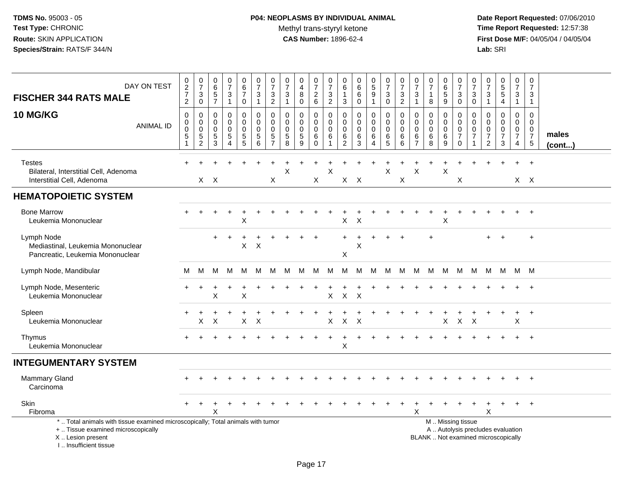# **P04: NEOPLASMS BY INDIVIDUAL ANIMAL**Methyl trans-styryl ketone<br>CAS Number: 1896-62-4

| DAY ON TEST<br><b>FISCHER 344 RATS MALE</b>                                                                                                                         | $\pmb{0}$<br>$\overline{2}$<br>$\overline{7}$<br>$\sqrt{2}$ | $\pmb{0}$<br>$\overline{7}$<br>$\ensuremath{\mathsf{3}}$<br>$\boldsymbol{0}$ | $\pmb{0}$<br>$6\phantom{a}$<br>$5\phantom{.0}$<br>$\overline{7}$ | $\frac{0}{7}$<br>3<br>$\mathbf{1}$           | $_{6}^{\rm 0}$<br>$\overline{7}$<br>$\pmb{0}$                            | $\frac{0}{7}$<br>$\sqrt{3}$<br>$\mathbf{1}$                             | $\frac{0}{7}$<br>$\frac{3}{2}$                         | $\frac{0}{7}$<br>$\mathbf{3}$<br>$\mathbf{1}$                                 | 0<br>$\overline{4}$<br>8<br>$\pmb{0}$                  | $\begin{array}{c} 0 \\ 7 \end{array}$<br>$\frac{2}{6}$ | $\frac{0}{7}$<br>$\frac{3}{2}$             | 0<br>$\,6$<br>$\sqrt{3}$           | $\begin{array}{c} 0 \\ 6 \end{array}$<br>$\,6\,$<br>$\pmb{0}$ | $\begin{smallmatrix}0\0\5\end{smallmatrix}$<br>$\boldsymbol{9}$<br>$\mathbf{1}$ | $\frac{0}{7}$<br>$\mathbf{3}$<br>0                                     | $\frac{0}{7}$<br>$\mathbf{3}$<br>$\overline{c}$ | 0<br>$\overline{7}$<br>$\sqrt{3}$<br>$\mathbf{1}$                    | $\frac{0}{7}$<br>8                  | 0<br>$6\phantom{a}$<br>$\sqrt{5}$<br>$\overline{9}$ | $\frac{0}{7}$<br>$\ensuremath{\mathsf{3}}$<br>$\mathsf{O}\xspace$                  | 0<br>$\overline{7}$<br>3<br>$\boldsymbol{0}$                                | $\frac{0}{7}$<br>3<br>$\mathbf{1}$                                            | $\frac{0}{5}$<br>$\overline{\mathbf{4}}$               | $\begin{smallmatrix}0\\7\end{smallmatrix}$<br>$\ensuremath{\mathsf{3}}$<br>$\mathbf{1}$ | $\pmb{0}$<br>$\overline{7}$<br>$\mathbf{3}$<br>$\mathbf{1}$     |                 |
|---------------------------------------------------------------------------------------------------------------------------------------------------------------------|-------------------------------------------------------------|------------------------------------------------------------------------------|------------------------------------------------------------------|----------------------------------------------|--------------------------------------------------------------------------|-------------------------------------------------------------------------|--------------------------------------------------------|-------------------------------------------------------------------------------|--------------------------------------------------------|--------------------------------------------------------|--------------------------------------------|------------------------------------|---------------------------------------------------------------|---------------------------------------------------------------------------------|------------------------------------------------------------------------|-------------------------------------------------|----------------------------------------------------------------------|-------------------------------------|-----------------------------------------------------|------------------------------------------------------------------------------------|-----------------------------------------------------------------------------|-------------------------------------------------------------------------------|--------------------------------------------------------|-----------------------------------------------------------------------------------------|-----------------------------------------------------------------|-----------------|
| 10 MG/KG<br><b>ANIMAL ID</b>                                                                                                                                        | $\mathsf 0$<br>0<br>0<br>$\sqrt{5}$<br>$\overline{1}$       | $\mathbf 0$<br>0<br>$\mathbf 0$<br>$\frac{5}{2}$                             | $\mathbf 0$<br>0<br>$\mathbf 0$<br>$\,$ 5 $\,$<br>$\overline{3}$ | 0<br>$\mathbf 0$<br>0<br>5<br>$\overline{4}$ | $\mathbf 0$<br>$\mathbf 0$<br>0<br>$\begin{array}{c} 5 \\ 5 \end{array}$ | $\pmb{0}$<br>$\mathbf 0$<br>$\mathbf 0$<br>$\sqrt{5}$<br>$\overline{6}$ | 0<br>$\mathbf 0$<br>0<br>$\,$ 5 $\,$<br>$\overline{7}$ | $\mathbf 0$<br>$\mathbf 0$<br>$\mathbf 0$<br>$\overline{5}$<br>$\overline{8}$ | 0<br>$\mathbf 0$<br>0<br>$\,$ 5 $\,$<br>$\overline{9}$ | 0<br>0<br>$\pmb{0}$<br>$\,6$<br>$\overline{0}$         | 0<br>0<br>$\mathbf 0$<br>6<br>$\mathbf{1}$ | 0<br>0<br>0<br>6<br>$\overline{2}$ | $\mathbf 0$<br>$\mathbf 0$<br>$\pmb{0}$<br>$^6_3$             | 0<br>0<br>$\mathbf 0$<br>6<br>4                                                 | $\mathbf 0$<br>$\mathbf 0$<br>$\mathbf 0$<br>$\,6\,$<br>$\overline{5}$ | $\mathbf 0$<br>0<br>0<br>6<br>$6\phantom{a}$    | $\mathbf 0$<br>$\mathbf 0$<br>$\mathbf 0$<br>$\,6$<br>$\overline{7}$ | 0<br>0<br>$\mathbf 0$<br>$^6_8$     | 0<br>$\mathbf 0$<br>$\mathbf 0$<br>$\,6\,$<br>9     | $\mathbf 0$<br>$\mathbf 0$<br>$\mathbf 0$<br>$\overline{7}$<br>$\mathsf{O}\xspace$ | $\mathbf 0$<br>$\mathbf 0$<br>$\mathbf 0$<br>$\overline{7}$<br>$\mathbf{1}$ | $\mathbf 0$<br>$\mathbf 0$<br>$\mathbf 0$<br>$\overline{7}$<br>$\overline{c}$ | 0<br>$\mathbf 0$<br>$\mathbf 0$<br>$\overline{7}$<br>3 | $\mathbf 0$<br>$\mathbf 0$<br>$\mathbf 0$<br>$\overline{7}$<br>4                        | $\mathbf 0$<br>$\mathbf 0$<br>0<br>$\overline{7}$<br>$\sqrt{5}$ | males<br>(cont) |
| <b>Testes</b><br>Bilateral, Interstitial Cell, Adenoma<br>Interstitial Cell, Adenoma                                                                                |                                                             |                                                                              | $X$ $X$                                                          |                                              |                                                                          |                                                                         | X                                                      | X                                                                             |                                                        | X                                                      | X                                          |                                    | $X$ $X$                                                       |                                                                                 | X                                                                      | X                                               | Χ                                                                    |                                     | X                                                   | Χ                                                                                  |                                                                             |                                                                               |                                                        |                                                                                         | $X \times$                                                      |                 |
| <b>HEMATOPOIETIC SYSTEM</b>                                                                                                                                         |                                                             |                                                                              |                                                                  |                                              |                                                                          |                                                                         |                                                        |                                                                               |                                                        |                                                        |                                            |                                    |                                                               |                                                                                 |                                                                        |                                                 |                                                                      |                                     |                                                     |                                                                                    |                                                                             |                                                                               |                                                        |                                                                                         |                                                                 |                 |
| <b>Bone Marrow</b><br>Leukemia Mononuclear                                                                                                                          |                                                             |                                                                              |                                                                  |                                              | X                                                                        |                                                                         |                                                        |                                                                               |                                                        |                                                        |                                            | X                                  | X                                                             |                                                                                 |                                                                        |                                                 |                                                                      |                                     | Χ                                                   |                                                                                    |                                                                             |                                                                               |                                                        |                                                                                         |                                                                 |                 |
| Lymph Node<br>Mediastinal, Leukemia Mononuclear<br>Pancreatic, Leukemia Mononuclear                                                                                 |                                                             |                                                                              | $\ddot{}$                                                        | $\pm$                                        | $\ddot{}$<br>X                                                           | $\sf X$                                                                 |                                                        |                                                                               |                                                        |                                                        |                                            | X                                  | X                                                             | ÷                                                                               |                                                                        | $\ddot{}$                                       |                                                                      | $\ddot{}$                           |                                                     |                                                                                    |                                                                             |                                                                               | $\ddot{}$                                              |                                                                                         | $\ddot{}$                                                       |                 |
| Lymph Node, Mandibular                                                                                                                                              | м                                                           | M                                                                            | M                                                                | м                                            | M                                                                        | м                                                                       | м                                                      | M                                                                             | M                                                      | M                                                      | M                                          | М                                  | м                                                             | M                                                                               | M                                                                      | M                                               | M                                                                    | M                                   | M                                                   | M                                                                                  | M                                                                           | M                                                                             | - M                                                    | M M                                                                                     |                                                                 |                 |
| Lymph Node, Mesenteric<br>Leukemia Mononuclear                                                                                                                      |                                                             |                                                                              | Х                                                                |                                              | X                                                                        |                                                                         |                                                        |                                                                               |                                                        |                                                        | X                                          | $\sf X$                            | X                                                             |                                                                                 |                                                                        |                                                 |                                                                      |                                     |                                                     |                                                                                    |                                                                             |                                                                               |                                                        |                                                                                         | $\ddot{}$                                                       |                 |
| Spleen<br>Leukemia Mononuclear                                                                                                                                      |                                                             | X                                                                            | Х                                                                |                                              | X                                                                        | X                                                                       |                                                        |                                                                               |                                                        |                                                        | X                                          | X                                  | $\times$                                                      |                                                                                 |                                                                        |                                                 |                                                                      |                                     | X                                                   | $\mathsf{X}$                                                                       | X                                                                           |                                                                               |                                                        | $+$<br>X                                                                                | $^{+}$                                                          |                 |
| Thymus<br>Leukemia Mononuclear                                                                                                                                      |                                                             |                                                                              |                                                                  |                                              |                                                                          |                                                                         |                                                        |                                                                               |                                                        |                                                        |                                            | X                                  |                                                               |                                                                                 |                                                                        |                                                 |                                                                      |                                     |                                                     |                                                                                    |                                                                             |                                                                               |                                                        |                                                                                         | $+$                                                             |                 |
| <b>INTEGUMENTARY SYSTEM</b>                                                                                                                                         |                                                             |                                                                              |                                                                  |                                              |                                                                          |                                                                         |                                                        |                                                                               |                                                        |                                                        |                                            |                                    |                                                               |                                                                                 |                                                                        |                                                 |                                                                      |                                     |                                                     |                                                                                    |                                                                             |                                                                               |                                                        |                                                                                         |                                                                 |                 |
| <b>Mammary Gland</b><br>Carcinoma                                                                                                                                   |                                                             |                                                                              |                                                                  |                                              |                                                                          |                                                                         |                                                        |                                                                               |                                                        |                                                        |                                            |                                    |                                                               |                                                                                 |                                                                        |                                                 |                                                                      |                                     |                                                     |                                                                                    |                                                                             |                                                                               |                                                        |                                                                                         | $\ddot{}$                                                       |                 |
| <b>Skin</b><br>Fibroma                                                                                                                                              |                                                             |                                                                              | X                                                                |                                              |                                                                          |                                                                         |                                                        |                                                                               |                                                        |                                                        |                                            |                                    |                                                               |                                                                                 |                                                                        |                                                 | X                                                                    |                                     |                                                     |                                                                                    |                                                                             | X                                                                             |                                                        | $\ddot{}$                                                                               | $^{+}$                                                          |                 |
| *  Total animals with tissue examined microscopically; Total animals with tumor<br>+  Tissue examined microscopically<br>X  Lesion present<br>I Insufficient tissue |                                                             |                                                                              |                                                                  |                                              |                                                                          |                                                                         |                                                        |                                                                               |                                                        |                                                        |                                            |                                    |                                                               |                                                                                 |                                                                        |                                                 |                                                                      | BLANK  Not examined microscopically |                                                     | M  Missing tissue                                                                  |                                                                             |                                                                               | A  Autolysis precludes evaluation                      |                                                                                         |                                                                 |                 |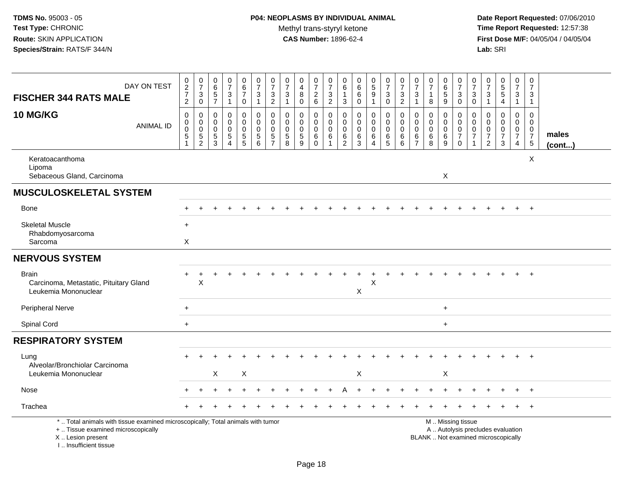| DAY ON TEST<br><b>FISCHER 344 RATS MALE</b>                                                                                                                         | $\frac{0}{2}$<br>$\frac{7}{2}$                          | $\frac{0}{7}$<br>$_{0}^{3}$                                             | $\begin{array}{c} 0 \\ 6 \end{array}$<br>$\overline{5}$<br>$\overline{7}$ | $\frac{0}{7}$<br>$\mathbf{3}$<br>$\mathbf{1}$                   | $_{6}^{\rm 0}$<br>$\boldsymbol{7}$<br>$\mathbf 0$             | $\frac{0}{7}$<br>$\mathbf{3}$<br>$\mathbf{1}$        | $\frac{0}{7}$<br>$\ensuremath{\mathsf{3}}$<br>$\overline{c}$               | $\frac{0}{7}$<br>$\ensuremath{\mathsf{3}}$<br>$\mathbf{1}$ | 0<br>$\overline{4}$<br>8<br>$\pmb{0}$     | $\begin{array}{c} 0 \\ 7 \end{array}$<br>$\frac{2}{6}$         | $\frac{0}{7}$<br>$\sqrt{3}$<br>$\overline{2}$ | $\begin{matrix} 0 \\ 6 \end{matrix}$<br>$\mathbf{1}$<br>$\mathbf{3}$ | $\begin{array}{c} 0 \\ 6 \end{array}$<br>$\overline{6}$<br>$\mathsf 0$ | $\begin{smallmatrix} 0\\5 \end{smallmatrix}$<br>$\overline{9}$<br>$\mathbf{1}$ | $\frac{0}{7}$<br>$\sqrt{3}$<br>$\mathbf 0$                       | $\frac{0}{7}$<br>$\sqrt{3}$<br>$\overline{2}$ | $\frac{0}{7}$<br>$\sqrt{3}$<br>$\mathbf{1}$                        | $\frac{0}{7}$<br>$\mathbf{1}$<br>8     | $\begin{array}{c} 0 \\ 6 \end{array}$<br>$\overline{5}$<br>9 | $\frac{0}{7}$<br>$\ensuremath{\mathsf{3}}$<br>$\mathbf 0$                                     | $\frac{0}{7}$<br>$\sqrt{3}$<br>$\mathbf 0$ | $\begin{array}{c} 0 \\ 7 \end{array}$<br>$\sqrt{3}$<br>$\overline{1}$         | $\begin{array}{c} 0 \\ 5 \end{array}$<br>$\overline{5}$<br>4 | $\pmb{0}$<br>$\overline{7}$<br>3<br>$\mathbf{1}$                              | 0<br>$\overline{7}$<br>3<br>$\mathbf{1}$                        |                 |
|---------------------------------------------------------------------------------------------------------------------------------------------------------------------|---------------------------------------------------------|-------------------------------------------------------------------------|---------------------------------------------------------------------------|-----------------------------------------------------------------|---------------------------------------------------------------|------------------------------------------------------|----------------------------------------------------------------------------|------------------------------------------------------------|-------------------------------------------|----------------------------------------------------------------|-----------------------------------------------|----------------------------------------------------------------------|------------------------------------------------------------------------|--------------------------------------------------------------------------------|------------------------------------------------------------------|-----------------------------------------------|--------------------------------------------------------------------|----------------------------------------|--------------------------------------------------------------|-----------------------------------------------------------------------------------------------|--------------------------------------------|-------------------------------------------------------------------------------|--------------------------------------------------------------|-------------------------------------------------------------------------------|-----------------------------------------------------------------|-----------------|
| <b>10 MG/KG</b><br><b>ANIMAL ID</b>                                                                                                                                 | $\mathsf 0$<br>$\mathbf 0$<br>$\mathbf 0$<br>$\sqrt{5}$ | $\boldsymbol{0}$<br>$\mathbf 0$<br>$\mathsf{O}\xspace$<br>$\frac{5}{2}$ | $\mathbf 0$<br>$\mathbf 0$<br>$\mathbf 0$<br>$\frac{5}{3}$                | 0<br>$\mathbf 0$<br>$\mathbf 0$<br>$\sqrt{5}$<br>$\overline{4}$ | $\boldsymbol{0}$<br>$\mathbf 0$<br>$\pmb{0}$<br>$\frac{5}{5}$ | $\mathbf 0$<br>$\Omega$<br>$\mathbf 0$<br>$5\,$<br>6 | $\mathbf 0$<br>$\mathbf 0$<br>$\mathbf 0$<br>$\,$ 5 $\,$<br>$\overline{7}$ | $\mathbf 0$<br>$\mathbf 0$<br>$\mathbf 0$<br>$\frac{5}{8}$ | 0<br>$\mathbf 0$<br>0<br>$\,$ 5 $\,$<br>9 | $\pmb{0}$<br>$\mathbf 0$<br>$\mathbf 0$<br>$\,6\,$<br>$\Omega$ | 0<br>$\Omega$<br>$\mathbf 0$<br>$\,6\,$       | 0<br>$\mathbf 0$<br>$\mathbf 0$<br>$^6_2$                            | $\mathsf 0$<br>$\mathbf 0$<br>$\mathbf 0$<br>$\frac{6}{3}$             | 0<br>$\mathbf 0$<br>0<br>6<br>$\overline{4}$                                   | $\mathbf 0$<br>$\mathbf 0$<br>$\pmb{0}$<br>$\,6\,$<br>$\sqrt{5}$ | $\mathbf 0$<br>$\Omega$<br>0<br>$\,6\,$<br>6  | $\mathbf 0$<br>$\mathbf{0}$<br>$\Omega$<br>$\,6$<br>$\overline{7}$ | 0<br>$\Omega$<br>$\mathbf 0$<br>6<br>8 | 0<br>$\mathbf 0$<br>$\mathbf 0$<br>$\frac{6}{9}$             | 0<br>$\mathbf 0$<br>$\pmb{0}$<br>$\overline{7}$<br>$\Omega$                                   | 0<br>$\Omega$<br>0<br>$\overline{7}$       | $\mathbf 0$<br>$\mathbf 0$<br>$\mathbf 0$<br>$\overline{7}$<br>$\overline{2}$ | 0<br>$\overline{0}$<br>0<br>$\overline{7}$<br>3              | $\mathbf 0$<br>$\mathbf 0$<br>$\mathbf 0$<br>$\overline{7}$<br>$\overline{4}$ | 0<br>$\Omega$<br>$\overline{0}$<br>$\overline{7}$<br>$\sqrt{5}$ | males<br>(cont) |
| Keratoacanthoma<br>Lipoma<br>Sebaceous Gland, Carcinoma                                                                                                             |                                                         |                                                                         |                                                                           |                                                                 |                                                               |                                                      |                                                                            |                                                            |                                           |                                                                |                                               |                                                                      |                                                                        |                                                                                |                                                                  |                                               |                                                                    |                                        | X                                                            |                                                                                               |                                            |                                                                               |                                                              |                                                                               | X                                                               |                 |
| <b>MUSCULOSKELETAL SYSTEM</b>                                                                                                                                       |                                                         |                                                                         |                                                                           |                                                                 |                                                               |                                                      |                                                                            |                                                            |                                           |                                                                |                                               |                                                                      |                                                                        |                                                                                |                                                                  |                                               |                                                                    |                                        |                                                              |                                                                                               |                                            |                                                                               |                                                              |                                                                               |                                                                 |                 |
| Bone                                                                                                                                                                |                                                         |                                                                         |                                                                           |                                                                 |                                                               |                                                      |                                                                            |                                                            |                                           |                                                                |                                               |                                                                      |                                                                        |                                                                                |                                                                  |                                               |                                                                    |                                        |                                                              |                                                                                               |                                            |                                                                               |                                                              |                                                                               | $\ddot{}$                                                       |                 |
| <b>Skeletal Muscle</b><br>Rhabdomyosarcoma<br>Sarcoma                                                                                                               | $+$<br>X                                                |                                                                         |                                                                           |                                                                 |                                                               |                                                      |                                                                            |                                                            |                                           |                                                                |                                               |                                                                      |                                                                        |                                                                                |                                                                  |                                               |                                                                    |                                        |                                                              |                                                                                               |                                            |                                                                               |                                                              |                                                                               |                                                                 |                 |
| <b>NERVOUS SYSTEM</b>                                                                                                                                               |                                                         |                                                                         |                                                                           |                                                                 |                                                               |                                                      |                                                                            |                                                            |                                           |                                                                |                                               |                                                                      |                                                                        |                                                                                |                                                                  |                                               |                                                                    |                                        |                                                              |                                                                                               |                                            |                                                                               |                                                              |                                                                               |                                                                 |                 |
| <b>Brain</b><br>Carcinoma, Metastatic, Pituitary Gland<br>Leukemia Mononuclear                                                                                      |                                                         | $\boldsymbol{\mathsf{X}}$                                               |                                                                           |                                                                 |                                                               |                                                      |                                                                            |                                                            |                                           |                                                                |                                               |                                                                      | X                                                                      | $\boldsymbol{\mathsf{X}}$                                                      |                                                                  |                                               |                                                                    |                                        |                                                              |                                                                                               |                                            |                                                                               |                                                              |                                                                               |                                                                 |                 |
| Peripheral Nerve                                                                                                                                                    | $\ddot{}$                                               |                                                                         |                                                                           |                                                                 |                                                               |                                                      |                                                                            |                                                            |                                           |                                                                |                                               |                                                                      |                                                                        |                                                                                |                                                                  |                                               |                                                                    |                                        | $\ddot{}$                                                    |                                                                                               |                                            |                                                                               |                                                              |                                                                               |                                                                 |                 |
| Spinal Cord                                                                                                                                                         | $\ddot{}$                                               |                                                                         |                                                                           |                                                                 |                                                               |                                                      |                                                                            |                                                            |                                           |                                                                |                                               |                                                                      |                                                                        |                                                                                |                                                                  |                                               |                                                                    |                                        | $+$                                                          |                                                                                               |                                            |                                                                               |                                                              |                                                                               |                                                                 |                 |
| <b>RESPIRATORY SYSTEM</b>                                                                                                                                           |                                                         |                                                                         |                                                                           |                                                                 |                                                               |                                                      |                                                                            |                                                            |                                           |                                                                |                                               |                                                                      |                                                                        |                                                                                |                                                                  |                                               |                                                                    |                                        |                                                              |                                                                                               |                                            |                                                                               |                                                              |                                                                               |                                                                 |                 |
| Lung<br>Alveolar/Bronchiolar Carcinoma<br>Leukemia Mononuclear                                                                                                      |                                                         |                                                                         | $\boldsymbol{\mathsf{X}}$                                                 |                                                                 | Χ                                                             |                                                      |                                                                            |                                                            |                                           |                                                                |                                               |                                                                      | X                                                                      |                                                                                |                                                                  |                                               |                                                                    |                                        | X                                                            |                                                                                               |                                            |                                                                               |                                                              |                                                                               | $\ddot{}$                                                       |                 |
| Nose                                                                                                                                                                |                                                         |                                                                         |                                                                           |                                                                 |                                                               |                                                      |                                                                            |                                                            |                                           |                                                                |                                               |                                                                      |                                                                        |                                                                                |                                                                  |                                               |                                                                    |                                        |                                                              |                                                                                               |                                            |                                                                               |                                                              |                                                                               |                                                                 |                 |
| Trachea                                                                                                                                                             |                                                         |                                                                         |                                                                           |                                                                 |                                                               |                                                      |                                                                            |                                                            |                                           |                                                                |                                               |                                                                      |                                                                        |                                                                                |                                                                  |                                               |                                                                    |                                        |                                                              |                                                                                               |                                            |                                                                               |                                                              |                                                                               |                                                                 |                 |
| *  Total animals with tissue examined microscopically; Total animals with tumor<br>+  Tissue examined microscopically<br>X  Lesion present<br>I Insufficient tissue |                                                         |                                                                         |                                                                           |                                                                 |                                                               |                                                      |                                                                            |                                                            |                                           |                                                                |                                               |                                                                      |                                                                        |                                                                                |                                                                  |                                               |                                                                    |                                        |                                                              | M  Missing tissue<br>A  Autolysis precludes evaluation<br>BLANK  Not examined microscopically |                                            |                                                                               |                                                              |                                                                               |                                                                 |                 |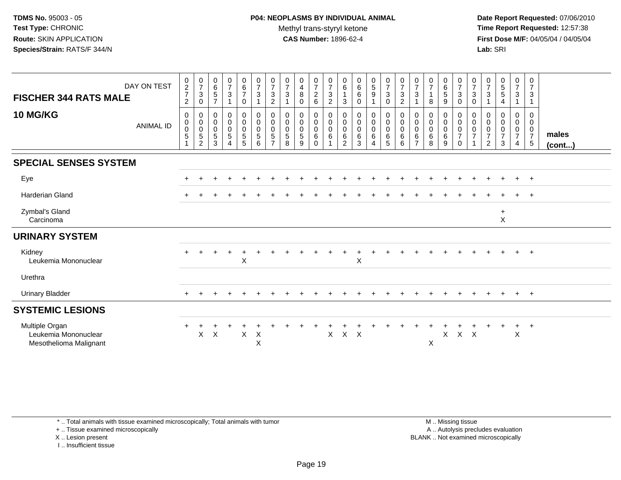**Date Report Requested:** 07/06/2010 **Time Report Requested:** 12:57:38 **First Dose M/F:** 04/05/04 / 04/05/04<br>**Lab:** SRI **Lab:** SRI

| <b>FISCHER 344 RATS MALE</b><br><b>10 MG/KG</b>                  | DAY ON TEST<br><b>ANIMAL ID</b> | $\begin{smallmatrix} 0\\2 \end{smallmatrix}$<br>$\overline{7}$<br>$\overline{2}$<br>$\mathbf 0$<br>0<br>$\boldsymbol{0}$ | $\frac{0}{7}$<br>$\sqrt{3}$<br>$\pmb{0}$<br>0<br>$\mathbf 0$<br>$\mathbf 0$ | $_{6}^{\rm 0}$<br>$5\phantom{.0}$<br>$\overline{7}$<br>0<br>$\mathbf 0$<br>$\mathbf 0$ | $\frac{0}{7}$<br>3<br>0<br>$\mathbf 0$<br>0 | $_{6}^{\rm 0}$<br>$\overline{7}$<br>0<br>$\mathbf 0$<br>$\mathsf{O}\xspace$<br>$\mathbf 0$ | $\frac{0}{7}$<br>$\sqrt{3}$<br>$\mathbf{1}$<br>$\boldsymbol{0}$<br>$\pmb{0}$<br>$\mathbf 0$ | $\frac{0}{7}$<br>3<br>$\overline{2}$<br>0<br>$\mathbf 0$<br>$\mathbf 0$ | $\frac{0}{7}$<br>$\mathbf{3}$<br>$\overline{1}$<br>0<br>$\mathbf 0$<br>$\mathbf 0$ | 0<br>$\overline{4}$<br>8<br>$\mathbf 0$<br>0<br>$\mathbf 0$<br>0 | $\frac{0}{7}$<br>$\sqrt{2}$<br>6<br>0<br>$\mathbf 0$<br>$\mathsf 0$ | $\frac{0}{7}$<br>$\ensuremath{\mathsf{3}}$<br>$\mathbf{2}$<br>0<br>$\pmb{0}$<br>$\boldsymbol{0}$ | 0<br>$\,6\,$<br>$\mathbf{1}$<br>$\mathbf{3}$<br>$\mathbf 0$<br>$\mathbf 0$<br>$\mathbf 0$ | $\pmb{0}$<br>$\,6\,$<br>$\,6\,$<br>$\mathbf 0$<br>0<br>$\mathbf 0$<br>$\mathbf 0$ | $\begin{array}{c} 0 \\ 5 \end{array}$<br>$\boldsymbol{9}$<br>$\mathbf{1}$<br>0<br>$\pmb{0}$<br>$\pmb{0}$ | $\begin{smallmatrix}0\\7\end{smallmatrix}$<br>$\mathbf{3}$<br>$\pmb{0}$<br>$\pmb{0}$<br>$\mathsf{O}\xspace$<br>$\mathbf 0$ | $\frac{0}{7}$<br>3<br>$\overline{a}$<br>0<br>$\mathbf 0$<br>0 | 0<br>$\overline{7}$<br>3<br>0<br>0<br>0 | $\begin{array}{c} 0 \\ 7 \end{array}$<br>8<br>0<br>$\mathbf 0$<br>$\mathbf 0$ | $_{6}^{\rm 0}$<br>$\sqrt{5}$<br>9<br>0<br>$\mathbf 0$<br>$\mathbf 0$ | $\begin{array}{c} 0 \\ 7 \end{array}$<br>$\mathbf{3}$<br>$\mathbf 0$<br>0<br>$\mathbf 0$<br>$\mathbf 0$ | $\frac{0}{7}$<br>3<br>0<br>0<br>$\mathbf 0$<br>$\mathbf 0$ | $\frac{0}{7}$<br>$\mathbf{3}$<br>0<br>0<br>0 | $\begin{array}{c} 0 \\ 5 \\ 5 \end{array}$<br>$\overline{4}$<br>0<br>$\pmb{0}$<br>$\pmb{0}$ | $\begin{smallmatrix}0\\7\end{smallmatrix}$<br>3<br>0<br>$\mathbf 0$<br>$\overline{0}$ | 0<br>$\overline{7}$<br>3<br>1<br>$\mathbf 0$<br>$\mathbf 0$<br>$\mathbf 0$ |                       |
|------------------------------------------------------------------|---------------------------------|--------------------------------------------------------------------------------------------------------------------------|-----------------------------------------------------------------------------|----------------------------------------------------------------------------------------|---------------------------------------------|--------------------------------------------------------------------------------------------|---------------------------------------------------------------------------------------------|-------------------------------------------------------------------------|------------------------------------------------------------------------------------|------------------------------------------------------------------|---------------------------------------------------------------------|--------------------------------------------------------------------------------------------------|-------------------------------------------------------------------------------------------|-----------------------------------------------------------------------------------|----------------------------------------------------------------------------------------------------------|----------------------------------------------------------------------------------------------------------------------------|---------------------------------------------------------------|-----------------------------------------|-------------------------------------------------------------------------------|----------------------------------------------------------------------|---------------------------------------------------------------------------------------------------------|------------------------------------------------------------|----------------------------------------------|---------------------------------------------------------------------------------------------|---------------------------------------------------------------------------------------|----------------------------------------------------------------------------|-----------------------|
|                                                                  |                                 | 5<br>1                                                                                                                   | $\mathbf 5$<br>$\overline{2}$                                               | $\sqrt{5}$<br>3                                                                        | 5<br>4                                      | $\sqrt{5}$<br>$\overline{5}$                                                               | $\sqrt{5}$<br>6                                                                             | 5<br>$\overline{ }$                                                     | $\overline{5}$<br>8                                                                | 5<br>9                                                           | 6<br>$\mathbf 0$                                                    | $\,6$<br>$\overline{1}$                                                                          | 6<br>$\overline{2}$                                                                       | $\,6$<br>3                                                                        | $\,6\,$<br>4                                                                                             | 6<br>$5\phantom{.0}$                                                                                                       | 6<br>6                                                        | 6<br>$\overline{7}$                     | $\,6\,$<br>8                                                                  | 6<br>9                                                               | $\boldsymbol{7}$<br>$\mathbf 0$                                                                         | $\overline{7}$                                             | $\overline{7}$<br>$\overline{c}$             | $\overline{7}$<br>3                                                                         | $\overline{7}$<br>4                                                                   | $\overline{7}$<br>$\sqrt{5}$                                               | males<br>$($ cont $)$ |
| <b>SPECIAL SENSES SYSTEM</b>                                     |                                 |                                                                                                                          |                                                                             |                                                                                        |                                             |                                                                                            |                                                                                             |                                                                         |                                                                                    |                                                                  |                                                                     |                                                                                                  |                                                                                           |                                                                                   |                                                                                                          |                                                                                                                            |                                                               |                                         |                                                                               |                                                                      |                                                                                                         |                                                            |                                              |                                                                                             |                                                                                       |                                                                            |                       |
| Eye                                                              |                                 |                                                                                                                          |                                                                             |                                                                                        |                                             |                                                                                            |                                                                                             |                                                                         |                                                                                    |                                                                  |                                                                     |                                                                                                  |                                                                                           |                                                                                   |                                                                                                          |                                                                                                                            |                                                               |                                         |                                                                               |                                                                      |                                                                                                         |                                                            |                                              |                                                                                             | $+$                                                                                   | $+$                                                                        |                       |
| <b>Harderian Gland</b>                                           |                                 |                                                                                                                          |                                                                             |                                                                                        |                                             |                                                                                            |                                                                                             |                                                                         |                                                                                    |                                                                  |                                                                     |                                                                                                  |                                                                                           |                                                                                   |                                                                                                          |                                                                                                                            |                                                               |                                         |                                                                               |                                                                      |                                                                                                         |                                                            |                                              |                                                                                             | $\pm$                                                                                 | $+$                                                                        |                       |
| Zymbal's Gland<br>Carcinoma                                      |                                 |                                                                                                                          |                                                                             |                                                                                        |                                             |                                                                                            |                                                                                             |                                                                         |                                                                                    |                                                                  |                                                                     |                                                                                                  |                                                                                           |                                                                                   |                                                                                                          |                                                                                                                            |                                                               |                                         |                                                                               |                                                                      |                                                                                                         |                                                            |                                              | $\ddot{}$<br>X                                                                              |                                                                                       |                                                                            |                       |
| <b>URINARY SYSTEM</b>                                            |                                 |                                                                                                                          |                                                                             |                                                                                        |                                             |                                                                                            |                                                                                             |                                                                         |                                                                                    |                                                                  |                                                                     |                                                                                                  |                                                                                           |                                                                                   |                                                                                                          |                                                                                                                            |                                                               |                                         |                                                                               |                                                                      |                                                                                                         |                                                            |                                              |                                                                                             |                                                                                       |                                                                            |                       |
| Kidney<br>Leukemia Mononuclear                                   |                                 |                                                                                                                          |                                                                             |                                                                                        | $\ddot{}$                                   | $\ddot{}$<br>X                                                                             |                                                                                             |                                                                         |                                                                                    |                                                                  |                                                                     |                                                                                                  |                                                                                           | X                                                                                 |                                                                                                          |                                                                                                                            |                                                               |                                         |                                                                               |                                                                      |                                                                                                         |                                                            |                                              |                                                                                             | $+$                                                                                   | $+$                                                                        |                       |
| Urethra                                                          |                                 |                                                                                                                          |                                                                             |                                                                                        |                                             |                                                                                            |                                                                                             |                                                                         |                                                                                    |                                                                  |                                                                     |                                                                                                  |                                                                                           |                                                                                   |                                                                                                          |                                                                                                                            |                                                               |                                         |                                                                               |                                                                      |                                                                                                         |                                                            |                                              |                                                                                             |                                                                                       |                                                                            |                       |
| <b>Urinary Bladder</b>                                           |                                 |                                                                                                                          |                                                                             |                                                                                        |                                             |                                                                                            |                                                                                             |                                                                         |                                                                                    |                                                                  |                                                                     |                                                                                                  |                                                                                           |                                                                                   |                                                                                                          |                                                                                                                            |                                                               |                                         |                                                                               | $\pm$                                                                |                                                                                                         |                                                            |                                              | $\pm$                                                                                       | $+$                                                                                   | $+$                                                                        |                       |
| <b>SYSTEMIC LESIONS</b>                                          |                                 |                                                                                                                          |                                                                             |                                                                                        |                                             |                                                                                            |                                                                                             |                                                                         |                                                                                    |                                                                  |                                                                     |                                                                                                  |                                                                                           |                                                                                   |                                                                                                          |                                                                                                                            |                                                               |                                         |                                                                               |                                                                      |                                                                                                         |                                                            |                                              |                                                                                             |                                                                                       |                                                                            |                       |
| Multiple Organ<br>Leukemia Mononuclear<br>Mesothelioma Malignant |                                 | $\ddot{}$                                                                                                                | X                                                                           | $\boldsymbol{\mathsf{X}}$                                                              |                                             | X                                                                                          | X<br>$\sf X$                                                                                |                                                                         |                                                                                    |                                                                  |                                                                     | X                                                                                                | $X$ $X$                                                                                   |                                                                                   |                                                                                                          |                                                                                                                            |                                                               |                                         | X                                                                             | X                                                                    | $X$ $X$                                                                                                 |                                                            |                                              | $\ddot{}$                                                                                   | $\ddot{}$<br>$\sf X$                                                                  | $+$                                                                        |                       |

\* .. Total animals with tissue examined microscopically; Total animals with tumor

+ .. Tissue examined microscopically

X .. Lesion present

I .. Insufficient tissue

 M .. Missing tissuey the contract of the contract of the contract of the contract of the contract of the contract of the contract of  $A$ . Autolysis precludes evaluation Lesion present BLANK .. Not examined microscopically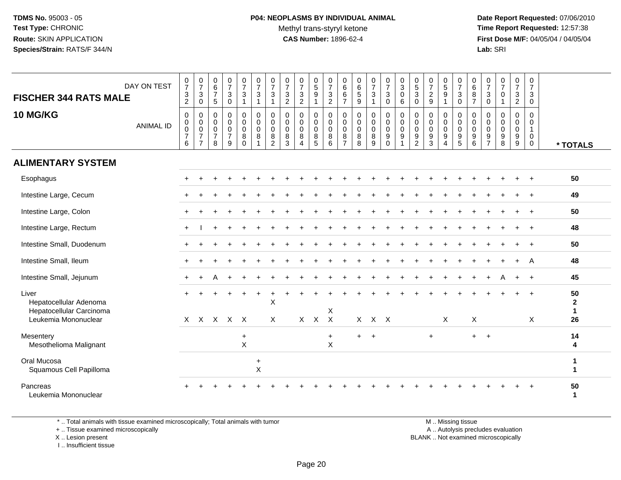# **P04: NEOPLASMS BY INDIVIDUAL ANIMAL**Methyl trans-styryl ketone<br>CAS Number: 1896-62-4

 **Date Report Requested:** 07/06/2010 **Time Report Requested:** 12:57:38 **First Dose M/F:** 04/05/04 / 04/05/04<br>**Lab:** SRI **Lab:** SRI

| <b>FISCHER 344 RATS MALE</b>                                                        | DAY ON TEST      | $\begin{array}{c} 0 \\ 7 \end{array}$<br>$\ensuremath{\mathsf{3}}$<br>$\sqrt{2}$ | $\frac{0}{7}$<br>$\mathbf{3}$<br>$\mathbf 0$                    | $\begin{array}{c} 0 \\ 6 \\ 7 \end{array}$<br>$\sqrt{5}$       | $\begin{array}{c} 0 \\ 7 \end{array}$<br>$\ensuremath{\mathsf{3}}$<br>$\pmb{0}$ | $\frac{0}{7}$<br>$\mathbf{3}$<br>$\overline{1}$   | $\begin{array}{c} 0 \\ 7 \end{array}$<br>$\sqrt{3}$<br>$\mathbf{1}$ | $\frac{0}{7}$<br>$\mathbf{3}$<br>$\mathbf{1}$          | $\frac{0}{7}$<br>$\ensuremath{\mathsf{3}}$<br>$\overline{2}$ | $\begin{array}{c} 0 \\ 7 \end{array}$<br>$\ensuremath{\mathsf{3}}$<br>$\sqrt{2}$ | $\begin{array}{c} 0 \\ 5 \\ 9 \end{array}$<br>$\overline{1}$             | $\begin{array}{c} 0 \\ 7 \end{array}$<br>$\frac{3}{2}$  | 0<br>$6\overline{6}$<br>$\,6$<br>$\overline{7}$        | $\begin{array}{c} 0 \\ 6 \\ 5 \end{array}$<br>$\boldsymbol{9}$ | $\frac{0}{7}$<br>$\sqrt{3}$<br>$\mathbf{1}$ | $\begin{smallmatrix}0\\7\end{smallmatrix}$<br>$\mathsf 3$<br>$\mathbf 0$ | $_{3}^{\rm 0}$<br>$\mathbf 0$<br>6                   | $^{\rm 0}_{\rm 5}$<br>3<br>$\mathbf 0$                 | $\frac{0}{7}$<br>$\overline{2}$<br>$9\,$                            | $\begin{array}{c} 0 \\ 5 \\ 9 \end{array}$<br>$\mathbf{1}$                  | $\begin{array}{c} 0 \\ 7 \end{array}$<br>$\mathsf 3$<br>$\mathbf 0$ | $\pmb{0}$<br>$\overline{6}$<br>$\,8\,$<br>$\overline{7}$ | 0<br>$\overline{7}$<br>3<br>$\mathbf 0$                | $\frac{0}{7}$<br>$\mathbf 0$<br>$\mathbf{1}$        | $\frac{0}{7}$<br>$\ensuremath{\mathsf{3}}$<br>$\overline{2}$ | $\frac{0}{7}$<br>3<br>$\mathbf 0$                         |                                                  |
|-------------------------------------------------------------------------------------|------------------|----------------------------------------------------------------------------------|-----------------------------------------------------------------|----------------------------------------------------------------|---------------------------------------------------------------------------------|---------------------------------------------------|---------------------------------------------------------------------|--------------------------------------------------------|--------------------------------------------------------------|----------------------------------------------------------------------------------|--------------------------------------------------------------------------|---------------------------------------------------------|--------------------------------------------------------|----------------------------------------------------------------|---------------------------------------------|--------------------------------------------------------------------------|------------------------------------------------------|--------------------------------------------------------|---------------------------------------------------------------------|-----------------------------------------------------------------------------|---------------------------------------------------------------------|----------------------------------------------------------|--------------------------------------------------------|-----------------------------------------------------|--------------------------------------------------------------|-----------------------------------------------------------|--------------------------------------------------|
| <b>10 MG/KG</b>                                                                     | <b>ANIMAL ID</b> | $\mathbf 0$<br>$\mathbf 0$<br>$\boldsymbol{0}$<br>$\overline{7}$<br>$\,6\,$      | 0<br>$\pmb{0}$<br>$\pmb{0}$<br>$\overline{7}$<br>$\overline{7}$ | 0<br>$\mathsf{O}\xspace$<br>$\mathbf 0$<br>$\overline{7}$<br>8 | $\mathbf 0$<br>$\mathsf 0$<br>$\mathsf 0$<br>$\overline{7}$<br>9                | 0<br>$\mathbf 0$<br>$\pmb{0}$<br>8<br>$\mathbf 0$ | $\pmb{0}$<br>$\mathbf 0$<br>$\overline{0}$<br>8<br>$\overline{1}$   | 0<br>$\mathbf 0$<br>$\mathbf 0$<br>8<br>$\overline{c}$ | 0<br>$\mathbf 0$<br>$\mathbf 0$<br>8<br>$\mathbf{3}$         | 0<br>$\mathbf 0$<br>$\pmb{0}$<br>$\bf 8$<br>$\overline{4}$                       | 0<br>$\mathbf 0$<br>$\mathbf 0$<br>$\begin{array}{c} 8 \\ 5 \end{array}$ | 0<br>$\mathbf 0$<br>$\mathbf 0$<br>8<br>$6\phantom{1}6$ | 0<br>$\mathbf 0$<br>$\mathsf 0$<br>8<br>$\overline{7}$ | 0<br>$\mathbf 0$<br>$\pmb{0}$<br>8<br>8                        | 0<br>$\pmb{0}$<br>$\pmb{0}$<br>8<br>9       | 0<br>$\mathbf 0$<br>$\mathbf 0$<br>9<br>$\mathbf 0$                      | 0<br>$\mathbf 0$<br>$\mathbf 0$<br>9<br>$\mathbf{1}$ | 0<br>$\mathbf 0$<br>$\mathbf 0$<br>9<br>$\overline{c}$ | 0<br>$\mathbf 0$<br>$\mathbf 0$<br>$\boldsymbol{9}$<br>$\mathbf{3}$ | 0<br>$\mathsf{O}\xspace$<br>$\pmb{0}$<br>$\boldsymbol{9}$<br>$\overline{4}$ | $\mathbf 0$<br>$\mathbf 0$<br>$\mathbf 0$<br>$\frac{9}{5}$          | 0<br>$\Omega$<br>$\mathsf{O}\xspace$<br>9<br>6           | 0<br>$\mathbf 0$<br>$\mathbf 0$<br>9<br>$\overline{7}$ | $\mathbf 0$<br>$\mathbf 0$<br>$\mathbf 0$<br>9<br>8 | 0<br>$\mathsf 0$<br>$\pmb{0}$<br>9<br>$9\,$                  | 0<br>$\Omega$<br>$\mathbf{1}$<br>$\pmb{0}$<br>$\mathbf 0$ | * TOTALS                                         |
| <b>ALIMENTARY SYSTEM</b>                                                            |                  |                                                                                  |                                                                 |                                                                |                                                                                 |                                                   |                                                                     |                                                        |                                                              |                                                                                  |                                                                          |                                                         |                                                        |                                                                |                                             |                                                                          |                                                      |                                                        |                                                                     |                                                                             |                                                                     |                                                          |                                                        |                                                     |                                                              |                                                           |                                                  |
| Esophagus                                                                           |                  |                                                                                  |                                                                 |                                                                |                                                                                 |                                                   |                                                                     |                                                        |                                                              |                                                                                  |                                                                          |                                                         |                                                        |                                                                |                                             |                                                                          |                                                      |                                                        |                                                                     |                                                                             |                                                                     |                                                          |                                                        |                                                     |                                                              |                                                           | 50                                               |
| Intestine Large, Cecum                                                              |                  |                                                                                  |                                                                 |                                                                |                                                                                 |                                                   |                                                                     |                                                        |                                                              |                                                                                  |                                                                          |                                                         |                                                        |                                                                |                                             |                                                                          |                                                      |                                                        |                                                                     |                                                                             |                                                                     |                                                          |                                                        |                                                     |                                                              |                                                           | 49                                               |
| Intestine Large, Colon                                                              |                  |                                                                                  |                                                                 |                                                                |                                                                                 |                                                   |                                                                     |                                                        |                                                              |                                                                                  |                                                                          |                                                         |                                                        |                                                                |                                             |                                                                          |                                                      |                                                        |                                                                     |                                                                             |                                                                     |                                                          |                                                        |                                                     |                                                              |                                                           | 50                                               |
| Intestine Large, Rectum                                                             |                  |                                                                                  |                                                                 |                                                                |                                                                                 |                                                   |                                                                     |                                                        |                                                              |                                                                                  |                                                                          |                                                         |                                                        |                                                                |                                             |                                                                          |                                                      |                                                        |                                                                     |                                                                             |                                                                     |                                                          |                                                        |                                                     |                                                              |                                                           | 48                                               |
| Intestine Small, Duodenum                                                           |                  |                                                                                  |                                                                 |                                                                |                                                                                 |                                                   |                                                                     |                                                        |                                                              |                                                                                  |                                                                          |                                                         |                                                        |                                                                |                                             |                                                                          |                                                      |                                                        |                                                                     |                                                                             |                                                                     |                                                          |                                                        |                                                     | $\ddot{}$                                                    | $+$                                                       | 50                                               |
| Intestine Small, Ileum                                                              |                  |                                                                                  |                                                                 |                                                                |                                                                                 |                                                   |                                                                     |                                                        |                                                              |                                                                                  |                                                                          |                                                         |                                                        |                                                                |                                             |                                                                          |                                                      |                                                        |                                                                     |                                                                             |                                                                     |                                                          |                                                        |                                                     | $\ddot{}$                                                    | A                                                         | 48                                               |
| Intestine Small, Jejunum                                                            |                  |                                                                                  |                                                                 |                                                                |                                                                                 |                                                   |                                                                     |                                                        |                                                              |                                                                                  |                                                                          |                                                         |                                                        |                                                                |                                             |                                                                          |                                                      |                                                        |                                                                     |                                                                             |                                                                     |                                                          |                                                        |                                                     | $+$                                                          | $+$                                                       | 45                                               |
| Liver<br>Hepatocellular Adenoma<br>Hepatocellular Carcinoma<br>Leukemia Mononuclear |                  |                                                                                  |                                                                 | x x x x x                                                      |                                                                                 |                                                   |                                                                     | Χ<br>$\times$                                          |                                                              |                                                                                  | $X$ $X$                                                                  | X<br>$\mathsf{X}$                                       |                                                        |                                                                | $X$ $X$ $X$                                 |                                                                          |                                                      |                                                        |                                                                     | X                                                                           |                                                                     | X                                                        |                                                        |                                                     |                                                              | $\ddot{}$<br>X                                            | 50<br>$\mathbf{2}$<br>$\blacktriangleleft$<br>26 |
| Mesentery<br>Mesothelioma Malignant                                                 |                  |                                                                                  |                                                                 |                                                                |                                                                                 | $\ddot{}$<br>$\boldsymbol{\mathsf{X}}$            |                                                                     |                                                        |                                                              |                                                                                  |                                                                          | $\ddot{}$<br>X                                          |                                                        | $+$                                                            | $\overline{1}$                              |                                                                          |                                                      |                                                        | $\ddot{}$                                                           |                                                                             |                                                                     | $+$                                                      | $+$                                                    |                                                     |                                                              |                                                           | 14<br>4                                          |
| Oral Mucosa<br>Squamous Cell Papilloma                                              |                  |                                                                                  |                                                                 |                                                                |                                                                                 |                                                   | $\ddot{}$<br>$\boldsymbol{\mathsf{X}}$                              |                                                        |                                                              |                                                                                  |                                                                          |                                                         |                                                        |                                                                |                                             |                                                                          |                                                      |                                                        |                                                                     |                                                                             |                                                                     |                                                          |                                                        |                                                     |                                                              |                                                           | 1<br>1                                           |
| Pancreas<br>Leukemia Mononuclear                                                    |                  |                                                                                  |                                                                 |                                                                |                                                                                 |                                                   |                                                                     |                                                        |                                                              |                                                                                  |                                                                          |                                                         |                                                        |                                                                |                                             |                                                                          |                                                      |                                                        |                                                                     |                                                                             |                                                                     |                                                          |                                                        |                                                     |                                                              | $\ddot{}$                                                 | 50<br>1                                          |

\* .. Total animals with tissue examined microscopically; Total animals with tumor

+ .. Tissue examined microscopically

X .. Lesion present

I .. Insufficient tissue

 M .. Missing tissuey the contract of the contract of the contract of the contract of the contract of the contract of the contract of  $A$ . Autolysis precludes evaluation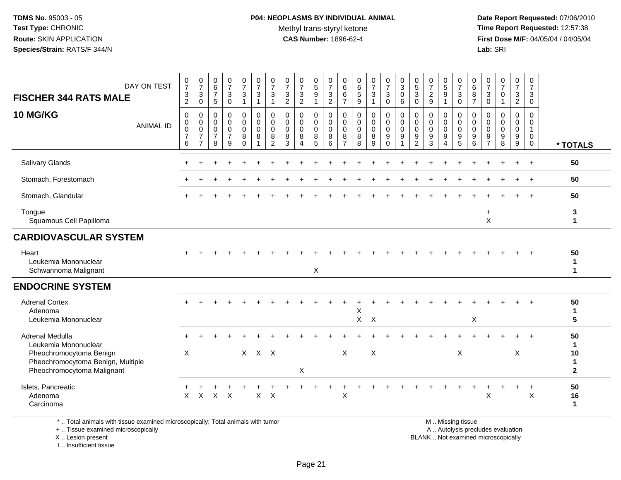# **P04: NEOPLASMS BY INDIVIDUAL ANIMAL**Methyl trans-styryl ketone<br>CAS Number: 1896-62-4

 **Date Report Requested:** 07/06/2010 **Time Report Requested:** 12:57:38 **First Dose M/F:** 04/05/04 / 04/05/04<br>**Lab:** SRI **Lab:** SRI

| <b>FISCHER 344 RATS MALE</b>                                                                            | DAY ON TEST      | $\frac{0}{7}$<br>$\frac{3}{2}$                               | $\frac{0}{7}$<br>$\ensuremath{\mathsf{3}}$<br>$\mathsf 0$       | $\begin{array}{c} 0 \\ 6 \\ 7 \end{array}$<br>$\sqrt{5}$         | $\frac{0}{7}$<br>$\ensuremath{\mathsf{3}}$<br>$\mathbf 0$        | $\frac{0}{7}$<br>3<br>$\mathbf{1}$                       | $\frac{0}{7}$<br>$\mathbf{3}$<br>$\mathbf{1}$                  | $\frac{0}{7}$<br>3<br>$\mathbf{1}$                               | $\boldsymbol{0}$<br>$\boldsymbol{7}$<br>$\frac{3}{2}$ | $\frac{0}{7}$<br>$\frac{3}{2}$                                         | $\begin{array}{c} 0 \\ 5 \\ 9 \end{array}$<br>$\overline{1}$ | $\frac{0}{7}$<br>$\frac{3}{2}$                      | 0<br>$\,6\,$<br>$\,6\,$<br>$\overline{7}$                    | $\begin{array}{c} 0 \\ 6 \end{array}$<br>$\sqrt{5}$<br>$\boldsymbol{9}$ | $\frac{0}{7}$<br>$\mathbf{3}$<br>$\mathbf{1}$ | $\frac{0}{7}$<br>$\mathbf{3}$<br>$\mathbf 0$                               | $\begin{smallmatrix} 0\\ 3 \end{smallmatrix}$<br>$\pmb{0}$<br>$\,6\,$ | $\begin{array}{c} 0 \\ 5 \\ 3 \end{array}$<br>$\mathbf 0$       | $\frac{0}{7}$<br>$\frac{2}{9}$                      | $\begin{array}{c} 0 \\ 5 \end{array}$<br>$\boldsymbol{9}$<br>1 | $\frac{0}{7}$<br>$\mathbf{3}$<br>$\pmb{0}$               | 0<br>6<br>8<br>$\overline{7}$   | 0<br>$\overline{7}$<br>$\ensuremath{\mathsf{3}}$<br>$\pmb{0}$ | $\frac{0}{7}$<br>$\pmb{0}$<br>$\mathbf{1}$                         | $\frac{0}{7}$<br>$\ensuremath{\mathsf{3}}$<br>$\overline{2}$ | 0<br>$\overline{7}$<br>$\sqrt{3}$<br>$\mathbf 0$                         |                                       |
|---------------------------------------------------------------------------------------------------------|------------------|--------------------------------------------------------------|-----------------------------------------------------------------|------------------------------------------------------------------|------------------------------------------------------------------|----------------------------------------------------------|----------------------------------------------------------------|------------------------------------------------------------------|-------------------------------------------------------|------------------------------------------------------------------------|--------------------------------------------------------------|-----------------------------------------------------|--------------------------------------------------------------|-------------------------------------------------------------------------|-----------------------------------------------|----------------------------------------------------------------------------|-----------------------------------------------------------------------|-----------------------------------------------------------------|-----------------------------------------------------|----------------------------------------------------------------|----------------------------------------------------------|---------------------------------|---------------------------------------------------------------|--------------------------------------------------------------------|--------------------------------------------------------------|--------------------------------------------------------------------------|---------------------------------------|
| 10 MG/KG                                                                                                | <b>ANIMAL ID</b> | 0<br>$\pmb{0}$<br>$\mathsf{O}\xspace$<br>$\overline{7}$<br>6 | 0<br>$\pmb{0}$<br>$\pmb{0}$<br>$\overline{7}$<br>$\overline{7}$ | $\mathbf 0$<br>$\mathbf 0$<br>$\mathbf 0$<br>$\overline{7}$<br>8 | $\mathbf 0$<br>$\mathbf 0$<br>$\mathbf 0$<br>$\overline{7}$<br>9 | 0<br>$\mathsf{O}\xspace$<br>$\mathbf 0$<br>8<br>$\Omega$ | $\mathbf 0$<br>$\mathsf 0$<br>$\mathbf 0$<br>8<br>$\mathbf{1}$ | $\mathbf 0$<br>$\mathbf 0$<br>$\mathbf 0$<br>8<br>$\overline{2}$ | $\mathbf 0$<br>0<br>$\mathbf 0$<br>8<br>3             | $\mathbf 0$<br>$\mathbf 0$<br>$\mathbf 0$<br>$\,8\,$<br>$\overline{4}$ | 0<br>$\mathbf 0$<br>$\mathbf 0$<br>$\bf 8$<br>$\overline{5}$ | $\mathbf 0$<br>$\mathbf 0$<br>$\mathbf 0$<br>8<br>6 | 0<br>$\mathbf 0$<br>$\mathbf 0$<br>$\,8\,$<br>$\overline{7}$ | $\mathbf 0$<br>$\pmb{0}$<br>$\mathsf 0$<br>$\,8\,$<br>8                 | 0<br>$\mathbf 0$<br>$\mathbf 0$<br>8<br>9     | 0<br>$\mathsf{O}\xspace$<br>$\mathbf 0$<br>$\boldsymbol{9}$<br>$\mathbf 0$ | $\pmb{0}$<br>$\pmb{0}$<br>$\mathbf 0$<br>$9\,$<br>$\mathbf{1}$        | 0<br>$\boldsymbol{0}$<br>$\mathbf 0$<br>$9\,$<br>$\overline{2}$ | $\mathbf 0$<br>$\mathbf 0$<br>$\mathbf 0$<br>9<br>3 | 0<br>$\mathbf 0$<br>$\mathbf 0$<br>9<br>$\overline{4}$         | 0<br>$\mathbf 0$<br>$\mathbf 0$<br>$\boldsymbol{9}$<br>5 | 0<br>0<br>$\mathbf 0$<br>9<br>6 | 0<br>0<br>0<br>9<br>$\overline{7}$                            | $\mathbf 0$<br>$\mathbf 0$<br>$\mathbf 0$<br>$\boldsymbol{9}$<br>8 | 0<br>$\mathbf 0$<br>$\mathbf 0$<br>9<br>$9\,$                | $\mathbf 0$<br>$\mathbf 0$<br>$\mathbf{1}$<br>$\mathbf 0$<br>$\mathbf 0$ | * TOTALS                              |
| Salivary Glands                                                                                         |                  |                                                              |                                                                 |                                                                  |                                                                  |                                                          |                                                                |                                                                  |                                                       |                                                                        |                                                              |                                                     |                                                              |                                                                         |                                               |                                                                            |                                                                       |                                                                 |                                                     |                                                                |                                                          |                                 |                                                               |                                                                    |                                                              | $\ddot{}$                                                                | 50                                    |
| Stomach, Forestomach                                                                                    |                  |                                                              |                                                                 |                                                                  |                                                                  |                                                          |                                                                |                                                                  |                                                       |                                                                        |                                                              |                                                     |                                                              |                                                                         |                                               |                                                                            |                                                                       |                                                                 |                                                     |                                                                |                                                          |                                 |                                                               |                                                                    |                                                              | $\overline{+}$                                                           | 50                                    |
| Stomach, Glandular                                                                                      |                  |                                                              |                                                                 |                                                                  |                                                                  |                                                          |                                                                |                                                                  |                                                       |                                                                        |                                                              |                                                     |                                                              |                                                                         |                                               |                                                                            |                                                                       |                                                                 |                                                     |                                                                |                                                          |                                 |                                                               |                                                                    |                                                              |                                                                          | 50                                    |
| Tongue<br>Squamous Cell Papilloma                                                                       |                  |                                                              |                                                                 |                                                                  |                                                                  |                                                          |                                                                |                                                                  |                                                       |                                                                        |                                                              |                                                     |                                                              |                                                                         |                                               |                                                                            |                                                                       |                                                                 |                                                     |                                                                |                                                          |                                 | $+$<br>X                                                      |                                                                    |                                                              |                                                                          | 3<br>$\blacktriangleleft$             |
| <b>CARDIOVASCULAR SYSTEM</b>                                                                            |                  |                                                              |                                                                 |                                                                  |                                                                  |                                                          |                                                                |                                                                  |                                                       |                                                                        |                                                              |                                                     |                                                              |                                                                         |                                               |                                                                            |                                                                       |                                                                 |                                                     |                                                                |                                                          |                                 |                                                               |                                                                    |                                                              |                                                                          |                                       |
| Heart<br>Leukemia Mononuclear<br>Schwannoma Malignant                                                   |                  |                                                              |                                                                 |                                                                  |                                                                  |                                                          |                                                                |                                                                  |                                                       |                                                                        | X                                                            |                                                     |                                                              |                                                                         |                                               |                                                                            |                                                                       |                                                                 |                                                     |                                                                |                                                          |                                 |                                                               |                                                                    |                                                              |                                                                          | 50<br>1<br>$\mathbf{1}$               |
| <b>ENDOCRINE SYSTEM</b>                                                                                 |                  |                                                              |                                                                 |                                                                  |                                                                  |                                                          |                                                                |                                                                  |                                                       |                                                                        |                                                              |                                                     |                                                              |                                                                         |                                               |                                                                            |                                                                       |                                                                 |                                                     |                                                                |                                                          |                                 |                                                               |                                                                    |                                                              |                                                                          |                                       |
| <b>Adrenal Cortex</b><br>Adenoma<br>Leukemia Mononuclear                                                |                  |                                                              |                                                                 |                                                                  |                                                                  |                                                          |                                                                |                                                                  |                                                       |                                                                        |                                                              |                                                     |                                                              | X<br>$\mathsf{X}$                                                       | $\times$                                      |                                                                            |                                                                       |                                                                 |                                                     |                                                                |                                                          | X                               |                                                               |                                                                    |                                                              |                                                                          | 50<br>1<br>5                          |
| Adrenal Medulla<br>Leukemia Mononuclear<br>Pheochromocytoma Benign<br>Pheochromocytoma Benign, Multiple |                  | X                                                            |                                                                 |                                                                  |                                                                  |                                                          | $X$ $X$ $X$                                                    |                                                                  |                                                       |                                                                        |                                                              |                                                     | $\mathsf{X}$                                                 |                                                                         | $\boldsymbol{\mathsf{X}}$                     |                                                                            |                                                                       |                                                                 |                                                     |                                                                | X                                                        |                                 |                                                               |                                                                    | X                                                            |                                                                          | 50<br>1<br>10<br>$\blacktriangleleft$ |
| Pheochromocytoma Malignant                                                                              |                  |                                                              |                                                                 |                                                                  |                                                                  |                                                          |                                                                |                                                                  |                                                       | X                                                                      |                                                              |                                                     |                                                              |                                                                         |                                               |                                                                            |                                                                       |                                                                 |                                                     |                                                                |                                                          |                                 |                                                               |                                                                    |                                                              |                                                                          | $\mathbf{2}$                          |
| Islets, Pancreatic<br>Adenoma<br>Carcinoma                                                              |                  | X                                                            | X                                                               |                                                                  | $X$ $X$                                                          |                                                          | $\mathsf{X}$                                                   | $\times$                                                         |                                                       |                                                                        |                                                              |                                                     | Χ                                                            |                                                                         |                                               |                                                                            |                                                                       |                                                                 |                                                     |                                                                |                                                          |                                 | X                                                             |                                                                    | +                                                            | $\overline{+}$<br>$\boldsymbol{\mathsf{X}}$                              | 50<br>16<br>$\mathbf{1}$              |

\* .. Total animals with tissue examined microscopically; Total animals with tumor

+ .. Tissue examined microscopically

X .. Lesion present

I .. Insufficient tissue

M .. Missing tissue

y the contract of the contract of the contract of the contract of the contract of the contract of the contract of  $A$ . Autolysis precludes evaluation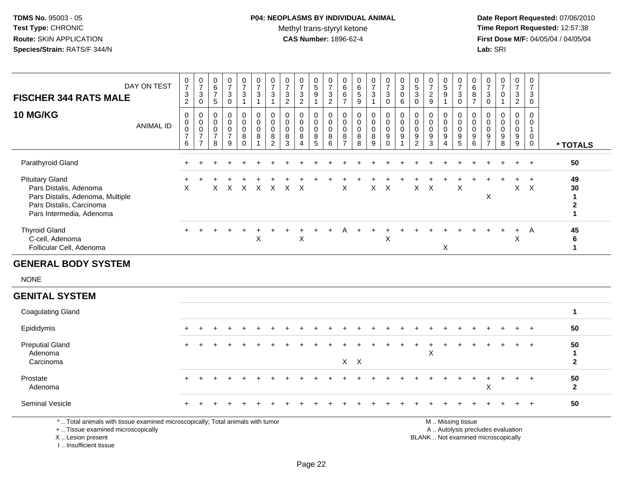# **P04: NEOPLASMS BY INDIVIDUAL ANIMAL**Methyl trans-styryl ketone<br>CAS Number: 1896-62-4

 **Date Report Requested:** 07/06/2010 **Time Report Requested:** 12:57:38 **First Dose M/F:** 04/05/04 / 04/05/04<br>Lab: SRI **Lab:** SRI

| <b>FISCHER 344 RATS MALE</b>                                                                                                                 | DAY ON TEST      | $\frac{0}{7}$<br>$\ensuremath{\mathsf{3}}$<br>$\overline{2}$ | $\frac{0}{7}$<br>$\sqrt{3}$<br>$\mathbf 0$                                                    | $\pmb{0}$<br>6<br>$\overline{7}$<br>$\sqrt{5}$                   | 0<br>$\overline{7}$<br>3<br>$\mathbf 0$                          | $\frac{0}{7}$<br>3<br>$\mathbf{1}$     | $\begin{array}{c} 0 \\ 7 \end{array}$<br>$\ensuremath{\mathsf{3}}$<br>$\mathbf{1}$ | $\frac{0}{7}$<br>$\sqrt{3}$<br>$\mathbf{1}$        | $\pmb{0}$<br>$\boldsymbol{7}$<br>$\ensuremath{\mathsf{3}}$<br>$\overline{2}$ | $\begin{matrix} 0 \\ 7 \end{matrix}$<br>$\ensuremath{\mathsf{3}}$<br>2 | $\begin{smallmatrix}0\0\5\end{smallmatrix}$<br>$\boldsymbol{9}$<br>$\mathbf{1}$ | $\begin{array}{c} 0 \\ 7 \end{array}$<br>$\frac{3}{2}$ | 0<br>6<br>6<br>$\overline{7}$                          | 0<br>6<br>$\,$ 5 $\,$<br>$\boldsymbol{9}$ | $\begin{array}{c} 0 \\ 7 \end{array}$<br>$\sqrt{3}$<br>$\mathbf{1}$ | $\begin{smallmatrix}0\\7\end{smallmatrix}$<br>3<br>$\mathbf 0$ | $\pmb{0}$<br>$\sqrt{3}$<br>$\mathbf 0$<br>6                                | 0<br>$\,$ 5 $\,$<br>$\mathbf{3}$<br>$\mathbf 0$                                 | $\frac{0}{7}$<br>$\sqrt{2}$<br>9                         | $\begin{array}{c} 0 \\ 5 \end{array}$<br>$\boldsymbol{9}$<br>1 | $\pmb{0}$<br>$\overline{7}$<br>$\ensuremath{\mathsf{3}}$<br>$\mathbf 0$ | $\pmb{0}$<br>$\,6\,$<br>8<br>$\overline{7}$             | 0<br>$\overline{7}$<br>$\mathbf{3}$<br>$\mathbf 0$ | $\pmb{0}$<br>$\overline{7}$<br>$\mathbf 0$<br>$\mathbf{1}$                                                      | 0<br>$\overline{7}$<br>3<br>$\overline{2}$ | $\pmb{0}$<br>$\overline{7}$<br>3<br>$\mathbf 0$                   |                                                             |
|----------------------------------------------------------------------------------------------------------------------------------------------|------------------|--------------------------------------------------------------|-----------------------------------------------------------------------------------------------|------------------------------------------------------------------|------------------------------------------------------------------|----------------------------------------|------------------------------------------------------------------------------------|----------------------------------------------------|------------------------------------------------------------------------------|------------------------------------------------------------------------|---------------------------------------------------------------------------------|--------------------------------------------------------|--------------------------------------------------------|-------------------------------------------|---------------------------------------------------------------------|----------------------------------------------------------------|----------------------------------------------------------------------------|---------------------------------------------------------------------------------|----------------------------------------------------------|----------------------------------------------------------------|-------------------------------------------------------------------------|---------------------------------------------------------|----------------------------------------------------|-----------------------------------------------------------------------------------------------------------------|--------------------------------------------|-------------------------------------------------------------------|-------------------------------------------------------------|
| 10 MG/KG                                                                                                                                     | <b>ANIMAL ID</b> | $\mathbf 0$<br>$\mathbf 0$<br>0<br>$\overline{7}$<br>6       | $\mathbf 0$<br>$\mathsf{O}\xspace$<br>$\mathsf{O}\xspace$<br>$\overline{7}$<br>$\overline{7}$ | $\mathbf 0$<br>$\mathbf 0$<br>$\mathbf 0$<br>$\overline{7}$<br>8 | $\mathbf 0$<br>$\mathbf 0$<br>$\mathbf 0$<br>$\overline{7}$<br>9 | 0<br>0<br>$\mathbf 0$<br>8<br>$\Omega$ | $\pmb{0}$<br>0<br>0<br>8<br>$\mathbf{1}$                                           | 0<br>$\mathbf 0$<br>0<br>$\bf 8$<br>$\overline{2}$ | $\mathbf 0$<br>$\mathbf 0$<br>$\mathbf 0$<br>8<br>3                          | $\pmb{0}$<br>$\mathbf 0$<br>$\mathbf 0$<br>8<br>$\boldsymbol{\Lambda}$ | 0<br>0<br>0<br>8<br>5                                                           | $\pmb{0}$<br>$\mathbf 0$<br>$\pmb{0}$<br>8<br>6        | 0<br>$\mathbf 0$<br>$\mathbf 0$<br>8<br>$\overline{7}$ | 0<br>0<br>0<br>8<br>8                     | $\pmb{0}$<br>$\mathbf 0$<br>$\mathbf 0$<br>$\bf 8$<br>9             | 0<br>0<br>0<br>$\boldsymbol{9}$<br>$\Omega$                    | $\mathbf 0$<br>$\mathsf{O}\xspace$<br>$\mathbf 0$<br>$9\,$<br>$\mathbf{1}$ | $\mathbf 0$<br>$\mathbf 0$<br>$\mathbf 0$<br>$\boldsymbol{9}$<br>$\overline{2}$ | $\mathbf 0$<br>$\mathbf 0$<br>0<br>$\boldsymbol{9}$<br>3 | 0<br>0<br>0<br>$9\,$<br>$\Delta$                               | $\mathbf 0$<br>$\mathbf 0$<br>$\mathbf 0$<br>9<br>5                     | $\mathbf 0$<br>$\mathbf 0$<br>$\mathbf 0$<br>$9\,$<br>6 | 0<br>0<br>$\mathbf 0$<br>$9\,$<br>$\overline{7}$   | $\mathbf 0$<br>$\Omega$<br>$\mathbf 0$<br>9<br>8                                                                | 0<br>$\mathbf 0$<br>0<br>$9\,$<br>9        | $\mathsf 0$<br>0<br>$\mathbf{1}$<br>$\mathbf 0$<br>$\overline{0}$ | * TOTALS                                                    |
| Parathyroid Gland                                                                                                                            |                  |                                                              |                                                                                               |                                                                  |                                                                  |                                        |                                                                                    |                                                    |                                                                              |                                                                        |                                                                                 |                                                        |                                                        |                                           |                                                                     |                                                                |                                                                            |                                                                                 |                                                          |                                                                |                                                                         |                                                         |                                                    |                                                                                                                 |                                            | $\ddot{}$                                                         | 50                                                          |
| <b>Pituitary Gland</b><br>Pars Distalis, Adenoma<br>Pars Distalis, Adenoma, Multiple<br>Pars Distalis, Carcinoma<br>Pars Intermedia, Adenoma |                  | X                                                            |                                                                                               | X                                                                | $\times$                                                         | $\boldsymbol{\mathsf{X}}$              | $\mathsf{X}$                                                                       | $\mathsf{X}$                                       | $\mathsf{X}$                                                                 | $\times$                                                               |                                                                                 |                                                        | $\sf X$                                                |                                           | $\mathsf{X}$                                                        | $\times$                                                       |                                                                            | X                                                                               | $\boldsymbol{\mathsf{X}}$                                |                                                                | $\mathsf X$                                                             |                                                         | X                                                  |                                                                                                                 | $\ddot{}$<br>$\mathsf X$                   | $+$<br>$\mathsf{X}$                                               | 49<br>30<br>$\mathbf{1}$<br>$\boldsymbol{2}$<br>$\mathbf 1$ |
| <b>Thyroid Gland</b><br>C-cell, Adenoma<br>Follicular Cell, Adenoma                                                                          |                  |                                                              |                                                                                               |                                                                  |                                                                  |                                        | $\mathsf{X}$                                                                       |                                                    |                                                                              | $\boldsymbol{\mathsf{X}}$                                              |                                                                                 |                                                        | Α                                                      |                                           |                                                                     | $\sf X$                                                        |                                                                            |                                                                                 |                                                          | X                                                              |                                                                         |                                                         |                                                    |                                                                                                                 | $\ddot{}$<br>X                             | $\overline{A}$                                                    | 45<br>6<br>$\mathbf{1}$                                     |
| <b>GENERAL BODY SYSTEM</b>                                                                                                                   |                  |                                                              |                                                                                               |                                                                  |                                                                  |                                        |                                                                                    |                                                    |                                                                              |                                                                        |                                                                                 |                                                        |                                                        |                                           |                                                                     |                                                                |                                                                            |                                                                                 |                                                          |                                                                |                                                                         |                                                         |                                                    |                                                                                                                 |                                            |                                                                   |                                                             |
| <b>NONE</b>                                                                                                                                  |                  |                                                              |                                                                                               |                                                                  |                                                                  |                                        |                                                                                    |                                                    |                                                                              |                                                                        |                                                                                 |                                                        |                                                        |                                           |                                                                     |                                                                |                                                                            |                                                                                 |                                                          |                                                                |                                                                         |                                                         |                                                    |                                                                                                                 |                                            |                                                                   |                                                             |
| <b>GENITAL SYSTEM</b>                                                                                                                        |                  |                                                              |                                                                                               |                                                                  |                                                                  |                                        |                                                                                    |                                                    |                                                                              |                                                                        |                                                                                 |                                                        |                                                        |                                           |                                                                     |                                                                |                                                                            |                                                                                 |                                                          |                                                                |                                                                         |                                                         |                                                    |                                                                                                                 |                                            |                                                                   |                                                             |
| <b>Coagulating Gland</b>                                                                                                                     |                  |                                                              |                                                                                               |                                                                  |                                                                  |                                        |                                                                                    |                                                    |                                                                              |                                                                        |                                                                                 |                                                        |                                                        |                                           |                                                                     |                                                                |                                                                            |                                                                                 |                                                          |                                                                |                                                                         |                                                         |                                                    |                                                                                                                 |                                            |                                                                   | $\mathbf{1}$                                                |
| Epididymis                                                                                                                                   |                  |                                                              |                                                                                               |                                                                  |                                                                  |                                        |                                                                                    |                                                    |                                                                              |                                                                        |                                                                                 |                                                        |                                                        |                                           |                                                                     |                                                                |                                                                            |                                                                                 |                                                          |                                                                |                                                                         |                                                         |                                                    |                                                                                                                 |                                            |                                                                   | 50                                                          |
| <b>Preputial Gland</b><br>Adenoma<br>Carcinoma                                                                                               |                  |                                                              |                                                                                               |                                                                  |                                                                  |                                        |                                                                                    |                                                    |                                                                              |                                                                        |                                                                                 |                                                        |                                                        | $X$ $X$                                   |                                                                     |                                                                |                                                                            |                                                                                 | $\div$<br>X                                              |                                                                |                                                                         |                                                         |                                                    |                                                                                                                 |                                            |                                                                   | 50<br>1<br>$\mathbf 2$                                      |
| Prostate<br>Adenoma                                                                                                                          |                  |                                                              |                                                                                               |                                                                  |                                                                  |                                        |                                                                                    |                                                    |                                                                              |                                                                        |                                                                                 |                                                        |                                                        |                                           |                                                                     |                                                                |                                                                            |                                                                                 |                                                          |                                                                |                                                                         |                                                         | X                                                  |                                                                                                                 |                                            | $\ddot{}$                                                         | 50<br>$\overline{2}$                                        |
| Seminal Vesicle                                                                                                                              |                  |                                                              |                                                                                               |                                                                  |                                                                  |                                        |                                                                                    |                                                    |                                                                              |                                                                        |                                                                                 |                                                        |                                                        |                                           |                                                                     |                                                                |                                                                            |                                                                                 |                                                          |                                                                |                                                                         |                                                         |                                                    |                                                                                                                 |                                            | $\div$                                                            | 50                                                          |
| *  Total animals with tissue examined microscopically; Total animals with tumor                                                              |                  |                                                              |                                                                                               |                                                                  |                                                                  |                                        |                                                                                    |                                                    |                                                                              |                                                                        |                                                                                 |                                                        |                                                        |                                           |                                                                     |                                                                |                                                                            |                                                                                 |                                                          |                                                                | M  Missing tissue                                                       |                                                         |                                                    | the contract of the contract of the contract of the contract of the contract of the contract of the contract of |                                            |                                                                   |                                                             |

+ .. Tissue examined microscopically

 Lesion present BLANK .. Not examined microscopicallyX .. Lesion present

I .. Insufficient tissue

y the contract of the contract of the contract of the contract of the contract of the contract of the contract of  $A$ . Autolysis precludes evaluation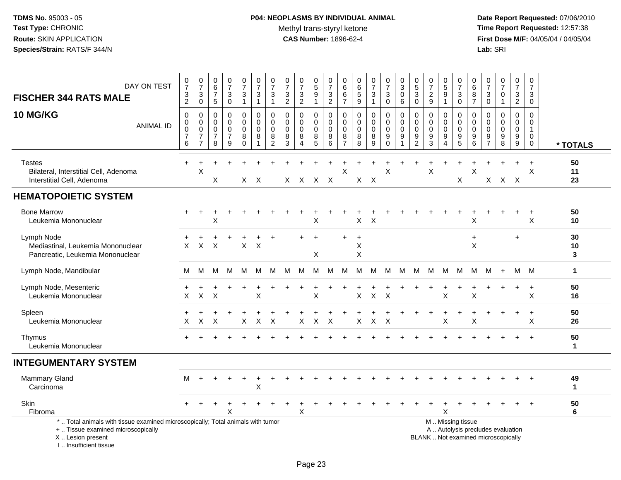# **P04: NEOPLASMS BY INDIVIDUAL ANIMAL**Methyl trans-styryl ketone<br>CAS Number: 1896-62-4

 **Date Report Requested:** 07/06/2010 **Time Report Requested:** 12:57:38 **First Dose M/F:** 04/05/04 / 04/05/04<br>Lab: SRI **Lab:** SRI

| DAY ON TEST<br><b>FISCHER 344 RATS MALE</b><br><b>10 MG/KG</b><br><b>ANIMAL ID</b>                                                         | $\frac{0}{7}$<br>$\frac{3}{2}$<br>0<br>$\pmb{0}$<br>$\mathbf 0$<br>$\overline{7}$<br>$\,6$ | $\frac{0}{7}$<br>$\ensuremath{\mathsf{3}}$<br>$\mathsf 0$<br>0<br>$\mathbf 0$<br>$\pmb{0}$<br>$\overline{7}$<br>$\overline{7}$ | $\begin{array}{c} 0 \\ 6 \end{array}$<br>$\overline{7}$<br>$5\phantom{.0}$<br>0<br>0<br>$\mathbf 0$<br>$\overline{7}$<br>8 | $\begin{array}{c} 0 \\ 7 \end{array}$<br>$\sqrt{3}$<br>$\mathbf 0$<br>$\mathbf 0$<br>$\mathbf 0$<br>$\pmb{0}$<br>$\overline{7}$<br>9 | $\frac{0}{7}$<br>3<br>$\mathbf{1}$<br>0<br>$\mathbf 0$<br>0<br>8<br>$\Omega$ | $\begin{array}{c} 0 \\ 7 \end{array}$<br>$\ensuremath{\mathsf{3}}$<br>$\mathbf{1}$<br>0<br>$\mathsf{O}\xspace$<br>$\pmb{0}$<br>$\bf 8$<br>1 | $\begin{array}{c} 0 \\ 7 \end{array}$<br>$\ensuremath{\mathsf{3}}$<br>$\mathbf{1}$<br>0<br>$\mathbf 0$<br>$\pmb{0}$<br>$\frac{8}{2}$ | $\begin{array}{c} 0 \\ 7 \end{array}$<br>$\ensuremath{\mathsf{3}}$<br>$\mathbf{2}$<br>0<br>$\mathbf 0$<br>0<br>8<br>3 | $\frac{0}{7}$<br>$\frac{3}{2}$<br>0<br>$\mathbf 0$<br>$\boldsymbol{0}$<br>$\, 8$<br>$\overline{4}$ | 0<br>$\overline{5}$<br>9<br>$\mathbf{1}$<br>0<br>0<br>0<br>$\bf 8$<br>5 | 0<br>$\overline{7}$<br>$\mathsf 3$<br>$\boldsymbol{2}$<br>0<br>$\mathbf 0$<br>$\pmb{0}$<br>8<br>6 | 0<br>$\,6$<br>6<br>$\overline{7}$<br>0<br>$\mathbf 0$<br>$\mathbf 0$<br>8<br>$\overline{7}$ | $\pmb{0}$<br>$\overline{6}$<br>5<br>$9\,$<br>0<br>0<br>$\mathbf 0$<br>8<br>8 | $\begin{array}{c} 0 \\ 7 \end{array}$<br>$\ensuremath{\mathsf{3}}$<br>$\mathbf{1}$<br>0<br>$\mathbf 0$<br>$\pmb{0}$<br>$\bf 8$<br>9 | $\begin{smallmatrix} 0\\7 \end{smallmatrix}$<br>$\ensuremath{\mathsf{3}}$<br>$\pmb{0}$<br>0<br>$\mathbf 0$<br>$\pmb{0}$<br>$\boldsymbol{9}$<br>$\Omega$ | $_{3}^{\rm 0}$<br>$\pmb{0}$<br>6<br>0<br>$\mathbf 0$<br>$\mathbf 0$<br>$9\,$<br>$\mathbf{1}$ | 0<br>$\overline{5}$<br>3<br>0<br>0<br>$\mathbf 0$<br>0<br>$\frac{9}{2}$ | $\begin{array}{c} 0 \\ 7 \end{array}$<br>$\frac{2}{9}$<br>0<br>$\mathbf 0$<br>$\pmb{0}$<br>$\frac{9}{3}$ | $\begin{array}{c} 0 \\ 5 \\ 9 \end{array}$<br>$\mathbf{1}$<br>0<br>0<br>$\pmb{0}$<br>9<br>$\boldsymbol{\Lambda}$ | $\frac{0}{7}$<br>$\ensuremath{\mathsf{3}}$<br>$\mathbf 0$<br>0<br>0<br>0<br>$\begin{array}{c} 9 \\ 5 \end{array}$ | $\mathbf 0$<br>6<br>$\begin{array}{c} 8 \\ 7 \end{array}$<br>$\mathbf 0$<br>$\mathbf 0$<br>$\boldsymbol{0}$<br>$9\,$<br>6 | 0<br>$\overline{7}$<br>3<br>$\mathsf 0$<br>0<br>$\Omega$<br>0<br>9<br>$\overline{7}$ | $\mathbf 0$<br>$\overline{7}$<br>$\mathbf 0$<br>$\mathbf{1}$<br>$\mathbf 0$<br>$\Omega$<br>0<br>9<br>8 | $\frac{0}{7}$<br>3<br>$\overline{c}$<br>0<br>0<br>0<br>9<br>9 | $\begin{smallmatrix}0\\7\end{smallmatrix}$<br>$\ensuremath{\mathsf{3}}$<br>$\mathbf 0$<br>0<br>0<br>$\mathbf{1}$<br>$\mathbf 0$<br>$\mathbf 0$ | * TOTALS           |
|--------------------------------------------------------------------------------------------------------------------------------------------|--------------------------------------------------------------------------------------------|--------------------------------------------------------------------------------------------------------------------------------|----------------------------------------------------------------------------------------------------------------------------|--------------------------------------------------------------------------------------------------------------------------------------|------------------------------------------------------------------------------|---------------------------------------------------------------------------------------------------------------------------------------------|--------------------------------------------------------------------------------------------------------------------------------------|-----------------------------------------------------------------------------------------------------------------------|----------------------------------------------------------------------------------------------------|-------------------------------------------------------------------------|---------------------------------------------------------------------------------------------------|---------------------------------------------------------------------------------------------|------------------------------------------------------------------------------|-------------------------------------------------------------------------------------------------------------------------------------|---------------------------------------------------------------------------------------------------------------------------------------------------------|----------------------------------------------------------------------------------------------|-------------------------------------------------------------------------|----------------------------------------------------------------------------------------------------------|------------------------------------------------------------------------------------------------------------------|-------------------------------------------------------------------------------------------------------------------|---------------------------------------------------------------------------------------------------------------------------|--------------------------------------------------------------------------------------|--------------------------------------------------------------------------------------------------------|---------------------------------------------------------------|------------------------------------------------------------------------------------------------------------------------------------------------|--------------------|
| <b>Testes</b><br>Bilateral, Interstitial Cell, Adenoma<br>Interstitial Cell, Adenoma                                                       | $+$                                                                                        | X                                                                                                                              | X                                                                                                                          |                                                                                                                                      |                                                                              | $X$ $X$                                                                                                                                     |                                                                                                                                      |                                                                                                                       | X X X X                                                                                            |                                                                         |                                                                                                   | X                                                                                           |                                                                              | $X$ $X$                                                                                                                             | $\mathsf X$                                                                                                                                             |                                                                                              |                                                                         | $\pmb{\times}$                                                                                           |                                                                                                                  | $\ddot{}$<br>X                                                                                                    | $\boldsymbol{\mathsf{X}}$                                                                                                 | X                                                                                    | $X$ $X$                                                                                                |                                                               | $\ddot{}$<br>X                                                                                                                                 | 50<br>11<br>23     |
| <b>HEMATOPOIETIC SYSTEM</b>                                                                                                                |                                                                                            |                                                                                                                                |                                                                                                                            |                                                                                                                                      |                                                                              |                                                                                                                                             |                                                                                                                                      |                                                                                                                       |                                                                                                    |                                                                         |                                                                                                   |                                                                                             |                                                                              |                                                                                                                                     |                                                                                                                                                         |                                                                                              |                                                                         |                                                                                                          |                                                                                                                  |                                                                                                                   |                                                                                                                           |                                                                                      |                                                                                                        |                                                               |                                                                                                                                                |                    |
| <b>Bone Marrow</b><br>Leukemia Mononuclear                                                                                                 |                                                                                            |                                                                                                                                | X                                                                                                                          |                                                                                                                                      |                                                                              |                                                                                                                                             |                                                                                                                                      |                                                                                                                       |                                                                                                    | X                                                                       |                                                                                                   |                                                                                             | X                                                                            | $\mathsf{X}$                                                                                                                        |                                                                                                                                                         |                                                                                              |                                                                         |                                                                                                          |                                                                                                                  |                                                                                                                   | X                                                                                                                         |                                                                                      |                                                                                                        |                                                               | $\ddot{}$<br>$\mathsf X$                                                                                                                       | 50<br>10           |
| Lymph Node<br>Mediastinal, Leukemia Mononuclear<br>Pancreatic, Leukemia Mononuclear                                                        | X                                                                                          | $\mathsf{X}$                                                                                                                   | $\boldsymbol{\mathsf{X}}$                                                                                                  |                                                                                                                                      | $\mathsf{X}$                                                                 | $\ddot{}$<br>$\mathsf{X}$                                                                                                                   | $\overline{+}$                                                                                                                       |                                                                                                                       |                                                                                                    | $+$<br>X                                                                |                                                                                                   | $\ddot{}$                                                                                   | $\ddot{}$<br>X<br>X                                                          |                                                                                                                                     |                                                                                                                                                         |                                                                                              |                                                                         |                                                                                                          |                                                                                                                  |                                                                                                                   | $\ddot{}$<br>X                                                                                                            |                                                                                      |                                                                                                        | $\ddot{}$                                                     |                                                                                                                                                | 30<br>10<br>3      |
| Lymph Node, Mandibular                                                                                                                     | M                                                                                          | M                                                                                                                              | М                                                                                                                          | M                                                                                                                                    | M                                                                            | M                                                                                                                                           | M                                                                                                                                    |                                                                                                                       | M M                                                                                                | M                                                                       | M                                                                                                 | M                                                                                           |                                                                              | M M M                                                                                                                               |                                                                                                                                                         | M                                                                                            | M                                                                       |                                                                                                          | M M M                                                                                                            |                                                                                                                   | M                                                                                                                         | M                                                                                    | $+$                                                                                                    | M M                                                           |                                                                                                                                                | $\mathbf{1}$       |
| Lymph Node, Mesenteric<br>Leukemia Mononuclear                                                                                             | Χ                                                                                          | $\mathsf{X}$                                                                                                                   | X                                                                                                                          |                                                                                                                                      |                                                                              | X                                                                                                                                           |                                                                                                                                      |                                                                                                                       |                                                                                                    | X                                                                       |                                                                                                   |                                                                                             | X                                                                            | $\sf X$                                                                                                                             | X                                                                                                                                                       |                                                                                              |                                                                         |                                                                                                          | Χ                                                                                                                |                                                                                                                   | X                                                                                                                         |                                                                                      |                                                                                                        | $\ddot{}$                                                     | $\ddot{}$<br>Χ                                                                                                                                 | 50<br>16           |
| Spleen<br>Leukemia Mononuclear                                                                                                             | $\ddot{}$<br>X                                                                             | $\mathsf{X}$                                                                                                                   | $\boldsymbol{\mathsf{X}}$                                                                                                  |                                                                                                                                      | X                                                                            | $\mathsf{X}$                                                                                                                                | $\boldsymbol{\mathsf{X}}$                                                                                                            |                                                                                                                       | X                                                                                                  | $\mathsf{X}$                                                            | $\boldsymbol{\mathsf{X}}$                                                                         |                                                                                             | X                                                                            | X                                                                                                                                   | $\boldsymbol{\mathsf{X}}$                                                                                                                               |                                                                                              |                                                                         |                                                                                                          | $\ddot{}$<br>X                                                                                                   |                                                                                                                   | X                                                                                                                         |                                                                                      |                                                                                                        | $\ddot{}$                                                     | $+$<br>X                                                                                                                                       | 50<br>26           |
| Thymus<br>Leukemia Mononuclear                                                                                                             |                                                                                            |                                                                                                                                |                                                                                                                            |                                                                                                                                      |                                                                              |                                                                                                                                             |                                                                                                                                      |                                                                                                                       |                                                                                                    |                                                                         |                                                                                                   |                                                                                             |                                                                              |                                                                                                                                     |                                                                                                                                                         |                                                                                              |                                                                         |                                                                                                          |                                                                                                                  |                                                                                                                   |                                                                                                                           |                                                                                      |                                                                                                        |                                                               | $\ddot{}$                                                                                                                                      | 50<br>$\mathbf{1}$ |
| <b>INTEGUMENTARY SYSTEM</b>                                                                                                                |                                                                                            |                                                                                                                                |                                                                                                                            |                                                                                                                                      |                                                                              |                                                                                                                                             |                                                                                                                                      |                                                                                                                       |                                                                                                    |                                                                         |                                                                                                   |                                                                                             |                                                                              |                                                                                                                                     |                                                                                                                                                         |                                                                                              |                                                                         |                                                                                                          |                                                                                                                  |                                                                                                                   |                                                                                                                           |                                                                                      |                                                                                                        |                                                               |                                                                                                                                                |                    |
| <b>Mammary Gland</b><br>Carcinoma                                                                                                          | м                                                                                          |                                                                                                                                |                                                                                                                            |                                                                                                                                      |                                                                              | $\sf X$                                                                                                                                     |                                                                                                                                      |                                                                                                                       |                                                                                                    |                                                                         |                                                                                                   |                                                                                             |                                                                              |                                                                                                                                     |                                                                                                                                                         |                                                                                              |                                                                         |                                                                                                          |                                                                                                                  |                                                                                                                   |                                                                                                                           |                                                                                      |                                                                                                        |                                                               |                                                                                                                                                | 49<br>$\mathbf{1}$ |
| Skin<br>Fibroma                                                                                                                            |                                                                                            |                                                                                                                                |                                                                                                                            | x                                                                                                                                    |                                                                              |                                                                                                                                             |                                                                                                                                      |                                                                                                                       | X                                                                                                  |                                                                         |                                                                                                   |                                                                                             |                                                                              |                                                                                                                                     |                                                                                                                                                         |                                                                                              |                                                                         |                                                                                                          | X                                                                                                                |                                                                                                                   |                                                                                                                           |                                                                                      |                                                                                                        |                                                               |                                                                                                                                                | 50<br>6            |
| *  Total animals with tissue examined microscopically; Total animals with tumor<br>+  Tissue examined microscopically<br>X  Lesion present |                                                                                            |                                                                                                                                |                                                                                                                            |                                                                                                                                      |                                                                              |                                                                                                                                             |                                                                                                                                      |                                                                                                                       |                                                                                                    |                                                                         |                                                                                                   |                                                                                             |                                                                              |                                                                                                                                     |                                                                                                                                                         |                                                                                              |                                                                         | BLANK  Not examined microscopically                                                                      |                                                                                                                  | M  Missing tissue<br>A  Autolysis precludes evaluation                                                            |                                                                                                                           |                                                                                      |                                                                                                        |                                                               |                                                                                                                                                |                    |

I .. Insufficient tissue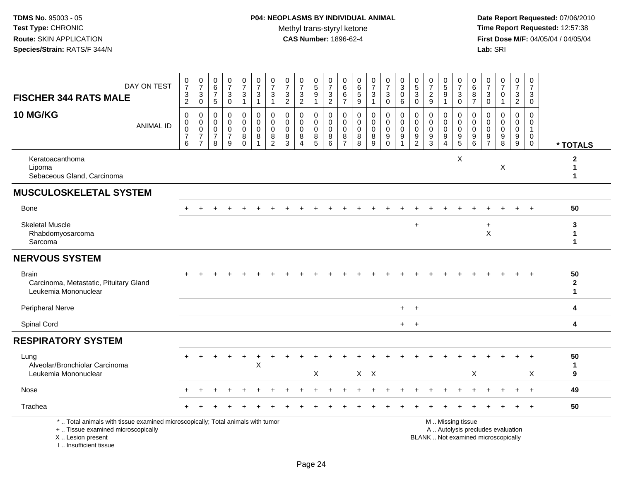| <b>FISCHER 344 RATS MALE</b>                                                                                                                                        | DAY ON TEST      | $\frac{0}{7}$<br>$\frac{3}{2}$                                           | $\frac{0}{7}$<br>$\mathbf{3}$<br>$\mathsf{O}\xspace$                                          | $\pmb{0}$<br>$6\phantom{a}$<br>$\overline{7}$<br>$\sqrt{5}$ | $\begin{smallmatrix}0\\7\end{smallmatrix}$<br>$_{\rm 0}^3$                            | $\begin{array}{c} 0 \\ 7 \end{array}$<br>$\mathbf 3$<br>$\overline{1}$ | $\frac{0}{7}$<br>$\ensuremath{\mathsf{3}}$<br>$\mathbf{1}$   | $\frac{0}{7}$<br>$\sqrt{3}$<br>$\mathbf{1}$                      | $\frac{0}{7}$<br>$\frac{3}{2}$                                 | $\frac{0}{7}$<br>$\frac{3}{2}$                                       | $\begin{array}{c} 0 \\ 5 \end{array}$<br>9<br>$\overline{1}$ | $\begin{array}{c} 0 \\ 7 \end{array}$<br>$\frac{3}{2}$    | 0<br>$6\overline{6}$<br>$\,6\,$<br>$\overline{7}$                | $\begin{array}{c} 0 \\ 6 \end{array}$<br>$\frac{5}{9}$               | $\frac{0}{7}$<br>$\mathbf{3}$<br>$\overline{1}$ | $\frac{0}{7}$<br>$\sqrt{3}$<br>$\mathbf 0$                                    | 0<br>$\overline{3}$<br>$\pmb{0}$<br>6 | $\begin{array}{c} 0 \\ 5 \end{array}$<br>$\sqrt{3}$<br>$\mathbf 0$ | $\frac{0}{7}$<br>$\overline{c}$<br>$\overline{9}$ | $\begin{smallmatrix}0\0\5\end{smallmatrix}$<br>$\boldsymbol{9}$<br>$\mathbf{1}$ | $\begin{array}{c} 0 \\ 7 \end{array}$<br>$\sqrt{3}$<br>$\mathbf 0$                            | $\begin{array}{c} 0 \\ 6 \end{array}$<br>$\bf8$<br>$\overline{7}$                  | $\frac{0}{7}$<br>$\sqrt{3}$<br>$\mathbf 0$                         | $\frac{0}{7}$<br>$\mathbf 0$<br>$\mathbf{1}$                         | 0<br>$\overline{7}$<br>3<br>$\overline{2}$                             | 0<br>$\overline{7}$<br>3<br>0                             |                                   |
|---------------------------------------------------------------------------------------------------------------------------------------------------------------------|------------------|--------------------------------------------------------------------------|-----------------------------------------------------------------------------------------------|-------------------------------------------------------------|---------------------------------------------------------------------------------------|------------------------------------------------------------------------|--------------------------------------------------------------|------------------------------------------------------------------|----------------------------------------------------------------|----------------------------------------------------------------------|--------------------------------------------------------------|-----------------------------------------------------------|------------------------------------------------------------------|----------------------------------------------------------------------|-------------------------------------------------|-------------------------------------------------------------------------------|---------------------------------------|--------------------------------------------------------------------|---------------------------------------------------|---------------------------------------------------------------------------------|-----------------------------------------------------------------------------------------------|------------------------------------------------------------------------------------|--------------------------------------------------------------------|----------------------------------------------------------------------|------------------------------------------------------------------------|-----------------------------------------------------------|-----------------------------------|
| <b>10 MG/KG</b>                                                                                                                                                     | <b>ANIMAL ID</b> | $\pmb{0}$<br>$\mathbf 0$<br>$\ddot{\mathbf{0}}$<br>$\boldsymbol{7}$<br>6 | $\mathsf{O}\xspace$<br>$\mathbf 0$<br>$\ddot{\mathbf{0}}$<br>$\overline{7}$<br>$\overline{7}$ | 0<br>$\mathbf 0$<br>0<br>$\overline{7}$<br>8                | $\mathbf 0$<br>$\mathsf{O}\xspace$<br>$\pmb{0}$<br>$\boldsymbol{7}$<br>$\overline{9}$ | $\pmb{0}$<br>$\mathbf 0$<br>$\mathbf 0$<br>$_{0}^{8}$                  | $\pmb{0}$<br>$\mathbf 0$<br>$\mathbf 0$<br>8<br>$\mathbf{1}$ | $\mathbf 0$<br>$\mathbf 0$<br>$\mathbf 0$<br>8<br>$\overline{2}$ | $\pmb{0}$<br>$\mathbf 0$<br>$\mathbf 0$<br>8<br>$\overline{3}$ | 0<br>$\mathbf 0$<br>$\mathbf 0$<br>$\bf 8$<br>$\boldsymbol{\Lambda}$ | 0<br>0<br>$\mathbf 0$<br>$\bf 8$<br>$\overline{5}$           | $\mathbf 0$<br>$\mathsf{O}\xspace$<br>$\pmb{0}$<br>$^8_6$ | $\mathsf 0$<br>$\mathbf 0$<br>$\mathbf 0$<br>8<br>$\overline{7}$ | $\mathbf 0$<br>$\mathbf 0$<br>$\pmb{0}$<br>$\,8\,$<br>$\overline{8}$ | 0<br>$\mathbf 0$<br>0<br>8<br>$\overline{9}$    | $\pmb{0}$<br>$\mathbf 0$<br>$\mathbf 0$<br>$\boldsymbol{9}$<br>$\overline{0}$ | 0<br>$\Omega$<br>0<br>9               | 0<br>$\mathbf 0$<br>$\pmb{0}$<br>$\frac{9}{2}$                     | 0<br>$\Omega$<br>$\mathbf 0$<br>$\frac{9}{3}$     | $\pmb{0}$<br>$\mathbf 0$<br>$\ddot{\mathbf{0}}$<br>$\frac{9}{4}$                | 0<br>$\mathbf 0$<br>$\mathbf 0$<br>$\begin{array}{c} 9 \\ 5 \end{array}$                      | $\mathbf 0$<br>$\mathbf 0$<br>$\mathbf 0$<br>$\begin{array}{c} 9 \\ 6 \end{array}$ | $\mathbf 0$<br>$\Omega$<br>0<br>$\boldsymbol{9}$<br>$\overline{7}$ | $\mathbf 0$<br>$\mathbf{0}$<br>$\mathsf{O}\xspace$<br>$_{8}^{\rm 9}$ | $\mathbf 0$<br>$\mathbf 0$<br>$\mathbf 0$<br>$9\,$<br>$\boldsymbol{9}$ | 0<br>$\Omega$<br>$\mathbf{1}$<br>$\pmb{0}$<br>$\mathbf 0$ | * TOTALS                          |
| Keratoacanthoma<br>Lipoma<br>Sebaceous Gland, Carcinoma                                                                                                             |                  |                                                                          |                                                                                               |                                                             |                                                                                       |                                                                        |                                                              |                                                                  |                                                                |                                                                      |                                                              |                                                           |                                                                  |                                                                      |                                                 |                                                                               |                                       |                                                                    |                                                   |                                                                                 | $\times$                                                                                      |                                                                                    |                                                                    | X                                                                    |                                                                        |                                                           | $\mathbf{2}$<br>1<br>1            |
| <b>MUSCULOSKELETAL SYSTEM</b>                                                                                                                                       |                  |                                                                          |                                                                                               |                                                             |                                                                                       |                                                                        |                                                              |                                                                  |                                                                |                                                                      |                                                              |                                                           |                                                                  |                                                                      |                                                 |                                                                               |                                       |                                                                    |                                                   |                                                                                 |                                                                                               |                                                                                    |                                                                    |                                                                      |                                                                        |                                                           |                                   |
| <b>Bone</b>                                                                                                                                                         |                  |                                                                          |                                                                                               |                                                             |                                                                                       |                                                                        |                                                              |                                                                  |                                                                |                                                                      |                                                              |                                                           |                                                                  |                                                                      |                                                 |                                                                               |                                       |                                                                    |                                                   |                                                                                 |                                                                                               |                                                                                    |                                                                    |                                                                      |                                                                        |                                                           | 50                                |
| <b>Skeletal Muscle</b><br>Rhabdomyosarcoma<br>Sarcoma                                                                                                               |                  |                                                                          |                                                                                               |                                                             |                                                                                       |                                                                        |                                                              |                                                                  |                                                                |                                                                      |                                                              |                                                           |                                                                  |                                                                      |                                                 |                                                                               |                                       | $\ddot{}$                                                          |                                                   |                                                                                 |                                                                                               |                                                                                    | $\ddot{}$<br>$\times$                                              |                                                                      |                                                                        |                                                           | 3<br>$\mathbf{1}$<br>$\mathbf{1}$ |
| <b>NERVOUS SYSTEM</b>                                                                                                                                               |                  |                                                                          |                                                                                               |                                                             |                                                                                       |                                                                        |                                                              |                                                                  |                                                                |                                                                      |                                                              |                                                           |                                                                  |                                                                      |                                                 |                                                                               |                                       |                                                                    |                                                   |                                                                                 |                                                                                               |                                                                                    |                                                                    |                                                                      |                                                                        |                                                           |                                   |
| <b>Brain</b><br>Carcinoma, Metastatic, Pituitary Gland<br>Leukemia Mononuclear                                                                                      |                  |                                                                          |                                                                                               |                                                             |                                                                                       |                                                                        |                                                              |                                                                  |                                                                |                                                                      |                                                              |                                                           |                                                                  |                                                                      |                                                 |                                                                               |                                       |                                                                    |                                                   |                                                                                 |                                                                                               |                                                                                    |                                                                    |                                                                      |                                                                        |                                                           | 50<br>$\mathbf{2}$<br>$\mathbf 1$ |
| <b>Peripheral Nerve</b>                                                                                                                                             |                  |                                                                          |                                                                                               |                                                             |                                                                                       |                                                                        |                                                              |                                                                  |                                                                |                                                                      |                                                              |                                                           |                                                                  |                                                                      |                                                 |                                                                               | $+$                                   | $\ddot{}$                                                          |                                                   |                                                                                 |                                                                                               |                                                                                    |                                                                    |                                                                      |                                                                        |                                                           | 4                                 |
| Spinal Cord                                                                                                                                                         |                  |                                                                          |                                                                                               |                                                             |                                                                                       |                                                                        |                                                              |                                                                  |                                                                |                                                                      |                                                              |                                                           |                                                                  |                                                                      |                                                 |                                                                               | $+$                                   | $\ddot{}$                                                          |                                                   |                                                                                 |                                                                                               |                                                                                    |                                                                    |                                                                      |                                                                        |                                                           | 4                                 |
| <b>RESPIRATORY SYSTEM</b>                                                                                                                                           |                  |                                                                          |                                                                                               |                                                             |                                                                                       |                                                                        |                                                              |                                                                  |                                                                |                                                                      |                                                              |                                                           |                                                                  |                                                                      |                                                 |                                                                               |                                       |                                                                    |                                                   |                                                                                 |                                                                                               |                                                                                    |                                                                    |                                                                      |                                                                        |                                                           |                                   |
| Lung<br>Alveolar/Bronchiolar Carcinoma<br>Leukemia Mononuclear                                                                                                      |                  |                                                                          |                                                                                               |                                                             |                                                                                       |                                                                        | X                                                            |                                                                  |                                                                |                                                                      | X                                                            |                                                           |                                                                  |                                                                      | $X$ $X$                                         |                                                                               |                                       |                                                                    |                                                   |                                                                                 |                                                                                               | X                                                                                  |                                                                    |                                                                      |                                                                        | $\ddot{}$<br>X                                            | 50<br>$\mathbf{1}$<br>9           |
| Nose                                                                                                                                                                |                  |                                                                          |                                                                                               |                                                             |                                                                                       |                                                                        |                                                              |                                                                  |                                                                |                                                                      |                                                              |                                                           |                                                                  |                                                                      |                                                 |                                                                               |                                       |                                                                    |                                                   |                                                                                 |                                                                                               |                                                                                    |                                                                    |                                                                      |                                                                        | $\ddot{}$                                                 | 49                                |
| Trachea                                                                                                                                                             |                  |                                                                          |                                                                                               |                                                             |                                                                                       |                                                                        |                                                              |                                                                  |                                                                |                                                                      |                                                              |                                                           |                                                                  |                                                                      |                                                 |                                                                               |                                       |                                                                    |                                                   |                                                                                 |                                                                                               |                                                                                    |                                                                    |                                                                      |                                                                        |                                                           | 50                                |
| *  Total animals with tissue examined microscopically; Total animals with tumor<br>+  Tissue examined microscopically<br>X  Lesion present<br>I Insufficient tissue |                  |                                                                          |                                                                                               |                                                             |                                                                                       |                                                                        |                                                              |                                                                  |                                                                |                                                                      |                                                              |                                                           |                                                                  |                                                                      |                                                 |                                                                               |                                       |                                                                    |                                                   |                                                                                 | M  Missing tissue<br>A  Autolysis precludes evaluation<br>BLANK  Not examined microscopically |                                                                                    |                                                                    |                                                                      |                                                                        |                                                           |                                   |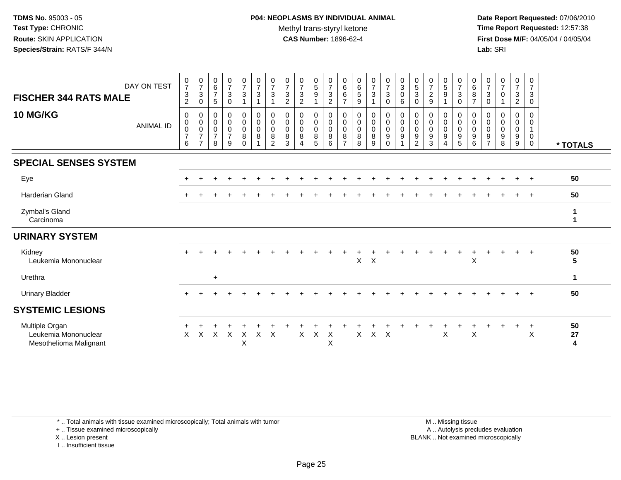**Date Report Requested:** 07/06/2010 **Time Report Requested:** 12:57:38 **First Dose M/F:** 04/05/04 / 04/05/04<br>**Lab:** SRI **Lab:** SRI

| <b>FISCHER 344 RATS MALE</b>                                     | DAY ON TEST      | $\frac{0}{7}$<br>$\mathbf{3}$<br>$\sqrt{2}$                   | $\frac{0}{7}$<br>$\mathsf 3$<br>0                                    | $\begin{array}{c} 0 \\ 6 \\ 7 \end{array}$<br>5 | $\frac{0}{7}$<br>$\sqrt{3}$<br>$\mathbf 0$ | $\frac{0}{7}$<br>$\sqrt{3}$<br>$\overline{1}$                 | $\frac{0}{7}$<br>$\sqrt{3}$<br>$\mathbf{1}$                          | $\frac{0}{7}$<br>3                      | $\frac{0}{7}$<br>$\sqrt{3}$<br>$\overline{2}$ | $\frac{0}{7}$<br>$\sqrt{3}$<br>$\overline{2}$ | $\begin{array}{c} 0 \\ 5 \\ 9 \end{array}$     | $\frac{0}{7}$<br>$\sqrt{3}$<br>$\sqrt{2}$ | $\begin{array}{c} 0 \\ 6 \end{array}$<br>6<br>$\overline{7}$ | $_{6}^{\rm 0}$<br>$\sqrt{5}$<br>9 | $\frac{0}{7}$<br>$\mathbf{3}$<br>1      | $\frac{0}{7}$<br>$\mathsf 3$<br>$\mathbf 0$              | $_{3}^{\rm 0}$<br>$\pmb{0}$<br>$\,6\,$                                      | $\begin{smallmatrix}0\0\5\end{smallmatrix}$<br>3<br>0 | $\frac{0}{7}$<br>$\frac{2}{9}$                       | $\begin{array}{c} 0 \\ 5 \\ 9 \end{array}$<br>1    | $\frac{0}{7}$<br>3<br>$\mathbf 0$ | $\begin{array}{c} 0 \\ 6 \end{array}$<br>$\,8\,$<br>$\overline{7}$ | $\frac{0}{7}$<br>$\mathbf{3}$<br>0                          | $\frac{0}{7}$<br>$\Omega$                 | $\frac{0}{7}$<br>$\mathbf{3}$<br>$\overline{c}$ | $\frac{0}{7}$<br>$\mathbf{3}$<br>$\mathbf 0$ |               |
|------------------------------------------------------------------|------------------|---------------------------------------------------------------|----------------------------------------------------------------------|-------------------------------------------------|--------------------------------------------|---------------------------------------------------------------|----------------------------------------------------------------------|-----------------------------------------|-----------------------------------------------|-----------------------------------------------|------------------------------------------------|-------------------------------------------|--------------------------------------------------------------|-----------------------------------|-----------------------------------------|----------------------------------------------------------|-----------------------------------------------------------------------------|-------------------------------------------------------|------------------------------------------------------|----------------------------------------------------|-----------------------------------|--------------------------------------------------------------------|-------------------------------------------------------------|-------------------------------------------|-------------------------------------------------|----------------------------------------------|---------------|
| <b>10 MG/KG</b>                                                  | <b>ANIMAL ID</b> | $\mathbf 0$<br>$\begin{matrix} 0 \\ 0 \\ 7 \end{matrix}$<br>6 | 0<br>$\pmb{0}$<br>$\overline{0}$<br>$\overline{7}$<br>$\overline{7}$ | 0<br>0<br>$\frac{0}{7}$<br>8                    | 0<br>$\mathbf 0$<br>$\frac{0}{7}$<br>9     | $\mathbf 0$<br>$\begin{matrix} 0 \\ 0 \\ 8 \\ 0 \end{matrix}$ | $\pmb{0}$<br>$\pmb{0}$<br>$\overline{0}$<br>$\bf8$<br>$\overline{1}$ | 0<br>$\pmb{0}$<br>$\mathbf 0$<br>8<br>2 | 0<br>$\pmb{0}$<br>$\mathbf 0$<br>8<br>3       | 0<br>0<br>$\mathsf{O}\xspace$<br>$\bf 8$<br>Δ | 0<br>$\mathbf 0$<br>$\mathbf 0$<br>$\, 8$<br>5 | 0<br>$\pmb{0}$<br>$\mathbf 0$<br>8<br>6   | 0<br>$\pmb{0}$<br>$\mathbf 0$<br>8<br>$\overline{7}$         | 0<br>0<br>$\pmb{0}$<br>8<br>8     | 0<br>$_{\rm 0}^{\rm 0}$<br>$\bf 8$<br>9 | $\mathbf 0$<br>$\pmb{0}$<br>$\mathbf 0$<br>9<br>$\Omega$ | $\pmb{0}$<br>$\pmb{0}$<br>$\mathbf 0$<br>$\boldsymbol{9}$<br>$\overline{A}$ | 0<br>$\pmb{0}$<br>0<br>9<br>$\overline{2}$            | 0<br>$\pmb{0}$<br>$\pmb{0}$<br>$\boldsymbol{9}$<br>3 | 0<br>$\pmb{0}$<br>$\bar{0}$<br>9<br>$\overline{4}$ | 0<br>0<br>0<br>$\frac{9}{5}$      | 0<br>$\pmb{0}$<br>$\overline{0}$<br>$\boldsymbol{9}$<br>6          | 0<br>0<br>$\mathbf 0$<br>$\boldsymbol{9}$<br>$\overline{7}$ | $\mathbf 0$<br>0<br>$\mathbf 0$<br>9<br>8 | 0<br>$_{\rm 0}^{\rm 0}$<br>9<br>9               | $\Omega$<br>0<br>0<br>$\mathbf 0$            | * TOTALS      |
| <b>SPECIAL SENSES SYSTEM</b>                                     |                  |                                                               |                                                                      |                                                 |                                            |                                                               |                                                                      |                                         |                                               |                                               |                                                |                                           |                                                              |                                   |                                         |                                                          |                                                                             |                                                       |                                                      |                                                    |                                   |                                                                    |                                                             |                                           |                                                 |                                              |               |
| Eye                                                              |                  |                                                               |                                                                      |                                                 |                                            |                                                               |                                                                      |                                         |                                               |                                               |                                                |                                           |                                                              |                                   |                                         |                                                          |                                                                             |                                                       |                                                      |                                                    |                                   |                                                                    |                                                             |                                           | $\div$                                          | $\ddot{}$                                    | 50            |
| <b>Harderian Gland</b>                                           |                  |                                                               |                                                                      |                                                 |                                            |                                                               |                                                                      |                                         |                                               |                                               |                                                |                                           |                                                              |                                   |                                         |                                                          |                                                                             |                                                       |                                                      |                                                    |                                   |                                                                    |                                                             |                                           |                                                 | $\ddot{}$                                    | 50            |
| Zymbal's Gland<br>Carcinoma                                      |                  |                                                               |                                                                      |                                                 |                                            |                                                               |                                                                      |                                         |                                               |                                               |                                                |                                           |                                                              |                                   |                                         |                                                          |                                                                             |                                                       |                                                      |                                                    |                                   |                                                                    |                                                             |                                           |                                                 |                                              | 1<br>1        |
| <b>URINARY SYSTEM</b>                                            |                  |                                                               |                                                                      |                                                 |                                            |                                                               |                                                                      |                                         |                                               |                                               |                                                |                                           |                                                              |                                   |                                         |                                                          |                                                                             |                                                       |                                                      |                                                    |                                   |                                                                    |                                                             |                                           |                                                 |                                              |               |
| Kidney<br>Leukemia Mononuclear                                   |                  |                                                               |                                                                      |                                                 |                                            |                                                               |                                                                      |                                         |                                               |                                               |                                                |                                           |                                                              | X                                 | $\sf X$                                 |                                                          |                                                                             |                                                       |                                                      |                                                    |                                   | X                                                                  |                                                             |                                           | $\ddot{}$                                       | $\ddot{}$                                    | 50<br>5       |
| Urethra                                                          |                  |                                                               |                                                                      | $+$                                             |                                            |                                                               |                                                                      |                                         |                                               |                                               |                                                |                                           |                                                              |                                   |                                         |                                                          |                                                                             |                                                       |                                                      |                                                    |                                   |                                                                    |                                                             |                                           |                                                 |                                              | $\mathbf{1}$  |
| <b>Urinary Bladder</b>                                           |                  | $+$                                                           |                                                                      |                                                 |                                            |                                                               |                                                                      |                                         |                                               |                                               |                                                |                                           |                                                              |                                   |                                         |                                                          |                                                                             |                                                       |                                                      |                                                    |                                   |                                                                    |                                                             |                                           | $+$                                             | $+$                                          | 50            |
| <b>SYSTEMIC LESIONS</b>                                          |                  |                                                               |                                                                      |                                                 |                                            |                                                               |                                                                      |                                         |                                               |                                               |                                                |                                           |                                                              |                                   |                                         |                                                          |                                                                             |                                                       |                                                      |                                                    |                                   |                                                                    |                                                             |                                           |                                                 |                                              |               |
| Multiple Organ<br>Leukemia Mononuclear<br>Mesothelioma Malignant |                  | X                                                             | X                                                                    | X                                               | X                                          | $\boldsymbol{\mathsf{X}}$<br>Χ                                | X                                                                    | $\mathsf{X}$                            |                                               | X                                             | $\boldsymbol{\mathsf{X}}$                      | X<br>$\mathsf{X}$                         |                                                              | X                                 | $\mathsf{X}$                            | $\mathsf{X}$                                             |                                                                             |                                                       |                                                      | X                                                  |                                   | $\boldsymbol{\mathsf{X}}$                                          |                                                             |                                           | $\ddot{}$                                       | $\ddot{}$<br>$\boldsymbol{\mathsf{X}}$       | 50<br>27<br>4 |

\* .. Total animals with tissue examined microscopically; Total animals with tumor

+ .. Tissue examined microscopically

X .. Lesion present

I .. Insufficient tissue

 M .. Missing tissuey the contract of the contract of the contract of the contract of the contract of the contract of the contract of  $A$ . Autolysis precludes evaluation Lesion present BLANK .. Not examined microscopically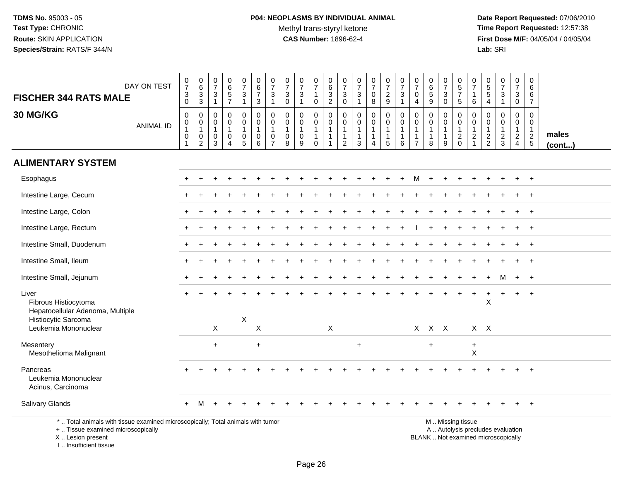**Date Report Requested:** 07/06/2010 **Time Report Requested:** 12:57:38 **First Dose M/F:** 04/05/04 / 04/05/04<br>Lab: SRI **Lab:** SRI

|                                                                                                                                            |                                                               |                                                                           | 0                                                   |                                                                           |                                                      | $\pmb{0}$                                                      |                                                                 | 0                                                                |                                              | $\mathbf 0$                                                               | 0                                                                              |                                                                              |                                                                            |                                                       |                                                       |                                                                                 | $\boldsymbol{0}$                                                  | 0                                                               |                                                      |                                                                   |                                                                              |                                                             |                                                                          |                                                                      | 0                                                                               |                       |
|--------------------------------------------------------------------------------------------------------------------------------------------|---------------------------------------------------------------|---------------------------------------------------------------------------|-----------------------------------------------------|---------------------------------------------------------------------------|------------------------------------------------------|----------------------------------------------------------------|-----------------------------------------------------------------|------------------------------------------------------------------|----------------------------------------------|---------------------------------------------------------------------------|--------------------------------------------------------------------------------|------------------------------------------------------------------------------|----------------------------------------------------------------------------|-------------------------------------------------------|-------------------------------------------------------|---------------------------------------------------------------------------------|-------------------------------------------------------------------|-----------------------------------------------------------------|------------------------------------------------------|-------------------------------------------------------------------|------------------------------------------------------------------------------|-------------------------------------------------------------|--------------------------------------------------------------------------|----------------------------------------------------------------------|---------------------------------------------------------------------------------|-----------------------|
| DAY ON TEST                                                                                                                                | $\frac{0}{7}$                                                 | $_{6}^{\rm 0}$                                                            | $\overline{7}$<br>3                                 | $065$<br>$57$                                                             | $\frac{0}{7}$<br>3                                   | $\,6\,$<br>$\boldsymbol{7}$                                    | $\frac{0}{7}$<br>3                                              | $\overline{7}$<br>3                                              | $\frac{0}{7}$<br>$\sqrt{3}$                  | $\overline{7}$<br>$\mathbf{1}$                                            | $\,6\,$                                                                        | $\frac{0}{7}$<br>3                                                           | $\frac{0}{7}$<br>$\ensuremath{\mathsf{3}}$                                 | $\frac{0}{7}$<br>0                                    | $\frac{0}{7}$                                         | $\frac{0}{7}$<br>$\sqrt{3}$                                                     | $\overline{7}$<br>0                                               | $\,6\,$<br>$\sqrt{5}$                                           | $\frac{0}{7}$<br>3                                   | $\begin{array}{c} 0 \\ 5 \\ 7 \end{array}$                        | $\frac{0}{7}$<br>$\mathbf{1}$                                                | $\begin{array}{c} 0 \\ 5 \\ 5 \end{array}$                  | $\frac{0}{7}$<br>$\ensuremath{\mathsf{3}}$                               | $\begin{smallmatrix}0\\7\end{smallmatrix}$<br>3                      | 6<br>6                                                                          |                       |
| <b>FISCHER 344 RATS MALE</b>                                                                                                               | $_0^3$                                                        | $\frac{3}{3}$                                                             | $\mathbf{1}$                                        |                                                                           | $\mathbf{1}$                                         | $\mathbf{3}$                                                   | $\mathbf{1}$                                                    | $\mathbf 0$                                                      | $\mathbf{1}$                                 | $\mathbf 0$                                                               | $\frac{3}{2}$                                                                  | $\mathbf 0$                                                                  | $\mathbf{1}$                                                               | 8                                                     | $\frac{2}{9}$                                         | $\overline{1}$                                                                  | 4                                                                 | 9                                                               | $\mathbf 0$                                          | $\overline{5}$                                                    | 6                                                                            | 4                                                           | $\overline{1}$                                                           | $\mathbf 0$                                                          | $\overline{7}$                                                                  |                       |
| 30 MG/KG<br><b>ANIMAL ID</b>                                                                                                               | $\pmb{0}$<br>$\mathsf{O}$<br>$\overline{1}$<br>$\pmb{0}$<br>1 | $\mathbf 0$<br>$\mathbf 0$<br>$\mathbf{1}$<br>$\pmb{0}$<br>$\overline{2}$ | $\mathbf 0$<br>$\mathbf 0$<br>$\mathbf 1$<br>0<br>3 | $\pmb{0}$<br>$\mathbf 0$<br>$\mathbf{1}$<br>$\mathbf 0$<br>$\overline{A}$ | 0<br>$\mathbf 0$<br>$\mathbf{1}$<br>$\mathsf 0$<br>5 | $\mathbf 0$<br>$\mathbf 0$<br>$\mathbf{1}$<br>$\mathbf 0$<br>6 | 0<br>$\pmb{0}$<br>$\mathbf{1}$<br>$\mathbf 0$<br>$\overline{7}$ | $\mathbf 0$<br>$\mathbf 0$<br>$\overline{1}$<br>$\mathbf 0$<br>8 | $\mathbf 0$<br>$\mathbf 0$<br>$\pmb{0}$<br>9 | $\mathbf 0$<br>$\mathbf 0$<br>$\mathbf{1}$<br>$\mathbf{1}$<br>$\mathbf 0$ | $\mathbf 0$<br>$\mathbf 0$<br>$\mathbf{1}$<br>$\overline{1}$<br>$\overline{1}$ | $\mathbf 0$<br>$\mathbf 0$<br>$\mathbf{1}$<br>$\mathbf{1}$<br>$\overline{2}$ | $\mathsf 0$<br>$\mathbf 0$<br>$\mathbf{1}$<br>$\mathbf{1}$<br>$\mathbf{3}$ | 0<br>$\mathbf 0$<br>$\mathbf{1}$<br>$\mathbf{1}$<br>4 | 0<br>$\mathbf 0$<br>$\mathbf{1}$<br>$\mathbf{1}$<br>5 | $\mathbf 0$<br>$\mathbf 0$<br>$\mathbf{1}$<br>$\overline{1}$<br>$6\phantom{1}6$ | $\mathbf 0$<br>$\Omega$<br>-1<br>$\overline{1}$<br>$\overline{7}$ | $\mathbf 0$<br>$\mathbf 0$<br>$\mathbf{1}$<br>$\mathbf{1}$<br>8 | 0<br>$\mathbf 0$<br>$\mathbf 1$<br>$\mathbf{1}$<br>9 | 0<br>$\mathbf 0$<br>$\mathbf{1}$<br>$\overline{c}$<br>$\mathbf 0$ | 0<br>$\mathsf{O}\xspace$<br>$\mathbf{1}$<br>$\overline{c}$<br>$\overline{1}$ | $\mathbf 0$<br>$\mathbf 0$<br>$\mathbf{1}$<br>$\frac{2}{2}$ | $\mathbf 0$<br>$\mathbf 0$<br>$\mathbf{1}$<br>$\frac{2}{3}$              | 0<br>$\mathbf 0$<br>$\mathbf{1}$<br>$\overline{2}$<br>$\overline{4}$ | $\mathbf 0$<br>$\mathbf 0$<br>$\mathbf{1}$<br>$\overline{2}$<br>$5\phantom{.0}$ | males<br>$($ cont $)$ |
| <b>ALIMENTARY SYSTEM</b>                                                                                                                   |                                                               |                                                                           |                                                     |                                                                           |                                                      |                                                                |                                                                 |                                                                  |                                              |                                                                           |                                                                                |                                                                              |                                                                            |                                                       |                                                       |                                                                                 |                                                                   |                                                                 |                                                      |                                                                   |                                                                              |                                                             |                                                                          |                                                                      |                                                                                 |                       |
| Esophagus                                                                                                                                  |                                                               | $\ddot{}$                                                                 |                                                     |                                                                           |                                                      |                                                                |                                                                 |                                                                  |                                              |                                                                           |                                                                                |                                                                              |                                                                            |                                                       |                                                       | $\ddot{}$                                                                       | м                                                                 | $\ddot{}$                                                       |                                                      |                                                                   |                                                                              |                                                             |                                                                          | $\ddot{}$                                                            | $+$                                                                             |                       |
| Intestine Large, Cecum                                                                                                                     |                                                               |                                                                           |                                                     |                                                                           |                                                      |                                                                |                                                                 |                                                                  |                                              |                                                                           |                                                                                |                                                                              |                                                                            |                                                       |                                                       |                                                                                 |                                                                   |                                                                 |                                                      |                                                                   |                                                                              |                                                             |                                                                          |                                                                      |                                                                                 |                       |
| Intestine Large, Colon                                                                                                                     |                                                               |                                                                           |                                                     |                                                                           |                                                      |                                                                |                                                                 |                                                                  |                                              |                                                                           |                                                                                |                                                                              |                                                                            |                                                       |                                                       |                                                                                 |                                                                   |                                                                 |                                                      |                                                                   |                                                                              |                                                             |                                                                          |                                                                      | $\overline{ }$                                                                  |                       |
| Intestine Large, Rectum                                                                                                                    |                                                               |                                                                           |                                                     |                                                                           |                                                      |                                                                |                                                                 |                                                                  |                                              |                                                                           |                                                                                |                                                                              |                                                                            |                                                       |                                                       |                                                                                 |                                                                   |                                                                 |                                                      |                                                                   |                                                                              |                                                             |                                                                          |                                                                      | $\overline{1}$                                                                  |                       |
| Intestine Small, Duodenum                                                                                                                  |                                                               |                                                                           |                                                     |                                                                           |                                                      |                                                                |                                                                 |                                                                  |                                              |                                                                           |                                                                                |                                                                              |                                                                            |                                                       |                                                       |                                                                                 |                                                                   |                                                                 |                                                      |                                                                   |                                                                              |                                                             |                                                                          |                                                                      |                                                                                 |                       |
| Intestine Small, Ileum                                                                                                                     |                                                               |                                                                           |                                                     |                                                                           |                                                      |                                                                |                                                                 |                                                                  |                                              |                                                                           |                                                                                |                                                                              |                                                                            |                                                       |                                                       |                                                                                 |                                                                   |                                                                 |                                                      |                                                                   |                                                                              |                                                             |                                                                          |                                                                      | $\overline{1}$                                                                  |                       |
| Intestine Small, Jejunum                                                                                                                   |                                                               |                                                                           |                                                     |                                                                           |                                                      |                                                                |                                                                 |                                                                  |                                              |                                                                           |                                                                                |                                                                              |                                                                            |                                                       |                                                       |                                                                                 |                                                                   |                                                                 |                                                      |                                                                   |                                                                              |                                                             |                                                                          | $\ddot{}$                                                            | $+$                                                                             |                       |
| Liver<br>Fibrous Histiocytoma<br>Hepatocellular Adenoma, Multiple                                                                          |                                                               |                                                                           |                                                     |                                                                           |                                                      |                                                                |                                                                 |                                                                  |                                              |                                                                           |                                                                                |                                                                              |                                                                            |                                                       |                                                       |                                                                                 |                                                                   |                                                                 |                                                      |                                                                   |                                                                              | X                                                           |                                                                          | $+$                                                                  | $+$                                                                             |                       |
| Histiocytic Sarcoma<br>Leukemia Mononuclear                                                                                                |                                                               |                                                                           | X                                                   |                                                                           | $\boldsymbol{\mathsf{X}}$                            | $\mathsf X$                                                    |                                                                 |                                                                  |                                              |                                                                           | X                                                                              |                                                                              |                                                                            |                                                       |                                                       |                                                                                 | X                                                                 | $X$ $X$                                                         |                                                      |                                                                   |                                                                              | $X$ $X$                                                     |                                                                          |                                                                      |                                                                                 |                       |
| Mesentery<br>Mesothelioma Malignant                                                                                                        |                                                               |                                                                           | $\ddot{}$                                           |                                                                           |                                                      | $\ddot{}$                                                      |                                                                 |                                                                  |                                              |                                                                           |                                                                                |                                                                              | $\ddot{}$                                                                  |                                                       |                                                       |                                                                                 |                                                                   | $\ddot{}$                                                       |                                                      |                                                                   | $\ddot{}$<br>X                                                               |                                                             |                                                                          |                                                                      |                                                                                 |                       |
| Pancreas<br>Leukemia Mononuclear<br>Acinus, Carcinoma                                                                                      |                                                               |                                                                           |                                                     |                                                                           |                                                      |                                                                |                                                                 |                                                                  |                                              |                                                                           |                                                                                |                                                                              |                                                                            |                                                       |                                                       |                                                                                 |                                                                   |                                                                 |                                                      |                                                                   |                                                                              |                                                             |                                                                          |                                                                      |                                                                                 |                       |
| Salivary Glands                                                                                                                            |                                                               | м                                                                         |                                                     |                                                                           |                                                      |                                                                |                                                                 |                                                                  |                                              |                                                                           |                                                                                |                                                                              |                                                                            |                                                       |                                                       |                                                                                 |                                                                   |                                                                 |                                                      |                                                                   |                                                                              |                                                             |                                                                          |                                                                      |                                                                                 |                       |
| *  Total animals with tissue examined microscopically; Total animals with tumor<br>+  Tissue examined microscopically<br>X  Lesion present |                                                               |                                                                           |                                                     |                                                                           |                                                      |                                                                |                                                                 |                                                                  |                                              |                                                                           |                                                                                |                                                                              |                                                                            |                                                       |                                                       |                                                                                 |                                                                   |                                                                 |                                                      | M  Missing tissue                                                 |                                                                              |                                                             | A  Autolysis precludes evaluation<br>BLANK  Not examined microscopically |                                                                      |                                                                                 |                       |

I .. Insufficient tissue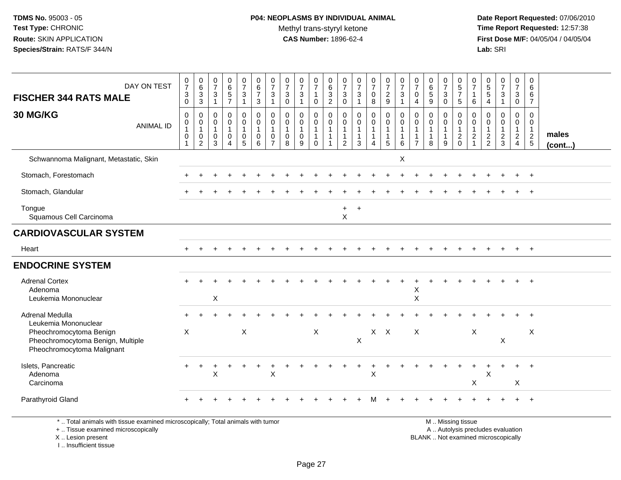**Date Report Requested:** 07/06/2010 **Time Report Requested:** 12:57:38 **First Dose M/F:** 04/05/04 / 04/05/04<br>Lab: SRI **Lab:** SRI

| DAY ON TEST<br><b>FISCHER 344 RATS MALE</b>                                                                        | $\frac{0}{7}$<br>$\mathbf{3}$                                                | $_{6}^{\rm 0}$<br>$\frac{3}{3}$                      | $\begin{smallmatrix}0\\7\end{smallmatrix}$<br>$\ensuremath{\mathsf{3}}$               | $\begin{matrix} 0 \\ 6 \\ 5 \end{matrix}$                                                   | $\frac{0}{7}$<br>$\ensuremath{\mathsf{3}}$                                               | $\begin{array}{c} 0 \\ 6 \\ 7 \end{array}$                                     | $\frac{0}{7}$<br>$\ensuremath{\mathsf{3}}$                                       | $\frac{0}{7}$<br>$\ensuremath{\mathsf{3}}$                                  | $\frac{0}{7}$<br>$\mathbf{3}$                                                          | $\frac{0}{7}$<br>$\mathbf{1}$                                                  | $\begin{array}{c} 0 \\ 6 \\ 3 \\ 2 \end{array}$                              | $\frac{0}{7}$<br>$\mathbf{3}$                                               | $\frac{0}{7}$<br>$\sqrt{3}$                                                           | $\frac{0}{7}$<br>$\mathbf 0$                    | $\frac{0}{7}$<br>$\overline{2}$                                        | $\frac{0}{7}$<br>$\ensuremath{\mathsf{3}}$                                      | $\frac{0}{7}$<br>$\mathbf 0$                                                                    | $\begin{array}{c} 0 \\ 6 \end{array}$<br>$\overline{5}$              | $\frac{0}{7}$<br>$\ensuremath{\mathsf{3}}$                                   | 0<br>$rac{5}{7}$                                                              | $\frac{0}{7}$<br>$\mathbf{1}$                                             | $\begin{matrix} 0 \\ 5 \end{matrix}$<br>$\sqrt{5}$                               | $\frac{0}{7}$<br>$\sqrt{3}$                                   | $\frac{0}{7}$<br>$\mathsf 3$                                                                  | 0<br>$6\phantom{1}6$<br>$\,6\,$                                                                |                 |
|--------------------------------------------------------------------------------------------------------------------|------------------------------------------------------------------------------|------------------------------------------------------|---------------------------------------------------------------------------------------|---------------------------------------------------------------------------------------------|------------------------------------------------------------------------------------------|--------------------------------------------------------------------------------|----------------------------------------------------------------------------------|-----------------------------------------------------------------------------|----------------------------------------------------------------------------------------|--------------------------------------------------------------------------------|------------------------------------------------------------------------------|-----------------------------------------------------------------------------|---------------------------------------------------------------------------------------|-------------------------------------------------|------------------------------------------------------------------------|---------------------------------------------------------------------------------|-------------------------------------------------------------------------------------------------|----------------------------------------------------------------------|------------------------------------------------------------------------------|-------------------------------------------------------------------------------|---------------------------------------------------------------------------|----------------------------------------------------------------------------------|---------------------------------------------------------------|-----------------------------------------------------------------------------------------------|------------------------------------------------------------------------------------------------|-----------------|
| 30 MG/KG<br><b>ANIMAL ID</b>                                                                                       | 0<br>$\mathbf 0$<br>$\pmb{0}$<br>$\mathbf{1}$<br>$\mathbf 0$<br>$\mathbf{1}$ | $\mathbf 0$<br>$\mathbf 0$<br>$\mathbf{1}$<br>0<br>2 | $\overline{1}$<br>$\mathbf 0$<br>$\boldsymbol{0}$<br>$\mathbf{1}$<br>$\mathbf 0$<br>3 | $\overline{7}$<br>$\pmb{0}$<br>$\mathsf 0$<br>$\mathbf{1}$<br>$\mathbf 0$<br>$\overline{4}$ | $\overline{1}$<br>$\mathbf 0$<br>$\mathsf{O}\xspace$<br>$\mathbf{1}$<br>$\mathbf 0$<br>5 | $\mathbf{3}$<br>$\mathbf 0$<br>$\mathsf 0$<br>$\mathbf{1}$<br>$\mathbf 0$<br>6 | 1<br>$\mathbf 0$<br>$\mathbf 0$<br>$\mathbf{1}$<br>$\mathbf 0$<br>$\overline{7}$ | $\mathbf 0$<br>$\mathbf 0$<br>$\pmb{0}$<br>$\mathbf{1}$<br>$\mathbf 0$<br>8 | $\mathbf{1}$<br>$\mathbf 0$<br>$\mathsf{O}\xspace$<br>$\mathbf{1}$<br>$\mathbf 0$<br>9 | 0<br>$\mathbf 0$<br>$\mathbf 0$<br>$\mathbf{1}$<br>$\mathbf{1}$<br>$\mathbf 0$ | $\mathbf 0$<br>$\mathbf 0$<br>$\mathbf{1}$<br>$\overline{1}$<br>$\mathbf{1}$ | $\mathbf 0$<br>0<br>0<br>$\overline{1}$<br>$\overline{1}$<br>$\overline{2}$ | $\overline{1}$<br>$\mathbf 0$<br>$\mathbf 0$<br>$\overline{1}$<br>$\overline{1}$<br>3 | 8<br>0<br>$\mathbf 0$<br>1<br>$\mathbf{1}$<br>4 | 9<br>$\mathbf 0$<br>$\mathbf 0$<br>$\mathbf{1}$<br>$\overline{1}$<br>5 | $\overline{1}$<br>$\mathbf 0$<br>$\pmb{0}$<br>$\mathbf{1}$<br>$\mathbf{1}$<br>6 | $\overline{4}$<br>$\Omega$<br>$\mathbf 0$<br>$\overline{1}$<br>$\overline{1}$<br>$\overline{7}$ | 9<br>$\mathbf 0$<br>$\mathbf 0$<br>$\mathbf{1}$<br>$\mathbf{1}$<br>8 | $\mathbf 0$<br>$\mathbf 0$<br>$\pmb{0}$<br>$\mathbf{1}$<br>$\mathbf{1}$<br>9 | 5<br>$\mathbf 0$<br>$\mathbf 0$<br>$\mathbf{1}$<br>$\overline{c}$<br>$\Omega$ | 6<br>$\mathbf 0$<br>$\mathsf{O}\xspace$<br>$\mathbf{1}$<br>$\overline{c}$ | $\overline{4}$<br>$\Omega$<br>$\mathbf 0$<br>$\mathbf{1}$<br>$\overline{c}$<br>2 | $\mathbf 0$<br>$\mathbf 0$<br>$\mathbf{1}$<br>$\sqrt{2}$<br>3 | $\mathbf 0$<br>$\mathbf 0$<br>$\mathbf 0$<br>$\mathbf{1}$<br>$\overline{a}$<br>$\overline{4}$ | $\overline{7}$<br>$\Omega$<br>$\mathbf 0$<br>$\mathbf{1}$<br>$\overline{2}$<br>$5\phantom{.0}$ | males<br>(cont) |
| Schwannoma Malignant, Metastatic, Skin                                                                             |                                                                              |                                                      |                                                                                       |                                                                                             |                                                                                          |                                                                                |                                                                                  |                                                                             |                                                                                        |                                                                                |                                                                              |                                                                             |                                                                                       |                                                 |                                                                        | X                                                                               |                                                                                                 |                                                                      |                                                                              |                                                                               |                                                                           |                                                                                  |                                                               |                                                                                               |                                                                                                |                 |
| Stomach, Forestomach                                                                                               |                                                                              |                                                      |                                                                                       |                                                                                             |                                                                                          |                                                                                |                                                                                  |                                                                             |                                                                                        |                                                                                |                                                                              |                                                                             |                                                                                       |                                                 |                                                                        |                                                                                 |                                                                                                 |                                                                      |                                                                              |                                                                               |                                                                           |                                                                                  |                                                               |                                                                                               |                                                                                                |                 |
| Stomach, Glandular                                                                                                 |                                                                              |                                                      |                                                                                       |                                                                                             |                                                                                          |                                                                                |                                                                                  |                                                                             |                                                                                        |                                                                                |                                                                              |                                                                             |                                                                                       |                                                 |                                                                        |                                                                                 |                                                                                                 |                                                                      |                                                                              |                                                                               |                                                                           |                                                                                  |                                                               |                                                                                               | $\ddot{}$                                                                                      |                 |
| Tongue<br>Squamous Cell Carcinoma                                                                                  |                                                                              |                                                      |                                                                                       |                                                                                             |                                                                                          |                                                                                |                                                                                  |                                                                             |                                                                                        |                                                                                |                                                                              | $\ddot{}$<br>$\times$                                                       | $+$                                                                                   |                                                 |                                                                        |                                                                                 |                                                                                                 |                                                                      |                                                                              |                                                                               |                                                                           |                                                                                  |                                                               |                                                                                               |                                                                                                |                 |
| <b>CARDIOVASCULAR SYSTEM</b>                                                                                       |                                                                              |                                                      |                                                                                       |                                                                                             |                                                                                          |                                                                                |                                                                                  |                                                                             |                                                                                        |                                                                                |                                                                              |                                                                             |                                                                                       |                                                 |                                                                        |                                                                                 |                                                                                                 |                                                                      |                                                                              |                                                                               |                                                                           |                                                                                  |                                                               |                                                                                               |                                                                                                |                 |
| Heart                                                                                                              |                                                                              |                                                      |                                                                                       |                                                                                             |                                                                                          |                                                                                |                                                                                  |                                                                             |                                                                                        |                                                                                |                                                                              |                                                                             |                                                                                       |                                                 |                                                                        |                                                                                 |                                                                                                 |                                                                      |                                                                              |                                                                               |                                                                           |                                                                                  |                                                               |                                                                                               | $+$                                                                                            |                 |
| <b>ENDOCRINE SYSTEM</b>                                                                                            |                                                                              |                                                      |                                                                                       |                                                                                             |                                                                                          |                                                                                |                                                                                  |                                                                             |                                                                                        |                                                                                |                                                                              |                                                                             |                                                                                       |                                                 |                                                                        |                                                                                 |                                                                                                 |                                                                      |                                                                              |                                                                               |                                                                           |                                                                                  |                                                               |                                                                                               |                                                                                                |                 |
| <b>Adrenal Cortex</b><br>Adenoma<br>Leukemia Mononuclear                                                           |                                                                              |                                                      | $\mathsf X$                                                                           |                                                                                             |                                                                                          |                                                                                |                                                                                  |                                                                             |                                                                                        |                                                                                |                                                                              |                                                                             |                                                                                       |                                                 |                                                                        |                                                                                 | X<br>$\mathsf X$                                                                                |                                                                      |                                                                              |                                                                               |                                                                           |                                                                                  |                                                               |                                                                                               | $\ddot{}$                                                                                      |                 |
| Adrenal Medulla                                                                                                    |                                                                              |                                                      |                                                                                       |                                                                                             |                                                                                          |                                                                                |                                                                                  |                                                                             |                                                                                        |                                                                                |                                                                              |                                                                             |                                                                                       |                                                 |                                                                        |                                                                                 |                                                                                                 |                                                                      |                                                                              |                                                                               |                                                                           |                                                                                  |                                                               |                                                                                               |                                                                                                |                 |
| Leukemia Mononuclear<br>Pheochromocytoma Benign<br>Pheochromocytoma Benign, Multiple<br>Pheochromocytoma Malignant | $\boldsymbol{X}$                                                             |                                                      |                                                                                       |                                                                                             | X                                                                                        |                                                                                |                                                                                  |                                                                             |                                                                                        | X                                                                              |                                                                              |                                                                             | $\boldsymbol{\mathsf{X}}$                                                             |                                                 | $X$ $X$                                                                |                                                                                 | X                                                                                               |                                                                      |                                                                              |                                                                               | $\mathsf X$                                                               |                                                                                  | X                                                             |                                                                                               | X                                                                                              |                 |
| Islets, Pancreatic<br>Adenoma<br>Carcinoma                                                                         |                                                                              |                                                      | $\mathsf X$                                                                           |                                                                                             |                                                                                          |                                                                                | $\mathsf X$                                                                      |                                                                             |                                                                                        |                                                                                |                                                                              |                                                                             |                                                                                       | $\sf X$                                         |                                                                        |                                                                                 |                                                                                                 |                                                                      |                                                                              |                                                                               | X                                                                         | $\mathsf X$                                                                      |                                                               | X                                                                                             | $\ddot{}$                                                                                      |                 |
| Parathyroid Gland                                                                                                  |                                                                              |                                                      |                                                                                       |                                                                                             |                                                                                          |                                                                                |                                                                                  |                                                                             |                                                                                        |                                                                                |                                                                              |                                                                             |                                                                                       |                                                 |                                                                        |                                                                                 |                                                                                                 |                                                                      |                                                                              |                                                                               |                                                                           |                                                                                  |                                                               | $\pm$                                                                                         | $+$                                                                                            |                 |
| *  Total animals with tissue examined microscopically; Total animals with tumor                                    |                                                                              |                                                      |                                                                                       |                                                                                             |                                                                                          |                                                                                |                                                                                  |                                                                             |                                                                                        |                                                                                |                                                                              |                                                                             |                                                                                       |                                                 |                                                                        |                                                                                 |                                                                                                 |                                                                      |                                                                              | M. Missing tissue                                                             |                                                                           |                                                                                  |                                                               |                                                                                               |                                                                                                |                 |

+ .. Tissue examined microscopically

 Lesion present BLANK .. Not examined microscopicallyX .. Lesion present

I .. Insufficient tissue

y the contract of the contract of the contract of the contract of the contract of the contract of the contract of  $A$ . Autolysis precludes evaluation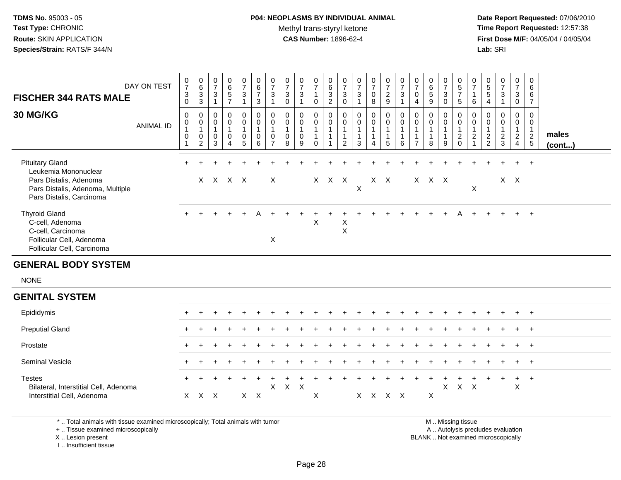# **P04: NEOPLASMS BY INDIVIDUAL ANIMAL**Methyl trans-styryl ketone<br>CAS Number: 1896-62-4

 **Date Report Requested:** 07/06/2010 **Time Report Requested:** 12:57:38 **First Dose M/F:** 04/05/04 / 04/05/04<br>**Lab:** SRI **Lab:** SRI

| <b>FISCHER 344 RATS MALE</b>                                                                                                             | DAY ON TEST      | $\frac{0}{7}$<br>$\ensuremath{\mathsf{3}}$<br>$\pmb{0}$ | $\begin{array}{c} 0 \\ 6 \end{array}$<br>$\frac{3}{3}$               | 0<br>$\overline{7}$<br>$\mathbf{3}$<br>$\mathbf{1}$ | 0<br>$\,6$<br>$\sqrt{5}$<br>$\overline{7}$                                        | 0<br>$\overline{7}$<br>$\mathbf{3}$<br>$\mathbf{1}$ | $_{6}^{\rm 0}$<br>$\overline{7}$<br>$\mathbf{3}$         | $\frac{0}{7}$<br>$\ensuremath{\mathsf{3}}$<br>$\mathbf{1}$   | $\boldsymbol{0}$<br>$\overline{7}$<br>$_0^3$         | $\frac{0}{7}$<br>$\sqrt{3}$<br>$\overline{1}$      | $\frac{0}{7}$<br>$\mathbf{1}$<br>$\mathbf 0$               | 0<br>6<br>$\frac{3}{2}$                                          | $\frac{0}{7}$<br>$\mathbf{3}$<br>$\mathsf 0$                     | 0<br>$\overline{7}$<br>$\ensuremath{\mathsf{3}}$<br>$\mathbf{1}$ | $\frac{0}{7}$<br>$\pmb{0}$<br>$\,8\,$                         | $\frac{0}{7}$<br>$\frac{2}{9}$                                           | $\frac{0}{7}$<br>$\sqrt{3}$<br>$\mathbf{1}$                   | 0<br>$\overline{7}$<br>$\mathbf 0$<br>$\overline{4}$ | $\pmb{0}$<br>$\,6\,$<br>$\sqrt{5}$<br>$\mathsf g$ | $\pmb{0}$<br>$\overline{7}$<br>$\sqrt{3}$<br>$\mathbf 0$ | $\begin{matrix} 0 \\ 5 \end{matrix}$<br>$\overline{7}$<br>$\sqrt{5}$ | 0<br>$\overline{7}$<br>$\overline{1}$<br>6                       | $\begin{array}{c} 0 \\ 5 \end{array}$<br>$\sqrt{5}$<br>4 | $\frac{0}{7}$<br>3<br>1                       | $\frac{0}{7}$<br>3<br>$\overline{0}$                                         | 0<br>6<br>$\,6\,$<br>$\overline{7}$                       |                 |
|------------------------------------------------------------------------------------------------------------------------------------------|------------------|---------------------------------------------------------|----------------------------------------------------------------------|-----------------------------------------------------|-----------------------------------------------------------------------------------|-----------------------------------------------------|----------------------------------------------------------|--------------------------------------------------------------|------------------------------------------------------|----------------------------------------------------|------------------------------------------------------------|------------------------------------------------------------------|------------------------------------------------------------------|------------------------------------------------------------------|---------------------------------------------------------------|--------------------------------------------------------------------------|---------------------------------------------------------------|------------------------------------------------------|---------------------------------------------------|----------------------------------------------------------|----------------------------------------------------------------------|------------------------------------------------------------------|----------------------------------------------------------|-----------------------------------------------|------------------------------------------------------------------------------|-----------------------------------------------------------|-----------------|
| 30 MG/KG                                                                                                                                 | <b>ANIMAL ID</b> | 0<br>$\pmb{0}$<br>$\mathbf{1}$<br>$\pmb{0}$             | 0<br>$\begin{smallmatrix} 0\\ 1 \end{smallmatrix}$<br>$\pmb{0}$<br>2 | 0<br>0<br>$\mathbf{1}$<br>0<br>3                    | $\mathbf 0$<br>$\pmb{0}$<br>$\mathbf{1}$<br>$\mathbf 0$<br>$\boldsymbol{\Lambda}$ | 0<br>$\mathbf 0$<br>$\mathbf{1}$<br>$\pmb{0}$<br>5  | $\pmb{0}$<br>$\pmb{0}$<br>$\mathbf{1}$<br>$\pmb{0}$<br>6 | 0<br>$\pmb{0}$<br>$\mathbf 1$<br>$\pmb{0}$<br>$\overline{7}$ | 0<br>$\pmb{0}$<br>$\overline{1}$<br>$\mathbf 0$<br>8 | 0<br>$\pmb{0}$<br>$\mathbf{1}$<br>$\mathbf 0$<br>9 | 0<br>$\pmb{0}$<br>$\mathbf{1}$<br>$\mathbf{1}$<br>$\Omega$ | 0<br>$\pmb{0}$<br>$\mathbf{1}$<br>$\mathbf{1}$<br>$\overline{1}$ | 0<br>$\pmb{0}$<br>$\mathbf{1}$<br>$\mathbf{1}$<br>$\overline{2}$ | 0<br>$\pmb{0}$<br>$\mathbf{1}$<br>$\mathbf{1}$<br>3              | $\pmb{0}$<br>$\mathbf 0$<br>$\mathbf{1}$<br>$\mathbf{1}$<br>4 | $\mathbf 0$<br>$\pmb{0}$<br>$\overline{1}$<br>$\mathbf{1}$<br>$\sqrt{5}$ | $\pmb{0}$<br>$\pmb{0}$<br>$\overline{1}$<br>$\mathbf{1}$<br>6 | 0<br>0<br>1<br>$\overline{7}$                        | 0<br>$\mathsf 0$<br>$\mathbf{1}$<br>1<br>8        | 0<br>$\pmb{0}$<br>$\mathbf{1}$<br>$\mathbf{1}$<br>9      | 0<br>$\mathbf 0$<br>1<br>$\sqrt{2}$<br>$\Omega$                      | 0<br>$\pmb{0}$<br>$\overline{1}$<br>$\sqrt{2}$<br>$\overline{1}$ | 0<br>0<br>$\mathbf{1}$<br>$\frac{2}{2}$                  | 0<br>0<br>$\mathbf{1}$<br>$\overline{c}$<br>3 | 0<br>$\mathsf{O}\xspace$<br>$\mathbf{1}$<br>$\overline{a}$<br>$\overline{4}$ | $\pmb{0}$<br>$\mathbf 0$<br>$\mathbf{1}$<br>$\frac{2}{5}$ | males<br>(cont) |
| <b>Pituitary Gland</b><br>Leukemia Mononuclear<br>Pars Distalis, Adenoma<br>Pars Distalis, Adenoma, Multiple<br>Pars Distalis, Carcinoma |                  |                                                         |                                                                      | X X X X                                             |                                                                                   |                                                     |                                                          | X                                                            |                                                      |                                                    |                                                            | $X$ $X$                                                          | $\mathsf{X}$                                                     | $\pmb{\times}$                                                   |                                                               | $X$ $X$                                                                  |                                                               |                                                      | X X X                                             |                                                          |                                                                      | X                                                                |                                                          |                                               | $X$ $X$                                                                      | $+$                                                       |                 |
| <b>Thyroid Gland</b><br>C-cell, Adenoma<br>C-cell, Carcinoma<br>Follicular Cell, Adenoma<br>Follicular Cell, Carcinoma                   |                  |                                                         |                                                                      |                                                     |                                                                                   |                                                     |                                                          | X                                                            |                                                      |                                                    | X                                                          |                                                                  | $\mathsf X$<br>$\sf X$                                           |                                                                  |                                                               |                                                                          |                                                               |                                                      |                                                   |                                                          |                                                                      |                                                                  |                                                          |                                               |                                                                              |                                                           |                 |
| <b>GENERAL BODY SYSTEM</b>                                                                                                               |                  |                                                         |                                                                      |                                                     |                                                                                   |                                                     |                                                          |                                                              |                                                      |                                                    |                                                            |                                                                  |                                                                  |                                                                  |                                                               |                                                                          |                                                               |                                                      |                                                   |                                                          |                                                                      |                                                                  |                                                          |                                               |                                                                              |                                                           |                 |
| <b>NONE</b>                                                                                                                              |                  |                                                         |                                                                      |                                                     |                                                                                   |                                                     |                                                          |                                                              |                                                      |                                                    |                                                            |                                                                  |                                                                  |                                                                  |                                                               |                                                                          |                                                               |                                                      |                                                   |                                                          |                                                                      |                                                                  |                                                          |                                               |                                                                              |                                                           |                 |
| <b>GENITAL SYSTEM</b>                                                                                                                    |                  |                                                         |                                                                      |                                                     |                                                                                   |                                                     |                                                          |                                                              |                                                      |                                                    |                                                            |                                                                  |                                                                  |                                                                  |                                                               |                                                                          |                                                               |                                                      |                                                   |                                                          |                                                                      |                                                                  |                                                          |                                               |                                                                              |                                                           |                 |
| Epididymis                                                                                                                               |                  |                                                         |                                                                      |                                                     |                                                                                   |                                                     |                                                          |                                                              |                                                      |                                                    |                                                            |                                                                  |                                                                  |                                                                  |                                                               |                                                                          |                                                               |                                                      |                                                   |                                                          |                                                                      |                                                                  |                                                          |                                               |                                                                              | $\ddot{}$                                                 |                 |
| <b>Preputial Gland</b>                                                                                                                   |                  |                                                         |                                                                      |                                                     |                                                                                   |                                                     |                                                          |                                                              |                                                      |                                                    |                                                            |                                                                  |                                                                  |                                                                  |                                                               |                                                                          |                                                               |                                                      |                                                   |                                                          |                                                                      |                                                                  |                                                          |                                               |                                                                              | $+$                                                       |                 |
| Prostate                                                                                                                                 |                  |                                                         |                                                                      |                                                     |                                                                                   |                                                     |                                                          |                                                              |                                                      |                                                    |                                                            |                                                                  |                                                                  |                                                                  |                                                               |                                                                          |                                                               |                                                      |                                                   |                                                          |                                                                      |                                                                  |                                                          |                                               |                                                                              | $+$                                                       |                 |
| Seminal Vesicle                                                                                                                          |                  |                                                         |                                                                      |                                                     |                                                                                   |                                                     |                                                          |                                                              |                                                      |                                                    |                                                            |                                                                  |                                                                  |                                                                  |                                                               |                                                                          |                                                               |                                                      |                                                   |                                                          |                                                                      |                                                                  |                                                          |                                               |                                                                              | $\ddot{}$                                                 |                 |
| <b>Testes</b><br>Bilateral, Interstitial Cell, Adenoma<br>Interstitial Cell, Adenoma                                                     |                  |                                                         | X X X                                                                |                                                     |                                                                                   |                                                     | $X$ $X$                                                  | X                                                            | $\mathsf{X}$                                         | $\times$                                           | X                                                          |                                                                  |                                                                  |                                                                  |                                                               | X X X X                                                                  |                                                               |                                                      | $\sf X$                                           | X                                                        | X                                                                    | $\mathsf{X}$                                                     |                                                          |                                               | $\ddot{}$<br>$\sf X$                                                         | $+$                                                       |                 |

\* .. Total animals with tissue examined microscopically; Total animals with tumor

+ .. Tissue examined microscopically

 Lesion present BLANK .. Not examined microscopicallyX .. Lesion present

I .. Insufficient tissue

 M .. Missing tissuey the contract of the contract of the contract of the contract of the contract of the contract of the contract of  $A$ . Autolysis precludes evaluation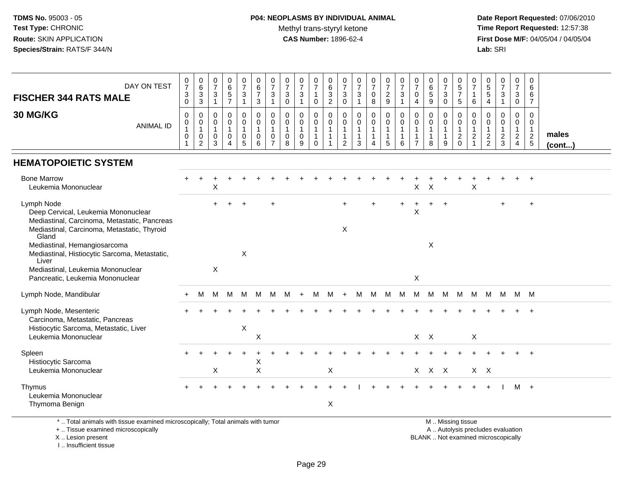# **P04: NEOPLASMS BY INDIVIDUAL ANIMAL**Methyl trans-styryl ketone<br>CAS Number: 1896-62-4

 **Date Report Requested:** 07/06/2010 **Time Report Requested:** 12:57:38 **First Dose M/F:** 04/05/04 / 04/05/04<br>Lab: SRI **Lab:** SRI

| DAY ON TEST<br><b>FISCHER 344 RATS MALE</b>                                                                                                      | $\begin{array}{c} 0 \\ 7 \end{array}$<br>3<br>$\pmb{0}$ | $\begin{array}{c} 0 \\ 6 \end{array}$<br>$_3^3$           | $\frac{0}{7}$<br>$\sqrt{3}$<br>$\mathbf{1}$                    | $_{6}^{\rm 0}$<br>$\overline{5}$<br>$\overline{7}$ | $\frac{0}{7}$<br>$\ensuremath{\mathsf{3}}$<br>$\overline{1}$ | $_{\rm 6}^{\rm 0}$<br>$\overline{7}$<br>$\mathbf{3}$             | $\mathbf 0$<br>$\overline{7}$<br>$\sqrt{3}$<br>$\mathbf{1}$ | $\mathbf 0$<br>$\frac{5}{7}$<br>3<br>$\mathbf 0$               | $\frac{0}{7}$<br>$\ensuremath{\mathsf{3}}$<br>$\mathbf{1}$ | 0<br>$\overline{7}$<br>$\mathbf{1}$<br>$\mathsf{O}\xspace$ | $\mathbf 0$<br>$\overline{6}$<br>$\ensuremath{\mathsf{3}}$<br>$\overline{c}$ | 0<br>$\overline{7}$<br>$\ensuremath{\mathsf{3}}$<br>$\mathbf 0$ | $\begin{array}{c} 0 \\ 7 \end{array}$<br>$\sqrt{3}$<br>$\mathbf{1}$ | $\begin{array}{c} 0 \\ 7 \end{array}$<br>0<br>8 | $\begin{array}{c} 0 \\ 7 \end{array}$<br>$\overline{c}$<br>$9\,$ | 0<br>$\frac{5}{7}$<br>3<br>$\mathbf{1}$    | 0<br>$\overline{7}$<br>0<br>$\overline{4}$               | 0<br>$\overline{6}$<br>$\sqrt{5}$<br>$\boldsymbol{9}$ | $\pmb{0}$<br>$\overline{7}$<br>3<br>$\mathsf 0$ | 0<br>$\sqrt{5}$<br>$\boldsymbol{7}$<br>$\sqrt{5}$                                             | 0<br>$\overline{7}$<br>1<br>6          | $\begin{array}{c} 0 \\ 5 \\ 5 \end{array}$<br>$\overline{4}$ | $\frac{0}{7}$<br>$\ensuremath{\mathsf{3}}$<br>$\mathbf{1}$ | 0<br>$\overline{7}$<br>3<br>$\mathsf{O}\xspace$                       | $\mathbf 0$<br>6<br>6<br>$\overline{7}$                                  |                       |
|--------------------------------------------------------------------------------------------------------------------------------------------------|---------------------------------------------------------|-----------------------------------------------------------|----------------------------------------------------------------|----------------------------------------------------|--------------------------------------------------------------|------------------------------------------------------------------|-------------------------------------------------------------|----------------------------------------------------------------|------------------------------------------------------------|------------------------------------------------------------|------------------------------------------------------------------------------|-----------------------------------------------------------------|---------------------------------------------------------------------|-------------------------------------------------|------------------------------------------------------------------|--------------------------------------------|----------------------------------------------------------|-------------------------------------------------------|-------------------------------------------------|-----------------------------------------------------------------------------------------------|----------------------------------------|--------------------------------------------------------------|------------------------------------------------------------|-----------------------------------------------------------------------|--------------------------------------------------------------------------|-----------------------|
| 30 MG/KG<br><b>ANIMAL ID</b>                                                                                                                     | 0<br>0<br>$\mathbf 0$                                   | 0<br>0<br>$\overline{1}$<br>$\mathbf 0$<br>$\overline{2}$ | $\mathbf 0$<br>$\mathbf 0$<br>$\mathbf{1}$<br>$\mathbf 0$<br>3 | 0<br>$\mathbf 0$<br>1<br>$\mathsf 0$<br>4          | 0<br>0<br>1<br>$\pmb{0}$<br>5                                | $\mathbf 0$<br>$\mathbf 0$<br>$\overline{1}$<br>$\mathbf 0$<br>6 | $\mathbf 0$<br>$\mathbf 0$<br>$\mathbf 0$<br>$\overline{7}$ | $\mathbf 0$<br>$\mathbf 0$<br>$\mathbf{1}$<br>$\mathbf 0$<br>8 | 0<br>0<br>$\mathbf{1}$<br>$\pmb{0}$<br>9                   | 0<br>$\mathbf 0$<br>1<br>$\mathbf{1}$<br>$\mathbf 0$       | 0<br>$\mathbf 0$<br>$\mathbf 1$<br>$\mathbf{1}$<br>1                         | $\mathbf 0$<br>$\mathbf 0$<br>$\mathbf{1}$<br>$\overline{c}$    | $\mathbf 0$<br>$\mathbf 0$<br>$\mathbf{1}$<br>$\mathbf{1}$<br>3     | 0<br>$\mathbf 0$<br>$\mathbf{1}$<br>-1<br>4     | $\mathbf 0$<br>$\mathbf 0$<br>1<br>$\mathbf{1}$<br>5             | 0<br>$\mathbf 0$<br>1<br>$\mathbf{1}$<br>6 | 0<br>0<br>$\mathbf{1}$<br>$\mathbf{1}$<br>$\overline{7}$ | $\mathbf 0$<br>$\mathbf 0$<br>8                       | 0<br>$\mathbf 0$<br>-1<br>-1<br>9               | 0<br>$\mathbf 0$<br>$\mathbf{1}$<br>$\boldsymbol{2}$<br>$\Omega$                              | 0<br>$\Omega$<br>1<br>$\boldsymbol{2}$ | 0<br>$\mathbf 0$<br>1<br>$\sqrt{2}$<br>$\overline{c}$        | 0<br>0<br>1<br>$\overline{c}$<br>$\mathbf{3}$              | 0<br>$\mathbf{0}$<br>$\mathbf{1}$<br>$\overline{2}$<br>$\overline{4}$ | $\mathbf 0$<br>$\mathbf 0$<br>$\overline{1}$<br>$\sqrt{2}$<br>$\sqrt{5}$ | males<br>$($ cont $)$ |
| <b>HEMATOPOIETIC SYSTEM</b>                                                                                                                      |                                                         |                                                           |                                                                |                                                    |                                                              |                                                                  |                                                             |                                                                |                                                            |                                                            |                                                                              |                                                                 |                                                                     |                                                 |                                                                  |                                            |                                                          |                                                       |                                                 |                                                                                               |                                        |                                                              |                                                            |                                                                       |                                                                          |                       |
| <b>Bone Marrow</b><br>Leukemia Mononuclear                                                                                                       |                                                         |                                                           | Х                                                              |                                                    |                                                              |                                                                  |                                                             |                                                                |                                                            |                                                            |                                                                              |                                                                 |                                                                     |                                                 |                                                                  |                                            | X                                                        | X                                                     |                                                 |                                                                                               | X                                      |                                                              |                                                            |                                                                       |                                                                          |                       |
| Lymph Node<br>Deep Cervical, Leukemia Mononuclear<br>Mediastinal, Carcinoma, Metastatic, Pancreas<br>Mediastinal, Carcinoma, Metastatic, Thyroid |                                                         |                                                           |                                                                |                                                    |                                                              |                                                                  | $\ddot{}$                                                   |                                                                |                                                            |                                                            |                                                                              | $+$<br>X                                                        |                                                                     |                                                 |                                                                  |                                            | X                                                        |                                                       | $\ddot{}$                                       |                                                                                               |                                        |                                                              | $\ddot{}$                                                  |                                                                       | $\ddot{}$                                                                |                       |
| Gland<br>Mediastinal, Hemangiosarcoma<br>Mediastinal, Histiocytic Sarcoma, Metastatic,<br>Liver                                                  |                                                         |                                                           |                                                                |                                                    | X                                                            |                                                                  |                                                             |                                                                |                                                            |                                                            |                                                                              |                                                                 |                                                                     |                                                 |                                                                  |                                            |                                                          | X                                                     |                                                 |                                                                                               |                                        |                                                              |                                                            |                                                                       |                                                                          |                       |
| Mediastinal, Leukemia Mononuclear<br>Pancreatic, Leukemia Mononuclear                                                                            |                                                         |                                                           | $\boldsymbol{\mathsf{X}}$                                      |                                                    |                                                              |                                                                  |                                                             |                                                                |                                                            |                                                            |                                                                              |                                                                 |                                                                     |                                                 |                                                                  |                                            | $\pmb{\times}$                                           |                                                       |                                                 |                                                                                               |                                        |                                                              |                                                            |                                                                       |                                                                          |                       |
| Lymph Node, Mandibular                                                                                                                           |                                                         | M                                                         | M                                                              | M                                                  | м                                                            | M                                                                | м                                                           | м                                                              | $\ddot{}$                                                  | M                                                          | м                                                                            | $\ddot{}$                                                       | M                                                                   | M                                               | M                                                                | M                                          | M                                                        | M                                                     | M                                               | M                                                                                             | M                                      | M                                                            | M                                                          | M M                                                                   |                                                                          |                       |
| Lymph Node, Mesenteric<br>Carcinoma, Metastatic, Pancreas<br>Histiocytic Sarcoma, Metastatic, Liver<br>Leukemia Mononuclear                      |                                                         |                                                           |                                                                |                                                    | $\pmb{\times}$                                               | X                                                                |                                                             |                                                                |                                                            |                                                            |                                                                              |                                                                 |                                                                     |                                                 |                                                                  |                                            | $X$ $X$                                                  |                                                       |                                                 |                                                                                               | X                                      |                                                              |                                                            |                                                                       | $+$                                                                      |                       |
| Spleen<br>Histiocytic Sarcoma                                                                                                                    |                                                         |                                                           |                                                                |                                                    |                                                              | Х                                                                |                                                             |                                                                |                                                            |                                                            |                                                                              |                                                                 |                                                                     |                                                 |                                                                  |                                            |                                                          |                                                       |                                                 |                                                                                               |                                        |                                                              |                                                            |                                                                       |                                                                          |                       |
| Leukemia Mononuclear                                                                                                                             |                                                         |                                                           | X                                                              |                                                    |                                                              | $\mathsf X$                                                      |                                                             |                                                                |                                                            |                                                            | X                                                                            |                                                                 |                                                                     |                                                 |                                                                  |                                            |                                                          | $X$ $X$ $X$                                           |                                                 |                                                                                               | $X$ $X$                                |                                                              |                                                            |                                                                       |                                                                          |                       |
| Thymus<br>Leukemia Mononuclear<br>Thymoma Benign                                                                                                 |                                                         |                                                           |                                                                |                                                    |                                                              |                                                                  |                                                             |                                                                |                                                            |                                                            | X                                                                            |                                                                 |                                                                     |                                                 |                                                                  |                                            |                                                          |                                                       |                                                 |                                                                                               |                                        |                                                              |                                                            | м                                                                     | $+$                                                                      |                       |
| *  Total animals with tissue examined microscopically; Total animals with tumor<br>+  Tissue examined microscopically<br>X  Lesion present       |                                                         |                                                           |                                                                |                                                    |                                                              |                                                                  |                                                             |                                                                |                                                            |                                                            |                                                                              |                                                                 |                                                                     |                                                 |                                                                  |                                            |                                                          |                                                       |                                                 | M  Missing tissue<br>A  Autolysis precludes evaluation<br>BLANK  Not examined microscopically |                                        |                                                              |                                                            |                                                                       |                                                                          |                       |

I .. Insufficient tissue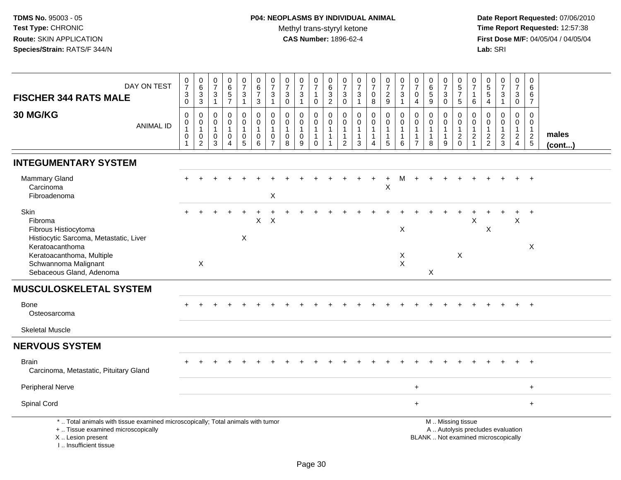| DAY ON TEST<br><b>FISCHER 344 RATS MALE</b>                                                                                                                           | $\frac{0}{7}$<br>$\ensuremath{\mathsf{3}}$<br>$\mathbf 0$                 | $\begin{array}{c} 0 \\ 6 \end{array}$<br>$\frac{3}{3}$           | $\frac{0}{7}$<br>$\frac{3}{1}$                        | 0<br>6<br>5<br>7                                        | 0<br>$\overline{7}$<br>$\mathbf{3}$<br>$\mathbf{1}$                | $\begin{array}{c} 0 \\ 6 \end{array}$<br>$\overline{7}$<br>$\mathbf{3}$ | $\frac{0}{7}$<br>$\ensuremath{\mathsf{3}}$<br>$\overline{1}$                  | $\frac{0}{7}$<br>$\ensuremath{\mathsf{3}}$<br>$\mathbf 0$      | $\frac{0}{7}$<br>3<br>$\mathbf{1}$                   | 0<br>$\overline{7}$<br>$\mathbf{1}$<br>$\mathbf 0$    | $\begin{array}{c} 0 \\ 6 \end{array}$<br>$\frac{3}{2}$ | $\frac{0}{7}$<br>$_{0}^{3}$                                                    | $\frac{0}{7}$<br>$\frac{3}{1}$                                             | $\frac{0}{7}$<br>$\mathsf{O}\xspace$<br>8             | $\frac{0}{7}$<br>$rac{2}{9}$                                  | $\begin{array}{c} 0 \\ 7 \end{array}$<br>$\mathbf 3$<br>$\mathbf{1}$  | 0<br>$\overline{7}$<br>$\pmb{0}$<br>$\overline{4}$ |                                                                 | $\frac{0}{7}$<br>$\sqrt{3}$<br>$\mathbf 0$            | $\pmb{0}$<br>$\sqrt{5}$<br>$\overline{7}$<br>5                                | 0<br>$\overline{7}$<br>1<br>6                                                | $\frac{0}{5}$<br>$\frac{5}{4}$                              | $\frac{0}{7}$<br>$\ensuremath{\mathsf{3}}$<br>$\mathbf{1}$               | $\mathbf 0$<br>$\overline{7}$<br>$_{\rm 0}^3$                        | 0<br>6<br>$\,6$<br>$\overline{7}$                                        |                 |
|-----------------------------------------------------------------------------------------------------------------------------------------------------------------------|---------------------------------------------------------------------------|------------------------------------------------------------------|-------------------------------------------------------|---------------------------------------------------------|--------------------------------------------------------------------|-------------------------------------------------------------------------|-------------------------------------------------------------------------------|----------------------------------------------------------------|------------------------------------------------------|-------------------------------------------------------|--------------------------------------------------------|--------------------------------------------------------------------------------|----------------------------------------------------------------------------|-------------------------------------------------------|---------------------------------------------------------------|-----------------------------------------------------------------------|----------------------------------------------------|-----------------------------------------------------------------|-------------------------------------------------------|-------------------------------------------------------------------------------|------------------------------------------------------------------------------|-------------------------------------------------------------|--------------------------------------------------------------------------|----------------------------------------------------------------------|--------------------------------------------------------------------------|-----------------|
| 30 MG/KG<br><b>ANIMAL ID</b>                                                                                                                                          | $\mathbf 0$<br>$\mathbf 0$<br>$\mathbf{1}$<br>$\mathbf 0$<br>$\mathbf{1}$ | $\mathbf 0$<br>$\mathbf 0$<br>1<br>$\mathbf 0$<br>$\overline{c}$ | $\mathbf 0$<br>0<br>$\mathbf{1}$<br>0<br>$\mathbf{3}$ | 0<br>$\mathbf 0$<br>$\mathbf{1}$<br>0<br>$\overline{4}$ | 0<br>$\mathbf 0$<br>$\mathbf{1}$<br>$\mathbf 0$<br>$5\phantom{.0}$ | $\mathbf 0$<br>$\pmb{0}$<br>$\mathbf{1}$<br>0<br>$6\phantom{1}6$        | $\mathbf 0$<br>$\mathbf 0$<br>$\overline{1}$<br>$\mathbf 0$<br>$\overline{7}$ | $\mathbf 0$<br>$\mathbf 0$<br>$\mathbf{1}$<br>$\mathbf 0$<br>8 | 0<br>$\mathbf 0$<br>$\mathbf{1}$<br>$\mathbf 0$<br>9 | 0<br>$\mathbf 0$<br>$\mathbf{1}$<br>$\mathbf{1}$<br>0 | $\mathbf 0$<br>$\mathbf 0$<br>$\mathbf{1}$<br>1        | $\mathbf 0$<br>$\mathbf 0$<br>$\mathbf{1}$<br>$\overline{1}$<br>$\overline{2}$ | $\mathbf 0$<br>$\mathbf 0$<br>$\mathbf{1}$<br>$\mathbf{1}$<br>$\mathbf{3}$ | 0<br>$\mathbf 0$<br>$\mathbf{1}$<br>$\mathbf{1}$<br>4 | $\pmb{0}$<br>$\mathbf 0$<br>$\mathbf{1}$<br>$\mathbf{1}$<br>5 | $\mathsf 0$<br>$\mathbf 0$<br>$\mathbf{1}$<br>$\mathbf{1}$<br>$\,6\,$ | $\Omega$<br>0<br>$\mathbf{1}$<br>$\overline{7}$    | $\mathbf 0$<br>$\mathbf 0$<br>$\mathbf{1}$<br>$\mathbf{1}$<br>8 | 0<br>$\mathbf 0$<br>$\mathbf{1}$<br>$\mathbf{1}$<br>9 | $\mathbf 0$<br>$\mathbf 0$<br>$\overline{1}$<br>$\overline{c}$<br>$\mathbf 0$ | $\mathbf 0$<br>$\mathbf 0$<br>$\mathbf{1}$<br>$\overline{c}$<br>$\mathbf{1}$ | $\mathbf 0$<br>$\mathbf 0$<br>$\mathbf{1}$<br>$\frac{2}{2}$ | 0<br>$\pmb{0}$<br>$\mathbf{1}$<br>$\frac{2}{3}$                          | 0<br>$\mathbf 0$<br>$\mathbf{1}$<br>$\overline{c}$<br>$\overline{4}$ | $\Omega$<br>$\mathbf 0$<br>$\mathbf{1}$<br>$\sqrt{2}$<br>$5\phantom{.0}$ | males<br>(cont) |
| <b>INTEGUMENTARY SYSTEM</b>                                                                                                                                           |                                                                           |                                                                  |                                                       |                                                         |                                                                    |                                                                         |                                                                               |                                                                |                                                      |                                                       |                                                        |                                                                                |                                                                            |                                                       |                                                               |                                                                       |                                                    |                                                                 |                                                       |                                                                               |                                                                              |                                                             |                                                                          |                                                                      |                                                                          |                 |
| <b>Mammary Gland</b><br>Carcinoma<br>Fibroadenoma                                                                                                                     |                                                                           |                                                                  |                                                       |                                                         |                                                                    |                                                                         | X                                                                             |                                                                |                                                      |                                                       |                                                        |                                                                                |                                                                            |                                                       | X                                                             | м                                                                     |                                                    |                                                                 |                                                       |                                                                               |                                                                              |                                                             |                                                                          |                                                                      |                                                                          |                 |
| Skin<br>Fibroma<br>Fibrous Histiocytoma<br>Histiocytic Sarcoma, Metastatic, Liver                                                                                     |                                                                           |                                                                  |                                                       |                                                         | X                                                                  | X                                                                       | X                                                                             |                                                                |                                                      |                                                       |                                                        |                                                                                |                                                                            |                                                       |                                                               | X                                                                     |                                                    |                                                                 |                                                       |                                                                               | X                                                                            | X                                                           |                                                                          | X                                                                    | $+$                                                                      |                 |
| Keratoacanthoma<br>Keratoacanthoma, Multiple<br>Schwannoma Malignant<br>Sebaceous Gland, Adenoma                                                                      |                                                                           | X                                                                |                                                       |                                                         |                                                                    |                                                                         |                                                                               |                                                                |                                                      |                                                       |                                                        |                                                                                |                                                                            |                                                       |                                                               | Χ<br>$\mathsf X$                                                      |                                                    | X                                                               |                                                       | $\times$                                                                      |                                                                              |                                                             |                                                                          |                                                                      | X                                                                        |                 |
| <b>MUSCULOSKELETAL SYSTEM</b>                                                                                                                                         |                                                                           |                                                                  |                                                       |                                                         |                                                                    |                                                                         |                                                                               |                                                                |                                                      |                                                       |                                                        |                                                                                |                                                                            |                                                       |                                                               |                                                                       |                                                    |                                                                 |                                                       |                                                                               |                                                                              |                                                             |                                                                          |                                                                      |                                                                          |                 |
| <b>Bone</b><br>Osteosarcoma                                                                                                                                           |                                                                           |                                                                  |                                                       |                                                         |                                                                    |                                                                         |                                                                               |                                                                |                                                      |                                                       |                                                        |                                                                                |                                                                            |                                                       |                                                               |                                                                       |                                                    |                                                                 |                                                       |                                                                               |                                                                              |                                                             |                                                                          |                                                                      | $+$                                                                      |                 |
| <b>Skeletal Muscle</b>                                                                                                                                                |                                                                           |                                                                  |                                                       |                                                         |                                                                    |                                                                         |                                                                               |                                                                |                                                      |                                                       |                                                        |                                                                                |                                                                            |                                                       |                                                               |                                                                       |                                                    |                                                                 |                                                       |                                                                               |                                                                              |                                                             |                                                                          |                                                                      |                                                                          |                 |
| <b>NERVOUS SYSTEM</b>                                                                                                                                                 |                                                                           |                                                                  |                                                       |                                                         |                                                                    |                                                                         |                                                                               |                                                                |                                                      |                                                       |                                                        |                                                                                |                                                                            |                                                       |                                                               |                                                                       |                                                    |                                                                 |                                                       |                                                                               |                                                                              |                                                             |                                                                          |                                                                      |                                                                          |                 |
| <b>Brain</b><br>Carcinoma, Metastatic, Pituitary Gland                                                                                                                |                                                                           |                                                                  |                                                       |                                                         |                                                                    |                                                                         |                                                                               |                                                                |                                                      |                                                       |                                                        |                                                                                |                                                                            |                                                       |                                                               |                                                                       |                                                    |                                                                 |                                                       |                                                                               |                                                                              |                                                             |                                                                          |                                                                      | $\ddot{}$                                                                |                 |
| <b>Peripheral Nerve</b>                                                                                                                                               |                                                                           |                                                                  |                                                       |                                                         |                                                                    |                                                                         |                                                                               |                                                                |                                                      |                                                       |                                                        |                                                                                |                                                                            |                                                       |                                                               |                                                                       | $\ddot{}$                                          |                                                                 |                                                       |                                                                               |                                                                              |                                                             |                                                                          |                                                                      | $+$                                                                      |                 |
| Spinal Cord                                                                                                                                                           |                                                                           |                                                                  |                                                       |                                                         |                                                                    |                                                                         |                                                                               |                                                                |                                                      |                                                       |                                                        |                                                                                |                                                                            |                                                       |                                                               |                                                                       | $+$                                                |                                                                 |                                                       |                                                                               |                                                                              |                                                             |                                                                          |                                                                      | $+$                                                                      |                 |
| *  Total animals with tissue examined microscopically; Total animals with tumor<br>+  Tissue examined microscopically<br>X  Lesion present<br>I., Insufficient tissue |                                                                           |                                                                  |                                                       |                                                         |                                                                    |                                                                         |                                                                               |                                                                |                                                      |                                                       |                                                        |                                                                                |                                                                            |                                                       |                                                               |                                                                       |                                                    |                                                                 |                                                       | M  Missing tissue                                                             |                                                                              |                                                             | A  Autolysis precludes evaluation<br>BLANK  Not examined microscopically |                                                                      |                                                                          |                 |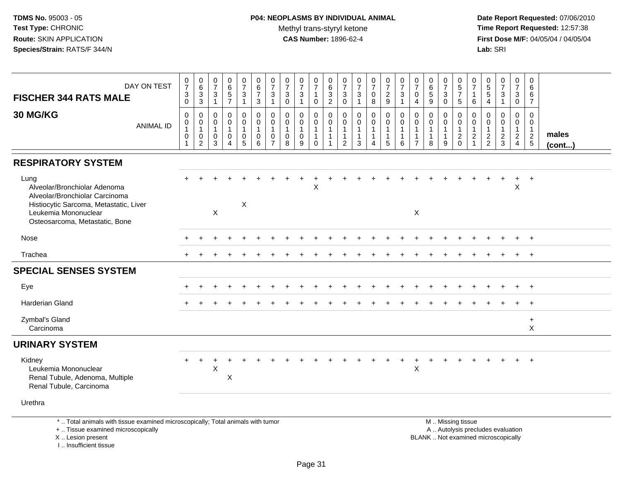| DAY ON TEST<br><b>FISCHER 344 RATS MALE</b>                                                                                                                                | $\begin{smallmatrix}0\\7\end{smallmatrix}$<br>$\ensuremath{\mathsf{3}}$<br>$\mathbf 0$ | $\begin{array}{c} 0 \\ 6 \end{array}$<br>$\overline{3}$<br>3 | $\begin{smallmatrix}0\\7\end{smallmatrix}$<br>$\frac{3}{1}$ | 0<br>6<br>5<br>7                                  | $\begin{smallmatrix}0\\7\end{smallmatrix}$<br>$\sqrt{3}$<br>$\mathbf{1}$ | $\begin{array}{c} 0 \\ 6 \end{array}$<br>$\overline{7}$<br>3 | $\frac{0}{7}$<br>$\ensuremath{\mathsf{3}}$<br>$\overline{1}$     | $\begin{array}{c} 0 \\ 7 \end{array}$<br>$\ensuremath{\mathsf{3}}$<br>$\mathbf 0$ | $\frac{0}{7}$<br>$\ensuremath{\mathsf{3}}$<br>$\mathbf{1}$ | $\frac{0}{7}$<br>$\mathbf{1}$<br>$\mathbf 0$                            | $\begin{array}{c} 0 \\ 6 \\ 3 \\ 2 \end{array}$                            | 0<br>$\overline{7}$<br>$_{0}^{3}$                                       | $\begin{array}{c} 0 \\ 7 \end{array}$<br>$\frac{3}{1}$          | $\begin{array}{c} 0 \\ 7 \end{array}$<br>$\pmb{0}$<br>8 | $\begin{array}{c} 0 \\ 7 \end{array}$<br>$\frac{2}{9}$              | $\frac{0}{7}$<br>$\ensuremath{\mathsf{3}}$<br>$\mathbf{1}$ | $\frac{0}{7}$<br>$\pmb{0}$<br>$\overline{4}$                                 | $\begin{array}{c} 0 \\ 6 \\ 5 \end{array}$<br>9       | $\frac{0}{7}$<br>$\frac{3}{0}$                        | $\begin{array}{c} 0 \\ 5 \\ 7 \end{array}$<br>$\sqrt{5}$                                      | $\pmb{0}$<br>$\overline{7}$<br>$\overline{1}$<br>6            | $0$<br>5<br>5<br>5<br>4                                     | $\frac{0}{7}$<br>3<br>$\mathbf{1}$ | $\frac{0}{7}$<br>$\frac{3}{0}$                                       | 0<br>$6\phantom{a}$<br>6<br>$\overline{7}$           |                       |
|----------------------------------------------------------------------------------------------------------------------------------------------------------------------------|----------------------------------------------------------------------------------------|--------------------------------------------------------------|-------------------------------------------------------------|---------------------------------------------------|--------------------------------------------------------------------------|--------------------------------------------------------------|------------------------------------------------------------------|-----------------------------------------------------------------------------------|------------------------------------------------------------|-------------------------------------------------------------------------|----------------------------------------------------------------------------|-------------------------------------------------------------------------|-----------------------------------------------------------------|---------------------------------------------------------|---------------------------------------------------------------------|------------------------------------------------------------|------------------------------------------------------------------------------|-------------------------------------------------------|-------------------------------------------------------|-----------------------------------------------------------------------------------------------|---------------------------------------------------------------|-------------------------------------------------------------|------------------------------------|----------------------------------------------------------------------|------------------------------------------------------|-----------------------|
| 30 MG/KG<br><b>ANIMAL ID</b>                                                                                                                                               | $\mathbf 0$<br>$\mathbf 0$<br>$\mathbf{1}$<br>$\pmb{0}$<br>$\mathbf{1}$                | 0<br>$\mathbf 0$<br>$\mathbf{1}$<br>0<br>$\overline{2}$      | $\mathbf 0$<br>0<br>$\mathbf{1}$<br>0<br>3                  | 0<br>$\mathbf 0$<br>$\mathbf{1}$<br>0<br>$\Delta$ | 0<br>$\overline{0}$<br>$\mathbf{1}$<br>0<br>5                            | $\mathbf 0$<br>$\mathsf{O}\xspace$<br>$\mathbf{1}$<br>0<br>6 | $\mathbf 0$<br>$\mathbf 0$<br>$\mathbf 1$<br>0<br>$\overline{7}$ | $\mathbf 0$<br>$\mathsf 0$<br>$\mathbf{1}$<br>$\mathbf 0$<br>8                    | 0<br>$\mathbf 0$<br>$\mathbf 0$<br>9                       | $\pmb{0}$<br>$\mathbf 0$<br>$\mathbf{1}$<br>$\mathbf{1}$<br>$\mathbf 0$ | $\mathbf 0$<br>$\mathbf 0$<br>$\mathbf{1}$<br>$\mathbf{1}$<br>$\mathbf{1}$ | $\mathbf 0$<br>$\mathbf 0$<br>$\mathbf 1$<br>$\mathbf{1}$<br>$\sqrt{2}$ | $\mathbf 0$<br>$\mathbf 0$<br>$\mathbf{1}$<br>$\mathbf{1}$<br>3 | 0<br>$\mathbf 0$<br>$\mathbf{1}$<br>$\mathbf{1}$<br>4   | $\mathbf 0$<br>$\mathbf 0$<br>$\overline{1}$<br>$\overline{1}$<br>5 | $\mathbf 0$<br>$\mathbf 0$<br>1<br>6                       | $\mathbf 0$<br>$\mathbf 0$<br>$\mathbf{1}$<br>$\mathbf{1}$<br>$\overline{7}$ | 0<br>$\mathbf 0$<br>$\mathbf{1}$<br>$\mathbf{1}$<br>8 | 0<br>$\mathbf 0$<br>$\mathbf{1}$<br>$\mathbf{1}$<br>9 | $\mathbf 0$<br>$\mathsf 0$<br>$\mathbf{1}$<br>$\frac{2}{0}$                                   | $\mathbf 0$<br>$\mathbf 0$<br>$\overline{1}$<br>$\frac{2}{1}$ | $\mathbf 0$<br>$\mathsf 0$<br>$\mathbf{1}$<br>$\frac{2}{2}$ | 0<br>$\mathbf 0$<br>$\frac{2}{3}$  | 0<br>$\mathbf 0$<br>$\mathbf{1}$<br>$\overline{2}$<br>$\overline{4}$ | $\Omega$<br>0<br>$\mathbf{1}$<br>$\overline{c}$<br>5 | males<br>$($ cont $)$ |
| <b>RESPIRATORY SYSTEM</b>                                                                                                                                                  |                                                                                        |                                                              |                                                             |                                                   |                                                                          |                                                              |                                                                  |                                                                                   |                                                            |                                                                         |                                                                            |                                                                         |                                                                 |                                                         |                                                                     |                                                            |                                                                              |                                                       |                                                       |                                                                                               |                                                               |                                                             |                                    |                                                                      |                                                      |                       |
| Lung<br>Alveolar/Bronchiolar Adenoma<br>Alveolar/Bronchiolar Carcinoma<br>Histiocytic Sarcoma, Metastatic, Liver<br>Leukemia Mononuclear<br>Osteosarcoma, Metastatic, Bone |                                                                                        |                                                              | $\mathsf{X}$                                                |                                                   | $\times$                                                                 |                                                              |                                                                  |                                                                                   |                                                            | X                                                                       |                                                                            |                                                                         |                                                                 |                                                         |                                                                     |                                                            | X                                                                            |                                                       |                                                       |                                                                                               |                                                               |                                                             |                                    | $\ddot{}$<br>X                                                       | $+$                                                  |                       |
| Nose                                                                                                                                                                       |                                                                                        |                                                              |                                                             |                                                   |                                                                          |                                                              |                                                                  |                                                                                   |                                                            |                                                                         |                                                                            |                                                                         |                                                                 |                                                         |                                                                     |                                                            |                                                                              |                                                       |                                                       |                                                                                               |                                                               |                                                             |                                    |                                                                      | $\ddot{}$                                            |                       |
| Trachea                                                                                                                                                                    |                                                                                        |                                                              |                                                             |                                                   |                                                                          |                                                              |                                                                  |                                                                                   |                                                            |                                                                         |                                                                            |                                                                         |                                                                 |                                                         |                                                                     |                                                            |                                                                              |                                                       |                                                       |                                                                                               |                                                               |                                                             |                                    |                                                                      | $\ddot{}$                                            |                       |
| <b>SPECIAL SENSES SYSTEM</b>                                                                                                                                               |                                                                                        |                                                              |                                                             |                                                   |                                                                          |                                                              |                                                                  |                                                                                   |                                                            |                                                                         |                                                                            |                                                                         |                                                                 |                                                         |                                                                     |                                                            |                                                                              |                                                       |                                                       |                                                                                               |                                                               |                                                             |                                    |                                                                      |                                                      |                       |
| Eye                                                                                                                                                                        |                                                                                        |                                                              |                                                             |                                                   |                                                                          |                                                              |                                                                  |                                                                                   |                                                            |                                                                         |                                                                            |                                                                         |                                                                 |                                                         |                                                                     |                                                            |                                                                              |                                                       |                                                       |                                                                                               |                                                               |                                                             |                                    |                                                                      | $+$                                                  |                       |
| Harderian Gland                                                                                                                                                            |                                                                                        |                                                              |                                                             |                                                   |                                                                          |                                                              |                                                                  |                                                                                   |                                                            |                                                                         |                                                                            |                                                                         |                                                                 |                                                         |                                                                     |                                                            |                                                                              |                                                       |                                                       |                                                                                               |                                                               |                                                             |                                    |                                                                      | $\ddot{}$                                            |                       |
| Zymbal's Gland<br>Carcinoma                                                                                                                                                |                                                                                        |                                                              |                                                             |                                                   |                                                                          |                                                              |                                                                  |                                                                                   |                                                            |                                                                         |                                                                            |                                                                         |                                                                 |                                                         |                                                                     |                                                            |                                                                              |                                                       |                                                       |                                                                                               |                                                               |                                                             |                                    |                                                                      | $\ddot{}$<br>X                                       |                       |
| <b>URINARY SYSTEM</b>                                                                                                                                                      |                                                                                        |                                                              |                                                             |                                                   |                                                                          |                                                              |                                                                  |                                                                                   |                                                            |                                                                         |                                                                            |                                                                         |                                                                 |                                                         |                                                                     |                                                            |                                                                              |                                                       |                                                       |                                                                                               |                                                               |                                                             |                                    |                                                                      |                                                      |                       |
| Kidney<br>Leukemia Mononuclear<br>Renal Tubule, Adenoma, Multiple<br>Renal Tubule, Carcinoma                                                                               |                                                                                        |                                                              | X                                                           | X                                                 |                                                                          |                                                              |                                                                  |                                                                                   |                                                            |                                                                         |                                                                            |                                                                         |                                                                 |                                                         |                                                                     |                                                            | $\pmb{\times}$                                                               | $\ddot{}$                                             |                                                       |                                                                                               |                                                               |                                                             |                                    |                                                                      | $+$                                                  |                       |
| Urethra                                                                                                                                                                    |                                                                                        |                                                              |                                                             |                                                   |                                                                          |                                                              |                                                                  |                                                                                   |                                                            |                                                                         |                                                                            |                                                                         |                                                                 |                                                         |                                                                     |                                                            |                                                                              |                                                       |                                                       |                                                                                               |                                                               |                                                             |                                    |                                                                      |                                                      |                       |
| *  Total animals with tissue examined microscopically; Total animals with tumor<br>+  Tissue examined microscopically<br>X Lesion present<br>I Insufficient tissue         |                                                                                        |                                                              |                                                             |                                                   |                                                                          |                                                              |                                                                  |                                                                                   |                                                            |                                                                         |                                                                            |                                                                         |                                                                 |                                                         |                                                                     |                                                            |                                                                              |                                                       |                                                       | M  Missing tissue<br>A  Autolysis precludes evaluation<br>BLANK  Not examined microscopically |                                                               |                                                             |                                    |                                                                      |                                                      |                       |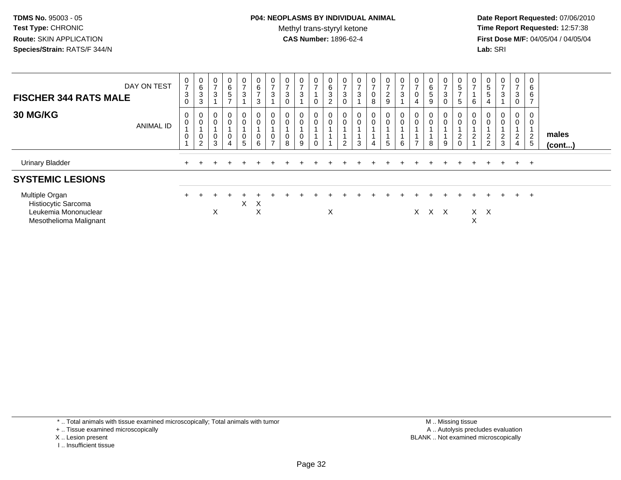# **P04: NEOPLASMS BY INDIVIDUAL ANIMAL**Methyl trans-styryl ketone<br>CAS Number: 1896-62-4

 **Date Report Requested:** 07/06/2010 **Time Report Requested:** 12:57:38 **First Dose M/F:** 04/05/04 / 04/05/04<br>**Lab:** SRI **Lab:** SRI

| DAY ON TEST<br><b>FISCHER 344 RATS MALE</b>                                             | $\frac{0}{7}$<br>$\sqrt{3}$<br>$\mathbf 0$                | 0<br>6<br>3<br>3              | 0<br>$\overline{7}$<br>$\sqrt{3}$ | 0<br>6<br>5<br>$\overline{ }$ | $\frac{0}{7}$<br>$\mathbf{3}$                                                   | 0<br>$\,6\,$<br>$\rightarrow$<br>$\mathbf{3}$ | $\frac{0}{7}$<br>$\sqrt{3}$                                                   | 0<br>$\overline{7}$<br>$\sqrt{3}$<br>$\mathbf 0$ | $\frac{0}{7}$<br>$\mathbf{3}$ | 0<br>$\overline{ }$<br>$\mathbf 0$ | 0<br>6<br>3<br><sup>o</sup> | 0<br>$\overline{z}$<br>$\ensuremath{\mathsf{3}}$<br>$\Omega$ | $\overline{0}$<br>$\rightarrow$<br>$\ensuremath{\mathsf{3}}$ | 0<br>$\overline{ }$<br>$\pmb{0}$<br>8 | $\frac{0}{7}$<br>$\frac{2}{9}$                               | 0<br>$\overline{ }$<br>3 | 0<br>$\overline{7}$<br>$\mathbf 0$<br>$\overline{4}$           | 0<br>6<br>5<br>9               | 0<br>$\overline{7}$<br>$\mathbf 3$<br>$\Omega$ | 0<br>5<br>$\rightarrow$<br>$5\phantom{.0}$ | 0<br>$\overline{ }$<br>6                              | 0<br>$\,$ 5 $\,$<br>$\sqrt{5}$<br>$\overline{4}$ | $\frac{0}{7}$<br>3          | 0<br>$\overline{z}$<br>3<br>$\pmb{0}$                                  | 0<br>6<br>6<br>$\overline{ }$ |                 |
|-----------------------------------------------------------------------------------------|-----------------------------------------------------------|-------------------------------|-----------------------------------|-------------------------------|---------------------------------------------------------------------------------|-----------------------------------------------|-------------------------------------------------------------------------------|--------------------------------------------------|-------------------------------|------------------------------------|-----------------------------|--------------------------------------------------------------|--------------------------------------------------------------|---------------------------------------|--------------------------------------------------------------|--------------------------|----------------------------------------------------------------|--------------------------------|------------------------------------------------|--------------------------------------------|-------------------------------------------------------|--------------------------------------------------|-----------------------------|------------------------------------------------------------------------|-------------------------------|-----------------|
| <b>30 MG/KG</b><br>ANIMAL ID                                                            | $\mathbf 0$<br>$\mathbf 0$<br>$\pmb{0}$<br>$\overline{A}$ | 0<br>$\pmb{0}$<br>0<br>$\sim$ | 0<br>$\pmb{0}$<br>$\pmb{0}$<br>3  | $_0^0$<br>0<br>4              | $\begin{smallmatrix}0\0\0\end{smallmatrix}$<br>$\begin{matrix}0\\5\end{matrix}$ | 0<br>$\pmb{0}$<br>$\pmb{0}$<br>6              | $\begin{smallmatrix} 0\\0 \end{smallmatrix}$<br>$\mathbf 0$<br>$\overline{ }$ | 0<br>$\pmb{0}$<br>0<br>8                         | $_{\rm 0}^{\rm 0}$<br>0<br>9  | $\mathbf 0$<br>$\mathbf 0$         | $\mathsf 0$                 | $_{\rm 0}^{\rm 0}$<br>$\overline{2}$                         | $_0^0$<br>3                                                  | 0<br>0<br>$\overline{4}$              | $\begin{smallmatrix}0\\0\end{smallmatrix}$<br>$\overline{5}$ | 0<br>$\mbox{O}$<br>6     | $\begin{smallmatrix} 0\\0 \end{smallmatrix}$<br>$\overline{ }$ | $\mathbf{0}$<br>$\pmb{0}$<br>8 | $\boldsymbol{0}$<br>$\pmb{0}$<br>9             | 0<br>$\mathsf{O}\xspace$<br>$\frac{2}{0}$  | $\begin{matrix} 0 \\ 0 \end{matrix}$<br>$\frac{2}{1}$ | $\overline{0}$<br>$\mathbf 0$<br>$\frac{2}{2}$   | $0\atop 0$<br>$\frac{2}{3}$ | 0<br>$\mathbf 0$<br>$\overline{A}$<br>$\overline{2}$<br>$\overline{4}$ | 0<br>0<br>$\overline{2}$<br>5 | males<br>(cont) |
| <b>Urinary Bladder</b>                                                                  |                                                           |                               |                                   |                               |                                                                                 |                                               |                                                                               |                                                  |                               |                                    |                             |                                                              |                                                              |                                       |                                                              |                          |                                                                |                                |                                                |                                            |                                                       |                                                  |                             | $+$                                                                    | $+$                           |                 |
| <b>SYSTEMIC LESIONS</b>                                                                 |                                                           |                               |                                   |                               |                                                                                 |                                               |                                                                               |                                                  |                               |                                    |                             |                                                              |                                                              |                                       |                                                              |                          |                                                                |                                |                                                |                                            |                                                       |                                                  |                             |                                                                        |                               |                 |
| Multiple Organ<br>Histiocytic Sarcoma<br>Leukemia Mononuclear<br>Mesothelioma Malignant |                                                           |                               | X                                 |                               | X                                                                               | $\mathsf{X}$<br>X                             |                                                                               |                                                  |                               |                                    | X                           |                                                              |                                                              |                                       |                                                              |                          | X.                                                             | X X                            |                                                |                                            | X                                                     | $X$ $X$                                          |                             | $+$                                                                    | $\pm$                         |                 |

\* .. Total animals with tissue examined microscopically; Total animals with tumor

+ .. Tissue examined microscopically

- X .. Lesion present
- I .. Insufficient tissue

 M .. Missing tissuey the contract of the contract of the contract of the contract of the contract of the contract of the contract of  $A$ . Autolysis precludes evaluation Lesion present BLANK .. Not examined microscopically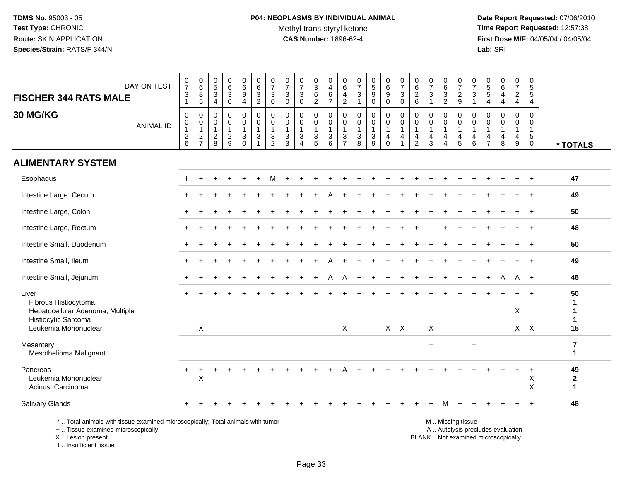**Date Report Requested:** 07/06/2010 **Time Report Requested:** 12:57:38 **First Dose M/F:** 04/05/04 / 04/05/04<br>Lab: SRI **Lab:** SRI

| DAY ON TEST<br><b>FISCHER 344 RATS MALE</b>                                                                           | $\frac{0}{7}$<br>$\ensuremath{\mathsf{3}}$<br>$\mathbf{1}$ | $\begin{array}{c} 0 \\ 6 \end{array}$<br>$\bf 8$<br>$5\phantom{.0}$ | $\begin{array}{c} 0 \\ 5 \end{array}$<br>$\mathbf{3}$<br>$\overline{4}$ | $\mathbf 0$<br>$\,6\,$<br>$\sqrt{3}$<br>$\mathbf 0$                 | $_{6}^{\rm 0}$<br>9<br>$\overline{4}$                                      | $\pmb{0}$<br>$6\phantom{a}$<br>$\ensuremath{\mathsf{3}}$<br>$\overline{2}$ | $\begin{array}{c} 0 \\ 7 \end{array}$<br>$\sqrt{3}$<br>$\pmb{0}$                       | $\frac{0}{7}$<br>$\sqrt{3}$<br>$\mathbf 0$                                              | $\begin{array}{c} 0 \\ 7 \end{array}$<br>$\mathbf{3}$<br>$\mathbf 0$                              | $\,0\,$<br>$\ensuremath{\mathsf{3}}$<br>$\,6\,$<br>$\boldsymbol{2}$          | 0<br>$\overline{4}$<br>6<br>$\overline{7}$ | 0<br>6<br>$\overline{4}$<br>$\overline{2}$              | $\pmb{0}$<br>$\overline{7}$<br>$\ensuremath{\mathsf{3}}$<br>$\mathbf{1}$ | $\begin{smallmatrix}0\\5\end{smallmatrix}$<br>$\boldsymbol{9}$<br>$\mathbf 0$ | $\begin{array}{c} 0 \\ 6 \end{array}$<br>9<br>$\mathbf 0$ | $\begin{array}{c} 0 \\ 7 \end{array}$<br>$\sqrt{3}$<br>$\mathbf 0$               | $\begin{array}{c} 0 \\ 6 \end{array}$<br>$\frac{2}{6}$ | $\frac{0}{7}$<br>$\sqrt{3}$<br>$\overline{1}$     | $_{6}^{\rm 0}$<br>$\ensuremath{\mathsf{3}}$<br>$\overline{2}$        | $\begin{array}{c} 0 \\ 7 \end{array}$<br>$\frac{2}{9}$  | $\frac{0}{7}$<br>$\sqrt{3}$<br>$\overline{1}$                                     | $\pmb{0}$<br>$\sqrt{5}$<br>$\sqrt{5}$<br>$\overline{4}$ | 0<br>$\,6\,$<br>$\overline{4}$<br>$\overline{4}$ | $\frac{0}{7}$<br>$\overline{a}$<br>$\overline{4}$                 | $\pmb{0}$<br>$\sqrt{5}$<br>$\sqrt{5}$<br>$\overline{4}$                 |                                         |
|-----------------------------------------------------------------------------------------------------------------------|------------------------------------------------------------|---------------------------------------------------------------------|-------------------------------------------------------------------------|---------------------------------------------------------------------|----------------------------------------------------------------------------|----------------------------------------------------------------------------|----------------------------------------------------------------------------------------|-----------------------------------------------------------------------------------------|---------------------------------------------------------------------------------------------------|------------------------------------------------------------------------------|--------------------------------------------|---------------------------------------------------------|--------------------------------------------------------------------------|-------------------------------------------------------------------------------|-----------------------------------------------------------|----------------------------------------------------------------------------------|--------------------------------------------------------|---------------------------------------------------|----------------------------------------------------------------------|---------------------------------------------------------|-----------------------------------------------------------------------------------|---------------------------------------------------------|--------------------------------------------------|-------------------------------------------------------------------|-------------------------------------------------------------------------|-----------------------------------------|
| 30 MG/KG<br><b>ANIMAL ID</b>                                                                                          | $\mathbf 0$<br>$\pmb{0}$<br>$\mathbf{1}$<br>$\frac{2}{6}$  | $\mathbf 0$<br>$\pmb{0}$<br>$\overline{1}$<br>$\frac{2}{7}$         | 0<br>$\mathbf 0$<br>$\overline{1}$<br>$\overline{c}$<br>8               | $\mathbf 0$<br>$\mathbf 0$<br>$\mathbf{1}$<br>$\boldsymbol{2}$<br>9 | $\mathbf{0}$<br>$\mathbf 0$<br>$\mathbf{1}$<br>$\mathbf{3}$<br>$\mathbf 0$ | $\mathbf 0$<br>$\mathbf 0$<br>$\overline{1}$<br>$\mathbf{3}$               | $\mathbf 0$<br>$\pmb{0}$<br>$\mathbf 1$<br>$\ensuremath{\mathsf{3}}$<br>$\overline{2}$ | $\mathbf 0$<br>$\mathbf 0$<br>$\mathbf{1}$<br>$\ensuremath{\mathsf{3}}$<br>$\mathbf{3}$ | $\mathbf 0$<br>$\mathbf 0$<br>$\mathbf{1}$<br>$\ensuremath{\mathsf{3}}$<br>$\boldsymbol{\Lambda}$ | $\mathbf 0$<br>$\mathbf 0$<br>$\mathbf{1}$<br>$\ensuremath{\mathsf{3}}$<br>5 | $\mathbf 0$<br>0<br>$\mathbf{1}$<br>3<br>6 | 0<br>$\mathbf 0$<br>$\mathbf{1}$<br>3<br>$\overline{7}$ | 0<br>$\mathbf 0$<br>$\mathbf{1}$<br>$\ensuremath{\mathsf{3}}$<br>8       | $\mathbf 0$<br>$\pmb{0}$<br>$\mathbf{1}$<br>$\ensuremath{\mathsf{3}}$<br>9    | 0<br>$\pmb{0}$<br>$\mathbf{1}$<br>4<br>$\mathbf 0$        | $\mathbf 0$<br>$\mathbf 0$<br>$\overline{1}$<br>$\overline{4}$<br>$\overline{1}$ | 0<br>$\mathbf 0$<br>1<br>4<br>$\overline{2}$           | $\mathbf 0$<br>$\Omega$<br>$\mathbf{1}$<br>4<br>3 | $\mathbf 0$<br>0<br>$\mathbf{1}$<br>$\overline{4}$<br>$\overline{4}$ | 0<br>$\mathbf 0$<br>$\mathbf{1}$<br>$\overline{4}$<br>5 | $\mathbf 0$<br>$\mathbf 0$<br>$\overline{1}$<br>$\overline{a}$<br>$6\phantom{1}6$ | 0<br>$\Omega$<br>$\mathbf{1}$<br>4<br>$\overline{7}$    | $\Omega$<br>$\Omega$<br>$\mathbf{1}$<br>4<br>8   | $\mathbf 0$<br>$\mathbf 0$<br>$\mathbf{1}$<br>$\overline{4}$<br>9 | $\mathbf 0$<br>$\mathbf 0$<br>$\mathbf{1}$<br>$\sqrt{5}$<br>$\mathbf 0$ | * TOTALS                                |
| <b>ALIMENTARY SYSTEM</b>                                                                                              |                                                            |                                                                     |                                                                         |                                                                     |                                                                            |                                                                            |                                                                                        |                                                                                         |                                                                                                   |                                                                              |                                            |                                                         |                                                                          |                                                                               |                                                           |                                                                                  |                                                        |                                                   |                                                                      |                                                         |                                                                                   |                                                         |                                                  |                                                                   |                                                                         |                                         |
| Esophagus                                                                                                             |                                                            |                                                                     |                                                                         |                                                                     |                                                                            |                                                                            |                                                                                        |                                                                                         |                                                                                                   |                                                                              |                                            |                                                         |                                                                          |                                                                               |                                                           |                                                                                  |                                                        |                                                   |                                                                      |                                                         |                                                                                   |                                                         |                                                  |                                                                   |                                                                         | 47                                      |
| Intestine Large, Cecum                                                                                                |                                                            |                                                                     |                                                                         |                                                                     |                                                                            |                                                                            |                                                                                        |                                                                                         |                                                                                                   |                                                                              |                                            |                                                         |                                                                          |                                                                               |                                                           |                                                                                  |                                                        |                                                   |                                                                      |                                                         |                                                                                   |                                                         |                                                  |                                                                   |                                                                         | 49                                      |
| Intestine Large, Colon                                                                                                |                                                            |                                                                     |                                                                         |                                                                     |                                                                            |                                                                            |                                                                                        |                                                                                         |                                                                                                   |                                                                              |                                            |                                                         |                                                                          |                                                                               |                                                           |                                                                                  |                                                        |                                                   |                                                                      |                                                         |                                                                                   |                                                         |                                                  |                                                                   |                                                                         | 50                                      |
| Intestine Large, Rectum                                                                                               |                                                            |                                                                     |                                                                         |                                                                     |                                                                            |                                                                            |                                                                                        |                                                                                         |                                                                                                   |                                                                              |                                            |                                                         |                                                                          |                                                                               |                                                           |                                                                                  |                                                        |                                                   |                                                                      |                                                         |                                                                                   |                                                         |                                                  |                                                                   |                                                                         | 48                                      |
| Intestine Small, Duodenum                                                                                             |                                                            |                                                                     |                                                                         |                                                                     |                                                                            |                                                                            |                                                                                        |                                                                                         |                                                                                                   |                                                                              |                                            |                                                         |                                                                          |                                                                               |                                                           |                                                                                  |                                                        |                                                   |                                                                      |                                                         |                                                                                   |                                                         |                                                  |                                                                   |                                                                         | 50                                      |
| Intestine Small, Ileum                                                                                                |                                                            |                                                                     |                                                                         |                                                                     |                                                                            |                                                                            |                                                                                        |                                                                                         |                                                                                                   |                                                                              |                                            |                                                         |                                                                          |                                                                               |                                                           |                                                                                  |                                                        |                                                   |                                                                      |                                                         |                                                                                   |                                                         |                                                  |                                                                   |                                                                         | 49                                      |
| Intestine Small, Jejunum                                                                                              | $+$                                                        |                                                                     |                                                                         |                                                                     |                                                                            |                                                                            |                                                                                        |                                                                                         |                                                                                                   |                                                                              |                                            | А                                                       |                                                                          |                                                                               |                                                           |                                                                                  |                                                        |                                                   |                                                                      |                                                         |                                                                                   |                                                         |                                                  | A                                                                 | $+$                                                                     | 45                                      |
| Liver<br>Fibrous Histiocytoma<br>Hepatocellular Adenoma, Multiple<br>Histiocytic Sarcoma<br>Leukemia Mononuclear      |                                                            | X                                                                   |                                                                         |                                                                     |                                                                            |                                                                            |                                                                                        |                                                                                         |                                                                                                   |                                                                              |                                            | $\pmb{\times}$                                          |                                                                          |                                                                               |                                                           | $X$ $X$                                                                          |                                                        | $\boldsymbol{\mathsf{X}}$                         |                                                                      |                                                         |                                                                                   |                                                         |                                                  | X                                                                 | $X$ $X$                                                                 | 50<br>-1<br>1<br>$\mathbf 1$<br>15      |
| Mesentery<br>Mesothelioma Malignant                                                                                   |                                                            |                                                                     |                                                                         |                                                                     |                                                                            |                                                                            |                                                                                        |                                                                                         |                                                                                                   |                                                                              |                                            |                                                         |                                                                          |                                                                               |                                                           |                                                                                  |                                                        | $\ddot{}$                                         |                                                                      |                                                         | $\div$                                                                            |                                                         |                                                  |                                                                   |                                                                         | $\overline{\mathbf{7}}$<br>$\mathbf{1}$ |
| Pancreas<br>Leukemia Mononuclear<br>Acinus, Carcinoma                                                                 | $+$                                                        | $\ddot{}$<br>X                                                      |                                                                         |                                                                     |                                                                            |                                                                            |                                                                                        |                                                                                         |                                                                                                   |                                                                              |                                            |                                                         |                                                                          |                                                                               |                                                           |                                                                                  |                                                        |                                                   |                                                                      |                                                         |                                                                                   |                                                         |                                                  |                                                                   | $\ddot{}$<br>X<br>X                                                     | 49<br>$\boldsymbol{2}$<br>$\mathbf{1}$  |
| Salivary Glands                                                                                                       |                                                            |                                                                     |                                                                         |                                                                     |                                                                            |                                                                            |                                                                                        |                                                                                         |                                                                                                   |                                                                              |                                            |                                                         |                                                                          |                                                                               |                                                           |                                                                                  |                                                        |                                                   |                                                                      |                                                         |                                                                                   |                                                         |                                                  |                                                                   |                                                                         | 48                                      |
| *  Total animals with tissue examined microscopically; Total animals with tumor<br>+  Tissue examined microscopically |                                                            |                                                                     |                                                                         |                                                                     |                                                                            |                                                                            |                                                                                        |                                                                                         |                                                                                                   |                                                                              |                                            |                                                         |                                                                          |                                                                               |                                                           |                                                                                  |                                                        |                                                   |                                                                      | M  Missing tissue                                       |                                                                                   |                                                         | A  Autolysis precludes evaluation                |                                                                   |                                                                         |                                         |

X .. Lesion present

I .. Insufficient tissue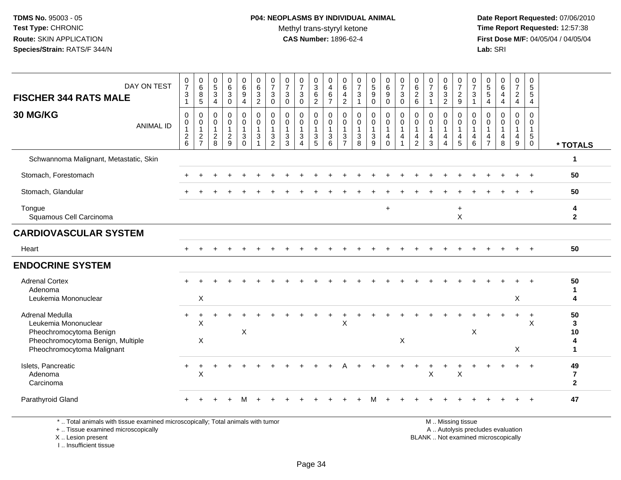# **P04: NEOPLASMS BY INDIVIDUAL ANIMAL**Methyl trans-styryl ketone<br>CAS Number: 1896-62-4

 **Date Report Requested:** 07/06/2010 **Time Report Requested:** 12:57:38 **First Dose M/F:** 04/05/04 / 04/05/04<br>**Lab:** SRI **Lab:** SRI

| DAY ON TEST<br><b>FISCHER 344 RATS MALE</b>                                                                                           | $\frac{0}{7}$<br>$\ensuremath{\mathsf{3}}$<br>$\mathbf{1}$             | $_{6}^{\rm 0}$<br>8<br>$5\phantom{.0}$                                    | $\begin{smallmatrix}0\5\3\end{smallmatrix}$<br>$\overline{4}$ | $\begin{matrix} 0 \\ 6 \\ 3 \end{matrix}$<br>$\mathbf 0$ | $\begin{array}{c} 0 \\ 6 \\ 9 \end{array}$<br>$\overline{4}$        | $_{\rm 6}^{\rm 0}$<br>$\ensuremath{\mathsf{3}}$<br>$\overline{2}$ | $\frac{0}{7}$<br>3<br>$\mathbf 0$                       | $\frac{0}{7}$<br>$\mathbf{3}$<br>$\mathbf 0$                    | $\frac{0}{7}$<br>$\mathbf{3}$<br>$\mathbf 0$ | $\begin{matrix}0\\3\\6\end{matrix}$<br>$\overline{2}$                      | 0<br>$\overline{4}$<br>$\,6\,$<br>$\overline{7}$                  | 0<br>$\,6\,$<br>$\overline{4}$<br>$\sqrt{2}$            | $\frac{0}{7}$<br>$\mathbf{3}$<br>$\mathbf{1}$                 | $\begin{array}{c} 0 \\ 5 \\ 9 \end{array}$<br>$\mathbf 0$ | $\begin{array}{c} 0 \\ 6 \\ 9 \end{array}$<br>$\mathbf 0$    | $\frac{0}{7}$<br>$\sqrt{3}$<br>$\mathbf 0$                           |                                                                      | $\frac{0}{7}$<br>$\mathbf{3}$<br>$\overline{1}$                   | 0<br>$6\overline{6}$<br>3<br>$\overline{c}$             | $\frac{0}{7}$<br>9                                         | $\frac{0}{7}$<br>$\mathfrak{S}$<br>$\mathbf{1}$                           | $\begin{array}{c} 0 \\ 5 \\ 5 \end{array}$<br>4        | $\begin{array}{c} 0 \\ 6 \end{array}$<br>$\overline{4}$<br>4      | 0<br>$\overline{7}$<br>$\overline{a}$<br>$\overline{4}$ | 0<br>$5\phantom{.0}$<br>5<br>$\overline{4}$                                  |                                            |
|---------------------------------------------------------------------------------------------------------------------------------------|------------------------------------------------------------------------|---------------------------------------------------------------------------|---------------------------------------------------------------|----------------------------------------------------------|---------------------------------------------------------------------|-------------------------------------------------------------------|---------------------------------------------------------|-----------------------------------------------------------------|----------------------------------------------|----------------------------------------------------------------------------|-------------------------------------------------------------------|---------------------------------------------------------|---------------------------------------------------------------|-----------------------------------------------------------|--------------------------------------------------------------|----------------------------------------------------------------------|----------------------------------------------------------------------|-------------------------------------------------------------------|---------------------------------------------------------|------------------------------------------------------------|---------------------------------------------------------------------------|--------------------------------------------------------|-------------------------------------------------------------------|---------------------------------------------------------|------------------------------------------------------------------------------|--------------------------------------------|
| 30 MG/KG<br><b>ANIMAL ID</b>                                                                                                          | $\mathbf 0$<br>$\boldsymbol{0}$<br>$\mathbf{1}$<br>$\overline{c}$<br>6 | 0<br>$\boldsymbol{0}$<br>$\mathbf{1}$<br>$\overline{2}$<br>$\overline{7}$ | $\mathbf 0$<br>$\mathbf 0$<br>$\mathbf{1}$<br>$\sqrt{2}$<br>8 | $\mathbf 0$<br>$\pmb{0}$<br>1<br>$\overline{c}$<br>9     | 0<br>$\mathsf{O}\xspace$<br>$\mathbf{1}$<br>$\mathsf 3$<br>$\Omega$ | 0<br>$\mathbf 0$<br>$\mathbf{1}$<br>$\sqrt{3}$<br>$\overline{1}$  | 0<br>$\mathbf 0$<br>$\mathbf{1}$<br>3<br>$\overline{2}$ | $\mathbf 0$<br>$\mathbf 0$<br>$\mathbf{1}$<br>$\mathbf{3}$<br>3 | 0<br>$\mathbf 0$<br>$\mathbf{1}$<br>3        | 0<br>$\mathsf{O}\xspace$<br>$\mathbf{1}$<br>$\ensuremath{\mathsf{3}}$<br>5 | $\mathbf 0$<br>$\mathbf 0$<br>$\overline{1}$<br>$\mathbf{3}$<br>6 | 0<br>$\mathbf 0$<br>$\mathbf{1}$<br>3<br>$\overline{7}$ | $\mathbf 0$<br>$\pmb{0}$<br>$\mathbf{1}$<br>$\mathbf{3}$<br>8 | 0<br>$\mathbf 0$<br>$\mathbf{1}$<br>$\mathbf{3}$<br>9     | $\pmb{0}$<br>$\overline{0}$<br>$\mathbf{1}$<br>4<br>$\Omega$ | $\mathbf 0$<br>$\ddot{\mathbf{0}}$<br>$\mathbf{1}$<br>$\overline{4}$ | 0<br>$\pmb{0}$<br>$\overline{1}$<br>$\overline{4}$<br>$\overline{2}$ | $\mathbf 0$<br>$\mathbf 0$<br>$\mathbf{1}$<br>$\overline{4}$<br>3 | 0<br>$\mathbf 0$<br>$\mathbf{1}$<br>$\overline{4}$<br>4 | 0<br>$\overline{0}$<br>$\mathbf{1}$<br>$\overline{4}$<br>5 | $\mathbf 0$<br>$\mathsf{O}\xspace$<br>$\mathbf{1}$<br>$\overline{4}$<br>6 | $\Omega$<br>0<br>$\overline{1}$<br>4<br>$\overline{7}$ | $\mathbf 0$<br>$\mathbf 0$<br>$\mathbf{1}$<br>$\overline{4}$<br>8 | $\mathbf 0$<br>$\mathbf{0}$<br>$\mathbf{1}$<br>4<br>9   | $\mathbf 0$<br>$\mathbf 0$<br>$\mathbf{1}$<br>$\overline{5}$<br>$\mathbf{0}$ | * TOTALS                                   |
| Schwannoma Malignant, Metastatic, Skin                                                                                                |                                                                        |                                                                           |                                                               |                                                          |                                                                     |                                                                   |                                                         |                                                                 |                                              |                                                                            |                                                                   |                                                         |                                                               |                                                           |                                                              |                                                                      |                                                                      |                                                                   |                                                         |                                                            |                                                                           |                                                        |                                                                   |                                                         |                                                                              | -1                                         |
| Stomach, Forestomach                                                                                                                  |                                                                        |                                                                           |                                                               |                                                          |                                                                     |                                                                   |                                                         |                                                                 |                                              |                                                                            |                                                                   |                                                         |                                                               |                                                           |                                                              |                                                                      |                                                                      |                                                                   |                                                         |                                                            |                                                                           |                                                        |                                                                   |                                                         |                                                                              | 50                                         |
| Stomach, Glandular                                                                                                                    |                                                                        |                                                                           |                                                               |                                                          |                                                                     |                                                                   |                                                         |                                                                 |                                              |                                                                            |                                                                   |                                                         |                                                               |                                                           |                                                              |                                                                      |                                                                      |                                                                   |                                                         |                                                            |                                                                           |                                                        |                                                                   |                                                         |                                                                              | 50                                         |
| Tongue<br>Squamous Cell Carcinoma                                                                                                     |                                                                        |                                                                           |                                                               |                                                          |                                                                     |                                                                   |                                                         |                                                                 |                                              |                                                                            |                                                                   |                                                         |                                                               |                                                           | $+$                                                          |                                                                      |                                                                      |                                                                   |                                                         | $\ddot{}$<br>X                                             |                                                                           |                                                        |                                                                   |                                                         |                                                                              | 4<br>$\mathbf{2}$                          |
| <b>CARDIOVASCULAR SYSTEM</b>                                                                                                          |                                                                        |                                                                           |                                                               |                                                          |                                                                     |                                                                   |                                                         |                                                                 |                                              |                                                                            |                                                                   |                                                         |                                                               |                                                           |                                                              |                                                                      |                                                                      |                                                                   |                                                         |                                                            |                                                                           |                                                        |                                                                   |                                                         |                                                                              |                                            |
| Heart                                                                                                                                 |                                                                        |                                                                           |                                                               |                                                          |                                                                     |                                                                   |                                                         |                                                                 |                                              |                                                                            |                                                                   |                                                         |                                                               |                                                           |                                                              |                                                                      |                                                                      |                                                                   |                                                         |                                                            |                                                                           |                                                        |                                                                   |                                                         | $\div$                                                                       | 50                                         |
| <b>ENDOCRINE SYSTEM</b>                                                                                                               |                                                                        |                                                                           |                                                               |                                                          |                                                                     |                                                                   |                                                         |                                                                 |                                              |                                                                            |                                                                   |                                                         |                                                               |                                                           |                                                              |                                                                      |                                                                      |                                                                   |                                                         |                                                            |                                                                           |                                                        |                                                                   |                                                         |                                                                              |                                            |
| <b>Adrenal Cortex</b><br>Adenoma<br>Leukemia Mononuclear                                                                              |                                                                        | X                                                                         |                                                               |                                                          |                                                                     |                                                                   |                                                         |                                                                 |                                              |                                                                            |                                                                   |                                                         |                                                               |                                                           |                                                              |                                                                      |                                                                      |                                                                   |                                                         |                                                            |                                                                           |                                                        |                                                                   | Χ                                                       |                                                                              | 50<br>-1<br>Δ                              |
| Adrenal Medulla<br>Leukemia Mononuclear<br>Pheochromocytoma Benign<br>Pheochromocytoma Benign, Multiple<br>Pheochromocytoma Malignant | $\ddot{}$                                                              | X<br>X                                                                    |                                                               |                                                          | X                                                                   |                                                                   |                                                         |                                                                 |                                              |                                                                            |                                                                   | X                                                       |                                                               |                                                           |                                                              | X                                                                    |                                                                      |                                                                   |                                                         |                                                            | X                                                                         |                                                        |                                                                   | $\ddot{}$<br>X                                          | $\ddot{}$<br>X                                                               | 50<br>3<br>10<br>4<br>$\blacktriangleleft$ |
| Islets, Pancreatic<br>Adenoma<br>Carcinoma                                                                                            |                                                                        | X                                                                         |                                                               |                                                          |                                                                     |                                                                   |                                                         |                                                                 |                                              |                                                                            |                                                                   |                                                         |                                                               |                                                           |                                                              |                                                                      |                                                                      | $\pmb{\times}$                                                    |                                                         | $\boldsymbol{\mathsf{X}}$                                  |                                                                           |                                                        |                                                                   |                                                         |                                                                              | 49<br>$\overline{7}$<br>$\mathbf{2}$       |
| Parathyroid Gland                                                                                                                     |                                                                        |                                                                           |                                                               |                                                          |                                                                     |                                                                   |                                                         |                                                                 |                                              |                                                                            |                                                                   |                                                         |                                                               |                                                           |                                                              |                                                                      |                                                                      |                                                                   |                                                         |                                                            |                                                                           |                                                        |                                                                   |                                                         |                                                                              | 47                                         |

\* .. Total animals with tissue examined microscopically; Total animals with tumor

+ .. Tissue examined microscopically

X .. Lesion present

I .. Insufficient tissue

M .. Missing tissue

y the contract of the contract of the contract of the contract of the contract of the contract of the contract of  $A$ . Autolysis precludes evaluation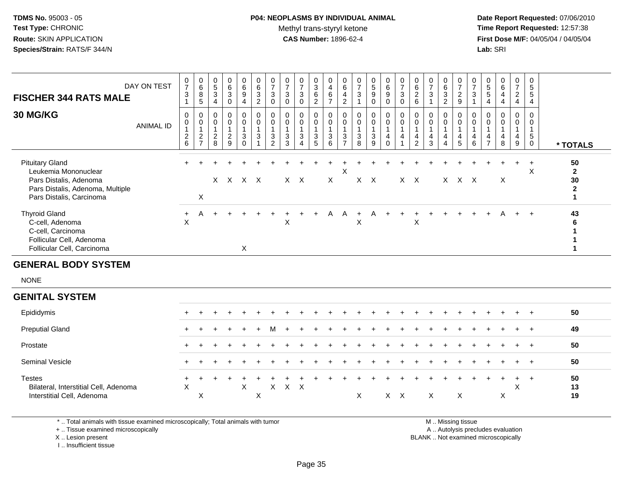#### **P04: NEOPLASMS BY INDIVIDUAL ANIMAL**Methyl trans-styryl ketone<br>CAS Number: 1896-62-4

 **Date Report Requested:** 07/06/2010 **Time Report Requested:** 12:57:38 **First Dose M/F:** 04/05/04 / 04/05/04<br>**Lab:** SRI **Lab:** SRI

| <b>FISCHER 344 RATS MALE</b>                                                                                                             | DAY ON TEST      | 0<br>$\overline{7}$<br>3          | $\begin{smallmatrix}0\0\0\8\end{smallmatrix}$<br>5         | $\begin{array}{c} 0 \\ 5 \\ 3 \end{array}$<br>$\overline{4}$ | $\begin{matrix} 0 \\ 6 \\ 3 \\ 0 \end{matrix}$              | 0<br>$\frac{6}{9}$<br>$\overline{4}$ | 0<br>$\overline{6}$<br>3<br>$\overline{c}$ | $\frac{0}{7}$<br>$\sqrt{3}$<br>$\mathbf 0$ | 0<br>$\overline{7}$<br>$\ensuremath{\mathsf{3}}$<br>$\pmb{0}$ | $\overline{7}$<br>$\sqrt{3}$<br>$\pmb{0}$                        | 0<br>3<br>6<br>$\overline{2}$ | $\begin{array}{c} 4 \\ 6 \\ 7 \end{array}$ | $_{6}^{\rm 0}$<br>$\overline{\mathbf{4}}$<br>$\overline{c}$ | $\overline{7}$<br>$\mathbf{3}$ | $\begin{array}{c} 0 \\ 5 \\ 9 \end{array}$<br>$\pmb{0}$ | 0<br>$\overline{6}$<br>9<br>0 | $\overline{7}$<br>$\sqrt{3}$ | $\begin{matrix} 0 \\ 6 \\ 2 \end{matrix}$<br>$\,6$ | $\overline{7}$<br>$\mathbf{3}$ | $\frac{6}{3}$<br>$\overline{c}$ | $\frac{0}{7}$<br>$\overline{c}$<br>9 | $\overline{7}$<br>$\ensuremath{\mathsf{3}}$ | 0<br>$\frac{5}{5}$<br>4  | 6<br>4<br>4 | 0<br>$\overline{7}$<br>$\overline{c}$<br>$\overline{4}$ | 0<br>5<br>$\sqrt{5}$<br>$\overline{4}$ |                                          |
|------------------------------------------------------------------------------------------------------------------------------------------|------------------|-----------------------------------|------------------------------------------------------------|--------------------------------------------------------------|-------------------------------------------------------------|--------------------------------------|--------------------------------------------|--------------------------------------------|---------------------------------------------------------------|------------------------------------------------------------------|-------------------------------|--------------------------------------------|-------------------------------------------------------------|--------------------------------|---------------------------------------------------------|-------------------------------|------------------------------|----------------------------------------------------|--------------------------------|---------------------------------|--------------------------------------|---------------------------------------------|--------------------------|-------------|---------------------------------------------------------|----------------------------------------|------------------------------------------|
| <b>30 MG/KG</b>                                                                                                                          | <b>ANIMAL ID</b> | 0<br>$\overline{\mathbf{c}}$<br>6 | 0<br>$\boldsymbol{0}$<br>$\boldsymbol{2}$<br>$\rightarrow$ | $\mathbf 0$<br>$\pmb{0}$<br>$\overline{c}$<br>8              | $_{\rm 0}^{\rm 0}$<br>$\overline{A}$<br>$\overline{c}$<br>9 | 0<br>0<br>3<br>$\Omega$              | 0<br>$\mathbf 0$<br>3                      | 0<br>$\pmb{0}$<br>3<br>$\overline{2}$      | 0<br>$\pmb{0}$<br>$\mathbf{3}$<br>3                           | 0<br>$\pmb{0}$<br>$\overline{A}$<br>3<br>$\overline{\mathbf{4}}$ | 0<br>0<br>$\mathbf{3}$<br>5   | $\frac{0}{4}$<br>3<br>6                    | 0<br>$\mathbf 0$<br>$\overline{A}$<br>3<br>$\overline{ }$   | $\mathsf{O}\xspace$<br>3<br>8  | 0<br>$\mathbf 0$<br>$\mathbf{3}$<br>9                   | 0<br>0<br>4<br>$\Omega$       | $\pmb{0}$<br>4               | 0<br>$\mathsf 0$<br>4<br>$\overline{2}$            | $\pmb{0}$<br>4<br>3            | 0<br>0<br>$\overline{4}$        | 0<br>0<br>4<br>5                     | $\mathbf 0$<br>4<br>6                       | 0<br>0<br>$\overline{ }$ | 8           | 0<br>4<br>9                                             | 0<br>0<br>5<br>0                       | * TOTALS                                 |
| <b>Pituitary Gland</b><br>Leukemia Mononuclear<br>Pars Distalis, Adenoma<br>Pars Distalis, Adenoma, Multiple<br>Pars Distalis, Carcinoma |                  |                                   | X                                                          | X                                                            |                                                             | x x x                                |                                            |                                            |                                                               | $X \times X$                                                     |                               | X                                          | Χ                                                           |                                | $X$ $X$                                                 |                               |                              | $X$ $X$                                            |                                |                                 | X X X                                |                                             |                          | X           |                                                         | $\pm$<br>X                             | 50<br>$\mathbf{2}$<br>30<br>$\mathbf{2}$ |
| <b>Thyroid Gland</b><br>C-cell, Adenoma<br>C-cell, Carcinoma<br>Follicular Cell, Adenoma<br>Follicular Cell, Carcinoma                   |                  | X                                 |                                                            |                                                              |                                                             | X                                    |                                            |                                            | X                                                             |                                                                  | ÷                             | A                                          | A                                                           | $+$<br>X                       | A                                                       |                               |                              | X                                                  |                                |                                 |                                      |                                             | $+$                      | A           | $+$                                                     | $+$                                    | 43<br>6                                  |

#### **GENERAL BODY SYSTEM**

NONE

| <b>GENITAL SYSTEM</b>                                                                |             |     |     |     |     |     |   |            |     |  |   |            |  |   |          |  |   |         |         |                |  |
|--------------------------------------------------------------------------------------|-------------|-----|-----|-----|-----|-----|---|------------|-----|--|---|------------|--|---|----------|--|---|---------|---------|----------------|--|
| Epididymis                                                                           | $+$         |     |     |     |     |     |   |            |     |  |   |            |  |   |          |  |   |         | $+$ $+$ | 50             |  |
| <b>Preputial Gland</b>                                                               | $+$         | $+$ | $+$ | $+$ | $+$ | $+$ | M | $+$        | $+$ |  |   |            |  |   |          |  |   | $+$ $+$ |         | 49             |  |
| Prostate                                                                             | $+$         | $+$ |     |     |     |     |   |            |     |  |   |            |  |   |          |  |   |         | $+$ $+$ | 50             |  |
| <b>Seminal Vesicle</b>                                                               | $+$         |     |     |     |     |     |   |            |     |  |   |            |  |   |          |  |   |         | $+$ $+$ | 50             |  |
| <b>Testes</b><br>Bilateral, Interstitial Cell, Adenoma<br>Interstitial Cell, Adenoma | $\div$<br>X | X   |     |     | X   | X   | X | $X \times$ |     |  | X | $X \times$ |  | X | $\times$ |  | X | ⌒       | +       | 50<br>13<br>19 |  |

\* .. Total animals with tissue examined microscopically; Total animals with tumor

+ .. Tissue examined microscopically

 Lesion present BLANK .. Not examined microscopicallyX .. Lesion present

I .. Insufficient tissue

M .. Missing tissue

y the contract of the contract of the contract of the contract of the contract of the contract of the contract of  $A$ . Autolysis precludes evaluation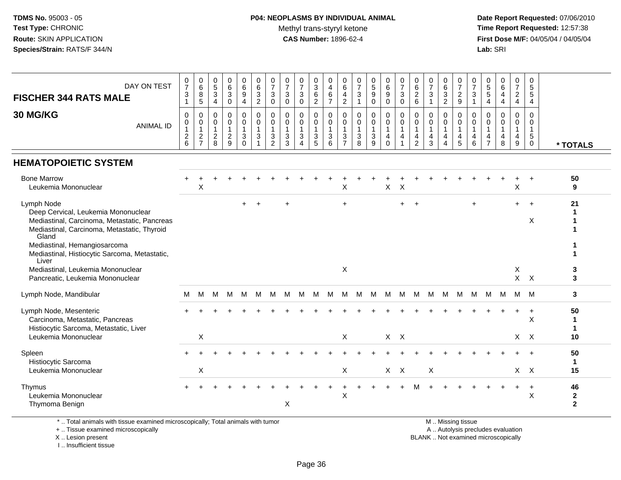# **P04: NEOPLASMS BY INDIVIDUAL ANIMAL**Methyl trans-styryl ketone<br>CAS Number: 1896-62-4

 **Date Report Requested:** 07/06/2010 **Time Report Requested:** 12:57:38 **First Dose M/F:** 04/05/04 / 04/05/04<br>**Lab:** SRI **Lab:** SRI

| DAY ON TEST<br><b>FISCHER 344 RATS MALE</b><br>30 MG/KG<br><b>ANIMAL ID</b>                                                                                                                                                                         | $\frac{0}{7}$<br>$\sqrt{3}$<br>$\mathbf{1}$<br>0<br>0<br>$\mathbf{1}$<br>$\sqrt{2}$<br>6 | $\begin{array}{c} 0 \\ 6 \end{array}$<br>8<br>5<br>$\mathbf 0$<br>$\mathbf 0$<br>1<br>$\overline{2}$<br>$\overline{7}$ | $\begin{array}{c} 0 \\ 5 \end{array}$<br>$\mathbf{3}$<br>$\overline{\mathbf{4}}$<br>$\mathbf 0$<br>$\mathbf 0$<br>$\overline{1}$<br>$\overline{2}$<br>8 | $_{6}^{\rm 0}$<br>3<br>$\mathsf 0$<br>0<br>$\mathbf 0$<br>$\mathbf{1}$<br>$\overline{c}$<br>9 | $\begin{array}{c} 0 \\ 6 \end{array}$<br>9<br>$\overline{4}$<br>$\mathbf 0$<br>$\mathbf 0$<br>1<br>3<br>$\Omega$ | $\begin{matrix} 0 \\ 6 \\ 3 \end{matrix}$<br>$\overline{2}$<br>$\mathbf 0$<br>$\mathbf 0$<br>$\overline{1}$<br>$\mathbf{3}$<br>-1 | 0<br>$\overline{7}$<br>$\mathbf{3}$<br>$\mathbf 0$<br>$\mathbf 0$<br>$\mathbf 0$<br>$\mathbf{1}$<br>$\mathbf{3}$<br>$\overline{2}$ | 0<br>$\overline{7}$<br>3<br>$\mathbf 0$<br>$\mathbf 0$<br>$\mathbf 0$<br>$\mathbf{1}$<br>$\sqrt{3}$<br>3 | $\frac{0}{7}$<br>3<br>$\mathbf 0$<br>0<br>$\mathbf 0$<br>3 | 0<br>$\sqrt{3}$<br>$\,6\,$<br>$\sqrt{2}$<br>0<br>$\mathbf 0$<br>$\mathbf{1}$<br>3<br>5 | 0<br>$\overline{4}$<br>$\,6$<br>$\overline{7}$<br>$\mathbf 0$<br>$\mathbf 0$<br>$\mathbf{1}$<br>3<br>6 | $\pmb{0}$<br>6<br>$\overline{4}$<br>$\overline{2}$<br>$\mathbf 0$<br>$\mathbf 0$<br>$\overline{1}$<br>3<br>$\overline{7}$ | $\frac{0}{7}$<br>$\mathbf{3}$<br>$\mathbf{1}$<br>$\mathbf 0$<br>$\mathbf 0$<br>$\mathbf{1}$<br>$\sqrt{3}$<br>8 | $\begin{array}{c} 0 \\ 5 \end{array}$<br>9<br>0<br>$\mathbf 0$<br>$\mathbf 0$<br>3<br>9 | $\begin{array}{c} 0 \\ 6 \end{array}$<br>$\boldsymbol{9}$<br>$\mathbf 0$<br>0<br>$\ddot{\mathbf{0}}$<br>$\mathbf{1}$<br>4<br>$\Omega$ | $\frac{0}{7}$<br>$\mathbf{3}$<br>$\mathbf 0$<br>$\mathbf 0$<br>$\mathbf 0$<br>$\mathbf{1}$<br>$\overline{4}$<br>1 | 0<br>6<br>$\overline{c}$<br>$\,6$<br>$\Omega$<br>$\mathbf{0}$<br>$\mathbf{1}$<br>$\overline{4}$<br>$\overline{2}$ | $\frac{0}{7}$<br>$\mathbf{3}$<br>$\overline{\mathbf{1}}$<br>$\mathbf 0$<br>$\mathbf 0$<br>$\mathbf{1}$<br>$\overline{4}$<br>3 | 0<br>$\,6\,$<br>$\mathbf 3$<br>$\overline{c}$<br>$\mathbf 0$<br>$\mathbf 0$<br>$\mathbf{1}$<br>$\overline{4}$<br>$\overline{4}$ | 0<br>$\overline{7}$<br>$\sqrt{2}$<br>9<br>$\Omega$<br>$\mathbf 0$<br>$\mathbf{1}$<br>$\overline{4}$<br>5 | 0<br>$\overline{7}$<br>3<br>$\mathbf{1}$<br>$\Omega$<br>0<br>$\mathbf{1}$<br>$\overline{4}$<br>6 | $\pmb{0}$<br>$\,$ 5 $\,$<br>$\,$ 5 $\,$<br>$\overline{4}$<br>$\mathbf 0$<br>$\mathbf 0$<br>$\mathbf{1}$<br>$\overline{4}$<br>$\overline{7}$ | $\begin{array}{c} 0 \\ 6 \end{array}$<br>4<br>4<br>$\mathbf 0$<br>$\mathbf 0$<br>4<br>8 | $\frac{0}{7}$<br>$\overline{c}$<br>$\overline{4}$<br>0<br>$\mathbf 0$<br>$\overline{1}$<br>$\overline{4}$<br>9 | 0<br>5<br>$\sqrt{5}$<br>4<br>$\Omega$<br>$\mathbf 0$<br>$\mathbf{1}$<br>$5\phantom{.0}$<br>$\mathbf 0$ | * TOTALS                             |
|-----------------------------------------------------------------------------------------------------------------------------------------------------------------------------------------------------------------------------------------------------|------------------------------------------------------------------------------------------|------------------------------------------------------------------------------------------------------------------------|---------------------------------------------------------------------------------------------------------------------------------------------------------|-----------------------------------------------------------------------------------------------|------------------------------------------------------------------------------------------------------------------|-----------------------------------------------------------------------------------------------------------------------------------|------------------------------------------------------------------------------------------------------------------------------------|----------------------------------------------------------------------------------------------------------|------------------------------------------------------------|----------------------------------------------------------------------------------------|--------------------------------------------------------------------------------------------------------|---------------------------------------------------------------------------------------------------------------------------|----------------------------------------------------------------------------------------------------------------|-----------------------------------------------------------------------------------------|---------------------------------------------------------------------------------------------------------------------------------------|-------------------------------------------------------------------------------------------------------------------|-------------------------------------------------------------------------------------------------------------------|-------------------------------------------------------------------------------------------------------------------------------|---------------------------------------------------------------------------------------------------------------------------------|----------------------------------------------------------------------------------------------------------|--------------------------------------------------------------------------------------------------|---------------------------------------------------------------------------------------------------------------------------------------------|-----------------------------------------------------------------------------------------|----------------------------------------------------------------------------------------------------------------|--------------------------------------------------------------------------------------------------------|--------------------------------------|
| <b>HEMATOPOIETIC SYSTEM</b>                                                                                                                                                                                                                         |                                                                                          |                                                                                                                        |                                                                                                                                                         |                                                                                               |                                                                                                                  |                                                                                                                                   |                                                                                                                                    |                                                                                                          |                                                            |                                                                                        |                                                                                                        |                                                                                                                           |                                                                                                                |                                                                                         |                                                                                                                                       |                                                                                                                   |                                                                                                                   |                                                                                                                               |                                                                                                                                 |                                                                                                          |                                                                                                  |                                                                                                                                             |                                                                                         |                                                                                                                |                                                                                                        |                                      |
| <b>Bone Marrow</b><br>Leukemia Mononuclear                                                                                                                                                                                                          |                                                                                          | Χ                                                                                                                      |                                                                                                                                                         |                                                                                               |                                                                                                                  |                                                                                                                                   |                                                                                                                                    |                                                                                                          |                                                            |                                                                                        |                                                                                                        | X                                                                                                                         |                                                                                                                |                                                                                         | $\mathsf X$                                                                                                                           | $\boldsymbol{\mathsf{X}}$                                                                                         |                                                                                                                   |                                                                                                                               |                                                                                                                                 |                                                                                                          |                                                                                                  |                                                                                                                                             |                                                                                         | $\sf X$                                                                                                        |                                                                                                        | 50<br>9                              |
| Lymph Node<br>Deep Cervical, Leukemia Mononuclear<br>Mediastinal, Carcinoma, Metastatic, Pancreas<br>Mediastinal, Carcinoma, Metastatic, Thyroid<br>Gland<br>Mediastinal, Hemangiosarcoma<br>Mediastinal, Histiocytic Sarcoma, Metastatic,<br>Liver |                                                                                          |                                                                                                                        |                                                                                                                                                         |                                                                                               | $+$                                                                                                              | $+$                                                                                                                               |                                                                                                                                    | ÷                                                                                                        |                                                            |                                                                                        |                                                                                                        | $+$                                                                                                                       |                                                                                                                |                                                                                         |                                                                                                                                       | $+$                                                                                                               | $\ddot{}$                                                                                                         |                                                                                                                               |                                                                                                                                 |                                                                                                          | $\ddot{}$                                                                                        |                                                                                                                                             |                                                                                         | $+$                                                                                                            | $\ddot{+}$<br>X                                                                                        | 21<br>-1<br>-1                       |
| Mediastinal, Leukemia Mononuclear<br>Pancreatic, Leukemia Mononuclear                                                                                                                                                                               |                                                                                          |                                                                                                                        |                                                                                                                                                         |                                                                                               |                                                                                                                  |                                                                                                                                   |                                                                                                                                    |                                                                                                          |                                                            |                                                                                        |                                                                                                        | X                                                                                                                         |                                                                                                                |                                                                                         |                                                                                                                                       |                                                                                                                   |                                                                                                                   |                                                                                                                               |                                                                                                                                 |                                                                                                          |                                                                                                  |                                                                                                                                             |                                                                                         | X                                                                                                              | $X$ $X$                                                                                                | 3<br>3                               |
| Lymph Node, Mandibular                                                                                                                                                                                                                              | м                                                                                        | M                                                                                                                      | M                                                                                                                                                       | M                                                                                             | M                                                                                                                | м                                                                                                                                 | M                                                                                                                                  | M                                                                                                        | M                                                          | M                                                                                      | M                                                                                                      | M                                                                                                                         | M                                                                                                              | M                                                                                       | M                                                                                                                                     | M                                                                                                                 | M                                                                                                                 | M                                                                                                                             | M                                                                                                                               | M                                                                                                        | M                                                                                                | M                                                                                                                                           | M                                                                                       | M M                                                                                                            |                                                                                                        | 3                                    |
| Lymph Node, Mesenteric<br>Carcinoma, Metastatic, Pancreas<br>Histiocytic Sarcoma, Metastatic, Liver                                                                                                                                                 |                                                                                          |                                                                                                                        |                                                                                                                                                         |                                                                                               |                                                                                                                  |                                                                                                                                   |                                                                                                                                    |                                                                                                          |                                                            |                                                                                        |                                                                                                        |                                                                                                                           |                                                                                                                |                                                                                         |                                                                                                                                       |                                                                                                                   |                                                                                                                   |                                                                                                                               |                                                                                                                                 |                                                                                                          |                                                                                                  |                                                                                                                                             |                                                                                         | $\ddot{}$                                                                                                      | $\ddot{}$<br>$\boldsymbol{\mathsf{X}}$                                                                 | 50<br>1<br>$\mathbf{1}$              |
| Leukemia Mononuclear                                                                                                                                                                                                                                |                                                                                          | X                                                                                                                      |                                                                                                                                                         |                                                                                               |                                                                                                                  |                                                                                                                                   |                                                                                                                                    |                                                                                                          |                                                            |                                                                                        |                                                                                                        | X                                                                                                                         |                                                                                                                |                                                                                         | $X$ $X$                                                                                                                               |                                                                                                                   |                                                                                                                   |                                                                                                                               |                                                                                                                                 |                                                                                                          |                                                                                                  |                                                                                                                                             |                                                                                         |                                                                                                                | X X                                                                                                    | 10                                   |
| Spleen<br>Histiocytic Sarcoma<br>Leukemia Mononuclear                                                                                                                                                                                               |                                                                                          | $\mathsf X$                                                                                                            |                                                                                                                                                         |                                                                                               |                                                                                                                  |                                                                                                                                   |                                                                                                                                    |                                                                                                          |                                                            |                                                                                        |                                                                                                        | $\boldsymbol{\mathsf{X}}$                                                                                                 |                                                                                                                |                                                                                         | $X$ $X$                                                                                                                               |                                                                                                                   |                                                                                                                   | $\pmb{\times}$                                                                                                                |                                                                                                                                 |                                                                                                          |                                                                                                  |                                                                                                                                             |                                                                                         |                                                                                                                | $X$ $X$                                                                                                | 50<br>$\mathbf 1$<br>15              |
| Thymus<br>Leukemia Mononuclear<br>Thymoma Benign                                                                                                                                                                                                    |                                                                                          |                                                                                                                        |                                                                                                                                                         |                                                                                               |                                                                                                                  |                                                                                                                                   |                                                                                                                                    | X                                                                                                        |                                                            |                                                                                        |                                                                                                        | X                                                                                                                         |                                                                                                                |                                                                                         |                                                                                                                                       |                                                                                                                   |                                                                                                                   |                                                                                                                               |                                                                                                                                 |                                                                                                          |                                                                                                  |                                                                                                                                             |                                                                                         | $\ddot{}$                                                                                                      | $\ddot{}$<br>X                                                                                         | 46<br>$\mathbf{2}$<br>$\overline{2}$ |

\* .. Total animals with tissue examined microscopically; Total animals with tumor

+ .. Tissue examined microscopically

X .. Lesion present

I .. Insufficient tissue

M .. Missing tissue

y the contract of the contract of the contract of the contract of the contract of the contract of the contract of  $A$ . Autolysis precludes evaluation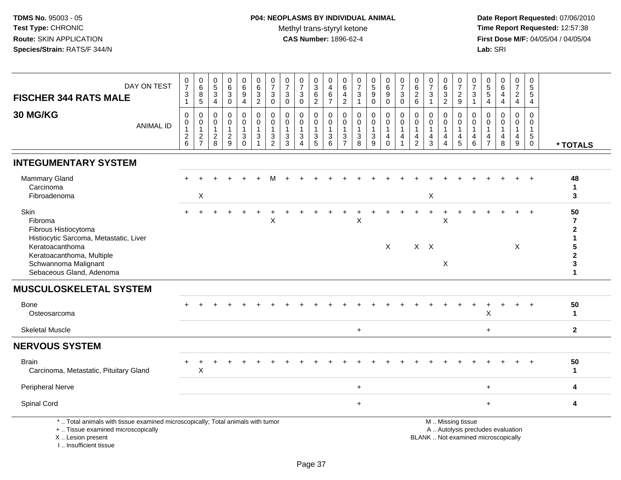| <b>FISCHER 344 RATS MALE</b>                                                                                                                                        | DAY ON TEST      | $\pmb{0}$<br>$\boldsymbol{7}$<br>$\mathbf{3}$<br>$\mathbf{1}$ | $\mathbf 0$<br>6<br>8<br>5              | $\pmb{0}$<br>$\,$ 5 $\,$<br>$\ensuremath{\mathsf{3}}$<br>4 | $\pmb{0}$<br>$\,6\,$<br>$\sqrt{3}$<br>$\mathbf 0$           | 0<br>$\,6\,$<br>$\boldsymbol{9}$<br>4      | $\mathbf 0$<br>$6\phantom{1}6$<br>$\sqrt{3}$<br>$\overline{2}$      | 0<br>$\overline{7}$<br>$\ensuremath{\mathsf{3}}$<br>0 | $\pmb{0}$<br>$\overline{7}$<br>$\sqrt{3}$<br>0 | $\begin{array}{c} 0 \\ 7 \end{array}$<br>3<br>$\mathbf 0$ | $\pmb{0}$<br>$\sqrt{3}$<br>$\,6\,$<br>$\overline{2}$ | 0<br>$\overline{4}$<br>$\,6\,$<br>$\overline{7}$                  | $\mathbf 0$<br>$6\phantom{1}6$<br>$\overline{\mathbf{4}}$<br>$\boldsymbol{2}$ | $\pmb{0}$<br>$\overline{7}$<br>$\mathbf{3}$<br>$\mathbf{1}$ | $\begin{array}{c} 0 \\ 5 \\ 9 \end{array}$<br>0 | 0<br>$\,6\,$<br>9<br>0                     | $\pmb{0}$<br>$\overline{7}$<br>$\sqrt{3}$<br>$\mathbf 0$         | $\pmb{0}$<br>$\,6\,$<br>$\sqrt{2}$<br>$\,6\,$             | 0<br>$\overline{7}$<br>3<br>-1                                    | 0<br>$\,6\,$<br>3<br>$\overline{2}$ | 0<br>$\overline{7}$<br>$\overline{2}$<br>9    | $\,0\,$<br>$\overline{7}$<br>$\sqrt{3}$<br>-1                     | $\boldsymbol{0}$<br>$\frac{5}{5}$<br>$\overline{4}$                       | $\boldsymbol{0}$<br>$\,6\,$<br>4<br>$\overline{4}$                       | $\pmb{0}$<br>$\overline{7}$<br>$\overline{a}$<br>$\overline{4}$ | $\pmb{0}$<br>$\sqrt{5}$<br>$\sqrt{5}$<br>$\overline{4}$ |                                                           |
|---------------------------------------------------------------------------------------------------------------------------------------------------------------------|------------------|---------------------------------------------------------------|-----------------------------------------|------------------------------------------------------------|-------------------------------------------------------------|--------------------------------------------|---------------------------------------------------------------------|-------------------------------------------------------|------------------------------------------------|-----------------------------------------------------------|------------------------------------------------------|-------------------------------------------------------------------|-------------------------------------------------------------------------------|-------------------------------------------------------------|-------------------------------------------------|--------------------------------------------|------------------------------------------------------------------|-----------------------------------------------------------|-------------------------------------------------------------------|-------------------------------------|-----------------------------------------------|-------------------------------------------------------------------|---------------------------------------------------------------------------|--------------------------------------------------------------------------|-----------------------------------------------------------------|---------------------------------------------------------|-----------------------------------------------------------|
| 30 MG/KG                                                                                                                                                            | <b>ANIMAL ID</b> | 0<br>0<br>$\overline{1}$<br>$^2\phantom{1}6$                  | 0<br>0<br>$\mathbf{1}$<br>$\frac{2}{7}$ | $\mathbf 0$<br>0<br>$\mathbf{1}$<br>$^2_{\bf 8}$           | $\mathbf 0$<br>$\mathbf 0$<br>$\mathbf{1}$<br>$\frac{2}{9}$ | 0<br>0<br>$\mathbf{1}$<br>3<br>$\mathbf 0$ | $\mathbf 0$<br>$\mathbf 0$<br>$\overline{1}$<br>3<br>$\overline{1}$ | 0<br>0<br>$\mathbf{1}$<br>3<br>$\overline{2}$         | 0<br>0<br>$\overline{1}$<br>3<br>3             | $\mathbf 0$<br>0<br>1<br>3<br>$\overline{4}$              | $\mathbf 0$<br>0<br>$\mathbf{1}$<br>$\frac{3}{5}$    | $\mathbf 0$<br>$\mathbf 0$<br>$\overline{1}$<br>$\mathbf{3}$<br>6 | $\mathbf 0$<br>0<br>$\mathbf{1}$<br>3<br>$\overline{7}$                       | 0<br>$\mathbf 0$<br>$\mathbf{1}$<br>$_8^3$                  | 0<br>0<br>$\mathbf{1}$<br>$\frac{3}{9}$         | 0<br>0<br>$\mathbf{1}$<br>4<br>$\mathbf 0$ | $\mathbf 0$<br>$\mathbf 0$<br>$\mathbf 1$<br>4<br>$\overline{1}$ | $\mathbf 0$<br>0<br>$\overline{1}$<br>4<br>$\overline{2}$ | $\mathbf 0$<br>$\mathbf 0$<br>$\mathbf{1}$<br>$\overline{4}$<br>3 | 0<br>0<br>$\mathbf 1$<br>4<br>4     | 0<br>0<br>$\mathbf{1}$<br>$\overline{4}$<br>5 | $\mathbf 0$<br>$\mathbf 0$<br>$\mathbf{1}$<br>$\overline{4}$<br>6 | $\mathbf 0$<br>$\Omega$<br>$\overline{\mathbf{1}}$<br>4<br>$\overline{7}$ | 0<br>$\Omega$<br>$\mathbf{1}$<br>$\overline{4}$<br>8                     | 0<br>$\mathbf 0$<br>$\mathbf{1}$<br>4<br>$\boldsymbol{9}$       | $\mathbf 0$<br>$\mathbf 0$<br>$\mathbf{1}$<br>$^5_{0}$  | * TOTALS                                                  |
| <b>INTEGUMENTARY SYSTEM</b>                                                                                                                                         |                  |                                                               |                                         |                                                            |                                                             |                                            |                                                                     |                                                       |                                                |                                                           |                                                      |                                                                   |                                                                               |                                                             |                                                 |                                            |                                                                  |                                                           |                                                                   |                                     |                                               |                                                                   |                                                                           |                                                                          |                                                                 |                                                         |                                                           |
| Mammary Gland<br>Carcinoma<br>Fibroadenoma                                                                                                                          |                  |                                                               | X                                       |                                                            |                                                             |                                            |                                                                     |                                                       |                                                |                                                           |                                                      |                                                                   |                                                                               |                                                             |                                                 |                                            |                                                                  |                                                           | X                                                                 |                                     |                                               |                                                                   |                                                                           |                                                                          |                                                                 |                                                         | 48<br>$\mathbf 1$<br>3                                    |
| Skin<br>Fibroma<br>Fibrous Histiocytoma<br>Histiocytic Sarcoma, Metastatic, Liver<br>Keratoacanthoma<br>Keratoacanthoma, Multiple                                   |                  |                                                               |                                         |                                                            |                                                             |                                            |                                                                     | $\ddot{}$<br>X                                        |                                                |                                                           |                                                      |                                                                   |                                                                               | X                                                           |                                                 | $\times$                                   |                                                                  | $X$ $X$                                                   | $\ddot{}$                                                         | $\ddot{}$<br>X                      |                                               |                                                                   |                                                                           |                                                                          | X                                                               |                                                         | 50<br>$\overline{7}$<br>$\mathbf{2}$<br>5<br>$\mathbf{2}$ |
| Schwannoma Malignant<br>Sebaceous Gland, Adenoma                                                                                                                    |                  |                                                               |                                         |                                                            |                                                             |                                            |                                                                     |                                                       |                                                |                                                           |                                                      |                                                                   |                                                                               |                                                             |                                                 |                                            |                                                                  |                                                           |                                                                   | X                                   |                                               |                                                                   |                                                                           |                                                                          |                                                                 |                                                         | 3<br>$\mathbf 1$                                          |
| <b>MUSCULOSKELETAL SYSTEM</b>                                                                                                                                       |                  |                                                               |                                         |                                                            |                                                             |                                            |                                                                     |                                                       |                                                |                                                           |                                                      |                                                                   |                                                                               |                                                             |                                                 |                                            |                                                                  |                                                           |                                                                   |                                     |                                               |                                                                   |                                                                           |                                                                          |                                                                 |                                                         |                                                           |
| Bone<br>Osteosarcoma                                                                                                                                                |                  |                                                               |                                         |                                                            |                                                             |                                            |                                                                     |                                                       |                                                |                                                           |                                                      |                                                                   |                                                                               |                                                             |                                                 |                                            |                                                                  |                                                           |                                                                   |                                     |                                               |                                                                   | X                                                                         |                                                                          |                                                                 |                                                         | 50<br>$\mathbf{1}$                                        |
| <b>Skeletal Muscle</b>                                                                                                                                              |                  |                                                               |                                         |                                                            |                                                             |                                            |                                                                     |                                                       |                                                |                                                           |                                                      |                                                                   |                                                                               | $\ddot{}$                                                   |                                                 |                                            |                                                                  |                                                           |                                                                   |                                     |                                               |                                                                   | $+$                                                                       |                                                                          |                                                                 |                                                         | $\overline{2}$                                            |
| <b>NERVOUS SYSTEM</b>                                                                                                                                               |                  |                                                               |                                         |                                                            |                                                             |                                            |                                                                     |                                                       |                                                |                                                           |                                                      |                                                                   |                                                                               |                                                             |                                                 |                                            |                                                                  |                                                           |                                                                   |                                     |                                               |                                                                   |                                                                           |                                                                          |                                                                 |                                                         |                                                           |
| Brain<br>Carcinoma, Metastatic, Pituitary Gland                                                                                                                     |                  | $\ddot{}$                                                     | $\ddot{}$<br>Χ                          |                                                            |                                                             |                                            |                                                                     |                                                       |                                                |                                                           |                                                      |                                                                   |                                                                               |                                                             |                                                 |                                            |                                                                  |                                                           |                                                                   |                                     |                                               |                                                                   |                                                                           |                                                                          |                                                                 |                                                         | 50<br>$\mathbf{1}$                                        |
| <b>Peripheral Nerve</b>                                                                                                                                             |                  |                                                               |                                         |                                                            |                                                             |                                            |                                                                     |                                                       |                                                |                                                           |                                                      |                                                                   |                                                                               | $\ddot{}$                                                   |                                                 |                                            |                                                                  |                                                           |                                                                   |                                     |                                               |                                                                   | $\ddot{}$                                                                 |                                                                          |                                                                 |                                                         | 4                                                         |
| Spinal Cord                                                                                                                                                         |                  |                                                               |                                         |                                                            |                                                             |                                            |                                                                     |                                                       |                                                |                                                           |                                                      |                                                                   |                                                                               | $+$                                                         |                                                 |                                            |                                                                  |                                                           |                                                                   |                                     |                                               |                                                                   | $+$                                                                       |                                                                          |                                                                 |                                                         | 4                                                         |
| *  Total animals with tissue examined microscopically; Total animals with tumor<br>+  Tissue examined microscopically<br>X  Lesion present<br>I Insufficient tissue |                  |                                                               |                                         |                                                            |                                                             |                                            |                                                                     |                                                       |                                                |                                                           |                                                      |                                                                   |                                                                               |                                                             |                                                 |                                            |                                                                  |                                                           |                                                                   |                                     | M  Missing tissue                             |                                                                   |                                                                           | A  Autolysis precludes evaluation<br>BLANK  Not examined microscopically |                                                                 |                                                         |                                                           |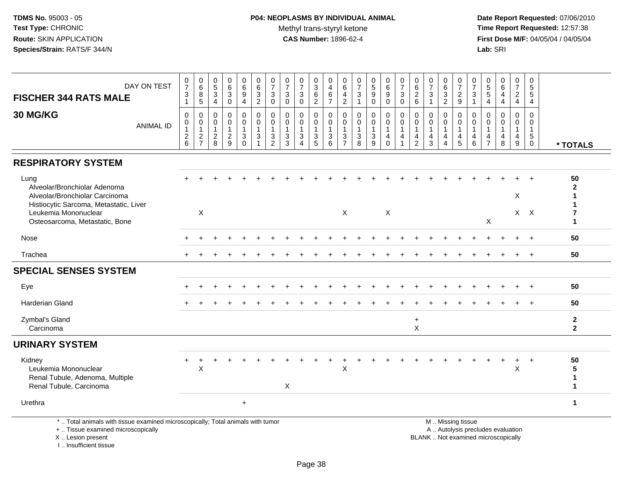# **P04: NEOPLASMS BY INDIVIDUAL ANIMAL**Methyl trans-styryl ketone<br>CAS Number: 1896-62-4

 **Date Report Requested:** 07/06/2010 **Time Report Requested:** 12:57:38 **First Dose M/F:** 04/05/04 / 04/05/04<br>Lab: SRI **Lab:** SRI

| DAY ON TEST<br><b>FISCHER 344 RATS MALE</b>                                                                                                                                | $\frac{0}{7}$<br>$\ensuremath{\mathsf{3}}$<br>$\mathbf{1}$                          | 0<br>$6\phantom{a}$<br>8<br>$\overline{5}$          | 0<br>$\sqrt{5}$<br>$\mathbf{3}$<br>4                          | 0<br>6<br>$\sqrt{3}$<br>$\Omega$                  | 0<br>$6\phantom{a}$<br>9<br>4                                  | $\begin{matrix} 0 \\ 6 \end{matrix}$<br>3<br>$\overline{2}$ | $\frac{0}{7}$<br>$\sqrt{3}$<br>$\mathbf 0$                | 0<br>$\overline{7}$<br>3<br>$\mathbf{0}$                                       | $\frac{0}{7}$<br>$\sqrt{3}$<br>$\Omega$                                  | 0<br>$\mathbf{3}$<br>$\,6$<br>$\overline{2}$                       | 0<br>$\overline{4}$<br>$\,6\,$<br>$\overline{7}$      | 0<br>$\,6\,$<br>4<br>$\sqrt{2}$                                                           | 0<br>$\overline{7}$<br>$\mathbf{3}$<br>$\overline{1}$           | $\begin{array}{c} 0 \\ 5 \end{array}$<br>9<br>$\Omega$        | 0<br>$\,6\,$<br>$\boldsymbol{9}$<br>$\Omega$         | $\frac{0}{7}$<br>$\mathbf{3}$<br>$\mathbf 0$                       | 0<br>$6\phantom{a}$<br>$\begin{array}{c} 2 \\ 6 \end{array}$                   | 0<br>$\overline{7}$<br>3                | $\begin{matrix} 0 \\ 6 \\ 3 \end{matrix}$<br>$\overline{2}$                              | 0<br>$\overline{7}$<br>$\frac{2}{9}$                | 0<br>$\overline{7}$<br>$\mathbf{3}$<br>$\overline{1}$                  | 0<br>$\mathbf 5$<br>$5\phantom{.0}$<br>4 | 0<br>$\,6\,$<br>$\overline{4}$<br>$\overline{4}$ | $\pmb{0}$<br>$\overline{7}$<br>$\overline{2}$<br>4                               | 0<br>$\sqrt{5}$<br>$\sqrt{5}$<br>$\overline{4}$                           |                                        |
|----------------------------------------------------------------------------------------------------------------------------------------------------------------------------|-------------------------------------------------------------------------------------|-----------------------------------------------------|---------------------------------------------------------------|---------------------------------------------------|----------------------------------------------------------------|-------------------------------------------------------------|-----------------------------------------------------------|--------------------------------------------------------------------------------|--------------------------------------------------------------------------|--------------------------------------------------------------------|-------------------------------------------------------|-------------------------------------------------------------------------------------------|-----------------------------------------------------------------|---------------------------------------------------------------|------------------------------------------------------|--------------------------------------------------------------------|--------------------------------------------------------------------------------|-----------------------------------------|------------------------------------------------------------------------------------------|-----------------------------------------------------|------------------------------------------------------------------------|------------------------------------------|--------------------------------------------------|----------------------------------------------------------------------------------|---------------------------------------------------------------------------|----------------------------------------|
| 30 MG/KG<br><b>ANIMAL ID</b>                                                                                                                                               | $\mathbf 0$<br>$\mathbf 0$<br>$\mathbf{1}$<br>$\begin{array}{c} 2 \\ 6 \end{array}$ | 0<br>$\mathbf 0$<br>$\overline{1}$<br>$\frac{2}{7}$ | $\mathbf 0$<br>$\mathbf 0$<br>$\mathbf{1}$<br>$\sqrt{2}$<br>8 | 0<br>$\mathbf 0$<br>$\mathbf{1}$<br>$\frac{2}{9}$ | $\mathbf 0$<br>0<br>$\mathbf{1}$<br>$\mathfrak{S}$<br>$\Omega$ | 0<br>0<br>1<br>$\mathbf{3}$                                 | $\mathbf 0$<br>$\pmb{0}$<br>$\mathbf{1}$<br>$\frac{3}{2}$ | $\mathbf 0$<br>$\mathbf 0$<br>$\overline{1}$<br>$\ensuremath{\mathsf{3}}$<br>3 | $\mathbf 0$<br>$\mathbf 0$<br>$\mathbf{1}$<br>$\mathfrak{Z}$<br>$\Delta$ | 0<br>$\mathbf 0$<br>$\mathbf{1}$<br>$\ensuremath{\mathsf{3}}$<br>5 | $\mathbf 0$<br>0<br>$\mathbf{1}$<br>$\mathbf{3}$<br>6 | $\mathbf 0$<br>$\pmb{0}$<br>$\overline{1}$<br>$\ensuremath{\mathsf{3}}$<br>$\overline{7}$ | $\mathbf 0$<br>$\mathbf 0$<br>$\overline{1}$<br>$\sqrt{3}$<br>8 | $\mathbf 0$<br>$\mathbf 0$<br>$\mathbf{1}$<br>$\sqrt{3}$<br>9 | 0<br>$\mathbf 0$<br>$\mathbf{1}$<br>4<br>$\mathbf 0$ | 0<br>$\mathbf 0$<br>$\mathbf{1}$<br>$\overline{4}$<br>$\mathbf{1}$ | $\mathbf 0$<br>$\mathbf 0$<br>$\mathbf{1}$<br>$\overline{4}$<br>$\overline{2}$ | $\Omega$<br>0<br>$\mathbf{1}$<br>4<br>3 | $\mathbf 0$<br>$\mathbf 0$<br>$\mathbf{1}$<br>$\overline{4}$<br>$\boldsymbol{\varDelta}$ | 0<br>$\mathbf 0$<br>$\mathbf{1}$<br>4<br>$\sqrt{5}$ | $\mathbf 0$<br>$\overline{0}$<br>$\overline{1}$<br>$\overline{a}$<br>6 | $\Omega$<br>0<br>4<br>$\overline{7}$     | $\Omega$<br>0<br>1<br>4<br>8                     | $\mathbf 0$<br>$\mathbf 0$<br>$\mathbf{1}$<br>$\overline{4}$<br>$\boldsymbol{9}$ | $\mathbf 0$<br>$\mathbf 0$<br>$\overline{1}$<br>$\sqrt{5}$<br>$\mathbf 0$ | * TOTALS                               |
| <b>RESPIRATORY SYSTEM</b>                                                                                                                                                  |                                                                                     |                                                     |                                                               |                                                   |                                                                |                                                             |                                                           |                                                                                |                                                                          |                                                                    |                                                       |                                                                                           |                                                                 |                                                               |                                                      |                                                                    |                                                                                |                                         |                                                                                          |                                                     |                                                                        |                                          |                                                  |                                                                                  |                                                                           |                                        |
| Lung<br>Alveolar/Bronchiolar Adenoma<br>Alveolar/Bronchiolar Carcinoma<br>Histiocytic Sarcoma, Metastatic, Liver<br>Leukemia Mononuclear<br>Osteosarcoma, Metastatic, Bone |                                                                                     | X                                                   |                                                               |                                                   |                                                                |                                                             |                                                           |                                                                                |                                                                          |                                                                    |                                                       | X                                                                                         |                                                                 |                                                               | X                                                    |                                                                    |                                                                                |                                         |                                                                                          |                                                     |                                                                        | X                                        |                                                  | X                                                                                | $X$ $X$                                                                   | 50<br>$\mathbf{2}$<br>7<br>$\mathbf 1$ |
| Nose                                                                                                                                                                       |                                                                                     |                                                     |                                                               |                                                   |                                                                |                                                             |                                                           |                                                                                |                                                                          |                                                                    |                                                       |                                                                                           |                                                                 |                                                               |                                                      |                                                                    |                                                                                |                                         |                                                                                          |                                                     |                                                                        |                                          |                                                  |                                                                                  |                                                                           | 50                                     |
| Trachea                                                                                                                                                                    |                                                                                     |                                                     |                                                               |                                                   |                                                                |                                                             |                                                           |                                                                                |                                                                          |                                                                    |                                                       |                                                                                           |                                                                 |                                                               |                                                      |                                                                    |                                                                                |                                         |                                                                                          |                                                     |                                                                        |                                          |                                                  |                                                                                  | $\ddot{}$                                                                 | 50                                     |
| <b>SPECIAL SENSES SYSTEM</b>                                                                                                                                               |                                                                                     |                                                     |                                                               |                                                   |                                                                |                                                             |                                                           |                                                                                |                                                                          |                                                                    |                                                       |                                                                                           |                                                                 |                                                               |                                                      |                                                                    |                                                                                |                                         |                                                                                          |                                                     |                                                                        |                                          |                                                  |                                                                                  |                                                                           |                                        |
| Eye                                                                                                                                                                        |                                                                                     |                                                     |                                                               |                                                   |                                                                |                                                             |                                                           |                                                                                |                                                                          |                                                                    |                                                       |                                                                                           |                                                                 |                                                               |                                                      |                                                                    |                                                                                |                                         |                                                                                          |                                                     |                                                                        |                                          |                                                  |                                                                                  | $\ddot{}$                                                                 | 50                                     |
| <b>Harderian Gland</b>                                                                                                                                                     |                                                                                     |                                                     |                                                               |                                                   |                                                                |                                                             |                                                           |                                                                                |                                                                          |                                                                    |                                                       |                                                                                           |                                                                 |                                                               |                                                      |                                                                    |                                                                                |                                         |                                                                                          |                                                     |                                                                        |                                          |                                                  |                                                                                  |                                                                           | 50                                     |
| Zymbal's Gland<br>Carcinoma                                                                                                                                                |                                                                                     |                                                     |                                                               |                                                   |                                                                |                                                             |                                                           |                                                                                |                                                                          |                                                                    |                                                       |                                                                                           |                                                                 |                                                               |                                                      |                                                                    | $\ddot{}$<br>$\mathsf{X}$                                                      |                                         |                                                                                          |                                                     |                                                                        |                                          |                                                  |                                                                                  |                                                                           | $\mathbf{2}$<br>$\overline{2}$         |
| <b>URINARY SYSTEM</b>                                                                                                                                                      |                                                                                     |                                                     |                                                               |                                                   |                                                                |                                                             |                                                           |                                                                                |                                                                          |                                                                    |                                                       |                                                                                           |                                                                 |                                                               |                                                      |                                                                    |                                                                                |                                         |                                                                                          |                                                     |                                                                        |                                          |                                                  |                                                                                  |                                                                           |                                        |
| Kidney<br>Leukemia Mononuclear<br>Renal Tubule, Adenoma, Multiple<br>Renal Tubule, Carcinoma                                                                               | $+$                                                                                 | $\ddot{}$<br>$\boldsymbol{\mathsf{X}}$              |                                                               |                                                   |                                                                |                                                             |                                                           | $\sf X$                                                                        |                                                                          |                                                                    |                                                       | $\times$                                                                                  |                                                                 |                                                               |                                                      |                                                                    |                                                                                |                                         |                                                                                          |                                                     |                                                                        |                                          |                                                  | $\ddot{}$<br>$\boldsymbol{\mathsf{X}}$                                           | $\ddot{}$                                                                 | 50<br>5<br>$\mathbf{1}$<br>1           |
| Urethra                                                                                                                                                                    |                                                                                     |                                                     |                                                               |                                                   | $+$                                                            |                                                             |                                                           |                                                                                |                                                                          |                                                                    |                                                       |                                                                                           |                                                                 |                                                               |                                                      |                                                                    |                                                                                |                                         |                                                                                          |                                                     |                                                                        |                                          |                                                  |                                                                                  |                                                                           | $\mathbf{1}$                           |
| *  Total animals with tissue examined microscopically; Total animals with tumor<br>+  Tissue examined microscopically<br>X  Lesion present                                 |                                                                                     |                                                     |                                                               |                                                   |                                                                |                                                             |                                                           |                                                                                |                                                                          |                                                                    |                                                       |                                                                                           |                                                                 |                                                               |                                                      |                                                                    |                                                                                | BLANK  Not examined microscopically     |                                                                                          | M  Missing tissue                                   |                                                                        |                                          | A  Autolysis precludes evaluation                |                                                                                  |                                                                           |                                        |

X .. Lesion present

I .. Insufficient tissue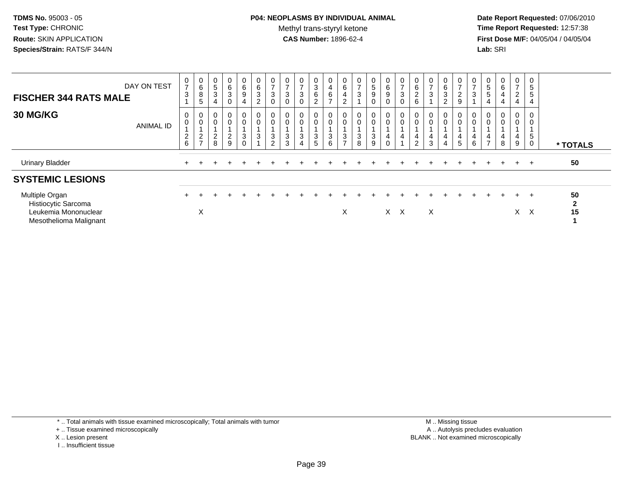# **P04: NEOPLASMS BY INDIVIDUAL ANIMAL**Methyl trans-styryl ketone<br>CAS Number: 1896-62-4

 **Date Report Requested:** 07/06/2010 **Time Report Requested:** 12:57:38 **First Dose M/F:** 04/05/04 / 04/05/04<br>**Lab:** SRI **Lab:** SRI

| <b>FISCHER 344 RATS MALE</b>                                                            | DAY ON TEST      | $\boldsymbol{0}$<br>$\overline{7}$<br>3 | $_6^0$<br>$\bf 8$<br>5                                       | 0<br>5<br>$\sqrt{3}$<br>4               | $\mathbf 0$<br>$\,6\,$<br>$\sqrt{3}$<br>$\boldsymbol{0}$ | $\mathbf{0}$<br>$\,6\,$<br>9<br>4 | 0<br>$\,6\,$<br>$\sqrt{3}$<br>$\overline{c}$ | $\mathbf 0$<br>$\rightarrow$<br>3 | $\mathbf 0$<br>$\overline{7}$<br>3 | 0<br>$\rightarrow$<br>$\mathbf{3}$<br>$\Omega$ | 0<br>$\ensuremath{\mathsf{3}}$<br>6<br>2 | 0<br>$\overline{4}$<br>$rac{6}{7}$               | $\begin{matrix} 0 \\ 6 \end{matrix}$<br>4<br>$\overline{c}$ | $\frac{0}{7}$<br>3         | $\overline{0}$<br>5<br>9 | $\overline{0}$<br>6<br>$\boldsymbol{9}$ | 0<br>$\overline{ }$<br>$\ensuremath{\mathsf{3}}$<br>0 | $\mathbf 0$<br>$\,6\,$<br>$\overline{c}$<br>6 | 0<br>$\overline{ }$<br>$\sqrt{3}$ | $\mathbf 0$<br>6<br>$\ensuremath{\mathsf{3}}$<br>$\overline{c}$ | 0<br>$\overline{ }$<br>$\overline{c}$<br>9 | 0<br>$\overline{ }$<br>3 | 0<br>5<br>5                   | 0<br>6<br>4<br>4         | 0<br>$\overline{c}$<br>4 | 0<br>$\overline{5}$<br>5<br>$\overline{4}$ |                          |
|-----------------------------------------------------------------------------------------|------------------|-----------------------------------------|--------------------------------------------------------------|-----------------------------------------|----------------------------------------------------------|-----------------------------------|----------------------------------------------|-----------------------------------|------------------------------------|------------------------------------------------|------------------------------------------|--------------------------------------------------|-------------------------------------------------------------|----------------------------|--------------------------|-----------------------------------------|-------------------------------------------------------|-----------------------------------------------|-----------------------------------|-----------------------------------------------------------------|--------------------------------------------|--------------------------|-------------------------------|--------------------------|--------------------------|--------------------------------------------|--------------------------|
| <b>30 MG/KG</b>                                                                         | <b>ANIMAL ID</b> | 0<br>$\mathbf 0$<br>$^2$ 6              | $\begin{smallmatrix}0\0\0\end{smallmatrix}$<br>$\frac{2}{7}$ | 0<br>$\mathbf 0$<br>$\overline{c}$<br>8 | $_{\rm 0}^{\rm 0}$<br>$\frac{2}{9}$                      | 0<br>0<br>$\mathbf{3}$<br>0       | 0<br>$\pmb{0}$<br>$\sqrt{3}$                 | 0<br>$\pmb{0}$<br>3<br>C          | $\mathbf 0$<br>3<br>3              | 0<br>0<br>3<br>4                               | 0<br>0<br>3<br>5                         | 0<br>$\mathbf 0$<br>$\sqrt{3}$<br>$6\phantom{1}$ | 0<br>$\mathbf 0$<br>$\mathbf{3}$<br>$\overline{ }$          | 0<br>$\mathbf 0$<br>3<br>8 | 0<br>$\pmb{0}$<br>3<br>9 | 0<br>4                                  | 0<br>$\mathbf 0$<br>4                                 | 4<br>$\overline{2}$                           | 0<br>4<br>$\sqrt{3}$              | $\begin{smallmatrix} 0\\0 \end{smallmatrix}$<br>4<br>4          | 0<br>$\mathbf 0$<br>4<br>5                 | 0<br>4<br>6              | $\mathbf 0$<br>$\overline{ }$ | 0<br>$\pmb{0}$<br>4<br>8 | 0<br>0<br>4<br>9         | 0<br>0<br>5<br>0                           | * TOTALS                 |
| <b>Urinary Bladder</b>                                                                  |                  |                                         |                                                              |                                         |                                                          |                                   |                                              |                                   |                                    |                                                |                                          |                                                  |                                                             |                            |                          |                                         |                                                       |                                               |                                   |                                                                 |                                            |                          |                               | $+$                      | $+$                      | $+$                                        | 50                       |
| <b>SYSTEMIC LESIONS</b>                                                                 |                  |                                         |                                                              |                                         |                                                          |                                   |                                              |                                   |                                    |                                                |                                          |                                                  |                                                             |                            |                          |                                         |                                                       |                                               |                                   |                                                                 |                                            |                          |                               |                          |                          |                                            |                          |
| Multiple Organ<br>Histiocytic Sarcoma<br>Leukemia Mononuclear<br>Mesothelioma Malignant |                  |                                         | X                                                            |                                         |                                                          |                                   |                                              |                                   |                                    |                                                |                                          |                                                  | X                                                           |                            |                          |                                         | X X                                                   |                                               | X                                 |                                                                 |                                            |                          |                               | $\pm$                    | $+$                      | $+$<br>$X \times$                          | 50<br>$\mathbf{2}$<br>15 |

\* .. Total animals with tissue examined microscopically; Total animals with tumor

+ .. Tissue examined microscopically

- X .. Lesion present
- I .. Insufficient tissue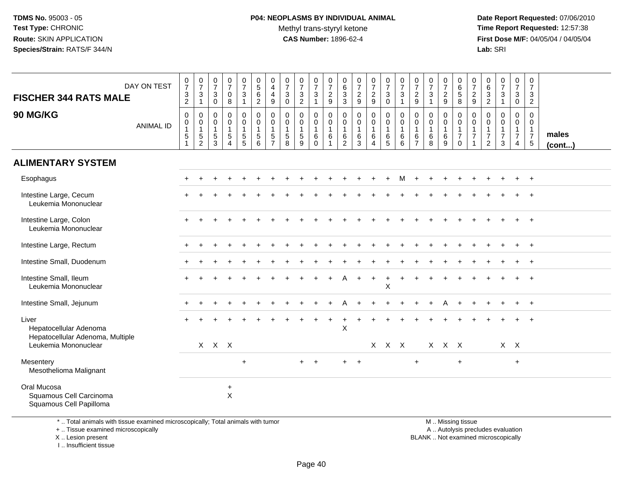# **P04: NEOPLASMS BY INDIVIDUAL ANIMAL**Methyl trans-styryl ketone<br>CAS Number: 1896-62-4

 **Date Report Requested:** 07/06/2010 **Time Report Requested:** 12:57:38 **First Dose M/F:** 04/05/04 / 04/05/04<br>**Lab:** SRI **Lab:** SRI

| DAY ON TEST<br><b>FISCHER 344 RATS MALE</b>                         | $\frac{0}{7}$<br>$\frac{3}{2}$                    | $\frac{0}{7}$<br>$\ensuremath{\mathsf{3}}$<br>$\mathbf{1}$               | $\frac{0}{7}$<br>$\mathbf{3}$<br>$\mathbf 0$                                | $\begin{array}{c} 0 \\ 7 \end{array}$<br>$\mathbf 0$<br>8                  | $\frac{0}{7}$<br>$\mathbf{3}$<br>1 | $\begin{array}{c} 0 \\ 5 \\ 6 \end{array}$<br>$\overline{2}$           | $\begin{smallmatrix}0\0\4\end{smallmatrix}$<br>$\overline{4}$<br>9               | $\frac{0}{7}$<br>3<br>$\mathbf 0$ | $\frac{0}{7}$<br>$\frac{3}{2}$                            | $\frac{0}{7}$<br>$\sqrt{3}$<br>$\overline{\mathbf{1}}$ | $\frac{0}{7}$<br>$\frac{2}{9}$                                                 | $_{6}^{\rm 0}$<br>$\frac{3}{3}$                         | $\frac{0}{7}$<br>$\frac{2}{9}$                                   | $\frac{0}{7}$<br>$\frac{2}{9}$                                   | $\frac{0}{7}$<br>$\mathbf{3}$<br>$\mathbf 0$ | $\frac{0}{7}$<br>$\ensuremath{\mathsf{3}}$<br>$\overline{1}$ | $\frac{0}{7}$<br>$\sqrt{2}$<br>9                                  | $\frac{0}{7}$<br>$\mathbf{3}$<br>$\overline{1}$             | $\frac{0}{7}$<br>$\overline{\mathbf{c}}$<br>9 | $\begin{array}{c} 0 \\ 6 \\ 5 \end{array}$<br>8                          | $\frac{0}{7}$<br>$\frac{2}{9}$                                           | $\begin{array}{c} 0 \\ 6 \end{array}$<br>$\frac{3}{2}$ | $\frac{0}{7}$<br>$\ensuremath{\mathsf{3}}$<br>$\overline{1}$      | $\boldsymbol{0}$<br>$\overline{7}$<br>$\mathbf{3}$<br>$\mathbf{0}$   | 0<br>$\overline{7}$<br>3<br>$\overline{2}$                                   |                 |
|---------------------------------------------------------------------|---------------------------------------------------|--------------------------------------------------------------------------|-----------------------------------------------------------------------------|----------------------------------------------------------------------------|------------------------------------|------------------------------------------------------------------------|----------------------------------------------------------------------------------|-----------------------------------|-----------------------------------------------------------|--------------------------------------------------------|--------------------------------------------------------------------------------|---------------------------------------------------------|------------------------------------------------------------------|------------------------------------------------------------------|----------------------------------------------|--------------------------------------------------------------|-------------------------------------------------------------------|-------------------------------------------------------------|-----------------------------------------------|--------------------------------------------------------------------------|--------------------------------------------------------------------------|--------------------------------------------------------|-------------------------------------------------------------------|----------------------------------------------------------------------|------------------------------------------------------------------------------|-----------------|
| <b>90 MG/KG</b><br><b>ANIMAL ID</b>                                 | $\pmb{0}$<br>$\pmb{0}$<br>$\overline{1}$<br>$5\,$ | $\pmb{0}$<br>$\begin{smallmatrix}0\\1\end{smallmatrix}$<br>$\frac{5}{2}$ | $\mathbf 0$<br>$\mathbf 0$<br>$\overline{1}$<br>$\,$ 5 $\,$<br>$\mathbf{3}$ | $\pmb{0}$<br>$\mathbf 0$<br>$\overline{1}$<br>$\sqrt{5}$<br>$\overline{4}$ | 0<br>$\mathbf 0$<br>5<br>5         | $\pmb{0}$<br>$\mathbf 0$<br>$\mathbf{1}$<br>$5\phantom{.0}$<br>$\,6\,$ | $\pmb{0}$<br>$\mathsf{O}\xspace$<br>$\mathbf{1}$<br>$\sqrt{5}$<br>$\overline{7}$ | 0<br>0<br>$\mathbf 1$<br>5<br>8   | $\pmb{0}$<br>$\pmb{0}$<br>$\mathbf{1}$<br>$\sqrt{5}$<br>9 | 0<br>$\mathbf 0$<br>$\overline{1}$<br>6<br>$\mathbf 0$ | $\boldsymbol{0}$<br>$\mathsf{O}\xspace$<br>$\overline{1}$<br>6<br>$\mathbf{1}$ | 0<br>$\mathsf 0$<br>$\mathbf{1}$<br>6<br>$\overline{2}$ | $\pmb{0}$<br>$\mathsf{O}\xspace$<br>$\mathbf{1}$<br>$\,6\,$<br>3 | $\pmb{0}$<br>$\mathsf{O}$<br>$\mathbf{1}$<br>6<br>$\overline{4}$ | 0<br>$\overline{0}$<br>1<br>$6\over 5$       | $\pmb{0}$<br>$\pmb{0}$<br>$\mathbf{1}$<br>$\,6$<br>6         | $\mathbf 0$<br>$\mathbf 0$<br>$\mathbf{1}$<br>6<br>$\overline{7}$ | $\mathbf 0$<br>$\boldsymbol{0}$<br>$\overline{1}$<br>6<br>8 | 0<br>$\mathbf 0$<br>6<br>9                    | $\mathsf 0$<br>$\mathbf 0$<br>$\mathbf{1}$<br>$\overline{7}$<br>$\Omega$ | $\pmb{0}$<br>$\pmb{0}$<br>$\mathbf{1}$<br>$\overline{7}$<br>$\mathbf{1}$ | 0<br>0<br>1<br>$\overline{7}$<br>$\overline{2}$        | $\mathbf 0$<br>$\mathbf 0$<br>$\mathbf{1}$<br>$\overline{7}$<br>3 | 0<br>$\mathbf 0$<br>$\mathbf{1}$<br>$\overline{7}$<br>$\overline{4}$ | $\mathbf 0$<br>$\mathbf 0$<br>$\overline{1}$<br>$\overline{7}$<br>$\sqrt{5}$ | males<br>(cont) |
| <b>ALIMENTARY SYSTEM</b>                                            |                                                   |                                                                          |                                                                             |                                                                            |                                    |                                                                        |                                                                                  |                                   |                                                           |                                                        |                                                                                |                                                         |                                                                  |                                                                  |                                              |                                                              |                                                                   |                                                             |                                               |                                                                          |                                                                          |                                                        |                                                                   |                                                                      |                                                                              |                 |
| Esophagus                                                           |                                                   |                                                                          |                                                                             |                                                                            |                                    |                                                                        |                                                                                  |                                   |                                                           |                                                        |                                                                                |                                                         |                                                                  |                                                                  |                                              | М                                                            |                                                                   |                                                             |                                               |                                                                          |                                                                          |                                                        |                                                                   |                                                                      | $+$                                                                          |                 |
| Intestine Large, Cecum<br>Leukemia Mononuclear                      |                                                   |                                                                          |                                                                             |                                                                            |                                    |                                                                        |                                                                                  |                                   |                                                           |                                                        |                                                                                |                                                         |                                                                  |                                                                  |                                              |                                                              |                                                                   |                                                             |                                               |                                                                          |                                                                          |                                                        |                                                                   |                                                                      | $\ddot{}$                                                                    |                 |
| Intestine Large, Colon<br>Leukemia Mononuclear                      |                                                   |                                                                          |                                                                             |                                                                            |                                    |                                                                        |                                                                                  |                                   |                                                           |                                                        |                                                                                |                                                         |                                                                  |                                                                  |                                              |                                                              |                                                                   |                                                             |                                               |                                                                          |                                                                          |                                                        |                                                                   |                                                                      |                                                                              |                 |
| Intestine Large, Rectum                                             |                                                   |                                                                          |                                                                             |                                                                            |                                    |                                                                        |                                                                                  |                                   |                                                           |                                                        |                                                                                |                                                         |                                                                  |                                                                  |                                              |                                                              |                                                                   |                                                             |                                               |                                                                          |                                                                          |                                                        |                                                                   |                                                                      | $+$                                                                          |                 |
| Intestine Small, Duodenum                                           |                                                   |                                                                          |                                                                             |                                                                            |                                    |                                                                        |                                                                                  |                                   |                                                           |                                                        |                                                                                |                                                         |                                                                  |                                                                  |                                              |                                                              |                                                                   |                                                             |                                               |                                                                          |                                                                          |                                                        |                                                                   |                                                                      |                                                                              |                 |
| Intestine Small, Ileum<br>Leukemia Mononuclear                      | $+$                                               |                                                                          |                                                                             |                                                                            |                                    |                                                                        |                                                                                  |                                   |                                                           |                                                        |                                                                                |                                                         |                                                                  | $\ddot{}$                                                        | $\ddot{}$<br>X                               |                                                              |                                                                   |                                                             |                                               |                                                                          |                                                                          |                                                        |                                                                   |                                                                      | $\ddot{}$                                                                    |                 |
| Intestine Small, Jejunum                                            |                                                   |                                                                          |                                                                             |                                                                            |                                    |                                                                        |                                                                                  |                                   |                                                           |                                                        |                                                                                |                                                         |                                                                  |                                                                  |                                              |                                                              |                                                                   |                                                             |                                               |                                                                          |                                                                          |                                                        |                                                                   | $\ddot{}$                                                            | $+$                                                                          |                 |
| Liver<br>Hepatocellular Adenoma<br>Hepatocellular Adenoma, Multiple |                                                   |                                                                          |                                                                             |                                                                            |                                    |                                                                        |                                                                                  |                                   |                                                           |                                                        |                                                                                | $\ddot{}$<br>X                                          |                                                                  |                                                                  |                                              |                                                              |                                                                   |                                                             |                                               |                                                                          |                                                                          |                                                        |                                                                   |                                                                      | $\ddot{}$                                                                    |                 |
| Leukemia Mononuclear                                                |                                                   |                                                                          | $X$ $X$ $X$                                                                 |                                                                            |                                    |                                                                        |                                                                                  |                                   |                                                           |                                                        |                                                                                |                                                         |                                                                  |                                                                  | X X X                                        |                                                              |                                                                   |                                                             | X X X                                         |                                                                          |                                                                          |                                                        |                                                                   | $X$ $X$                                                              |                                                                              |                 |
| Mesentery<br>Mesothelioma Malignant                                 |                                                   |                                                                          |                                                                             |                                                                            | $\ddot{}$                          |                                                                        |                                                                                  |                                   | $+$                                                       | $+$                                                    |                                                                                | $+$                                                     | $+$                                                              |                                                                  |                                              |                                                              | $+$                                                               |                                                             |                                               | $+$                                                                      |                                                                          |                                                        |                                                                   | $\ddot{}$                                                            |                                                                              |                 |
| Oral Mucosa<br>Squamous Cell Carcinoma<br>Squamous Cell Papilloma   |                                                   |                                                                          |                                                                             | $\ddot{}$<br>$\mathsf X$                                                   |                                    |                                                                        |                                                                                  |                                   |                                                           |                                                        |                                                                                |                                                         |                                                                  |                                                                  |                                              |                                                              |                                                                   |                                                             |                                               |                                                                          |                                                                          |                                                        |                                                                   |                                                                      |                                                                              |                 |

\* .. Total animals with tissue examined microscopically; Total animals with tumor

+ .. Tissue examined microscopically

X .. Lesion present

I .. Insufficient tissue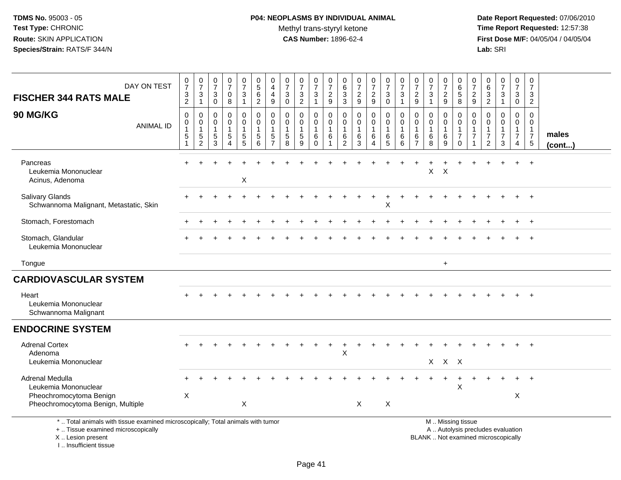# **P04: NEOPLASMS BY INDIVIDUAL ANIMAL**Methyl trans-styryl ketone<br>CAS Number: 1896-62-4

 **Date Report Requested:** 07/06/2010 **Time Report Requested:** 12:57:38 **First Dose M/F:** 04/05/04 / 04/05/04<br>Lab: SRI **Lab:** SRI

| DAY ON TEST<br><b>FISCHER 344 RATS MALE</b><br>90 MG/KG<br><b>ANIMAL ID</b>                                                                | $\frac{0}{7}$<br>$\ensuremath{\mathsf{3}}$<br>$\overline{2}$<br>$\pmb{0}$<br>$\mathbf 0$<br>$\mathbf{1}$<br>$\sqrt{5}$ | $\frac{0}{7}$<br>3<br>$\mathbf{1}$<br>0<br>$\mathbf 0$<br>1<br>$\,$ 5 $\,$ | $\frac{0}{7}$<br>$\ensuremath{\mathsf{3}}$<br>$\mathbf 0$<br>0<br>0<br>$\mathbf{1}$<br>$\sqrt{5}$ | $\frac{0}{7}$<br>$\pmb{0}$<br>8<br>0<br>0<br>1<br>5 | 0<br>$\overline{7}$<br>3<br>$\mathbf{1}$<br>0<br>$\mathbf{0}$<br>$\sqrt{5}$ | $\begin{array}{c} 0 \\ 5 \end{array}$<br>$\,6\,$<br>$\sqrt{2}$<br>$\mathbf 0$<br>$\mathsf{O}\xspace$<br>$\overline{1}$<br>$\sqrt{5}$ | 0<br>$\overline{4}$<br>$\overline{4}$<br>9<br>0<br>$\mathbf 0$<br>$\overline{1}$<br>$\sqrt{5}$ | $\frac{0}{7}$<br>3<br>$\mathbf 0$<br>$\mathbf 0$<br>$\mathbf 0$<br>$\overline{1}$<br>$\sqrt{5}$ | $\frac{0}{7}$<br>3<br>$\overline{c}$<br>0<br>0<br>$\sqrt{5}$ | $\frac{0}{7}$<br>$\mathbf{3}$<br>$\mathbf{1}$<br>0<br>0<br>$\mathbf{1}$<br>$\,6\,$ | $\begin{array}{c} 0 \\ 7 \end{array}$<br>$\overline{c}$<br>$\boldsymbol{9}$<br>0<br>$\mathbf 0$<br>-1<br>6 | $\begin{array}{c} 0 \\ 6 \end{array}$<br>$_3^3$<br>$\mathbf 0$<br>$\mathbf 0$<br>$\overline{1}$<br>$\,6\,$ | $\frac{0}{7}$<br>$\overline{c}$<br>$9\,$<br>$\mathbf 0$<br>$\mathbf 0$<br>$\mathbf{1}$<br>$\,6\,$ | $\frac{0}{7}$<br>$\overline{a}$<br>$\boldsymbol{9}$<br>0<br>0<br>$\mathbf{1}$<br>$\,6$ | $\frac{0}{7}$<br>$\mathbf 3$<br>$\mathbf 0$<br>$\pmb{0}$<br>$\mathbf 0$<br>$\mathbf{1}$<br>$\,6\,$ | $\frac{0}{7}$<br>$\ensuremath{\mathsf{3}}$<br>$\mathbf{1}$<br>0<br>$\mathbf 0$<br>$\mathbf{1}$<br>$\,6$ | 0<br>$\overline{7}$<br>$\overline{2}$<br>$\boldsymbol{9}$<br>0<br>$\mathbf 0$<br>6 | $\begin{array}{c} 0 \\ 7 \end{array}$<br>$\ensuremath{\mathsf{3}}$<br>$\mathbf{1}$<br>0<br>$\mathbf 0$<br>$\mathbf{1}$<br>$\,6\,$ | $\begin{array}{c} 0 \\ 7 \end{array}$<br>$\overline{c}$<br>9<br>0<br>$\mathbf 0$<br>$\mathbf{1}$<br>$\,6\,$ | $\mathbf 0$<br>6<br>$\overline{5}$<br>8<br>0<br>$\mathbf 0$<br>$\mathbf{1}$<br>$\overline{7}$ | 0<br>$\overline{7}$<br>$\overline{c}$<br>$\mathsf g$<br>0<br>$\mathbf 0$<br>1<br>$\overline{7}$ | 0<br>$\,6\,$<br>$\frac{3}{2}$<br>0<br>$\mathbf 0$<br>1<br>$\overline{7}$ | $\frac{0}{7}$<br>$\ensuremath{\mathsf{3}}$<br>$\mathbf{1}$<br>0<br>$\mathbf 0$<br>$\overline{7}$ | $\mathbf 0$<br>$\overline{7}$<br>3<br>$\mathbf 0$<br>0<br>$\mathbf{0}$<br>$\overline{1}$<br>$\overline{7}$ | 0<br>$\overline{7}$<br>$\mathbf{3}$<br>$\overline{2}$<br>$\mathbf 0$<br>$\mathbf 0$<br>$\mathbf{1}$<br>$\overline{7}$ | males        |
|--------------------------------------------------------------------------------------------------------------------------------------------|------------------------------------------------------------------------------------------------------------------------|----------------------------------------------------------------------------|---------------------------------------------------------------------------------------------------|-----------------------------------------------------|-----------------------------------------------------------------------------|--------------------------------------------------------------------------------------------------------------------------------------|------------------------------------------------------------------------------------------------|-------------------------------------------------------------------------------------------------|--------------------------------------------------------------|------------------------------------------------------------------------------------|------------------------------------------------------------------------------------------------------------|------------------------------------------------------------------------------------------------------------|---------------------------------------------------------------------------------------------------|----------------------------------------------------------------------------------------|----------------------------------------------------------------------------------------------------|---------------------------------------------------------------------------------------------------------|------------------------------------------------------------------------------------|-----------------------------------------------------------------------------------------------------------------------------------|-------------------------------------------------------------------------------------------------------------|-----------------------------------------------------------------------------------------------|-------------------------------------------------------------------------------------------------|--------------------------------------------------------------------------|--------------------------------------------------------------------------------------------------|------------------------------------------------------------------------------------------------------------|-----------------------------------------------------------------------------------------------------------------------|--------------|
|                                                                                                                                            | $\mathbf{1}$                                                                                                           | $\overline{c}$                                                             | 3                                                                                                 | $\boldsymbol{\Lambda}$                              | 5                                                                           | 6                                                                                                                                    | $\overline{7}$                                                                                 | 8                                                                                               | 9                                                            | $\Omega$                                                                           |                                                                                                            | $\overline{2}$                                                                                             | 3                                                                                                 | $\overline{4}$                                                                         | 5                                                                                                  | 6                                                                                                       |                                                                                    | 8                                                                                                                                 | 9                                                                                                           | $\Omega$                                                                                      |                                                                                                 | $\overline{2}$                                                           | 3                                                                                                | $\overline{4}$                                                                                             | $5\phantom{.0}$                                                                                                       | $($ cont $)$ |
| Pancreas<br>Leukemia Mononuclear<br>Acinus, Adenoma                                                                                        |                                                                                                                        |                                                                            |                                                                                                   |                                                     | X                                                                           |                                                                                                                                      |                                                                                                |                                                                                                 |                                                              |                                                                                    |                                                                                                            |                                                                                                            |                                                                                                   |                                                                                        |                                                                                                    |                                                                                                         |                                                                                    | X                                                                                                                                 | $\times$                                                                                                    |                                                                                               |                                                                                                 |                                                                          |                                                                                                  |                                                                                                            | $+$                                                                                                                   |              |
| <b>Salivary Glands</b><br>Schwannoma Malignant, Metastatic, Skin                                                                           |                                                                                                                        |                                                                            |                                                                                                   |                                                     |                                                                             |                                                                                                                                      |                                                                                                |                                                                                                 |                                                              |                                                                                    |                                                                                                            |                                                                                                            |                                                                                                   |                                                                                        | X                                                                                                  |                                                                                                         |                                                                                    |                                                                                                                                   |                                                                                                             |                                                                                               |                                                                                                 |                                                                          |                                                                                                  |                                                                                                            | $+$                                                                                                                   |              |
| Stomach, Forestomach                                                                                                                       |                                                                                                                        |                                                                            |                                                                                                   |                                                     |                                                                             |                                                                                                                                      |                                                                                                |                                                                                                 |                                                              |                                                                                    |                                                                                                            |                                                                                                            |                                                                                                   |                                                                                        |                                                                                                    |                                                                                                         |                                                                                    |                                                                                                                                   |                                                                                                             |                                                                                               |                                                                                                 |                                                                          |                                                                                                  |                                                                                                            | $+$                                                                                                                   |              |
| Stomach, Glandular<br>Leukemia Mononuclear                                                                                                 |                                                                                                                        |                                                                            |                                                                                                   |                                                     |                                                                             |                                                                                                                                      |                                                                                                |                                                                                                 |                                                              |                                                                                    |                                                                                                            |                                                                                                            |                                                                                                   |                                                                                        |                                                                                                    |                                                                                                         |                                                                                    |                                                                                                                                   |                                                                                                             |                                                                                               |                                                                                                 |                                                                          |                                                                                                  |                                                                                                            | $+$                                                                                                                   |              |
| Tongue                                                                                                                                     |                                                                                                                        |                                                                            |                                                                                                   |                                                     |                                                                             |                                                                                                                                      |                                                                                                |                                                                                                 |                                                              |                                                                                    |                                                                                                            |                                                                                                            |                                                                                                   |                                                                                        |                                                                                                    |                                                                                                         |                                                                                    |                                                                                                                                   | $+$                                                                                                         |                                                                                               |                                                                                                 |                                                                          |                                                                                                  |                                                                                                            |                                                                                                                       |              |
| <b>CARDIOVASCULAR SYSTEM</b>                                                                                                               |                                                                                                                        |                                                                            |                                                                                                   |                                                     |                                                                             |                                                                                                                                      |                                                                                                |                                                                                                 |                                                              |                                                                                    |                                                                                                            |                                                                                                            |                                                                                                   |                                                                                        |                                                                                                    |                                                                                                         |                                                                                    |                                                                                                                                   |                                                                                                             |                                                                                               |                                                                                                 |                                                                          |                                                                                                  |                                                                                                            |                                                                                                                       |              |
| Heart<br>Leukemia Mononuclear<br>Schwannoma Malignant                                                                                      |                                                                                                                        |                                                                            |                                                                                                   |                                                     |                                                                             |                                                                                                                                      |                                                                                                |                                                                                                 |                                                              |                                                                                    |                                                                                                            |                                                                                                            |                                                                                                   |                                                                                        |                                                                                                    |                                                                                                         |                                                                                    |                                                                                                                                   |                                                                                                             |                                                                                               |                                                                                                 |                                                                          |                                                                                                  |                                                                                                            |                                                                                                                       |              |
| <b>ENDOCRINE SYSTEM</b>                                                                                                                    |                                                                                                                        |                                                                            |                                                                                                   |                                                     |                                                                             |                                                                                                                                      |                                                                                                |                                                                                                 |                                                              |                                                                                    |                                                                                                            |                                                                                                            |                                                                                                   |                                                                                        |                                                                                                    |                                                                                                         |                                                                                    |                                                                                                                                   |                                                                                                             |                                                                                               |                                                                                                 |                                                                          |                                                                                                  |                                                                                                            |                                                                                                                       |              |
| <b>Adrenal Cortex</b><br>Adenoma<br>Leukemia Mononuclear                                                                                   |                                                                                                                        |                                                                            |                                                                                                   |                                                     |                                                                             |                                                                                                                                      |                                                                                                |                                                                                                 |                                                              |                                                                                    |                                                                                                            | X                                                                                                          |                                                                                                   |                                                                                        |                                                                                                    |                                                                                                         |                                                                                    |                                                                                                                                   | $X$ $X$ $X$                                                                                                 |                                                                                               |                                                                                                 |                                                                          |                                                                                                  |                                                                                                            |                                                                                                                       |              |
| Adrenal Medulla<br>Leukemia Mononuclear<br>Pheochromocytoma Benign<br>Pheochromocytoma Benign, Multiple                                    | X                                                                                                                      |                                                                            |                                                                                                   |                                                     | X                                                                           |                                                                                                                                      |                                                                                                |                                                                                                 |                                                              |                                                                                    |                                                                                                            |                                                                                                            | X                                                                                                 |                                                                                        | $\boldsymbol{\mathsf{X}}$                                                                          |                                                                                                         |                                                                                    |                                                                                                                                   | $\ddot{}$                                                                                                   | $\boldsymbol{\mathsf{X}}$                                                                     |                                                                                                 |                                                                          |                                                                                                  | X                                                                                                          | $\ddot{}$                                                                                                             |              |
| *  Total animals with tissue examined microscopically; Total animals with tumor<br>+  Tissue examined microscopically<br>X  Lesion present |                                                                                                                        |                                                                            |                                                                                                   |                                                     |                                                                             |                                                                                                                                      |                                                                                                |                                                                                                 |                                                              |                                                                                    |                                                                                                            |                                                                                                            |                                                                                                   |                                                                                        |                                                                                                    |                                                                                                         |                                                                                    |                                                                                                                                   |                                                                                                             | M  Missing tissue<br>A  Autolysis precludes evaluation                                        |                                                                                                 |                                                                          | BLANK  Not examined microscopically                                                              |                                                                                                            |                                                                                                                       |              |

I .. Insufficient tissue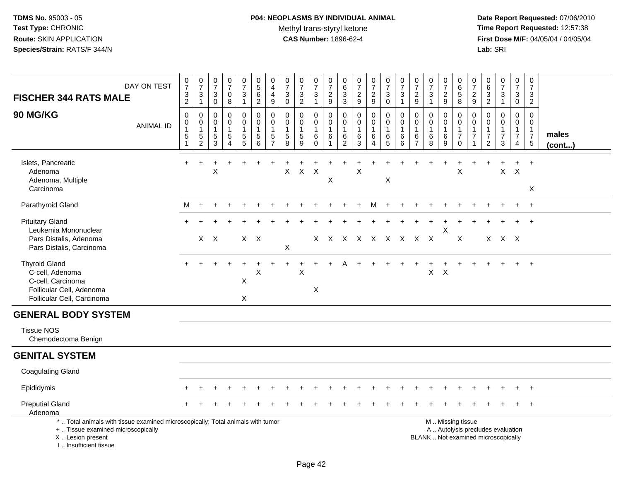# **P04: NEOPLASMS BY INDIVIDUAL ANIMAL**Methyl trans-styryl ketone<br>CAS Number: 1896-62-4

| DAY ON TEST<br><b>FISCHER 344 RATS MALE</b>                                                                                                                           | $\frac{0}{7}$<br>$\frac{3}{2}$                                           | $\frac{0}{7}$<br>$\ensuremath{\mathsf{3}}$<br>$\mathbf{1}$ | $\frac{0}{7}$<br>$\ensuremath{\mathsf{3}}$<br>$\mathbf 0$ | $\frac{0}{7}$<br>$\mathsf 0$<br>8                               | $\begin{array}{c} 0 \\ 7 \end{array}$<br>$\ensuremath{\mathsf{3}}$<br>$\mathbf{1}$ | $\begin{array}{c} 0 \\ 5 \end{array}$<br>$\,6\,$<br>$\overline{2}$                | 0<br>$\overline{4}$<br>$\overline{4}$<br>9                        | $\begin{array}{c} 0 \\ 7 \end{array}$<br>$\sqrt{3}$<br>$\mathbf 0$ | $\frac{0}{7}$<br>$\frac{3}{2}$                    | $\begin{array}{c} 0 \\ 7 \end{array}$<br>$\ensuremath{\mathsf{3}}$<br>$\mathbf{1}$ | $\frac{0}{7}$<br>$\frac{2}{9}$                      | $\begin{array}{c} 0 \\ 6 \end{array}$<br>$\frac{3}{3}$        | $\begin{array}{c} 0 \\ 7 \end{array}$<br>$\sqrt{2}$<br>9 | $\frac{0}{7}$<br>$\overline{a}$<br>$\boldsymbol{9}$      | $\frac{0}{7}$<br>$\ensuremath{\mathsf{3}}$<br>$\mathbf 0$ | $\frac{0}{7}$<br>$\mathbf{3}$<br>$\mathbf{1}$  | $\frac{0}{7}$<br>$\overline{c}$<br>9    | $\frac{0}{7}$<br>$\sqrt{3}$<br>$\mathbf{1}$              | 0<br>$\overline{7}$<br>$\sqrt{2}$<br>$\boldsymbol{9}$ | 0<br>6<br>$\sqrt{5}$<br>8                                           | 0<br>$\overline{7}$<br>$\overline{\mathbf{c}}$<br>9 | $\begin{array}{c} 0 \\ 6 \end{array}$<br>$\frac{3}{2}$ | $\frac{0}{7}$<br>$\ensuremath{\mathsf{3}}$<br>$\mathbf{1}$               | $\mathbf 0$<br>$\overline{7}$<br>$\ensuremath{\mathsf{3}}$<br>$\mathbf 0$ | 0<br>$\overline{7}$<br>$\mathbf{3}$<br>$\overline{2}$                      |                       |
|-----------------------------------------------------------------------------------------------------------------------------------------------------------------------|--------------------------------------------------------------------------|------------------------------------------------------------|-----------------------------------------------------------|-----------------------------------------------------------------|------------------------------------------------------------------------------------|-----------------------------------------------------------------------------------|-------------------------------------------------------------------|--------------------------------------------------------------------|---------------------------------------------------|------------------------------------------------------------------------------------|-----------------------------------------------------|---------------------------------------------------------------|----------------------------------------------------------|----------------------------------------------------------|-----------------------------------------------------------|------------------------------------------------|-----------------------------------------|----------------------------------------------------------|-------------------------------------------------------|---------------------------------------------------------------------|-----------------------------------------------------|--------------------------------------------------------|--------------------------------------------------------------------------|---------------------------------------------------------------------------|----------------------------------------------------------------------------|-----------------------|
| 90 MG/KG<br><b>ANIMAL ID</b>                                                                                                                                          | $\mathbf 0$<br>$\mathbf 0$<br>$\mathbf{1}$<br>$\sqrt{5}$<br>$\mathbf{1}$ | 0<br>$\pmb{0}$<br>$\,$ 5 $\,$<br>$\overline{c}$            | 0<br>$\mathbf 0$<br>$\mathbf{1}$<br>$\frac{5}{3}$         | 0<br>$\pmb{0}$<br>$\mathbf{1}$<br>$\,$ 5 $\,$<br>$\overline{4}$ | 0<br>$\overline{0}$<br>$\begin{array}{c} 5 \\ 5 \end{array}$                       | $\mathbf 0$<br>$\pmb{0}$<br>$\mathbf{1}$<br>$\begin{array}{c} 5 \\ 6 \end{array}$ | 0<br>$\mathbf 0$<br>$\mathbf{1}$<br>$\,$ 5 $\,$<br>$\overline{7}$ | $\mathbf 0$<br>$\mathbf 0$<br>$\mathbf{1}$<br>$\mathbf 5$<br>8     | 0<br>$\mathbf 0$<br>$\mathbf{1}$<br>$\frac{5}{9}$ | 0<br>$\mathbf 0$<br>$\mathbf{1}$<br>6<br>$\Omega$                                  | $\mathbf 0$<br>$\pmb{0}$<br>$\overline{1}$<br>$\,6$ | $\mathbf 0$<br>0<br>$\mathbf{1}$<br>$\,6\,$<br>$\overline{2}$ | 0<br>$\mathbf 0$<br>$\mathbf{1}$<br>$\,6\,$<br>3         | 0<br>$\mathsf{O}\xspace$<br>1<br>$\,6$<br>$\overline{4}$ | 0<br>$\mathbf 0$<br>$\mathbf{1}$<br>$6\over 5$            | 0<br>$\mathbf 0$<br>$\mathbf{1}$<br>$\,6$<br>6 | 0<br>$\mathbf 0$<br>6<br>$\overline{7}$ | $\mathbf 0$<br>$\mathbf 0$<br>$\mathbf{1}$<br>$\,6$<br>8 | 0<br>$\mathbf 0$<br>$\mathbf{1}$<br>$\,6\,$<br>9      | 0<br>$\mathbf 0$<br>$\mathbf{1}$<br>$\boldsymbol{7}$<br>$\mathbf 0$ | 0<br>$\mathbf 0$<br>$\overline{7}$                  | 0<br>$\mathbf 0$<br>1<br>$\overline{7}$<br>2           | $\mathbf 0$<br>$\mathbf 0$<br>1<br>$\overline{7}$<br>3                   | 0<br>$\mathbf 0$<br>$\mathbf{1}$<br>$\overline{7}$<br>$\overline{4}$      | $\mathbf 0$<br>$\mathbf 0$<br>$\mathbf{1}$<br>$\overline{7}$<br>$\sqrt{5}$ | males<br>$($ cont $)$ |
| Islets, Pancreatic<br>Adenoma<br>Adenoma, Multiple<br>Carcinoma                                                                                                       |                                                                          |                                                            | X                                                         |                                                                 |                                                                                    |                                                                                   |                                                                   | X                                                                  | $\mathsf{X}$                                      | $\mathsf{X}$                                                                       | X                                                   |                                                               | X                                                        |                                                          | X                                                         |                                                |                                         |                                                          |                                                       | X                                                                   |                                                     |                                                        | $\boldsymbol{\mathsf{X}}$                                                | $\mathsf{X}$                                                              | $\ddot{}$<br>$\boldsymbol{\mathsf{X}}$                                     |                       |
| Parathyroid Gland                                                                                                                                                     | М                                                                        | $+$                                                        |                                                           |                                                                 |                                                                                    |                                                                                   |                                                                   |                                                                    |                                                   |                                                                                    |                                                     |                                                               |                                                          | м                                                        |                                                           |                                                |                                         |                                                          |                                                       |                                                                     |                                                     |                                                        |                                                                          |                                                                           | $\ddot{}$                                                                  |                       |
| <b>Pituitary Gland</b><br>Leukemia Mononuclear<br>Pars Distalis, Adenoma                                                                                              |                                                                          |                                                            | $X$ $X$                                                   |                                                                 | $X$ $X$                                                                            |                                                                                   |                                                                   |                                                                    |                                                   |                                                                                    |                                                     |                                                               | X X X X X X X X X                                        |                                                          |                                                           |                                                |                                         |                                                          | X                                                     | $\boldsymbol{X}$                                                    |                                                     |                                                        | X X X                                                                    |                                                                           |                                                                            |                       |
| Pars Distalis, Carcinoma                                                                                                                                              |                                                                          |                                                            |                                                           |                                                                 |                                                                                    |                                                                                   |                                                                   | $\mathsf X$                                                        |                                                   |                                                                                    |                                                     |                                                               |                                                          |                                                          |                                                           |                                                |                                         |                                                          |                                                       |                                                                     |                                                     |                                                        |                                                                          |                                                                           |                                                                            |                       |
| <b>Thyroid Gland</b><br>C-cell, Adenoma<br>C-cell, Carcinoma<br>Follicular Cell, Adenoma<br>Follicular Cell, Carcinoma                                                |                                                                          |                                                            |                                                           |                                                                 | X<br>X                                                                             | $\boldsymbol{\mathsf{X}}$                                                         |                                                                   |                                                                    | X                                                 | $\times$                                                                           |                                                     |                                                               |                                                          |                                                          |                                                           |                                                |                                         | $\mathsf{X}$                                             | $\times$                                              |                                                                     |                                                     |                                                        |                                                                          |                                                                           | $+$                                                                        |                       |
| <b>GENERAL BODY SYSTEM</b>                                                                                                                                            |                                                                          |                                                            |                                                           |                                                                 |                                                                                    |                                                                                   |                                                                   |                                                                    |                                                   |                                                                                    |                                                     |                                                               |                                                          |                                                          |                                                           |                                                |                                         |                                                          |                                                       |                                                                     |                                                     |                                                        |                                                                          |                                                                           |                                                                            |                       |
| <b>Tissue NOS</b><br>Chemodectoma Benign                                                                                                                              |                                                                          |                                                            |                                                           |                                                                 |                                                                                    |                                                                                   |                                                                   |                                                                    |                                                   |                                                                                    |                                                     |                                                               |                                                          |                                                          |                                                           |                                                |                                         |                                                          |                                                       |                                                                     |                                                     |                                                        |                                                                          |                                                                           |                                                                            |                       |
| <b>GENITAL SYSTEM</b>                                                                                                                                                 |                                                                          |                                                            |                                                           |                                                                 |                                                                                    |                                                                                   |                                                                   |                                                                    |                                                   |                                                                                    |                                                     |                                                               |                                                          |                                                          |                                                           |                                                |                                         |                                                          |                                                       |                                                                     |                                                     |                                                        |                                                                          |                                                                           |                                                                            |                       |
| <b>Coagulating Gland</b>                                                                                                                                              |                                                                          |                                                            |                                                           |                                                                 |                                                                                    |                                                                                   |                                                                   |                                                                    |                                                   |                                                                                    |                                                     |                                                               |                                                          |                                                          |                                                           |                                                |                                         |                                                          |                                                       |                                                                     |                                                     |                                                        |                                                                          |                                                                           |                                                                            |                       |
| Epididymis                                                                                                                                                            |                                                                          |                                                            |                                                           |                                                                 |                                                                                    |                                                                                   |                                                                   |                                                                    |                                                   |                                                                                    |                                                     |                                                               |                                                          |                                                          |                                                           |                                                |                                         |                                                          |                                                       |                                                                     |                                                     |                                                        |                                                                          |                                                                           | $\ddot{}$                                                                  |                       |
| <b>Preputial Gland</b><br>Adenoma                                                                                                                                     |                                                                          |                                                            |                                                           |                                                                 |                                                                                    |                                                                                   |                                                                   |                                                                    |                                                   |                                                                                    |                                                     |                                                               |                                                          |                                                          |                                                           |                                                |                                         |                                                          |                                                       |                                                                     |                                                     |                                                        |                                                                          |                                                                           |                                                                            |                       |
| *  Total animals with tissue examined microscopically; Total animals with tumor<br>+  Tissue examined microscopically<br>X  Lesion present<br>I., Insufficient tissue |                                                                          |                                                            |                                                           |                                                                 |                                                                                    |                                                                                   |                                                                   |                                                                    |                                                   |                                                                                    |                                                     |                                                               |                                                          |                                                          |                                                           |                                                |                                         | M  Missing tissue                                        |                                                       |                                                                     |                                                     |                                                        | A  Autolysis precludes evaluation<br>BLANK  Not examined microscopically |                                                                           |                                                                            |                       |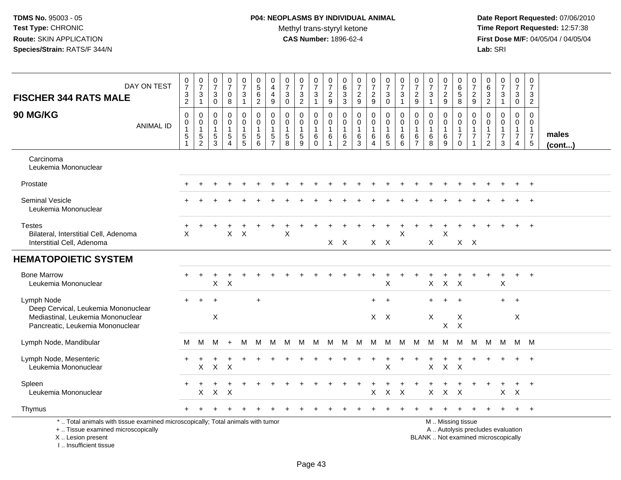# **P04: NEOPLASMS BY INDIVIDUAL ANIMAL**Methyl trans-styryl ketone<br>CAS Number: 1896-62-4

| DAY ON TEST<br><b>FISCHER 344 RATS MALE</b>                                                                                                                         | $\frac{0}{7}$<br>$\frac{3}{2}$                                             | $\frac{0}{7}$<br>$\mathbf{3}$<br>$\mathbf{1}$           | $\frac{0}{7}$<br>$\mathbf{3}$<br>$\mathbf 0$                   | $\frac{0}{7}$<br>0<br>8                       | $\begin{array}{c} 0 \\ 7 \end{array}$<br>$\mathbf{3}$<br>$\mathbf{1}$ | $\begin{array}{c} 0 \\ 5 \\ 6 \end{array}$<br>$\boldsymbol{2}$            | 0<br>$\overline{a}$<br>$\overline{a}$<br>$\boldsymbol{9}$      | $\begin{array}{c} 0 \\ 7 \end{array}$<br>$\sqrt{3}$<br>$\mathbf 0$ | $\begin{array}{c} 0 \\ 7 \end{array}$<br>$\ensuremath{\mathsf{3}}$<br>$\boldsymbol{2}$ | $\frac{0}{7}$<br>$\ensuremath{\mathsf{3}}$<br>$\mathbf{1}$ | $\frac{0}{7}$<br>$\frac{2}{9}$             | $\pmb{0}$<br>$^6_3$<br>$\sqrt{3}$                                 | $\frac{0}{7}$<br>$\overline{c}$<br>$9\,$                        | $\begin{array}{c} 0 \\ 7 \end{array}$<br>$rac{2}{9}$    | $\frac{0}{7}$<br>$\sqrt{3}$<br>$\mathbf 0$            | $\frac{0}{7}$<br>$\sqrt{3}$<br>$\mathbf{1}$ | $\frac{0}{7}$<br>$\overline{c}$<br>$\boldsymbol{9}$               | $\frac{0}{7}$<br>3<br>$\mathbf{1}$                | $\begin{array}{c} 0 \\ 7 \end{array}$<br>$\frac{2}{9}$ | $\pmb{0}$<br>$\begin{array}{c} 6 \\ 5 \end{array}$<br>$\,8\,$                                 | $\frac{0}{7}$<br>9                                             | $\begin{array}{c} 0 \\ 6 \end{array}$<br>$\overline{3}$<br>$\boldsymbol{2}$   | $\frac{0}{7}$<br>$\mathbf{3}$<br>$\mathbf{1}$           | $\begin{array}{c} 0 \\ 7 \end{array}$<br>$\ensuremath{\mathsf{3}}$<br>$\mathsf{O}\xspace$ | 0<br>$\overline{7}$<br>3<br>$\overline{a}$                        |                       |
|---------------------------------------------------------------------------------------------------------------------------------------------------------------------|----------------------------------------------------------------------------|---------------------------------------------------------|----------------------------------------------------------------|-----------------------------------------------|-----------------------------------------------------------------------|---------------------------------------------------------------------------|----------------------------------------------------------------|--------------------------------------------------------------------|----------------------------------------------------------------------------------------|------------------------------------------------------------|--------------------------------------------|-------------------------------------------------------------------|-----------------------------------------------------------------|---------------------------------------------------------|-------------------------------------------------------|---------------------------------------------|-------------------------------------------------------------------|---------------------------------------------------|--------------------------------------------------------|-----------------------------------------------------------------------------------------------|----------------------------------------------------------------|-------------------------------------------------------------------------------|---------------------------------------------------------|-------------------------------------------------------------------------------------------|-------------------------------------------------------------------|-----------------------|
| 90 MG/KG<br><b>ANIMAL ID</b>                                                                                                                                        | $\mathbf 0$<br>$\mathbf 0$<br>$\mathbf{1}$<br>$\sqrt{5}$<br>$\overline{1}$ | $\mathbf 0$<br>0<br>$\mathbf{1}$<br>5<br>$\overline{2}$ | $\Omega$<br>$\mathbf 0$<br>$\overline{1}$<br>5<br>$\mathbf{3}$ | 0<br>0<br>$\mathbf{1}$<br>5<br>$\overline{4}$ | $\mathbf 0$<br>0<br>$\overline{1}$<br>$\frac{5}{5}$                   | $\mathbf 0$<br>$\pmb{0}$<br>$\mathbf{1}$<br>$\,$ 5 $\,$<br>$6\phantom{a}$ | $\mathbf{0}$<br>$\mathbf 0$<br>$\overline{1}$<br>$\frac{5}{7}$ | $\Omega$<br>$\mathbf 0$<br>$\mathbf{1}$<br>$\sqrt{5}$<br>8         | $\mathbf 0$<br>$\mathbf 0$<br>$\mathbf{1}$<br>$\,$ 5 $\,$<br>$9\,$                     | $\Omega$<br>0<br>$\mathbf{1}$<br>6<br>$\mathbf 0$          | $\mathbf 0$<br>0<br>$\mathbf{1}$<br>6<br>1 | $\mathbf 0$<br>$\mathbf 0$<br>$\mathbf{1}$<br>6<br>$\overline{2}$ | $\mathbf 0$<br>$\pmb{0}$<br>$\mathbf{1}$<br>6<br>$\overline{3}$ | 0<br>$\mathbf 0$<br>$\mathbf{1}$<br>6<br>$\overline{4}$ | $\Omega$<br>0<br>$\mathbf{1}$<br>6<br>$5\phantom{.0}$ | $\Omega$<br>0<br>$\mathbf{1}$<br>6<br>6     | $\mathbf 0$<br>$\mathbf 0$<br>$\mathbf{1}$<br>6<br>$\overline{7}$ | $\Omega$<br>$\mathbf 0$<br>$\mathbf{1}$<br>6<br>8 | $\mathbf 0$<br>$\mathbf 0$<br>$\mathbf{1}$<br>$^6_9$   | $\mathbf 0$<br>0<br>$\mathbf{1}$<br>$\overline{7}$<br>$\mathbf 0$                             | $\mathbf 0$<br>$\mathbf 0$<br>$\overline{1}$<br>$\overline{7}$ | $\Omega$<br>$\mathbf 0$<br>$\mathbf{1}$<br>$\boldsymbol{7}$<br>$\overline{2}$ | $\mathbf 0$<br>0<br>$\mathbf{1}$<br>$\overline{7}$<br>3 | $\mathbf 0$<br>$\mathbf 0$<br>$\mathbf{1}$<br>$\overline{7}$<br>$\overline{4}$            | $\Omega$<br>0<br>$\mathbf 1$<br>$\overline{7}$<br>$5\phantom{.0}$ | males<br>$($ cont $)$ |
| Carcinoma<br>Leukemia Mononuclear                                                                                                                                   |                                                                            |                                                         |                                                                |                                               |                                                                       |                                                                           |                                                                |                                                                    |                                                                                        |                                                            |                                            |                                                                   |                                                                 |                                                         |                                                       |                                             |                                                                   |                                                   |                                                        |                                                                                               |                                                                |                                                                               |                                                         |                                                                                           |                                                                   |                       |
| Prostate                                                                                                                                                            |                                                                            |                                                         |                                                                |                                               |                                                                       |                                                                           |                                                                |                                                                    |                                                                                        |                                                            |                                            |                                                                   |                                                                 |                                                         |                                                       |                                             |                                                                   |                                                   |                                                        |                                                                                               |                                                                |                                                                               |                                                         |                                                                                           | $\ddot{}$                                                         |                       |
| <b>Seminal Vesicle</b><br>Leukemia Mononuclear                                                                                                                      |                                                                            |                                                         |                                                                |                                               |                                                                       |                                                                           |                                                                |                                                                    |                                                                                        |                                                            |                                            |                                                                   |                                                                 |                                                         |                                                       |                                             |                                                                   |                                                   |                                                        |                                                                                               |                                                                |                                                                               |                                                         |                                                                                           |                                                                   |                       |
| <b>Testes</b><br>Bilateral, Interstitial Cell, Adenoma<br>Interstitial Cell, Adenoma                                                                                | X                                                                          |                                                         |                                                                | $\mathsf{X}$                                  | $\mathsf{X}$                                                          |                                                                           |                                                                | $\boldsymbol{\mathsf{X}}$                                          |                                                                                        |                                                            |                                            | $X$ $X$                                                           |                                                                 | $X$ $X$                                                 |                                                       | X                                           |                                                                   | X                                                 | $\mathsf X$                                            | $X$ $X$                                                                                       |                                                                |                                                                               |                                                         |                                                                                           | $+$                                                               |                       |
| <b>HEMATOPOIETIC SYSTEM</b>                                                                                                                                         |                                                                            |                                                         |                                                                |                                               |                                                                       |                                                                           |                                                                |                                                                    |                                                                                        |                                                            |                                            |                                                                   |                                                                 |                                                         |                                                       |                                             |                                                                   |                                                   |                                                        |                                                                                               |                                                                |                                                                               |                                                         |                                                                                           |                                                                   |                       |
| <b>Bone Marrow</b><br>Leukemia Mononuclear                                                                                                                          |                                                                            |                                                         | X.                                                             | $\mathsf{X}$                                  |                                                                       |                                                                           |                                                                |                                                                    |                                                                                        |                                                            |                                            |                                                                   |                                                                 |                                                         | $\boldsymbol{\mathsf{X}}$                             |                                             |                                                                   | $\mathsf X$                                       | $\boldsymbol{X}$                                       | $\mathsf{X}$                                                                                  |                                                                |                                                                               | $\boldsymbol{\mathsf{X}}$                               |                                                                                           |                                                                   |                       |
| Lymph Node<br>Deep Cervical, Leukemia Mononuclear<br>Mediastinal, Leukemia Mononuclear<br>Pancreatic, Leukemia Mononuclear                                          | $\ddot{}$                                                                  | $+$                                                     | $\overline{ }$<br>X                                            |                                               |                                                                       | $\ddot{}$                                                                 |                                                                |                                                                    |                                                                                        |                                                            |                                            |                                                                   |                                                                 | $+$<br>$X$ $X$                                          | $+$                                                   |                                             |                                                                   | $\ddot{}$<br>X                                    | $X$ $X$                                                | $\overline{1}$<br>Χ                                                                           |                                                                |                                                                               | $+$                                                     | $+$<br>X                                                                                  |                                                                   |                       |
| Lymph Node, Mandibular                                                                                                                                              | М                                                                          | M                                                       | М                                                              | $\ddot{}$                                     | М                                                                     | M                                                                         | M                                                              | M                                                                  | М                                                                                      | M                                                          | M                                          | M                                                                 | M                                                               | М                                                       | M                                                     | M                                           | M                                                                 | M                                                 | M                                                      | M                                                                                             | M                                                              | M                                                                             | M                                                       |                                                                                           | M M                                                               |                       |
| Lymph Node, Mesenteric<br>Leukemia Mononuclear                                                                                                                      |                                                                            | X                                                       | $\mathsf{X}$                                                   | $\times$                                      |                                                                       |                                                                           |                                                                |                                                                    |                                                                                        |                                                            |                                            |                                                                   |                                                                 |                                                         | X                                                     |                                             |                                                                   | X                                                 | $\mathsf{X}$                                           | $\mathsf{X}$                                                                                  |                                                                |                                                                               |                                                         |                                                                                           | $+$                                                               |                       |
| Spleen<br>Leukemia Mononuclear                                                                                                                                      |                                                                            | Χ                                                       | $\mathsf{X}$                                                   | $\times$                                      |                                                                       |                                                                           |                                                                |                                                                    |                                                                                        |                                                            |                                            |                                                                   |                                                                 | $\mathsf{X}$                                            | $\mathsf X$                                           | $\boldsymbol{\mathsf{X}}$                   |                                                                   | Χ                                                 | $\mathsf{X}$                                           | $\mathsf{X}$                                                                                  |                                                                |                                                                               | X                                                       | $\mathsf{X}$                                                                              | $+$                                                               |                       |
| Thymus                                                                                                                                                              |                                                                            |                                                         |                                                                |                                               |                                                                       |                                                                           |                                                                |                                                                    |                                                                                        |                                                            |                                            |                                                                   |                                                                 |                                                         |                                                       |                                             |                                                                   |                                                   |                                                        |                                                                                               |                                                                |                                                                               |                                                         | $\ddot{}$                                                                                 | $+$                                                               |                       |
| *  Total animals with tissue examined microscopically; Total animals with tumor<br>+  Tissue examined microscopically<br>X  Lesion present<br>I Insufficient tissue |                                                                            |                                                         |                                                                |                                               |                                                                       |                                                                           |                                                                |                                                                    |                                                                                        |                                                            |                                            |                                                                   |                                                                 |                                                         |                                                       |                                             |                                                                   |                                                   |                                                        | M  Missing tissue<br>A  Autolysis precludes evaluation<br>BLANK  Not examined microscopically |                                                                |                                                                               |                                                         |                                                                                           |                                                                   |                       |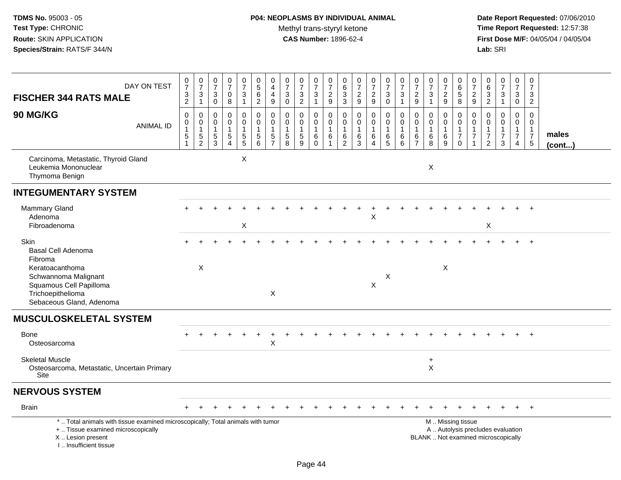| DAY ON TEST<br><b>FISCHER 344 RATS MALE</b>                                                                                                                         | $\frac{0}{7}$<br>$\frac{3}{2}$          | $\begin{array}{c} 0 \\ 7 \end{array}$<br>$\frac{3}{1}$             | $\frac{0}{7}$<br>$\ensuremath{\mathsf{3}}$<br>$\mathbf 0$ | $\begin{smallmatrix}0\\7\end{smallmatrix}$<br>$\mathsf 0$<br>8 | $\frac{0}{7}$<br>3<br>$\mathbf{1}$                           | $\begin{array}{c} 0 \\ 5 \end{array}$<br>$\frac{6}{2}$                              | $\begin{smallmatrix}0\\4\end{smallmatrix}$<br>$\overline{4}$<br>$\boldsymbol{9}$ | $\frac{0}{7}$<br>$\ensuremath{\mathsf{3}}$<br>$\mathbf 0$ | $\frac{0}{7}$<br>$\frac{3}{2}$                              | $\frac{0}{7}$<br>$\ensuremath{\mathsf{3}}$<br>$\overline{1}$ | $\frac{0}{7}$<br>$\sqrt{2}$<br>9                                      | $\begin{array}{c} 0 \\ 6 \end{array}$<br>$\ensuremath{\mathsf{3}}$<br>$\mathsf 3$ | $\frac{0}{7}$<br>$\sqrt{2}$<br>9                   | $\frac{0}{7}$<br>$\frac{2}{9}$                                  | $\begin{smallmatrix}0\\7\end{smallmatrix}$<br>$\ensuremath{\mathsf{3}}$<br>$\mathbf 0$ | $\frac{0}{7}$<br>$\ensuremath{\mathsf{3}}$<br>$\mathbf{1}$ | $\frac{0}{7}$<br>$\sqrt{2}$<br>9                                    | $\frac{0}{7}$<br>$\ensuremath{\mathsf{3}}$<br>$\mathbf{1}$ | $\frac{0}{7}$<br>$\sqrt{2}$<br>9          | 0<br>$\overline{6}$<br>$\sqrt{5}$<br>8                                                        | $\frac{0}{7}$<br>$\sqrt{2}$<br>9                                             | 0<br>$\overline{6}$<br>$\frac{3}{2}$                               | $\frac{0}{7}$<br>$\mathbf{3}$<br>$\mathbf{1}$ | $\frac{0}{7}$<br>$\ensuremath{\mathsf{3}}$<br>$\mathbf 0$                      | 0<br>$\frac{5}{7}$<br>$\mathbf{3}$<br>$\overline{2}$                           |                 |
|---------------------------------------------------------------------------------------------------------------------------------------------------------------------|-----------------------------------------|--------------------------------------------------------------------|-----------------------------------------------------------|----------------------------------------------------------------|--------------------------------------------------------------|-------------------------------------------------------------------------------------|----------------------------------------------------------------------------------|-----------------------------------------------------------|-------------------------------------------------------------|--------------------------------------------------------------|-----------------------------------------------------------------------|-----------------------------------------------------------------------------------|----------------------------------------------------|-----------------------------------------------------------------|----------------------------------------------------------------------------------------|------------------------------------------------------------|---------------------------------------------------------------------|------------------------------------------------------------|-------------------------------------------|-----------------------------------------------------------------------------------------------|------------------------------------------------------------------------------|--------------------------------------------------------------------|-----------------------------------------------|--------------------------------------------------------------------------------|--------------------------------------------------------------------------------|-----------------|
| 90 MG/KG<br><b>ANIMAL ID</b>                                                                                                                                        | 0<br>0<br>$\overline{1}$<br>$\,$ 5 $\,$ | $\boldsymbol{0}$<br>$\mathsf 0$<br>$\overline{1}$<br>$\frac{5}{2}$ | 0<br>$\mathbf 0$<br>1<br>$\frac{5}{3}$                    | $\mathbf 0$<br>$\mathbf 0$<br>$\mathbf{1}$<br>$\frac{5}{4}$    | $\mathsf{O}$<br>$\mathbf 0$<br>$\mathbf{1}$<br>$\frac{5}{5}$ | $\mathsf 0$<br>$\mathbf 0$<br>$\mathbf{1}$<br>$\begin{array}{c} 5 \\ 6 \end{array}$ | $\pmb{0}$<br>$\pmb{0}$<br>$\mathbf{1}$<br>$\frac{5}{7}$                          | $\mathbf 0$<br>$\mathbf 0$<br>$\,$ 5 $\,$<br>8            | $\mathbf 0$<br>$\mathbf 0$<br>$\mathbf{1}$<br>$\frac{5}{9}$ | 0<br>$\mathbf 0$<br>$\overline{1}$<br>$\,6$<br>$\Omega$      | $\mathsf 0$<br>$\mathbf 0$<br>$\mathbf{1}$<br>$\,6$<br>$\overline{1}$ | $\mathbf 0$<br>$\mathbf 0$<br>$\mathbf{1}$<br>$\frac{6}{2}$                       | $\pmb{0}$<br>$\mathbf 0$<br>$\mathbf{1}$<br>$^6_3$ | 0<br>$\mathbf 0$<br>$\mathbf{1}$<br>6<br>$\boldsymbol{\Lambda}$ | $\mathbf 0$<br>$\mathbf 0$<br>$\mathbf{1}$<br>$6\over 5$                               | $\pmb{0}$<br>$\pmb{0}$<br>$\mathbf{1}$<br>$^6_6$           | $\mathbf 0$<br>$\Omega$<br>$\mathbf 1$<br>$\,6\,$<br>$\overline{7}$ | $\mathbf 0$<br>$\mathbf 0$<br>$\mathbf{1}$<br>$^6_8$       | 0<br>$\mathbf 0$<br>$\mathbf 1$<br>$^6_9$ | $\mathbf 0$<br>$\mathbf 0$<br>$\mathbf{1}$<br>$\overline{7}$<br>$\Omega$                      | $\mathbf 0$<br>$\mathbf 0$<br>$\mathbf{1}$<br>$\overline{7}$<br>$\mathbf{1}$ | $\mathbf 0$<br>$\Omega$<br>1<br>$\boldsymbol{7}$<br>$\overline{2}$ | 0<br>$\mathbf 0$<br>$\overline{7}$<br>3       | $\mathbf 0$<br>$\mathbf 0$<br>$\mathbf{1}$<br>$\overline{7}$<br>$\overline{4}$ | $\mathbf 0$<br>$\mathbf 0$<br>$\mathbf{1}$<br>$\overline{7}$<br>$\overline{5}$ | males<br>(cont) |
| Carcinoma, Metastatic, Thyroid Gland<br>Leukemia Mononuclear<br>Thymoma Benign                                                                                      |                                         |                                                                    |                                                           |                                                                | $\times$                                                     |                                                                                     |                                                                                  |                                                           |                                                             |                                                              |                                                                       |                                                                                   |                                                    |                                                                 |                                                                                        |                                                            |                                                                     | X                                                          |                                           |                                                                                               |                                                                              |                                                                    |                                               |                                                                                |                                                                                |                 |
| <b>INTEGUMENTARY SYSTEM</b>                                                                                                                                         |                                         |                                                                    |                                                           |                                                                |                                                              |                                                                                     |                                                                                  |                                                           |                                                             |                                                              |                                                                       |                                                                                   |                                                    |                                                                 |                                                                                        |                                                            |                                                                     |                                                            |                                           |                                                                                               |                                                                              |                                                                    |                                               |                                                                                |                                                                                |                 |
| Mammary Gland<br>Adenoma<br>Fibroadenoma                                                                                                                            |                                         |                                                                    |                                                           |                                                                | X                                                            |                                                                                     |                                                                                  |                                                           |                                                             |                                                              |                                                                       |                                                                                   |                                                    | X                                                               |                                                                                        |                                                            |                                                                     |                                                            |                                           |                                                                                               |                                                                              | X                                                                  |                                               |                                                                                |                                                                                |                 |
| Skin<br>Basal Cell Adenoma<br>Fibroma<br>Keratoacanthoma<br>Schwannoma Malignant<br>Squamous Cell Papilloma<br>Trichoepithelioma<br>Sebaceous Gland, Adenoma        |                                         | X                                                                  |                                                           |                                                                |                                                              |                                                                                     | X                                                                                |                                                           |                                                             |                                                              |                                                                       |                                                                                   |                                                    | $\mathsf{X}$                                                    | X                                                                                      |                                                            |                                                                     |                                                            | X                                         |                                                                                               |                                                                              |                                                                    |                                               |                                                                                | $\overline{+}$                                                                 |                 |
| <b>MUSCULOSKELETAL SYSTEM</b>                                                                                                                                       |                                         |                                                                    |                                                           |                                                                |                                                              |                                                                                     |                                                                                  |                                                           |                                                             |                                                              |                                                                       |                                                                                   |                                                    |                                                                 |                                                                                        |                                                            |                                                                     |                                                            |                                           |                                                                                               |                                                                              |                                                                    |                                               |                                                                                |                                                                                |                 |
| <b>Bone</b><br>Osteosarcoma                                                                                                                                         |                                         |                                                                    |                                                           |                                                                |                                                              |                                                                                     | X                                                                                |                                                           |                                                             |                                                              |                                                                       |                                                                                   |                                                    |                                                                 |                                                                                        |                                                            |                                                                     |                                                            |                                           |                                                                                               |                                                                              |                                                                    |                                               |                                                                                |                                                                                |                 |
| <b>Skeletal Muscle</b><br>Osteosarcoma, Metastatic, Uncertain Primary<br>Site                                                                                       |                                         |                                                                    |                                                           |                                                                |                                                              |                                                                                     |                                                                                  |                                                           |                                                             |                                                              |                                                                       |                                                                                   |                                                    |                                                                 |                                                                                        |                                                            |                                                                     | $\ddot{}$<br>X                                             |                                           |                                                                                               |                                                                              |                                                                    |                                               |                                                                                |                                                                                |                 |
| <b>NERVOUS SYSTEM</b>                                                                                                                                               |                                         |                                                                    |                                                           |                                                                |                                                              |                                                                                     |                                                                                  |                                                           |                                                             |                                                              |                                                                       |                                                                                   |                                                    |                                                                 |                                                                                        |                                                            |                                                                     |                                                            |                                           |                                                                                               |                                                                              |                                                                    |                                               |                                                                                |                                                                                |                 |
| <b>Brain</b>                                                                                                                                                        |                                         |                                                                    |                                                           |                                                                |                                                              |                                                                                     |                                                                                  |                                                           |                                                             |                                                              |                                                                       |                                                                                   |                                                    |                                                                 |                                                                                        |                                                            |                                                                     |                                                            |                                           |                                                                                               |                                                                              |                                                                    |                                               |                                                                                | $+$                                                                            |                 |
| *  Total animals with tissue examined microscopically; Total animals with tumor<br>+  Tissue examined microscopically<br>X  Lesion present<br>I Insufficient tissue |                                         |                                                                    |                                                           |                                                                |                                                              |                                                                                     |                                                                                  |                                                           |                                                             |                                                              |                                                                       |                                                                                   |                                                    |                                                                 |                                                                                        |                                                            |                                                                     |                                                            |                                           | M  Missing tissue<br>A  Autolysis precludes evaluation<br>BLANK  Not examined microscopically |                                                                              |                                                                    |                                               |                                                                                |                                                                                |                 |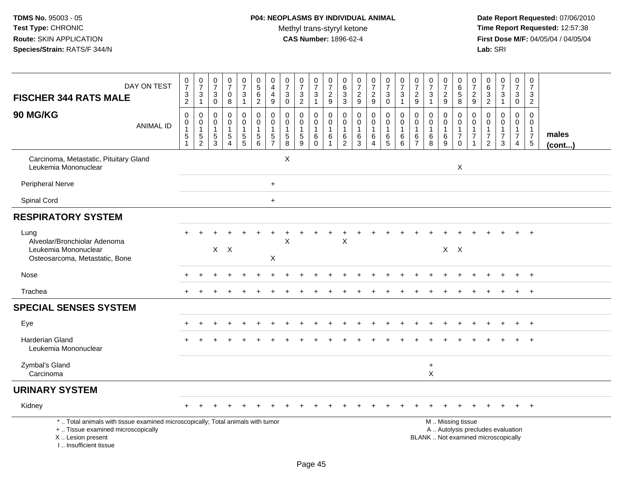# **P04: NEOPLASMS BY INDIVIDUAL ANIMAL**Methyl trans-styryl ketone<br>CAS Number: 1896-62-4

| <b>FISCHER 344 RATS MALE</b>                                                                                                                                          | DAY ON TEST      | $\begin{smallmatrix}0\\7\end{smallmatrix}$<br>$\frac{3}{2}$                | $\frac{0}{7}$<br>$\sqrt{3}$<br>$\mathbf{1}$                                  | $\frac{0}{7}$<br>$\mathbf{3}$<br>$\mathbf 0$                     | $\frac{0}{7}$<br>$\mathbf 0$<br>8                                         | $\frac{0}{7}$<br>$\mathbf{3}$<br>$\mathbf{1}$ | $\begin{array}{c} 0 \\ 5 \end{array}$<br>6<br>$\overline{2}$                        | $\begin{smallmatrix}0\\4\end{smallmatrix}$<br>$\overline{4}$<br>$9\,$     | $\begin{smallmatrix}0\\7\end{smallmatrix}$<br>$\sqrt{3}$<br>$\mathbf 0$ | $\begin{array}{c} 0 \\ 7 \end{array}$<br>$\mathbf 3$<br>2     | $\frac{0}{7}$<br>3<br>$\mathbf{1}$                      | $\frac{0}{7}$<br>$\sqrt{2}$<br>9                                          | 0<br>$\,6\,$<br>$\mathfrak{Z}$<br>3                                           | $\frac{0}{7}$<br>$\boldsymbol{2}$<br>$\boldsymbol{9}$ | $\frac{0}{7}$<br>$\overline{c}$<br>9                        | $\frac{0}{7}$<br>$\mathbf{3}$<br>$\mathbf 0$ | $\frac{0}{7}$<br>$\sqrt{3}$<br>$\mathbf{1}$                                | $\frac{0}{7}$<br>$\sqrt{2}$<br>9                        | $\begin{array}{c} 0 \\ 7 \end{array}$<br>$\sqrt{3}$<br>$\mathbf{1}$ | $\frac{0}{7}$<br>$\overline{c}$<br>9  | $\begin{matrix} 0 \\ 6 \end{matrix}$<br>$\overline{5}$<br>8                 | $\begin{smallmatrix}0\\7\end{smallmatrix}$<br>$\overline{a}$<br>9        | $\begin{array}{c} 0 \\ 6 \end{array}$<br>$\overline{3}$<br>$\overline{c}$ | $\frac{0}{7}$<br>$\mathsf 3$<br>$\mathbf{1}$                      | $\begin{array}{c} 0 \\ 7 \end{array}$<br>$\ensuremath{\mathsf{3}}$<br>$\mathbf 0$ | $\pmb{0}$<br>$\overline{7}$<br>3<br>$\overline{2}$                           |                 |
|-----------------------------------------------------------------------------------------------------------------------------------------------------------------------|------------------|----------------------------------------------------------------------------|------------------------------------------------------------------------------|------------------------------------------------------------------|---------------------------------------------------------------------------|-----------------------------------------------|-------------------------------------------------------------------------------------|---------------------------------------------------------------------------|-------------------------------------------------------------------------|---------------------------------------------------------------|---------------------------------------------------------|---------------------------------------------------------------------------|-------------------------------------------------------------------------------|-------------------------------------------------------|-------------------------------------------------------------|----------------------------------------------|----------------------------------------------------------------------------|---------------------------------------------------------|---------------------------------------------------------------------|---------------------------------------|-----------------------------------------------------------------------------|--------------------------------------------------------------------------|---------------------------------------------------------------------------|-------------------------------------------------------------------|-----------------------------------------------------------------------------------|------------------------------------------------------------------------------|-----------------|
| 90 MG/KG                                                                                                                                                              | <b>ANIMAL ID</b> | $\mathbf 0$<br>$\mathbf 0$<br>$\mathbf{1}$<br>$\sqrt{5}$<br>$\overline{1}$ | $\mathbf 0$<br>$\mathbf 0$<br>$\overline{1}$<br>$\sqrt{5}$<br>$\overline{2}$ | $\mathbf 0$<br>$\mathbf 0$<br>$\overline{1}$<br>$\mathbf 5$<br>3 | $\mathbf 0$<br>$\pmb{0}$<br>$\mathbf{1}$<br>$\mathbf 5$<br>$\overline{4}$ | 0<br>$\mathbf 0$<br>$\mathbf{1}$<br>5<br>5    | $\mathbf 0$<br>$\mathbf 0$<br>$\mathbf{1}$<br>$\begin{array}{c} 5 \\ 6 \end{array}$ | $\mathbf 0$<br>$\pmb{0}$<br>$\mathbf{1}$<br>$\mathbf 5$<br>$\overline{7}$ | $\mathbf 0$<br>$\mathbf 0$<br>$\overline{1}$<br>$\,$ 5 $\,$<br>8        | $\mathbf 0$<br>$\mathbf 0$<br>$\mathbf{1}$<br>$\sqrt{5}$<br>9 | 0<br>$\mathbf 0$<br>$\mathbf{1}$<br>$\,6\,$<br>$\Omega$ | $\mathbf 0$<br>$\mathbf 0$<br>$\overline{1}$<br>$\,6\,$<br>$\overline{1}$ | $\mathbf 0$<br>$\mathsf{O}\xspace$<br>$\mathbf{1}$<br>$\,6$<br>$\overline{2}$ | 0<br>$\pmb{0}$<br>$\mathbf{1}$<br>$\,6\,$<br>3        | 0<br>$\mathbf 0$<br>$\mathbf{1}$<br>$\,6$<br>$\overline{4}$ | 0<br>$\mathbf 0$<br>1<br>$^6_5$              | $\mathbf 0$<br>$\mathbf 0$<br>$\overline{1}$<br>$\,6\,$<br>$6\phantom{1}6$ | 0<br>$\pmb{0}$<br>$\overline{1}$<br>6<br>$\overline{7}$ | $\mathbf 0$<br>$\pmb{0}$<br>$\mathbf{1}$<br>$\,6\,$<br>8            | 0<br>$\mathbf 0$<br>1<br>$\,6\,$<br>9 | 0<br>$\mathsf{O}\xspace$<br>$\mathbf{1}$<br>$\boldsymbol{7}$<br>$\mathbf 0$ | 0<br>$\mathbf 0$<br>$\mathbf{1}$<br>$\overline{7}$<br>1                  | 0<br>0<br>$\mathbf{1}$<br>$\boldsymbol{7}$<br>$\overline{2}$              | $\mathbf 0$<br>$\mathbf 0$<br>$\mathbf{1}$<br>$\overline{7}$<br>3 | $\mathbf 0$<br>$\mathbf 0$<br>$\mathbf{1}$<br>$\boldsymbol{7}$<br>$\overline{4}$  | $\Omega$<br>$\mathbf 0$<br>$\mathbf{1}$<br>$\overline{7}$<br>$5\phantom{.0}$ | males<br>(cont) |
| Carcinoma, Metastatic, Pituitary Gland<br>Leukemia Mononuclear                                                                                                        |                  |                                                                            |                                                                              |                                                                  |                                                                           |                                               |                                                                                     |                                                                           | X                                                                       |                                                               |                                                         |                                                                           |                                                                               |                                                       |                                                             |                                              |                                                                            |                                                         |                                                                     |                                       | $\mathsf{X}$                                                                |                                                                          |                                                                           |                                                                   |                                                                                   |                                                                              |                 |
| <b>Peripheral Nerve</b>                                                                                                                                               |                  |                                                                            |                                                                              |                                                                  |                                                                           |                                               |                                                                                     | $\ddot{}$                                                                 |                                                                         |                                                               |                                                         |                                                                           |                                                                               |                                                       |                                                             |                                              |                                                                            |                                                         |                                                                     |                                       |                                                                             |                                                                          |                                                                           |                                                                   |                                                                                   |                                                                              |                 |
| Spinal Cord                                                                                                                                                           |                  |                                                                            |                                                                              |                                                                  |                                                                           |                                               |                                                                                     | $\ddot{}$                                                                 |                                                                         |                                                               |                                                         |                                                                           |                                                                               |                                                       |                                                             |                                              |                                                                            |                                                         |                                                                     |                                       |                                                                             |                                                                          |                                                                           |                                                                   |                                                                                   |                                                                              |                 |
| <b>RESPIRATORY SYSTEM</b>                                                                                                                                             |                  |                                                                            |                                                                              |                                                                  |                                                                           |                                               |                                                                                     |                                                                           |                                                                         |                                                               |                                                         |                                                                           |                                                                               |                                                       |                                                             |                                              |                                                                            |                                                         |                                                                     |                                       |                                                                             |                                                                          |                                                                           |                                                                   |                                                                                   |                                                                              |                 |
| Lung<br>Alveolar/Bronchiolar Adenoma<br>Leukemia Mononuclear<br>Osteosarcoma, Metastatic, Bone                                                                        |                  |                                                                            |                                                                              |                                                                  | $X$ $X$                                                                   |                                               |                                                                                     | X                                                                         | X                                                                       |                                                               |                                                         |                                                                           | X                                                                             |                                                       |                                                             |                                              |                                                                            |                                                         |                                                                     |                                       | $X$ $X$                                                                     |                                                                          |                                                                           |                                                                   |                                                                                   | $+$                                                                          |                 |
| Nose                                                                                                                                                                  |                  |                                                                            |                                                                              |                                                                  |                                                                           |                                               |                                                                                     |                                                                           |                                                                         |                                                               |                                                         |                                                                           |                                                                               |                                                       |                                                             |                                              |                                                                            |                                                         |                                                                     |                                       |                                                                             |                                                                          |                                                                           |                                                                   |                                                                                   | $\ddot{}$                                                                    |                 |
| Trachea                                                                                                                                                               |                  | $+$                                                                        |                                                                              |                                                                  |                                                                           |                                               |                                                                                     |                                                                           |                                                                         |                                                               |                                                         |                                                                           |                                                                               |                                                       |                                                             |                                              |                                                                            |                                                         |                                                                     |                                       |                                                                             |                                                                          |                                                                           |                                                                   | $\ddot{}$                                                                         | $+$                                                                          |                 |
| <b>SPECIAL SENSES SYSTEM</b>                                                                                                                                          |                  |                                                                            |                                                                              |                                                                  |                                                                           |                                               |                                                                                     |                                                                           |                                                                         |                                                               |                                                         |                                                                           |                                                                               |                                                       |                                                             |                                              |                                                                            |                                                         |                                                                     |                                       |                                                                             |                                                                          |                                                                           |                                                                   |                                                                                   |                                                                              |                 |
| Eye                                                                                                                                                                   |                  |                                                                            |                                                                              |                                                                  |                                                                           |                                               |                                                                                     |                                                                           |                                                                         |                                                               |                                                         |                                                                           |                                                                               |                                                       |                                                             |                                              |                                                                            |                                                         |                                                                     |                                       |                                                                             |                                                                          |                                                                           |                                                                   |                                                                                   | $+$                                                                          |                 |
| <b>Harderian Gland</b><br>Leukemia Mononuclear                                                                                                                        |                  |                                                                            |                                                                              |                                                                  |                                                                           |                                               |                                                                                     |                                                                           |                                                                         |                                                               |                                                         |                                                                           |                                                                               |                                                       |                                                             |                                              |                                                                            |                                                         |                                                                     |                                       |                                                                             |                                                                          |                                                                           |                                                                   |                                                                                   | $^{+}$                                                                       |                 |
| Zymbal's Gland<br>Carcinoma                                                                                                                                           |                  |                                                                            |                                                                              |                                                                  |                                                                           |                                               |                                                                                     |                                                                           |                                                                         |                                                               |                                                         |                                                                           |                                                                               |                                                       |                                                             |                                              |                                                                            |                                                         | $\ddot{}$<br>$\boldsymbol{\mathsf{X}}$                              |                                       |                                                                             |                                                                          |                                                                           |                                                                   |                                                                                   |                                                                              |                 |
| <b>URINARY SYSTEM</b>                                                                                                                                                 |                  |                                                                            |                                                                              |                                                                  |                                                                           |                                               |                                                                                     |                                                                           |                                                                         |                                                               |                                                         |                                                                           |                                                                               |                                                       |                                                             |                                              |                                                                            |                                                         |                                                                     |                                       |                                                                             |                                                                          |                                                                           |                                                                   |                                                                                   |                                                                              |                 |
| Kidney                                                                                                                                                                |                  |                                                                            |                                                                              |                                                                  |                                                                           |                                               |                                                                                     |                                                                           |                                                                         |                                                               |                                                         |                                                                           |                                                                               |                                                       |                                                             |                                              |                                                                            |                                                         |                                                                     |                                       |                                                                             |                                                                          |                                                                           |                                                                   |                                                                                   | $^{+}$                                                                       |                 |
| *  Total animals with tissue examined microscopically; Total animals with tumor<br>+  Tissue examined microscopically<br>X  Lesion present<br>I., Insufficient tissue |                  |                                                                            |                                                                              |                                                                  |                                                                           |                                               |                                                                                     |                                                                           |                                                                         |                                                               |                                                         |                                                                           |                                                                               |                                                       |                                                             |                                              |                                                                            |                                                         |                                                                     | M  Missing tissue                     |                                                                             | A  Autolysis precludes evaluation<br>BLANK  Not examined microscopically |                                                                           |                                                                   |                                                                                   |                                                                              |                 |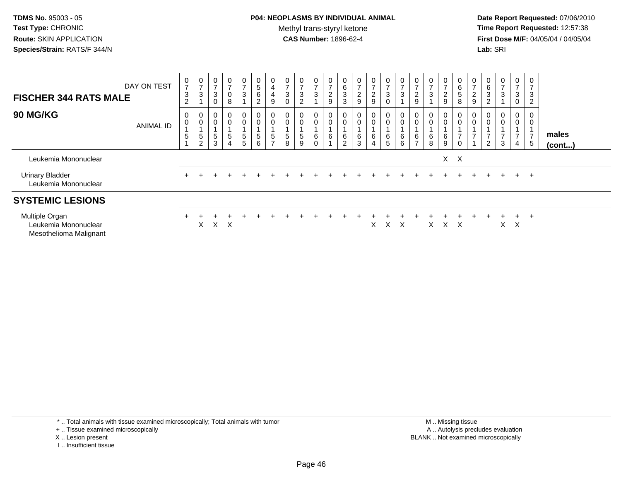# **P04: NEOPLASMS BY INDIVIDUAL ANIMAL**Methyl trans-styryl ketone<br>CAS Number: 1896-62-4

 **Date Report Requested:** 07/06/2010 **Time Report Requested:** 12:57:38 **First Dose M/F:** 04/05/04 / 04/05/04<br>**Lab:** SRI **Lab:** SRI

| <b>FISCHER 344 RATS MALE</b>                                     | DAY ON TEST | 0<br>$\overline{7}$<br>$\ensuremath{\mathsf{3}}$<br>$\overline{2}$ | $\frac{0}{7}$<br>$\sqrt{3}$                        | 0<br>$\rightarrow$<br>$\mathbf{3}$<br>$\pmb{0}$ | 0<br>$\overline{ }$<br>$\pmb{0}$<br>$\,8\,$                    | $\frac{0}{7}$<br>$\ensuremath{\mathsf{3}}$         | 0<br>$\sqrt{5}$<br>$\,6\,$<br>$\overline{c}$ | 0<br>4<br>4<br>9                                      | $\mathbf 0$<br>$\overline{7}$<br>3<br>$\mathbf 0$ | 0<br>$\overline{ }$<br>$\ensuremath{\mathsf{3}}$<br>$\overline{2}$ | $\frac{0}{7}$<br>3                 | $\frac{0}{7}$<br>$\overline{c}$<br>$\boldsymbol{9}$ | $\begin{array}{c} 0 \\ 6 \end{array}$<br>$\ensuremath{\mathsf{3}}$<br>$\mathbf{3}$ | $\frac{0}{7}$<br>$\frac{2}{9}$   | 0<br>$\overline{ }$<br>$\overline{2}$<br>9 | $\boldsymbol{0}$<br>$\overline{7}$<br>3<br>$\mathbf 0$ | $\frac{0}{7}$<br>3                        | 0<br>$\overline{z}$<br>$\frac{2}{9}$ | 0<br>$\overline{ }$<br>$\sqrt{3}$ | $\frac{0}{7}$<br>$\frac{2}{9}$                                            | $\begin{array}{c} 0 \\ 6 \end{array}$<br>$\sqrt{5}$<br>8 | $\frac{0}{7}$<br>$\sqrt{2}$<br>$\boldsymbol{9}$    | 0<br>6<br>3<br>$\overline{2}$ | 0<br>$\overline{ }$<br>3 | 0<br>$\overline{7}$<br>3<br>$\mathbf 0$ | 0<br>$\overline{ }$<br>3<br>$\overline{2}$ |                 |
|------------------------------------------------------------------|-------------|--------------------------------------------------------------------|----------------------------------------------------|-------------------------------------------------|----------------------------------------------------------------|----------------------------------------------------|----------------------------------------------|-------------------------------------------------------|---------------------------------------------------|--------------------------------------------------------------------|------------------------------------|-----------------------------------------------------|------------------------------------------------------------------------------------|----------------------------------|--------------------------------------------|--------------------------------------------------------|-------------------------------------------|--------------------------------------|-----------------------------------|---------------------------------------------------------------------------|----------------------------------------------------------|----------------------------------------------------|-------------------------------|--------------------------|-----------------------------------------|--------------------------------------------|-----------------|
| <b>90 MG/KG</b>                                                  | ANIMAL ID   | 0<br>$\mathsf{O}$<br>5                                             | $_{\rm 0}^{\rm 0}$<br>$\sqrt{5}$<br>$\overline{2}$ | 0<br>$\boldsymbol{0}$<br>5<br>$\mathbf{3}$      | $\boldsymbol{0}$<br>$\pmb{0}$<br>$\,$ 5 $\,$<br>$\overline{4}$ | 0<br>$\mathsf{O}$<br>$\mathbf 5$<br>5 <sup>5</sup> | 0<br>$\mathbf 0$<br>$\sqrt{5}$<br>$6\,$      | 0<br>$\mathbf 0$<br>$5\phantom{.0}$<br>$\overline{ }$ | 0<br>$\boldsymbol{0}$<br>$\sqrt{5}$<br>8          | $\mathbf 0$<br>0<br>$\frac{5}{9}$                                  | 0<br>$\mathbf 0$<br>6<br>$\pmb{0}$ | 0<br>$\pmb{0}$<br>$\,6\,$                           | 0<br>$\pmb{0}$<br>$\frac{6}{2}$                                                    | $\pmb{0}$<br>$\pmb{0}$<br>$^6_3$ | 0<br>0<br>6<br>$\overline{4}$              | $\mathbf 0$<br>$\pmb{0}$<br>6<br>5                     | $\mathbf 0$<br>$\boldsymbol{0}$<br>6<br>6 | $\mathbf 0$<br>$\frac{6}{7}$         | 0<br>0<br>$^6_8$                  | $\begin{smallmatrix} 0\\0 \end{smallmatrix}$<br>$\,6$<br>$\boldsymbol{9}$ | 0<br>$\pmb{0}$<br>$\overline{z}$<br>$\mathbf 0$          | 0<br>$\pmb{0}$<br>$\overline{ }$<br>$\overline{A}$ | $\overline{2}$                | 0<br>0<br>3              | 0<br>$\mathbf 0$<br>$\overline{7}$<br>4 | 0<br>0<br>$\overline{ }$<br>$\sqrt{5}$     | males<br>(cont) |
| Leukemia Mononuclear                                             |             |                                                                    |                                                    |                                                 |                                                                |                                                    |                                              |                                                       |                                                   |                                                                    |                                    |                                                     |                                                                                    |                                  |                                            |                                                        |                                           |                                      |                                   |                                                                           | $X$ $X$                                                  |                                                    |                               |                          |                                         |                                            |                 |
| <b>Urinary Bladder</b><br>Leukemia Mononuclear                   |             | $+$                                                                |                                                    |                                                 |                                                                |                                                    |                                              |                                                       |                                                   |                                                                    |                                    |                                                     |                                                                                    |                                  |                                            |                                                        |                                           |                                      |                                   |                                                                           |                                                          |                                                    | $+$                           |                          | $+$                                     | $+$                                        |                 |
| <b>SYSTEMIC LESIONS</b>                                          |             |                                                                    |                                                    |                                                 |                                                                |                                                    |                                              |                                                       |                                                   |                                                                    |                                    |                                                     |                                                                                    |                                  |                                            |                                                        |                                           |                                      |                                   |                                                                           |                                                          |                                                    |                               |                          |                                         |                                            |                 |
| Multiple Organ<br>Leukemia Mononuclear<br>Mesothelioma Malignant |             |                                                                    | X                                                  |                                                 | X X                                                            |                                                    |                                              |                                                       |                                                   |                                                                    |                                    |                                                     |                                                                                    |                                  | X                                          |                                                        | X X                                       |                                      | X.                                |                                                                           | x x                                                      |                                                    |                               | X                        | $+$<br>$\mathsf{X}$                     | $^{+}$                                     |                 |

\* .. Total animals with tissue examined microscopically; Total animals with tumor

+ .. Tissue examined microscopically

- X .. Lesion present
- I .. Insufficient tissue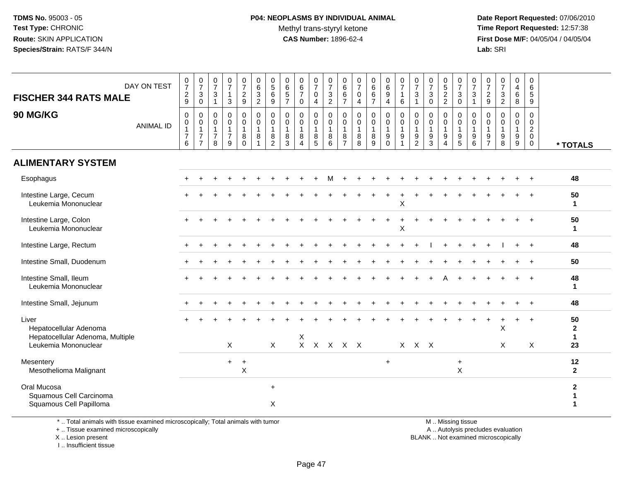# **P04: NEOPLASMS BY INDIVIDUAL ANIMAL**Methyl trans-styryl ketone<br>CAS Number: 1896-62-4

 **Date Report Requested:** 07/06/2010 **Time Report Requested:** 12:57:38 **First Dose M/F:** 04/05/04 / 04/05/04<br>**Lab:** SRI **Lab:** SRI

| DAY ON TEST                                                         | $\frac{0}{7}$                                 | $\begin{array}{c} 0 \\ 7 \end{array}$                                      | $\frac{0}{7}$                                                     | $\begin{array}{c} 0 \\ 7 \end{array}$                                     | $\frac{0}{7}$                                                        | 0<br>6                           | $\begin{array}{c} 0 \\ 5 \\ 6 \end{array}$            | $\begin{array}{c} 0 \\ 6 \\ 5 \end{array}$ | $_{6}^{\rm 0}$                                  | $\begin{array}{c} 0 \\ 7 \end{array}$                         | $\frac{0}{7}$                                                | $\begin{array}{c} 0 \\ 6 \end{array}$                     | $\frac{0}{7}$                                        | $0$<br>6<br>6                                           | $\begin{array}{c} 0 \\ 6 \\ 9 \end{array}$                                                      | $\frac{0}{7}$                                         | $\frac{0}{7}$                                            | $\frac{0}{7}$                                                     | $\begin{array}{c} 0 \\ 5 \\ 2 \end{array}$ | $\frac{0}{7}$                                                  | $\frac{0}{7}$                    | $\frac{0}{7}$                                 | $\frac{0}{7}$                                   | $\begin{array}{c} 0 \\ 4 \\ 6 \end{array}$                             | 0<br>6                                                                        |                                    |
|---------------------------------------------------------------------|-----------------------------------------------|----------------------------------------------------------------------------|-------------------------------------------------------------------|---------------------------------------------------------------------------|----------------------------------------------------------------------|----------------------------------|-------------------------------------------------------|--------------------------------------------|-------------------------------------------------|---------------------------------------------------------------|--------------------------------------------------------------|-----------------------------------------------------------|------------------------------------------------------|---------------------------------------------------------|-------------------------------------------------------------------------------------------------|-------------------------------------------------------|----------------------------------------------------------|-------------------------------------------------------------------|--------------------------------------------|----------------------------------------------------------------|----------------------------------|-----------------------------------------------|-------------------------------------------------|------------------------------------------------------------------------|-------------------------------------------------------------------------------|------------------------------------|
| <b>FISCHER 344 RATS MALE</b>                                        | $\frac{2}{9}$                                 | $\mathbf{3}$<br>$\pmb{0}$                                                  | $\mathsf 3$<br>$\mathbf{1}$                                       | $\mathbf{1}$<br>$\mathbf{3}$                                              | $\overline{c}$<br>9                                                  | $\mathbf{3}$<br>$\boldsymbol{2}$ | $\boldsymbol{9}$                                      | $\overline{7}$                             | $\overline{7}$<br>$\mathbf 0$                   | $\mathsf{O}\xspace$<br>$\overline{4}$                         | $\frac{3}{2}$                                                | 6<br>$\overline{7}$                                       | $\mathbf 0$<br>$\overline{4}$                        | $\overline{7}$                                          | $\overline{4}$                                                                                  | $\mathbf{1}$<br>$\,6\,$                               | $\ensuremath{\mathsf{3}}$<br>$\mathbf{1}$                | $\mathbf{3}$<br>$\mathbf 0$                                       | $\mathbf 2$                                | $\mathbf{3}$<br>$\mathbf 0$                                    | 3<br>$\mathbf{1}$                | $\frac{2}{9}$                                 | $\ensuremath{\mathsf{3}}$<br>$\overline{2}$     | $\, 8$                                                                 | $\overline{5}$<br>9                                                           |                                    |
| 90 MG/KG<br><b>ANIMAL ID</b>                                        | 0<br>0<br>$\mathbf{1}$<br>$\overline{7}$<br>6 | $\mathbf 0$<br>$\,0\,$<br>$\mathbf{1}$<br>$\overline{7}$<br>$\overline{7}$ | $\mathbf 0$<br>$\mathbf 0$<br>$\mathbf{1}$<br>$\overline{7}$<br>8 | $\pmb{0}$<br>$\mathsf{O}\xspace$<br>$\overline{1}$<br>$\overline{7}$<br>9 | $\mathbf 0$<br>$\mathsf 0$<br>$\mathbf{1}$<br>$\bf 8$<br>$\mathbf 0$ | 0<br>0<br>$\mathbf{1}$<br>8<br>1 | 0<br>$\pmb{0}$<br>$\mathbf{1}$<br>8<br>$\overline{2}$ | 0<br>$\mathbf 0$<br>$\mathbf{1}$<br>8<br>3 | 0<br>$\mathbf 0$<br>8<br>$\boldsymbol{\Lambda}$ | $\mathbf 0$<br>$\mathbf 0$<br>$\mathbf{1}$<br>8<br>$\sqrt{5}$ | $\mathbf 0$<br>$\mathsf{O}\xspace$<br>$\mathbf{1}$<br>8<br>6 | $\mathbf 0$<br>0<br>$\overline{1}$<br>8<br>$\overline{7}$ | $\mathbf 0$<br>$\mathbf 0$<br>$\mathbf{1}$<br>8<br>8 | 0<br>$\mathbf 0$<br>$\mathbf{1}$<br>8<br>$\overline{9}$ | $\begin{smallmatrix} 0\\0 \end{smallmatrix}$<br>$\mathbf{1}$<br>$\boldsymbol{9}$<br>$\mathbf 0$ | 0<br>$\pmb{0}$<br>$\mathbf{1}$<br>9<br>$\overline{ }$ | $\mathbf 0$<br>$\pmb{0}$<br>$\overline{1}$<br>$9\,$<br>2 | $\pmb{0}$<br>$\mathbf 0$<br>$\mathbf{1}$<br>$9\,$<br>$\mathbf{3}$ | 0<br>$\mathbf 0$<br>$\mathbf{1}$<br>9<br>4 | 0<br>$\boldsymbol{0}$<br>$\mathbf{1}$<br>$\boldsymbol{9}$<br>5 | 0<br>0<br>$\mathbf{1}$<br>9<br>6 | 0<br>0<br>$\mathbf{1}$<br>9<br>$\overline{7}$ | 0<br>0<br>$\mathbf{1}$<br>$\boldsymbol{9}$<br>8 | 0<br>$\pmb{0}$<br>$\mathbf{1}$<br>$\boldsymbol{9}$<br>$\boldsymbol{9}$ | $\mathbf 0$<br>$\mathbf 0$<br>$\overline{2}$<br>$\mathbf 0$<br>$\overline{0}$ | * TOTALS                           |
| <b>ALIMENTARY SYSTEM</b>                                            |                                               |                                                                            |                                                                   |                                                                           |                                                                      |                                  |                                                       |                                            |                                                 |                                                               |                                                              |                                                           |                                                      |                                                         |                                                                                                 |                                                       |                                                          |                                                                   |                                            |                                                                |                                  |                                               |                                                 |                                                                        |                                                                               |                                    |
| Esophagus                                                           |                                               |                                                                            |                                                                   |                                                                           |                                                                      |                                  |                                                       |                                            |                                                 |                                                               |                                                              |                                                           |                                                      |                                                         |                                                                                                 |                                                       |                                                          |                                                                   |                                            |                                                                |                                  |                                               |                                                 |                                                                        |                                                                               | 48                                 |
| Intestine Large, Cecum<br>Leukemia Mononuclear                      |                                               |                                                                            |                                                                   |                                                                           |                                                                      |                                  |                                                       |                                            |                                                 |                                                               |                                                              |                                                           |                                                      |                                                         |                                                                                                 | $\boldsymbol{\mathsf{X}}$                             |                                                          |                                                                   |                                            |                                                                |                                  |                                               |                                                 |                                                                        |                                                                               | 50<br>$\mathbf 1$                  |
| Intestine Large, Colon<br>Leukemia Mononuclear                      |                                               |                                                                            |                                                                   |                                                                           |                                                                      |                                  |                                                       |                                            |                                                 |                                                               |                                                              |                                                           |                                                      |                                                         |                                                                                                 | $\boldsymbol{\mathsf{X}}$                             |                                                          |                                                                   |                                            |                                                                |                                  |                                               |                                                 |                                                                        |                                                                               | 50<br>$\mathbf{1}$                 |
| Intestine Large, Rectum                                             |                                               |                                                                            |                                                                   |                                                                           |                                                                      |                                  |                                                       |                                            |                                                 |                                                               |                                                              |                                                           |                                                      |                                                         |                                                                                                 |                                                       |                                                          |                                                                   |                                            |                                                                |                                  |                                               |                                                 |                                                                        |                                                                               | 48                                 |
| Intestine Small, Duodenum                                           |                                               |                                                                            |                                                                   |                                                                           |                                                                      |                                  |                                                       |                                            |                                                 |                                                               |                                                              |                                                           |                                                      |                                                         |                                                                                                 |                                                       |                                                          |                                                                   |                                            |                                                                |                                  |                                               |                                                 |                                                                        |                                                                               | 50                                 |
| Intestine Small, Ileum<br>Leukemia Mononuclear                      |                                               |                                                                            |                                                                   |                                                                           |                                                                      |                                  |                                                       |                                            |                                                 |                                                               |                                                              |                                                           |                                                      |                                                         |                                                                                                 |                                                       |                                                          |                                                                   |                                            |                                                                |                                  |                                               |                                                 |                                                                        | $\overline{+}$                                                                | 48<br>$\mathbf 1$                  |
| Intestine Small, Jejunum                                            |                                               |                                                                            |                                                                   |                                                                           |                                                                      |                                  |                                                       |                                            |                                                 |                                                               |                                                              |                                                           |                                                      |                                                         |                                                                                                 |                                                       |                                                          |                                                                   |                                            |                                                                |                                  |                                               |                                                 |                                                                        | $+$                                                                           | 48                                 |
| Liver<br>Hepatocellular Adenoma<br>Hepatocellular Adenoma, Multiple |                                               |                                                                            |                                                                   |                                                                           |                                                                      |                                  |                                                       |                                            | Χ                                               |                                                               |                                                              |                                                           |                                                      |                                                         |                                                                                                 |                                                       |                                                          |                                                                   |                                            |                                                                |                                  |                                               | X                                               |                                                                        | $\ddot{}$                                                                     | 50<br>$\mathbf{2}$<br>$\mathbf{1}$ |
| Leukemia Mononuclear                                                |                                               |                                                                            |                                                                   | $\mathsf{X}$                                                              |                                                                      |                                  | $\sf X$                                               |                                            |                                                 |                                                               | X X X X X                                                    |                                                           |                                                      |                                                         |                                                                                                 |                                                       | $X$ $X$ $X$                                              |                                                                   |                                            |                                                                |                                  |                                               | X                                               |                                                                        | X                                                                             | 23                                 |
| Mesentery<br>Mesothelioma Malignant                                 |                                               |                                                                            |                                                                   | $+$                                                                       | $+$<br>$\boldsymbol{\mathsf{X}}$                                     |                                  |                                                       |                                            |                                                 |                                                               |                                                              |                                                           |                                                      |                                                         | $\ddot{}$                                                                                       |                                                       |                                                          |                                                                   |                                            | $\ddot{}$<br>$\mathsf X$                                       |                                  |                                               |                                                 |                                                                        |                                                                               | 12<br>$\mathbf{2}$                 |
| Oral Mucosa<br>Squamous Cell Carcinoma<br>Squamous Cell Papilloma   |                                               |                                                                            |                                                                   |                                                                           |                                                                      |                                  | $\ddot{}$<br>X                                        |                                            |                                                 |                                                               |                                                              |                                                           |                                                      |                                                         |                                                                                                 |                                                       |                                                          |                                                                   |                                            |                                                                |                                  |                                               |                                                 |                                                                        |                                                                               | $\mathbf{2}$<br>1                  |

\* .. Total animals with tissue examined microscopically; Total animals with tumor

+ .. Tissue examined microscopically

X .. Lesion present

I .. Insufficient tissue

M .. Missing tissue

y the contract of the contract of the contract of the contract of the contract of the contract of the contract of  $A$ . Autolysis precludes evaluation

Lesion present BLANK .. Not examined microscopically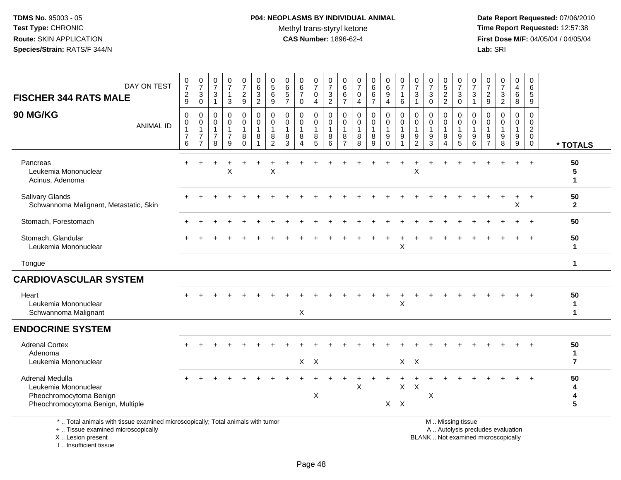# **P04: NEOPLASMS BY INDIVIDUAL ANIMAL**Methyl trans-styryl ketone<br>CAS Number: 1896-62-4

 **Date Report Requested:** 07/06/2010 **Time Report Requested:** 12:57:38 **First Dose M/F:** 04/05/04 / 04/05/04<br>Lab: SRI **Lab:** SRI

| DAY ON TEST<br><b>FISCHER 344 RATS MALE</b>                                                                                                | $\begin{smallmatrix}0\\7\end{smallmatrix}$<br>$\boldsymbol{2}$<br>9 | $\begin{array}{c} 0 \\ 7 \end{array}$<br>3<br>$\mathbf 0$ | $\frac{0}{7}$<br>$\ensuremath{\mathsf{3}}$<br>$\overline{1}$     | $\frac{0}{7}$<br>1<br>3                                | $\frac{0}{7}$<br>$\overline{a}$<br>$9\,$ | $\mathbf 0$<br>$\overline{6}$<br>$\sqrt{3}$<br>$\overline{2}$        | $\mathbf 0$<br>$\overline{5}$<br>$\,6\,$<br>9                    | $\mathbf 0$<br>6<br>$\sqrt{5}$<br>$\overline{7}$ | $\begin{array}{c} 0 \\ 6 \end{array}$<br>$\overline{7}$<br>0 | $\begin{smallmatrix}0\\7\end{smallmatrix}$<br>$\mathbf 0$<br>$\overline{4}$ | $\pmb{0}$<br>$\overline{7}$<br>$\frac{3}{2}$ | $\mathbf 0$<br>$\,6\,$<br>$\frac{6}{7}$                 | 0<br>$\overline{7}$<br>0<br>$\overline{4}$        | 0<br>$\overline{6}$<br>$\,6\,$<br>$\overline{7}$ | $_{6}^{\rm 0}$<br>$\overline{9}$<br>$\overline{4}$   | $\begin{array}{c} 0 \\ 7 \end{array}$<br>$\mathbf{1}$<br>6 | 0<br>$\overline{7}$<br>3             | $\begin{array}{c} 0 \\ 7 \end{array}$<br>$\sqrt{3}$<br>$\mathbf 0$ | 0<br>$\overline{5}$<br>$\sqrt{2}$<br>$\overline{2}$ | $\begin{array}{c} 0 \\ 7 \end{array}$<br>$\ensuremath{\mathsf{3}}$<br>$\mathbf 0$             | 0<br>$\overline{7}$<br>3<br>-1 | $\begin{smallmatrix}0\\7\end{smallmatrix}$<br>$\overline{c}$<br>9 | $\begin{array}{c} 0 \\ 7 \end{array}$<br>$\ensuremath{\mathsf{3}}$<br>$\overline{2}$ | $\mathbf 0$<br>$\overline{a}$<br>$6\phantom{1}6$<br>8 | $\mathbf 0$<br>6<br>5<br>9                                   |                           |
|--------------------------------------------------------------------------------------------------------------------------------------------|---------------------------------------------------------------------|-----------------------------------------------------------|------------------------------------------------------------------|--------------------------------------------------------|------------------------------------------|----------------------------------------------------------------------|------------------------------------------------------------------|--------------------------------------------------|--------------------------------------------------------------|-----------------------------------------------------------------------------|----------------------------------------------|---------------------------------------------------------|---------------------------------------------------|--------------------------------------------------|------------------------------------------------------|------------------------------------------------------------|--------------------------------------|--------------------------------------------------------------------|-----------------------------------------------------|-----------------------------------------------------------------------------------------------|--------------------------------|-------------------------------------------------------------------|--------------------------------------------------------------------------------------|-------------------------------------------------------|--------------------------------------------------------------|---------------------------|
| 90 MG/KG<br><b>ANIMAL ID</b>                                                                                                               | $\mathbf 0$<br>0<br>$\mathbf{1}$<br>$\overline{7}$<br>6             | 0<br>$\mathbf 0$<br>1<br>$\overline{7}$<br>$\overline{7}$ | $\mathbf 0$<br>$\mathbf 0$<br>$\mathbf 1$<br>$\overline{7}$<br>8 | $\mathbf 0$<br>$\mathbf 0$<br>1<br>$\overline{7}$<br>9 | 0<br>$\mathbf 0$<br>8<br>$\Omega$        | $\mathbf 0$<br>$\mathbf{0}$<br>$\overline{1}$<br>8<br>$\overline{1}$ | $\mathbf 0$<br>$\Omega$<br>$\overline{1}$<br>8<br>$\overline{2}$ | $\Omega$<br>$\Omega$<br>-1<br>8<br>3             | 0<br>$\mathbf 0$<br>1<br>8<br>4                              | 0<br>$\mathbf 0$<br>$\mathbf 1$<br>8<br>5                                   | 0<br>$\mathbf 0$<br>-1<br>8<br>6             | $\mathbf 0$<br>$\mathbf 0$<br>-1<br>8<br>$\overline{7}$ | $\mathbf 0$<br>$\Omega$<br>$\mathbf{1}$<br>8<br>8 | 0<br>$\mathbf 0$<br>$\mathbf{1}$<br>8<br>9       | 0<br>$\mathbf 0$<br>$\mathbf{1}$<br>9<br>$\mathbf 0$ | 0<br>$\mathbf 0$<br>$\mathbf{1}$<br>9<br>1                 | 0<br>$\Omega$<br>9<br>$\overline{2}$ | $\mathbf 0$<br>$\mathbf 0$<br>$\mathbf{1}$<br>$9\,$<br>3           | 0<br>$\Omega$<br>1<br>9<br>4                        | 0<br>$\mathbf 0$<br>$\overline{1}$<br>$9\,$<br>5                                              | 0<br>$\Omega$<br>1<br>9<br>6   | 0<br>$\Omega$<br>9<br>$\overline{7}$                              | $\mathbf 0$<br>$\mathbf 0$<br>9<br>8                                                 | $\mathbf 0$<br>$\Omega$<br>$\mathbf{1}$<br>9<br>9     | $\Omega$<br>$\Omega$<br>$\boldsymbol{2}$<br>$\mathbf 0$<br>0 | * TOTALS                  |
| Pancreas<br>Leukemia Mononuclear<br>Acinus, Adenoma                                                                                        |                                                                     |                                                           |                                                                  | X                                                      |                                          |                                                                      | X                                                                |                                                  |                                                              |                                                                             |                                              |                                                         |                                                   |                                                  |                                                      |                                                            | X                                    |                                                                    |                                                     |                                                                                               |                                |                                                                   |                                                                                      |                                                       | $\overline{ }$                                               | 50<br>5<br>$\mathbf{1}$   |
| <b>Salivary Glands</b><br>Schwannoma Malignant, Metastatic, Skin                                                                           |                                                                     |                                                           |                                                                  |                                                        |                                          |                                                                      |                                                                  |                                                  |                                                              |                                                                             |                                              |                                                         |                                                   |                                                  |                                                      |                                                            |                                      |                                                                    |                                                     |                                                                                               |                                |                                                                   |                                                                                      | Χ                                                     | $+$                                                          | 50<br>$\mathbf{2}$        |
| Stomach, Forestomach                                                                                                                       |                                                                     |                                                           |                                                                  |                                                        |                                          |                                                                      |                                                                  |                                                  |                                                              |                                                                             |                                              |                                                         |                                                   |                                                  |                                                      |                                                            |                                      |                                                                    |                                                     |                                                                                               |                                |                                                                   |                                                                                      |                                                       | $+$                                                          | 50                        |
| Stomach, Glandular<br>Leukemia Mononuclear                                                                                                 |                                                                     |                                                           |                                                                  |                                                        |                                          |                                                                      |                                                                  |                                                  |                                                              |                                                                             |                                              |                                                         |                                                   |                                                  |                                                      | X                                                          |                                      |                                                                    |                                                     |                                                                                               |                                |                                                                   |                                                                                      |                                                       |                                                              | 50<br>$\mathbf 1$         |
| Tongue                                                                                                                                     |                                                                     |                                                           |                                                                  |                                                        |                                          |                                                                      |                                                                  |                                                  |                                                              |                                                                             |                                              |                                                         |                                                   |                                                  |                                                      |                                                            |                                      |                                                                    |                                                     |                                                                                               |                                |                                                                   |                                                                                      |                                                       |                                                              | 1                         |
| <b>CARDIOVASCULAR SYSTEM</b>                                                                                                               |                                                                     |                                                           |                                                                  |                                                        |                                          |                                                                      |                                                                  |                                                  |                                                              |                                                                             |                                              |                                                         |                                                   |                                                  |                                                      |                                                            |                                      |                                                                    |                                                     |                                                                                               |                                |                                                                   |                                                                                      |                                                       |                                                              |                           |
| Heart<br>Leukemia Mononuclear<br>Schwannoma Malignant                                                                                      |                                                                     |                                                           |                                                                  |                                                        |                                          |                                                                      |                                                                  |                                                  | X                                                            |                                                                             |                                              |                                                         |                                                   |                                                  |                                                      | X                                                          |                                      |                                                                    |                                                     |                                                                                               |                                |                                                                   |                                                                                      |                                                       |                                                              | 50<br>1<br>$\mathbf{1}$   |
| <b>ENDOCRINE SYSTEM</b>                                                                                                                    |                                                                     |                                                           |                                                                  |                                                        |                                          |                                                                      |                                                                  |                                                  |                                                              |                                                                             |                                              |                                                         |                                                   |                                                  |                                                      |                                                            |                                      |                                                                    |                                                     |                                                                                               |                                |                                                                   |                                                                                      |                                                       |                                                              |                           |
| <b>Adrenal Cortex</b><br>Adenoma<br>Leukemia Mononuclear                                                                                   |                                                                     |                                                           |                                                                  |                                                        |                                          |                                                                      |                                                                  |                                                  | $X$ $X$                                                      |                                                                             |                                              |                                                         |                                                   |                                                  |                                                      |                                                            | $X$ $X$                              |                                                                    |                                                     |                                                                                               |                                |                                                                   |                                                                                      |                                                       |                                                              | 50<br>1<br>$\overline{7}$ |
| Adrenal Medulla<br>Leukemia Mononuclear<br>Pheochromocytoma Benign<br>Pheochromocytoma Benign, Multiple                                    |                                                                     |                                                           |                                                                  |                                                        |                                          |                                                                      |                                                                  |                                                  |                                                              | X                                                                           |                                              |                                                         | X                                                 |                                                  |                                                      | X<br>$X$ $X$                                               | $\pmb{\times}$                       | X                                                                  |                                                     |                                                                                               |                                |                                                                   |                                                                                      |                                                       |                                                              | 50<br>4<br>4<br>5         |
| *  Total animals with tissue examined microscopically; Total animals with tumor<br>+  Tissue examined microscopically<br>X  Lesion present |                                                                     |                                                           |                                                                  |                                                        |                                          |                                                                      |                                                                  |                                                  |                                                              |                                                                             |                                              |                                                         |                                                   |                                                  |                                                      |                                                            |                                      |                                                                    |                                                     | M  Missing tissue<br>A  Autolysis precludes evaluation<br>BLANK  Not examined microscopically |                                |                                                                   |                                                                                      |                                                       |                                                              |                           |

I .. Insufficient tissue

Lesion present BLANK .. Not examined microscopically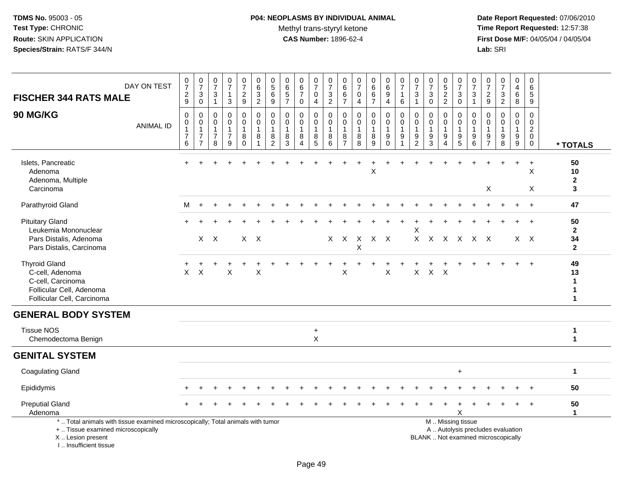# **P04: NEOPLASMS BY INDIVIDUAL ANIMAL**Methyl trans-styryl ketone<br>CAS Number: 1896-62-4

| DAY ON TEST<br><b>FISCHER 344 RATS MALE</b>                                                                                                                         | $\begin{smallmatrix}0\\7\end{smallmatrix}$<br>$\frac{2}{9}$             | $\begin{array}{c} 0 \\ 7 \end{array}$<br>$\mathbf{3}$<br>$\pmb{0}$  | $\frac{0}{7}$<br>$\mathbf{3}$<br>$\mathbf{1}$                     | $\frac{0}{7}$<br>1<br>3                                           | $\begin{smallmatrix}0\\7\end{smallmatrix}$<br>$\frac{2}{9}$ | $_{6}^{\rm 0}$<br>$\frac{3}{2}$                           | 0<br>$\overline{5}$<br>$\,6\,$<br>$\boldsymbol{9}$                  | $\mathbf 0$<br>$6\phantom{a}$<br>$\sqrt{5}$<br>$\overline{7}$ | $_{6}^{\rm 0}$<br>$\overline{7}$<br>$\pmb{0}$                     | $\begin{array}{c} 0 \\ 7 \end{array}$<br>$\pmb{0}$<br>$\overline{4}$ | $\frac{0}{7}$<br>$\frac{3}{2}$                                  | $\boldsymbol{0}$<br>$6\phantom{a}$<br>$\frac{6}{7}$                       | $\begin{array}{c} 0 \\ 7 \end{array}$<br>$\mathbf 0$<br>$\overline{4}$ | $_{6}^{\rm 0}$<br>6<br>$\overline{7}$ | $_{6}^{\rm 0}$<br>$\boldsymbol{9}$<br>$\overline{4}$             | $\frac{0}{7}$<br>$\mathbf{1}$<br>6                          | $\begin{array}{c} 0 \\ 7 \end{array}$<br>$\mathbf{3}$<br>$\mathbf{1}$ | $\begin{array}{c} 0 \\ 7 \end{array}$<br>$\sqrt{3}$<br>0    | 0<br>$\overline{5}$<br>$\frac{2}{2}$                    | $\frac{0}{7}$<br>$\ensuremath{\mathsf{3}}$<br>$\mathsf 0$                           | $\frac{0}{7}$<br>3<br>$\mathbf{1}$                                        | $\frac{0}{7}$<br>$\frac{2}{9}$                    | $\begin{array}{c} 0 \\ 7 \end{array}$<br>$\frac{3}{2}$                   | $\mathbf 0$<br>$\frac{4}{6}$<br>$\overline{8}$     | $\mathbf 0$<br>$\,6\,$<br>5<br>$9\,$                                     |                                                          |
|---------------------------------------------------------------------------------------------------------------------------------------------------------------------|-------------------------------------------------------------------------|---------------------------------------------------------------------|-------------------------------------------------------------------|-------------------------------------------------------------------|-------------------------------------------------------------|-----------------------------------------------------------|---------------------------------------------------------------------|---------------------------------------------------------------|-------------------------------------------------------------------|----------------------------------------------------------------------|-----------------------------------------------------------------|---------------------------------------------------------------------------|------------------------------------------------------------------------|---------------------------------------|------------------------------------------------------------------|-------------------------------------------------------------|-----------------------------------------------------------------------|-------------------------------------------------------------|---------------------------------------------------------|-------------------------------------------------------------------------------------|---------------------------------------------------------------------------|---------------------------------------------------|--------------------------------------------------------------------------|----------------------------------------------------|--------------------------------------------------------------------------|----------------------------------------------------------|
| 90 MG/KG<br><b>ANIMAL ID</b>                                                                                                                                        | $\mathsf 0$<br>$\mathbf 0$<br>$\mathbf{1}$<br>$\overline{7}$<br>$\,6\,$ | $\mathbf 0$<br>$\mathbf 0$<br>1<br>$\overline{7}$<br>$\overline{7}$ | $\mathbf 0$<br>$\mathbf 0$<br>$\mathbf{1}$<br>$\overline{7}$<br>8 | $\mathsf 0$<br>$\mathbf 0$<br>$\mathbf{1}$<br>$\overline{7}$<br>9 | 0<br>0<br>$\mathbf{1}$<br>$_{0}^{8}$                        | $\pmb{0}$<br>$\mathbf 0$<br>$\mathbf{1}$<br>$\,8\,$<br>-1 | $\mathbf 0$<br>$\mathbf 0$<br>$\overline{1}$<br>8<br>$\overline{2}$ | $\mathbf 0$<br>$\mathbf 0$<br>$\mathbf{1}$<br>8<br>3          | $\mathbf 0$<br>$\mathbf 0$<br>$\mathbf{1}$<br>8<br>$\overline{A}$ | 0<br>0<br>$\mathbf{1}$<br>$^8$ 5                                     | $\mathbf 0$<br>0<br>$\overline{1}$<br>$\,8\,$<br>$\overline{6}$ | $\mathbf 0$<br>0<br>$\mathbf{1}$<br>$\begin{array}{c} 8 \\ 7 \end{array}$ | $\pmb{0}$<br>$\mathbf 0$<br>$\mathbf{1}$<br>$\,8\,$<br>8               | 0<br>0<br>1<br>8<br>$\overline{9}$    | $\mathbf 0$<br>$\mathbf 0$<br>$\mathbf{1}$<br>$_{\rm 0}^{\rm 9}$ | $\pmb{0}$<br>$\pmb{0}$<br>$\mathbf{1}$<br>9<br>$\mathbf{1}$ | $\mathbf 0$<br>0<br>$\mathbf{1}$<br>$\frac{9}{2}$                     | $\mathbf 0$<br>$\mathbf 0$<br>$\mathbf{1}$<br>$\frac{9}{3}$ | 0<br>$\mathbf 0$<br>$\mathbf{1}$<br>9<br>$\overline{4}$ | $\mathbf 0$<br>$\mathbf 0$<br>$\mathbf{1}$<br>$\begin{array}{c} 9 \\ 5 \end{array}$ | 0<br>$\mathbf 0$<br>$\mathbf{1}$<br>$\begin{array}{c} 9 \\ 6 \end{array}$ | $\mathbf 0$<br>0<br>$\mathbf{1}$<br>$\frac{9}{7}$ | $\mathbf 0$<br>0<br>$\mathbf{1}$<br>$_{8}^{\rm 9}$                       | 0<br>$\mathsf{O}\xspace$<br>$\mathbf{1}$<br>$^9_9$ | $\pmb{0}$<br>$\mathbf 0$<br>$\overline{2}$<br>$\mathbf 0$<br>$\mathbf 0$ | * TOTALS                                                 |
| Islets, Pancreatic<br>Adenoma<br>Adenoma, Multiple<br>Carcinoma                                                                                                     |                                                                         |                                                                     |                                                                   |                                                                   |                                                             |                                                           |                                                                     |                                                               |                                                                   |                                                                      |                                                                 |                                                                           |                                                                        | X                                     |                                                                  |                                                             |                                                                       |                                                             |                                                         |                                                                                     |                                                                           | $\boldsymbol{\mathsf{X}}$                         |                                                                          | $\ddot{}$                                          | $\ddot{}$<br>X<br>X                                                      | 50<br>10<br>$\mathbf{2}$<br>3                            |
| Parathyroid Gland                                                                                                                                                   | м                                                                       |                                                                     |                                                                   |                                                                   |                                                             |                                                           |                                                                     |                                                               |                                                                   |                                                                      |                                                                 |                                                                           |                                                                        |                                       |                                                                  |                                                             |                                                                       |                                                             |                                                         |                                                                                     |                                                                           |                                                   |                                                                          |                                                    | $\ddot{}$                                                                | 47                                                       |
| <b>Pituitary Gland</b><br>Leukemia Mononuclear<br>Pars Distalis, Adenoma<br>Pars Distalis, Carcinoma                                                                |                                                                         |                                                                     | $X$ $X$                                                           |                                                                   |                                                             | $X$ $X$                                                   |                                                                     |                                                               |                                                                   |                                                                      |                                                                 | $X$ $X$                                                                   | $\boldsymbol{\mathsf{X}}$<br>X                                         | X X                                   |                                                                  |                                                             | Х                                                                     | $X$ $X$                                                     | $X$ $X$                                                 |                                                                                     | $X$ $X$                                                                   |                                                   |                                                                          |                                                    | $X \times$                                                               | 50<br>$\mathbf{2}$<br>34<br>$\mathbf{2}$                 |
| <b>Thyroid Gland</b><br>C-cell, Adenoma<br>C-cell, Carcinoma<br>Follicular Cell, Adenoma<br>Follicular Cell, Carcinoma                                              | $\mathsf{X}$                                                            | $\boldsymbol{\mathsf{X}}$                                           |                                                                   | X                                                                 |                                                             | $\sf X$                                                   |                                                                     |                                                               |                                                                   |                                                                      |                                                                 | X                                                                         |                                                                        |                                       | X                                                                |                                                             | X                                                                     | X                                                           | $\mathsf{X}$                                            |                                                                                     |                                                                           |                                                   |                                                                          |                                                    |                                                                          | 49<br>13<br>$\mathbf{1}$<br>$\mathbf{1}$<br>$\mathbf{1}$ |
| <b>GENERAL BODY SYSTEM</b>                                                                                                                                          |                                                                         |                                                                     |                                                                   |                                                                   |                                                             |                                                           |                                                                     |                                                               |                                                                   |                                                                      |                                                                 |                                                                           |                                                                        |                                       |                                                                  |                                                             |                                                                       |                                                             |                                                         |                                                                                     |                                                                           |                                                   |                                                                          |                                                    |                                                                          |                                                          |
| <b>Tissue NOS</b><br>Chemodectoma Benign                                                                                                                            |                                                                         |                                                                     |                                                                   |                                                                   |                                                             |                                                           |                                                                     |                                                               |                                                                   | $\ddot{}$<br>$\pmb{\times}$                                          |                                                                 |                                                                           |                                                                        |                                       |                                                                  |                                                             |                                                                       |                                                             |                                                         |                                                                                     |                                                                           |                                                   |                                                                          |                                                    |                                                                          | $\mathbf 1$<br>$\mathbf{1}$                              |
| <b>GENITAL SYSTEM</b>                                                                                                                                               |                                                                         |                                                                     |                                                                   |                                                                   |                                                             |                                                           |                                                                     |                                                               |                                                                   |                                                                      |                                                                 |                                                                           |                                                                        |                                       |                                                                  |                                                             |                                                                       |                                                             |                                                         |                                                                                     |                                                                           |                                                   |                                                                          |                                                    |                                                                          |                                                          |
| <b>Coagulating Gland</b>                                                                                                                                            |                                                                         |                                                                     |                                                                   |                                                                   |                                                             |                                                           |                                                                     |                                                               |                                                                   |                                                                      |                                                                 |                                                                           |                                                                        |                                       |                                                                  |                                                             |                                                                       |                                                             |                                                         | ÷                                                                                   |                                                                           |                                                   |                                                                          |                                                    |                                                                          | $\mathbf{1}$                                             |
| Epididymis                                                                                                                                                          |                                                                         |                                                                     |                                                                   |                                                                   |                                                             |                                                           |                                                                     |                                                               |                                                                   |                                                                      |                                                                 |                                                                           |                                                                        |                                       |                                                                  |                                                             |                                                                       |                                                             |                                                         |                                                                                     |                                                                           |                                                   |                                                                          |                                                    |                                                                          | 50                                                       |
| <b>Preputial Gland</b><br>Adenoma                                                                                                                                   |                                                                         |                                                                     |                                                                   |                                                                   |                                                             |                                                           |                                                                     |                                                               |                                                                   |                                                                      |                                                                 |                                                                           |                                                                        |                                       |                                                                  |                                                             |                                                                       |                                                             |                                                         | X                                                                                   |                                                                           |                                                   |                                                                          |                                                    |                                                                          | 50<br>$\mathbf{1}$                                       |
| *  Total animals with tissue examined microscopically; Total animals with tumor<br>+  Tissue examined microscopically<br>X  Lesion present<br>I Insufficient tissue |                                                                         |                                                                     |                                                                   |                                                                   |                                                             |                                                           |                                                                     |                                                               |                                                                   |                                                                      |                                                                 |                                                                           |                                                                        |                                       |                                                                  |                                                             |                                                                       | M  Missing tissue                                           |                                                         |                                                                                     |                                                                           |                                                   | A  Autolysis precludes evaluation<br>BLANK  Not examined microscopically |                                                    |                                                                          |                                                          |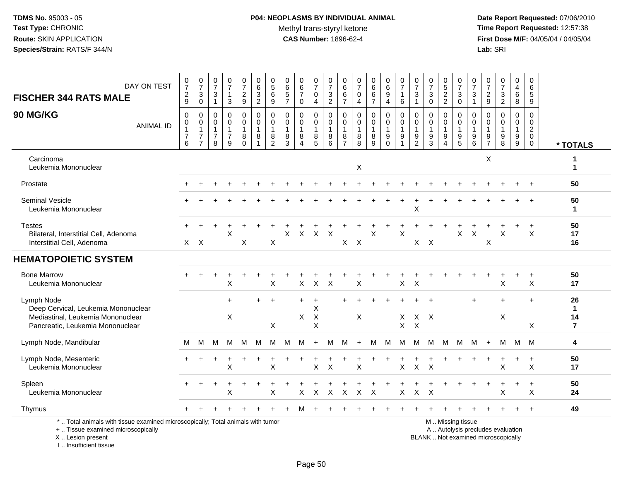I .. Insufficient tissue

# **P04: NEOPLASMS BY INDIVIDUAL ANIMAL**Methyl trans-styryl ketone<br>CAS Number: 1896-62-4

| DAY ON TEST<br><b>FISCHER 344 RATS MALE</b>                                                                                                | $\begin{array}{c} 0 \\ 7 \end{array}$<br>$\sqrt{2}$<br>9        | $\frac{0}{7}$<br>3<br>$\mathbf 0$ | 0<br>$\frac{5}{7}$<br>$\ensuremath{\mathsf{3}}$<br>$\mathbf{1}$ | $\frac{0}{7}$<br>$\mathbf{1}$<br>$\mathbf{3}$            | 0<br>$\overline{7}$<br>$\overline{a}$<br>9 | $\mathbf 0$<br>$\,6\,$<br>$\frac{3}{2}$                             | 0<br>$\sqrt{5}$<br>6<br>$9\,$                                       | $\mathbf 0$<br>6<br>$\,$ 5 $\,$<br>$\overline{7}$ | 0<br>$\overline{6}$<br>$\overline{7}$<br>0      | 0<br>$\overline{7}$<br>0<br>4      | $\mathbf 0$<br>$\overline{7}$<br>$\ensuremath{\mathsf{3}}$<br>$\overline{2}$ | 0<br>6<br>6<br>$\overline{7}$                                       | $\begin{array}{c} 0 \\ 7 \end{array}$<br>0<br>$\overline{4}$         | 0<br>$\,6\,$<br>$\,6\,$<br>$\overline{7}$        | $\mathbf 0$<br>6<br>9<br>4                  | 0<br>$\overline{7}$<br>1<br>$\,6\,$ | 0<br>$\overline{7}$<br>3<br>$\mathbf{1}$      | $\pmb{0}$<br>$\overline{7}$<br>$\ensuremath{\mathsf{3}}$<br>$\mathsf{O}\xspace$ | 0<br>$\sqrt{5}$<br>$\frac{2}{2}$                                         | 0<br>$\overline{7}$<br>$\sqrt{3}$<br>$\mathsf{O}\xspace$ | 0<br>7<br>3<br>$\mathbf{1}$                                         | 0<br>$\overline{7}$<br>$\overline{c}$<br>$\boldsymbol{9}$ | $\frac{0}{7}$<br>3<br>$\overline{2}$                                     | 0<br>4<br>$\,6\,$<br>8                          | $\mathbf 0$<br>6<br>$\sqrt{5}$<br>9                    |                                           |
|--------------------------------------------------------------------------------------------------------------------------------------------|-----------------------------------------------------------------|-----------------------------------|-----------------------------------------------------------------|----------------------------------------------------------|--------------------------------------------|---------------------------------------------------------------------|---------------------------------------------------------------------|---------------------------------------------------|-------------------------------------------------|------------------------------------|------------------------------------------------------------------------------|---------------------------------------------------------------------|----------------------------------------------------------------------|--------------------------------------------------|---------------------------------------------|-------------------------------------|-----------------------------------------------|---------------------------------------------------------------------------------|--------------------------------------------------------------------------|----------------------------------------------------------|---------------------------------------------------------------------|-----------------------------------------------------------|--------------------------------------------------------------------------|-------------------------------------------------|--------------------------------------------------------|-------------------------------------------|
| 90 MG/KG<br><b>ANIMAL ID</b>                                                                                                               | $\mathbf 0$<br>$\pmb{0}$<br>$\mathbf{1}$<br>$\overline{7}$<br>6 | 0<br>0<br>1<br>$\overline{7}$     | 0<br>0<br>$\mathbf{1}$<br>$\boldsymbol{7}$<br>8                 | 0<br>$\mathsf{O}$<br>$\mathbf{1}$<br>$\overline{7}$<br>9 | 0<br>0<br>8<br>$\Omega$                    | $\mathbf 0$<br>$\mathbf 0$<br>$\overline{1}$<br>8<br>$\overline{1}$ | $\mathbf 0$<br>$\mathbf 0$<br>$\overline{1}$<br>8<br>$\overline{2}$ | $\mathbf 0$<br>$\mathbf 0$<br>1<br>8<br>3         | 0<br>$\mathbf 0$<br>8<br>$\boldsymbol{\Lambda}$ | 0<br>0<br>$\overline{1}$<br>8<br>5 | 0<br>0<br>$\mathbf{1}$<br>8<br>6                                             | $\mathbf 0$<br>$\mathbf 0$<br>$\overline{1}$<br>8<br>$\overline{7}$ | $\mathbf 0$<br>$\mathsf{O}\xspace$<br>$\overline{1}$<br>$\bf 8$<br>8 | 0<br>$\mathbf 0$<br>$\mathbf{1}$<br>$\,8\,$<br>9 | 0<br>0<br>1<br>$\boldsymbol{9}$<br>$\Omega$ | $\mathbf 0$<br>0<br>1<br>9          | 0<br>0<br>$\mathbf{1}$<br>9<br>$\overline{2}$ | 0<br>$\mathbf 0$<br>$\boldsymbol{9}$<br>3                                       | 0<br>$\mathbf 0$<br>$\overline{1}$<br>$\boldsymbol{9}$<br>$\overline{4}$ | 0<br>$\Omega$<br>$\overline{1}$<br>$\boldsymbol{9}$<br>5 | $\mathbf 0$<br>$\mathbf 0$<br>$\mathbf{1}$<br>$\boldsymbol{9}$<br>6 | 0<br>$\mathbf 0$<br>1<br>9<br>$\overline{7}$              | 0<br>$\mathbf 0$<br>1<br>9<br>8                                          | 0<br>0<br>$\mathbf{1}$<br>$\boldsymbol{9}$<br>9 | $\mathbf 0$<br>0<br>$\overline{2}$<br>$\mathbf 0$<br>0 | * TOTALS                                  |
| Carcinoma<br>Leukemia Mononuclear                                                                                                          |                                                                 |                                   |                                                                 |                                                          |                                            |                                                                     |                                                                     |                                                   |                                                 |                                    |                                                                              |                                                                     | X                                                                    |                                                  |                                             |                                     |                                               |                                                                                 |                                                                          |                                                          |                                                                     | X                                                         |                                                                          |                                                 |                                                        | 1<br>$\mathbf{1}$                         |
| Prostate                                                                                                                                   |                                                                 |                                   |                                                                 |                                                          |                                            |                                                                     |                                                                     |                                                   |                                                 |                                    |                                                                              |                                                                     |                                                                      |                                                  |                                             |                                     |                                               |                                                                                 |                                                                          |                                                          |                                                                     |                                                           |                                                                          |                                                 |                                                        | 50                                        |
| Seminal Vesicle<br>Leukemia Mononuclear                                                                                                    |                                                                 |                                   |                                                                 |                                                          |                                            |                                                                     |                                                                     |                                                   |                                                 |                                    |                                                                              |                                                                     |                                                                      |                                                  |                                             |                                     | X                                             |                                                                                 |                                                                          |                                                          |                                                                     |                                                           |                                                                          |                                                 |                                                        | 50<br>1                                   |
| <b>Testes</b><br>Bilateral, Interstitial Cell, Adenoma<br>Interstitial Cell, Adenoma                                                       | $\mathsf{X}$                                                    | $\mathsf{X}$                      |                                                                 | $\times$                                                 | X                                          |                                                                     | X                                                                   | X                                                 | $\boldsymbol{\mathsf{X}}$                       | $\mathsf{X}$                       | $\boldsymbol{\mathsf{X}}$                                                    | X                                                                   | $\boldsymbol{\mathsf{X}}$                                            | X                                                |                                             | $\overline{X}$                      |                                               | $X$ $X$                                                                         |                                                                          | $\mathsf{X}$                                             | $\boldsymbol{\mathsf{X}}$                                           | $\mathsf X$                                               | X                                                                        |                                                 | $\ddot{}$<br>$\mathsf{X}$                              | 50<br>17<br>16                            |
| <b>HEMATOPOIETIC SYSTEM</b>                                                                                                                |                                                                 |                                   |                                                                 |                                                          |                                            |                                                                     |                                                                     |                                                   |                                                 |                                    |                                                                              |                                                                     |                                                                      |                                                  |                                             |                                     |                                               |                                                                                 |                                                                          |                                                          |                                                                     |                                                           |                                                                          |                                                 |                                                        |                                           |
| <b>Bone Marrow</b><br>Leukemia Mononuclear                                                                                                 |                                                                 |                                   |                                                                 | $\ddot{}$<br>X                                           | ÷                                          |                                                                     | X                                                                   |                                                   | X                                               | $\sf X$                            | $\boldsymbol{\mathsf{X}}$                                                    |                                                                     | X                                                                    |                                                  |                                             | $\mathsf{X}$                        | $\mathsf{X}$                                  |                                                                                 |                                                                          |                                                          |                                                                     |                                                           | X                                                                        | +                                               | $\ddot{}$<br>X                                         | 50<br>17                                  |
| Lymph Node<br>Deep Cervical, Leukemia Mononuclear<br>Mediastinal, Leukemia Mononuclear<br>Pancreatic, Leukemia Mononuclear                 |                                                                 |                                   |                                                                 | $\ddot{}$<br>X                                           |                                            |                                                                     | $\ddot{}$<br>X                                                      |                                                   | ÷<br>X.                                         | X<br>$\mathsf{X}$<br>$\mathsf X$   |                                                                              |                                                                     | X                                                                    |                                                  |                                             | X<br>X                              | $X \times$<br>$\times$                        |                                                                                 |                                                                          |                                                          | $\ddot{}$                                                           |                                                           | $\ddot{}$<br>X                                                           |                                                 | $\ddot{}$<br>X                                         | 26<br>$\mathbf 1$<br>14<br>$\overline{7}$ |
| Lymph Node, Mandibular                                                                                                                     | M                                                               | М                                 | м                                                               | M                                                        | M                                          | M                                                                   | м                                                                   | M                                                 | M                                               | $+$                                | M                                                                            | м                                                                   | $+$                                                                  | М                                                | M                                           | M                                   | M                                             | M                                                                               | M                                                                        | М                                                        | M                                                                   | $+$                                                       | м                                                                        | M                                               | M                                                      | 4                                         |
| Lymph Node, Mesenteric<br>Leukemia Mononuclear                                                                                             |                                                                 |                                   |                                                                 | X                                                        |                                            |                                                                     | X                                                                   |                                                   |                                                 | $\pmb{\times}$                     | $\mathsf{X}$                                                                 |                                                                     | X                                                                    |                                                  |                                             | $\pmb{\times}$                      | $\mathsf{X}$                                  | $\times$                                                                        |                                                                          |                                                          |                                                                     |                                                           | X                                                                        |                                                 | $\ddot{}$<br>X                                         | 50<br>17                                  |
| Spleen<br>Leukemia Mononuclear                                                                                                             |                                                                 |                                   |                                                                 | $\cdot$<br>X                                             | $\ddot{}$                                  |                                                                     | X                                                                   |                                                   | X                                               | X                                  | $\boldsymbol{\mathsf{X}}$                                                    | X                                                                   | X                                                                    | $\sf X$                                          |                                             | X                                   | $\pmb{\times}$                                | $\ddot{}$<br>X                                                                  |                                                                          |                                                          |                                                                     |                                                           | $\div$<br>X                                                              | $+$                                             | $\ddot{}$<br>X                                         | 50<br>24                                  |
| Thymus                                                                                                                                     |                                                                 |                                   |                                                                 |                                                          |                                            |                                                                     |                                                                     |                                                   |                                                 |                                    |                                                                              |                                                                     |                                                                      |                                                  |                                             |                                     |                                               |                                                                                 |                                                                          |                                                          |                                                                     |                                                           |                                                                          |                                                 | $+$                                                    | 49                                        |
| *  Total animals with tissue examined microscopically; Total animals with tumor<br>+  Tissue examined microscopically<br>X  Lesion present |                                                                 |                                   |                                                                 |                                                          |                                            |                                                                     |                                                                     |                                                   |                                                 |                                    |                                                                              |                                                                     |                                                                      |                                                  |                                             |                                     |                                               |                                                                                 |                                                                          | M. Missing tissue                                        |                                                                     |                                                           | A  Autolysis precludes evaluation<br>BLANK  Not examined microscopically |                                                 |                                                        |                                           |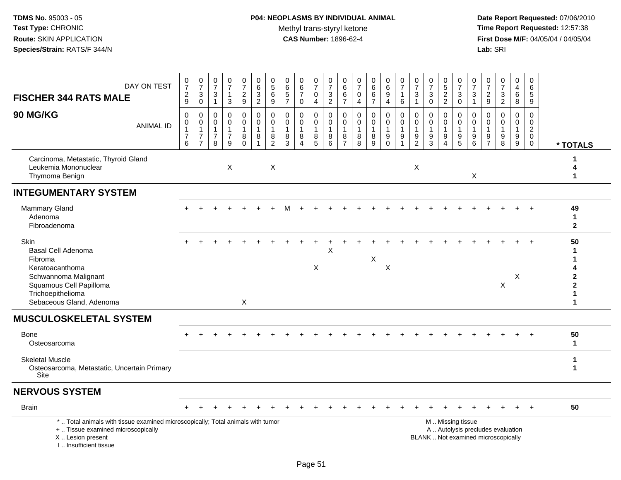# **P04: NEOPLASMS BY INDIVIDUAL ANIMAL**Methyl trans-styryl ketone<br>CAS Number: 1896-62-4

| DAY ON TEST<br><b>FISCHER 344 RATS MALE</b>                                                                                                                          | 0<br>$\overline{7}$<br>$\frac{2}{9}$          | $\begin{smallmatrix}0\\7\end{smallmatrix}$<br>$\sqrt{3}$<br>$\mathbf 0$           | 0<br>$\overline{7}$<br>3<br>$\mathbf{1}$ | 0<br>$\overline{7}$<br>$\mathbf{1}$<br>$\mathbf{3}$                         | $\frac{0}{7}$<br>$\frac{2}{9}$                      | $_{6}^{\rm 0}$<br>$\frac{3}{2}$                                       | $\begin{array}{c} 0 \\ 5 \end{array}$<br>$\,6$<br>$\boldsymbol{9}$      | $\begin{array}{c} 0 \\ 6 \end{array}$<br>$\sqrt{5}$<br>$\overline{7}$ | $\pmb{0}$<br>$6\phantom{a}$<br>$\overline{7}$<br>$\mathbf 0$      | 0<br>$\overline{7}$<br>0<br>$\overline{4}$ | 0<br>$\overline{7}$<br>$\ensuremath{\mathsf{3}}$<br>$\overline{2}$ | 0<br>$\,6$<br>6<br>$\overline{7}$ | $\frac{0}{7}$<br>$\pmb{0}$<br>$\overline{4}$         | $_6^0$<br>6<br>$\overline{7}$                 | $_{6}^{\rm 0}$<br>9<br>$\overline{4}$                                             | $\begin{array}{c} 0 \\ 7 \end{array}$<br>$\mathbf{1}$<br>6        | $\frac{0}{7}$<br>$\sqrt{3}$<br>$\overline{1}$               | $\frac{0}{7}$<br>$\sqrt{3}$<br>$\mathbf 0$           | 0<br>$\overline{5}$<br>$\overline{2}$<br>$\overline{2}$     | 0<br>$\overline{7}$<br>$\sqrt{3}$<br>$\mathbf 0$                      | 0<br>$\overline{7}$<br>3<br>$\mathbf{1}$ | $\frac{0}{7}$<br>$\frac{2}{9}$                                    | $\frac{0}{7}$<br>3<br>$\overline{2}$                                     | $\pmb{0}$<br>$\overline{4}$<br>6<br>8                           | 0<br>$\,6\,$<br>$\sqrt{5}$<br>9                                   |                                                                              |
|----------------------------------------------------------------------------------------------------------------------------------------------------------------------|-----------------------------------------------|-----------------------------------------------------------------------------------|------------------------------------------|-----------------------------------------------------------------------------|-----------------------------------------------------|-----------------------------------------------------------------------|-------------------------------------------------------------------------|-----------------------------------------------------------------------|-------------------------------------------------------------------|--------------------------------------------|--------------------------------------------------------------------|-----------------------------------|------------------------------------------------------|-----------------------------------------------|-----------------------------------------------------------------------------------|-------------------------------------------------------------------|-------------------------------------------------------------|------------------------------------------------------|-------------------------------------------------------------|-----------------------------------------------------------------------|------------------------------------------|-------------------------------------------------------------------|--------------------------------------------------------------------------|-----------------------------------------------------------------|-------------------------------------------------------------------|------------------------------------------------------------------------------|
| 90 MG/KG<br><b>ANIMAL ID</b>                                                                                                                                         | 0<br>0<br>$\mathbf{1}$<br>$\overline{7}$<br>6 | $\boldsymbol{0}$<br>$\pmb{0}$<br>$\mathbf{1}$<br>$\overline{7}$<br>$\overline{7}$ | 0<br>0<br>1<br>$\overline{7}$<br>8       | $\mathsf 0$<br>$\mathsf{O}\xspace$<br>$\mathbf{1}$<br>$\boldsymbol{7}$<br>9 | $\mathbf 0$<br>$\overline{0}$<br>1<br>8<br>$\Omega$ | $\pmb{0}$<br>$\ddot{\mathbf{0}}$<br>$\mathbf{1}$<br>8<br>$\mathbf{1}$ | $\mathsf{O}\xspace$<br>$\pmb{0}$<br>$\mathbf{1}$<br>8<br>$\overline{c}$ | $\mathbf 0$<br>$\mathbf 0$<br>$\overline{1}$<br>8<br>$\overline{3}$   | $\mathbf 0$<br>$\mathbf 0$<br>$\mathbf{1}$<br>8<br>$\overline{A}$ | 0<br>0<br>$\overline{1}$<br>8<br>5         | $\pmb{0}$<br>$\mathbf 0$<br>$\overline{1}$<br>8<br>$6\phantom{1}6$ | 0<br>0<br>8<br>$\overline{7}$     | $\mathsf 0$<br>$\mathbf 0$<br>$\mathbf{1}$<br>8<br>8 | $\mathsf{O}$<br>$\overline{0}$<br>1<br>8<br>9 | $\pmb{0}$<br>$\bar{0}$<br>$\mathbf{1}$<br>$\boldsymbol{9}$<br>$\ddot{\mathbf{0}}$ | $\mathbf 0$<br>$\pmb{0}$<br>$\overline{1}$<br>9<br>$\overline{1}$ | $\mathbf 0$<br>$\mathbf 0$<br>$\mathbf{1}$<br>$\frac{9}{2}$ | $\mathbf 0$<br>$\mathbf 0$<br>$\mathbf{1}$<br>9<br>3 | 0<br>$\mathbf 0$<br>$\mathbf{1}$<br>$9\,$<br>$\overline{4}$ | $\mathbf 0$<br>$\mathbf 0$<br>$\overline{1}$<br>$\boldsymbol{9}$<br>5 | 0<br>$\mathbf 0$<br>9<br>6               | $\mathbf 0$<br>$\mathbf 0$<br>$\mathbf{1}$<br>9<br>$\overline{7}$ | $\mathbf 0$<br>$\overline{0}$<br>1<br>9<br>$\overline{8}$                | $\pmb{0}$<br>$\mathbf 0$<br>$\mathbf{1}$<br>9<br>$\overline{9}$ | $\mathbf 0$<br>$\pmb{0}$<br>$\overline{a}$<br>$\overline{0}$<br>0 | * TOTALS                                                                     |
| Carcinoma, Metastatic, Thyroid Gland<br>Leukemia Mononuclear<br>Thymoma Benign                                                                                       |                                               |                                                                                   |                                          | X                                                                           |                                                     |                                                                       | $\times$                                                                |                                                                       |                                                                   |                                            |                                                                    |                                   |                                                      |                                               |                                                                                   |                                                                   | X                                                           |                                                      |                                                             |                                                                       | X                                        |                                                                   |                                                                          |                                                                 |                                                                   | 4<br>1                                                                       |
| <b>INTEGUMENTARY SYSTEM</b>                                                                                                                                          |                                               |                                                                                   |                                          |                                                                             |                                                     |                                                                       |                                                                         |                                                                       |                                                                   |                                            |                                                                    |                                   |                                                      |                                               |                                                                                   |                                                                   |                                                             |                                                      |                                                             |                                                                       |                                          |                                                                   |                                                                          |                                                                 |                                                                   |                                                                              |
| Mammary Gland<br>Adenoma<br>Fibroadenoma                                                                                                                             |                                               |                                                                                   |                                          |                                                                             |                                                     |                                                                       |                                                                         |                                                                       |                                                                   |                                            |                                                                    |                                   |                                                      |                                               |                                                                                   |                                                                   |                                                             |                                                      |                                                             |                                                                       |                                          |                                                                   |                                                                          |                                                                 |                                                                   | 49<br>1<br>$\mathbf{2}$                                                      |
| <b>Skin</b><br>Basal Cell Adenoma<br>Fibroma<br>Keratoacanthoma<br>Schwannoma Malignant<br>Squamous Cell Papilloma<br>Trichoepithelioma<br>Sebaceous Gland, Adenoma  |                                               |                                                                                   |                                          |                                                                             | X                                                   |                                                                       |                                                                         |                                                                       |                                                                   | $\ddot{}$<br>X                             | X                                                                  |                                   |                                                      | X                                             | $\sf X$                                                                           |                                                                   |                                                             |                                                      |                                                             |                                                                       |                                          |                                                                   | X                                                                        | X                                                               |                                                                   | 50<br>1<br>4<br>$\overline{\mathbf{2}}$<br>$\overline{\mathbf{2}}$<br>1<br>1 |
| <b>MUSCULOSKELETAL SYSTEM</b>                                                                                                                                        |                                               |                                                                                   |                                          |                                                                             |                                                     |                                                                       |                                                                         |                                                                       |                                                                   |                                            |                                                                    |                                   |                                                      |                                               |                                                                                   |                                                                   |                                                             |                                                      |                                                             |                                                                       |                                          |                                                                   |                                                                          |                                                                 |                                                                   |                                                                              |
| <b>Bone</b><br>Osteosarcoma                                                                                                                                          |                                               |                                                                                   |                                          |                                                                             |                                                     |                                                                       |                                                                         |                                                                       |                                                                   |                                            |                                                                    |                                   |                                                      |                                               |                                                                                   |                                                                   |                                                             |                                                      |                                                             |                                                                       |                                          |                                                                   |                                                                          |                                                                 |                                                                   | 50<br>1                                                                      |
| <b>Skeletal Muscle</b><br>Osteosarcoma, Metastatic, Uncertain Primary<br>Site                                                                                        |                                               |                                                                                   |                                          |                                                                             |                                                     |                                                                       |                                                                         |                                                                       |                                                                   |                                            |                                                                    |                                   |                                                      |                                               |                                                                                   |                                                                   |                                                             |                                                      |                                                             |                                                                       |                                          |                                                                   |                                                                          |                                                                 |                                                                   | 1<br>1                                                                       |
| <b>NERVOUS SYSTEM</b>                                                                                                                                                |                                               |                                                                                   |                                          |                                                                             |                                                     |                                                                       |                                                                         |                                                                       |                                                                   |                                            |                                                                    |                                   |                                                      |                                               |                                                                                   |                                                                   |                                                             |                                                      |                                                             |                                                                       |                                          |                                                                   |                                                                          |                                                                 |                                                                   |                                                                              |
| <b>Brain</b>                                                                                                                                                         |                                               |                                                                                   |                                          |                                                                             |                                                     |                                                                       |                                                                         |                                                                       |                                                                   |                                            |                                                                    |                                   |                                                      |                                               |                                                                                   |                                                                   |                                                             |                                                      |                                                             |                                                                       |                                          |                                                                   |                                                                          |                                                                 | $\div$                                                            | 50                                                                           |
| *  Total animals with tissue examined microscopically; Total animals with tumor<br>+  Tissue examined microscopically<br>X  Lesion present<br>L. Insufficient tissue |                                               |                                                                                   |                                          |                                                                             |                                                     |                                                                       |                                                                         |                                                                       |                                                                   |                                            |                                                                    |                                   |                                                      |                                               |                                                                                   |                                                                   |                                                             |                                                      |                                                             | M  Missing tissue                                                     |                                          |                                                                   | A  Autolysis precludes evaluation<br>BLANK  Not examined microscopically |                                                                 |                                                                   |                                                                              |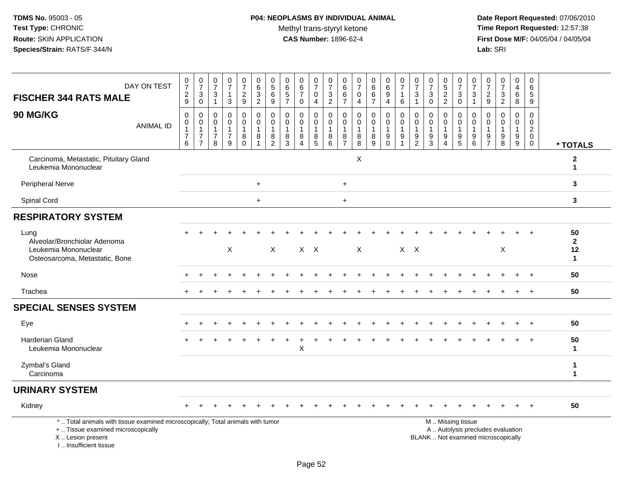# **P04: NEOPLASMS BY INDIVIDUAL ANIMAL**Methyl trans-styryl ketone<br>CAS Number: 1896-62-4

| DAY ON TEST<br><b>FISCHER 344 RATS MALE</b>                                                                                                                          |                  | $\frac{0}{7}$<br>$\frac{2}{9}$                                | $\frac{0}{7}$<br>$\frac{3}{0}$                                                        | $\frac{0}{7}$<br>3<br>$\mathbf{1}$ | $\begin{smallmatrix}0\\7\end{smallmatrix}$<br>$\mathbf{1}$<br>$\mathbf{3}$ | $\frac{0}{7}$<br>$\overline{c}$<br>9                         | $\mathbf 0$<br>$\,6\,$<br>$\frac{3}{2}$                         | $\begin{array}{c} 0 \\ 5 \end{array}$<br>$\,6\,$<br>$9\,$   | 0657                                                          | $\begin{array}{c} 0 \\ 6 \end{array}$<br>$\overline{7}$<br>$\mathbf 0$ | $\frac{0}{7}$<br>$\pmb{0}$<br>$\overline{4}$         | $\frac{0}{7}$<br>$\frac{3}{2}$                             | 0<br>6<br>6<br>$\overline{7}$                           | 0<br>$\overline{7}$<br>$\pmb{0}$<br>$\overline{4}$ | $\begin{array}{c} 0 \\ 6 \end{array}$<br>$rac{6}{7}$               | $\begin{matrix} 0 \\ 6 \\ 9 \end{matrix}$<br>$\overline{4}$ | $\frac{0}{7}$<br>$\mathbf{1}$<br>6                                               | $\frac{0}{7}$<br>3<br>$\overline{1}$                   | $\frac{0}{7}$<br>$\ensuremath{\mathsf{3}}$<br>$\mathbf 0$   | $\begin{array}{c} 0 \\ 5 \\ 2 \end{array}$<br>$\overline{2}$ | 0<br>$\overline{7}$<br>$\frac{3}{0}$                                                      | $\begin{array}{c} 0 \\ 7 \end{array}$<br>$\ensuremath{\mathsf{3}}$<br>$\mathbf{1}$ | $\frac{0}{7}$<br>$\frac{2}{9}$                                | $\frac{0}{7}$<br>$\sqrt{3}$<br>$\overline{2}$                            | $\pmb{0}$<br>$\overline{4}$<br>$\overline{6}$<br>8                  | $\mathbf 0$<br>6<br>5<br>$\boldsymbol{9}$                        |                                          |
|----------------------------------------------------------------------------------------------------------------------------------------------------------------------|------------------|---------------------------------------------------------------|---------------------------------------------------------------------------------------|------------------------------------|----------------------------------------------------------------------------|--------------------------------------------------------------|-----------------------------------------------------------------|-------------------------------------------------------------|---------------------------------------------------------------|------------------------------------------------------------------------|------------------------------------------------------|------------------------------------------------------------|---------------------------------------------------------|----------------------------------------------------|--------------------------------------------------------------------|-------------------------------------------------------------|----------------------------------------------------------------------------------|--------------------------------------------------------|-------------------------------------------------------------|--------------------------------------------------------------|-------------------------------------------------------------------------------------------|------------------------------------------------------------------------------------|---------------------------------------------------------------|--------------------------------------------------------------------------|---------------------------------------------------------------------|------------------------------------------------------------------|------------------------------------------|
| 90 MG/KG                                                                                                                                                             | <b>ANIMAL ID</b> | 0<br>$\pmb{0}$<br>$\mathbf{1}$<br>$\boldsymbol{7}$<br>$\,6\,$ | $\mathbf 0$<br>$\boldsymbol{0}$<br>$\mathbf{1}$<br>$\boldsymbol{7}$<br>$\overline{7}$ | 0<br>0<br>1<br>$\overline{7}$<br>8 | 0<br>$\mathbf 0$<br>$\mathbf{1}$<br>$\boldsymbol{7}$<br>9                  | $\pmb{0}$<br>$\mathbf 0$<br>$\mathbf{1}$<br>8<br>$\mathbf 0$ | $\pmb{0}$<br>$\mathbf 0$<br>$\mathbf{1}$<br>8<br>$\overline{1}$ | $\mathbf 0$<br>$\mathbf 0$<br>$\mathbf{1}$<br>$\frac{8}{2}$ | $\mathbf 0$<br>$\mathbf 0$<br>$\overline{1}$<br>$\frac{8}{3}$ | $\mathbf 0$<br>$\mathbf 0$<br>$\mathbf{1}$<br>8<br>$\overline{4}$      | 0<br>$\mathsf{O}\xspace$<br>1<br>8<br>$\overline{5}$ | $\pmb{0}$<br>$\mathsf{O}\xspace$<br>$\mathbf{1}$<br>$^8_6$ | 0<br>$\mathbf 0$<br>$\mathbf{1}$<br>8<br>$\overline{7}$ | 0<br>0<br>$\mathbf{1}$<br>$_{8}^8$                 | $\mathbf 0$<br>$\mathsf{O}\xspace$<br>$\mathbf{1}$<br>$\bf 8$<br>9 | $\pmb{0}$<br>$\pmb{0}$<br>$\overline{1}$<br>$_{0}^{9}$      | $\mathbf 0$<br>$\mathbf 0$<br>$\overline{1}$<br>$\boldsymbol{9}$<br>$\mathbf{1}$ | $\mathbf 0$<br>$\mathbf 0$<br>1<br>9<br>$\overline{c}$ | $\mathbf 0$<br>$\mathbf 0$<br>$\mathbf{1}$<br>$\frac{9}{3}$ | $\mathbf 0$<br>$\mathbf 0$<br>1<br>9<br>$\overline{4}$       | $\pmb{0}$<br>$\mathsf{O}\xspace$<br>$\mathbf{1}$<br>$\begin{array}{c} 9 \\ 5 \end{array}$ | $\mathbf 0$<br>$\mathsf 0$<br>$\mathbf{1}$<br>9<br>$6\phantom{a}$                  | $\mathbf 0$<br>$\mathbf 0$<br>$\overline{1}$<br>$\frac{9}{7}$ | $\mathbf 0$<br>$\mathbf 0$<br>$\overline{1}$<br>9<br>8                   | $\mathbf 0$<br>$\mathbf 0$<br>$\mathbf{1}$<br>$\boldsymbol{9}$<br>9 | $\mathbf 0$<br>$\mathbf 0$<br>$\overline{2}$<br>$\mathbf 0$<br>0 | * TOTALS                                 |
| Carcinoma, Metastatic, Pituitary Gland<br>Leukemia Mononuclear                                                                                                       |                  |                                                               |                                                                                       |                                    |                                                                            |                                                              |                                                                 |                                                             |                                                               |                                                                        |                                                      |                                                            |                                                         | X                                                  |                                                                    |                                                             |                                                                                  |                                                        |                                                             |                                                              |                                                                                           |                                                                                    |                                                               |                                                                          |                                                                     |                                                                  | $\boldsymbol{2}$<br>$\mathbf{1}$         |
| Peripheral Nerve                                                                                                                                                     |                  |                                                               |                                                                                       |                                    |                                                                            |                                                              | $+$                                                             |                                                             |                                                               |                                                                        |                                                      |                                                            | $+$                                                     |                                                    |                                                                    |                                                             |                                                                                  |                                                        |                                                             |                                                              |                                                                                           |                                                                                    |                                                               |                                                                          |                                                                     |                                                                  | 3                                        |
| Spinal Cord                                                                                                                                                          |                  |                                                               |                                                                                       |                                    |                                                                            |                                                              | $+$                                                             |                                                             |                                                               |                                                                        |                                                      |                                                            | $+$                                                     |                                                    |                                                                    |                                                             |                                                                                  |                                                        |                                                             |                                                              |                                                                                           |                                                                                    |                                                               |                                                                          |                                                                     |                                                                  | 3                                        |
| <b>RESPIRATORY SYSTEM</b>                                                                                                                                            |                  |                                                               |                                                                                       |                                    |                                                                            |                                                              |                                                                 |                                                             |                                                               |                                                                        |                                                      |                                                            |                                                         |                                                    |                                                                    |                                                             |                                                                                  |                                                        |                                                             |                                                              |                                                                                           |                                                                                    |                                                               |                                                                          |                                                                     |                                                                  |                                          |
| Lung<br>Alveolar/Bronchiolar Adenoma<br>Leukemia Mononuclear<br>Osteosarcoma, Metastatic, Bone                                                                       |                  |                                                               |                                                                                       |                                    | $\mathsf X$                                                                |                                                              |                                                                 | $\times$                                                    |                                                               |                                                                        | $X$ $X$                                              |                                                            |                                                         | X                                                  |                                                                    |                                                             |                                                                                  | $X$ $X$                                                |                                                             |                                                              |                                                                                           |                                                                                    |                                                               | X                                                                        |                                                                     |                                                                  | 50<br>$\mathbf{2}$<br>12<br>$\mathbf{1}$ |
| Nose                                                                                                                                                                 |                  |                                                               |                                                                                       |                                    |                                                                            |                                                              |                                                                 |                                                             |                                                               |                                                                        |                                                      |                                                            |                                                         |                                                    |                                                                    |                                                             |                                                                                  |                                                        |                                                             |                                                              |                                                                                           |                                                                                    |                                                               |                                                                          |                                                                     |                                                                  | 50                                       |
| Trachea                                                                                                                                                              |                  | $+$                                                           |                                                                                       |                                    |                                                                            |                                                              |                                                                 |                                                             |                                                               |                                                                        |                                                      |                                                            |                                                         |                                                    |                                                                    |                                                             |                                                                                  |                                                        |                                                             |                                                              |                                                                                           |                                                                                    |                                                               |                                                                          |                                                                     | $\ddot{}$                                                        | 50                                       |
| <b>SPECIAL SENSES SYSTEM</b>                                                                                                                                         |                  |                                                               |                                                                                       |                                    |                                                                            |                                                              |                                                                 |                                                             |                                                               |                                                                        |                                                      |                                                            |                                                         |                                                    |                                                                    |                                                             |                                                                                  |                                                        |                                                             |                                                              |                                                                                           |                                                                                    |                                                               |                                                                          |                                                                     |                                                                  |                                          |
| Eye                                                                                                                                                                  |                  |                                                               |                                                                                       |                                    |                                                                            |                                                              |                                                                 |                                                             |                                                               |                                                                        |                                                      |                                                            |                                                         |                                                    |                                                                    |                                                             |                                                                                  |                                                        |                                                             |                                                              |                                                                                           |                                                                                    |                                                               |                                                                          |                                                                     |                                                                  | 50                                       |
| <b>Harderian Gland</b><br>Leukemia Mononuclear                                                                                                                       |                  |                                                               |                                                                                       |                                    |                                                                            |                                                              |                                                                 |                                                             |                                                               | $\mathsf X$                                                            |                                                      |                                                            |                                                         |                                                    |                                                                    |                                                             |                                                                                  |                                                        |                                                             |                                                              |                                                                                           |                                                                                    |                                                               |                                                                          |                                                                     |                                                                  | 50<br>$\mathbf 1$                        |
| Zymbal's Gland<br>Carcinoma                                                                                                                                          |                  |                                                               |                                                                                       |                                    |                                                                            |                                                              |                                                                 |                                                             |                                                               |                                                                        |                                                      |                                                            |                                                         |                                                    |                                                                    |                                                             |                                                                                  |                                                        |                                                             |                                                              |                                                                                           |                                                                                    |                                                               |                                                                          |                                                                     |                                                                  | $\mathbf{1}$<br>$\mathbf{1}$             |
| <b>URINARY SYSTEM</b>                                                                                                                                                |                  |                                                               |                                                                                       |                                    |                                                                            |                                                              |                                                                 |                                                             |                                                               |                                                                        |                                                      |                                                            |                                                         |                                                    |                                                                    |                                                             |                                                                                  |                                                        |                                                             |                                                              |                                                                                           |                                                                                    |                                                               |                                                                          |                                                                     |                                                                  |                                          |
| Kidney                                                                                                                                                               |                  |                                                               |                                                                                       |                                    |                                                                            |                                                              |                                                                 |                                                             |                                                               |                                                                        |                                                      |                                                            |                                                         |                                                    |                                                                    |                                                             |                                                                                  |                                                        |                                                             |                                                              |                                                                                           |                                                                                    |                                                               |                                                                          |                                                                     |                                                                  | 50                                       |
| *  Total animals with tissue examined microscopically; Total animals with tumor<br>+  Tissue examined microscopically<br>X  Lesion present<br>L. Insufficient tissue |                  |                                                               |                                                                                       |                                    |                                                                            |                                                              |                                                                 |                                                             |                                                               |                                                                        |                                                      |                                                            |                                                         |                                                    |                                                                    |                                                             |                                                                                  |                                                        |                                                             | M  Missing tissue                                            |                                                                                           |                                                                                    |                                                               | A  Autolysis precludes evaluation<br>BLANK  Not examined microscopically |                                                                     |                                                                  |                                          |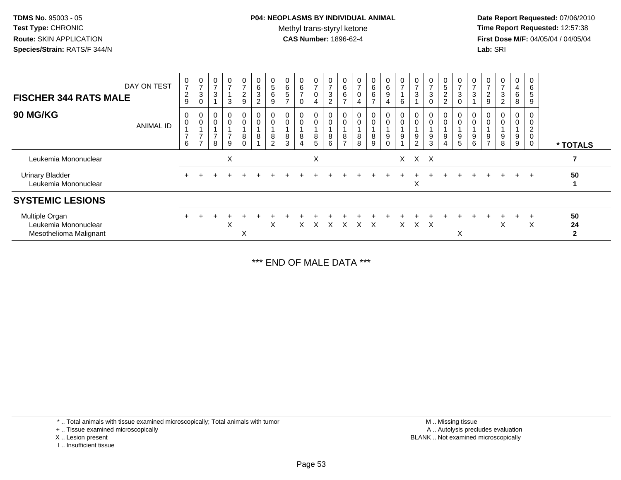# **P04: NEOPLASMS BY INDIVIDUAL ANIMAL**Methyl trans-styryl ketone<br>CAS Number: 1896-62-4

 **Date Report Requested:** 07/06/2010 **Time Report Requested:** 12:57:38 **First Dose M/F:** 04/05/04 / 04/05/04<br>**Lab:** SRI **Lab:** SRI

| DAY ON TEST<br><b>FISCHER 344 RATS MALE</b>                      | $\frac{0}{7}$<br>$\sqrt{2}$<br>9 | $\frac{0}{7}$<br>3<br>0                            | $\mathbf 0$<br>$\overline{7}$<br>$\mathbf{3}$          | $\frac{0}{7}$<br>3            | $\frac{0}{7}$<br>$\overline{c}$<br>9 | $\begin{matrix} 0 \\ 6 \end{matrix}$<br>$\sqrt{3}$<br>$\overline{2}$ | $\frac{0}{5}$<br>$\,6\,$<br>9 | $\frac{0}{6}$<br>5<br>$\rightarrow$ | 6<br>⇁ | $\frac{0}{7}$<br>0            | $\frac{0}{7}$<br>$\ensuremath{\mathsf{3}}$<br>◠ | $\begin{matrix} 0 \\ 6 \end{matrix}$<br>$\,6\,$<br>$\rightarrow$ | $\frac{0}{7}$<br>$\pmb{0}$<br>4                            | $0\over 6$<br>6<br>$\rightarrow$ | $\begin{matrix} 0 \\ 6 \end{matrix}$<br>$9\,$<br>4 | $\frac{0}{7}$<br>6                   | $\overline{ }$<br>3 | $\frac{0}{7}$<br>$\mathbf{3}$<br>$\Omega$ | $\begin{matrix} 0 \\ 5 \end{matrix}$<br>$\overline{c}$<br>$\overline{2}$ | 0<br>$\overline{7}$<br>$\mathbf{3}$ | $\overline{ }$<br>3 | $\overline{ }$<br>$\overline{\mathbf{c}}$<br>9 | $\frac{0}{7}$<br>3<br>$\overline{2}$ | $\mathbf 0$<br>4<br>6<br>8 | 0<br>6<br>5<br>9                                               |                            |
|------------------------------------------------------------------|----------------------------------|----------------------------------------------------|--------------------------------------------------------|-------------------------------|--------------------------------------|----------------------------------------------------------------------|-------------------------------|-------------------------------------|--------|-------------------------------|-------------------------------------------------|------------------------------------------------------------------|------------------------------------------------------------|----------------------------------|----------------------------------------------------|--------------------------------------|---------------------|-------------------------------------------|--------------------------------------------------------------------------|-------------------------------------|---------------------|------------------------------------------------|--------------------------------------|----------------------------|----------------------------------------------------------------|----------------------------|
| <b>90 MG/KG</b><br><b>ANIMAL ID</b>                              | 0<br>0<br>$\overline{ }$<br>6    | 0<br>$\pmb{0}$<br>$\overline{ }$<br>$\overline{ }$ | $\boldsymbol{0}$<br>$\mathbf 0$<br>$\overline{ }$<br>8 | $_0^0$<br>$\overline{ }$<br>9 | 0<br>0<br>8                          | $\begin{smallmatrix} 0\\0 \end{smallmatrix}$<br>$\,8\,$              | 0<br>8<br>$\overline{2}$      | 8<br>3                              | 8<br>4 | $\mathsf{O}\xspace$<br>8<br>5 | 0<br>8<br>6                                     | 0<br>$\pmb{0}$<br>$\frac{8}{7}$                                  | $\begin{smallmatrix}0\\0\end{smallmatrix}$<br>$\bf 8$<br>8 | 0<br>0<br>8<br>9                 | $\pmb{0}$<br>9<br>$\Omega$                         | $\boldsymbol{0}$<br>$\mathbf 0$<br>9 | 9<br>$\overline{2}$ | 0<br>$\pmb{0}$<br>9<br>3                  | 0<br>$\pmb{0}$<br>9<br>$\overline{4}$                                    | $\pmb{0}$<br>9<br>5                 | 9<br>6              | $\frac{9}{7}$                                  | 0<br>0<br>9<br>8                     | 0<br>$\pmb{0}$<br>9<br>9   | 0<br>$\mathbf 0$<br>$\overline{2}$<br>$\pmb{0}$<br>$\mathbf 0$ | * TOTALS                   |
| Leukemia Mononuclear                                             |                                  |                                                    |                                                        | X                             |                                      |                                                                      |                               |                                     |        | X                             |                                                 |                                                                  |                                                            |                                  |                                                    |                                      | X X X               |                                           |                                                                          |                                     |                     |                                                |                                      |                            |                                                                |                            |
| <b>Urinary Bladder</b><br>Leukemia Mononuclear                   |                                  |                                                    |                                                        |                               |                                      |                                                                      |                               |                                     |        |                               |                                                 |                                                                  |                                                            |                                  |                                                    |                                      | X                   |                                           |                                                                          |                                     |                     |                                                |                                      | $+$                        | $+$                                                            | 50                         |
| <b>SYSTEMIC LESIONS</b>                                          |                                  |                                                    |                                                        |                               |                                      |                                                                      |                               |                                     |        |                               |                                                 |                                                                  |                                                            |                                  |                                                    |                                      |                     |                                           |                                                                          |                                     |                     |                                                |                                      |                            |                                                                |                            |
| Multiple Organ<br>Leukemia Mononuclear<br>Mesothelioma Malignant |                                  |                                                    |                                                        | X                             | X                                    |                                                                      | X                             |                                     | X.     | X                             | $\times$                                        | $\times$                                                         | $X \times$                                                 |                                  |                                                    | $\times$                             | $X$ $X$             |                                           |                                                                          | X                                   |                     |                                                | X                                    |                            | $\div$<br>X                                                    | 50<br>24<br>$\overline{2}$ |

\*\*\* END OF MALE DATA \*\*\*

\* .. Total animals with tissue examined microscopically; Total animals with tumor

+ .. Tissue examined microscopically

X .. Lesion present

I .. Insufficient tissue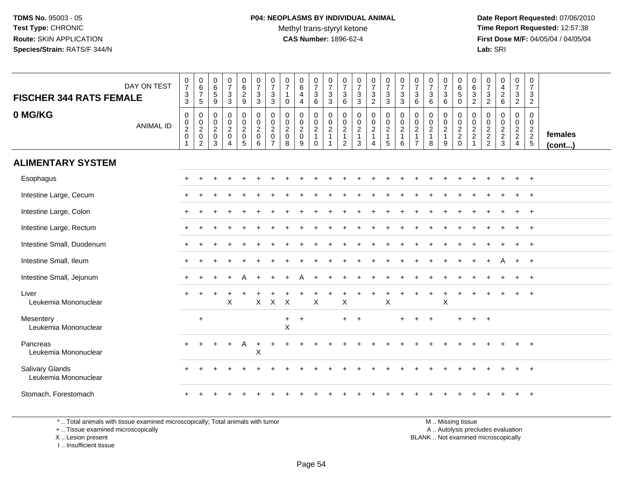**Date Report Requested:** 07/06/2010 **Time Report Requested:** 12:57:38 **First Dose M/F:** 04/05/04 / 04/05/04<br>**Lab:** SRI **Lab:** SRI

| <b>FISCHER 344 RATS FEMALE</b>                 | DAY ON TEST      | $\begin{array}{c} 0 \\ 7 \end{array}$<br>$\overline{3}$<br>$\mathbf{3}$ | $\begin{array}{c} 0 \\ 6 \\ 7 \end{array}$<br>$5\phantom{.0}$                   | $\begin{array}{c} 0 \\ 6 \\ 5 \end{array}$<br>9                 | $\begin{matrix} 0 \\ 7 \end{matrix}$<br>$\mathbf{3}$<br>3                     | $\pmb{0}$<br>$\begin{array}{c} 6 \\ 2 \\ 9 \end{array}$ | $\begin{array}{c} 0 \\ 7 \end{array}$<br>$\overline{3}$<br>$\mathbf{3}$ | $\frac{0}{7}$<br>3<br>3                                   | $\begin{array}{c} 0 \\ 7 \end{array}$<br>$\mathbf{1}$<br>0 | $\begin{array}{c} 0 \\ 6 \end{array}$<br>$\overline{4}$<br>$\overline{4}$ | $\begin{array}{c} 0 \\ 7 \end{array}$<br>$\ensuremath{\mathsf{3}}$<br>$6\phantom{1}$ | $\frac{0}{7}$<br>$\sqrt{3}$<br>$\mathbf{3}$       | $\frac{0}{7}$<br>3<br>$\,6\,$                        | $\frac{0}{7}$<br>$\sqrt{3}$<br>$\mathbf{3}$       | $\frac{0}{7}$<br>$\mathbf{3}$<br>$\overline{2}$ | $\frac{0}{7}$<br>$\mathbf{3}$<br>3                      | $\frac{0}{7}$<br>$\ensuremath{\mathsf{3}}$<br>$\mathbf{3}$ | $\frac{0}{7}$<br>$\sqrt{3}$<br>6                                     | $\frac{0}{7}$<br>3<br>6                                 | $\frac{0}{7}$<br>3<br>$\,6\,$                         | $\begin{array}{c} 0 \\ 6 \\ 5 \end{array}$<br>$\mathbf 0$  | $\begin{matrix} 0 \\ 6 \\ 3 \end{matrix}$<br>$\overline{c}$ | 0<br>$\overline{7}$<br>$\mathbf{3}$<br>$\sqrt{2}$ | $\pmb{0}$<br>$\overline{4}$<br>$\overline{2}$<br>$6\phantom{1}6$ | 0<br>$\overline{7}$<br>$\ensuremath{\mathsf{3}}$<br>$\sqrt{2}$ | $\mathbf 0$<br>$\overline{7}$<br>3<br>$\overline{2}$ |                   |
|------------------------------------------------|------------------|-------------------------------------------------------------------------|---------------------------------------------------------------------------------|-----------------------------------------------------------------|-------------------------------------------------------------------------------|---------------------------------------------------------|-------------------------------------------------------------------------|-----------------------------------------------------------|------------------------------------------------------------|---------------------------------------------------------------------------|--------------------------------------------------------------------------------------|---------------------------------------------------|------------------------------------------------------|---------------------------------------------------|-------------------------------------------------|---------------------------------------------------------|------------------------------------------------------------|----------------------------------------------------------------------|---------------------------------------------------------|-------------------------------------------------------|------------------------------------------------------------|-------------------------------------------------------------|---------------------------------------------------|------------------------------------------------------------------|----------------------------------------------------------------|------------------------------------------------------|-------------------|
| 0 MG/KG                                        | <b>ANIMAL ID</b> | 0<br>$\begin{smallmatrix} 0\\2\\0 \end{smallmatrix}$<br>$\overline{1}$  | $\boldsymbol{0}$<br>$\begin{matrix} 0 \\ 2 \\ 0 \end{matrix}$<br>$\overline{c}$ | 0<br>$\mathbf 0$<br>$\overline{\mathbf{c}}$<br>$\mathbf 0$<br>3 | $\mathbf 0$<br>$\mathbf 0$<br>$\overline{2}$<br>$\mathbf 0$<br>$\overline{4}$ | 0<br>$\mathbf 0$<br>$\frac{2}{0}$<br>$\overline{5}$     | $\mathbf 0$<br>$\mathbf 0$<br>$\frac{2}{0}$<br>6                        | 0<br>0<br>$\overline{a}$<br>$\mathbf 0$<br>$\overline{7}$ | 0<br>$\mathbf 0$<br>$\boldsymbol{2}$<br>$\mathbf 0$<br>8   | $\mathbf 0$<br>$\mathbf 0$<br>$\frac{2}{0}$<br>9                          | 0<br>$\mathbf 0$<br>$\frac{2}{1}$<br>$\mathbf 0$                                     | 0<br>$\mathbf 0$<br>$\frac{2}{1}$<br>$\mathbf{1}$ | 0<br>$\mathbf 0$<br>$\overline{c}$<br>$\overline{c}$ | $\mathbf 0$<br>$\frac{0}{2}$<br>1<br>$\mathbf{3}$ | $\mathbf 0$<br>$\frac{0}{2}$<br>$\overline{4}$  | 0<br>$\mathbf 0$<br>$\overline{2}$<br>$\mathbf{1}$<br>5 | $\begin{array}{c} 0 \\ 0 \\ 2 \\ 1 \end{array}$<br>6       | 0<br>$\mathbf 0$<br>$\overline{2}$<br>$\mathbf{1}$<br>$\overline{7}$ | 0<br>$\mathbf 0$<br>$\overline{2}$<br>$\mathbf{1}$<br>8 | 0<br>$\pmb{0}$<br>$\overline{2}$<br>$\mathbf{1}$<br>9 | $\mathbf 0$<br>$\mathbf 0$<br>$\frac{2}{2}$<br>$\mathbf 0$ | 0<br>$\pmb{0}$<br>$\frac{2}{2}$<br>$\overline{1}$           | 0<br>0<br>$\frac{2}{2}$                           | $\mathbf 0$<br>$\mathbf 0$<br>$\frac{2}{2}$<br>$\mathbf{3}$      | 0<br>$\mathbf 0$<br>$\frac{2}{2}$<br>$\overline{4}$            | 0<br>$\mathbf 0$<br>$\frac{2}{2}$<br>5               | females<br>(cont) |
| <b>ALIMENTARY SYSTEM</b>                       |                  |                                                                         |                                                                                 |                                                                 |                                                                               |                                                         |                                                                         |                                                           |                                                            |                                                                           |                                                                                      |                                                   |                                                      |                                                   |                                                 |                                                         |                                                            |                                                                      |                                                         |                                                       |                                                            |                                                             |                                                   |                                                                  |                                                                |                                                      |                   |
| Esophagus                                      |                  |                                                                         |                                                                                 |                                                                 |                                                                               |                                                         |                                                                         |                                                           |                                                            |                                                                           |                                                                                      |                                                   |                                                      |                                                   |                                                 |                                                         |                                                            |                                                                      |                                                         |                                                       |                                                            |                                                             |                                                   |                                                                  |                                                                |                                                      |                   |
| Intestine Large, Cecum                         |                  |                                                                         |                                                                                 |                                                                 |                                                                               |                                                         |                                                                         |                                                           |                                                            |                                                                           |                                                                                      |                                                   |                                                      |                                                   |                                                 |                                                         |                                                            |                                                                      |                                                         |                                                       |                                                            |                                                             |                                                   |                                                                  |                                                                |                                                      |                   |
| Intestine Large, Colon                         |                  |                                                                         |                                                                                 |                                                                 |                                                                               |                                                         |                                                                         |                                                           |                                                            |                                                                           |                                                                                      |                                                   |                                                      |                                                   |                                                 |                                                         |                                                            |                                                                      |                                                         |                                                       |                                                            |                                                             |                                                   |                                                                  |                                                                |                                                      |                   |
| Intestine Large, Rectum                        |                  |                                                                         |                                                                                 |                                                                 |                                                                               |                                                         |                                                                         |                                                           |                                                            |                                                                           |                                                                                      |                                                   |                                                      |                                                   |                                                 |                                                         |                                                            |                                                                      |                                                         |                                                       |                                                            |                                                             |                                                   |                                                                  |                                                                | $\overline{1}$                                       |                   |
| Intestine Small, Duodenum                      |                  |                                                                         |                                                                                 |                                                                 |                                                                               |                                                         |                                                                         |                                                           |                                                            |                                                                           |                                                                                      |                                                   |                                                      |                                                   |                                                 |                                                         |                                                            |                                                                      |                                                         |                                                       |                                                            |                                                             |                                                   |                                                                  |                                                                | $+$                                                  |                   |
| Intestine Small, Ileum                         |                  |                                                                         |                                                                                 |                                                                 |                                                                               |                                                         |                                                                         |                                                           |                                                            |                                                                           |                                                                                      |                                                   |                                                      |                                                   |                                                 |                                                         |                                                            |                                                                      |                                                         |                                                       |                                                            |                                                             |                                                   |                                                                  | $+$                                                            | $^{+}$                                               |                   |
| Intestine Small, Jejunum                       |                  |                                                                         |                                                                                 |                                                                 |                                                                               |                                                         |                                                                         |                                                           |                                                            |                                                                           |                                                                                      |                                                   |                                                      |                                                   |                                                 |                                                         |                                                            |                                                                      |                                                         |                                                       |                                                            |                                                             |                                                   |                                                                  |                                                                | $+$                                                  |                   |
| Liver<br>Leukemia Mononuclear                  |                  |                                                                         |                                                                                 |                                                                 | X                                                                             |                                                         | $\mathsf{X}$                                                            | $\mathsf X$                                               | $\boldsymbol{\mathsf{X}}$                                  |                                                                           | $\boldsymbol{\mathsf{X}}$                                                            |                                                   | X                                                    |                                                   |                                                 | $\sf X$                                                 |                                                            |                                                                      |                                                         | $\sf X$                                               |                                                            |                                                             |                                                   |                                                                  |                                                                |                                                      |                   |
| Mesentery<br>Leukemia Mononuclear              |                  |                                                                         | $\ddot{}$                                                                       |                                                                 |                                                                               |                                                         |                                                                         |                                                           | $\ddot{}$<br>$\mathsf X$                                   | $\ddot{}$                                                                 |                                                                                      |                                                   | $\ddot{}$                                            | $\ddot{}$                                         |                                                 |                                                         |                                                            |                                                                      |                                                         |                                                       | $\ddot{}$                                                  | $+$                                                         | $\overline{+}$                                    |                                                                  |                                                                |                                                      |                   |
| Pancreas<br>Leukemia Mononuclear               |                  |                                                                         |                                                                                 |                                                                 |                                                                               | A                                                       | $+$<br>X                                                                |                                                           |                                                            |                                                                           |                                                                                      |                                                   |                                                      |                                                   |                                                 |                                                         |                                                            |                                                                      |                                                         |                                                       |                                                            |                                                             |                                                   |                                                                  |                                                                |                                                      |                   |
| <b>Salivary Glands</b><br>Leukemia Mononuclear |                  |                                                                         |                                                                                 |                                                                 |                                                                               |                                                         |                                                                         |                                                           |                                                            |                                                                           |                                                                                      |                                                   |                                                      |                                                   |                                                 |                                                         |                                                            |                                                                      |                                                         |                                                       |                                                            |                                                             |                                                   |                                                                  |                                                                |                                                      |                   |
| Stomach, Forestomach                           |                  |                                                                         |                                                                                 |                                                                 |                                                                               |                                                         |                                                                         |                                                           |                                                            |                                                                           |                                                                                      |                                                   |                                                      |                                                   |                                                 |                                                         |                                                            |                                                                      |                                                         |                                                       |                                                            |                                                             |                                                   |                                                                  |                                                                |                                                      |                   |

\* .. Total animals with tissue examined microscopically; Total animals with tumor

+ .. Tissue examined microscopically

X .. Lesion present

I .. Insufficient tissue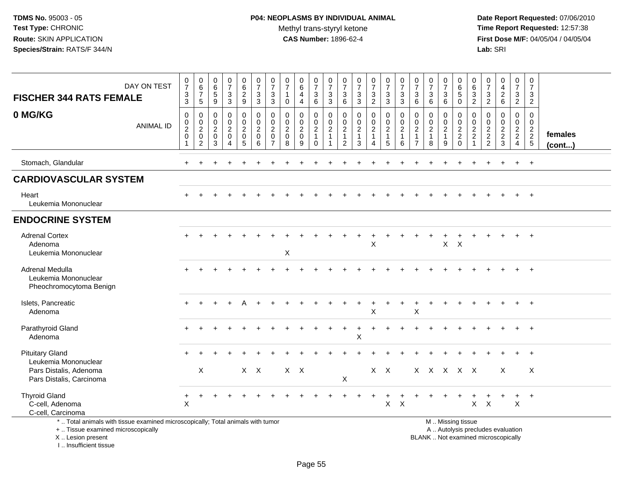**Date Report Requested:** 07/06/2010 **Time Report Requested:** 12:57:38 **First Dose M/F:** 04/05/04 / 04/05/04<br>Lab: SRI **Lab:** SRI

| <b>FISCHER 344 RATS FEMALE</b>                                                                                                             | DAY ON TEST      | $\pmb{0}$<br>$\overline{7}$<br>$\frac{3}{3}$                      | 0<br>$6\phantom{a}$<br>$\overline{7}$<br>$\sqrt{5}$                                  | 0<br>$\,6\,$<br>5<br>$\boldsymbol{9}$                            | $\frac{0}{7}$<br>$_3^3$                                        | $\begin{array}{c} 0 \\ 6 \end{array}$<br>$\frac{2}{9}$ | $\frac{0}{7}$<br>$\frac{3}{3}$               | 0<br>$\overline{7}$<br>3<br>3                                              | 0<br>$\overline{7}$<br>$\mathbf{1}$<br>$\mathbf 0$             | $_6^0$<br>$\overline{4}$<br>$\overline{4}$                       | $\frac{0}{7}$<br>$\mathbf{3}$<br>6                    | 0<br>$\overline{7}$<br>$_3^3$                                        | 0<br>$\overline{7}$<br>3<br>$\,6\,$                               | 0<br>$\overline{7}$<br>$\mathbf{3}$<br>$\mathbf{3}$               | $\frac{0}{7}$<br>$\frac{3}{2}$                          | $\frac{0}{7}$<br>$\frac{3}{3}$                                       | $\frac{0}{7}$<br>$\sqrt{3}$<br>$\overline{3}$                     | $\frac{0}{7}$<br>$^3$ 6                                              | $\frac{0}{7}$<br>$\sqrt{3}$<br>6                              | 0<br>$\overline{7}$<br>3<br>$\,6$                       | 0<br>$\,6\,$<br>$\,$ 5 $\,$<br>0                       | 0<br>$\,6$<br>$\sqrt{3}$<br>$\overline{2}$                                     | 0<br>$\overline{7}$<br>3<br>$\overline{2}$                                | $\begin{smallmatrix}0\\4\end{smallmatrix}$<br>$\begin{array}{c} 2 \\ 6 \end{array}$ | 0<br>$\overline{7}$<br>3<br>$\overline{2}$                     | 0<br>$\overline{7}$<br>3<br>$\overline{2}$                 |                         |
|--------------------------------------------------------------------------------------------------------------------------------------------|------------------|-------------------------------------------------------------------|--------------------------------------------------------------------------------------|------------------------------------------------------------------|----------------------------------------------------------------|--------------------------------------------------------|----------------------------------------------|----------------------------------------------------------------------------|----------------------------------------------------------------|------------------------------------------------------------------|-------------------------------------------------------|----------------------------------------------------------------------|-------------------------------------------------------------------|-------------------------------------------------------------------|---------------------------------------------------------|----------------------------------------------------------------------|-------------------------------------------------------------------|----------------------------------------------------------------------|---------------------------------------------------------------|---------------------------------------------------------|--------------------------------------------------------|--------------------------------------------------------------------------------|---------------------------------------------------------------------------|-------------------------------------------------------------------------------------|----------------------------------------------------------------|------------------------------------------------------------|-------------------------|
| 0 MG/KG                                                                                                                                    | <b>ANIMAL ID</b> | $\mathbf 0$<br>$\boldsymbol{0}$<br>$\sqrt{2}$<br>$\mathbf 0$<br>1 | $\mathbf 0$<br>$\mathbf 0$<br>$\boldsymbol{2}$<br>$\boldsymbol{0}$<br>$\overline{2}$ | $\mathbf 0$<br>$\mathbf 0$<br>$\overline{2}$<br>$\mathbf 0$<br>3 | $\mathbf 0$<br>$\mathbf 0$<br>$\overline{2}$<br>$\pmb{0}$<br>4 | 0<br>$\mathbf 0$<br>$^2_{\rm 0}$<br>$\sqrt{5}$         | 0<br>$\mathbf 0$<br>$\overline{2}$<br>0<br>6 | $\mathbf 0$<br>$\Omega$<br>$\overline{2}$<br>$\mathbf 0$<br>$\overline{7}$ | $\mathbf 0$<br>$\mathbf 0$<br>$\overline{2}$<br>$\pmb{0}$<br>8 | $\mathbf 0$<br>$\mathbf 0$<br>$\overline{2}$<br>$\mathsf 0$<br>9 | 0<br>0<br>$\overline{2}$<br>$\mathbf{1}$<br>$\pmb{0}$ | $\mathbf 0$<br>$\mathbf 0$<br>$\overline{2}$<br>$\overline{1}$<br>-1 | 0<br>$\Omega$<br>$\overline{2}$<br>$\mathbf{1}$<br>$\overline{2}$ | $\mathbf 0$<br>$\mathbf 0$<br>$\overline{c}$<br>$\mathbf{1}$<br>3 | 0<br>$\mathbf 0$<br>$\overline{2}$<br>$\mathbf{1}$<br>4 | $\mathbf 0$<br>$\overline{0}$<br>$\overline{2}$<br>$\mathbf{1}$<br>5 | $\mathbf 0$<br>$\mathbf 0$<br>$\overline{2}$<br>$\mathbf{1}$<br>6 | 0<br>$\mathbf 0$<br>$\overline{2}$<br>$\mathbf{1}$<br>$\overline{7}$ | $\mathbf 0$<br>$\mathbf 0$<br>$\sqrt{2}$<br>$\mathbf{1}$<br>8 | 0<br>$\mathbf 0$<br>$\overline{2}$<br>$\mathbf{1}$<br>9 | 0<br>$\mathbf 0$<br>$\frac{2}{2}$<br>0                 | $\mathbf 0$<br>$\mathbf 0$<br>$\overline{2}$<br>$\overline{2}$<br>$\mathbf{1}$ | $\mathbf{0}$<br>$\mathbf 0$<br>$\begin{array}{c} 2 \\ 2 \\ 2 \end{array}$ | $\mathbf 0$<br>$\mathbf 0$<br>$\frac{2}{3}$                                         | $\mathbf 0$<br>$\mathbf{0}$<br>$\frac{2}{2}$<br>$\overline{4}$ | $\mathbf 0$<br>$\mathbf 0$<br>$\frac{2}{2}$<br>$\,$ 5 $\,$ | females<br>$($ cont $)$ |
| Stomach, Glandular                                                                                                                         |                  |                                                                   |                                                                                      |                                                                  | $\div$                                                         | $\ddot{}$                                              |                                              |                                                                            |                                                                |                                                                  | $\ddot{}$                                             |                                                                      |                                                                   |                                                                   |                                                         | $\ddot{}$                                                            | $\ddot{}$                                                         |                                                                      |                                                               |                                                         |                                                        |                                                                                |                                                                           |                                                                                     | $\ddot{}$                                                      | $+$                                                        |                         |
| <b>CARDIOVASCULAR SYSTEM</b>                                                                                                               |                  |                                                                   |                                                                                      |                                                                  |                                                                |                                                        |                                              |                                                                            |                                                                |                                                                  |                                                       |                                                                      |                                                                   |                                                                   |                                                         |                                                                      |                                                                   |                                                                      |                                                               |                                                         |                                                        |                                                                                |                                                                           |                                                                                     |                                                                |                                                            |                         |
| Heart<br>Leukemia Mononuclear                                                                                                              |                  |                                                                   |                                                                                      |                                                                  |                                                                |                                                        |                                              |                                                                            |                                                                |                                                                  |                                                       |                                                                      |                                                                   |                                                                   |                                                         |                                                                      |                                                                   |                                                                      |                                                               |                                                         |                                                        |                                                                                |                                                                           |                                                                                     |                                                                | $+$                                                        |                         |
| <b>ENDOCRINE SYSTEM</b>                                                                                                                    |                  |                                                                   |                                                                                      |                                                                  |                                                                |                                                        |                                              |                                                                            |                                                                |                                                                  |                                                       |                                                                      |                                                                   |                                                                   |                                                         |                                                                      |                                                                   |                                                                      |                                                               |                                                         |                                                        |                                                                                |                                                                           |                                                                                     |                                                                |                                                            |                         |
| <b>Adrenal Cortex</b><br>Adenoma<br>Leukemia Mononuclear                                                                                   |                  |                                                                   |                                                                                      |                                                                  |                                                                |                                                        |                                              |                                                                            | $\pmb{\times}$                                                 |                                                                  |                                                       |                                                                      |                                                                   |                                                                   | $\ddot{}$<br>X                                          | $\ddot{}$                                                            |                                                                   |                                                                      |                                                               | $\ddot{}$<br>$\mathsf{X}$                               | $\mathsf{X}$                                           |                                                                                |                                                                           |                                                                                     |                                                                |                                                            |                         |
| Adrenal Medulla<br>Leukemia Mononuclear<br>Pheochromocytoma Benign                                                                         |                  |                                                                   |                                                                                      |                                                                  |                                                                |                                                        |                                              |                                                                            |                                                                |                                                                  |                                                       |                                                                      |                                                                   |                                                                   |                                                         |                                                                      |                                                                   |                                                                      |                                                               |                                                         |                                                        |                                                                                |                                                                           |                                                                                     |                                                                |                                                            |                         |
| Islets, Pancreatic<br>Adenoma                                                                                                              |                  |                                                                   |                                                                                      |                                                                  |                                                                |                                                        |                                              |                                                                            |                                                                |                                                                  |                                                       |                                                                      |                                                                   |                                                                   | X                                                       |                                                                      |                                                                   | X                                                                    |                                                               |                                                         |                                                        |                                                                                |                                                                           |                                                                                     |                                                                |                                                            |                         |
| Parathyroid Gland<br>Adenoma                                                                                                               |                  |                                                                   |                                                                                      |                                                                  |                                                                |                                                        |                                              |                                                                            |                                                                |                                                                  |                                                       |                                                                      |                                                                   | X                                                                 |                                                         |                                                                      |                                                                   |                                                                      |                                                               |                                                         |                                                        |                                                                                |                                                                           |                                                                                     |                                                                |                                                            |                         |
| <b>Pituitary Gland</b><br>Leukemia Mononuclear<br>Pars Distalis, Adenoma                                                                   |                  |                                                                   | X                                                                                    |                                                                  |                                                                |                                                        | $X$ $X$                                      |                                                                            | $X$ $X$                                                        |                                                                  |                                                       |                                                                      |                                                                   |                                                                   |                                                         | $X$ $X$                                                              |                                                                   |                                                                      | x x x x x                                                     |                                                         |                                                        |                                                                                |                                                                           | $\times$                                                                            |                                                                | $\times$                                                   |                         |
| Pars Distalis, Carcinoma                                                                                                                   |                  |                                                                   |                                                                                      |                                                                  |                                                                |                                                        |                                              |                                                                            |                                                                |                                                                  |                                                       |                                                                      | $\boldsymbol{\mathsf{X}}$                                         |                                                                   |                                                         |                                                                      |                                                                   |                                                                      |                                                               |                                                         |                                                        |                                                                                |                                                                           |                                                                                     |                                                                |                                                            |                         |
| <b>Thyroid Gland</b><br>C-cell, Adenoma<br>C-cell, Carcinoma                                                                               |                  | +<br>X                                                            | $\div$                                                                               |                                                                  |                                                                |                                                        |                                              |                                                                            |                                                                |                                                                  |                                                       |                                                                      |                                                                   |                                                                   |                                                         | $\mathsf{X}$                                                         | $\boldsymbol{\mathsf{X}}$                                         |                                                                      |                                                               |                                                         |                                                        |                                                                                | $X$ $X$                                                                   |                                                                                     | $\ddot{}$<br>X                                                 | $+$                                                        |                         |
| *  Total animals with tissue examined microscopically; Total animals with tumor<br>+  Tissue examined microscopically<br>X  Lesion present |                  |                                                                   |                                                                                      |                                                                  |                                                                |                                                        |                                              |                                                                            |                                                                |                                                                  |                                                       |                                                                      |                                                                   |                                                                   |                                                         |                                                                      |                                                                   |                                                                      | BLANK  Not examined microscopically                           |                                                         | M  Missing tissue<br>A  Autolysis precludes evaluation |                                                                                |                                                                           |                                                                                     |                                                                |                                                            |                         |

I .. Insufficient tissue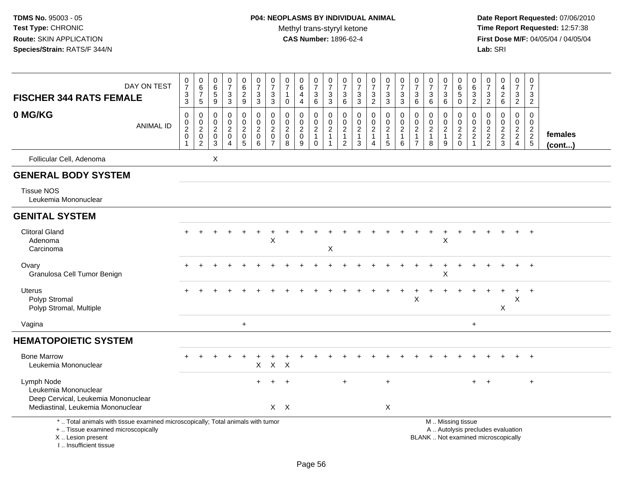# **P04: NEOPLASMS BY INDIVIDUAL ANIMAL**Methyl trans-styryl ketone<br>CAS Number: 1896-62-4

| DAY ON TEST<br><b>FISCHER 344 RATS FEMALE</b>                                                                                                                       | $\begin{array}{c} 0 \\ 7 \end{array}$<br>$\ensuremath{\mathsf{3}}$<br>$\sqrt{3}$         | $\begin{array}{c} 0 \\ 6 \end{array}$<br>$\boldsymbol{7}$<br>$5\phantom{.0}$     | $\begin{array}{c} 0 \\ 6 \end{array}$<br>5<br>9 | $\frac{0}{7}$<br>$\ensuremath{\mathsf{3}}$<br>3                   | $_{6}^{\rm 0}$<br>$\frac{2}{9}$                                   | $\frac{0}{7}$<br>$\frac{3}{3}$                                       | $\frac{0}{7}$<br>$\ensuremath{\mathsf{3}}$<br>3           | $\frac{0}{7}$<br>1<br>$\mathbf 0$                          | $_6^0$<br>$\overline{4}$<br>$\overline{4}$                       | $\frac{0}{7}$<br>$\frac{3}{6}$                    | $\frac{0}{7}$<br>3<br>3                                 | $\pmb{0}$<br>$\overline{7}$<br>$^3$ 6                              | $\frac{0}{7}$<br>$\frac{3}{3}$                                    | $\begin{array}{c} 0 \\ 7 \end{array}$<br>$\frac{3}{2}$ | $\frac{0}{7}$<br>$_3^3$                      | $\begin{smallmatrix}0\\7\end{smallmatrix}$<br>3<br>3    | $\frac{0}{7}$<br>$\frac{3}{6}$                                                                | $\frac{0}{7}$<br>$\mathbf{3}$<br>6                      | $\frac{0}{7}$<br>$\frac{3}{6}$ | $\begin{array}{c} 0 \\ 6 \end{array}$<br>$\overline{5}$<br>$\mathsf 0$                        | $\begin{array}{c} 0 \\ 6 \end{array}$<br>$\frac{3}{2}$ | $\frac{0}{7}$<br>$\ensuremath{\mathsf{3}}$<br>$\overline{2}$ | $\begin{array}{c} 0 \\ 4 \\ 2 \\ 6 \end{array}$ | $\begin{smallmatrix}0\\7\end{smallmatrix}$<br>$\ensuremath{\mathsf{3}}$<br>$\overline{2}$ | $\pmb{0}$<br>$\overline{7}$<br>3<br>$\overline{2}$ |                   |
|---------------------------------------------------------------------------------------------------------------------------------------------------------------------|------------------------------------------------------------------------------------------|----------------------------------------------------------------------------------|-------------------------------------------------|-------------------------------------------------------------------|-------------------------------------------------------------------|----------------------------------------------------------------------|-----------------------------------------------------------|------------------------------------------------------------|------------------------------------------------------------------|---------------------------------------------------|---------------------------------------------------------|--------------------------------------------------------------------|-------------------------------------------------------------------|--------------------------------------------------------|----------------------------------------------|---------------------------------------------------------|-----------------------------------------------------------------------------------------------|---------------------------------------------------------|--------------------------------|-----------------------------------------------------------------------------------------------|--------------------------------------------------------|--------------------------------------------------------------|-------------------------------------------------|-------------------------------------------------------------------------------------------|----------------------------------------------------|-------------------|
| 0 MG/KG<br><b>ANIMAL ID</b>                                                                                                                                         | $\mathbf 0$<br>$\begin{smallmatrix} 0\\2 \end{smallmatrix}$<br>$\pmb{0}$<br>$\mathbf{1}$ | 0<br>$\begin{smallmatrix} 0\\2 \end{smallmatrix}$<br>$\pmb{0}$<br>$\overline{c}$ | 0<br>0<br>$\overline{2}$<br>$\mathbf 0$<br>3    | 0<br>$\mathsf 0$<br>$\overline{c}$<br>$\pmb{0}$<br>$\overline{4}$ | 0<br>$\overline{0}$<br>$\overline{2}$<br>$\mathsf{O}\xspace$<br>5 | $\pmb{0}$<br>$\ddot{\mathbf{0}}$<br>$\overline{2}$<br>$\pmb{0}$<br>6 | 0<br>$\mathbf 0$<br>$\overline{2}$<br>0<br>$\overline{7}$ | $\mathbf 0$<br>$\mathsf 0$<br>$\sqrt{2}$<br>$\pmb{0}$<br>8 | 0<br>$\mathbf 0$<br>$\boldsymbol{2}$<br>$\mathsf{O}\xspace$<br>9 | 0<br>$\frac{0}{2}$<br>$\mathbf{1}$<br>$\mathbf 0$ | 0<br>$\mathbf 0$<br>$\overline{c}$<br>$\mathbf{1}$<br>1 | 0<br>$\pmb{0}$<br>$\overline{2}$<br>$\mathbf{1}$<br>$\overline{c}$ | $\mathbf 0$<br>$\mathbf 0$<br>$\overline{2}$<br>$\mathbf{1}$<br>3 | 0<br>$\frac{0}{2}$<br>$\mathbf{1}$<br>4                | $\pmb{0}$<br>$\frac{0}{2}$<br>$5\phantom{1}$ | 0<br>$\mathbf 0$<br>$\overline{c}$<br>$\mathbf{1}$<br>6 | $\mathbf 0$<br>$\begin{smallmatrix} 0\\2 \end{smallmatrix}$<br>$\mathbf{1}$<br>$\overline{7}$ | 0<br>$\mathbf 0$<br>$\overline{c}$<br>$\mathbf{1}$<br>8 | 0<br>$\frac{0}{2}$<br>1<br>9   | $\mathbf 0$<br>$\frac{0}{2}$<br>$\mathbf 0$                                                   | 0<br>$\begin{array}{c} 0 \\ 2 \\ 2 \\ 1 \end{array}$   | $\mathbf 0$<br>$\mathbf 0$<br>$\frac{2}{2}$                  | 0<br>$\mathbf 0$<br>$\frac{2}{3}$               | $\mathbf 0$<br>$\mathbf 0$<br>$\frac{2}{2}$                                               | $\Omega$<br>$\mathbf 0$<br>$\frac{2}{2}$<br>5      | females<br>(cont) |
| Follicular Cell, Adenoma                                                                                                                                            |                                                                                          |                                                                                  | X                                               |                                                                   |                                                                   |                                                                      |                                                           |                                                            |                                                                  |                                                   |                                                         |                                                                    |                                                                   |                                                        |                                              |                                                         |                                                                                               |                                                         |                                |                                                                                               |                                                        |                                                              |                                                 |                                                                                           |                                                    |                   |
| <b>GENERAL BODY SYSTEM</b>                                                                                                                                          |                                                                                          |                                                                                  |                                                 |                                                                   |                                                                   |                                                                      |                                                           |                                                            |                                                                  |                                                   |                                                         |                                                                    |                                                                   |                                                        |                                              |                                                         |                                                                                               |                                                         |                                |                                                                                               |                                                        |                                                              |                                                 |                                                                                           |                                                    |                   |
| <b>Tissue NOS</b><br>Leukemia Mononuclear                                                                                                                           |                                                                                          |                                                                                  |                                                 |                                                                   |                                                                   |                                                                      |                                                           |                                                            |                                                                  |                                                   |                                                         |                                                                    |                                                                   |                                                        |                                              |                                                         |                                                                                               |                                                         |                                |                                                                                               |                                                        |                                                              |                                                 |                                                                                           |                                                    |                   |
| <b>GENITAL SYSTEM</b>                                                                                                                                               |                                                                                          |                                                                                  |                                                 |                                                                   |                                                                   |                                                                      |                                                           |                                                            |                                                                  |                                                   |                                                         |                                                                    |                                                                   |                                                        |                                              |                                                         |                                                                                               |                                                         |                                |                                                                                               |                                                        |                                                              |                                                 |                                                                                           |                                                    |                   |
| <b>Clitoral Gland</b><br>Adenoma<br>Carcinoma                                                                                                                       |                                                                                          |                                                                                  |                                                 |                                                                   |                                                                   |                                                                      | X                                                         |                                                            |                                                                  |                                                   | X                                                       |                                                                    |                                                                   |                                                        |                                              |                                                         |                                                                                               |                                                         | X                              |                                                                                               |                                                        |                                                              |                                                 |                                                                                           |                                                    |                   |
| Ovary<br>Granulosa Cell Tumor Benign                                                                                                                                |                                                                                          |                                                                                  |                                                 |                                                                   |                                                                   |                                                                      |                                                           |                                                            |                                                                  |                                                   |                                                         |                                                                    |                                                                   |                                                        |                                              |                                                         |                                                                                               |                                                         | X                              |                                                                                               |                                                        |                                                              |                                                 |                                                                                           |                                                    |                   |
| <b>Uterus</b><br>Polyp Stromal<br>Polyp Stromal, Multiple                                                                                                           |                                                                                          |                                                                                  |                                                 |                                                                   |                                                                   |                                                                      |                                                           |                                                            |                                                                  |                                                   |                                                         |                                                                    |                                                                   |                                                        |                                              |                                                         | Χ                                                                                             |                                                         |                                |                                                                                               |                                                        |                                                              | X                                               | X                                                                                         | $\ddot{}$                                          |                   |
| Vagina                                                                                                                                                              |                                                                                          |                                                                                  |                                                 |                                                                   | $\ddot{}$                                                         |                                                                      |                                                           |                                                            |                                                                  |                                                   |                                                         |                                                                    |                                                                   |                                                        |                                              |                                                         |                                                                                               |                                                         |                                |                                                                                               | $\ddot{}$                                              |                                                              |                                                 |                                                                                           |                                                    |                   |
| <b>HEMATOPOIETIC SYSTEM</b>                                                                                                                                         |                                                                                          |                                                                                  |                                                 |                                                                   |                                                                   |                                                                      |                                                           |                                                            |                                                                  |                                                   |                                                         |                                                                    |                                                                   |                                                        |                                              |                                                         |                                                                                               |                                                         |                                |                                                                                               |                                                        |                                                              |                                                 |                                                                                           |                                                    |                   |
| <b>Bone Marrow</b><br>Leukemia Mononuclear                                                                                                                          |                                                                                          |                                                                                  |                                                 |                                                                   |                                                                   | X                                                                    | $\mathsf{X}$                                              | $\boldsymbol{\mathsf{X}}$                                  |                                                                  |                                                   |                                                         |                                                                    |                                                                   |                                                        |                                              |                                                         |                                                                                               |                                                         |                                |                                                                                               |                                                        |                                                              |                                                 |                                                                                           |                                                    |                   |
| Lymph Node<br>Leukemia Mononuclear<br>Deep Cervical, Leukemia Mononuclear<br>Mediastinal, Leukemia Mononuclear                                                      |                                                                                          |                                                                                  |                                                 |                                                                   |                                                                   |                                                                      |                                                           | $\ddot{}$<br>$X$ $X$                                       |                                                                  |                                                   |                                                         | $\ddot{}$                                                          |                                                                   |                                                        | $\ddot{}$<br>X                               |                                                         |                                                                                               |                                                         |                                |                                                                                               | $+$                                                    | $+$                                                          |                                                 |                                                                                           | $\ddot{}$                                          |                   |
| *  Total animals with tissue examined microscopically; Total animals with tumor<br>+  Tissue examined microscopically<br>X  Lesion present<br>I Insufficient tissue |                                                                                          |                                                                                  |                                                 |                                                                   |                                                                   |                                                                      |                                                           |                                                            |                                                                  |                                                   |                                                         |                                                                    |                                                                   |                                                        |                                              |                                                         |                                                                                               |                                                         |                                | M  Missing tissue<br>A  Autolysis precludes evaluation<br>BLANK  Not examined microscopically |                                                        |                                                              |                                                 |                                                                                           |                                                    |                   |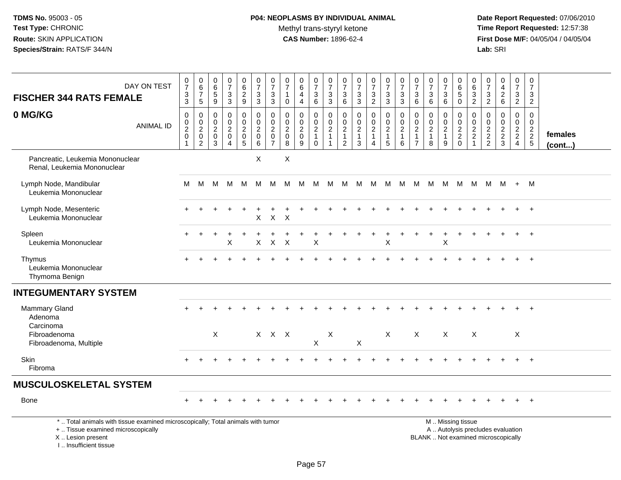# **P04: NEOPLASMS BY INDIVIDUAL ANIMAL**Methyl trans-styryl ketone<br>CAS Number: 1896-62-4

| <b>FISCHER 344 RATS FEMALE</b>                                                                                                                                       | DAY ON TEST      | $\frac{0}{7}$<br>$\frac{3}{3}$  | $\begin{array}{c} 0 \\ 6 \end{array}$<br>$\overline{7}$<br>$5\phantom{.0}$     | $\begin{array}{c} 0 \\ 6 \end{array}$<br>$\overline{5}$<br>$9\,$              | $\frac{0}{7}$<br>$_3^3$                                                       | 0629                                                               | $\begin{array}{c} 0 \\ 7 \end{array}$<br>$\frac{3}{3}$ | $\frac{0}{7}$<br>$\frac{3}{3}$                    | $\frac{0}{7}$<br>$\mathbf{1}$<br>$\mathbf 0$ | $\begin{array}{c} 0 \\ 6 \end{array}$<br>$\overline{a}$<br>$\overline{4}$ | $\begin{array}{c} 0 \\ 7 \end{array}$<br>$\ensuremath{\mathsf{3}}$<br>$\,6\,$ | $\frac{0}{7}$<br>$\ensuremath{\mathsf{3}}$<br>$\mathbf{3}$                   | $\frac{0}{7}$<br>$\ensuremath{\mathsf{3}}$<br>6                              | $\frac{0}{7}$<br>$\ensuremath{\mathsf{3}}$<br>$\mathbf{3}$        | $\frac{0}{7}$<br>$\frac{3}{2}$                                       | $\begin{smallmatrix}0\\7\end{smallmatrix}$<br>$\ensuremath{\mathsf{3}}$<br>$\mathbf{3}$ | $\frac{0}{7}$<br>$\frac{3}{3}$                                 | $\frac{0}{7}$<br>$\ensuremath{\mathsf{3}}$<br>6                                  | $\frac{0}{7}$<br>$\ensuremath{\mathsf{3}}$<br>6                     | $\begin{array}{c} 0 \\ 7 \end{array}$<br>3<br>$\,6$    | $\begin{array}{c} 0 \\ 6 \end{array}$<br>$\overline{5}$<br>$\mathbf 0$ | $\begin{array}{c} 0 \\ 6 \end{array}$<br>$\frac{3}{2}$ | 0<br>$\overline{7}$<br>$\frac{3}{2}$        | $0$<br>$4$<br>$2$<br>$6$                            | $\begin{array}{c} 0 \\ 7 \end{array}$<br>$\frac{3}{2}$           | $\frac{0}{7}$<br>$\sqrt{3}$<br>$\overline{2}$ |                         |
|----------------------------------------------------------------------------------------------------------------------------------------------------------------------|------------------|---------------------------------|--------------------------------------------------------------------------------|-------------------------------------------------------------------------------|-------------------------------------------------------------------------------|--------------------------------------------------------------------|--------------------------------------------------------|---------------------------------------------------|----------------------------------------------|---------------------------------------------------------------------------|-------------------------------------------------------------------------------|------------------------------------------------------------------------------|------------------------------------------------------------------------------|-------------------------------------------------------------------|----------------------------------------------------------------------|-----------------------------------------------------------------------------------------|----------------------------------------------------------------|----------------------------------------------------------------------------------|---------------------------------------------------------------------|--------------------------------------------------------|------------------------------------------------------------------------|--------------------------------------------------------|---------------------------------------------|-----------------------------------------------------|------------------------------------------------------------------|-----------------------------------------------|-------------------------|
| 0 MG/KG                                                                                                                                                              | <b>ANIMAL ID</b> | $\pmb{0}$<br>$\frac{0}{2}$<br>1 | 0<br>$\begin{smallmatrix} 0\\2 \end{smallmatrix}$<br>$\mathbf 0$<br>$\sqrt{2}$ | $\mathbf 0$<br>$\mathbf 0$<br>$\boldsymbol{2}$<br>$\mathbf 0$<br>$\mathbf{3}$ | $\mathbf 0$<br>$\mathbf 0$<br>$\overline{2}$<br>$\mathbf 0$<br>$\overline{4}$ | 0<br>$\mathbf 0$<br>$\overline{a}$<br>$\pmb{0}$<br>$5\phantom{.0}$ | $\pmb{0}$<br>$\frac{0}{2}$<br>$\mathbf 0$<br>6         | 0<br>$\frac{0}{2}$<br>$\pmb{0}$<br>$\overline{7}$ | $\mathbf 0$<br>$\frac{0}{2}$<br>$\,8\,$      | $\mathbf 0$<br>$\mathbf 0$<br>$\sqrt{2}$<br>$\mathbf 0$<br>9              | 0<br>$\mathbf 0$<br>$\overline{2}$<br>$\mathbf{1}$<br>$\boldsymbol{0}$        | $\mathbf 0$<br>$\mathsf 0$<br>$\overline{2}$<br>$\mathbf{1}$<br>$\mathbf{1}$ | $\mathbf 0$<br>$\pmb{0}$<br>$\overline{c}$<br>$\mathbf{1}$<br>$\overline{2}$ | $\mathbf 0$<br>$\mathbf 0$<br>$\overline{c}$<br>$\mathbf{1}$<br>3 | 0<br>$\mathbf 0$<br>$\overline{2}$<br>$\mathbf{1}$<br>$\overline{4}$ | 0<br>$\mathsf{O}\xspace$<br>$\overline{2}$<br>$\mathbf{1}$<br>$\sqrt{5}$                | $\mathbf 0$<br>$\mathbf 0$<br>$\frac{2}{1}$<br>$6\phantom{1}6$ | $\mathbf 0$<br>$\mathbf 0$<br>$\boldsymbol{2}$<br>$\mathbf{1}$<br>$\overline{7}$ | $\mathbf 0$<br>$\mathbf 0$<br>$\boldsymbol{2}$<br>$\mathbf{1}$<br>8 | 0<br>$\mathbf 0$<br>$\overline{c}$<br>$\mathbf 1$<br>9 | 0<br>$\frac{0}{2}$<br>$\mathbf 0$                                      | 0<br>$\frac{0}{2}$<br>$\mathbf{1}$                     | $\mathbf 0$<br>$\mathbf 0$<br>$\frac{2}{2}$ | $\mathbf 0$<br>$\mathsf{O}\xspace$<br>$\frac{2}{3}$ | $\mathbf 0$<br>$\overline{0}$<br>$\frac{2}{2}$<br>$\overline{4}$ | $\mathbf 0$<br>$\mathbf 0$<br>$\frac{2}{2}$   | females<br>$($ cont $)$ |
| Pancreatic, Leukemia Mononuclear<br>Renal, Leukemia Mononuclear                                                                                                      |                  |                                 |                                                                                |                                                                               |                                                                               |                                                                    | X                                                      |                                                   | $\boldsymbol{\mathsf{X}}$                    |                                                                           |                                                                               |                                                                              |                                                                              |                                                                   |                                                                      |                                                                                         |                                                                |                                                                                  |                                                                     |                                                        |                                                                        |                                                        |                                             |                                                     |                                                                  |                                               |                         |
| Lymph Node, Mandibular<br>Leukemia Mononuclear                                                                                                                       |                  | м                               | M                                                                              | M                                                                             | M                                                                             | M                                                                  | M                                                      | M                                                 | M                                            | M                                                                         | M                                                                             |                                                                              | M M                                                                          |                                                                   | M M M                                                                |                                                                                         | M                                                              | M                                                                                |                                                                     | M M                                                    | M                                                                      | M                                                      |                                             | $M$ $M$ $+$ $M$                                     |                                                                  |                                               |                         |
| Lymph Node, Mesenteric<br>Leukemia Mononuclear                                                                                                                       |                  |                                 |                                                                                |                                                                               |                                                                               |                                                                    | X                                                      | $\mathsf X$                                       | $\pmb{\mathsf{X}}$                           |                                                                           |                                                                               |                                                                              |                                                                              |                                                                   |                                                                      |                                                                                         |                                                                |                                                                                  |                                                                     |                                                        |                                                                        |                                                        |                                             |                                                     |                                                                  |                                               |                         |
| Spleen<br>Leukemia Mononuclear                                                                                                                                       |                  |                                 |                                                                                |                                                                               | х                                                                             |                                                                    | X                                                      | $\mathsf X$                                       | $\times$                                     |                                                                           | X                                                                             |                                                                              |                                                                              |                                                                   |                                                                      | X                                                                                       |                                                                |                                                                                  |                                                                     | X                                                      |                                                                        |                                                        |                                             |                                                     |                                                                  |                                               |                         |
| Thymus<br>Leukemia Mononuclear<br>Thymoma Benign                                                                                                                     |                  |                                 |                                                                                |                                                                               |                                                                               |                                                                    |                                                        |                                                   |                                              |                                                                           |                                                                               |                                                                              |                                                                              |                                                                   |                                                                      |                                                                                         |                                                                |                                                                                  |                                                                     |                                                        |                                                                        |                                                        |                                             |                                                     |                                                                  |                                               |                         |
| <b>INTEGUMENTARY SYSTEM</b>                                                                                                                                          |                  |                                 |                                                                                |                                                                               |                                                                               |                                                                    |                                                        |                                                   |                                              |                                                                           |                                                                               |                                                                              |                                                                              |                                                                   |                                                                      |                                                                                         |                                                                |                                                                                  |                                                                     |                                                        |                                                                        |                                                        |                                             |                                                     |                                                                  |                                               |                         |
| <b>Mammary Gland</b><br>Adenoma<br>Carcinoma                                                                                                                         |                  |                                 |                                                                                |                                                                               |                                                                               |                                                                    |                                                        |                                                   |                                              |                                                                           |                                                                               |                                                                              |                                                                              |                                                                   |                                                                      |                                                                                         |                                                                |                                                                                  |                                                                     |                                                        |                                                                        |                                                        |                                             |                                                     |                                                                  |                                               |                         |
| Fibroadenoma<br>Fibroadenoma, Multiple                                                                                                                               |                  |                                 |                                                                                | $\boldsymbol{\mathsf{X}}$                                                     |                                                                               |                                                                    |                                                        | $X$ $X$ $X$                                       |                                              |                                                                           | $\boldsymbol{\mathsf{X}}$                                                     | X                                                                            |                                                                              | $\mathsf X$                                                       |                                                                      | X                                                                                       |                                                                | $\sf X$                                                                          |                                                                     | X                                                      |                                                                        | $\boldsymbol{\mathsf{X}}$                              |                                             |                                                     | $\mathsf X$                                                      |                                               |                         |
| <b>Skin</b><br>Fibroma                                                                                                                                               |                  |                                 |                                                                                |                                                                               |                                                                               |                                                                    |                                                        |                                                   |                                              |                                                                           |                                                                               |                                                                              |                                                                              |                                                                   |                                                                      |                                                                                         |                                                                |                                                                                  |                                                                     |                                                        |                                                                        |                                                        |                                             |                                                     |                                                                  | $+$                                           |                         |
| <b>MUSCULOSKELETAL SYSTEM</b>                                                                                                                                        |                  |                                 |                                                                                |                                                                               |                                                                               |                                                                    |                                                        |                                                   |                                              |                                                                           |                                                                               |                                                                              |                                                                              |                                                                   |                                                                      |                                                                                         |                                                                |                                                                                  |                                                                     |                                                        |                                                                        |                                                        |                                             |                                                     |                                                                  |                                               |                         |
| Bone                                                                                                                                                                 |                  |                                 |                                                                                |                                                                               |                                                                               |                                                                    |                                                        |                                                   |                                              |                                                                           |                                                                               |                                                                              |                                                                              |                                                                   |                                                                      |                                                                                         |                                                                |                                                                                  |                                                                     |                                                        |                                                                        |                                                        |                                             |                                                     |                                                                  | $+$                                           |                         |
| *  Total animals with tissue examined microscopically; Total animals with tumor<br>+  Tissue examined microscopically<br>X  Lesion present<br>L. Insufficient tissue |                  |                                 |                                                                                |                                                                               |                                                                               |                                                                    |                                                        |                                                   |                                              |                                                                           |                                                                               |                                                                              |                                                                              |                                                                   |                                                                      |                                                                                         |                                                                |                                                                                  | BLANK  Not examined microscopically                                 |                                                        | M  Missing tissue<br>A  Autolysis precludes evaluation                 |                                                        |                                             |                                                     |                                                                  |                                               |                         |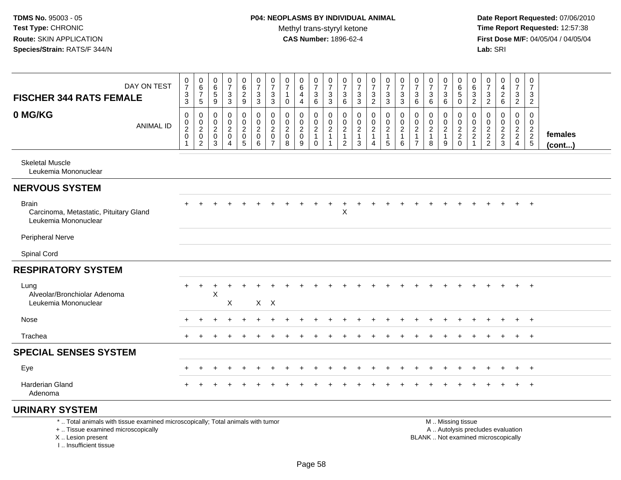**Date Report Requested:** 07/06/2010 **Time Report Requested:** 12:57:38 **First Dose M/F:** 04/05/04 / 04/05/04<br>**Lab:** SRI **Lab:** SRI

| DAY ON TEST<br><b>FISCHER 344 RATS FEMALE</b>                                  | $\frac{0}{7}$<br>$\frac{3}{3}$                                     | $\begin{array}{c} 0 \\ 6 \end{array}$<br>$\overline{7}$<br>$\sqrt{5}$ | $\begin{array}{c} 0 \\ 6 \end{array}$<br>$\overline{5}$<br>9        | $\frac{0}{7}$<br>$\ensuremath{\mathsf{3}}$<br>$\mathbf{3}$                | 0<br>$\frac{6}{9}$                                          | $\frac{0}{7}$<br>$\ensuremath{\mathsf{3}}$<br>3                  | 0<br>$\overline{7}$<br>$\ensuremath{\mathsf{3}}$<br>3             | 0<br>$\overline{7}$<br>$\mathbf{1}$<br>0         | 0<br>$\,6\,$<br>4<br>$\overline{4}$                  | $\frac{0}{7}$<br>$\ensuremath{\mathsf{3}}$<br>6                                     | $\mathbf 0$<br>$\overline{7}$<br>$\frac{3}{3}$              | 0<br>$\overline{7}$<br>$\mathbf{3}$<br>6                                        | 0<br>$\overline{7}$<br>$\sqrt{3}$<br>3                              | $\frac{0}{7}$<br>$\mathsf 3$<br>$\overline{c}$        | 0<br>$\overline{7}$<br>$\ensuremath{\mathsf{3}}$<br>3                          | $\begin{array}{c} 0 \\ 7 \end{array}$<br>$\ensuremath{\mathsf{3}}$<br>$\sqrt{3}$ | 0<br>$\overline{7}$<br>$\mathbf{3}$<br>6                         | $\boldsymbol{0}$<br>$\overline{7}$<br>3<br>6                | 0<br>$\overline{7}$<br>$\mathbf{3}$<br>6            | 0<br>$6\phantom{1}6$<br>$\overline{5}$<br>$\mathbf 0$ | 0<br>6<br>$\ensuremath{\mathsf{3}}$<br>2                               | 0<br>$\overline{7}$<br>$\frac{3}{2}$ | 0<br>$\overline{4}$<br>$\overline{c}$<br>6 | 0<br>$\overline{7}$<br>$\frac{3}{2}$ | 0<br>$\boldsymbol{7}$<br>3<br>$\overline{2}$     |                   |
|--------------------------------------------------------------------------------|--------------------------------------------------------------------|-----------------------------------------------------------------------|---------------------------------------------------------------------|---------------------------------------------------------------------------|-------------------------------------------------------------|------------------------------------------------------------------|-------------------------------------------------------------------|--------------------------------------------------|------------------------------------------------------|-------------------------------------------------------------------------------------|-------------------------------------------------------------|---------------------------------------------------------------------------------|---------------------------------------------------------------------|-------------------------------------------------------|--------------------------------------------------------------------------------|----------------------------------------------------------------------------------|------------------------------------------------------------------|-------------------------------------------------------------|-----------------------------------------------------|-------------------------------------------------------|------------------------------------------------------------------------|--------------------------------------|--------------------------------------------|--------------------------------------|--------------------------------------------------|-------------------|
| 0 MG/KG<br><b>ANIMAL ID</b>                                                    | $\pmb{0}$<br>$\begin{smallmatrix} 0\\2\\0 \end{smallmatrix}$<br>-1 | 0<br>$\begin{smallmatrix} 0\\2\\0 \end{smallmatrix}$<br>$\sqrt{2}$    | $\mathbf 0$<br>$\begin{smallmatrix} 0\\2\\0 \end{smallmatrix}$<br>3 | $\pmb{0}$<br>$\mathbf 0$<br>$\overline{2}$<br>$\pmb{0}$<br>$\overline{4}$ | 0<br>$\pmb{0}$<br>$\sqrt{2}$<br>$\pmb{0}$<br>$\overline{5}$ | $\mathbf 0$<br>$\mathsf 0$<br>$\overline{2}$<br>$\mathsf 0$<br>6 | 0<br>$\pmb{0}$<br>$\boldsymbol{2}$<br>$\pmb{0}$<br>$\overline{7}$ | 0<br>0<br>$\overline{2}$<br>$\pmb{0}$<br>$\,8\,$ | 0<br>$\pmb{0}$<br>$\boldsymbol{2}$<br>$\pmb{0}$<br>9 | $\mathbf 0$<br>$\mathsf{O}\xspace$<br>$\overline{c}$<br>$\mathbf{1}$<br>$\mathbf 0$ | $\mathbf 0$<br>$\pmb{0}$<br>$\frac{2}{1}$<br>$\overline{1}$ | $\mathbf 0$<br>$\boldsymbol{0}$<br>$\sqrt{2}$<br>$\mathbf{1}$<br>$\overline{2}$ | $\mathbf 0$<br>$\mathbf 0$<br>$\boldsymbol{2}$<br>$\mathbf{1}$<br>3 | 0<br>$\pmb{0}$<br>$\overline{c}$<br>$\mathbf{1}$<br>4 | $\mathbf 0$<br>$\mathsf 0$<br>$\overline{c}$<br>$\mathbf{1}$<br>$\overline{5}$ | $\mathbf 0$<br>$\pmb{0}$<br>$\sqrt{2}$<br>$\overline{1}$<br>6                    | $\mathbf 0$<br>0<br>$\sqrt{2}$<br>$\mathbf{1}$<br>$\overline{7}$ | $\mathbf 0$<br>$\pmb{0}$<br>$\sqrt{2}$<br>$\mathbf{1}$<br>8 | 0<br>$\mathbf 0$<br>$\sqrt{2}$<br>$\mathbf{1}$<br>9 | $\mathbf 0$<br>$\pmb{0}$<br>$\frac{2}{2}$<br>0        | $\mathbf 0$<br>0<br>$\boldsymbol{2}$<br>$\overline{c}$<br>$\mathbf{1}$ | 0<br>0<br>$\frac{2}{2}$              | $\mathbf 0$<br>$\pmb{0}$<br>$\frac{2}{3}$  | 0<br>$\mathbf 0$<br>$\frac{2}{2}$    | $\mathbf 0$<br>$\mathbf 0$<br>$\frac{2}{2}$<br>5 | females<br>(cont) |
| <b>Skeletal Muscle</b><br>Leukemia Mononuclear                                 |                                                                    |                                                                       |                                                                     |                                                                           |                                                             |                                                                  |                                                                   |                                                  |                                                      |                                                                                     |                                                             |                                                                                 |                                                                     |                                                       |                                                                                |                                                                                  |                                                                  |                                                             |                                                     |                                                       |                                                                        |                                      |                                            |                                      |                                                  |                   |
| <b>NERVOUS SYSTEM</b>                                                          |                                                                    |                                                                       |                                                                     |                                                                           |                                                             |                                                                  |                                                                   |                                                  |                                                      |                                                                                     |                                                             |                                                                                 |                                                                     |                                                       |                                                                                |                                                                                  |                                                                  |                                                             |                                                     |                                                       |                                                                        |                                      |                                            |                                      |                                                  |                   |
| <b>Brain</b><br>Carcinoma, Metastatic, Pituitary Gland<br>Leukemia Mononuclear |                                                                    |                                                                       |                                                                     |                                                                           |                                                             |                                                                  |                                                                   |                                                  |                                                      |                                                                                     |                                                             | $\boldsymbol{\mathsf{X}}$                                                       |                                                                     |                                                       |                                                                                |                                                                                  |                                                                  |                                                             |                                                     |                                                       |                                                                        |                                      |                                            | $\ddot{}$                            | $+$                                              |                   |
| Peripheral Nerve                                                               |                                                                    |                                                                       |                                                                     |                                                                           |                                                             |                                                                  |                                                                   |                                                  |                                                      |                                                                                     |                                                             |                                                                                 |                                                                     |                                                       |                                                                                |                                                                                  |                                                                  |                                                             |                                                     |                                                       |                                                                        |                                      |                                            |                                      |                                                  |                   |
| Spinal Cord                                                                    |                                                                    |                                                                       |                                                                     |                                                                           |                                                             |                                                                  |                                                                   |                                                  |                                                      |                                                                                     |                                                             |                                                                                 |                                                                     |                                                       |                                                                                |                                                                                  |                                                                  |                                                             |                                                     |                                                       |                                                                        |                                      |                                            |                                      |                                                  |                   |
| <b>RESPIRATORY SYSTEM</b>                                                      |                                                                    |                                                                       |                                                                     |                                                                           |                                                             |                                                                  |                                                                   |                                                  |                                                      |                                                                                     |                                                             |                                                                                 |                                                                     |                                                       |                                                                                |                                                                                  |                                                                  |                                                             |                                                     |                                                       |                                                                        |                                      |                                            |                                      |                                                  |                   |
| Lung<br>Alveolar/Bronchiolar Adenoma<br>Leukemia Mononuclear                   |                                                                    |                                                                       | X                                                                   | $\mathsf X$                                                               |                                                             | X X                                                              |                                                                   |                                                  |                                                      |                                                                                     |                                                             |                                                                                 |                                                                     |                                                       |                                                                                |                                                                                  |                                                                  |                                                             |                                                     |                                                       |                                                                        |                                      |                                            |                                      | $+$                                              |                   |
| Nose                                                                           |                                                                    |                                                                       |                                                                     |                                                                           |                                                             |                                                                  |                                                                   |                                                  |                                                      |                                                                                     |                                                             |                                                                                 |                                                                     |                                                       |                                                                                |                                                                                  |                                                                  |                                                             |                                                     |                                                       |                                                                        |                                      |                                            | ÷                                    | $+$                                              |                   |
| Trachea                                                                        |                                                                    |                                                                       |                                                                     |                                                                           |                                                             |                                                                  |                                                                   |                                                  |                                                      |                                                                                     |                                                             |                                                                                 |                                                                     |                                                       |                                                                                |                                                                                  |                                                                  |                                                             |                                                     |                                                       |                                                                        |                                      |                                            |                                      | $+$                                              |                   |
| <b>SPECIAL SENSES SYSTEM</b>                                                   |                                                                    |                                                                       |                                                                     |                                                                           |                                                             |                                                                  |                                                                   |                                                  |                                                      |                                                                                     |                                                             |                                                                                 |                                                                     |                                                       |                                                                                |                                                                                  |                                                                  |                                                             |                                                     |                                                       |                                                                        |                                      |                                            |                                      |                                                  |                   |
| Eye                                                                            |                                                                    |                                                                       |                                                                     |                                                                           |                                                             |                                                                  |                                                                   |                                                  |                                                      |                                                                                     |                                                             |                                                                                 |                                                                     |                                                       |                                                                                |                                                                                  |                                                                  |                                                             |                                                     |                                                       |                                                                        |                                      |                                            | $\ddot{}$                            | $+$                                              |                   |
| <b>Harderian Gland</b><br>Adenoma                                              |                                                                    |                                                                       |                                                                     |                                                                           |                                                             |                                                                  |                                                                   |                                                  |                                                      |                                                                                     |                                                             |                                                                                 |                                                                     |                                                       |                                                                                |                                                                                  |                                                                  |                                                             |                                                     |                                                       |                                                                        |                                      |                                            | $+$                                  | $+$                                              |                   |
| <b>URINARY SYSTEM</b>                                                          |                                                                    |                                                                       |                                                                     |                                                                           |                                                             |                                                                  |                                                                   |                                                  |                                                      |                                                                                     |                                                             |                                                                                 |                                                                     |                                                       |                                                                                |                                                                                  |                                                                  |                                                             |                                                     |                                                       |                                                                        |                                      |                                            |                                      |                                                  |                   |

\* .. Total animals with tissue examined microscopically; Total animals with tumor

+ .. Tissue examined microscopically

X .. Lesion present

I .. Insufficient tissue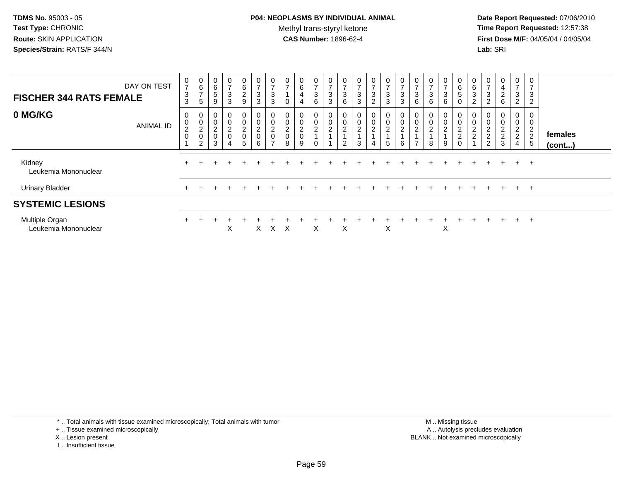**Date Report Requested:** 07/06/2010 **Time Report Requested:** 12:57:38 **First Dose M/F:** 04/05/04 / 04/05/04<br>**Lab:** SRI **Lab:** SRI

| <b>FISCHER 344 RATS FEMALE</b>                    | DAY ON TEST      | 0<br>$\overline{7}$<br>$\sqrt{3}$<br>$\sqrt{3}$ | $\mathbf 0$<br>6<br>$\overline{ }$<br>5 | 0<br>$\,6$<br>$\sqrt{5}$<br>9   | $\mathbf 0$<br>$\overline{ }$<br>$\mathbf{3}$<br>3 | $\mathbf{0}$<br>6<br>$\overline{c}$<br>9 | 0<br>$\overline{ }$<br>$\sqrt{3}$<br>$\mathbf{3}$       | 0<br>$\overline{ }$<br>3<br>3                    | 0<br>$\overline{ }$<br>0                           | 0<br>6<br>4<br>4                        | 0<br>$\overline{7}$<br>3<br>6 | 0<br>$\overline{ }$<br>3<br>3           | $\rightarrow$<br>3<br>6            | 0<br>$\overline{ }$<br>$\sqrt{3}$<br>3 | $\overline{0}$<br>$\overline{ }$<br>$\sqrt{3}$<br>$\overline{2}$   | $\mathbf 0$<br>$\overline{7}$<br>$\sqrt{3}$<br>$\mathbf{3}$          | 0<br>$\overline{ }$<br>3<br>3           | 0<br>$\overline{ }$<br>3<br>6                   | 0<br>$\overline{ }$<br>3<br>6         | 0<br>$\overline{\phantom{0}}$<br>3<br>6 | 0<br>$\,6\,$<br>$\overline{5}$<br>0  | 0<br>$\,6\,$<br>$\mathbf{3}$<br>$\overline{c}$ | 0<br>$\overline{ }$<br>$\sqrt{3}$<br>$\overline{2}$ | 0<br>4<br>$\overline{c}$<br>6 | $\mathbf 0$<br>$\overline{7}$<br>3<br>$\overline{2}$ | 0<br>$\overline{ }$<br>3<br>$\overline{2}$      |                         |
|---------------------------------------------------|------------------|-------------------------------------------------|-----------------------------------------|---------------------------------|----------------------------------------------------|------------------------------------------|---------------------------------------------------------|--------------------------------------------------|----------------------------------------------------|-----------------------------------------|-------------------------------|-----------------------------------------|------------------------------------|----------------------------------------|--------------------------------------------------------------------|----------------------------------------------------------------------|-----------------------------------------|-------------------------------------------------|---------------------------------------|-----------------------------------------|--------------------------------------|------------------------------------------------|-----------------------------------------------------|-------------------------------|------------------------------------------------------|-------------------------------------------------|-------------------------|
| 0 MG/KG                                           | <b>ANIMAL ID</b> | 0<br>$\overline{0}$<br>$\frac{2}{0}$            | 0<br>$\,0\,$<br>$^2_{\rm 0}$<br>ົ       | $\pmb{0}$<br>$\frac{2}{0}$<br>3 | $\mathbf 0$<br>$\pmb{0}$<br>$\frac{2}{0}$<br>4     | 0<br>0<br>$\frac{2}{0}$<br>5             | $\boldsymbol{0}$<br>$\overline{0}$<br>$^2_{\rm 0}$<br>6 | 0<br>$\pmb{0}$<br>$^2_{\rm 0}$<br>$\overline{ }$ | 0<br>$\pmb{0}$<br>$\overline{c}$<br>$\pmb{0}$<br>8 | 0<br>$\pmb{0}$<br>2<br>$\mathbf 0$<br>9 | $\mathbf 0$<br>$\overline{c}$ | 0<br>$\boldsymbol{0}$<br>$\overline{c}$ | $\mathbf 0$<br>$\overline{c}$<br>2 | 0<br>$\mathsf 0$<br>$\sqrt{2}$<br>3    | $\begin{smallmatrix}0\0\0\end{smallmatrix}$<br>$\overline{c}$<br>4 | $\begin{smallmatrix} 0\\0\\2 \end{smallmatrix}$<br>$\mathbf{1}$<br>5 | $\,0\,$<br>$\overline{\mathbf{c}}$<br>6 | $\pmb{0}$<br>$\boldsymbol{2}$<br>$\overline{ }$ | 0<br>$\pmb{0}$<br>$\overline{c}$<br>8 | 0<br>0<br>$\overline{c}$<br>9           | 0<br>$\pmb{0}$<br>$\frac{2}{2}$<br>0 | $_{\rm 0}^{\rm 0}$<br>$\frac{2}{2}$            | 0<br>$\frac{0}{2}$<br>2                             | 0<br>0<br>$\frac{2}{2}$<br>3  | $\pmb{0}$<br>$\frac{2}{2}$<br>$\overline{4}$         | 0<br>0<br>$\overline{c}$<br>$\overline{2}$<br>5 | females<br>$($ cont $)$ |
| Kidney<br>Leukemia Mononuclear                    |                  | $\pm$                                           |                                         |                                 |                                                    |                                          |                                                         |                                                  |                                                    |                                         |                               |                                         |                                    |                                        |                                                                    |                                                                      |                                         |                                                 |                                       |                                         |                                      |                                                |                                                     |                               | $+$                                                  | $+$                                             |                         |
| <b>Urinary Bladder</b><br><b>SYSTEMIC LESIONS</b> |                  |                                                 |                                         |                                 |                                                    |                                          |                                                         |                                                  |                                                    |                                         |                               |                                         |                                    |                                        |                                                                    |                                                                      |                                         |                                                 |                                       |                                         |                                      |                                                |                                                     | $\div$                        | $+$                                                  | $+$                                             |                         |
| Multiple Organ<br>Leukemia Mononuclear            |                  | $+$                                             |                                         |                                 | X                                                  |                                          | X.                                                      | X.                                               | X                                                  |                                         | X                             |                                         | X                                  |                                        |                                                                    | X                                                                    |                                         |                                                 |                                       | Χ                                       |                                      |                                                | $\pm$                                               | $\div$                        | $+$                                                  | $+$                                             |                         |

\* .. Total animals with tissue examined microscopically; Total animals with tumor

+ .. Tissue examined microscopically

- X .. Lesion present
- I .. Insufficient tissue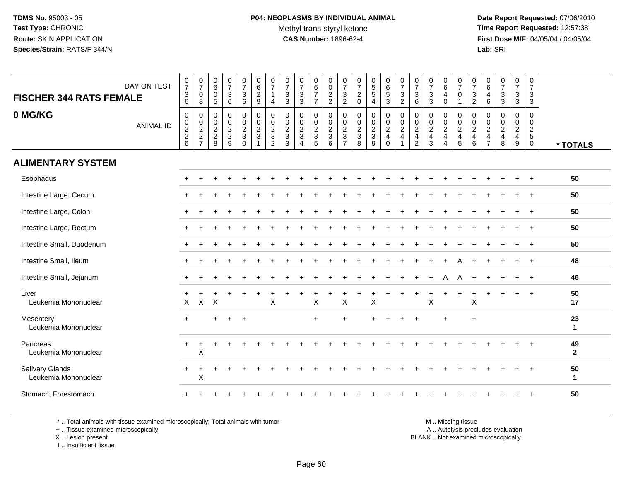**Date Report Requested:** 07/06/2010 **Time Report Requested:** 12:57:38 **First Dose M/F:** 04/05/04 / 04/05/04<br>**Lab:** SRI **Lab:** SRI

| DAY ON TEST<br><b>FISCHER 344 RATS FEMALE</b>  | $\frac{0}{7}$<br>$\ensuremath{\mathsf{3}}$<br>6 | $\frac{0}{7}$<br>0<br>8 | $\pmb{0}$<br>$\,6$<br>0<br>5 | $\begin{smallmatrix}0\\7\end{smallmatrix}$<br>$\sqrt{3}$<br>$\,6\,$ | 0<br>$\overline{7}$<br>$\sqrt{3}$<br>$\,6\,$                      | 0<br>$\overline{6}$<br>$\overline{c}$<br>9                                        | 0<br>$\overline{7}$<br>4                                                   | $\frac{0}{7}$<br>$\mathbf{3}$<br>$\sqrt{3}$                            | $\frac{0}{7}$<br>$\ensuremath{\mathsf{3}}$<br>$\mathfrak{Z}$ | $\begin{array}{c} 0 \\ 6 \end{array}$<br>$\overline{7}$<br>$\overline{7}$ | 0<br>$\mathbf 0$<br>$\frac{2}{2}$                                          | 0<br>$\overline{7}$<br>$\sqrt{3}$<br>$\sqrt{2}$                                         | $\frac{0}{7}$<br>$^2_{\rm 0}$     | $\begin{array}{c} 0 \\ 5 \\ 5 \end{array}$<br>$\overline{4}$ | $\begin{matrix} 0 \\ 6 \end{matrix}$<br>$\sqrt{5}$<br>$\mathbf{3}$ | $\frac{0}{7}$<br>$\ensuremath{\mathsf{3}}$<br>$\sqrt{2}$ | 0<br>$\overline{7}$<br>$\sqrt{3}$<br>$\,6\,$                                | $\frac{0}{7}$<br>$\sqrt{3}$<br>3                                           | 0<br>$\overline{6}$<br>4<br>$\mathsf{O}\xspace$    | $\frac{0}{7}$<br>0<br>$\mathbf{1}$                       | $\frac{0}{7}$<br>$\ensuremath{\mathsf{3}}$<br>$\overline{2}$ | $\begin{array}{c} 0 \\ 6 \end{array}$<br>$\overline{4}$<br>$\,6\,$               | $\frac{0}{7}$<br>$\ensuremath{\mathsf{3}}$<br>$\mathbf{3}$                        | 0<br>$\overline{7}$<br>3<br>3              | 0<br>$\overline{7}$<br>$\mathbf{3}$<br>$\mathbf{3}$    |                      |
|------------------------------------------------|-------------------------------------------------|-------------------------|------------------------------|---------------------------------------------------------------------|-------------------------------------------------------------------|-----------------------------------------------------------------------------------|----------------------------------------------------------------------------|------------------------------------------------------------------------|--------------------------------------------------------------|---------------------------------------------------------------------------|----------------------------------------------------------------------------|-----------------------------------------------------------------------------------------|-----------------------------------|--------------------------------------------------------------|--------------------------------------------------------------------|----------------------------------------------------------|-----------------------------------------------------------------------------|----------------------------------------------------------------------------|----------------------------------------------------|----------------------------------------------------------|--------------------------------------------------------------|----------------------------------------------------------------------------------|-----------------------------------------------------------------------------------|--------------------------------------------|--------------------------------------------------------|----------------------|
| 0 MG/KG<br><b>ANIMAL ID</b>                    | 0<br>$0$<br>$2$<br>$6$                          | 0<br>$\frac{0}{2}$<br>7 | 0<br>0<br>$\frac{2}{2}$<br>8 | $\pmb{0}$<br>$0$<br>$2$<br>$9$                                      | 0<br>0<br>$\overline{2}$<br>$\ensuremath{\mathsf{3}}$<br>$\Omega$ | $\mathbf 0$<br>$\overline{0}$<br>$\overline{2}$<br>$\mathbf{3}$<br>$\overline{1}$ | $\mathbf 0$<br>$\mathbf 0$<br>$\sqrt{2}$<br>$\mathbf{3}$<br>$\overline{c}$ | $\mathbf 0$<br>$\mathbf 0$<br>$\sqrt{2}$<br>$\sqrt{3}$<br>$\mathbf{3}$ | 0<br>0<br>$\frac{2}{3}$<br>$\overline{4}$                    | $\mathbf 0$<br>$\mathbf 0$<br>$rac{2}{3}$                                 | 0<br>$\mathbf 0$<br>$\overline{2}$<br>$\ensuremath{\mathsf{3}}$<br>$\,6\,$ | $\mathbf 0$<br>$\mathbf 0$<br>$\sqrt{2}$<br>$\ensuremath{\mathsf{3}}$<br>$\overline{7}$ | $\mathbf 0$<br>$\frac{0}{2}$<br>8 | $\pmb{0}$<br>$\frac{0}{2}$<br>9                              | 0<br>$_{2}^{\rm 0}$<br>$\overline{\mathbf{4}}$<br>$\mathbf 0$      | $\pmb{0}$<br>$\frac{0}{2}$<br>$\overline{4}$             | 0<br>$\mathbf 0$<br>$\sqrt{2}$<br>$\overline{\mathbf{4}}$<br>$\overline{c}$ | $\mathbf 0$<br>$\mathbf 0$<br>$\sqrt{2}$<br>$\overline{4}$<br>$\mathbf{3}$ | 0<br>0<br>$\frac{2}{4}$<br>$\overline{\mathbf{4}}$ | 0<br>0<br>$\overline{2}$<br>$\overline{4}$<br>$\sqrt{5}$ | $\mathbf 0$<br>$\frac{0}{2}$<br>$\overline{4}$<br>$\,6\,$    | $\mathbf 0$<br>$\mathbf 0$<br>$\overline{2}$<br>$\overline{4}$<br>$\overline{7}$ | $\mathbf 0$<br>0<br>$\overline{2}$<br>$\overline{\mathbf{4}}$<br>$\boldsymbol{8}$ | 0<br>$\mathbf 0$<br>$\frac{2}{4}$<br>$9\,$ | $\mathbf 0$<br>$\pmb{0}$<br>$rac{2}{5}$<br>$\mathbf 0$ | * TOTALS             |
| <b>ALIMENTARY SYSTEM</b>                       |                                                 |                         |                              |                                                                     |                                                                   |                                                                                   |                                                                            |                                                                        |                                                              |                                                                           |                                                                            |                                                                                         |                                   |                                                              |                                                                    |                                                          |                                                                             |                                                                            |                                                    |                                                          |                                                              |                                                                                  |                                                                                   |                                            |                                                        |                      |
| Esophagus                                      |                                                 |                         |                              |                                                                     |                                                                   |                                                                                   |                                                                            |                                                                        |                                                              |                                                                           |                                                                            |                                                                                         |                                   |                                                              |                                                                    |                                                          |                                                                             |                                                                            |                                                    |                                                          |                                                              |                                                                                  |                                                                                   |                                            |                                                        | 50                   |
| Intestine Large, Cecum                         |                                                 |                         |                              |                                                                     |                                                                   |                                                                                   |                                                                            |                                                                        |                                                              |                                                                           |                                                                            |                                                                                         |                                   |                                                              |                                                                    |                                                          |                                                                             |                                                                            |                                                    |                                                          |                                                              |                                                                                  |                                                                                   |                                            |                                                        | 50                   |
| Intestine Large, Colon                         | ÷                                               |                         |                              |                                                                     |                                                                   |                                                                                   |                                                                            |                                                                        |                                                              |                                                                           |                                                                            |                                                                                         |                                   |                                                              |                                                                    |                                                          |                                                                             |                                                                            |                                                    |                                                          |                                                              |                                                                                  |                                                                                   |                                            |                                                        | 50                   |
| Intestine Large, Rectum                        |                                                 |                         |                              |                                                                     |                                                                   |                                                                                   |                                                                            |                                                                        |                                                              |                                                                           |                                                                            |                                                                                         |                                   |                                                              |                                                                    |                                                          |                                                                             |                                                                            |                                                    |                                                          |                                                              |                                                                                  |                                                                                   |                                            |                                                        | 50                   |
| Intestine Small, Duodenum                      |                                                 |                         |                              |                                                                     |                                                                   |                                                                                   |                                                                            |                                                                        |                                                              |                                                                           |                                                                            |                                                                                         |                                   |                                                              |                                                                    |                                                          |                                                                             |                                                                            |                                                    |                                                          |                                                              |                                                                                  |                                                                                   |                                            |                                                        | 50                   |
| Intestine Small, Ileum                         |                                                 |                         |                              |                                                                     |                                                                   |                                                                                   |                                                                            |                                                                        |                                                              |                                                                           |                                                                            |                                                                                         |                                   |                                                              |                                                                    |                                                          |                                                                             |                                                                            |                                                    |                                                          |                                                              |                                                                                  |                                                                                   |                                            | $\overline{+}$                                         | 48                   |
| Intestine Small, Jejunum                       |                                                 |                         |                              |                                                                     |                                                                   |                                                                                   |                                                                            |                                                                        |                                                              |                                                                           |                                                                            |                                                                                         |                                   |                                                              |                                                                    |                                                          |                                                                             |                                                                            |                                                    |                                                          |                                                              |                                                                                  |                                                                                   |                                            |                                                        | 46                   |
| Liver<br>Leukemia Mononuclear                  | $\boldsymbol{\mathsf{X}}$                       | X                       | X                            |                                                                     |                                                                   |                                                                                   | Χ                                                                          |                                                                        |                                                              | $\mathsf X$                                                               |                                                                            | Χ                                                                                       |                                   | X                                                            |                                                                    |                                                          |                                                                             | X                                                                          |                                                    |                                                          | $\mathsf X$                                                  |                                                                                  |                                                                                   |                                            |                                                        | 50<br>17             |
| Mesentery<br>Leukemia Mononuclear              | $\ddot{}$                                       |                         | +                            | $\overline{ }$                                                      | $+$                                                               |                                                                                   |                                                                            |                                                                        |                                                              | $+$                                                                       |                                                                            | $\ddot{}$                                                                               |                                   | ÷                                                            |                                                                    |                                                          | $\ddot{}$                                                                   |                                                                            | $\ddot{}$                                          |                                                          | $\ddot{}$                                                    |                                                                                  |                                                                                   |                                            |                                                        | 23<br>$\mathbf{1}$   |
| Pancreas<br>Leukemia Mononuclear               |                                                 | $\ddot{}$<br>X          |                              |                                                                     |                                                                   |                                                                                   |                                                                            |                                                                        |                                                              |                                                                           |                                                                            |                                                                                         |                                   |                                                              |                                                                    |                                                          |                                                                             |                                                                            |                                                    |                                                          |                                                              |                                                                                  |                                                                                   |                                            |                                                        | 49<br>$\overline{2}$ |
| <b>Salivary Glands</b><br>Leukemia Mononuclear | $+$                                             | $\ddot{}$<br>X          |                              |                                                                     |                                                                   |                                                                                   |                                                                            |                                                                        |                                                              |                                                                           |                                                                            |                                                                                         |                                   |                                                              |                                                                    |                                                          |                                                                             |                                                                            |                                                    |                                                          |                                                              |                                                                                  |                                                                                   |                                            |                                                        | 50<br>$\mathbf{1}$   |
| Stomach, Forestomach                           |                                                 |                         |                              |                                                                     |                                                                   |                                                                                   |                                                                            |                                                                        |                                                              |                                                                           |                                                                            |                                                                                         |                                   |                                                              |                                                                    |                                                          |                                                                             |                                                                            |                                                    |                                                          |                                                              |                                                                                  |                                                                                   |                                            |                                                        | 50                   |

\* .. Total animals with tissue examined microscopically; Total animals with tumor

+ .. Tissue examined microscopically

 Lesion present BLANK .. Not examined microscopicallyX .. Lesion present

I .. Insufficient tissue

M .. Missing tissue

y the contract of the contract of the contract of the contract of the contract of the contract of the contract of  $A$ . Autolysis precludes evaluation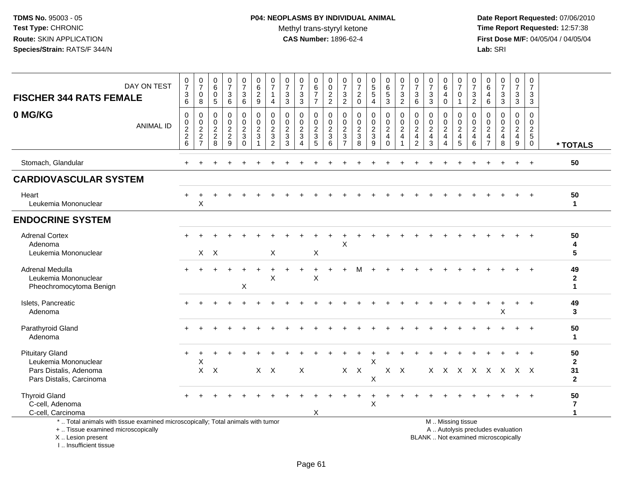**Date Report Requested:** 07/06/2010 **Time Report Requested:** 12:57:38 **First Dose M/F:** 04/05/04 / 04/05/04<br>Lab: SRI **Lab:** SRI

| <b>FISCHER 344 RATS FEMALE</b>                                                                                        | DAY ON TEST      | $\frac{0}{7}$<br>$\ensuremath{\mathsf{3}}$<br>6 | $\frac{0}{7}$<br>$\pmb{0}$<br>$\,8\,$ | $\begin{array}{c} 0 \\ 6 \end{array}$<br>$\pmb{0}$<br>$\overline{5}$ | $\frac{0}{7}$<br>$\sqrt{3}$<br>6       | $\frac{0}{7}$<br>3<br>$\,6\,$             | 0<br>$6\overline{6}$<br>$\overline{c}$<br>9                                    | $\frac{0}{7}$<br>$\mathbf{1}$<br>$\overline{4}$               | 0<br>$\overline{7}$<br>$\sqrt{3}$<br>$\mathbf{3}$      | $\frac{0}{7}$<br>$\ensuremath{\mathsf{3}}$<br>$\overline{3}$          | 0<br>$\,6\,$<br>$\overline{7}$<br>$\overline{7}$ | 0<br>$\mathbf 0$<br>$\frac{2}{2}$                | 0<br>$\overline{7}$<br>3<br>$\overline{2}$                    | 0<br>$\overline{7}$<br>$\boldsymbol{2}$<br>$\mathbf 0$ | $\begin{array}{c} 0 \\ 5 \\ 5 \end{array}$<br>$\overline{4}$ | $\begin{array}{c} 0 \\ 6 \end{array}$<br>$5\,$<br>$\mathbf{3}$ | $\frac{0}{7}$<br>$\mathbf{3}$<br>$\overline{2}$               | 0<br>$\overline{7}$<br>$\mathbf{3}$<br>6                                                  | 0<br>$\overline{7}$<br>$\mathbf 3$<br>$\mathbf{3}$ | 0<br>$6\phantom{a}$<br>4<br>$\Omega$ | 0<br>$\overline{7}$<br>$\mathbf 0$<br>$\mathbf{1}$     | 0<br>$\overline{7}$<br>$\sqrt{3}$<br>$\overline{2}$ | 0<br>$\,6\,$<br>4<br>$6\phantom{1}6$                                            | $\frac{0}{7}$<br>$\sqrt{3}$<br>$\mathbf{3}$                               | $\frac{0}{7}$<br>3<br>3                                                 | 0<br>$\overline{7}$<br>3<br>3                                 |                                            |
|-----------------------------------------------------------------------------------------------------------------------|------------------|-------------------------------------------------|---------------------------------------|----------------------------------------------------------------------|----------------------------------------|-------------------------------------------|--------------------------------------------------------------------------------|---------------------------------------------------------------|--------------------------------------------------------|-----------------------------------------------------------------------|--------------------------------------------------|--------------------------------------------------|---------------------------------------------------------------|--------------------------------------------------------|--------------------------------------------------------------|----------------------------------------------------------------|---------------------------------------------------------------|-------------------------------------------------------------------------------------------|----------------------------------------------------|--------------------------------------|--------------------------------------------------------|-----------------------------------------------------|---------------------------------------------------------------------------------|---------------------------------------------------------------------------|-------------------------------------------------------------------------|---------------------------------------------------------------|--------------------------------------------|
| 0 MG/KG                                                                                                               | <b>ANIMAL ID</b> | $\mathbf 0$<br>$0$<br>$2$<br>$6$                | 0<br>$\frac{0}{2}$<br>7               | $\mathbf 0$<br>$\mathbf 0$<br>$\frac{2}{8}$                          | $\mathbf 0$<br>0<br>$\frac{2}{2}$<br>9 | 0<br>0<br>$\overline{2}$<br>3<br>$\Omega$ | $\mathbf 0$<br>$\begin{smallmatrix} 0\\2\\3 \end{smallmatrix}$<br>$\mathbf{1}$ | $\mathbf 0$<br>$\mathbf 0$<br>$\frac{2}{3}$<br>$\overline{2}$ | $\Omega$<br>0<br>$\overline{c}$<br>$\mathfrak{Z}$<br>3 | $\mathbf 0$<br>$\mathbf 0$<br>$\frac{2}{3}$<br>$\boldsymbol{\Lambda}$ | 0<br>0<br>$\boldsymbol{2}$<br>$\sqrt{3}$<br>5    | $\mathbf 0$<br>$\mathbf 0$<br>$\frac{2}{3}$<br>6 | $\mathbf 0$<br>$\mathbf 0$<br>$\frac{2}{3}$<br>$\overline{7}$ | $\mathbf 0$<br>$\mathbf 0$<br>$\frac{2}{3}$<br>8       | $\mathbf 0$<br>$\frac{0}{2}$<br>9                            | $\mathbf 0$<br>0<br>$\frac{2}{4}$<br>$\Omega$                  | $\mathbf 0$<br>$\mathbf 0$<br>$\frac{2}{4}$<br>$\overline{1}$ | $\mathbf 0$<br>$\mathbf 0$<br>$\overline{c}$<br>$\overline{\mathbf{4}}$<br>$\overline{2}$ | $\mathbf 0$<br>0<br>$\frac{2}{4}$<br>3             | $\Omega$<br>0<br>$\frac{2}{4}$<br>4  | 0<br>0<br>$\frac{2}{4}$<br>5                           | $\mathbf 0$<br>0<br>$\frac{2}{4}$<br>6              | $\Omega$<br>$\mathbf 0$<br>$\boldsymbol{2}$<br>$\overline{4}$<br>$\overline{7}$ | $\Omega$<br>$\mathbf 0$<br>$\overline{c}$<br>$\overline{\mathbf{4}}$<br>8 | 0<br>0<br>$\overline{2}$<br>$\overline{\mathbf{4}}$<br>$\boldsymbol{9}$ | $\mathbf 0$<br>$\mathbf 0$<br>$\frac{2}{5}$<br>$\overline{0}$ | * TOTALS                                   |
| Stomach, Glandular                                                                                                    |                  |                                                 |                                       |                                                                      |                                        |                                           |                                                                                |                                                               |                                                        |                                                                       |                                                  |                                                  |                                                               |                                                        |                                                              |                                                                |                                                               |                                                                                           |                                                    |                                      |                                                        |                                                     |                                                                                 |                                                                           |                                                                         | $+$                                                           | 50                                         |
| <b>CARDIOVASCULAR SYSTEM</b>                                                                                          |                  |                                                 |                                       |                                                                      |                                        |                                           |                                                                                |                                                               |                                                        |                                                                       |                                                  |                                                  |                                                               |                                                        |                                                              |                                                                |                                                               |                                                                                           |                                                    |                                      |                                                        |                                                     |                                                                                 |                                                                           |                                                                         |                                                               |                                            |
| Heart<br>Leukemia Mononuclear                                                                                         |                  | $+$                                             | X                                     |                                                                      |                                        |                                           |                                                                                |                                                               |                                                        |                                                                       |                                                  |                                                  |                                                               |                                                        |                                                              |                                                                |                                                               |                                                                                           |                                                    |                                      |                                                        |                                                     |                                                                                 |                                                                           |                                                                         |                                                               | 50<br>$\mathbf{1}$                         |
| <b>ENDOCRINE SYSTEM</b>                                                                                               |                  |                                                 |                                       |                                                                      |                                        |                                           |                                                                                |                                                               |                                                        |                                                                       |                                                  |                                                  |                                                               |                                                        |                                                              |                                                                |                                                               |                                                                                           |                                                    |                                      |                                                        |                                                     |                                                                                 |                                                                           |                                                                         |                                                               |                                            |
| <b>Adrenal Cortex</b><br>Adenoma<br>Leukemia Mononuclear                                                              |                  |                                                 |                                       | $X$ $X$                                                              |                                        |                                           |                                                                                | X                                                             |                                                        |                                                                       | X                                                |                                                  | Χ                                                             |                                                        |                                                              |                                                                |                                                               |                                                                                           |                                                    |                                      |                                                        |                                                     |                                                                                 |                                                                           |                                                                         |                                                               | 50<br>4<br>5                               |
| <b>Adrenal Medulla</b><br>Leukemia Mononuclear<br>Pheochromocytoma Benign                                             |                  |                                                 |                                       |                                                                      |                                        | X                                         |                                                                                | X                                                             |                                                        |                                                                       | X                                                |                                                  |                                                               |                                                        |                                                              |                                                                |                                                               |                                                                                           |                                                    |                                      |                                                        |                                                     |                                                                                 |                                                                           |                                                                         |                                                               | 49<br>$\mathbf{2}$<br>$\mathbf{1}$         |
| Islets, Pancreatic<br>Adenoma                                                                                         |                  |                                                 |                                       |                                                                      |                                        |                                           |                                                                                |                                                               |                                                        |                                                                       |                                                  |                                                  |                                                               |                                                        |                                                              |                                                                |                                                               |                                                                                           |                                                    |                                      |                                                        |                                                     |                                                                                 | Х                                                                         |                                                                         |                                                               | 49<br>$\mathbf{3}$                         |
| Parathyroid Gland<br>Adenoma                                                                                          |                  |                                                 |                                       |                                                                      |                                        |                                           |                                                                                |                                                               |                                                        |                                                                       |                                                  |                                                  |                                                               |                                                        |                                                              |                                                                |                                                               |                                                                                           |                                                    |                                      |                                                        |                                                     |                                                                                 |                                                                           |                                                                         |                                                               | 50<br>-1                                   |
| <b>Pituitary Gland</b><br>Leukemia Mononuclear<br>Pars Distalis, Adenoma<br>Pars Distalis, Carcinoma                  |                  |                                                 | $\mathsf X$<br>$\mathsf{X}$           | $\boldsymbol{\mathsf{X}}$                                            |                                        |                                           |                                                                                | $X$ $X$                                                       |                                                        | X                                                                     |                                                  |                                                  | X                                                             | $\mathsf{X}$                                           | X<br>X                                                       |                                                                | $X$ $X$                                                       |                                                                                           |                                                    |                                      | X X X X X X X X                                        |                                                     |                                                                                 |                                                                           |                                                                         |                                                               | 50<br>$\mathbf{2}$<br>31<br>$\overline{2}$ |
| <b>Thyroid Gland</b><br>C-cell, Adenoma<br>C-cell, Carcinoma                                                          |                  |                                                 |                                       |                                                                      |                                        |                                           |                                                                                |                                                               |                                                        |                                                                       | X                                                |                                                  |                                                               |                                                        | X                                                            |                                                                |                                                               |                                                                                           |                                                    |                                      |                                                        |                                                     |                                                                                 |                                                                           |                                                                         |                                                               | 50<br>$\overline{7}$<br>$\mathbf{1}$       |
| *  Total animals with tissue examined microscopically; Total animals with tumor<br>+  Tissue examined microscopically |                  |                                                 |                                       |                                                                      |                                        |                                           |                                                                                |                                                               |                                                        |                                                                       |                                                  |                                                  |                                                               |                                                        |                                                              |                                                                |                                                               |                                                                                           |                                                    |                                      | M  Missing tissue<br>A  Autolysis precludes evaluation |                                                     |                                                                                 |                                                                           |                                                                         |                                                               |                                            |

X .. Lesion present

I .. Insufficient tissue

Lesion present BLANK .. Not examined microscopically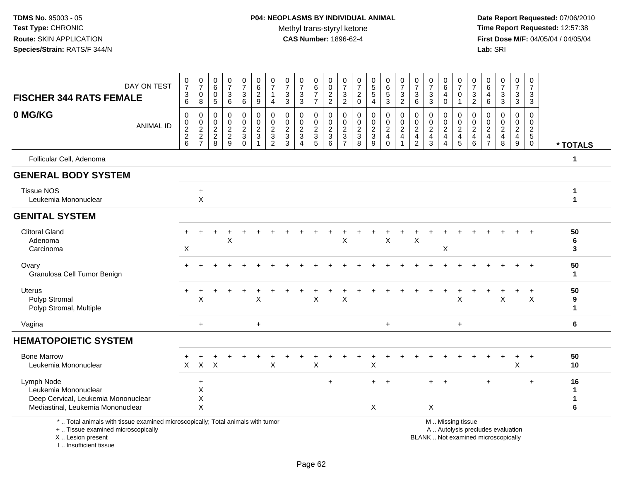**Date Report Requested:** 07/06/2010 **Time Report Requested:** 12:57:38 **First Dose M/F:** 04/05/04 / 04/05/04<br>Lab: SRI **Lab:** SRI

| DAY ON TEST<br><b>FISCHER 344 RATS FEMALE</b>                                                                                              | $\frac{0}{7}$<br>$\frac{3}{6}$    | $\pmb{0}$<br>$\overline{7}$<br>$\pmb{0}$<br>$\,8\,$ | $\overline{0}$<br>$\,6\,$<br>0<br>$\overline{5}$ | $\frac{0}{7}$<br>3<br>6                               | 0<br>$\overline{7}$<br>$\mathbf{3}$<br>$\,6\,$                                 | 0<br>6<br>$\overline{c}$<br>9                   | 0<br>$\overline{7}$<br>1<br>$\overline{4}$                 | 0<br>$\overline{7}$<br>$\mathbf{3}$<br>$\mathbf{3}$ | $\boldsymbol{0}$<br>$\overline{7}$<br>3<br>3                 | 0<br>$\,6\,$<br>$\overline{7}$<br>$\overline{7}$        | 0<br>$\,0\,$<br>$\frac{2}{2}$               | 0<br>$\overline{7}$<br>3<br>$\overline{c}$                        | 0<br>$\overline{7}$<br>$\overline{2}$<br>$\mathbf 0$ | 0<br>$\frac{5}{5}$<br>4                     | 0<br>$\frac{6}{5}$<br>$\overline{3}$           | 0<br>$\overline{7}$<br>$\mathbf{3}$<br>$\overline{2}$ | 0<br>$\overline{7}$<br>$\mathbf{3}$<br>$6\phantom{a}$ | $\frac{0}{7}$<br>$\sqrt{3}$<br>$\overline{3}$                   | 0<br>$\,6\,$<br>4<br>$\mathbf 0$                         | 0<br>$\overline{7}$<br>0<br>$\mathbf{1}$                  | 0<br>$\overline{7}$<br>$\mathbf{3}$<br>$\overline{2}$ | 0<br>6<br>4<br>6                                                        | 0<br>$\overline{7}$<br>3<br>3                            | 0<br>$\overline{7}$<br>3<br>3                                       | 0<br>$\overline{7}$<br>3<br>3                |                         |
|--------------------------------------------------------------------------------------------------------------------------------------------|-----------------------------------|-----------------------------------------------------|--------------------------------------------------|-------------------------------------------------------|--------------------------------------------------------------------------------|-------------------------------------------------|------------------------------------------------------------|-----------------------------------------------------|--------------------------------------------------------------|---------------------------------------------------------|---------------------------------------------|-------------------------------------------------------------------|------------------------------------------------------|---------------------------------------------|------------------------------------------------|-------------------------------------------------------|-------------------------------------------------------|-----------------------------------------------------------------|----------------------------------------------------------|-----------------------------------------------------------|-------------------------------------------------------|-------------------------------------------------------------------------|----------------------------------------------------------|---------------------------------------------------------------------|----------------------------------------------|-------------------------|
| 0 MG/KG<br><b>ANIMAL ID</b>                                                                                                                | 0<br>$\pmb{0}$<br>$\frac{2}{2}$ 6 | 0<br>$\pmb{0}$<br>$\frac{2}{2}$<br>7                | $\mathbf 0$<br>0<br>$\sqrt{2}$<br>$\frac{2}{8}$  | $\mathbf 0$<br>0<br>$\overline{c}$<br>$\sqrt{2}$<br>9 | 0<br>$\pmb{0}$<br>$\boldsymbol{2}$<br>$\ensuremath{\mathsf{3}}$<br>$\mathbf 0$ | 0<br>0<br>$\overline{c}$<br>$\mathfrak{S}$<br>1 | 0<br>0<br>$\overline{c}$<br>$\mathbf{3}$<br>$\overline{2}$ | 0<br>0<br>$\overline{2}$<br>3<br>3                  | $\mathbf 0$<br>0<br>$\overline{c}$<br>$\sqrt{3}$<br>$\Delta$ | 0<br>$\mathbf 0$<br>$\overline{c}$<br>$\mathbf{3}$<br>5 | 0<br>$\boldsymbol{0}$<br>$\frac{2}{3}$<br>6 | 0<br>$\Omega$<br>$\overline{c}$<br>$\mathbf{3}$<br>$\overline{7}$ | 0<br>0<br>$\boldsymbol{2}$<br>$\sqrt{3}$<br>8        | 0<br>0<br>$\overline{c}$<br>$\sqrt{3}$<br>9 | 0<br>$\pmb{0}$<br>$\frac{2}{4}$<br>$\mathbf 0$ | 0<br>0<br>$\overline{c}$<br>$\overline{4}$            | 0<br>0<br>$\frac{2}{4}$<br>$\overline{2}$             | $\mathbf 0$<br>$\mathbf 0$<br>$\sqrt{2}$<br>$\overline{4}$<br>3 | 0<br>$\boldsymbol{0}$<br>$\frac{2}{4}$<br>$\overline{4}$ | 0<br>$\mathbf 0$<br>$\overline{c}$<br>$\overline{4}$<br>5 | 0<br>0<br>$\overline{c}$<br>$\overline{4}$<br>6       | 0<br>0<br>$\boldsymbol{2}$<br>$\overline{\mathbf{4}}$<br>$\overline{7}$ | 0<br>0<br>$\overline{c}$<br>$\overline{\mathbf{4}}$<br>8 | $\mathbf 0$<br>$\mathbf 0$<br>$\overline{a}$<br>$\overline{4}$<br>9 | 0<br>0<br>$\overline{c}$<br>5<br>$\mathbf 0$ | * TOTALS                |
| Follicular Cell, Adenoma                                                                                                                   |                                   |                                                     |                                                  |                                                       |                                                                                |                                                 |                                                            |                                                     |                                                              |                                                         |                                             |                                                                   |                                                      |                                             |                                                |                                                       |                                                       |                                                                 |                                                          |                                                           |                                                       |                                                                         |                                                          |                                                                     |                                              | 1                       |
| <b>GENERAL BODY SYSTEM</b>                                                                                                                 |                                   |                                                     |                                                  |                                                       |                                                                                |                                                 |                                                            |                                                     |                                                              |                                                         |                                             |                                                                   |                                                      |                                             |                                                |                                                       |                                                       |                                                                 |                                                          |                                                           |                                                       |                                                                         |                                                          |                                                                     |                                              |                         |
| <b>Tissue NOS</b><br>Leukemia Mononuclear                                                                                                  |                                   | $\ddot{}$<br>$\pmb{\times}$                         |                                                  |                                                       |                                                                                |                                                 |                                                            |                                                     |                                                              |                                                         |                                             |                                                                   |                                                      |                                             |                                                |                                                       |                                                       |                                                                 |                                                          |                                                           |                                                       |                                                                         |                                                          |                                                                     |                                              | 1<br>1                  |
| <b>GENITAL SYSTEM</b>                                                                                                                      |                                   |                                                     |                                                  |                                                       |                                                                                |                                                 |                                                            |                                                     |                                                              |                                                         |                                             |                                                                   |                                                      |                                             |                                                |                                                       |                                                       |                                                                 |                                                          |                                                           |                                                       |                                                                         |                                                          |                                                                     |                                              |                         |
| <b>Clitoral Gland</b><br>Adenoma<br>Carcinoma                                                                                              | X                                 |                                                     |                                                  | X                                                     |                                                                                |                                                 |                                                            |                                                     |                                                              |                                                         |                                             | X                                                                 |                                                      |                                             | X                                              |                                                       | X                                                     |                                                                 | X                                                        |                                                           |                                                       |                                                                         |                                                          |                                                                     |                                              | 50<br>6<br>3            |
| Ovary<br>Granulosa Cell Tumor Benign                                                                                                       |                                   |                                                     |                                                  |                                                       |                                                                                |                                                 |                                                            |                                                     |                                                              |                                                         |                                             |                                                                   |                                                      |                                             |                                                |                                                       |                                                       |                                                                 |                                                          |                                                           |                                                       |                                                                         |                                                          |                                                                     |                                              | 50<br>1                 |
| <b>Uterus</b><br>Polyp Stromal<br>Polyp Stromal, Multiple                                                                                  |                                   | X                                                   |                                                  |                                                       |                                                                                | $\boldsymbol{\mathsf{X}}$                       |                                                            |                                                     |                                                              | X                                                       |                                             | X                                                                 |                                                      |                                             |                                                |                                                       |                                                       |                                                                 |                                                          | $\times$                                                  |                                                       |                                                                         | X                                                        |                                                                     | X                                            | 50<br>9<br>$\mathbf{1}$ |
| Vagina                                                                                                                                     |                                   | $+$                                                 |                                                  |                                                       |                                                                                | $+$                                             |                                                            |                                                     |                                                              |                                                         |                                             |                                                                   |                                                      |                                             | $+$                                            |                                                       |                                                       |                                                                 |                                                          | $+$                                                       |                                                       |                                                                         |                                                          |                                                                     |                                              | 6                       |
| <b>HEMATOPOIETIC SYSTEM</b>                                                                                                                |                                   |                                                     |                                                  |                                                       |                                                                                |                                                 |                                                            |                                                     |                                                              |                                                         |                                             |                                                                   |                                                      |                                             |                                                |                                                       |                                                       |                                                                 |                                                          |                                                           |                                                       |                                                                         |                                                          |                                                                     |                                              |                         |
| <b>Bone Marrow</b><br>Leukemia Mononuclear                                                                                                 | X                                 | $\mathsf{X}$                                        | $\boldsymbol{\mathsf{X}}$                        |                                                       |                                                                                |                                                 | X                                                          |                                                     |                                                              | $\mathsf X$                                             |                                             |                                                                   |                                                      | Χ                                           |                                                |                                                       |                                                       |                                                                 |                                                          |                                                           |                                                       |                                                                         |                                                          | X                                                                   | $\ddot{}$                                    | 50<br>10                |
| Lymph Node<br>Leukemia Mononuclear<br>Deep Cervical, Leukemia Mononuclear<br>Mediastinal, Leukemia Mononuclear                             |                                   | $\ddot{}$<br>$\mathsf X$<br>X<br>$\mathsf{X}$       |                                                  |                                                       |                                                                                |                                                 |                                                            |                                                     |                                                              |                                                         | $+$                                         |                                                                   |                                                      | $+$<br>X                                    | $\ddot{}$                                      |                                                       |                                                       | X                                                               |                                                          |                                                           |                                                       | ÷.                                                                      |                                                          |                                                                     | $\ddot{}$                                    | 16<br>6                 |
| *  Total animals with tissue examined microscopically; Total animals with tumor<br>+  Tissue examined microscopically<br>X  Lesion present |                                   |                                                     |                                                  |                                                       |                                                                                |                                                 |                                                            |                                                     |                                                              |                                                         |                                             |                                                                   |                                                      |                                             |                                                |                                                       |                                                       | BLANK  Not examined microscopically                             |                                                          | M  Missing tissue                                         |                                                       |                                                                         | A  Autolysis precludes evaluation                        |                                                                     |                                              |                         |

I .. Insufficient tissue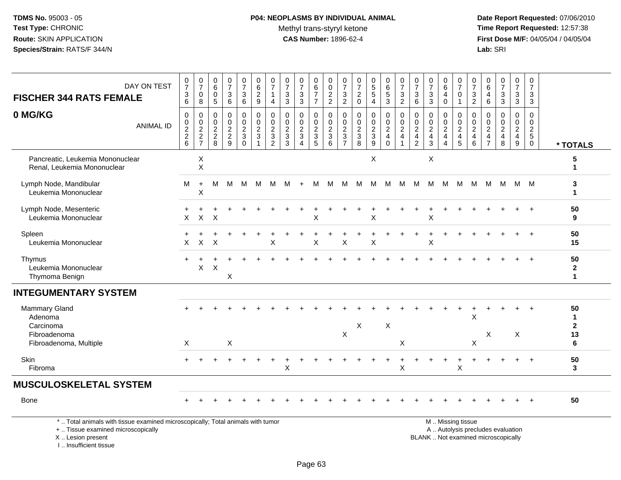# **P04: NEOPLASMS BY INDIVIDUAL ANIMAL**Methyl trans-styryl ketone<br>CAS Number: 1896-62-4

| <b>FISCHER 344 RATS FEMALE</b>                                                                                                                                      | DAY ON TEST      | $\frac{0}{7}$<br>$\frac{3}{6}$ | $\frac{0}{7}$<br>$\pmb{0}$<br>8                            | 0<br>$6\overline{6}$<br>$\mathbf 0$<br>$5\phantom{.0}$   | $\begin{array}{c} 0 \\ 7 \end{array}$<br>$\sqrt{3}$<br>$\,6\,$ | $\begin{smallmatrix}0\\7\end{smallmatrix}$<br>$\mathbf{3}$<br>$\,6\,$ | 0<br>6<br>$\frac{2}{9}$                                                      | $\frac{0}{7}$<br>1<br>$\overline{4}$                      | $\frac{0}{7}$<br>$\ensuremath{\mathsf{3}}$<br>$\overline{3}$                                | $\frac{0}{7}$<br>$\sqrt{3}$<br>$\overline{3}$       | 0<br>$\,6\,$<br>$\boldsymbol{7}$<br>$\overline{7}$ | 0<br>$\mathsf{O}\xspace$<br>$\frac{2}{2}$                     | $\pmb{0}$<br>$\overline{7}$<br>$\mathbf{3}$<br>$\overline{2}$ | $\pmb{0}$<br>$\overline{7}$<br>$^2_{\rm 0}$ | $\begin{array}{c} 0 \\ 5 \\ 5 \end{array}$<br>$\overline{4}$ | $\pmb{0}$<br>$6\phantom{a}$<br>$\frac{5}{3}$                                        | $\frac{0}{7}$<br>$\frac{3}{2}$                                  | $\frac{0}{7}$<br>$^3$ 6                                                            | $\frac{0}{7}$<br>$\sqrt{3}$<br>$\overline{3}$                                       | 0<br>$\,6\,$<br>$\overline{\mathbf{4}}$<br>$\mathbf 0$               | $\pmb{0}$<br>$\overline{7}$<br>$\pmb{0}$<br>$\mathbf{1}$      | 0<br>$\overline{7}$<br>$\mathbf{3}$<br>$\overline{2}$ | 0<br>$\,6\,$<br>$\begin{array}{c} 4 \\ 6 \end{array}$    | $\frac{0}{7}$<br>$\frac{3}{3}$                           | $\pmb{0}$<br>$\overline{7}$<br>$\frac{3}{3}$                  | 0<br>$\overline{7}$<br>$\mathbf{3}$<br>$\mathbf{3}$        |                                                |
|---------------------------------------------------------------------------------------------------------------------------------------------------------------------|------------------|--------------------------------|------------------------------------------------------------|----------------------------------------------------------|----------------------------------------------------------------|-----------------------------------------------------------------------|------------------------------------------------------------------------------|-----------------------------------------------------------|---------------------------------------------------------------------------------------------|-----------------------------------------------------|----------------------------------------------------|---------------------------------------------------------------|---------------------------------------------------------------|---------------------------------------------|--------------------------------------------------------------|-------------------------------------------------------------------------------------|-----------------------------------------------------------------|------------------------------------------------------------------------------------|-------------------------------------------------------------------------------------|----------------------------------------------------------------------|---------------------------------------------------------------|-------------------------------------------------------|----------------------------------------------------------|----------------------------------------------------------|---------------------------------------------------------------|------------------------------------------------------------|------------------------------------------------|
| 0 MG/KG                                                                                                                                                             | <b>ANIMAL ID</b> | 0<br>0<br>$\frac{2}{2}$ 6      | $\,0\,$<br>$\begin{array}{c} 0 \\ 2 \\ 2 \\ 7 \end{array}$ | $\mathbf 0$<br>$\mathbf 0$<br>$\sqrt{2}$<br>$_{\rm 8}^2$ | $\mathbf 0$<br>$\mathsf{O}\xspace$<br>$\frac{2}{9}$            | $\pmb{0}$<br>$\mathbf 0$<br>$\frac{2}{3}$<br>$\mathbf 0$              | $\mathbf 0$<br>$\mathbf 0$<br>$\overline{c}$<br>$\mathbf{3}$<br>$\mathbf{1}$ | $\pmb{0}$<br>$\pmb{0}$<br>$\frac{2}{3}$<br>$\overline{2}$ | $\mathbf 0$<br>$\mathbf 0$<br>$\overline{c}$<br>$\ensuremath{\mathsf{3}}$<br>$\overline{3}$ | $\mathbf 0$<br>0<br>$\frac{2}{3}$<br>$\overline{4}$ | $\mathbf 0$<br>$\mathbf 0$<br>$\frac{2}{3}$        | $\mathbf 0$<br>$\mathbf 0$<br>$\frac{2}{3}$<br>$\overline{6}$ | $\mathbf 0$<br>$\mathbf 0$<br>$\frac{2}{3}$<br>$\overline{7}$ | $\mathbf 0$<br>$\mathbf 0$<br>$\frac{2}{3}$ | 0<br>$\mathbf 0$<br>$\frac{2}{3}$                            | $\pmb{0}$<br>$\mathsf{O}\xspace$<br>$\overline{2}$<br>$\overline{4}$<br>$\mathbf 0$ | $\pmb{0}$<br>$\pmb{0}$<br>$\boldsymbol{2}$<br>4<br>$\mathbf{1}$ | $\mathbf 0$<br>$\mathbf 0$<br>$\boldsymbol{2}$<br>$\overline{4}$<br>$\overline{2}$ | $\mathbf 0$<br>$\mathbf 0$<br>$\sqrt{2}$<br>$\overline{\mathbf{4}}$<br>$\mathbf{3}$ | 0<br>$\mathbf 0$<br>$\boldsymbol{2}$<br>$\overline{\mathbf{4}}$<br>4 | 0<br>$\mathsf{O}\xspace$<br>$\sqrt{2}$<br>$\overline{4}$<br>5 | 0<br>$\mathbf 0$<br>$\overline{a}$<br>4<br>6          | 0<br>0<br>$\sqrt{2}$<br>$\overline{4}$<br>$\overline{7}$ | $\mathbf 0$<br>$\mathsf{O}\xspace$<br>$\frac{2}{4}$<br>8 | $\pmb{0}$<br>$\mathbf 0$<br>$\frac{2}{4}$<br>$\boldsymbol{9}$ | $\mathbf 0$<br>$\mathbf 0$<br>$\frac{2}{5}$<br>$\mathbf 0$ | * TOTALS                                       |
| Pancreatic, Leukemia Mononuclear<br>Renal, Leukemia Mononuclear                                                                                                     |                  |                                | X<br>X                                                     |                                                          |                                                                |                                                                       |                                                                              |                                                           |                                                                                             |                                                     |                                                    |                                                               |                                                               |                                             | X                                                            |                                                                                     |                                                                 |                                                                                    | X                                                                                   |                                                                      |                                                               |                                                       |                                                          |                                                          |                                                               |                                                            | 5<br>$\mathbf 1$                               |
| Lymph Node, Mandibular<br>Leukemia Mononuclear                                                                                                                      |                  | м                              | $\ddot{}$<br>X                                             | м                                                        | M                                                              | м                                                                     | M                                                                            | м                                                         | M                                                                                           | $\ddot{}$                                           | м                                                  | м                                                             | M                                                             | M                                           | M                                                            | M                                                                                   | M                                                               | м                                                                                  |                                                                                     | M M                                                                  | M                                                             | м                                                     | M                                                        | M                                                        | M M                                                           |                                                            | 3<br>$\mathbf 1$                               |
| Lymph Node, Mesenteric<br>Leukemia Mononuclear                                                                                                                      |                  | +<br>X                         | $\ddot{}$<br>$\mathsf{X}$                                  | X                                                        |                                                                |                                                                       |                                                                              |                                                           |                                                                                             |                                                     | X                                                  |                                                               |                                                               |                                             | X                                                            |                                                                                     |                                                                 |                                                                                    | X                                                                                   |                                                                      |                                                               |                                                       |                                                          |                                                          |                                                               |                                                            | 50<br>9                                        |
| Spleen<br>Leukemia Mononuclear                                                                                                                                      |                  | X                              | X                                                          | X                                                        |                                                                |                                                                       |                                                                              | X                                                         |                                                                                             |                                                     | X                                                  |                                                               | X                                                             |                                             | X                                                            |                                                                                     |                                                                 |                                                                                    | X                                                                                   |                                                                      |                                                               |                                                       |                                                          |                                                          |                                                               |                                                            | 50<br>15                                       |
| Thymus<br>Leukemia Mononuclear<br>Thymoma Benign                                                                                                                    |                  | $+$                            | +<br>X                                                     | $\mathsf X$                                              | X                                                              |                                                                       |                                                                              |                                                           |                                                                                             |                                                     |                                                    |                                                               |                                                               |                                             |                                                              |                                                                                     |                                                                 |                                                                                    |                                                                                     |                                                                      |                                                               |                                                       |                                                          |                                                          |                                                               |                                                            | 50<br>$\mathbf{2}$<br>$\mathbf 1$              |
| <b>INTEGUMENTARY SYSTEM</b>                                                                                                                                         |                  |                                |                                                            |                                                          |                                                                |                                                                       |                                                                              |                                                           |                                                                                             |                                                     |                                                    |                                                               |                                                               |                                             |                                                              |                                                                                     |                                                                 |                                                                                    |                                                                                     |                                                                      |                                                               |                                                       |                                                          |                                                          |                                                               |                                                            |                                                |
| Mammary Gland<br>Adenoma<br>Carcinoma<br>Fibroadenoma<br>Fibroadenoma, Multiple                                                                                     |                  | X                              |                                                            |                                                          | $\mathsf X$                                                    |                                                                       |                                                                              |                                                           |                                                                                             |                                                     |                                                    |                                                               | $\boldsymbol{\mathsf{X}}$                                     | X                                           |                                                              | X                                                                                   | X                                                               |                                                                                    |                                                                                     |                                                                      |                                                               | X<br>Χ                                                | X                                                        |                                                          | $\mathsf X$                                                   |                                                            | 50<br>$\mathbf 1$<br>$\overline{2}$<br>13<br>6 |
| Skin<br>Fibroma                                                                                                                                                     |                  |                                |                                                            |                                                          |                                                                |                                                                       |                                                                              |                                                           | X                                                                                           |                                                     |                                                    |                                                               |                                                               |                                             |                                                              |                                                                                     | +<br>X                                                          |                                                                                    |                                                                                     | $\ddot{}$                                                            | $\times$                                                      | $\ddot{}$                                             |                                                          |                                                          |                                                               | $+$                                                        | 50<br>3                                        |
| <b>MUSCULOSKELETAL SYSTEM</b>                                                                                                                                       |                  |                                |                                                            |                                                          |                                                                |                                                                       |                                                                              |                                                           |                                                                                             |                                                     |                                                    |                                                               |                                                               |                                             |                                                              |                                                                                     |                                                                 |                                                                                    |                                                                                     |                                                                      |                                                               |                                                       |                                                          |                                                          |                                                               |                                                            |                                                |
| Bone                                                                                                                                                                |                  |                                |                                                            |                                                          |                                                                |                                                                       |                                                                              |                                                           |                                                                                             |                                                     |                                                    |                                                               |                                                               |                                             |                                                              |                                                                                     |                                                                 |                                                                                    |                                                                                     |                                                                      |                                                               |                                                       |                                                          |                                                          |                                                               |                                                            | 50                                             |
| *  Total animals with tissue examined microscopically; Total animals with tumor<br>+  Tissue examined microscopically<br>X  Lesion present<br>I Insufficient tissue |                  |                                |                                                            |                                                          |                                                                |                                                                       |                                                                              |                                                           |                                                                                             |                                                     |                                                    |                                                               |                                                               |                                             |                                                              |                                                                                     |                                                                 |                                                                                    | BLANK  Not examined microscopically                                                 |                                                                      | M  Missing tissue<br>A  Autolysis precludes evaluation        |                                                       |                                                          |                                                          |                                                               |                                                            |                                                |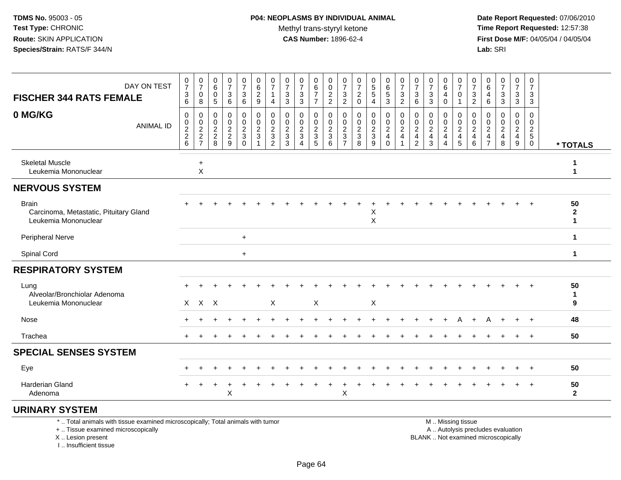**Date Report Requested:** 07/06/2010 **Time Report Requested:** 12:57:38 **First Dose M/F:** 04/05/04 / 04/05/04<br>**Lab:** SRI **Lab:** SRI

| DAY ON TEST<br><b>FISCHER 344 RATS FEMALE</b>                                  | $\frac{0}{7}$<br>3<br>$\,6$  | $\frac{0}{7}$<br>0<br>8                           | 0<br>6<br>0<br>$\mathbf 5$                      | $\frac{0}{7}$<br>$\sqrt{3}$<br>$\,6\,$                | 0<br>$\overline{7}$<br>$\sqrt{3}$<br>$\,6\,$               | 0<br>$\,6\,$<br>$\overline{c}$<br>9                              | 0<br>$\overline{7}$<br>4                                                         | $\frac{0}{7}$<br>3<br>$\sqrt{3}$                                     | $\frac{0}{7}$<br>$\ensuremath{\mathsf{3}}$<br>$\mathbf{3}$       | 0<br>$\overline{6}$<br>$\overline{7}$<br>$\overline{7}$ | 0<br>0<br>$\frac{2}{2}$                               | 0<br>$\overline{7}$<br>3<br>$\sqrt{2}$                                            | $\frac{0}{7}$<br>$\overline{c}$<br>$\pmb{0}$ | $\begin{array}{c} 0 \\ 5 \\ 5 \end{array}$<br>$\overline{4}$ | $\begin{matrix} 0 \\ 6 \end{matrix}$<br>$\sqrt{5}$<br>3            | $\frac{0}{7}$<br>$\sqrt{3}$<br>$\overline{2}$                    | 0<br>$\overline{7}$<br>3<br>$\,6\,$                                              | 0<br>$\overline{7}$<br>3<br>$\mathbf{3}$                           | $_6^0$<br>4<br>0                                                      | $\frac{0}{7}$<br>$\mathbf 0$<br>$\mathbf{1}$ | 0<br>$\overline{7}$<br>$\ensuremath{\mathsf{3}}$<br>$\sqrt{2}$ | 0<br>$\,6\,$<br>4<br>6                                       | $\frac{0}{7}$<br>3<br>$\sqrt{3}$                | 0<br>$\overline{7}$<br>3<br>3                   | 0<br>$\overline{7}$<br>3<br>$\mathbf{3}$                   |                                    |
|--------------------------------------------------------------------------------|------------------------------|---------------------------------------------------|-------------------------------------------------|-------------------------------------------------------|------------------------------------------------------------|------------------------------------------------------------------|----------------------------------------------------------------------------------|----------------------------------------------------------------------|------------------------------------------------------------------|---------------------------------------------------------|-------------------------------------------------------|-----------------------------------------------------------------------------------|----------------------------------------------|--------------------------------------------------------------|--------------------------------------------------------------------|------------------------------------------------------------------|----------------------------------------------------------------------------------|--------------------------------------------------------------------|-----------------------------------------------------------------------|----------------------------------------------|----------------------------------------------------------------|--------------------------------------------------------------|-------------------------------------------------|-------------------------------------------------|------------------------------------------------------------|------------------------------------|
| 0 MG/KG<br><b>ANIMAL ID</b>                                                    | 0<br>0<br>$\frac{2}{2}$<br>6 | 0<br>$\pmb{0}$<br>$\frac{2}{2}$<br>$\overline{7}$ | 0<br>0<br>$\overline{c}$<br>$\overline{c}$<br>8 | 0<br>$\mathbf 0$<br>$\frac{2}{2}$<br>$\boldsymbol{9}$ | 0<br>$\pmb{0}$<br>$\overline{a}$<br>$\sqrt{3}$<br>$\Omega$ | 0<br>$\pmb{0}$<br>$\overline{c}$<br>$\sqrt{3}$<br>$\overline{1}$ | 0<br>0<br>$\overline{\mathbf{c}}$<br>$\ensuremath{\mathsf{3}}$<br>$\overline{2}$ | $\mathbf 0$<br>0<br>$\overline{c}$<br>$\ensuremath{\mathsf{3}}$<br>3 | 0<br>0<br>$\overline{c}$<br>$\sqrt{3}$<br>$\boldsymbol{\Lambda}$ | 0<br>$\mathbf 0$<br>$\frac{2}{3}$<br>$5\phantom{.0}$    | 0<br>$\mathbf 0$<br>$\overline{2}$<br>$\sqrt{3}$<br>6 | 0<br>$\mathbf 0$<br>$\overline{c}$<br>$\ensuremath{\mathsf{3}}$<br>$\overline{7}$ | 0<br>$\pmb{0}$<br>$\frac{2}{3}$<br>8         | 0<br>$\pmb{0}$<br>$\frac{2}{3}$<br>9                         | 0<br>0<br>$\overline{c}$<br>$\overline{\mathbf{4}}$<br>$\mathbf 0$ | 0<br>$\pmb{0}$<br>$\sqrt{2}$<br>$\overline{4}$<br>$\overline{1}$ | $\mathbf 0$<br>$\mathbf 0$<br>$\overline{2}$<br>$\overline{a}$<br>$\overline{c}$ | $\mathbf 0$<br>0<br>$\overline{c}$<br>$\overline{\mathbf{4}}$<br>3 | 0<br>0<br>$\overline{c}$<br>$\overline{\mathbf{4}}$<br>$\overline{4}$ | 0<br>$\pmb{0}$<br>$\frac{2}{4}$<br>$5\,$     | 0<br>0<br>$\sqrt{2}$<br>$\overline{4}$<br>$\,6\,$              | 0<br>0<br>$\overline{c}$<br>$\overline{4}$<br>$\overline{7}$ | 0<br>0<br>$\overline{c}$<br>$\overline{4}$<br>8 | 0<br>0<br>$\overline{a}$<br>$\overline{4}$<br>9 | $\mathbf 0$<br>0<br>$\overline{c}$<br>$5\,$<br>$\mathbf 0$ | * TOTALS                           |
| <b>Skeletal Muscle</b><br>Leukemia Mononuclear                                 |                              | $\ddot{}$<br>X                                    |                                                 |                                                       |                                                            |                                                                  |                                                                                  |                                                                      |                                                                  |                                                         |                                                       |                                                                                   |                                              |                                                              |                                                                    |                                                                  |                                                                                  |                                                                    |                                                                       |                                              |                                                                |                                                              |                                                 |                                                 |                                                            | 1                                  |
| <b>NERVOUS SYSTEM</b>                                                          |                              |                                                   |                                                 |                                                       |                                                            |                                                                  |                                                                                  |                                                                      |                                                                  |                                                         |                                                       |                                                                                   |                                              |                                                              |                                                                    |                                                                  |                                                                                  |                                                                    |                                                                       |                                              |                                                                |                                                              |                                                 |                                                 |                                                            |                                    |
| <b>Brain</b><br>Carcinoma, Metastatic, Pituitary Gland<br>Leukemia Mononuclear |                              |                                                   |                                                 |                                                       |                                                            |                                                                  |                                                                                  |                                                                      |                                                                  |                                                         |                                                       |                                                                                   |                                              | X<br>$\pmb{\times}$                                          |                                                                    |                                                                  |                                                                                  |                                                                    |                                                                       |                                              |                                                                |                                                              |                                                 |                                                 |                                                            | 50<br>$\mathbf{2}$<br>$\mathbf{1}$ |
| <b>Peripheral Nerve</b>                                                        |                              |                                                   |                                                 |                                                       | $\ddot{}$                                                  |                                                                  |                                                                                  |                                                                      |                                                                  |                                                         |                                                       |                                                                                   |                                              |                                                              |                                                                    |                                                                  |                                                                                  |                                                                    |                                                                       |                                              |                                                                |                                                              |                                                 |                                                 |                                                            | $\mathbf 1$                        |
| Spinal Cord                                                                    |                              |                                                   |                                                 |                                                       | $+$                                                        |                                                                  |                                                                                  |                                                                      |                                                                  |                                                         |                                                       |                                                                                   |                                              |                                                              |                                                                    |                                                                  |                                                                                  |                                                                    |                                                                       |                                              |                                                                |                                                              |                                                 |                                                 |                                                            | 1                                  |
| <b>RESPIRATORY SYSTEM</b>                                                      |                              |                                                   |                                                 |                                                       |                                                            |                                                                  |                                                                                  |                                                                      |                                                                  |                                                         |                                                       |                                                                                   |                                              |                                                              |                                                                    |                                                                  |                                                                                  |                                                                    |                                                                       |                                              |                                                                |                                                              |                                                 |                                                 |                                                            |                                    |
| Lung<br>Alveolar/Bronchiolar Adenoma<br>Leukemia Mononuclear                   |                              | X X                                               | $\mathsf{X}$                                    |                                                       |                                                            |                                                                  | X                                                                                |                                                                      |                                                                  | X                                                       |                                                       |                                                                                   |                                              | X                                                            |                                                                    |                                                                  |                                                                                  |                                                                    |                                                                       |                                              |                                                                |                                                              |                                                 |                                                 |                                                            | 50<br>$\mathbf 1$<br>9             |
| Nose                                                                           |                              |                                                   |                                                 |                                                       |                                                            |                                                                  |                                                                                  |                                                                      |                                                                  |                                                         |                                                       |                                                                                   |                                              |                                                              |                                                                    |                                                                  |                                                                                  |                                                                    |                                                                       |                                              |                                                                | Α                                                            |                                                 | $\ddot{}$                                       | $^{+}$                                                     | 48                                 |
| Trachea                                                                        |                              |                                                   |                                                 |                                                       |                                                            |                                                                  |                                                                                  |                                                                      |                                                                  |                                                         |                                                       |                                                                                   |                                              |                                                              |                                                                    |                                                                  |                                                                                  |                                                                    |                                                                       |                                              |                                                                |                                                              |                                                 | ÷                                               | $\ddot{}$                                                  | 50                                 |
| <b>SPECIAL SENSES SYSTEM</b>                                                   |                              |                                                   |                                                 |                                                       |                                                            |                                                                  |                                                                                  |                                                                      |                                                                  |                                                         |                                                       |                                                                                   |                                              |                                                              |                                                                    |                                                                  |                                                                                  |                                                                    |                                                                       |                                              |                                                                |                                                              |                                                 |                                                 |                                                            |                                    |
| Eye                                                                            |                              |                                                   |                                                 |                                                       |                                                            |                                                                  |                                                                                  |                                                                      |                                                                  |                                                         |                                                       |                                                                                   |                                              |                                                              |                                                                    |                                                                  |                                                                                  |                                                                    |                                                                       |                                              |                                                                |                                                              |                                                 |                                                 | $\div$                                                     | 50                                 |
| Harderian Gland<br>Adenoma                                                     |                              |                                                   |                                                 | X                                                     |                                                            |                                                                  |                                                                                  |                                                                      |                                                                  |                                                         |                                                       | X                                                                                 |                                              |                                                              |                                                                    |                                                                  |                                                                                  |                                                                    |                                                                       |                                              |                                                                |                                                              |                                                 | $\ddot{}$                                       | $+$                                                        | 50<br>$\mathbf{2}$                 |
| <b>URINARY SYSTEM</b>                                                          |                              |                                                   |                                                 |                                                       |                                                            |                                                                  |                                                                                  |                                                                      |                                                                  |                                                         |                                                       |                                                                                   |                                              |                                                              |                                                                    |                                                                  |                                                                                  |                                                                    |                                                                       |                                              |                                                                |                                                              |                                                 |                                                 |                                                            |                                    |

\* .. Total animals with tissue examined microscopically; Total animals with tumor

+ .. Tissue examined microscopically

X .. Lesion present

I .. Insufficient tissue

M .. Missing tissue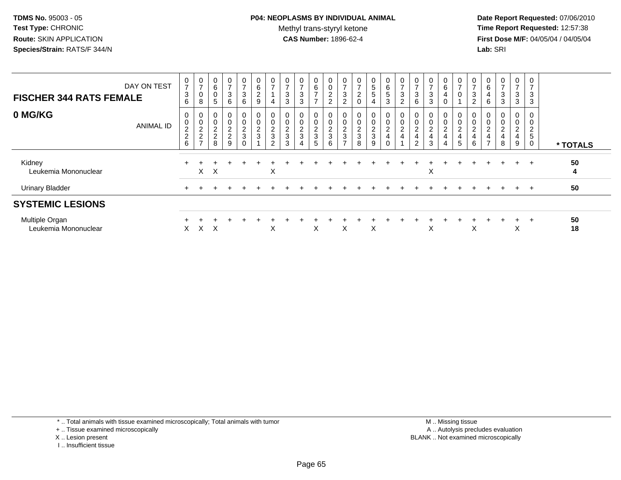# **P04: NEOPLASMS BY INDIVIDUAL ANIMAL**Methyl trans-styryl ketone<br>CAS Number: 1896-62-4

 **Date Report Requested:** 07/06/2010 **Time Report Requested:** 12:57:38 **First Dose M/F:** 04/05/04 / 04/05/04<br>**Lab:** SRI **Lab:** SRI

| <b>FISCHER 344 RATS FEMALE</b>         | DAY ON TEST      | 0<br>$\overline{7}$<br>$\mathbf{3}$<br>6     | 0<br>$\overline{ }$<br>0<br>8                                   | 0<br>$\,6\,$<br>$\pmb{0}$<br>5                                | 0<br>$\rightarrow$<br>$\sqrt{3}$<br>6 | $\mathbf 0$<br>$\overline{ }$<br>$\ensuremath{\mathsf{3}}$<br>6 | $\mathbf 0$<br>$\,6\,$<br>$\sqrt{2}$<br>9                     | 0<br>$\overline{ }$<br>4                       | 0<br>$\overline{ }$<br>$\mathbf{3}$<br>3   | 0<br>$\overline{ }$<br>3<br>3   | 0<br>6<br>$\overline{ }$<br>$\rightarrow$   | 0<br>$\pmb{0}$<br>$\sqrt{2}$<br>$\overline{2}$    | $\frac{0}{7}$<br>$\mathbf{3}$<br>$\overline{c}$ | $\overline{0}$<br>$\overline{7}$<br>$\overline{c}$<br>0 | $\mathbf 0$<br>5<br>5<br>4         | 0<br>6<br>$\sqrt{5}$<br>3                           | 0<br>$\rightarrow$<br>$\sqrt{3}$<br>$\overline{c}$ | 0<br>$\overline{ }$<br>3<br>6                                   | 0<br>$\overline{ }$<br>$\mathbf{3}$<br>3             | 0<br>6<br>4<br>0                                              | $\mathbf 0$<br>$\overline{7}$<br>$\mathbf 0$ | 0<br>$\overline{ }$<br>$\sqrt{3}$<br>$\overline{c}$ | 0<br>6<br>$\overline{4}$<br>6    | 0<br>$\overline{ }$<br>$\sqrt{3}$<br>3     | 0<br>$\overline{ }$<br>$\mathbf{3}$<br>3    | $\mathbf 0$<br>$\overline{ }$<br>$\mathbf{3}$<br>3              |          |
|----------------------------------------|------------------|----------------------------------------------|-----------------------------------------------------------------|---------------------------------------------------------------|---------------------------------------|-----------------------------------------------------------------|---------------------------------------------------------------|------------------------------------------------|--------------------------------------------|---------------------------------|---------------------------------------------|---------------------------------------------------|-------------------------------------------------|---------------------------------------------------------|------------------------------------|-----------------------------------------------------|----------------------------------------------------|-----------------------------------------------------------------|------------------------------------------------------|---------------------------------------------------------------|----------------------------------------------|-----------------------------------------------------|----------------------------------|--------------------------------------------|---------------------------------------------|-----------------------------------------------------------------|----------|
| 0 MG/KG                                | <b>ANIMAL ID</b> | 0<br>$\pmb{0}$<br>2<br>$\boldsymbol{2}$<br>6 | 0<br>$\overline{\mathbf{c}}$<br>$\overline{c}$<br>$\rightarrow$ | 0<br>$\mathbf 0$<br>$\boldsymbol{2}$<br>$\boldsymbol{2}$<br>8 | 0<br>0<br>$\frac{2}{2}$<br>9          | $_{\rm 0}^{\rm 0}$<br>$\frac{2}{3}$<br>$\mathbf 0$              | $\begin{smallmatrix} 0\\0 \end{smallmatrix}$<br>$\frac{2}{3}$ | 0<br>$\mathsf{O}\xspace$<br>$\frac{2}{3}$<br>2 | $\overline{\mathbf{c}}$<br>$\sqrt{3}$<br>3 | 0<br>$\pmb{0}$<br>$\frac{2}{3}$ | 0<br>0<br>$\overline{\mathbf{c}}$<br>3<br>5 | 0<br>$\pmb{0}$<br>$\sqrt{2}$<br>$\mathbf{3}$<br>6 | 0<br>$\frac{2}{3}$<br>$\rightarrow$             | 0<br>$\pmb{0}$<br>$\overline{c}$<br>3<br>8              | 0<br>0<br>$\overline{a}$<br>3<br>9 | 0<br>$\boldsymbol{2}$<br>$\overline{4}$<br>$\Omega$ | 0<br>$\pmb{0}$<br>$\overline{c}$<br>4              | $\pmb{0}$<br>$\overline{2}$<br>$\overline{a}$<br>$\overline{2}$ | $\pmb{0}$<br>$\boldsymbol{2}$<br>$\overline{4}$<br>3 | 0<br>$\mathsf{O}\xspace$<br>$\overline{\mathbf{c}}$<br>4<br>4 | $\mathbf 0$<br>$\overline{c}$<br>4<br>5      | 0<br>$\overline{c}$<br>$\overline{4}$<br>6          | $\overline{c}$<br>$\overline{ }$ | 0<br>$\pmb{0}$<br>$\overline{c}$<br>4<br>8 | 0<br>0<br>$\overline{\mathbf{c}}$<br>4<br>9 | 0<br>$\mathbf 0$<br>$\overline{c}$<br>$\sqrt{5}$<br>$\mathbf 0$ | * TOTALS |
| Kidney<br>Leukemia Mononuclear         |                  | $\div$                                       | X                                                               | $\times$                                                      |                                       |                                                                 |                                                               | X                                              |                                            |                                 |                                             |                                                   |                                                 |                                                         |                                    |                                                     |                                                    |                                                                 | X                                                    |                                                               |                                              |                                                     |                                  |                                            | $+$                                         | $+$                                                             | 50<br>4  |
| <b>Urinary Bladder</b>                 |                  |                                              |                                                                 |                                                               |                                       |                                                                 |                                                               |                                                |                                            |                                 |                                             |                                                   |                                                 |                                                         |                                    |                                                     |                                                    |                                                                 |                                                      |                                                               |                                              |                                                     |                                  |                                            | $+$                                         | $+$                                                             | 50       |
| <b>SYSTEMIC LESIONS</b>                |                  |                                              |                                                                 |                                                               |                                       |                                                                 |                                                               |                                                |                                            |                                 |                                             |                                                   |                                                 |                                                         |                                    |                                                     |                                                    |                                                                 |                                                      |                                                               |                                              |                                                     |                                  |                                            |                                             |                                                                 |          |
| Multiple Organ<br>Leukemia Mononuclear |                  | X                                            | X                                                               | X                                                             |                                       |                                                                 |                                                               | X                                              |                                            |                                 | X                                           |                                                   | X                                               |                                                         | X                                  |                                                     |                                                    |                                                                 | Χ                                                    |                                                               |                                              | X                                                   |                                  |                                            | $\ddot{}$<br>$\checkmark$<br>v              | $\overline{+}$                                                  | 50<br>18 |

+ .. Tissue examined microscopically

- X .. Lesion present
- I .. Insufficient tissue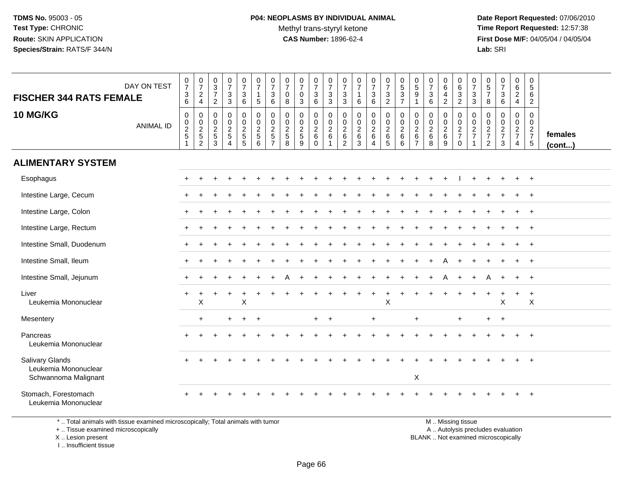**Date Report Requested:** 07/06/2010 **Time Report Requested:** 12:57:38 **First Dose M/F:** 04/05/04 / 04/05/04<br>**Lab:** SRI **Lab:** SRI

| <b>FISCHER 344 RATS FEMALE</b><br><b>10 MG/KG</b>                      | DAY ON TEST<br><b>ANIMAL ID</b> | $\frac{0}{7}$<br>$\mathsf 3$<br>6<br>$\pmb{0}$<br>$\begin{array}{c} 0 \\ 2 \\ 5 \end{array}$<br>-1 | $\frac{0}{7}$<br>$\sqrt{2}$<br>$\overline{4}$<br>0<br>0<br>2<br>5<br>2 | $_{3}^{\rm 0}$<br>$\overline{7}$<br>$\overline{2}$<br>$\mathbf 0$<br>$\mathbf 0$<br>$\frac{2}{5}$<br>3 | $\frac{0}{7}$<br>$\mathbf 3$<br>$\mathbf{3}$<br>$\pmb{0}$<br>$\mathbf 0$<br>$\frac{2}{5}$<br>$\boldsymbol{\Lambda}$ | $\frac{0}{7}$<br>$\mathsf 3$<br>$6\phantom{1}6$<br>$\pmb{0}$<br>$\mathsf{O}\xspace$<br>$rac{2}{5}$ | $\frac{0}{7}$<br>$\mathbf{1}$<br>5<br>$\pmb{0}$<br>$\overline{0}$<br>$\frac{2}{5}$<br>6 | $\frac{0}{7}$<br>3<br>6<br>$\mathbf 0$<br>$\mathbf 0$<br>$\frac{2}{5}$<br>$\overline{7}$ | $\frac{0}{7}$<br>$\mathbf 0$<br>8<br>0<br>$\mathbf 0$<br>$\frac{2}{5}$<br>8 | $\frac{0}{7}$<br>$\mathbf 0$<br>$\mathbf{3}$<br>$\mathbf 0$<br>$\ddot{\mathbf{0}}$<br>$\frac{2}{5}$<br>9 | $\frac{0}{7}$<br>$\ensuremath{\mathsf{3}}$<br>$\,6\,$<br>0<br>$\frac{0}{2}$ 6<br>$\mathbf 0$ | $\frac{0}{7}$<br>$\sqrt{3}$<br>$\mathbf{3}$<br>$\pmb{0}$<br>$\ddot{\mathbf{0}}$<br>$\frac{2}{6}$<br>$\mathbf{1}$ | $\frac{0}{7}$<br>$\mathbf{3}$<br>$\ensuremath{\mathsf{3}}$<br>0<br>$\mathbf 0$<br>$\begin{array}{c} 2 \\ 6 \end{array}$<br>$\overline{c}$ | $\frac{0}{7}$<br>$\mathbf{1}$<br>6<br>$\mathbf 0$<br>$\frac{0}{2}$ 6<br>3 | $\frac{0}{7}$<br>3<br>$6\phantom{1}6$<br>$\mathsf{O}$<br>$\bar{0}$<br>$\frac{2}{6}$<br>$\overline{4}$ | $\frac{0}{7}$<br>$\mathbf{3}$<br>$\overline{2}$<br>0<br>$\mathsf{O}\xspace$<br>$\frac{2}{6}$<br>5 | $\begin{array}{c} 0 \\ 5 \\ 3 \\ 7 \end{array}$<br>00026<br>6 | $\begin{array}{c} 0 \\ 5 \end{array}$<br>$\boldsymbol{9}$<br>$\mathbf{1}$<br>0<br>$\mathbf 0$<br>$\frac{2}{6}$<br>$\overline{7}$ | $\frac{0}{7}$<br>$\mathbf{3}$<br>$6\phantom{1}6$<br>$\pmb{0}$<br>$\mathbf 0$<br>$\overline{2}$<br>6<br>8 | $\begin{array}{c} 0 \\ 6 \end{array}$<br>$\overline{\mathbf{4}}$<br>$\overline{2}$<br>0<br>$\mathbf 0$<br>$\frac{2}{6}$<br>9 | $\begin{array}{c} 0 \\ 6 \end{array}$<br>$\ensuremath{\mathsf{3}}$<br>$\overline{2}$<br>0<br>$\ddot{\mathbf{0}}$<br>$\frac{2}{7}$<br>$\Omega$ | $\frac{0}{7}$<br>$\ensuremath{\mathsf{3}}$<br>$\mathbf{3}$<br>$\pmb{0}$<br>$\frac{0}{2}$<br>7 | $\begin{matrix} 0 \\ 5 \end{matrix}$<br>$\overline{7}$<br>8<br>$\mathbf 0$<br>$\mathbf 0$<br>$\frac{2}{7}$<br>2 | $\frac{0}{7}$<br>$\mathbf 3$<br>$\,6\,$<br>$\mathbf 0$<br>$\mathbf 0$<br>$\frac{2}{7}$<br>3 | $_{\rm 6}^{\rm 0}$<br>$\sqrt{2}$<br>$\overline{4}$<br>$\pmb{0}$<br>$\mathbf 0$<br>$rac{2}{7}$<br>$\overline{4}$ | 0<br>$\sqrt{5}$<br>$6\phantom{1}6$<br>$\overline{2}$<br>$\mathbf 0$<br>$\overline{0}$<br>$rac{2}{7}$ | females<br>$($ cont $)$ |
|------------------------------------------------------------------------|---------------------------------|----------------------------------------------------------------------------------------------------|------------------------------------------------------------------------|--------------------------------------------------------------------------------------------------------|---------------------------------------------------------------------------------------------------------------------|----------------------------------------------------------------------------------------------------|-----------------------------------------------------------------------------------------|------------------------------------------------------------------------------------------|-----------------------------------------------------------------------------|----------------------------------------------------------------------------------------------------------|----------------------------------------------------------------------------------------------|------------------------------------------------------------------------------------------------------------------|-------------------------------------------------------------------------------------------------------------------------------------------|---------------------------------------------------------------------------|-------------------------------------------------------------------------------------------------------|---------------------------------------------------------------------------------------------------|---------------------------------------------------------------|----------------------------------------------------------------------------------------------------------------------------------|----------------------------------------------------------------------------------------------------------|------------------------------------------------------------------------------------------------------------------------------|-----------------------------------------------------------------------------------------------------------------------------------------------|-----------------------------------------------------------------------------------------------|-----------------------------------------------------------------------------------------------------------------|---------------------------------------------------------------------------------------------|-----------------------------------------------------------------------------------------------------------------|------------------------------------------------------------------------------------------------------|-------------------------|
| <b>ALIMENTARY SYSTEM</b>                                               |                                 |                                                                                                    |                                                                        |                                                                                                        |                                                                                                                     |                                                                                                    |                                                                                         |                                                                                          |                                                                             |                                                                                                          |                                                                                              |                                                                                                                  |                                                                                                                                           |                                                                           |                                                                                                       |                                                                                                   |                                                               |                                                                                                                                  |                                                                                                          |                                                                                                                              |                                                                                                                                               |                                                                                               |                                                                                                                 |                                                                                             |                                                                                                                 |                                                                                                      |                         |
| Esophagus                                                              |                                 | $\div$                                                                                             |                                                                        |                                                                                                        |                                                                                                                     |                                                                                                    |                                                                                         |                                                                                          |                                                                             |                                                                                                          |                                                                                              |                                                                                                                  |                                                                                                                                           |                                                                           |                                                                                                       |                                                                                                   |                                                               |                                                                                                                                  |                                                                                                          |                                                                                                                              |                                                                                                                                               |                                                                                               |                                                                                                                 |                                                                                             |                                                                                                                 | $+$                                                                                                  |                         |
| Intestine Large, Cecum                                                 |                                 |                                                                                                    |                                                                        |                                                                                                        |                                                                                                                     |                                                                                                    |                                                                                         |                                                                                          |                                                                             |                                                                                                          |                                                                                              |                                                                                                                  |                                                                                                                                           |                                                                           |                                                                                                       |                                                                                                   |                                                               |                                                                                                                                  |                                                                                                          |                                                                                                                              |                                                                                                                                               |                                                                                               |                                                                                                                 |                                                                                             |                                                                                                                 |                                                                                                      |                         |
| Intestine Large, Colon                                                 |                                 |                                                                                                    |                                                                        |                                                                                                        |                                                                                                                     |                                                                                                    |                                                                                         |                                                                                          |                                                                             |                                                                                                          |                                                                                              |                                                                                                                  |                                                                                                                                           |                                                                           |                                                                                                       |                                                                                                   |                                                               |                                                                                                                                  |                                                                                                          |                                                                                                                              |                                                                                                                                               |                                                                                               |                                                                                                                 |                                                                                             |                                                                                                                 | $^{+}$                                                                                               |                         |
| Intestine Large, Rectum                                                |                                 |                                                                                                    |                                                                        |                                                                                                        |                                                                                                                     |                                                                                                    |                                                                                         |                                                                                          |                                                                             |                                                                                                          |                                                                                              |                                                                                                                  |                                                                                                                                           |                                                                           |                                                                                                       |                                                                                                   |                                                               |                                                                                                                                  |                                                                                                          |                                                                                                                              |                                                                                                                                               |                                                                                               |                                                                                                                 |                                                                                             |                                                                                                                 | $+$                                                                                                  |                         |
| Intestine Small, Duodenum                                              |                                 |                                                                                                    |                                                                        |                                                                                                        |                                                                                                                     |                                                                                                    |                                                                                         |                                                                                          |                                                                             |                                                                                                          |                                                                                              |                                                                                                                  |                                                                                                                                           |                                                                           |                                                                                                       |                                                                                                   |                                                               |                                                                                                                                  |                                                                                                          |                                                                                                                              |                                                                                                                                               |                                                                                               |                                                                                                                 |                                                                                             |                                                                                                                 | $+$                                                                                                  |                         |
| Intestine Small, Ileum                                                 |                                 |                                                                                                    |                                                                        |                                                                                                        |                                                                                                                     |                                                                                                    |                                                                                         |                                                                                          |                                                                             |                                                                                                          |                                                                                              |                                                                                                                  |                                                                                                                                           |                                                                           |                                                                                                       |                                                                                                   |                                                               |                                                                                                                                  |                                                                                                          |                                                                                                                              |                                                                                                                                               |                                                                                               |                                                                                                                 |                                                                                             |                                                                                                                 |                                                                                                      |                         |
| Intestine Small, Jejunum                                               |                                 |                                                                                                    |                                                                        |                                                                                                        |                                                                                                                     |                                                                                                    |                                                                                         |                                                                                          |                                                                             |                                                                                                          |                                                                                              |                                                                                                                  |                                                                                                                                           |                                                                           |                                                                                                       |                                                                                                   |                                                               |                                                                                                                                  |                                                                                                          | A                                                                                                                            | $\ddot{}$                                                                                                                                     | $\ddot{}$                                                                                     | A                                                                                                               | $\ddot{}$                                                                                   | $\ddot{}$                                                                                                       | $+$                                                                                                  |                         |
| Liver<br>Leukemia Mononuclear                                          |                                 | $\ddot{}$                                                                                          | X                                                                      |                                                                                                        |                                                                                                                     | $\ddot{}$<br>$\sf X$                                                                               |                                                                                         |                                                                                          |                                                                             |                                                                                                          |                                                                                              |                                                                                                                  |                                                                                                                                           |                                                                           | $\ddot{}$                                                                                             | $\ddot{}$<br>$\pmb{\times}$                                                                       |                                                               |                                                                                                                                  |                                                                                                          |                                                                                                                              |                                                                                                                                               |                                                                                               |                                                                                                                 | $\boldsymbol{\mathsf{X}}$                                                                   | $+$                                                                                                             | $\overline{+}$<br>$\mathsf X$                                                                        |                         |
| Mesentery                                                              |                                 |                                                                                                    | $\ddot{}$                                                              |                                                                                                        | $\ddot{}$                                                                                                           | $+$                                                                                                | $+$                                                                                     |                                                                                          |                                                                             |                                                                                                          | $+$                                                                                          | $+$                                                                                                              |                                                                                                                                           |                                                                           | $\ddot{}$                                                                                             |                                                                                                   |                                                               | $\ddot{}$                                                                                                                        |                                                                                                          |                                                                                                                              | $+$                                                                                                                                           |                                                                                               | $+$                                                                                                             | $+$                                                                                         |                                                                                                                 |                                                                                                      |                         |
| Pancreas<br>Leukemia Mononuclear                                       |                                 |                                                                                                    |                                                                        |                                                                                                        |                                                                                                                     |                                                                                                    |                                                                                         |                                                                                          |                                                                             |                                                                                                          |                                                                                              |                                                                                                                  |                                                                                                                                           |                                                                           |                                                                                                       |                                                                                                   |                                                               |                                                                                                                                  |                                                                                                          |                                                                                                                              |                                                                                                                                               |                                                                                               |                                                                                                                 |                                                                                             |                                                                                                                 |                                                                                                      |                         |
| <b>Salivary Glands</b><br>Leukemia Mononuclear<br>Schwannoma Malignant |                                 |                                                                                                    |                                                                        |                                                                                                        |                                                                                                                     |                                                                                                    |                                                                                         |                                                                                          |                                                                             |                                                                                                          |                                                                                              |                                                                                                                  |                                                                                                                                           |                                                                           |                                                                                                       |                                                                                                   |                                                               | $\mathsf X$                                                                                                                      |                                                                                                          |                                                                                                                              |                                                                                                                                               |                                                                                               |                                                                                                                 |                                                                                             |                                                                                                                 |                                                                                                      |                         |
| Stomach, Forestomach<br>Leukemia Mononuclear                           |                                 |                                                                                                    |                                                                        |                                                                                                        |                                                                                                                     |                                                                                                    |                                                                                         |                                                                                          |                                                                             |                                                                                                          |                                                                                              |                                                                                                                  |                                                                                                                                           |                                                                           |                                                                                                       |                                                                                                   |                                                               |                                                                                                                                  |                                                                                                          |                                                                                                                              |                                                                                                                                               |                                                                                               |                                                                                                                 |                                                                                             |                                                                                                                 |                                                                                                      |                         |

\* .. Total animals with tissue examined microscopically; Total animals with tumor

+ .. Tissue examined microscopically

 Lesion present BLANK .. Not examined microscopicallyX .. Lesion present

I .. Insufficient tissue

 M .. Missing tissuey the contract of the contract of the contract of the contract of the contract of the contract of the contract of  $A$ . Autolysis precludes evaluation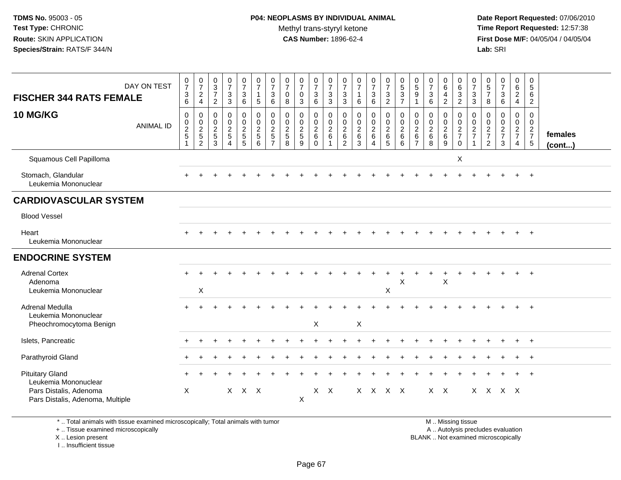**Date Report Requested:** 07/06/2010 **Time Report Requested:** 12:57:38 **First Dose M/F:** 04/05/04 / 04/05/04<br>**Lab:** SRI **Lab:** SRI

| <b>FISCHER 344 RATS FEMALE</b>                                                                               | DAY ON TEST      | $\frac{0}{7}$<br>$\mathbf{3}$<br>6               | $\frac{0}{7}$<br>$\overline{c}$<br>$\overline{4}$        | $_{3}^{\rm 0}$<br>$\overline{7}$<br>$\sqrt{2}$ | $\frac{0}{7}$<br>$\mathbf{3}$<br>$\overline{3}$                              | $\begin{smallmatrix}0\\7\end{smallmatrix}$<br>$\mathsf 3$<br>$6\phantom{1}6$ | $\frac{0}{7}$<br>$\mathbf{1}$<br>$\overline{5}$           | $\frac{0}{7}$<br>3<br>6                                   | $\frac{0}{7}$<br>$\mathsf 0$<br>8              | $\frac{0}{7}$<br>$\mathbf 0$<br>3             | $\frac{0}{7}$<br>$\mathbf{3}$<br>6                            | $\frac{0}{7}$<br>$\frac{3}{3}$                                  | 0<br>$\boldsymbol{7}$<br>$\mathbf{3}$<br>3                | 0<br>$\overline{7}$<br>$\mathbf{1}$<br>6               | 0<br>$\overline{7}$<br>$\mathbf{3}$<br>6                 | $\begin{smallmatrix}0\\7\end{smallmatrix}$<br>$\mathbf{3}$<br>$\overline{2}$ | $\begin{array}{c} 0 \\ 5 \\ 3 \end{array}$<br>$\overline{7}$ | $\begin{array}{c} 0 \\ 5 \\ 9 \end{array}$<br>$\overline{1}$ | $\frac{0}{7}$<br>$\mathbf{3}$<br>6           | 0<br>6<br>$\overline{\mathbf{4}}$<br>$\overline{c}$ | $\pmb{0}$<br>$\frac{6}{2}$     | $\pmb{0}$<br>$\boldsymbol{7}$<br>$\mathfrak{S}$<br>$\mathbf{3}$ | 0<br>$\sqrt{5}$<br>$\overline{7}$<br>8              | $\frac{0}{7}$<br>$\frac{3}{6}$                 | $\pmb{0}$<br>6<br>$\overline{2}$<br>$\overline{a}$ | 0<br>$5\phantom{.0}$<br>6<br>$\overline{2}$                         |                         |
|--------------------------------------------------------------------------------------------------------------|------------------|--------------------------------------------------|----------------------------------------------------------|------------------------------------------------|------------------------------------------------------------------------------|------------------------------------------------------------------------------|-----------------------------------------------------------|-----------------------------------------------------------|------------------------------------------------|-----------------------------------------------|---------------------------------------------------------------|-----------------------------------------------------------------|-----------------------------------------------------------|--------------------------------------------------------|----------------------------------------------------------|------------------------------------------------------------------------------|--------------------------------------------------------------|--------------------------------------------------------------|----------------------------------------------|-----------------------------------------------------|--------------------------------|-----------------------------------------------------------------|-----------------------------------------------------|------------------------------------------------|----------------------------------------------------|---------------------------------------------------------------------|-------------------------|
| 10 MG/KG                                                                                                     | <b>ANIMAL ID</b> | $\mathbf 0$<br>$\pmb{0}$<br>$\sqrt{2}$<br>5<br>1 | 0<br>$\boldsymbol{0}$<br>$\frac{2}{5}$<br>$\overline{c}$ | 0<br>$\mathbf 0$<br>$\frac{2}{5}$<br>3         | $\mathbf 0$<br>$\pmb{0}$<br>$\boldsymbol{2}$<br>$\sqrt{5}$<br>$\overline{4}$ | 0<br>$\mathbf 0$<br>$\frac{2}{5}$<br>$\overline{5}$                          | 0<br>$\mathbf 0$<br>$\overline{2}$<br>$\overline{5}$<br>6 | 0<br>$\mathbf 0$<br>$\overline{2}$<br>5<br>$\overline{7}$ | $\mathbf 0$<br>$\pmb{0}$<br>$\frac{2}{5}$<br>8 | 0<br>$\mathsf{O}$<br>$\overline{c}$<br>5<br>9 | 0<br>$\mathsf{O}$<br>$\overline{c}$<br>$\,6\,$<br>$\mathbf 0$ | $\mathbf 0$<br>$\mathbf 0$<br>$\overline{c}$<br>$6\phantom{1}6$ | 0<br>$\mathbf 0$<br>$\overline{2}$<br>6<br>$\overline{2}$ | $\mathbf 0$<br>$\mathbf 0$<br>$\overline{2}$<br>6<br>3 | 0<br>0<br>$\overline{a}$<br>6<br>$\overline{\mathbf{4}}$ | 0<br>$\mathbf 0$<br>$\overline{2}$<br>$6\phantom{1}$<br>5                    | $\mathbf 0$<br>$\overline{0}$<br>$\boldsymbol{2}$<br>6<br>6  | 0<br>$\pmb{0}$<br>$\sqrt{2}$<br>$\,6\,$<br>$\overline{7}$    | 0<br>$\mathbf 0$<br>$\overline{2}$<br>6<br>8 | 0<br>$\mathbf 0$<br>$\overline{c}$<br>$\,6$<br>9    | 0<br>$\frac{0}{2}$<br>$\Omega$ | 0<br>$\mathbf 0$<br>$\overline{c}$<br>$\overline{7}$            | 0<br>$\mathbf 0$<br>$\frac{2}{7}$<br>$\overline{2}$ | 0<br>$\mathsf{O}\xspace$<br>$\frac{2}{7}$<br>3 | 0<br>$\mathbf{0}$<br>$rac{2}{7}$<br>$\overline{4}$ | $\mathbf 0$<br>$\mathbf 0$<br>$\overline{2}$<br>$\overline{7}$<br>5 | females<br>$($ cont $)$ |
| Squamous Cell Papilloma                                                                                      |                  |                                                  |                                                          |                                                |                                                                              |                                                                              |                                                           |                                                           |                                                |                                               |                                                               |                                                                 |                                                           |                                                        |                                                          |                                                                              |                                                              |                                                              |                                              |                                                     | X                              |                                                                 |                                                     |                                                |                                                    |                                                                     |                         |
| Stomach, Glandular<br>Leukemia Mononuclear                                                                   |                  |                                                  |                                                          |                                                |                                                                              |                                                                              |                                                           |                                                           |                                                |                                               |                                                               |                                                                 |                                                           |                                                        |                                                          |                                                                              |                                                              |                                                              |                                              |                                                     |                                |                                                                 |                                                     |                                                |                                                    |                                                                     |                         |
| <b>CARDIOVASCULAR SYSTEM</b>                                                                                 |                  |                                                  |                                                          |                                                |                                                                              |                                                                              |                                                           |                                                           |                                                |                                               |                                                               |                                                                 |                                                           |                                                        |                                                          |                                                                              |                                                              |                                                              |                                              |                                                     |                                |                                                                 |                                                     |                                                |                                                    |                                                                     |                         |
| <b>Blood Vessel</b>                                                                                          |                  |                                                  |                                                          |                                                |                                                                              |                                                                              |                                                           |                                                           |                                                |                                               |                                                               |                                                                 |                                                           |                                                        |                                                          |                                                                              |                                                              |                                                              |                                              |                                                     |                                |                                                                 |                                                     |                                                |                                                    |                                                                     |                         |
| Heart<br>Leukemia Mononuclear                                                                                |                  |                                                  |                                                          |                                                |                                                                              |                                                                              |                                                           |                                                           |                                                |                                               |                                                               |                                                                 |                                                           |                                                        |                                                          |                                                                              |                                                              |                                                              |                                              |                                                     |                                |                                                                 |                                                     |                                                |                                                    | $+$                                                                 |                         |
| <b>ENDOCRINE SYSTEM</b>                                                                                      |                  |                                                  |                                                          |                                                |                                                                              |                                                                              |                                                           |                                                           |                                                |                                               |                                                               |                                                                 |                                                           |                                                        |                                                          |                                                                              |                                                              |                                                              |                                              |                                                     |                                |                                                                 |                                                     |                                                |                                                    |                                                                     |                         |
| <b>Adrenal Cortex</b><br>Adenoma<br>Leukemia Mononuclear                                                     |                  |                                                  | X                                                        |                                                |                                                                              |                                                                              |                                                           |                                                           |                                                |                                               |                                                               |                                                                 |                                                           |                                                        |                                                          | X                                                                            | X                                                            |                                                              |                                              | X                                                   |                                |                                                                 |                                                     |                                                |                                                    | $\div$                                                              |                         |
| Adrenal Medulla<br>Leukemia Mononuclear<br>Pheochromocytoma Benign                                           |                  |                                                  |                                                          |                                                |                                                                              |                                                                              |                                                           |                                                           |                                                |                                               | X                                                             |                                                                 |                                                           | X                                                      |                                                          |                                                                              |                                                              |                                                              |                                              |                                                     |                                |                                                                 |                                                     |                                                |                                                    |                                                                     |                         |
| Islets, Pancreatic                                                                                           |                  |                                                  |                                                          |                                                |                                                                              |                                                                              |                                                           |                                                           |                                                |                                               |                                                               |                                                                 |                                                           |                                                        |                                                          |                                                                              |                                                              |                                                              |                                              |                                                     |                                |                                                                 |                                                     |                                                |                                                    | $\ddot{}$                                                           |                         |
| Parathyroid Gland                                                                                            |                  |                                                  |                                                          |                                                |                                                                              |                                                                              |                                                           |                                                           |                                                |                                               |                                                               |                                                                 |                                                           |                                                        |                                                          |                                                                              |                                                              |                                                              |                                              |                                                     |                                |                                                                 |                                                     |                                                |                                                    |                                                                     |                         |
| <b>Pituitary Gland</b><br>Leukemia Mononuclear<br>Pars Distalis, Adenoma<br>Pars Distalis, Adenoma, Multiple |                  | $\times$                                         |                                                          |                                                |                                                                              | $X$ $X$ $X$                                                                  |                                                           |                                                           |                                                | $\mathsf{X}$                                  | X.                                                            | $\mathsf{X}$                                                    |                                                           |                                                        |                                                          | X X X X                                                                      |                                                              |                                                              | $X$ $X$                                      |                                                     |                                |                                                                 | $X$ $X$ $X$ $X$                                     |                                                |                                                    |                                                                     |                         |

\* .. Total animals with tissue examined microscopically; Total animals with tumor

+ .. Tissue examined microscopically

X .. Lesion present

I .. Insufficient tissue

M .. Missing tissue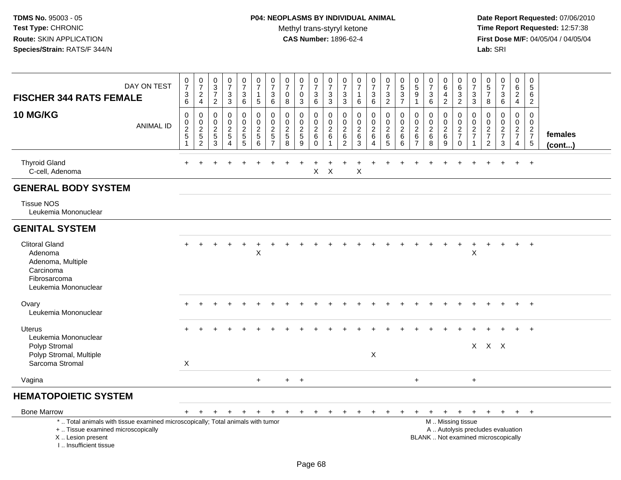| <b>FISCHER 344 RATS FEMALE</b><br><b>10 MG/KG</b>                                                          | DAY ON TEST<br><b>ANIMAL ID</b>                                                 | $\frac{0}{7}$<br>$\frac{3}{6}$<br>$\mathsf 0$<br>$\mathbf 0$<br>$\frac{2}{5}$<br>$\mathbf{1}$ | $\frac{0}{7}$<br>$_4^2$<br>$\pmb{0}$<br>$\mathsf{O}\xspace$<br>$\overline{2}$<br>$\frac{5}{2}$ | $_{3}^{\rm 0}$<br>$\overline{7}$<br>$\boldsymbol{2}$<br>$\mathsf{O}\xspace$<br>$\mathbf 0$<br>$\sqrt{2}$<br>$\,$ 5 $\,$<br>3 | $\begin{array}{c} 0 \\ 7 \end{array}$<br>$_3^3$<br>$\pmb{0}$<br>$\mathbf 0$<br>$\sqrt{2}$<br>$\sqrt{5}$<br>$\overline{4}$ | $\begin{smallmatrix}0\\7\end{smallmatrix}$<br>$\mathbf{3}$<br>6<br>$\mathbf 0$<br>$\mathbf 0$<br>$\overline{c}$<br>$\sqrt{5}$<br>5 | $\frac{0}{7}$<br>$\mathbf{1}$<br>$\overline{5}$<br>$\mathbf 0$<br>$\mathsf{O}\xspace$<br>$\overline{2}$<br>$\sqrt{5}$<br>6 | $\frac{0}{7}$<br>$\mathbf{3}$<br>6<br>$\mathbf 0$<br>$\Omega$<br>$\overline{2}$<br>$\sqrt{5}$<br>$\overline{7}$ | 0<br>$\overline{7}$<br>$\pmb{0}$<br>8<br>$\mathbf 0$<br>$\mathbf 0$<br>$\overline{c}$<br>$\overline{5}$<br>8 | $\frac{0}{7}$<br>$\mathbf 0$<br>3<br>0<br>$\mathbf{0}$<br>$\overline{2}$<br>$\sqrt{5}$<br>9 | $\frac{0}{7}$<br>$\frac{3}{6}$<br>$\pmb{0}$<br>$\mathsf{O}$<br>$\overline{2}$<br>6<br>$\Omega$ | $\frac{0}{7}$<br>3<br>$\overline{3}$<br>0<br>$\Omega$<br>$\overline{c}$<br>6 | $\frac{0}{7}$<br>$\frac{3}{3}$<br>$\mathsf{O}\xspace$<br>0<br>$\sqrt{2}$<br>$\frac{6}{2}$ | $\begin{array}{c} 0 \\ 7 \end{array}$<br>$\mathbf{1}$<br>$\,6\,$<br>$\pmb{0}$<br>$\mathbf 0$<br>$\overline{2}$<br>$\,6\,$<br>3 | $\begin{smallmatrix}0\\7\end{smallmatrix}$<br>$\begin{array}{c} 3 \\ 6 \end{array}$<br>$\mathbf 0$<br>$\mathbf 0$<br>$\overline{2}$<br>6<br>4 | $\frac{0}{7}$<br>$\frac{3}{2}$<br>$\pmb{0}$<br>$\mathbf 0$<br>$\boldsymbol{2}$<br>6<br>$5\phantom{.0}$ | $\begin{array}{c} 0 \\ 5 \end{array}$<br>$\sqrt{3}$<br>$\overline{7}$<br>$\mathbf 0$<br>$\mathbf 0$<br>$\overline{2}$<br>$\,6\,$<br>6 | 0<br>$\overline{5}$<br>$\boldsymbol{9}$<br>$\mathbf{1}$<br>$\mathbf 0$<br>$\Omega$<br>$\boldsymbol{2}$<br>6<br>$\overline{7}$ | $\frac{0}{7}$<br>3<br>$6\overline{6}$<br>0<br>0<br>$\overline{c}$<br>$\,6\,$<br>8 | 0<br>6<br>$\overline{4}$<br>$\sqrt{2}$<br>0<br>$\mathbf 0$<br>$\overline{2}$<br>6<br>9 | $\begin{array}{c} 0 \\ 6 \end{array}$<br>$\frac{3}{2}$<br>0<br>$\mathbf 0$<br>$\sqrt{2}$<br>$\overline{7}$<br>$\Omega$ | 0<br>$\overline{7}$<br>$\ensuremath{\mathsf{3}}$<br>$\mathbf{3}$<br>$\mathbf 0$<br>$\mathbf 0$<br>$\boldsymbol{2}$<br>$\overline{7}$ | $\begin{array}{c} 0 \\ 5 \\ 7 \end{array}$<br>8<br>$\mathbf 0$<br>$\mathsf 0$<br>$\frac{2}{7}$<br>$\overline{2}$ | $\begin{array}{c} 0 \\ 7 \end{array}$<br>$\ensuremath{\mathsf{3}}$<br>$\,6\,$<br>$\pmb{0}$<br>$\mathbf 0$<br>$\frac{2}{7}$<br>3 | $\pmb{0}$<br>6<br>$\sqrt{2}$<br>$\overline{4}$<br>$\mathbf 0$<br>$\mathbf 0$<br>$\frac{2}{7}$<br>$\overline{4}$ | 0<br>5<br>6<br>$\overline{2}$<br>$\mathbf 0$<br>$\Omega$<br>$\frac{2}{7}$<br>$\sqrt{5}$ | females |
|------------------------------------------------------------------------------------------------------------|---------------------------------------------------------------------------------|-----------------------------------------------------------------------------------------------|------------------------------------------------------------------------------------------------|------------------------------------------------------------------------------------------------------------------------------|---------------------------------------------------------------------------------------------------------------------------|------------------------------------------------------------------------------------------------------------------------------------|----------------------------------------------------------------------------------------------------------------------------|-----------------------------------------------------------------------------------------------------------------|--------------------------------------------------------------------------------------------------------------|---------------------------------------------------------------------------------------------|------------------------------------------------------------------------------------------------|------------------------------------------------------------------------------|-------------------------------------------------------------------------------------------|--------------------------------------------------------------------------------------------------------------------------------|-----------------------------------------------------------------------------------------------------------------------------------------------|--------------------------------------------------------------------------------------------------------|---------------------------------------------------------------------------------------------------------------------------------------|-------------------------------------------------------------------------------------------------------------------------------|-----------------------------------------------------------------------------------|----------------------------------------------------------------------------------------|------------------------------------------------------------------------------------------------------------------------|--------------------------------------------------------------------------------------------------------------------------------------|------------------------------------------------------------------------------------------------------------------|---------------------------------------------------------------------------------------------------------------------------------|-----------------------------------------------------------------------------------------------------------------|-----------------------------------------------------------------------------------------|---------|
|                                                                                                            |                                                                                 |                                                                                               |                                                                                                |                                                                                                                              |                                                                                                                           |                                                                                                                                    |                                                                                                                            |                                                                                                                 |                                                                                                              |                                                                                             |                                                                                                |                                                                              |                                                                                           |                                                                                                                                |                                                                                                                                               |                                                                                                        |                                                                                                                                       |                                                                                                                               |                                                                                   |                                                                                        |                                                                                                                        |                                                                                                                                      |                                                                                                                  |                                                                                                                                 |                                                                                                                 |                                                                                         | (cont)  |
| <b>Thyroid Gland</b><br>C-cell, Adenoma                                                                    |                                                                                 |                                                                                               |                                                                                                |                                                                                                                              |                                                                                                                           |                                                                                                                                    |                                                                                                                            |                                                                                                                 |                                                                                                              |                                                                                             | X                                                                                              | $\times$                                                                     |                                                                                           | $\sf X$                                                                                                                        |                                                                                                                                               |                                                                                                        |                                                                                                                                       |                                                                                                                               |                                                                                   |                                                                                        |                                                                                                                        |                                                                                                                                      |                                                                                                                  |                                                                                                                                 |                                                                                                                 | $\ddot{+}$                                                                              |         |
| <b>GENERAL BODY SYSTEM</b>                                                                                 |                                                                                 |                                                                                               |                                                                                                |                                                                                                                              |                                                                                                                           |                                                                                                                                    |                                                                                                                            |                                                                                                                 |                                                                                                              |                                                                                             |                                                                                                |                                                                              |                                                                                           |                                                                                                                                |                                                                                                                                               |                                                                                                        |                                                                                                                                       |                                                                                                                               |                                                                                   |                                                                                        |                                                                                                                        |                                                                                                                                      |                                                                                                                  |                                                                                                                                 |                                                                                                                 |                                                                                         |         |
| <b>Tissue NOS</b><br>Leukemia Mononuclear                                                                  |                                                                                 |                                                                                               |                                                                                                |                                                                                                                              |                                                                                                                           |                                                                                                                                    |                                                                                                                            |                                                                                                                 |                                                                                                              |                                                                                             |                                                                                                |                                                                              |                                                                                           |                                                                                                                                |                                                                                                                                               |                                                                                                        |                                                                                                                                       |                                                                                                                               |                                                                                   |                                                                                        |                                                                                                                        |                                                                                                                                      |                                                                                                                  |                                                                                                                                 |                                                                                                                 |                                                                                         |         |
| <b>GENITAL SYSTEM</b>                                                                                      |                                                                                 |                                                                                               |                                                                                                |                                                                                                                              |                                                                                                                           |                                                                                                                                    |                                                                                                                            |                                                                                                                 |                                                                                                              |                                                                                             |                                                                                                |                                                                              |                                                                                           |                                                                                                                                |                                                                                                                                               |                                                                                                        |                                                                                                                                       |                                                                                                                               |                                                                                   |                                                                                        |                                                                                                                        |                                                                                                                                      |                                                                                                                  |                                                                                                                                 |                                                                                                                 |                                                                                         |         |
| <b>Clitoral Gland</b><br>Adenoma<br>Adenoma, Multiple<br>Carcinoma<br>Fibrosarcoma<br>Leukemia Mononuclear |                                                                                 |                                                                                               |                                                                                                |                                                                                                                              |                                                                                                                           |                                                                                                                                    | $\boldsymbol{\mathsf{X}}$                                                                                                  |                                                                                                                 |                                                                                                              |                                                                                             |                                                                                                |                                                                              |                                                                                           |                                                                                                                                |                                                                                                                                               |                                                                                                        |                                                                                                                                       |                                                                                                                               |                                                                                   |                                                                                        |                                                                                                                        | X                                                                                                                                    |                                                                                                                  |                                                                                                                                 |                                                                                                                 | $\ddot{}$                                                                               |         |
| Ovary<br>Leukemia Mononuclear                                                                              |                                                                                 |                                                                                               |                                                                                                |                                                                                                                              |                                                                                                                           |                                                                                                                                    |                                                                                                                            |                                                                                                                 |                                                                                                              |                                                                                             |                                                                                                |                                                                              |                                                                                           |                                                                                                                                |                                                                                                                                               |                                                                                                        |                                                                                                                                       |                                                                                                                               |                                                                                   |                                                                                        |                                                                                                                        |                                                                                                                                      |                                                                                                                  |                                                                                                                                 |                                                                                                                 | $\ddot{}$                                                                               |         |
| Uterus<br>Leukemia Mononuclear<br>Polyp Stromal<br>Polyp Stromal, Multiple<br>Sarcoma Stromal              |                                                                                 | X                                                                                             |                                                                                                |                                                                                                                              |                                                                                                                           |                                                                                                                                    |                                                                                                                            |                                                                                                                 |                                                                                                              |                                                                                             |                                                                                                |                                                                              |                                                                                           |                                                                                                                                | X                                                                                                                                             |                                                                                                        |                                                                                                                                       |                                                                                                                               |                                                                                   |                                                                                        |                                                                                                                        |                                                                                                                                      | $X$ $X$ $X$                                                                                                      |                                                                                                                                 |                                                                                                                 | $+$                                                                                     |         |
| Vagina                                                                                                     |                                                                                 |                                                                                               |                                                                                                |                                                                                                                              |                                                                                                                           |                                                                                                                                    | $\ddot{}$                                                                                                                  |                                                                                                                 | $+$                                                                                                          | $+$                                                                                         |                                                                                                |                                                                              |                                                                                           |                                                                                                                                |                                                                                                                                               |                                                                                                        |                                                                                                                                       | $\ddot{}$                                                                                                                     |                                                                                   |                                                                                        |                                                                                                                        | $\ddot{}$                                                                                                                            |                                                                                                                  |                                                                                                                                 |                                                                                                                 |                                                                                         |         |
| <b>HEMATOPOIETIC SYSTEM</b>                                                                                |                                                                                 |                                                                                               |                                                                                                |                                                                                                                              |                                                                                                                           |                                                                                                                                    |                                                                                                                            |                                                                                                                 |                                                                                                              |                                                                                             |                                                                                                |                                                                              |                                                                                           |                                                                                                                                |                                                                                                                                               |                                                                                                        |                                                                                                                                       |                                                                                                                               |                                                                                   |                                                                                        |                                                                                                                        |                                                                                                                                      |                                                                                                                  |                                                                                                                                 |                                                                                                                 |                                                                                         |         |
| <b>Bone Marrow</b>                                                                                         |                                                                                 |                                                                                               |                                                                                                |                                                                                                                              |                                                                                                                           |                                                                                                                                    |                                                                                                                            |                                                                                                                 |                                                                                                              |                                                                                             |                                                                                                |                                                                              |                                                                                           |                                                                                                                                |                                                                                                                                               |                                                                                                        |                                                                                                                                       |                                                                                                                               |                                                                                   |                                                                                        |                                                                                                                        |                                                                                                                                      |                                                                                                                  |                                                                                                                                 |                                                                                                                 |                                                                                         |         |
|                                                                                                            | *  Total animals with tissue examined microscopically; Total animals with tumor | $+$                                                                                           | $+$                                                                                            | $+$                                                                                                                          | $+$                                                                                                                       | $+$                                                                                                                                | $+$                                                                                                                        | $+$                                                                                                             | $+$                                                                                                          | $+$                                                                                         | $+$                                                                                            | $+$                                                                          | $\pm$                                                                                     | $\ddot{}$                                                                                                                      | $\ddot{}$                                                                                                                                     |                                                                                                        |                                                                                                                                       | $\ddot{}$                                                                                                                     | $+$                                                                               | $+$                                                                                    | $+$<br>M  Missing tissue                                                                                               | $+$                                                                                                                                  | $+$                                                                                                              | $+$                                                                                                                             | $+$                                                                                                             | $+$                                                                                     |         |
| +  Tissue examined microscopically<br>X  Lesion present<br>I Insufficient tissue                           |                                                                                 |                                                                                               |                                                                                                |                                                                                                                              |                                                                                                                           |                                                                                                                                    |                                                                                                                            |                                                                                                                 |                                                                                                              |                                                                                             |                                                                                                |                                                                              |                                                                                           |                                                                                                                                |                                                                                                                                               |                                                                                                        |                                                                                                                                       |                                                                                                                               |                                                                                   |                                                                                        | A  Autolysis precludes evaluation<br>BLANK  Not examined microscopically                                               |                                                                                                                                      |                                                                                                                  |                                                                                                                                 |                                                                                                                 |                                                                                         |         |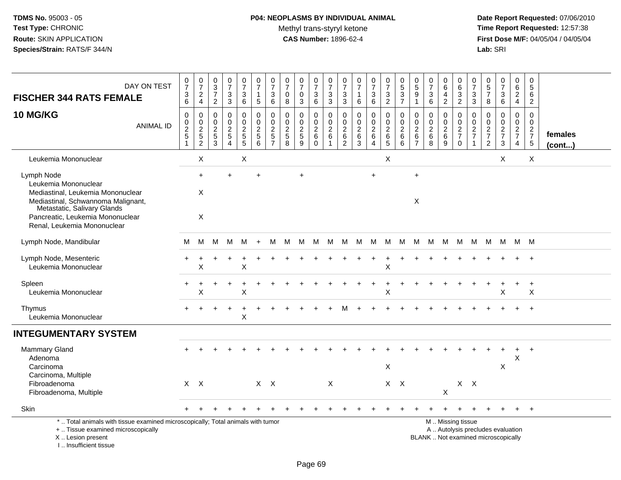# **P04: NEOPLASMS BY INDIVIDUAL ANIMAL**Methyl trans-styryl ketone<br>CAS Number: 1896-62-4

| DAY ON TEST<br><b>FISCHER 344 RATS FEMALE</b><br><b>10 MG/KG</b><br><b>ANIMAL ID</b>                                                                                  | $\frac{0}{7}$<br>3<br>6<br>$\mathbf 0$<br>0 | $\frac{0}{7}$<br>$_4^2$<br>0                                 | $\begin{array}{c} 0 \\ 3 \\ 7 \end{array}$<br>$\overline{2}$<br>$\mathbf 0$<br>$\pmb{0}$ | $\frac{0}{7}$<br>$\frac{3}{3}$<br>0<br>$\pmb{0}$   | $\frac{0}{7}$<br>$\ensuremath{\mathsf{3}}$<br>6<br>0<br>$\mathbf 0$ | $\frac{0}{7}$<br>$\overline{1}$<br>$5\phantom{.0}$<br>$\mathbf 0$<br>$\pmb{0}$ | $\begin{array}{c} 0 \\ 7 \end{array}$<br>$\ensuremath{\mathsf{3}}$<br>6<br>0<br>$\boldsymbol{0}$ | $\begin{array}{c} 0 \\ 7 \end{array}$<br>$\mathbf 0$<br>8<br>$\mathbf 0$<br>$\mathbf 0$ | 0<br>$\overline{7}$<br>$\mathbf 0$<br>3<br>0<br>$\mathbf 0$ | 0<br>$\overline{7}$<br>$\ensuremath{\mathsf{3}}$<br>6<br>$\mathbf 0$<br>$\mathbf 0$ | 0<br>$\bar{7}$<br>3<br>3<br>0<br>$\mathbf 0$ | $\frac{0}{7}$<br>3<br>3<br>0<br>$\mathbf 0$ | $\frac{0}{7}$<br>$\mathbf 1$<br>6<br>$\mathbf 0$<br>$\mathbf 0$ | $\frac{0}{7}$<br>$\frac{3}{6}$<br>0<br>$\mathsf{O}\xspace$ | $\begin{array}{c} 0 \\ 7 \end{array}$<br>$\frac{3}{2}$<br>$\mathbf 0$<br>$\pmb{0}$ | 0537<br>0<br>$\pmb{0}$ | 0<br>$\overline{5}$<br>$9\,$<br>$\mathbf{1}$<br>0<br>$\mathbf 0$ | $\pmb{0}$<br>$\overline{7}$<br>$\ensuremath{\mathsf{3}}$<br>$\,6\,$<br>0<br>$\mathbf 0$ | 0<br>$\,6\,$<br>4<br>$\overline{2}$<br>0<br>$\mathbf 0$ | 0<br>$\,6$<br>$\mathbf{3}$<br>$\overline{2}$<br>0<br>$\mathbf 0$                              | 0<br>$\overline{7}$<br>$\sqrt{3}$<br>3<br>0<br>$\mathbf 0$ | $\begin{array}{c} 0 \\ 5 \\ 7 \end{array}$<br>8<br>$\mathbf 0$<br>$\mathbf 0$ | $\frac{0}{7}$<br>$\frac{3}{6}$<br>0<br>$\mathbf 0$ | $\mathbf 0$<br>6<br>$\boldsymbol{2}$<br>$\overline{4}$<br>$\mathbf 0$<br>$\pmb{0}$ | $\mathbf 0$<br>$\overline{5}$<br>$\,6\,$<br>$\overline{2}$<br>$\mathbf 0$<br>$\mathbf 0$ |                         |
|-----------------------------------------------------------------------------------------------------------------------------------------------------------------------|---------------------------------------------|--------------------------------------------------------------|------------------------------------------------------------------------------------------|----------------------------------------------------|---------------------------------------------------------------------|--------------------------------------------------------------------------------|--------------------------------------------------------------------------------------------------|-----------------------------------------------------------------------------------------|-------------------------------------------------------------|-------------------------------------------------------------------------------------|----------------------------------------------|---------------------------------------------|-----------------------------------------------------------------|------------------------------------------------------------|------------------------------------------------------------------------------------|------------------------|------------------------------------------------------------------|-----------------------------------------------------------------------------------------|---------------------------------------------------------|-----------------------------------------------------------------------------------------------|------------------------------------------------------------|-------------------------------------------------------------------------------|----------------------------------------------------|------------------------------------------------------------------------------------|------------------------------------------------------------------------------------------|-------------------------|
|                                                                                                                                                                       | $\overline{c}$<br>5<br>$\mathbf{1}$         | $\begin{array}{c} 0 \\ 2 \\ 5 \end{array}$<br>$\overline{c}$ | $\boldsymbol{2}$<br>$\frac{1}{3}$                                                        | $\overline{c}$<br>$\overline{5}$<br>$\overline{4}$ | $\overline{a}$<br>$\begin{array}{c} 5 \\ 5 \end{array}$             | $rac{2}{6}$                                                                    | $\frac{2}{5}$<br>$\overline{7}$                                                                  | $\frac{2}{5}$<br>$\mathbf{8}$                                                           | $rac{2}{9}$                                                 | $\sqrt{2}$<br>$\,6\,$<br>$\mathbf 0$                                                | $\boldsymbol{2}$<br>$\,6$                    | $\boldsymbol{2}$<br>$\,6$<br>$\overline{c}$ | $\overline{c}$<br>$^6_3$                                        | $\overline{2}$<br>$\,6\,$<br>$\overline{4}$                | $\boldsymbol{2}$<br>$\begin{array}{c} 6 \\ 5 \end{array}$                          | $\frac{2}{6}$<br>6     | $\overline{c}$<br>$\,6\,$<br>$\overline{7}$                      | $\boldsymbol{2}$<br>$\,6\,$<br>8                                                        | $\boldsymbol{2}$<br>$\,6\,$<br>9                        | $\overline{c}$<br>$\overline{7}$<br>$\Omega$                                                  | $\frac{2}{7}$<br>$\overline{1}$                            | $\frac{2}{7}$<br>$\overline{2}$                                               | $\frac{2}{7}$<br>3                                 | $\frac{2}{7}$<br>4                                                                 | $\frac{2}{7}$<br>5                                                                       | females<br>$($ cont $)$ |
| Leukemia Mononuclear                                                                                                                                                  |                                             | X                                                            |                                                                                          |                                                    | X                                                                   |                                                                                |                                                                                                  |                                                                                         |                                                             |                                                                                     |                                              |                                             |                                                                 |                                                            | $\boldsymbol{\mathsf{X}}$                                                          |                        |                                                                  |                                                                                         |                                                         |                                                                                               |                                                            |                                                                               | X                                                  |                                                                                    | X                                                                                        |                         |
| Lymph Node                                                                                                                                                            |                                             | $\ddot{}$                                                    |                                                                                          | $\div$                                             |                                                                     | $\ddot{}$                                                                      |                                                                                                  |                                                                                         | $\ddot{}$                                                   |                                                                                     |                                              |                                             |                                                                 | $+$                                                        |                                                                                    |                        | $\ddot{}$                                                        |                                                                                         |                                                         |                                                                                               |                                                            |                                                                               |                                                    |                                                                                    |                                                                                          |                         |
| Leukemia Mononuclear<br>Mediastinal, Leukemia Mononuclear<br>Mediastinal, Schwannoma Malignant,<br>Metastatic, Salivary Glands                                        |                                             | X                                                            |                                                                                          |                                                    |                                                                     |                                                                                |                                                                                                  |                                                                                         |                                                             |                                                                                     |                                              |                                             |                                                                 |                                                            |                                                                                    |                        | X                                                                |                                                                                         |                                                         |                                                                                               |                                                            |                                                                               |                                                    |                                                                                    |                                                                                          |                         |
| Pancreatic, Leukemia Mononuclear<br>Renal, Leukemia Mononuclear                                                                                                       |                                             | $\times$                                                     |                                                                                          |                                                    |                                                                     |                                                                                |                                                                                                  |                                                                                         |                                                             |                                                                                     |                                              |                                             |                                                                 |                                                            |                                                                                    |                        |                                                                  |                                                                                         |                                                         |                                                                                               |                                                            |                                                                               |                                                    |                                                                                    |                                                                                          |                         |
| Lymph Node, Mandibular                                                                                                                                                | м                                           | M                                                            | м                                                                                        | M                                                  | M                                                                   | $+$                                                                            | M                                                                                                | M                                                                                       | М                                                           | M                                                                                   | M                                            | M                                           | M                                                               | M                                                          | M                                                                                  | M                      | M                                                                | M                                                                                       | M                                                       | M                                                                                             | M                                                          | M                                                                             | M                                                  |                                                                                    | M M                                                                                      |                         |
| Lymph Node, Mesenteric<br>Leukemia Mononuclear                                                                                                                        |                                             | X                                                            |                                                                                          |                                                    | X                                                                   |                                                                                |                                                                                                  |                                                                                         |                                                             |                                                                                     |                                              |                                             |                                                                 |                                                            | $\boldsymbol{\mathsf{X}}$                                                          |                        |                                                                  |                                                                                         |                                                         |                                                                                               |                                                            |                                                                               |                                                    |                                                                                    | $\ddot{}$                                                                                |                         |
| Spleen<br>Leukemia Mononuclear                                                                                                                                        |                                             | X                                                            |                                                                                          |                                                    | X                                                                   |                                                                                |                                                                                                  |                                                                                         |                                                             |                                                                                     |                                              |                                             |                                                                 |                                                            | $\boldsymbol{\mathsf{X}}$                                                          |                        |                                                                  |                                                                                         |                                                         |                                                                                               |                                                            |                                                                               | Х                                                  |                                                                                    | X                                                                                        |                         |
| Thymus<br>Leukemia Mononuclear                                                                                                                                        |                                             |                                                              |                                                                                          |                                                    | X                                                                   |                                                                                |                                                                                                  |                                                                                         |                                                             |                                                                                     |                                              |                                             |                                                                 |                                                            |                                                                                    |                        |                                                                  |                                                                                         |                                                         |                                                                                               |                                                            |                                                                               |                                                    |                                                                                    | $+$                                                                                      |                         |
| <b>INTEGUMENTARY SYSTEM</b>                                                                                                                                           |                                             |                                                              |                                                                                          |                                                    |                                                                     |                                                                                |                                                                                                  |                                                                                         |                                                             |                                                                                     |                                              |                                             |                                                                 |                                                            |                                                                                    |                        |                                                                  |                                                                                         |                                                         |                                                                                               |                                                            |                                                                               |                                                    |                                                                                    |                                                                                          |                         |
| Mammary Gland<br>Adenoma<br>Carcinoma                                                                                                                                 |                                             |                                                              |                                                                                          |                                                    |                                                                     |                                                                                |                                                                                                  |                                                                                         |                                                             |                                                                                     |                                              |                                             |                                                                 |                                                            | X                                                                                  |                        |                                                                  |                                                                                         |                                                         |                                                                                               |                                                            |                                                                               | X                                                  | X                                                                                  | $\ddot{}$                                                                                |                         |
| Carcinoma, Multiple<br>Fibroadenoma<br>Fibroadenoma, Multiple                                                                                                         | $X$ $X$                                     |                                                              |                                                                                          |                                                    |                                                                     | $X$ $X$                                                                        |                                                                                                  |                                                                                         |                                                             |                                                                                     | $\boldsymbol{\mathsf{X}}$                    |                                             |                                                                 |                                                            |                                                                                    | $X$ $X$                |                                                                  |                                                                                         | X                                                       | $X$ $X$                                                                                       |                                                            |                                                                               |                                                    |                                                                                    |                                                                                          |                         |
| Skin                                                                                                                                                                  |                                             |                                                              |                                                                                          |                                                    |                                                                     |                                                                                |                                                                                                  |                                                                                         |                                                             |                                                                                     |                                              |                                             |                                                                 |                                                            |                                                                                    |                        |                                                                  |                                                                                         |                                                         |                                                                                               |                                                            |                                                                               |                                                    |                                                                                    | $+$                                                                                      |                         |
| *  Total animals with tissue examined microscopically; Total animals with tumor<br>+  Tissue examined microscopically<br>X  Lesion present<br>I., Insufficient tissue |                                             |                                                              |                                                                                          |                                                    |                                                                     |                                                                                |                                                                                                  |                                                                                         |                                                             |                                                                                     |                                              |                                             |                                                                 |                                                            |                                                                                    |                        |                                                                  |                                                                                         |                                                         | M  Missing tissue<br>A  Autolysis precludes evaluation<br>BLANK  Not examined microscopically |                                                            |                                                                               |                                                    |                                                                                    |                                                                                          |                         |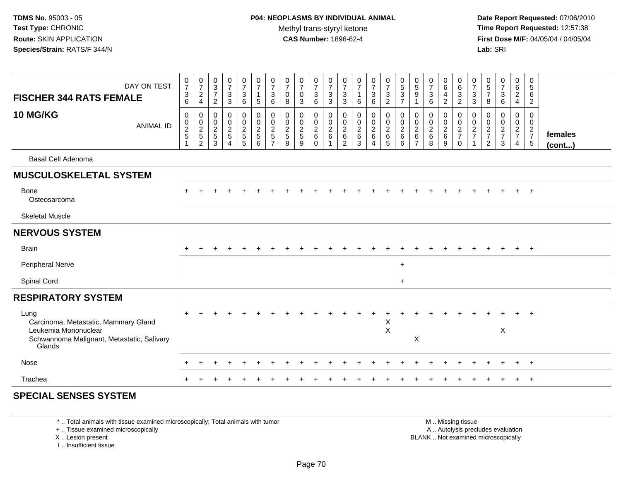**Date Report Requested:** 07/06/2010 **Time Report Requested:** 12:57:38 **First Dose M/F:** 04/05/04 / 04/05/04<br>**Lab:** SRI **Lab:** SRI

| <b>FISCHER 344 RATS FEMALE</b>                                                                                               | DAY ON TEST      | $\begin{smallmatrix}0\\7\end{smallmatrix}$<br>$^3$ 6 | $\frac{0}{7}$<br>$\frac{2}{4}$                                              | $\pmb{0}$<br>$\frac{3}{7}$<br>$\sqrt{2}$          | $\begin{smallmatrix}0\\7\end{smallmatrix}$<br>$\mathsf 3$<br>$\overline{3}$ | $\frac{0}{7}$<br>3<br>6 | $\frac{0}{7}$<br>$\mathbf{1}$<br>$\sqrt{5}$ | $\frac{0}{7}$<br>$\frac{3}{6}$        | $\frac{0}{7}$<br>$\boldsymbol{0}$<br>$\bf 8$ | $\frac{0}{7}$<br>$\mathbf 0$<br>$\sqrt{3}$                        | $\frac{0}{7}$<br>3<br>6                        | $\frac{0}{7}$<br>$\frac{3}{3}$                                  | $\frac{0}{7}$<br>3<br>3                         | $\frac{0}{7}$<br>$\mathbf{1}$<br>6                            | $\frac{0}{7}$<br>$\ensuremath{\mathsf{3}}$<br>$6\phantom{a}$                   | $\frac{0}{7}$<br>$\frac{3}{2}$ | $\begin{array}{c} 0 \\ 5 \\ 3 \\ 7 \end{array}$                       | $\begin{array}{c} 0 \\ 5 \end{array}$<br>9      | $\frac{0}{7}$<br>$\ensuremath{\mathsf{3}}$<br>$\,6\,$     | $_{6}^{\rm 0}$<br>$\overline{4}$<br>$\overline{2}$     | 0<br>6<br>3<br>2                                                       | $\begin{array}{c} 0 \\ 7 \\ 3 \\ 3 \end{array}$           | $\begin{array}{c} 0 \\ 5 \\ 7 \end{array}$<br>8     | $\frac{0}{7}$<br>$\mathsf 3$<br>$\,6\,$           | 0<br>6<br>$\overline{a}$<br>$\overline{\mathbf{4}}$ | $\pmb{0}$<br>$\,$ 5 $\,$<br>6<br>$\overline{c}$ |                         |
|------------------------------------------------------------------------------------------------------------------------------|------------------|------------------------------------------------------|-----------------------------------------------------------------------------|---------------------------------------------------|-----------------------------------------------------------------------------|-------------------------|---------------------------------------------|---------------------------------------|----------------------------------------------|-------------------------------------------------------------------|------------------------------------------------|-----------------------------------------------------------------|-------------------------------------------------|---------------------------------------------------------------|--------------------------------------------------------------------------------|--------------------------------|-----------------------------------------------------------------------|-------------------------------------------------|-----------------------------------------------------------|--------------------------------------------------------|------------------------------------------------------------------------|-----------------------------------------------------------|-----------------------------------------------------|---------------------------------------------------|-----------------------------------------------------|-------------------------------------------------|-------------------------|
| <b>10 MG/KG</b>                                                                                                              | <b>ANIMAL ID</b> | 0<br>$\begin{array}{c} 0 \\ 2 \\ 5 \end{array}$      | $\mathbf 0$<br>$\begin{array}{c} 0 \\ 2 \\ 5 \end{array}$<br>$\overline{2}$ | $\mathbf 0$<br>0<br>$\sqrt{2}$<br>$\sqrt{5}$<br>3 | $\mathbf 0$<br>$\pmb{0}$<br>$rac{2}{5}$<br>$\overline{4}$                   | 0<br>0<br>$rac{2}{5}$   | $\pmb{0}$<br>$\mathbf 0$<br>$rac{2}{6}$     | $\pmb{0}$<br>$\pmb{0}$<br>$rac{2}{5}$ | 0<br>$\mathbf 0$<br>$\frac{2}{5}$<br>8       | $\mathbf 0$<br>$\pmb{0}$<br>$\overline{2}$<br>$\overline{5}$<br>9 | 0<br>$\mathsf{O}$<br>$\frac{2}{6}$<br>$\Omega$ | 0<br>$\begin{array}{c} 0 \\ 2 \\ 6 \end{array}$<br>$\mathbf{1}$ | 0<br>0<br>$\overline{2}$<br>6<br>$\overline{2}$ | $\mathbf 0$<br>0<br>$\overline{2}$<br>$\,6\,$<br>$\mathbf{3}$ | 0<br>$\begin{smallmatrix} 0\\2 \end{smallmatrix}$<br>$\,6\,$<br>$\overline{4}$ | 0<br>$\frac{0}{2}$<br>5        | $\mathbf 0$<br>$\begin{smallmatrix} 0\\2 \end{smallmatrix}$<br>6<br>6 | 0<br>0<br>$\overline{c}$<br>6<br>$\overline{7}$ | 0<br>$\begin{smallmatrix} 0\\2\\6 \end{smallmatrix}$<br>8 | $\mathbf 0$<br>$\mathbf 0$<br>$\overline{2}$<br>$^6_9$ | $\pmb{0}$<br>$\begin{array}{c} 0 \\ 2 \\ 7 \end{array}$<br>$\mathbf 0$ | $\mathbf 0$<br>$\pmb{0}$<br>$\frac{2}{7}$<br>$\mathbf{1}$ | $\mathbf 0$<br>0<br>$\frac{2}{7}$<br>$\overline{2}$ | $\mathbf 0$<br>0<br>$\frac{2}{7}$<br>$\mathbf{3}$ | $\mathbf 0$<br>0<br>$\frac{2}{7}$<br>$\overline{4}$ | 0<br>$\mathbf 0$<br>$\frac{2}{7}$               | females<br>$($ cont $)$ |
| <b>Basal Cell Adenoma</b>                                                                                                    |                  |                                                      |                                                                             |                                                   |                                                                             |                         |                                             |                                       |                                              |                                                                   |                                                |                                                                 |                                                 |                                                               |                                                                                |                                |                                                                       |                                                 |                                                           |                                                        |                                                                        |                                                           |                                                     |                                                   |                                                     |                                                 |                         |
| <b>MUSCULOSKELETAL SYSTEM</b>                                                                                                |                  |                                                      |                                                                             |                                                   |                                                                             |                         |                                             |                                       |                                              |                                                                   |                                                |                                                                 |                                                 |                                                               |                                                                                |                                |                                                                       |                                                 |                                                           |                                                        |                                                                        |                                                           |                                                     |                                                   |                                                     |                                                 |                         |
| Bone<br>Osteosarcoma                                                                                                         |                  |                                                      |                                                                             |                                                   |                                                                             |                         |                                             |                                       |                                              |                                                                   |                                                |                                                                 |                                                 |                                                               |                                                                                |                                |                                                                       |                                                 |                                                           |                                                        |                                                                        |                                                           |                                                     |                                                   |                                                     |                                                 |                         |
| <b>Skeletal Muscle</b>                                                                                                       |                  |                                                      |                                                                             |                                                   |                                                                             |                         |                                             |                                       |                                              |                                                                   |                                                |                                                                 |                                                 |                                                               |                                                                                |                                |                                                                       |                                                 |                                                           |                                                        |                                                                        |                                                           |                                                     |                                                   |                                                     |                                                 |                         |
| <b>NERVOUS SYSTEM</b>                                                                                                        |                  |                                                      |                                                                             |                                                   |                                                                             |                         |                                             |                                       |                                              |                                                                   |                                                |                                                                 |                                                 |                                                               |                                                                                |                                |                                                                       |                                                 |                                                           |                                                        |                                                                        |                                                           |                                                     |                                                   |                                                     |                                                 |                         |
| <b>Brain</b>                                                                                                                 |                  | $+$                                                  |                                                                             |                                                   |                                                                             |                         |                                             |                                       |                                              |                                                                   |                                                |                                                                 |                                                 |                                                               |                                                                                |                                |                                                                       |                                                 |                                                           |                                                        |                                                                        |                                                           |                                                     |                                                   | $\ddot{}$                                           | $+$                                             |                         |
| <b>Peripheral Nerve</b>                                                                                                      |                  |                                                      |                                                                             |                                                   |                                                                             |                         |                                             |                                       |                                              |                                                                   |                                                |                                                                 |                                                 |                                                               |                                                                                |                                | $+$                                                                   |                                                 |                                                           |                                                        |                                                                        |                                                           |                                                     |                                                   |                                                     |                                                 |                         |
| Spinal Cord                                                                                                                  |                  |                                                      |                                                                             |                                                   |                                                                             |                         |                                             |                                       |                                              |                                                                   |                                                |                                                                 |                                                 |                                                               |                                                                                |                                | $\ddot{}$                                                             |                                                 |                                                           |                                                        |                                                                        |                                                           |                                                     |                                                   |                                                     |                                                 |                         |
| <b>RESPIRATORY SYSTEM</b>                                                                                                    |                  |                                                      |                                                                             |                                                   |                                                                             |                         |                                             |                                       |                                              |                                                                   |                                                |                                                                 |                                                 |                                                               |                                                                                |                                |                                                                       |                                                 |                                                           |                                                        |                                                                        |                                                           |                                                     |                                                   |                                                     |                                                 |                         |
| Lung<br>Carcinoma, Metastatic, Mammary Gland<br>Leukemia Mononuclear<br>Schwannoma Malignant, Metastatic, Salivary<br>Glands |                  |                                                      |                                                                             |                                                   |                                                                             |                         |                                             |                                       |                                              |                                                                   |                                                |                                                                 |                                                 |                                                               |                                                                                | Χ<br>$\times$                  |                                                                       | X                                               |                                                           |                                                        |                                                                        |                                                           |                                                     | X                                                 |                                                     |                                                 |                         |
| Nose                                                                                                                         |                  |                                                      |                                                                             |                                                   |                                                                             |                         |                                             |                                       |                                              |                                                                   |                                                |                                                                 |                                                 |                                                               |                                                                                |                                |                                                                       |                                                 |                                                           |                                                        |                                                                        |                                                           |                                                     |                                                   | $\div$                                              | $+$                                             |                         |
| Trachea                                                                                                                      |                  |                                                      |                                                                             |                                                   |                                                                             |                         |                                             |                                       |                                              |                                                                   |                                                |                                                                 |                                                 |                                                               |                                                                                |                                |                                                                       |                                                 |                                                           |                                                        |                                                                        |                                                           |                                                     |                                                   |                                                     | $\overline{+}$                                  |                         |

#### **SPECIAL SENSES SYSTEM**

\* .. Total animals with tissue examined microscopically; Total animals with tumor

+ .. Tissue examined microscopically

X .. Lesion present

I .. Insufficient tissue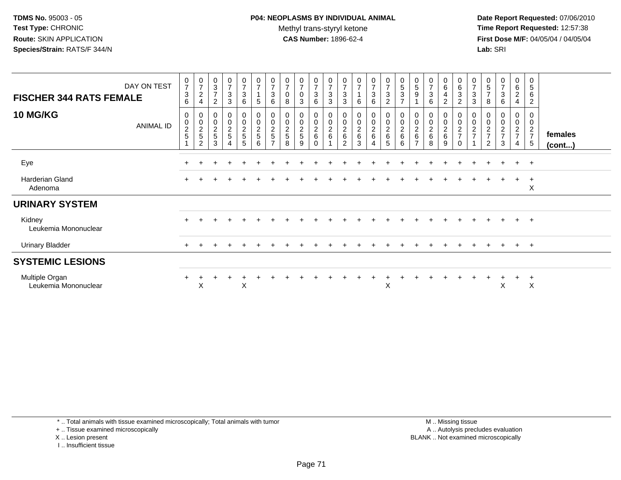**Date Report Requested:** 07/06/2010 **Time Report Requested:** 12:57:38 **First Dose M/F:** 04/05/04 / 04/05/04<br>**Lab:** SRI **Lab:** SRI

| <b>FISCHER 344 RATS FEMALE</b>         | DAY ON TEST      | $\begin{smallmatrix}0\\7\end{smallmatrix}$<br>$\mathbf{3}$<br>6 | $\frac{0}{7}$<br>$\boldsymbol{2}$<br>$\overline{\mathbf{4}}$                     | 0<br>$\sqrt{3}$<br>$\overline{7}$<br>2               | $\begin{array}{c} 0 \\ 7 \end{array}$<br>$\mathbf{3}$<br>$\mathbf{3}$ | $\frac{0}{7}$<br>$\sqrt{3}$<br>6                 | $\begin{array}{c} 0 \\ 7 \end{array}$<br>1<br>$5\phantom{.0}$ | $\frac{0}{7}$<br>3<br>6                           | $\overline{7}$<br>$\pmb{0}$<br>8     | $\frac{0}{7}$<br>$\pmb{0}$<br>$\mathbf{3}$           | $\begin{smallmatrix}0\\7\end{smallmatrix}$<br>$\mathsf 3$<br>6 | $\frac{0}{7}$<br>$\sqrt{3}$<br>$\mathbf{3}$ | $\frac{0}{7}$<br>$\mathbf{3}$<br>3                       | $\frac{0}{7}$<br>6 | $\frac{0}{7}$<br>$\mathbf 3$<br>6         | $\frac{0}{7}$<br>$\mathbf{3}$<br>$\overline{c}$ | $\begin{array}{c} 0 \\ 5 \\ 3 \end{array}$<br>$\overline{z}$ | $\begin{array}{c} 0 \\ 5 \end{array}$<br>9                        | $\frac{0}{7}$<br>3<br>6              | 0<br>6<br>4<br>$\overline{c}$        | $\begin{array}{c} 0 \\ 6 \end{array}$<br>$\sqrt{3}$<br>$\overline{c}$ | $\frac{0}{7}$<br>$\ensuremath{\mathsf{3}}$<br>$\sqrt{3}$ | 0<br>$\sqrt{5}$<br>$\overline{7}$<br>8 | $\pmb{0}$<br>$\overline{7}$<br>$\sqrt{3}$<br>6 | 0<br>$\,6\,$<br>$\overline{2}$<br>4               | 0<br>5<br>6<br>$\overline{c}$                 |                   |
|----------------------------------------|------------------|-----------------------------------------------------------------|----------------------------------------------------------------------------------|------------------------------------------------------|-----------------------------------------------------------------------|--------------------------------------------------|---------------------------------------------------------------|---------------------------------------------------|--------------------------------------|------------------------------------------------------|----------------------------------------------------------------|---------------------------------------------|----------------------------------------------------------|--------------------|-------------------------------------------|-------------------------------------------------|--------------------------------------------------------------|-------------------------------------------------------------------|--------------------------------------|--------------------------------------|-----------------------------------------------------------------------|----------------------------------------------------------|----------------------------------------|------------------------------------------------|---------------------------------------------------|-----------------------------------------------|-------------------|
| <b>10 MG/KG</b>                        | <b>ANIMAL ID</b> | $\mathbf 0$<br>$\begin{array}{c} 0 \\ 2 \\ 5 \end{array}$       | $\boldsymbol{0}$<br>$\begin{array}{c} 0 \\ 2 \\ 5 \end{array}$<br>$\overline{2}$ | 0<br>$\begin{array}{c} 0 \\ 2 \\ 5 \end{array}$<br>3 | 0<br>$\frac{0}{2}$<br>$\overline{A}$                                  | $\mathbf 0$<br>$\mathsf 0$<br>$\frac{2}{5}$<br>5 | 0<br>$\mathsf 0$<br>$\frac{2}{5}$<br>6                        | 0<br>$\pmb{0}$<br>$\frac{2}{5}$<br>$\overline{ }$ | 0<br>$\pmb{0}$<br>$\frac{2}{5}$<br>8 | 0<br>$\begin{array}{c} 0 \\ 2 \\ 5 \end{array}$<br>9 | $\begin{matrix} 0 \\ 0 \\ 2 \\ 6 \end{matrix}$<br>$\Omega$     | 0<br>$\frac{0}{2}$ 6                        | 0<br>$\boldsymbol{0}$<br>$\frac{2}{6}$<br>$\mathfrak{p}$ | $\frac{0}{2}$<br>3 | 0<br>$\overline{0}$<br>$\frac{2}{6}$<br>4 | 0<br>0<br>$\frac{2}{6}$<br>5                    | 00026<br>$6\phantom{1}6$                                     | 0<br>$\begin{array}{c} 0 \\ 2 \\ 6 \end{array}$<br>$\overline{ }$ | 0<br>$\pmb{0}$<br>$\frac{2}{6}$<br>8 | 0<br>$\pmb{0}$<br>$\frac{2}{6}$<br>9 | 0<br>$\begin{array}{c} 0 \\ 2 \\ 7 \end{array}$<br>$\Omega$           | 0<br>$\pmb{0}$<br>$\sqrt{2}$<br>$\overline{z}$           | 0<br>$\pmb{0}$<br>$\frac{2}{7}$<br>2   | 0<br>$\pmb{0}$<br>$\frac{2}{7}$<br>3           | 0<br>$\pmb{0}$<br>$\frac{2}{7}$<br>$\overline{4}$ | 0<br>$\pmb{0}$<br>$\frac{2}{7}$<br>$\sqrt{5}$ | females<br>(cont) |
| Eye                                    |                  |                                                                 |                                                                                  |                                                      |                                                                       |                                                  |                                                               |                                                   |                                      |                                                      |                                                                |                                             |                                                          |                    |                                           |                                                 |                                                              |                                                                   |                                      |                                      |                                                                       |                                                          |                                        |                                                | $+$                                               | $+$                                           |                   |
| Harderian Gland<br>Adenoma             |                  |                                                                 |                                                                                  |                                                      |                                                                       |                                                  |                                                               |                                                   |                                      |                                                      |                                                                |                                             |                                                          |                    |                                           |                                                 |                                                              |                                                                   |                                      |                                      |                                                                       |                                                          |                                        |                                                | $+$                                               | $\overline{+}$<br>X                           |                   |
| <b>URINARY SYSTEM</b>                  |                  |                                                                 |                                                                                  |                                                      |                                                                       |                                                  |                                                               |                                                   |                                      |                                                      |                                                                |                                             |                                                          |                    |                                           |                                                 |                                                              |                                                                   |                                      |                                      |                                                                       |                                                          |                                        |                                                |                                                   |                                               |                   |
| Kidney<br>Leukemia Mononuclear         |                  |                                                                 |                                                                                  |                                                      |                                                                       |                                                  |                                                               |                                                   |                                      |                                                      |                                                                |                                             |                                                          |                    |                                           |                                                 |                                                              |                                                                   |                                      |                                      |                                                                       |                                                          |                                        |                                                | $\pm$                                             | $+$                                           |                   |
| <b>Urinary Bladder</b>                 |                  | $+$                                                             |                                                                                  |                                                      |                                                                       |                                                  |                                                               |                                                   |                                      |                                                      |                                                                |                                             |                                                          |                    |                                           |                                                 |                                                              |                                                                   |                                      |                                      |                                                                       |                                                          |                                        |                                                | $+$                                               | $+$                                           |                   |
| <b>SYSTEMIC LESIONS</b>                |                  |                                                                 |                                                                                  |                                                      |                                                                       |                                                  |                                                               |                                                   |                                      |                                                      |                                                                |                                             |                                                          |                    |                                           |                                                 |                                                              |                                                                   |                                      |                                      |                                                                       |                                                          |                                        |                                                |                                                   |                                               |                   |
| Multiple Organ<br>Leukemia Mononuclear |                  | $+$                                                             | X                                                                                |                                                      |                                                                       | X                                                |                                                               |                                                   |                                      |                                                      |                                                                |                                             |                                                          |                    |                                           | X                                               |                                                              |                                                                   |                                      |                                      |                                                                       |                                                          |                                        | X                                              |                                                   | X                                             |                   |

\* .. Total animals with tissue examined microscopically; Total animals with tumor

+ .. Tissue examined microscopically

X .. Lesion present

I .. Insufficient tissue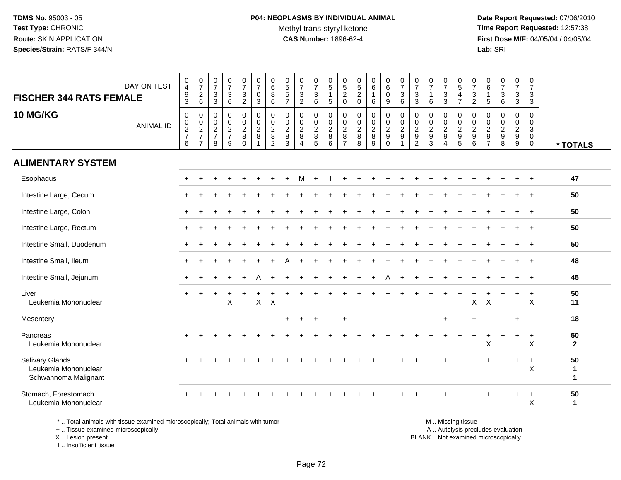**Date Report Requested:** 07/06/2010 **Time Report Requested:** 12:57:38 **First Dose M/F:** 04/05/04 / 04/05/04<br>**Lab:** SRI **Lab:** SRI

| <b>FISCHER 344 RATS FEMALE</b><br>10 MG/KG                             | DAY ON TEST<br><b>ANIMAL ID</b> | $\pmb{0}$<br>$\overline{\mathbf{4}}$<br>$\frac{9}{3}$<br>$\mathbf 0$<br>$\begin{array}{c} 0 \\ 2 \\ 7 \end{array}$<br>6 | $\frac{0}{7}$<br>$\overline{c}$<br>$\,6\,$<br>$\mathbf 0$<br>$\mathbf 0$<br>$\frac{2}{7}$<br>$\overline{7}$ | $\frac{0}{7}$<br>$\sqrt{3}$<br>$\mathbf{3}$<br>$\mathbf 0$<br>$\pmb{0}$<br>$\frac{2}{7}$<br>8 | $\begin{array}{c} 0 \\ 7 \end{array}$<br>$\sqrt{3}$<br>$\,6\,$<br>$\mathbf 0$<br>$\pmb{0}$<br>$\frac{2}{7}$<br>9 | $\begin{array}{c} 0 \\ 7 \end{array}$<br>$\mathsf 3$<br>$\overline{2}$<br>$\mathbf 0$<br>$\pmb{0}$<br>$\frac{2}{8}$<br>$\mathbf 0$ | $\frac{0}{7}$<br>$\mathbf 0$<br>$\mathbf{3}$<br>$\pmb{0}$<br>$\mathbf 0$<br>$\sqrt{2}$<br>$\,8\,$<br>$\overline{1}$ | 0<br>$\,6$<br>8<br>6<br>0<br>$\mathbf 0$<br>$\sqrt{2}$<br>8<br>$\overline{2}$ | $0$<br>5<br>5<br>5<br>7<br>$\mathbf 0$<br>$\pmb{0}$<br>$\frac{2}{8}$<br>$\overline{3}$ | $\frac{0}{7}$<br>$\mathbf{3}$<br>$\overline{2}$<br>0<br>$\pmb{0}$<br>$\frac{2}{8}$<br>$\boldsymbol{\Lambda}$ | $\frac{0}{7}$<br>$\sqrt{3}$<br>6<br>0<br>$\pmb{0}$<br>$\frac{2}{8}$<br>$\overline{5}$ | $\begin{array}{c} 0 \\ 5 \end{array}$<br>$\mathbf{1}$<br>5<br>$\boldsymbol{0}$<br>$\frac{0}{2}$<br>6 | 0<br>$\sqrt{5}$<br>$\overline{2}$<br>0<br>0<br>$\mathsf 0$<br>$\overline{2}$<br>8<br>$\overline{7}$ | $\begin{array}{c} 0 \\ 5 \\ 2 \end{array}$<br>$\mathbf 0$<br>$\mathbf 0$<br>$\pmb{0}$<br>$\overline{2}$<br>$\boldsymbol{8}$<br>8 | 0<br>6<br>$\mathbf{1}$<br>6<br>0<br>$\mathbf 0$<br>$\frac{2}{8}$<br>9 | $\begin{array}{c} 0 \\ 6 \end{array}$<br>$\mathsf{O}\xspace$<br>9<br>$\pmb{0}$<br>$\mathsf{O}\xspace$<br>$\frac{2}{9}$<br>$\mathbf 0$ | $\frac{0}{7}$<br>$\sqrt{3}$<br>6<br>$\mathbf 0$<br>$\pmb{0}$<br>$\overline{c}$<br>$\boldsymbol{9}$ | $\frac{0}{7}$<br>$\sqrt{3}$<br>3<br>$\mathbf 0$<br>$\pmb{0}$<br>$\frac{2}{9}$<br>$\overline{2}$ | $\frac{0}{7}$<br>$\mathbf{1}$<br>6<br>$\mathbf 0$<br>$\mathbf 0$<br>$\overline{c}$<br>$\boldsymbol{9}$<br>$\mathbf{3}$ | 0<br>$\overline{7}$<br>$\mathbf{3}$<br>3<br>0<br>$\mathbf 0$<br>$\boldsymbol{2}$<br>$\boldsymbol{9}$<br>4 | $\begin{matrix} 0 \\ 5 \end{matrix}$<br>$\frac{4}{7}$<br>$\pmb{0}$<br>$\begin{array}{c} 0 \\ 2 \\ 9 \\ 5 \end{array}$ | $\frac{0}{7}$<br>$\sqrt{3}$<br>$\overline{c}$<br>$\mathbf 0$<br>$\mathbf 0$<br>$\frac{2}{9}$<br>6 | 0<br>6<br>5<br>0<br>0<br>$\frac{2}{9}$<br>$\overline{7}$ | $\begin{array}{c} 0 \\ 7 \end{array}$<br>$\ensuremath{\mathsf{3}}$<br>6<br>$\mathbf 0$<br>$\pmb{0}$<br>$\frac{2}{9}$<br>8 | $\pmb{0}$<br>$\overline{7}$<br>$\mathbf{3}$<br>3<br>0<br>$\mathbf 0$<br>$\frac{2}{9}$<br>9 | 0<br>$\overline{7}$<br>$\mathbf{3}$<br>3<br>$\mathbf 0$<br>$\mathbf 0$<br>3<br>$\mathbf 0$<br>$\mathbf 0$ | * TOTALS                |
|------------------------------------------------------------------------|---------------------------------|-------------------------------------------------------------------------------------------------------------------------|-------------------------------------------------------------------------------------------------------------|-----------------------------------------------------------------------------------------------|------------------------------------------------------------------------------------------------------------------|------------------------------------------------------------------------------------------------------------------------------------|---------------------------------------------------------------------------------------------------------------------|-------------------------------------------------------------------------------|----------------------------------------------------------------------------------------|--------------------------------------------------------------------------------------------------------------|---------------------------------------------------------------------------------------|------------------------------------------------------------------------------------------------------|-----------------------------------------------------------------------------------------------------|----------------------------------------------------------------------------------------------------------------------------------|-----------------------------------------------------------------------|---------------------------------------------------------------------------------------------------------------------------------------|----------------------------------------------------------------------------------------------------|-------------------------------------------------------------------------------------------------|------------------------------------------------------------------------------------------------------------------------|-----------------------------------------------------------------------------------------------------------|-----------------------------------------------------------------------------------------------------------------------|---------------------------------------------------------------------------------------------------|----------------------------------------------------------|---------------------------------------------------------------------------------------------------------------------------|--------------------------------------------------------------------------------------------|-----------------------------------------------------------------------------------------------------------|-------------------------|
| <b>ALIMENTARY SYSTEM</b>                                               |                                 |                                                                                                                         |                                                                                                             |                                                                                               |                                                                                                                  |                                                                                                                                    |                                                                                                                     |                                                                               |                                                                                        |                                                                                                              |                                                                                       |                                                                                                      |                                                                                                     |                                                                                                                                  |                                                                       |                                                                                                                                       |                                                                                                    |                                                                                                 |                                                                                                                        |                                                                                                           |                                                                                                                       |                                                                                                   |                                                          |                                                                                                                           |                                                                                            |                                                                                                           |                         |
| Esophagus                                                              |                                 |                                                                                                                         |                                                                                                             |                                                                                               |                                                                                                                  |                                                                                                                                    |                                                                                                                     |                                                                               |                                                                                        | м                                                                                                            | $+$                                                                                   |                                                                                                      |                                                                                                     |                                                                                                                                  |                                                                       |                                                                                                                                       |                                                                                                    |                                                                                                 |                                                                                                                        |                                                                                                           |                                                                                                                       |                                                                                                   |                                                          |                                                                                                                           |                                                                                            |                                                                                                           | 47                      |
| Intestine Large, Cecum                                                 |                                 |                                                                                                                         |                                                                                                             |                                                                                               |                                                                                                                  |                                                                                                                                    |                                                                                                                     |                                                                               |                                                                                        |                                                                                                              |                                                                                       |                                                                                                      |                                                                                                     |                                                                                                                                  |                                                                       |                                                                                                                                       |                                                                                                    |                                                                                                 |                                                                                                                        |                                                                                                           |                                                                                                                       |                                                                                                   |                                                          |                                                                                                                           |                                                                                            | $\overline{ }$                                                                                            | 50                      |
| Intestine Large, Colon                                                 |                                 |                                                                                                                         |                                                                                                             |                                                                                               |                                                                                                                  |                                                                                                                                    |                                                                                                                     |                                                                               |                                                                                        |                                                                                                              |                                                                                       |                                                                                                      |                                                                                                     |                                                                                                                                  |                                                                       |                                                                                                                                       |                                                                                                    |                                                                                                 |                                                                                                                        |                                                                                                           |                                                                                                                       |                                                                                                   |                                                          |                                                                                                                           |                                                                                            | $\ddot{}$                                                                                                 | 50                      |
| Intestine Large, Rectum                                                |                                 |                                                                                                                         |                                                                                                             |                                                                                               |                                                                                                                  |                                                                                                                                    |                                                                                                                     |                                                                               |                                                                                        |                                                                                                              |                                                                                       |                                                                                                      |                                                                                                     |                                                                                                                                  |                                                                       |                                                                                                                                       |                                                                                                    |                                                                                                 |                                                                                                                        |                                                                                                           |                                                                                                                       |                                                                                                   |                                                          |                                                                                                                           |                                                                                            |                                                                                                           | 50                      |
| Intestine Small, Duodenum                                              |                                 |                                                                                                                         |                                                                                                             |                                                                                               |                                                                                                                  |                                                                                                                                    |                                                                                                                     |                                                                               |                                                                                        |                                                                                                              |                                                                                       |                                                                                                      |                                                                                                     |                                                                                                                                  |                                                                       |                                                                                                                                       |                                                                                                    |                                                                                                 |                                                                                                                        |                                                                                                           |                                                                                                                       |                                                                                                   |                                                          |                                                                                                                           |                                                                                            |                                                                                                           | 50                      |
| Intestine Small, Ileum                                                 |                                 |                                                                                                                         |                                                                                                             |                                                                                               |                                                                                                                  |                                                                                                                                    |                                                                                                                     |                                                                               |                                                                                        |                                                                                                              |                                                                                       |                                                                                                      |                                                                                                     |                                                                                                                                  |                                                                       |                                                                                                                                       |                                                                                                    |                                                                                                 |                                                                                                                        |                                                                                                           |                                                                                                                       |                                                                                                   |                                                          |                                                                                                                           |                                                                                            |                                                                                                           | 48                      |
| Intestine Small, Jejunum                                               |                                 |                                                                                                                         |                                                                                                             |                                                                                               |                                                                                                                  |                                                                                                                                    | A                                                                                                                   |                                                                               |                                                                                        |                                                                                                              |                                                                                       |                                                                                                      |                                                                                                     |                                                                                                                                  |                                                                       |                                                                                                                                       |                                                                                                    |                                                                                                 |                                                                                                                        |                                                                                                           |                                                                                                                       |                                                                                                   |                                                          |                                                                                                                           | $\div$                                                                                     | $\ddot{}$                                                                                                 | 45                      |
| Liver<br>Leukemia Mononuclear                                          |                                 |                                                                                                                         |                                                                                                             |                                                                                               | $\pmb{\times}$                                                                                                   |                                                                                                                                    | X                                                                                                                   | $\boldsymbol{\mathsf{X}}$                                                     |                                                                                        |                                                                                                              |                                                                                       |                                                                                                      |                                                                                                     |                                                                                                                                  |                                                                       |                                                                                                                                       |                                                                                                    |                                                                                                 |                                                                                                                        |                                                                                                           |                                                                                                                       | $\boldsymbol{\mathsf{X}}$                                                                         | $\mathsf X$                                              |                                                                                                                           |                                                                                            | $\ddot{}$<br>$\boldsymbol{\mathsf{X}}$                                                                    | 50<br>11                |
| Mesentery                                                              |                                 |                                                                                                                         |                                                                                                             |                                                                                               |                                                                                                                  |                                                                                                                                    |                                                                                                                     |                                                                               | $+$                                                                                    | $\ddot{}$                                                                                                    | $+$                                                                                   |                                                                                                      | $\ddot{}$                                                                                           |                                                                                                                                  |                                                                       |                                                                                                                                       |                                                                                                    |                                                                                                 |                                                                                                                        | $\ddot{}$                                                                                                 |                                                                                                                       | $\ddot{}$                                                                                         |                                                          |                                                                                                                           | $\ddot{}$                                                                                  |                                                                                                           | 18                      |
| Pancreas<br>Leukemia Mononuclear                                       |                                 |                                                                                                                         |                                                                                                             |                                                                                               |                                                                                                                  |                                                                                                                                    |                                                                                                                     |                                                                               |                                                                                        |                                                                                                              |                                                                                       |                                                                                                      |                                                                                                     |                                                                                                                                  |                                                                       |                                                                                                                                       |                                                                                                    |                                                                                                 |                                                                                                                        |                                                                                                           |                                                                                                                       | $\ddot{}$                                                                                         | $\ddot{}$<br>X                                           |                                                                                                                           | $\ddot{}$                                                                                  | $\overline{+}$<br>$\boldsymbol{\mathsf{X}}$                                                               | 50<br>$\mathbf{2}$      |
| <b>Salivary Glands</b><br>Leukemia Mononuclear<br>Schwannoma Malignant |                                 |                                                                                                                         |                                                                                                             |                                                                                               |                                                                                                                  |                                                                                                                                    |                                                                                                                     |                                                                               |                                                                                        |                                                                                                              |                                                                                       |                                                                                                      |                                                                                                     |                                                                                                                                  |                                                                       |                                                                                                                                       |                                                                                                    |                                                                                                 |                                                                                                                        |                                                                                                           |                                                                                                                       |                                                                                                   |                                                          |                                                                                                                           | $\ddot{}$                                                                                  | $\ddot{}$<br>X                                                                                            | 50<br>1<br>$\mathbf{1}$ |
| Stomach, Forestomach<br>Leukemia Mononuclear                           |                                 |                                                                                                                         |                                                                                                             |                                                                                               |                                                                                                                  |                                                                                                                                    |                                                                                                                     |                                                                               |                                                                                        |                                                                                                              |                                                                                       |                                                                                                      |                                                                                                     |                                                                                                                                  |                                                                       |                                                                                                                                       |                                                                                                    |                                                                                                 |                                                                                                                        |                                                                                                           |                                                                                                                       |                                                                                                   |                                                          |                                                                                                                           |                                                                                            | $\ddot{}$<br>X                                                                                            | 50<br>$\mathbf{1}$      |

\* .. Total animals with tissue examined microscopically; Total animals with tumor

+ .. Tissue examined microscopically

 Lesion present BLANK .. Not examined microscopicallyX .. Lesion present

I .. Insufficient tissue

M .. Missing tissue

y the contract of the contract of the contract of the contract of the contract of the contract of the contract of  $A$ . Autolysis precludes evaluation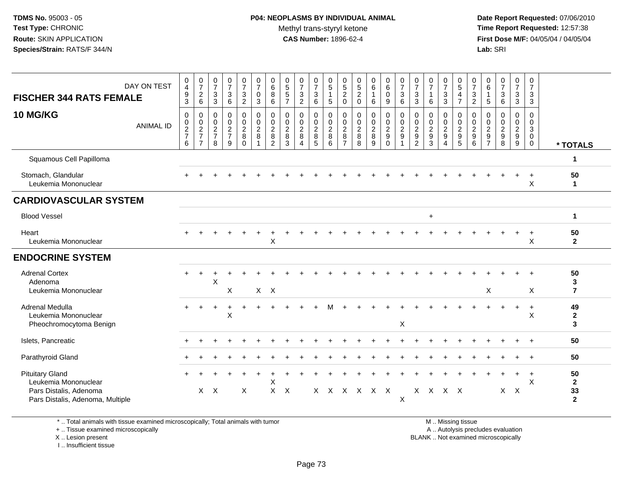**Date Report Requested:** 07/06/2010 **Time Report Requested:** 12:57:38 **First Dose M/F:** 04/05/04 / 04/05/04<br>**Lab:** SRI **Lab:** SRI

| <b>FISCHER 344 RATS FEMALE</b>                                                                               | DAY ON TEST      | $\mathbf 0$<br>$\overline{4}$<br>$\frac{9}{3}$   | $\frac{0}{7}$<br>$\begin{array}{c} 2 \\ 6 \end{array}$            | $\pmb{0}$<br>$\overline{7}$<br>$\mathbf{3}$<br>3                    | 0<br>$\overline{7}$<br>3<br>6                                                | $\frac{0}{7}$<br>3<br>$\overline{c}$                | $\begin{smallmatrix}0\\7\end{smallmatrix}$<br>$\mathsf{O}\xspace$<br>$\mathbf{3}$ | $_{6}^{\rm 0}$<br>$\bf 8$<br>$\,6\,$                                  | $\begin{array}{c} 0 \\ 5 \\ 5 \end{array}$<br>$\overline{7}$ | $\frac{0}{7}$<br>$\sqrt{3}$<br>$\overline{2}$                     | $\frac{0}{7}$<br>3<br>6            | 0<br>$\mathbf 5$<br>$\mathbf{1}$<br>$5\,$ | 0<br>$\frac{5}{2}$<br>$\mathsf 0$                         | 0<br>$\,$ 5 $\,$<br>$\overline{c}$<br>$\pmb{0}$ | $\begin{array}{c} 0 \\ 6 \end{array}$<br>$\mathbf{1}$<br>6 | $\begin{array}{c} 0 \\ 6 \end{array}$<br>0<br>9                | $\frac{0}{7}$<br>$\sqrt{3}$<br>6                        | 0<br>$\overline{7}$<br>$\mathbf{3}$<br>3              | 0<br>$\overline{7}$<br>$\mathbf{1}$<br>6 | 0<br>$\overline{7}$<br>$\ensuremath{\mathsf{3}}$<br>$\overline{3}$ | $\begin{array}{c} 0 \\ 5 \end{array}$<br>$\overline{4}$<br>$\overline{7}$ | 0<br>$\boldsymbol{7}$<br>$\frac{3}{2}$             | 0<br>6<br>$\overline{1}$<br>5                             | 0<br>$\overline{7}$<br>3<br>6      | 0<br>$\overline{7}$<br>3<br>3                     | $\pmb{0}$<br>$\overline{7}$<br>$\ensuremath{\mathsf{3}}$<br>$\mathbf{3}$ |                                            |
|--------------------------------------------------------------------------------------------------------------|------------------|--------------------------------------------------|-------------------------------------------------------------------|---------------------------------------------------------------------|------------------------------------------------------------------------------|-----------------------------------------------------|-----------------------------------------------------------------------------------|-----------------------------------------------------------------------|--------------------------------------------------------------|-------------------------------------------------------------------|------------------------------------|-------------------------------------------|-----------------------------------------------------------|-------------------------------------------------|------------------------------------------------------------|----------------------------------------------------------------|---------------------------------------------------------|-------------------------------------------------------|------------------------------------------|--------------------------------------------------------------------|---------------------------------------------------------------------------|----------------------------------------------------|-----------------------------------------------------------|------------------------------------|---------------------------------------------------|--------------------------------------------------------------------------|--------------------------------------------|
| <b>10 MG/KG</b>                                                                                              | <b>ANIMAL ID</b> | $\mathbf 0$<br>$\mathbf 0$<br>$\frac{2}{7}$<br>6 | 0<br>$\begin{array}{c} 0 \\ 2 \\ 7 \end{array}$<br>$\overline{7}$ | $\mathbf 0$<br>$\mathbf 0$<br>$\overline{2}$<br>$\overline{7}$<br>8 | $\mathbf 0$<br>$\mathbf 0$<br>$\overline{\mathbf{c}}$<br>$\overline{7}$<br>9 | 0<br>$\mathbf 0$<br>$\overline{c}$<br>8<br>$\Omega$ | $\pmb{0}$<br>$\ddot{\mathbf{0}}$<br>$\sqrt{2}$<br>8<br>$\overline{1}$             | $\pmb{0}$<br>$\ddot{\mathbf{0}}$<br>$\sqrt{2}$<br>8<br>$\overline{2}$ | 0<br>$\mathbf 0$<br>$\sqrt{2}$<br>8<br>3                     | 0<br>$\mathbf 0$<br>$\overline{2}$<br>8<br>$\boldsymbol{\Lambda}$ | 0<br>0<br>$\overline{2}$<br>8<br>5 | 0<br>$\frac{0}{2}$<br>8<br>6              | 0<br>$\mathbf 0$<br>$\overline{c}$<br>8<br>$\overline{7}$ | 0<br>0<br>$\overline{c}$<br>$\bf 8$<br>8        | $\mathbf 0$<br>$\ddot{\mathbf{0}}$<br>$\frac{2}{8}$<br>9   | 0<br>$\mathbf 0$<br>$\sqrt{2}$<br>$\boldsymbol{9}$<br>$\Omega$ | $\pmb{0}$<br>$\overline{0}$<br>$\overline{c}$<br>9<br>1 | 0<br>$\mathbf 0$<br>$\sqrt{2}$<br>9<br>$\overline{2}$ | 0<br>$\mathbf 0$<br>$\sqrt{2}$<br>9<br>3 | 0<br>0<br>$\sqrt{2}$<br>$9\,$<br>$\overline{4}$                    | 0<br>0<br>$\overline{c}$<br>$\boldsymbol{9}$<br>$5\phantom{.0}$           | 0<br>$\mathbf 0$<br>$\overline{2}$<br>9<br>$\,6\,$ | 0<br>$\mathbf 0$<br>$\overline{c}$<br>9<br>$\overline{7}$ | 0<br>0<br>$\overline{c}$<br>9<br>8 | 0<br>0<br>$\overline{a}$<br>$\boldsymbol{9}$<br>9 | 0<br>$\boldsymbol{0}$<br>3<br>$\mathbf 0$<br>$\mathbf 0$                 | * TOTALS                                   |
| Squamous Cell Papilloma                                                                                      |                  |                                                  |                                                                   |                                                                     |                                                                              |                                                     |                                                                                   |                                                                       |                                                              |                                                                   |                                    |                                           |                                                           |                                                 |                                                            |                                                                |                                                         |                                                       |                                          |                                                                    |                                                                           |                                                    |                                                           |                                    |                                                   |                                                                          | 1                                          |
| Stomach, Glandular<br>Leukemia Mononuclear                                                                   |                  |                                                  |                                                                   |                                                                     |                                                                              |                                                     |                                                                                   |                                                                       |                                                              |                                                                   |                                    |                                           |                                                           |                                                 |                                                            |                                                                |                                                         |                                                       |                                          |                                                                    |                                                                           |                                                    |                                                           |                                    |                                                   | X                                                                        | 50<br>$\mathbf{1}$                         |
| <b>CARDIOVASCULAR SYSTEM</b>                                                                                 |                  |                                                  |                                                                   |                                                                     |                                                                              |                                                     |                                                                                   |                                                                       |                                                              |                                                                   |                                    |                                           |                                                           |                                                 |                                                            |                                                                |                                                         |                                                       |                                          |                                                                    |                                                                           |                                                    |                                                           |                                    |                                                   |                                                                          |                                            |
| <b>Blood Vessel</b>                                                                                          |                  |                                                  |                                                                   |                                                                     |                                                                              |                                                     |                                                                                   |                                                                       |                                                              |                                                                   |                                    |                                           |                                                           |                                                 |                                                            |                                                                |                                                         |                                                       | $\ddot{}$                                |                                                                    |                                                                           |                                                    |                                                           |                                    |                                                   |                                                                          | $\mathbf{1}$                               |
| Heart<br>Leukemia Mononuclear                                                                                |                  |                                                  |                                                                   |                                                                     |                                                                              |                                                     |                                                                                   | X                                                                     |                                                              |                                                                   |                                    |                                           |                                                           |                                                 |                                                            |                                                                |                                                         |                                                       |                                          |                                                                    |                                                                           |                                                    |                                                           |                                    |                                                   | $\ddot{}$<br>X                                                           | 50<br>$\mathbf{2}$                         |
| <b>ENDOCRINE SYSTEM</b>                                                                                      |                  |                                                  |                                                                   |                                                                     |                                                                              |                                                     |                                                                                   |                                                                       |                                                              |                                                                   |                                    |                                           |                                                           |                                                 |                                                            |                                                                |                                                         |                                                       |                                          |                                                                    |                                                                           |                                                    |                                                           |                                    |                                                   |                                                                          |                                            |
| <b>Adrenal Cortex</b><br>Adenoma<br>Leukemia Mononuclear                                                     |                  |                                                  |                                                                   | X                                                                   | X                                                                            |                                                     |                                                                                   | $X$ $X$                                                               |                                                              |                                                                   |                                    |                                           |                                                           |                                                 |                                                            |                                                                |                                                         |                                                       |                                          |                                                                    |                                                                           |                                                    | $\boldsymbol{\mathsf{X}}$                                 |                                    |                                                   | X                                                                        | 50<br>3<br>$\overline{7}$                  |
| Adrenal Medulla<br>Leukemia Mononuclear<br>Pheochromocytoma Benign                                           |                  |                                                  |                                                                   |                                                                     | X                                                                            |                                                     |                                                                                   |                                                                       |                                                              |                                                                   |                                    | м                                         |                                                           |                                                 |                                                            |                                                                | X                                                       |                                                       |                                          |                                                                    |                                                                           |                                                    |                                                           |                                    |                                                   | $\ddot{}$<br>X                                                           | 49<br>$\overline{2}$<br>3                  |
| Islets, Pancreatic                                                                                           |                  |                                                  |                                                                   |                                                                     |                                                                              |                                                     |                                                                                   |                                                                       |                                                              |                                                                   |                                    |                                           |                                                           |                                                 |                                                            |                                                                |                                                         |                                                       |                                          |                                                                    |                                                                           |                                                    |                                                           |                                    |                                                   |                                                                          | 50                                         |
| Parathyroid Gland                                                                                            |                  |                                                  |                                                                   |                                                                     |                                                                              |                                                     |                                                                                   |                                                                       |                                                              |                                                                   |                                    |                                           |                                                           |                                                 |                                                            |                                                                |                                                         |                                                       |                                          |                                                                    |                                                                           |                                                    |                                                           |                                    |                                                   |                                                                          | 50                                         |
| <b>Pituitary Gland</b><br>Leukemia Mononuclear<br>Pars Distalis, Adenoma<br>Pars Distalis, Adenoma, Multiple |                  |                                                  | $\mathsf{X}$                                                      | $\mathsf{X}$                                                        |                                                                              | X                                                   |                                                                                   | X<br>X                                                                | $\boldsymbol{\mathsf{X}}$                                    |                                                                   |                                    |                                           |                                                           | X X X X X X                                     |                                                            |                                                                | Χ                                                       |                                                       | X X X X                                  |                                                                    |                                                                           |                                                    |                                                           | $X$ $X$                            | $\ddot{}$                                         | $\ddot{}$<br>X                                                           | 50<br>$\mathbf{2}$<br>33<br>$\overline{2}$ |

\* .. Total animals with tissue examined microscopically; Total animals with tumor

+ .. Tissue examined microscopically

X .. Lesion present

I .. Insufficient tissue

M .. Missing tissue

y the contract of the contract of the contract of the contract of the contract of the contract of the contract of  $A$ . Autolysis precludes evaluation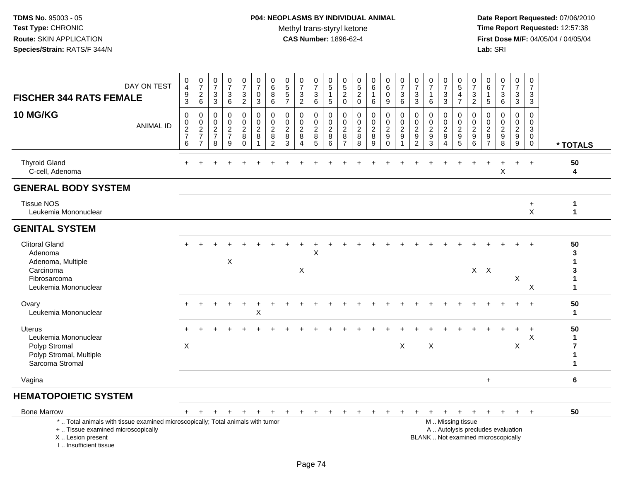# **P04: NEOPLASMS BY INDIVIDUAL ANIMAL**Methyl trans-styryl ketone<br>CAS Number: 1896-62-4

 **Date Report Requested:** 07/06/2010 **Time Report Requested:** 12:57:38 **First Dose M/F:** 04/05/04 / 04/05/04<br>Lab: SRI **Lab:** SRI

| <b>FISCHER 344 RATS FEMALE</b>                                                                                                                                      | DAY ON TEST      | $_4^{\rm 0}$<br>$\frac{9}{3}$                                                    | 0726                                                                                                 | $\frac{0}{7}$<br>3<br>$\sqrt{3}$                                      | $\pmb{0}$<br>$\overline{7}$<br>3<br>$\,6\,$                         | $\frac{0}{7}$<br>3<br>$\overline{2}$                | $\begin{array}{c} 0 \\ 7 \end{array}$<br>$\mathbf 0$<br>$\mathbf{3}$ | $\pmb{0}$<br>$6\phantom{1}6$<br>$\, 8$<br>$\,6\,$                       | $\begin{smallmatrix}0\0\5\end{smallmatrix}$<br>$\sqrt{5}$<br>$\overline{7}$ | $\frac{0}{7}$<br>$\ensuremath{\mathsf{3}}$<br>$\overline{2}$ | 0<br>$\overline{7}$<br>3<br>6                                  | 0<br>$\overline{5}$<br>1<br>5                | 0<br>5<br>$\frac{2}{0}$                         | 0<br>$\frac{5}{2}$                             | $_{6}^{\rm 0}$<br>6                                                 | $\begin{array}{c} 0 \\ 6 \end{array}$<br>$\mathbf 0$<br>9               | $\begin{array}{c} 0 \\ 7 \end{array}$<br>$\frac{3}{6}$                | $\frac{0}{7}$<br>3<br>3                           | $\frac{0}{7}$<br>$\mathbf{1}$<br>$\,6\,$            | $\frac{0}{7}$<br>3<br>$\overline{3}$                                | $\begin{array}{c} 0 \\ 5 \end{array}$<br>$\overline{4}$<br>$\overline{7}$    | $\frac{0}{7}$<br>$\frac{3}{2}$                                   | 0<br>6<br>5                                            | $\frac{0}{7}$<br>3<br>$\,6\,$                                            | 0<br>$\overline{7}$<br>3<br>$\overline{3}$                               | $\mathbf 0$<br>$\overline{7}$<br>3<br>3                       |                                       |
|---------------------------------------------------------------------------------------------------------------------------------------------------------------------|------------------|----------------------------------------------------------------------------------|------------------------------------------------------------------------------------------------------|-----------------------------------------------------------------------|---------------------------------------------------------------------|-----------------------------------------------------|----------------------------------------------------------------------|-------------------------------------------------------------------------|-----------------------------------------------------------------------------|--------------------------------------------------------------|----------------------------------------------------------------|----------------------------------------------|-------------------------------------------------|------------------------------------------------|---------------------------------------------------------------------|-------------------------------------------------------------------------|-----------------------------------------------------------------------|---------------------------------------------------|-----------------------------------------------------|---------------------------------------------------------------------|------------------------------------------------------------------------------|------------------------------------------------------------------|--------------------------------------------------------|--------------------------------------------------------------------------|--------------------------------------------------------------------------|---------------------------------------------------------------|---------------------------------------|
| 10 MG/KG                                                                                                                                                            | <b>ANIMAL ID</b> | $\mathsf 0$<br>$\mathbf 0$<br>$\overline{2}$<br>$\overline{7}$<br>$6\phantom{1}$ | $\boldsymbol{0}$<br>$\begin{smallmatrix} 0\\2 \end{smallmatrix}$<br>$\overline{7}$<br>$\overline{7}$ | $\mathbf 0$<br>$\mathbf 0$<br>$\boldsymbol{2}$<br>$\overline{7}$<br>8 | $\mathbf 0$<br>$\mathbf 0$<br>$\overline{2}$<br>$\overline{7}$<br>9 | 0<br>$\mathbf 0$<br>$\overline{c}$<br>8<br>$\Omega$ | 0<br>0<br>$\overline{2}$<br>8<br>-1                                  | $\mathbf 0$<br>$\pmb{0}$<br>$\overline{2}$<br>$\,8\,$<br>$\overline{c}$ | $\mathbf 0$<br>0<br>$\overline{2}$<br>8<br>3                                | $\mathbf 0$<br>$\mathbf 0$<br>$\sqrt{2}$<br>8<br>4           | 0<br>$\mathbf 0$<br>$\overline{2}$<br>$\, 8$<br>$\overline{5}$ | $\mathbf 0$<br>0<br>$\overline{2}$<br>8<br>6 | 0<br>0<br>$\overline{c}$<br>8<br>$\overline{7}$ | $\mathbf 0$<br>0<br>$\overline{2}$<br>$_{8}^8$ | $\mathbf 0$<br>$\mathbf 0$<br>$\overline{2}$<br>8<br>$\overline{9}$ | $\mathbf 0$<br>$\boldsymbol{0}$<br>$\overline{2}$<br>$_{\rm 0}^{\rm 9}$ | $\mathbf 0$<br>$\mathbf 0$<br>$\overline{2}$<br>$9\,$<br>$\mathbf{1}$ | 0<br>0<br>$\boldsymbol{2}$<br>9<br>$\overline{c}$ | $\mathbf 0$<br>0<br>$\overline{2}$<br>$\frac{9}{3}$ | $\mathbf 0$<br>$\mathbf 0$<br>$\overline{2}$<br>9<br>$\overline{4}$ | 0<br>$\mathsf{O}$<br>$\overline{2}$<br>$\begin{array}{c} 9 \\ 5 \end{array}$ | $\mathbf 0$<br>$\mathbf 0$<br>$\overline{2}$<br>$9\,$<br>$\,6\,$ | 0<br>$\Omega$<br>$\overline{c}$<br>9<br>$\overline{7}$ | $\mathbf 0$<br>$\Omega$<br>$\sqrt{2}$<br>9<br>8                          | 0<br>$\mathbf 0$<br>$\overline{c}$<br>$\boldsymbol{9}$<br>$\overline{9}$ | $\mathbf 0$<br>$\Omega$<br>$\mathfrak{Z}$<br>0<br>$\mathbf 0$ | * TOTALS                              |
| <b>Thyroid Gland</b><br>C-cell, Adenoma                                                                                                                             |                  |                                                                                  |                                                                                                      |                                                                       |                                                                     |                                                     |                                                                      |                                                                         |                                                                             |                                                              |                                                                |                                              |                                                 |                                                |                                                                     |                                                                         |                                                                       |                                                   |                                                     |                                                                     |                                                                              |                                                                  |                                                        | X                                                                        |                                                                          |                                                               | 50<br>4                               |
| <b>GENERAL BODY SYSTEM</b>                                                                                                                                          |                  |                                                                                  |                                                                                                      |                                                                       |                                                                     |                                                     |                                                                      |                                                                         |                                                                             |                                                              |                                                                |                                              |                                                 |                                                |                                                                     |                                                                         |                                                                       |                                                   |                                                     |                                                                     |                                                                              |                                                                  |                                                        |                                                                          |                                                                          |                                                               |                                       |
| <b>Tissue NOS</b><br>Leukemia Mononuclear                                                                                                                           |                  |                                                                                  |                                                                                                      |                                                                       |                                                                     |                                                     |                                                                      |                                                                         |                                                                             |                                                              |                                                                |                                              |                                                 |                                                |                                                                     |                                                                         |                                                                       |                                                   |                                                     |                                                                     |                                                                              |                                                                  |                                                        |                                                                          |                                                                          | $\ddot{}$<br>X                                                | $\mathbf{1}$<br>$\mathbf{1}$          |
| <b>GENITAL SYSTEM</b>                                                                                                                                               |                  |                                                                                  |                                                                                                      |                                                                       |                                                                     |                                                     |                                                                      |                                                                         |                                                                             |                                                              |                                                                |                                              |                                                 |                                                |                                                                     |                                                                         |                                                                       |                                                   |                                                     |                                                                     |                                                                              |                                                                  |                                                        |                                                                          |                                                                          |                                                               |                                       |
| <b>Clitoral Gland</b><br>Adenoma<br>Adenoma, Multiple<br>Carcinoma<br>Fibrosarcoma<br>Leukemia Mononuclear                                                          |                  |                                                                                  |                                                                                                      |                                                                       | X                                                                   |                                                     |                                                                      |                                                                         |                                                                             | X                                                            | X                                                              |                                              |                                                 |                                                |                                                                     |                                                                         |                                                                       |                                                   |                                                     |                                                                     |                                                                              |                                                                  | $X$ $X$                                                |                                                                          | X                                                                        | X                                                             | 50<br>3<br>1<br>3<br>1<br>$\mathbf 1$ |
| Ovary<br>Leukemia Mononuclear                                                                                                                                       |                  |                                                                                  |                                                                                                      |                                                                       |                                                                     |                                                     | $\mathsf X$                                                          |                                                                         |                                                                             |                                                              |                                                                |                                              |                                                 |                                                |                                                                     |                                                                         |                                                                       |                                                   |                                                     |                                                                     |                                                                              |                                                                  |                                                        |                                                                          |                                                                          |                                                               | 50<br>$\mathbf{1}$                    |
| <b>Uterus</b><br>Leukemia Mononuclear<br>Polyp Stromal<br>Polyp Stromal, Multiple<br>Sarcoma Stromal                                                                |                  | X                                                                                |                                                                                                      |                                                                       |                                                                     |                                                     |                                                                      |                                                                         |                                                                             |                                                              |                                                                |                                              |                                                 |                                                |                                                                     |                                                                         | $\boldsymbol{\mathsf{X}}$                                             |                                                   | $\boldsymbol{\mathsf{X}}$                           |                                                                     |                                                                              |                                                                  |                                                        |                                                                          | X                                                                        | X                                                             | 50<br>$\mathbf 1$<br>7<br>1           |
| Vagina                                                                                                                                                              |                  |                                                                                  |                                                                                                      |                                                                       |                                                                     |                                                     |                                                                      |                                                                         |                                                                             |                                                              |                                                                |                                              |                                                 |                                                |                                                                     |                                                                         |                                                                       |                                                   |                                                     |                                                                     |                                                                              |                                                                  | $\ddot{}$                                              |                                                                          |                                                                          |                                                               | 6                                     |
| <b>HEMATOPOIETIC SYSTEM</b>                                                                                                                                         |                  |                                                                                  |                                                                                                      |                                                                       |                                                                     |                                                     |                                                                      |                                                                         |                                                                             |                                                              |                                                                |                                              |                                                 |                                                |                                                                     |                                                                         |                                                                       |                                                   |                                                     |                                                                     |                                                                              |                                                                  |                                                        |                                                                          |                                                                          |                                                               |                                       |
| <b>Bone Marrow</b>                                                                                                                                                  |                  | $+$                                                                              | $+$                                                                                                  | $+$                                                                   | $+$                                                                 | $+$                                                 | $+$                                                                  | $+$                                                                     | $+$                                                                         | $+$                                                          | $+$                                                            |                                              |                                                 |                                                |                                                                     |                                                                         |                                                                       |                                                   | $\ddot{}$                                           | $+$                                                                 | $+$                                                                          | $+$                                                              | $+$                                                    | $+$                                                                      | $+$                                                                      | $^{+}$                                                        | 50                                    |
| *  Total animals with tissue examined microscopically; Total animals with tumor<br>+  Tissue examined microscopically<br>X  Lesion present<br>I Insufficient tissue |                  |                                                                                  |                                                                                                      |                                                                       |                                                                     |                                                     |                                                                      |                                                                         |                                                                             |                                                              |                                                                |                                              |                                                 |                                                |                                                                     |                                                                         |                                                                       |                                                   |                                                     |                                                                     | M  Missing tissue                                                            |                                                                  |                                                        | A  Autolysis precludes evaluation<br>BLANK  Not examined microscopically |                                                                          |                                                               |                                       |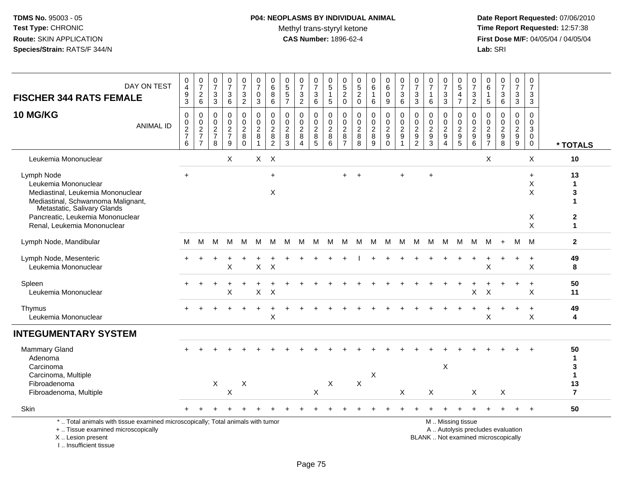# **P04: NEOPLASMS BY INDIVIDUAL ANIMAL**Methyl trans-styryl ketone<br>CAS Number: 1896-62-4

 **Date Report Requested:** 07/06/2010 **Time Report Requested:** 12:57:38 **First Dose M/F:** 04/05/04 / 04/05/04<br>Lab: SRI **Lab:** SRI

| DAY ON TEST<br><b>FISCHER 344 RATS FEMALE</b>                                                                                                                                                                   | $_4^{\rm O}$<br>$\boldsymbol{9}$<br>$\overline{3}$ | $\frac{0}{7}$<br>$^2\phantom{1}6$                           | $\frac{0}{7}$<br>$\mathbf{3}$<br>$\overline{3}$ | $\begin{array}{c} 0 \\ 7 \end{array}$<br>3<br>$\,6\,$ | $\frac{0}{7}$<br>3<br>$\overline{a}$                     | $\frac{0}{7}$<br>0<br>$\mathbf{3}$                          | $\pmb{0}$<br>$\,6$<br>8<br>6                                | 0<br>$\,$ 5 $\,$<br>$\sqrt{5}$<br>$\overline{7}$                  | $\frac{0}{7}$<br>$\mathbf{3}$<br>$\overline{2}$         | 0<br>$\overline{7}$<br>3<br>$\,6\,$                         | $\pmb{0}$<br>$\overline{5}$<br>$\mathbf{1}$<br>$\overline{5}$ | 0<br>$\sqrt{5}$<br>$\overline{c}$<br>$\pmb{0}$    | 0<br>$\overline{5}$<br>$\boldsymbol{2}$<br>$\pmb{0}$      | $\pmb{0}$<br>6<br>1<br>6                                          | 0<br>$6\phantom{a}$<br>0<br>$9\,$                     | $\frac{0}{7}$<br>$\sqrt{3}$<br>$\,6\,$                                                   | 0<br>$\overline{7}$<br>3<br>$\mathbf{3}$                             | $\frac{0}{7}$<br>1<br>$\,6$                                        | $\frac{0}{7}$<br>3<br>$\mathfrak{Z}$          | 0<br>$\overline{5}$<br>$\overline{4}$<br>$\overline{7}$                  | $\pmb{0}$<br>$\overline{7}$<br>$\mathbf{3}$<br>$\overline{2}$ | 0<br>$\,6\,$<br>$\overline{1}$<br>$\sqrt{5}$ | $\frac{0}{7}$<br>$\mathbf{3}$<br>6                                                | $\frac{0}{7}$<br>3<br>$\overline{3}$ | $\mathbf 0$<br>$\boldsymbol{7}$<br>$\mathbf{3}$<br>$\mathbf{3}$ |                                                               |
|-----------------------------------------------------------------------------------------------------------------------------------------------------------------------------------------------------------------|----------------------------------------------------|-------------------------------------------------------------|-------------------------------------------------|-------------------------------------------------------|----------------------------------------------------------|-------------------------------------------------------------|-------------------------------------------------------------|-------------------------------------------------------------------|---------------------------------------------------------|-------------------------------------------------------------|---------------------------------------------------------------|---------------------------------------------------|-----------------------------------------------------------|-------------------------------------------------------------------|-------------------------------------------------------|------------------------------------------------------------------------------------------|----------------------------------------------------------------------|--------------------------------------------------------------------|-----------------------------------------------|--------------------------------------------------------------------------|---------------------------------------------------------------|----------------------------------------------|-----------------------------------------------------------------------------------|--------------------------------------|-----------------------------------------------------------------|---------------------------------------------------------------|
| <b>10 MG/KG</b><br><b>ANIMAL ID</b>                                                                                                                                                                             | 0<br>0<br>$\frac{2}{7}$<br>$\,6\,$                 | $\mathbf 0$<br>$\pmb{0}$<br>$\frac{2}{7}$<br>$\overline{7}$ | $\mathbf 0$<br>0<br>$\frac{2}{7}$<br>8          | $\mathbf 0$<br>$\mathbf 0$<br>$\frac{2}{7}$<br>9      | 0<br>$\mathbf 0$<br>$\boldsymbol{2}$<br>8<br>$\mathbf 0$ | $\mathbf 0$<br>$\pmb{0}$<br>$\overline{2}$<br>$\frac{8}{1}$ | 0<br>$\mathbf 0$<br>$\boldsymbol{2}$<br>8<br>$\overline{2}$ | $\mathbf 0$<br>$\mathbf 0$<br>$\overline{c}$<br>8<br>$\mathbf{3}$ | $\mathbf 0$<br>$\mathbf 0$<br>$\frac{2}{8}$<br>$\Delta$ | 0<br>$\mathbf 0$<br>$\boldsymbol{2}$<br>8<br>$\overline{5}$ | $\Omega$<br>$\mathbf 0$<br>$\sqrt{2}$<br>$\, 8$<br>6          | 0<br>0<br>$\boldsymbol{2}$<br>8<br>$\overline{7}$ | 0<br>$\mathbf 0$<br>$\overline{c}$<br>8<br>$\overline{8}$ | $\mathbf 0$<br>0<br>$\boldsymbol{2}$<br>$\bf 8$<br>$\overline{9}$ | 0<br>0<br>$\boldsymbol{2}$<br>$9\,$<br>$\overline{0}$ | $\Omega$<br>$\mathbf 0$<br>$\overline{c}$<br>$\boldsymbol{9}$<br>$\overline{\mathbf{1}}$ | 0<br>$\mathbf 0$<br>$\sqrt{2}$<br>$\boldsymbol{9}$<br>$\overline{2}$ | $\Omega$<br>$\mathbf 0$<br>$\boldsymbol{2}$<br>9<br>$\overline{3}$ | $\Omega$<br>$\mathbf 0$<br>$\frac{2}{9}$<br>4 | $\Omega$<br>0<br>$\overline{c}$<br>$\begin{array}{c} 9 \\ 5 \end{array}$ | $\Omega$<br>0<br>$\sqrt{2}$<br>$^9$ 6                         | $\mathbf 0$<br>$\mathbf 0$<br>$\frac{2}{9}$  | $\Omega$<br>$\mathbf 0$<br>$\boldsymbol{2}$<br>$\boldsymbol{9}$<br>$\overline{8}$ | 0<br>0<br>$\frac{2}{9}$              | 0<br>0<br>$\mathbf{3}$<br>$\mathbf 0$<br>$\mathsf{O}\xspace$    | * TOTALS                                                      |
| Leukemia Mononuclear                                                                                                                                                                                            |                                                    |                                                             |                                                 | X                                                     |                                                          | $X$ $X$                                                     |                                                             |                                                                   |                                                         |                                                             |                                                               |                                                   |                                                           |                                                                   |                                                       |                                                                                          |                                                                      |                                                                    |                                               |                                                                          |                                                               | X                                            |                                                                                   |                                      | X                                                               | 10                                                            |
| Lymph Node<br>Leukemia Mononuclear<br>Mediastinal, Leukemia Mononuclear<br>Mediastinal, Schwannoma Malignant,<br>Metastatic, Salivary Glands<br>Pancreatic, Leukemia Mononuclear<br>Renal, Leukemia Mononuclear | $\ddot{}$                                          |                                                             |                                                 |                                                       |                                                          |                                                             | $\ddot{}$<br>X                                              |                                                                   |                                                         |                                                             |                                                               |                                                   |                                                           |                                                                   |                                                       |                                                                                          |                                                                      | $\ddot{}$                                                          |                                               |                                                                          |                                                               |                                              |                                                                                   |                                      | $\ddot{}$<br>$\mathsf X$<br>X<br>X<br>X                         | 13<br>$\mathbf{1}$<br>3<br>-1<br>$\mathbf{2}$<br>$\mathbf{1}$ |
| Lymph Node, Mandibular                                                                                                                                                                                          | M                                                  | м                                                           | м                                               | м                                                     | м                                                        | M                                                           | M                                                           | M                                                                 | M                                                       | M                                                           | M                                                             | M                                                 | M                                                         | M                                                                 | M                                                     | M                                                                                        | M                                                                    | M                                                                  | M                                             | M                                                                        | M                                                             | М                                            | $+$                                                                               | M                                    | M                                                               | $\mathbf{2}$                                                  |
| Lymph Node, Mesenteric<br>Leukemia Mononuclear                                                                                                                                                                  |                                                    |                                                             |                                                 | X                                                     |                                                          | X                                                           | $\times$                                                    |                                                                   |                                                         |                                                             |                                                               |                                                   |                                                           |                                                                   |                                                       |                                                                                          |                                                                      |                                                                    |                                               |                                                                          |                                                               | X                                            |                                                                                   |                                      | $\ddot{}$<br>X                                                  | 49<br>8                                                       |
| Spleen<br>Leukemia Mononuclear                                                                                                                                                                                  |                                                    |                                                             |                                                 | X                                                     |                                                          | Χ                                                           | X                                                           |                                                                   |                                                         |                                                             |                                                               |                                                   |                                                           |                                                                   |                                                       |                                                                                          |                                                                      |                                                                    |                                               |                                                                          | X                                                             | X                                            |                                                                                   |                                      | $\ddot{}$<br>X                                                  | 50<br>11                                                      |
| Thymus<br>Leukemia Mononuclear                                                                                                                                                                                  |                                                    |                                                             |                                                 |                                                       |                                                          |                                                             | $\mathsf X$                                                 |                                                                   |                                                         |                                                             |                                                               |                                                   |                                                           |                                                                   |                                                       |                                                                                          |                                                                      |                                                                    |                                               |                                                                          |                                                               | X                                            |                                                                                   | $+$                                  | $\ddot{}$<br>X                                                  | 49<br>4                                                       |
| <b>INTEGUMENTARY SYSTEM</b>                                                                                                                                                                                     |                                                    |                                                             |                                                 |                                                       |                                                          |                                                             |                                                             |                                                                   |                                                         |                                                             |                                                               |                                                   |                                                           |                                                                   |                                                       |                                                                                          |                                                                      |                                                                    |                                               |                                                                          |                                                               |                                              |                                                                                   |                                      |                                                                 |                                                               |
| <b>Mammary Gland</b><br>Adenoma<br>Carcinoma<br>Carcinoma, Multiple<br>Fibroadenoma                                                                                                                             |                                                    |                                                             | X                                               |                                                       | $\boldsymbol{\mathsf{X}}$                                |                                                             |                                                             |                                                                   |                                                         |                                                             | $\mathsf X$                                                   |                                                   | $\mathsf X$                                               | X                                                                 |                                                       |                                                                                          |                                                                      |                                                                    | X                                             |                                                                          |                                                               |                                              |                                                                                   |                                      |                                                                 | 50<br>$\mathbf{1}$<br>3<br>$\mathbf{1}$<br>13                 |
| Fibroadenoma, Multiple                                                                                                                                                                                          |                                                    |                                                             |                                                 | X                                                     |                                                          |                                                             |                                                             |                                                                   |                                                         | $\sf X$                                                     |                                                               |                                                   |                                                           |                                                                   |                                                       | X                                                                                        |                                                                      | X                                                                  |                                               |                                                                          | X                                                             |                                              | X                                                                                 |                                      |                                                                 | $\overline{\mathbf{r}}$                                       |
| Skin<br>*  Total animals with tissue examined microscopically; Total animals with tumor<br>+  Tissue examined microscopically                                                                                   |                                                    |                                                             |                                                 |                                                       |                                                          |                                                             |                                                             |                                                                   |                                                         |                                                             |                                                               |                                                   |                                                           |                                                                   |                                                       |                                                                                          |                                                                      |                                                                    |                                               | M  Missing tissue                                                        |                                                               |                                              | A  Autolysis precludes evaluation                                                 |                                      | $\ddot{}$                                                       | 50                                                            |
| X  Lesion present<br>I., Insufficient tissue                                                                                                                                                                    |                                                    |                                                             |                                                 |                                                       |                                                          |                                                             |                                                             |                                                                   |                                                         |                                                             |                                                               |                                                   |                                                           |                                                                   |                                                       |                                                                                          |                                                                      | BLANK  Not examined microscopically                                |                                               |                                                                          |                                                               |                                              |                                                                                   |                                      |                                                                 |                                                               |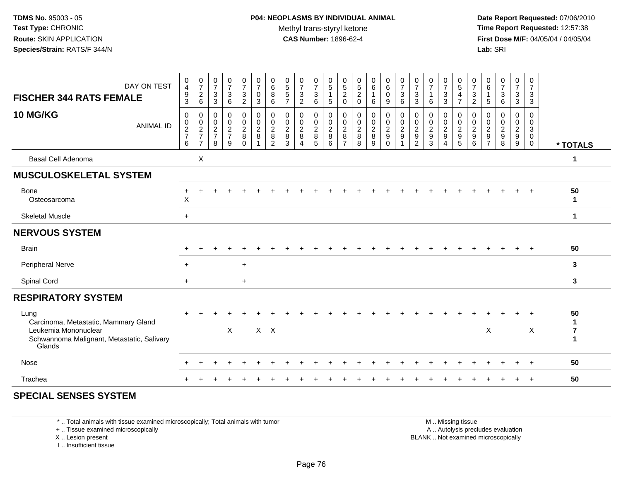**Date Report Requested:** 07/06/2010 **Time Report Requested:** 12:57:38 **First Dose M/F:** 04/05/04 / 04/05/04<br>**Lab:** SRI **Lab:** SRI

| DAY ON TEST<br><b>FISCHER 344 RATS FEMALE</b>                                                                                |                  | 0<br>$\overline{\mathbf{4}}$<br>$\boldsymbol{9}$<br>3 | $\frac{0}{7}$<br>$\overline{c}$<br>6                     | $\frac{0}{7}$<br>$\ensuremath{\mathsf{3}}$<br>3           | $\frac{0}{7}$<br>$\ensuremath{\mathsf{3}}$<br>6         | $\frac{0}{7}$<br>$\ensuremath{\mathsf{3}}$<br>$\overline{2}$ | 0<br>$\overline{7}$<br>$\pmb{0}$<br>3                   | 0<br>6<br>$\,8\,$<br>6                                    | $\begin{matrix} 0 \\ 5 \end{matrix}$<br>$\,$ 5 $\,$<br>$\overline{7}$ | $\frac{0}{7}$<br>$\sqrt{3}$<br>$\overline{2}$              | $\frac{0}{7}$<br>$\ensuremath{\mathsf{3}}$<br>6 | $\begin{array}{c} 0 \\ 5 \end{array}$<br>$\overline{1}$<br>$\sqrt{5}$ | $\begin{array}{c} 0 \\ 5 \\ 2 \end{array}$<br>$\Omega$ | $\frac{0}{5}$<br>$\overline{2}$<br>$\Omega$      | $\begin{matrix} 0 \\ 6 \end{matrix}$<br>6 | $\begin{matrix} 0 \\ 6 \end{matrix}$<br>$\mathsf{O}\xspace$<br>9 | $\frac{0}{7}$<br>$\ensuremath{\mathsf{3}}$<br>6                      | $\frac{0}{7}$<br>$\sqrt{3}$<br>3                    | $\frac{0}{7}$<br>6                                | 0<br>$\overline{7}$<br>$\sqrt{3}$<br>3            | 0<br>$\overline{5}$<br>4<br>$\overline{7}$    | 0<br>$\overline{7}$<br>$\ensuremath{\mathsf{3}}$<br>$\overline{2}$ | 0<br>$\,6\,$<br>$\mathbf{1}$<br>5                                 | $\frac{0}{7}$<br>$\ensuremath{\mathsf{3}}$<br>6                 | $\begin{smallmatrix}0\\7\end{smallmatrix}$<br>$_3^3$ | 0<br>$\overline{7}$<br>$\mathbf{3}$<br>3  |                                           |
|------------------------------------------------------------------------------------------------------------------------------|------------------|-------------------------------------------------------|----------------------------------------------------------|-----------------------------------------------------------|---------------------------------------------------------|--------------------------------------------------------------|---------------------------------------------------------|-----------------------------------------------------------|-----------------------------------------------------------------------|------------------------------------------------------------|-------------------------------------------------|-----------------------------------------------------------------------|--------------------------------------------------------|--------------------------------------------------|-------------------------------------------|------------------------------------------------------------------|----------------------------------------------------------------------|-----------------------------------------------------|---------------------------------------------------|---------------------------------------------------|-----------------------------------------------|--------------------------------------------------------------------|-------------------------------------------------------------------|-----------------------------------------------------------------|------------------------------------------------------|-------------------------------------------|-------------------------------------------|
| 10 MG/KG                                                                                                                     | <b>ANIMAL ID</b> | $\mathbf 0$<br>$\boldsymbol{0}$<br>$\frac{2}{7}$<br>6 | 0<br>$\boldsymbol{0}$<br>$\frac{2}{7}$<br>$\overline{7}$ | 0<br>$\mathbf 0$<br>$\overline{c}$<br>$\overline{7}$<br>8 | 0<br>$\pmb{0}$<br>$\overline{c}$<br>$\overline{7}$<br>9 | 0<br>$\mathbf 0$<br>$\frac{2}{8}$<br>$\mathbf 0$             | 0<br>$\pmb{0}$<br>$\overline{c}$<br>8<br>$\overline{1}$ | 0<br>$\mathbf 0$<br>$\overline{c}$<br>8<br>$\overline{c}$ | 0<br>$\mathbf 0$<br>$\overline{2}$<br>8<br>3                          | 0<br>$\mathsf{O}$<br>$\overline{c}$<br>8<br>$\overline{A}$ | 0<br>$\mathbf 0$<br>$\frac{2}{3}$               | 0<br>$\pmb{0}$<br>$\frac{2}{8}$<br>$\,6\,$                            | 0<br>$\mathbf 0$<br>$\frac{2}{8}$<br>$\overline{7}$    | $\mathbf 0$<br>$\mathbf 0$<br>$\frac{2}{8}$<br>8 | 0<br>$\mathbf 0$<br>$\frac{2}{8}$<br>9    | 0<br>$\overline{0}$<br>$\frac{2}{9}$                             | 0<br>$\pmb{0}$<br>$\overline{c}$<br>$\boldsymbol{9}$<br>$\mathbf{1}$ | 0<br>$\mathbf 0$<br>$\frac{2}{9}$<br>$\overline{2}$ | 0<br>$\mathbf 0$<br>$\frac{2}{9}$<br>$\mathbf{3}$ | 0<br>$\pmb{0}$<br>$\frac{2}{9}$<br>$\overline{4}$ | 0<br>$\pmb{0}$<br>$\frac{2}{9}$<br>$\sqrt{5}$ | $\Omega$<br>$\mathbf 0$<br>$\overline{c}$<br>9<br>6                | 0<br>0<br>$\begin{array}{c} 2 \\ 9 \end{array}$<br>$\overline{7}$ | 0<br>$\pmb{0}$<br>$\overline{c}$<br>$\boldsymbol{9}$<br>$\,8\,$ | 0<br>$\mathbf 0$<br>$\frac{2}{9}$                    | $\mathbf 0$<br>$\mathbf 0$<br>3<br>0<br>0 | * TOTALS                                  |
| <b>Basal Cell Adenoma</b>                                                                                                    |                  |                                                       | X                                                        |                                                           |                                                         |                                                              |                                                         |                                                           |                                                                       |                                                            |                                                 |                                                                       |                                                        |                                                  |                                           |                                                                  |                                                                      |                                                     |                                                   |                                                   |                                               |                                                                    |                                                                   |                                                                 |                                                      |                                           | 1                                         |
| <b>MUSCULOSKELETAL SYSTEM</b>                                                                                                |                  |                                                       |                                                          |                                                           |                                                         |                                                              |                                                         |                                                           |                                                                       |                                                            |                                                 |                                                                       |                                                        |                                                  |                                           |                                                                  |                                                                      |                                                     |                                                   |                                                   |                                               |                                                                    |                                                                   |                                                                 |                                                      |                                           |                                           |
| <b>Bone</b><br>Osteosarcoma                                                                                                  |                  | $\boldsymbol{\mathsf{X}}$                             |                                                          |                                                           |                                                         |                                                              |                                                         |                                                           |                                                                       |                                                            |                                                 |                                                                       |                                                        |                                                  |                                           |                                                                  |                                                                      |                                                     |                                                   |                                                   |                                               |                                                                    |                                                                   |                                                                 |                                                      | $\ddot{}$                                 | 50<br>$\mathbf{1}$                        |
| <b>Skeletal Muscle</b>                                                                                                       |                  | $+$                                                   |                                                          |                                                           |                                                         |                                                              |                                                         |                                                           |                                                                       |                                                            |                                                 |                                                                       |                                                        |                                                  |                                           |                                                                  |                                                                      |                                                     |                                                   |                                                   |                                               |                                                                    |                                                                   |                                                                 |                                                      |                                           | $\mathbf{1}$                              |
| <b>NERVOUS SYSTEM</b>                                                                                                        |                  |                                                       |                                                          |                                                           |                                                         |                                                              |                                                         |                                                           |                                                                       |                                                            |                                                 |                                                                       |                                                        |                                                  |                                           |                                                                  |                                                                      |                                                     |                                                   |                                                   |                                               |                                                                    |                                                                   |                                                                 |                                                      |                                           |                                           |
| <b>Brain</b>                                                                                                                 |                  |                                                       |                                                          |                                                           |                                                         |                                                              |                                                         |                                                           |                                                                       |                                                            |                                                 |                                                                       |                                                        |                                                  |                                           |                                                                  |                                                                      |                                                     |                                                   |                                                   |                                               |                                                                    |                                                                   |                                                                 |                                                      |                                           | 50                                        |
| <b>Peripheral Nerve</b>                                                                                                      |                  | $\ddot{}$                                             |                                                          |                                                           |                                                         | $+$                                                          |                                                         |                                                           |                                                                       |                                                            |                                                 |                                                                       |                                                        |                                                  |                                           |                                                                  |                                                                      |                                                     |                                                   |                                                   |                                               |                                                                    |                                                                   |                                                                 |                                                      |                                           | $\mathbf{3}$                              |
| Spinal Cord                                                                                                                  |                  | $+$                                                   |                                                          |                                                           |                                                         | $\ddot{}$                                                    |                                                         |                                                           |                                                                       |                                                            |                                                 |                                                                       |                                                        |                                                  |                                           |                                                                  |                                                                      |                                                     |                                                   |                                                   |                                               |                                                                    |                                                                   |                                                                 |                                                      |                                           | $\mathbf{3}$                              |
| <b>RESPIRATORY SYSTEM</b>                                                                                                    |                  |                                                       |                                                          |                                                           |                                                         |                                                              |                                                         |                                                           |                                                                       |                                                            |                                                 |                                                                       |                                                        |                                                  |                                           |                                                                  |                                                                      |                                                     |                                                   |                                                   |                                               |                                                                    |                                                                   |                                                                 |                                                      |                                           |                                           |
| Lung<br>Carcinoma, Metastatic, Mammary Gland<br>Leukemia Mononuclear<br>Schwannoma Malignant, Metastatic, Salivary<br>Glands |                  |                                                       |                                                          |                                                           | X                                                       |                                                              |                                                         | $X$ $X$                                                   |                                                                       |                                                            |                                                 |                                                                       |                                                        |                                                  |                                           |                                                                  |                                                                      |                                                     |                                                   |                                                   |                                               |                                                                    | X                                                                 |                                                                 |                                                      | X                                         | 50<br>1<br>$\overline{7}$<br>$\mathbf{1}$ |
| Nose                                                                                                                         |                  |                                                       |                                                          |                                                           |                                                         |                                                              |                                                         |                                                           |                                                                       |                                                            |                                                 |                                                                       |                                                        |                                                  |                                           |                                                                  |                                                                      |                                                     |                                                   |                                                   |                                               |                                                                    |                                                                   |                                                                 |                                                      | $+$                                       | 50                                        |
| Trachea                                                                                                                      |                  |                                                       |                                                          |                                                           |                                                         |                                                              |                                                         |                                                           |                                                                       |                                                            |                                                 |                                                                       |                                                        |                                                  |                                           |                                                                  |                                                                      |                                                     |                                                   |                                                   |                                               |                                                                    |                                                                   |                                                                 |                                                      | $\div$                                    | 50                                        |
|                                                                                                                              |                  |                                                       |                                                          |                                                           |                                                         |                                                              |                                                         |                                                           |                                                                       |                                                            |                                                 |                                                                       |                                                        |                                                  |                                           |                                                                  |                                                                      |                                                     |                                                   |                                                   |                                               |                                                                    |                                                                   |                                                                 |                                                      |                                           |                                           |

### **SPECIAL SENSES SYSTEM**

\* .. Total animals with tissue examined microscopically; Total animals with tumor

+ .. Tissue examined microscopically

X .. Lesion present

I .. Insufficient tissue

 M .. Missing tissuey the contract of the contract of the contract of the contract of the contract of the contract of the contract of  $A$ . Autolysis precludes evaluation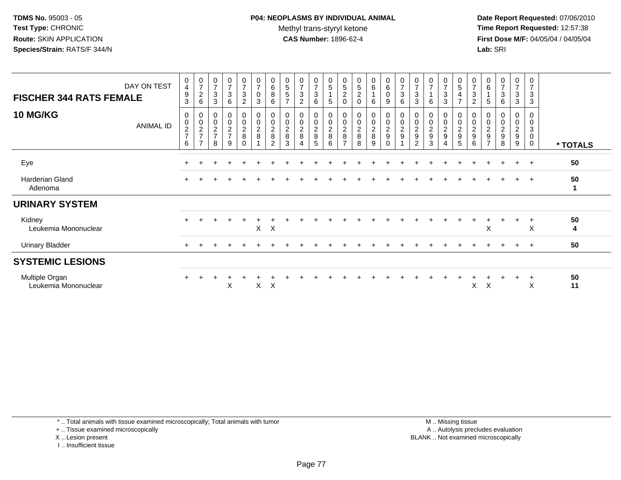**Date Report Requested:** 07/06/2010 **Time Report Requested:** 12:57:38 **First Dose M/F:** 04/05/04 / 04/05/04<br>**Lab:** SRI **Lab:** SRI

| DAY ON TEST<br><b>FISCHER 344 RATS FEMALE</b> | $\mathbf 0$<br>$\overline{4}$<br>9<br>3 | $\frac{0}{7}$<br>$\overline{c}$<br>6 | 0<br>$\overline{7}$<br>$\ensuremath{\mathsf{3}}$<br>3 | $\frac{0}{7}$<br>$\ensuremath{\mathsf{3}}$<br>6                     | $\frac{0}{7}$<br>3<br>$\overline{c}$ | $\pmb{0}$<br>$\overline{7}$<br>$\pmb{0}$<br>3 | 0<br>$\,6\,$<br>8<br>6              | 0<br>$\mathbf 5$<br>5<br>$\overline{ }$ | 0<br>$\overline{ }$<br>3<br>$\overline{2}$ | $\frac{0}{7}$<br>$\sqrt{3}$<br>$\,6\,$         | 0<br>$\sqrt{5}$<br>$\sqrt{5}$        | 0<br>$\mathbf 5$<br>$\overline{c}$<br>$\Omega$    | $\boldsymbol{0}$<br>$\mathbf 5$<br>$\overline{\mathbf{c}}$<br>$\mathbf 0$ | $_6^0$<br>6                             | $_6^0$<br>0<br>9               | $\frac{0}{7}$<br>3<br>6           | 0<br>$\overline{7}$<br>3<br>$\mathbf{3}$ | 0<br>$\overline{7}$<br>6        | 0<br>$\overline{7}$<br>3<br>3 | $\begin{array}{c} 0 \\ 5 \end{array}$<br>4<br>$\overline{7}$ | 0<br>$\overline{ }$<br>3<br>$\overline{c}$           | $\begin{array}{c} 0 \\ 6 \end{array}$<br>5                        | $\begin{array}{c} 0 \\ 7 \\ 3 \end{array}$<br>6 | 0<br>$\overline{7}$<br>3<br>3                     | 0<br>$\overline{7}$<br>3<br>$\mathbf{3}$                   |          |
|-----------------------------------------------|-----------------------------------------|--------------------------------------|-------------------------------------------------------|---------------------------------------------------------------------|--------------------------------------|-----------------------------------------------|-------------------------------------|-----------------------------------------|--------------------------------------------|------------------------------------------------|--------------------------------------|---------------------------------------------------|---------------------------------------------------------------------------|-----------------------------------------|--------------------------------|-----------------------------------|------------------------------------------|---------------------------------|-------------------------------|--------------------------------------------------------------|------------------------------------------------------|-------------------------------------------------------------------|-------------------------------------------------|---------------------------------------------------|------------------------------------------------------------|----------|
| <b>10 MG/KG</b><br>ANIMAL ID                  | 0<br>$\mathbf 0$<br>$\frac{2}{7}$<br>6  | 0<br>$\frac{0}{2}$<br>$\overline{ }$ | $\pmb{0}$<br>$\frac{2}{7}$<br>8                       | $\boldsymbol{0}$<br>$\begin{array}{c} 0 \\ 2 \\ 7 \end{array}$<br>9 | 0<br>0<br>$\frac{2}{8}$<br>$\Omega$  | $\pmb{0}$<br>$\pmb{0}$<br>$\frac{2}{8}$       | 0<br>$\frac{2}{8}$<br>$\mathcal{P}$ | 0<br>$\frac{2}{8}$<br>3                 | 0<br>0<br>$\frac{2}{8}$                    | 0<br>$\mathsf{O}\xspace$<br>$\frac{2}{8}$<br>5 | 0<br>$\pmb{0}$<br>$\frac{2}{8}$<br>6 | 0<br>$\pmb{0}$<br>$\frac{2}{8}$<br>$\overline{ }$ | $\pmb{0}$<br>$\frac{2}{8}$<br>8                                           | 0<br>$\mathsf{O}$<br>$\frac{2}{8}$<br>9 | 0<br>$\frac{0}{2}$<br>$\Omega$ | $\boldsymbol{0}$<br>$\frac{0}{2}$ | $\pmb{0}$<br>$\frac{2}{9}$<br>2          | 0<br>$\boldsymbol{2}$<br>9<br>3 | 0<br>$\frac{2}{9}$            | 0<br>$\pmb{0}$<br>$\frac{2}{9}$<br>5                         | $\begin{smallmatrix} 0\\2\\9 \end{smallmatrix}$<br>6 | 0<br>$\begin{array}{c} 0 \\ 2 \\ 9 \end{array}$<br>$\overline{ }$ | 0<br>$^{\rm 0}_{\rm 2}$<br>$\mathsf g$<br>8     | 0<br>0<br>$\overline{a}$<br>$\boldsymbol{9}$<br>9 | 0<br>$\mathbf 0$<br>$\sqrt{3}$<br>$\pmb{0}$<br>$\mathbf 0$ | * TOTALS |
| Eye                                           |                                         |                                      |                                                       |                                                                     |                                      |                                               |                                     |                                         |                                            |                                                |                                      |                                                   |                                                                           |                                         |                                |                                   |                                          |                                 |                               |                                                              |                                                      |                                                                   |                                                 | $\ddot{}$                                         | $\pm$                                                      | 50       |
| Harderian Gland<br>Adenoma                    |                                         |                                      |                                                       |                                                                     |                                      |                                               |                                     |                                         |                                            |                                                |                                      |                                                   |                                                                           |                                         |                                |                                   |                                          |                                 |                               |                                                              |                                                      |                                                                   |                                                 | $\ddot{}$                                         | $+$                                                        | 50<br>-1 |
| <b>URINARY SYSTEM</b>                         |                                         |                                      |                                                       |                                                                     |                                      |                                               |                                     |                                         |                                            |                                                |                                      |                                                   |                                                                           |                                         |                                |                                   |                                          |                                 |                               |                                                              |                                                      |                                                                   |                                                 |                                                   |                                                            |          |
| Kidney<br>Leukemia Mononuclear                |                                         |                                      |                                                       |                                                                     |                                      | $\mathsf{X}$                                  | $\mathsf{X}$                        |                                         |                                            |                                                |                                      |                                                   |                                                                           |                                         |                                |                                   |                                          |                                 |                               |                                                              |                                                      | X                                                                 |                                                 |                                                   | $\boldsymbol{\mathsf{X}}$                                  | 50<br>4  |
| <b>Urinary Bladder</b>                        | $+$                                     |                                      |                                                       |                                                                     |                                      |                                               |                                     |                                         |                                            |                                                |                                      |                                                   |                                                                           |                                         |                                |                                   |                                          |                                 |                               |                                                              |                                                      |                                                                   |                                                 | $\pm$                                             | $+$                                                        | 50       |
| <b>SYSTEMIC LESIONS</b>                       |                                         |                                      |                                                       |                                                                     |                                      |                                               |                                     |                                         |                                            |                                                |                                      |                                                   |                                                                           |                                         |                                |                                   |                                          |                                 |                               |                                                              |                                                      |                                                                   |                                                 |                                                   |                                                            |          |
| Multiple Organ<br>Leukemia Mononuclear        |                                         |                                      |                                                       | X                                                                   |                                      | X                                             | $\times$                            |                                         |                                            |                                                |                                      |                                                   |                                                                           |                                         |                                |                                   |                                          |                                 |                               |                                                              | X                                                    | X                                                                 |                                                 |                                                   | $\ddot{}$<br>X                                             | 50<br>11 |

\* .. Total animals with tissue examined microscopically; Total animals with tumor

+ .. Tissue examined microscopically

X .. Lesion present

I .. Insufficient tissue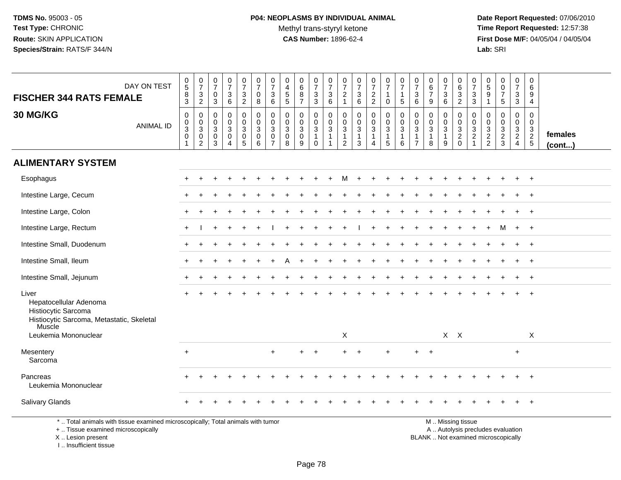**Date Report Requested:** 07/06/2010 **Time Report Requested:** 12:57:38 **First Dose M/F:** 04/05/04 / 04/05/04<br>Lab: SRI **Lab:** SRI

|                                                                                                                                       |                                                                |                                                                               | 0                                                    |                                                                                       |                                                    |                                                               |                                                                 | 0                                                      |                                                  |                                                                              |                                                                                |                                                                            |                                                                   |                                                                 |                                                         |                                                             |                                                                           | 0                                                           |                                                                 | 0                                                                       |                                                             | $\pmb{0}$                                   | $\mathbf 0$                                 | $\pmb{0}$                                                                      | 0                                                                                |                         |
|---------------------------------------------------------------------------------------------------------------------------------------|----------------------------------------------------------------|-------------------------------------------------------------------------------|------------------------------------------------------|---------------------------------------------------------------------------------------|----------------------------------------------------|---------------------------------------------------------------|-----------------------------------------------------------------|--------------------------------------------------------|--------------------------------------------------|------------------------------------------------------------------------------|--------------------------------------------------------------------------------|----------------------------------------------------------------------------|-------------------------------------------------------------------|-----------------------------------------------------------------|---------------------------------------------------------|-------------------------------------------------------------|---------------------------------------------------------------------------|-------------------------------------------------------------|-----------------------------------------------------------------|-------------------------------------------------------------------------|-------------------------------------------------------------|---------------------------------------------|---------------------------------------------|--------------------------------------------------------------------------------|----------------------------------------------------------------------------------|-------------------------|
| DAY ON TEST                                                                                                                           | $\begin{array}{c} 0 \\ 5 \end{array}$                          | $\begin{smallmatrix} 0\\7 \end{smallmatrix}$                                  | $\overline{7}$<br>$\mathbf 0$                        | $\frac{0}{7}$                                                                         | $\frac{0}{7}$<br>$\mathbf{3}$                      | $\frac{0}{7}$<br>$\mathbf 0$                                  | $\frac{0}{7}$<br>3                                              | $\overline{4}$                                         | $_{6}^{\rm 0}$<br>$\bf 8$                        | $\frac{0}{7}$                                                                | $\frac{0}{7}$<br>$\ensuremath{\mathsf{3}}$                                     | $\frac{0}{7}$<br>$\overline{c}$                                            | $\begin{smallmatrix}0\\7\end{smallmatrix}$                        | $\frac{0}{7}$                                                   | $\frac{0}{7}$<br>$\mathbf{1}$                           | $\frac{0}{7}$<br>$\mathbf{1}$                               | $\frac{0}{7}$<br>3                                                        | $\,6\,$<br>$\overline{7}$                                   | $\frac{0}{7}$<br>3                                              | $\,6\,$                                                                 | $\frac{0}{7}$<br>$\ensuremath{\mathsf{3}}$                  | $\,$ 5 $\,$<br>9                            | $\overline{0}$<br>$\overline{7}$            | $\boldsymbol{7}$<br>$\ensuremath{\mathsf{3}}$                                  | 6<br>9                                                                           |                         |
| <b>FISCHER 344 RATS FEMALE</b>                                                                                                        | $\frac{8}{3}$                                                  | $\frac{3}{2}$                                                                 | $\mathbf{3}$                                         | $\frac{3}{6}$                                                                         | $\overline{2}$                                     | 8                                                             | 6                                                               | $\begin{array}{c} 5 \\ 5 \end{array}$                  | $\overline{7}$                                   | $\frac{3}{3}$                                                                | 6                                                                              | $\mathbf{1}$                                                               | $\begin{array}{c} 3 \\ 6 \end{array}$                             | $\frac{2}{2}$                                                   | $\mathbf 0$                                             | $5\phantom{.0}$                                             | 6                                                                         | 9                                                           | 6                                                               | $\frac{3}{2}$                                                           | $\mathfrak{S}$                                              | $\mathbf{1}$                                | 5                                           | $\mathbf{3}$                                                                   | $\overline{4}$                                                                   |                         |
| 30 MG/KG<br><b>ANIMAL ID</b>                                                                                                          | $\pmb{0}$<br>$\mathbf 0$<br>$\overline{3}$<br>$\mathbf 0$<br>1 | $\mathbf 0$<br>$\mathbf 0$<br>$\overline{3}$<br>$\mathsf 0$<br>$\overline{2}$ | $\mathbf{0}$<br>$\mathbf{0}$<br>$\sqrt{3}$<br>0<br>3 | $\mathbf 0$<br>$\mathbf 0$<br>$\overline{3}$<br>$\mathbf 0$<br>$\boldsymbol{\Lambda}$ | $\mathbf 0$<br>0<br>$\mathbf{3}$<br>$\pmb{0}$<br>5 | $\mathbf 0$<br>$\mathbf 0$<br>$\mathbf 3$<br>$\mathbf 0$<br>6 | 0<br>$\mathbf 0$<br>$\mathbf{3}$<br>$\pmb{0}$<br>$\overline{7}$ | $\Omega$<br>$\Omega$<br>$\sqrt{3}$<br>$\mathbf 0$<br>8 | $\mathbf 0$<br>0<br>$\sqrt{3}$<br>$\pmb{0}$<br>9 | $\mathbf 0$<br>$\mathbf 0$<br>$\overline{3}$<br>$\mathbf{1}$<br>$\mathbf{0}$ | $\mathbf 0$<br>$\mathbf 0$<br>$\mathbf{3}$<br>$\overline{1}$<br>$\overline{1}$ | $\mathbf 0$<br>$\mathbf 0$<br>$\sqrt{3}$<br>$\mathbf{1}$<br>$\overline{2}$ | $\mathbf 0$<br>$\mathbf 0$<br>$\overline{3}$<br>$\mathbf{1}$<br>3 | $\mathbf 0$<br>0<br>3<br>$\mathbf{1}$<br>$\boldsymbol{\Lambda}$ | $\mathbf 0$<br>0<br>$\overline{3}$<br>$\mathbf{1}$<br>5 | $\pmb{0}$<br>$\mathbf 0$<br>$\sqrt{3}$<br>$\mathbf{1}$<br>6 | $\mathbf 0$<br>$\Omega$<br>$\sqrt{3}$<br>$\overline{1}$<br>$\overline{7}$ | $\Omega$<br>$\Omega$<br>$\mathbf{3}$<br>$\overline{1}$<br>8 | $\mathbf 0$<br>$\mathbf 0$<br>$\mathbf{3}$<br>$\mathbf{1}$<br>9 | $\pmb{0}$<br>$\mathbf 0$<br>$\overline{3}$<br>$\sqrt{2}$<br>$\mathbf 0$ | $\pmb{0}$<br>$\mathbf 0$<br>$\frac{3}{2}$<br>$\overline{1}$ | $\mathbf 0$<br>$\mathbf 0$<br>$\frac{3}{2}$ | $\mathbf 0$<br>$\mathbf 0$<br>$\frac{3}{2}$ | $\mathbf 0$<br>$\mathbf 0$<br>$\mathbf{3}$<br>$\overline{2}$<br>$\overline{4}$ | $\mathbf 0$<br>$\mathbf{0}$<br>$\mathbf{3}$<br>$\overline{2}$<br>$5\phantom{.0}$ | females<br>$($ cont $)$ |
| <b>ALIMENTARY SYSTEM</b>                                                                                                              |                                                                |                                                                               |                                                      |                                                                                       |                                                    |                                                               |                                                                 |                                                        |                                                  |                                                                              |                                                                                |                                                                            |                                                                   |                                                                 |                                                         |                                                             |                                                                           |                                                             |                                                                 |                                                                         |                                                             |                                             |                                             |                                                                                |                                                                                  |                         |
| Esophagus                                                                                                                             |                                                                |                                                                               |                                                      |                                                                                       |                                                    |                                                               |                                                                 |                                                        |                                                  |                                                                              |                                                                                | м                                                                          |                                                                   |                                                                 |                                                         |                                                             |                                                                           |                                                             |                                                                 |                                                                         |                                                             |                                             |                                             |                                                                                |                                                                                  |                         |
| Intestine Large, Cecum                                                                                                                |                                                                |                                                                               |                                                      |                                                                                       |                                                    |                                                               |                                                                 |                                                        |                                                  |                                                                              |                                                                                |                                                                            |                                                                   |                                                                 |                                                         |                                                             |                                                                           |                                                             |                                                                 |                                                                         |                                                             |                                             |                                             |                                                                                |                                                                                  |                         |
| Intestine Large, Colon                                                                                                                |                                                                |                                                                               |                                                      |                                                                                       |                                                    |                                                               |                                                                 |                                                        |                                                  |                                                                              |                                                                                |                                                                            |                                                                   |                                                                 |                                                         |                                                             |                                                                           |                                                             |                                                                 |                                                                         |                                                             |                                             |                                             |                                                                                | $\overline{+}$                                                                   |                         |
| Intestine Large, Rectum                                                                                                               |                                                                |                                                                               |                                                      |                                                                                       |                                                    |                                                               |                                                                 |                                                        |                                                  |                                                                              |                                                                                |                                                                            |                                                                   |                                                                 |                                                         |                                                             |                                                                           |                                                             |                                                                 |                                                                         |                                                             |                                             |                                             | $\ddot{}$                                                                      | $^{+}$                                                                           |                         |
| Intestine Small, Duodenum                                                                                                             |                                                                |                                                                               |                                                      |                                                                                       |                                                    |                                                               |                                                                 |                                                        |                                                  |                                                                              |                                                                                |                                                                            |                                                                   |                                                                 |                                                         |                                                             |                                                                           |                                                             |                                                                 |                                                                         |                                                             |                                             |                                             |                                                                                |                                                                                  |                         |
| Intestine Small, Ileum                                                                                                                |                                                                |                                                                               |                                                      |                                                                                       |                                                    |                                                               |                                                                 |                                                        |                                                  |                                                                              |                                                                                |                                                                            |                                                                   |                                                                 |                                                         |                                                             |                                                                           |                                                             |                                                                 |                                                                         |                                                             |                                             |                                             |                                                                                |                                                                                  |                         |
| Intestine Small, Jejunum                                                                                                              |                                                                |                                                                               |                                                      |                                                                                       |                                                    |                                                               |                                                                 |                                                        |                                                  |                                                                              |                                                                                |                                                                            |                                                                   |                                                                 |                                                         |                                                             |                                                                           |                                                             |                                                                 |                                                                         |                                                             |                                             |                                             |                                                                                | $+$                                                                              |                         |
| Liver<br>Hepatocellular Adenoma<br>Histiocytic Sarcoma<br>Histiocytic Sarcoma, Metastatic, Skeletal<br>Muscle<br>Leukemia Mononuclear |                                                                |                                                                               |                                                      |                                                                                       |                                                    |                                                               |                                                                 |                                                        |                                                  |                                                                              |                                                                                | $\sf X$                                                                    |                                                                   |                                                                 |                                                         |                                                             |                                                                           |                                                             |                                                                 | $X$ $X$                                                                 |                                                             |                                             |                                             |                                                                                | $\mathsf{X}$                                                                     |                         |
|                                                                                                                                       |                                                                |                                                                               |                                                      |                                                                                       |                                                    |                                                               |                                                                 |                                                        |                                                  |                                                                              |                                                                                |                                                                            |                                                                   |                                                                 |                                                         |                                                             |                                                                           |                                                             |                                                                 |                                                                         |                                                             |                                             |                                             |                                                                                |                                                                                  |                         |
| Mesentery<br>Sarcoma                                                                                                                  | $\ddot{}$                                                      |                                                                               |                                                      |                                                                                       |                                                    |                                                               | $\ddot{}$                                                       |                                                        | $+$                                              | $+$                                                                          |                                                                                | $\ddot{}$                                                                  |                                                                   |                                                                 | $+$                                                     |                                                             | $+$                                                                       | $+$                                                         |                                                                 |                                                                         |                                                             |                                             |                                             | $\ddot{}$                                                                      |                                                                                  |                         |
| Pancreas<br>Leukemia Mononuclear                                                                                                      |                                                                |                                                                               |                                                      |                                                                                       |                                                    |                                                               |                                                                 |                                                        |                                                  |                                                                              |                                                                                |                                                                            |                                                                   |                                                                 |                                                         |                                                             |                                                                           |                                                             |                                                                 |                                                                         |                                                             |                                             |                                             |                                                                                |                                                                                  |                         |
| <b>Salivary Glands</b>                                                                                                                |                                                                |                                                                               |                                                      |                                                                                       |                                                    |                                                               |                                                                 |                                                        |                                                  |                                                                              |                                                                                |                                                                            |                                                                   |                                                                 |                                                         |                                                             |                                                                           |                                                             |                                                                 |                                                                         |                                                             |                                             |                                             |                                                                                |                                                                                  |                         |
| *  Total animals with tissue examined microscopically; Total animals with tumor<br>+  Tissue examined microscopically                 |                                                                |                                                                               |                                                      |                                                                                       |                                                    |                                                               |                                                                 |                                                        |                                                  |                                                                              |                                                                                |                                                                            |                                                                   |                                                                 |                                                         |                                                             |                                                                           |                                                             |                                                                 | M  Missing tissue                                                       |                                                             |                                             | A  Autolysis precludes evaluation           |                                                                                |                                                                                  |                         |

X .. Lesion present

I .. Insufficient tissue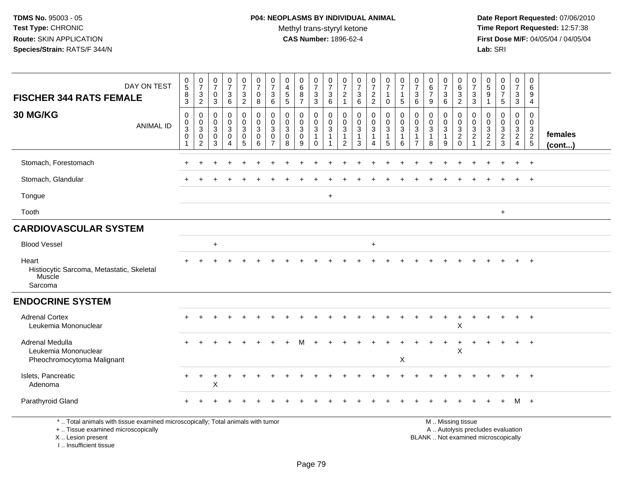**Date Report Requested:** 07/06/2010 **Time Report Requested:** 12:57:38 **First Dose M/F:** 04/05/04 / 04/05/04<br>Lab: SRI **Lab:** SRI

| DAY ON TEST<br><b>FISCHER 344 RATS FEMALE</b><br>30 MG/KG<br><b>ANIMAL ID</b>                                                                                         | $\,0\,$<br>$\overline{5}$<br>$\, 8$<br>$\overline{3}$<br>$\pmb{0}$<br>$\boldsymbol{0}$<br>$\sqrt{3}$<br>$\mathbf 0$ | $\frac{0}{7}$<br>$\ensuremath{\mathsf{3}}$<br>$\overline{2}$<br>0<br>$\mathbf 0$<br>$\mathbf{3}$<br>0 | $\frac{0}{7}$<br>0<br>3<br>0<br>$\mathbf 0$<br>$\mathbf{3}$<br>$\mathbf 0$ | $\frac{0}{7}$<br>$\mathbf{3}$<br>$6\overline{6}$<br>$\pmb{0}$<br>$\mathsf 0$<br>$\mathbf{3}$<br>$\mathbf 0$ | $\frac{0}{7}$<br>$\ensuremath{\mathsf{3}}$<br>$\overline{2}$<br>$\mathbf 0$<br>$\mathbf 0$<br>$\mathfrak{S}$<br>0 | $\frac{0}{7}$<br>$\mathbf 0$<br>8<br>$\overline{0}$<br>$\mathbf 0$<br>$\mathbf 3$<br>$\mathbf 0$ | $\frac{0}{7}$<br>$\mathbf{3}$<br>6<br>$\pmb{0}$<br>$\mathbf 0$<br>$\ensuremath{\mathsf{3}}$<br>$\mathbf 0$ | 0<br>$\overline{4}$<br>$\sqrt{5}$<br>$\overline{5}$<br>$\pmb{0}$<br>$\mathbf 0$<br>$\sqrt{3}$<br>$\mathbf 0$ | $_{6}^{\rm 0}$<br>$\bf 8$<br>$\overline{7}$<br>0<br>$\mathbf 0$<br>$\mathbf{3}$<br>0 | $\begin{smallmatrix}0\\7\end{smallmatrix}$<br>$\frac{3}{3}$<br>0<br>$\mathsf{O}\xspace$<br>$\sqrt{3}$<br>$\mathbf{1}$ | $\begin{array}{c} 0 \\ 7 \end{array}$<br>$\ensuremath{\mathsf{3}}$<br>$6\phantom{a}$<br>0<br>$\pmb{0}$<br>$\ensuremath{\mathsf{3}}$<br>$\mathbf{1}$ | $\frac{0}{7}$<br>$\begin{array}{c} 2 \\ 1 \end{array}$<br>$\boldsymbol{0}$<br>$\mathbf 0$<br>$\ensuremath{\mathsf{3}}$<br>$\overline{1}$ | $\frac{0}{7}$<br>$\ensuremath{\mathsf{3}}$<br>$6\phantom{1}$<br>$\mathbf 0$<br>$\mathbf 0$<br>$\ensuremath{\mathsf{3}}$<br>$\mathbf{1}$ | $\frac{0}{7}$<br>$\frac{2}{2}$<br>0<br>$\mathbf 0$<br>$\ensuremath{\mathsf{3}}$<br>$\mathbf{1}$ | $\frac{0}{7}$<br>$\mathbf{1}$<br>$\mathbf 0$<br>$\pmb{0}$<br>$\mathsf{O}\xspace$<br>$\ensuremath{\mathsf{3}}$<br>$\mathbf{1}$ | $\frac{0}{7}$<br>$\mathbf{1}$<br>$5\phantom{.0}$<br>$\pmb{0}$<br>$\mathbf 0$<br>$\mathbf{3}$<br>$\mathbf{1}$ | $\pmb{0}$<br>$\overline{7}$<br>$\sqrt{3}$<br>$\,6\,$<br>$\mathbf 0$<br>$\mathbf 0$<br>$\mathbf{3}$<br>$\mathbf 1$ | $\begin{array}{c} 0 \\ 6 \end{array}$<br>$\overline{7}$<br>$\boldsymbol{9}$<br>$\pmb{0}$<br>$\mathsf{O}\xspace$<br>$\ensuremath{\mathsf{3}}$<br>$\mathbf{1}$ | $\frac{0}{7}$<br>$\ensuremath{\mathsf{3}}$<br>$\,6\,$<br>0<br>0<br>$\ensuremath{\mathsf{3}}$<br>$\overline{1}$ | $\pmb{0}$<br>$\,6\,$<br>$\frac{3}{2}$<br>$\mathbf 0$<br>$\begin{array}{c} 0 \\ 3 \\ 2 \\ 0 \end{array}$ | 0<br>$\overline{7}$<br>3<br>3<br>0<br>$\mathbf 0$<br>$\sqrt{3}$<br>$\overline{2}$ | 0<br>$\overline{5}$<br>$\boldsymbol{9}$<br>$\mathbf{1}$<br>$\pmb{0}$<br>$\mathbf 0$<br>$\frac{3}{2}$ | $\begin{smallmatrix} 0\\0 \end{smallmatrix}$<br>$\overline{7}$<br>5<br>$\mathbf 0$<br>$\mathbf 0$<br>$\frac{3}{2}$ | 0<br>$\overline{7}$<br>3<br>$\overline{3}$<br>0<br>$\mathbf 0$<br>$\frac{3}{2}$ | 0<br>$\,6\,$<br>9<br>$\overline{4}$<br>$\mathbf 0$<br>$\mathsf{O}\xspace$<br>$\frac{3}{2}$ | females |
|-----------------------------------------------------------------------------------------------------------------------------------------------------------------------|---------------------------------------------------------------------------------------------------------------------|-------------------------------------------------------------------------------------------------------|----------------------------------------------------------------------------|-------------------------------------------------------------------------------------------------------------|-------------------------------------------------------------------------------------------------------------------|--------------------------------------------------------------------------------------------------|------------------------------------------------------------------------------------------------------------|--------------------------------------------------------------------------------------------------------------|--------------------------------------------------------------------------------------|-----------------------------------------------------------------------------------------------------------------------|-----------------------------------------------------------------------------------------------------------------------------------------------------|------------------------------------------------------------------------------------------------------------------------------------------|-----------------------------------------------------------------------------------------------------------------------------------------|-------------------------------------------------------------------------------------------------|-------------------------------------------------------------------------------------------------------------------------------|--------------------------------------------------------------------------------------------------------------|-------------------------------------------------------------------------------------------------------------------|--------------------------------------------------------------------------------------------------------------------------------------------------------------|----------------------------------------------------------------------------------------------------------------|---------------------------------------------------------------------------------------------------------|-----------------------------------------------------------------------------------|------------------------------------------------------------------------------------------------------|--------------------------------------------------------------------------------------------------------------------|---------------------------------------------------------------------------------|--------------------------------------------------------------------------------------------|---------|
|                                                                                                                                                                       | $\mathbf{1}$                                                                                                        | 2                                                                                                     | 3                                                                          | 4                                                                                                           | $\sqrt{5}$                                                                                                        | 6                                                                                                | $\overline{7}$                                                                                             | 8                                                                                                            | 9                                                                                    | $\mathbf 0$                                                                                                           |                                                                                                                                                     | $\overline{2}$                                                                                                                           | 3                                                                                                                                       | 4                                                                                               | $\overline{5}$                                                                                                                | 6                                                                                                            | $\overline{7}$                                                                                                    | 8                                                                                                                                                            | 9                                                                                                              |                                                                                                         | $\blacktriangleleft$                                                              |                                                                                                      |                                                                                                                    | $\overline{4}$                                                                  |                                                                                            | (cont)  |
| Stomach, Forestomach                                                                                                                                                  |                                                                                                                     |                                                                                                       |                                                                            |                                                                                                             |                                                                                                                   |                                                                                                  |                                                                                                            |                                                                                                              |                                                                                      |                                                                                                                       |                                                                                                                                                     |                                                                                                                                          |                                                                                                                                         |                                                                                                 |                                                                                                                               |                                                                                                              |                                                                                                                   |                                                                                                                                                              |                                                                                                                |                                                                                                         |                                                                                   |                                                                                                      |                                                                                                                    |                                                                                 | $\overline{+}$                                                                             |         |
| Stomach, Glandular                                                                                                                                                    |                                                                                                                     |                                                                                                       |                                                                            |                                                                                                             |                                                                                                                   |                                                                                                  |                                                                                                            |                                                                                                              |                                                                                      |                                                                                                                       |                                                                                                                                                     |                                                                                                                                          |                                                                                                                                         |                                                                                                 |                                                                                                                               |                                                                                                              |                                                                                                                   |                                                                                                                                                              |                                                                                                                |                                                                                                         |                                                                                   |                                                                                                      |                                                                                                                    |                                                                                 | $+$                                                                                        |         |
| Tongue                                                                                                                                                                |                                                                                                                     |                                                                                                       |                                                                            |                                                                                                             |                                                                                                                   |                                                                                                  |                                                                                                            |                                                                                                              |                                                                                      |                                                                                                                       | $\ddot{}$                                                                                                                                           |                                                                                                                                          |                                                                                                                                         |                                                                                                 |                                                                                                                               |                                                                                                              |                                                                                                                   |                                                                                                                                                              |                                                                                                                |                                                                                                         |                                                                                   |                                                                                                      |                                                                                                                    |                                                                                 |                                                                                            |         |
| Tooth                                                                                                                                                                 |                                                                                                                     |                                                                                                       |                                                                            |                                                                                                             |                                                                                                                   |                                                                                                  |                                                                                                            |                                                                                                              |                                                                                      |                                                                                                                       |                                                                                                                                                     |                                                                                                                                          |                                                                                                                                         |                                                                                                 |                                                                                                                               |                                                                                                              |                                                                                                                   |                                                                                                                                                              |                                                                                                                |                                                                                                         |                                                                                   |                                                                                                      | $\ddot{}$                                                                                                          |                                                                                 |                                                                                            |         |
| <b>CARDIOVASCULAR SYSTEM</b>                                                                                                                                          |                                                                                                                     |                                                                                                       |                                                                            |                                                                                                             |                                                                                                                   |                                                                                                  |                                                                                                            |                                                                                                              |                                                                                      |                                                                                                                       |                                                                                                                                                     |                                                                                                                                          |                                                                                                                                         |                                                                                                 |                                                                                                                               |                                                                                                              |                                                                                                                   |                                                                                                                                                              |                                                                                                                |                                                                                                         |                                                                                   |                                                                                                      |                                                                                                                    |                                                                                 |                                                                                            |         |
| <b>Blood Vessel</b>                                                                                                                                                   |                                                                                                                     |                                                                                                       | $\overline{+}$                                                             |                                                                                                             |                                                                                                                   |                                                                                                  |                                                                                                            |                                                                                                              |                                                                                      |                                                                                                                       |                                                                                                                                                     |                                                                                                                                          |                                                                                                                                         | $\ddot{}$                                                                                       |                                                                                                                               |                                                                                                              |                                                                                                                   |                                                                                                                                                              |                                                                                                                |                                                                                                         |                                                                                   |                                                                                                      |                                                                                                                    |                                                                                 |                                                                                            |         |
| Heart<br>Histiocytic Sarcoma, Metastatic, Skeletal<br>Muscle<br>Sarcoma                                                                                               |                                                                                                                     |                                                                                                       |                                                                            |                                                                                                             |                                                                                                                   |                                                                                                  |                                                                                                            |                                                                                                              |                                                                                      |                                                                                                                       |                                                                                                                                                     |                                                                                                                                          |                                                                                                                                         |                                                                                                 |                                                                                                                               |                                                                                                              |                                                                                                                   |                                                                                                                                                              |                                                                                                                |                                                                                                         |                                                                                   |                                                                                                      |                                                                                                                    |                                                                                 |                                                                                            |         |
| <b>ENDOCRINE SYSTEM</b>                                                                                                                                               |                                                                                                                     |                                                                                                       |                                                                            |                                                                                                             |                                                                                                                   |                                                                                                  |                                                                                                            |                                                                                                              |                                                                                      |                                                                                                                       |                                                                                                                                                     |                                                                                                                                          |                                                                                                                                         |                                                                                                 |                                                                                                                               |                                                                                                              |                                                                                                                   |                                                                                                                                                              |                                                                                                                |                                                                                                         |                                                                                   |                                                                                                      |                                                                                                                    |                                                                                 |                                                                                            |         |
| <b>Adrenal Cortex</b><br>Leukemia Mononuclear                                                                                                                         |                                                                                                                     |                                                                                                       |                                                                            |                                                                                                             |                                                                                                                   |                                                                                                  |                                                                                                            |                                                                                                              |                                                                                      |                                                                                                                       |                                                                                                                                                     |                                                                                                                                          |                                                                                                                                         |                                                                                                 |                                                                                                                               |                                                                                                              |                                                                                                                   |                                                                                                                                                              |                                                                                                                | $\times$                                                                                                |                                                                                   |                                                                                                      |                                                                                                                    | $\ddot{}$                                                                       | $+$                                                                                        |         |
| Adrenal Medulla<br>Leukemia Mononuclear                                                                                                                               |                                                                                                                     |                                                                                                       |                                                                            |                                                                                                             |                                                                                                                   |                                                                                                  |                                                                                                            |                                                                                                              |                                                                                      |                                                                                                                       |                                                                                                                                                     |                                                                                                                                          |                                                                                                                                         |                                                                                                 |                                                                                                                               |                                                                                                              |                                                                                                                   |                                                                                                                                                              | $\ddot{}$                                                                                                      | X                                                                                                       |                                                                                   |                                                                                                      |                                                                                                                    |                                                                                 | $\overline{1}$                                                                             |         |
| Pheochromocytoma Malignant                                                                                                                                            |                                                                                                                     |                                                                                                       |                                                                            |                                                                                                             |                                                                                                                   |                                                                                                  |                                                                                                            |                                                                                                              |                                                                                      |                                                                                                                       |                                                                                                                                                     |                                                                                                                                          |                                                                                                                                         |                                                                                                 |                                                                                                                               | X                                                                                                            |                                                                                                                   |                                                                                                                                                              |                                                                                                                |                                                                                                         |                                                                                   |                                                                                                      |                                                                                                                    |                                                                                 |                                                                                            |         |
| Islets, Pancreatic<br>Adenoma                                                                                                                                         |                                                                                                                     |                                                                                                       | X                                                                          |                                                                                                             |                                                                                                                   |                                                                                                  |                                                                                                            |                                                                                                              |                                                                                      |                                                                                                                       |                                                                                                                                                     |                                                                                                                                          |                                                                                                                                         |                                                                                                 |                                                                                                                               |                                                                                                              |                                                                                                                   |                                                                                                                                                              |                                                                                                                |                                                                                                         |                                                                                   |                                                                                                      |                                                                                                                    |                                                                                 |                                                                                            |         |
| Parathyroid Gland                                                                                                                                                     |                                                                                                                     |                                                                                                       |                                                                            |                                                                                                             |                                                                                                                   |                                                                                                  |                                                                                                            |                                                                                                              |                                                                                      |                                                                                                                       |                                                                                                                                                     |                                                                                                                                          |                                                                                                                                         |                                                                                                 |                                                                                                                               |                                                                                                              |                                                                                                                   |                                                                                                                                                              |                                                                                                                |                                                                                                         |                                                                                   |                                                                                                      |                                                                                                                    | M                                                                               | $+$                                                                                        |         |
| *  Total animals with tissue examined microscopically; Total animals with tumor<br>+  Tissue examined microscopically<br>X  Lesion present<br>I., Insufficient tissue |                                                                                                                     |                                                                                                       |                                                                            |                                                                                                             |                                                                                                                   |                                                                                                  |                                                                                                            |                                                                                                              |                                                                                      |                                                                                                                       |                                                                                                                                                     |                                                                                                                                          |                                                                                                                                         |                                                                                                 |                                                                                                                               |                                                                                                              |                                                                                                                   |                                                                                                                                                              |                                                                                                                | M  Missing tissue                                                                                       |                                                                                   |                                                                                                      | A  Autolysis precludes evaluation<br>BLANK  Not examined microscopically                                           |                                                                                 |                                                                                            |         |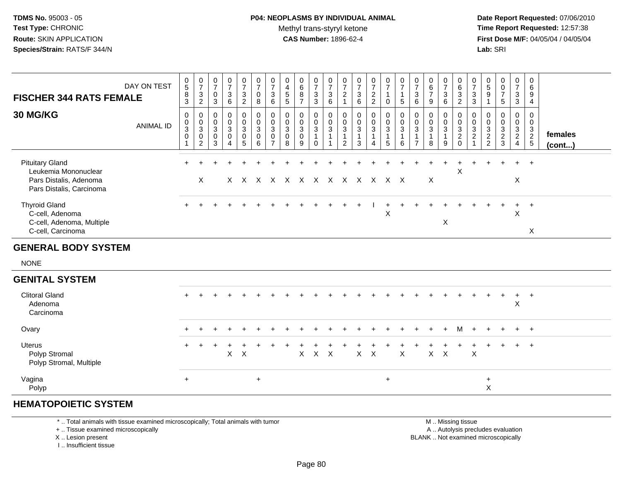**Date Report Requested:** 07/06/2010 **Time Report Requested:** 12:57:38 **First Dose M/F:** 04/05/04 / 04/05/04<br>**Lab:** SRI **Lab:** SRI

| <b>FISCHER 344 RATS FEMALE</b>                                                                       | DAY ON TEST      | $\begin{array}{c} 0 \\ 5 \end{array}$<br>$\bf 8$<br>$\overline{3}$ | $\begin{array}{c} 0 \\ 7 \end{array}$<br>$\mathbf{3}$<br>$\overline{2}$ | 0<br>$\overline{7}$<br>$\mathbf 0$<br>3            | $\frac{0}{7}$<br>$\mathbf{3}$<br>$6\phantom{a}$                | $\frac{0}{7}$<br>$\mathbf{3}$<br>$\overline{2}$              | $\frac{0}{7}$<br>$\mathbf 0$<br>8                                    | $\frac{0}{7}$<br>$^3$ 6                                   | 0<br>$\overline{4}$<br>$\sqrt{5}$<br>$\overline{5}$ | 0<br>$\,6\,$<br>8<br>$\overline{7}$                       | 0<br>$\overline{7}$<br>$\mathbf{3}$<br>3           | 0<br>$\overline{7}$<br>$\mathbf{3}$<br>$6\phantom{1}$ | $\pmb{0}$<br>$\overline{7}$<br>$\sqrt{2}$<br>$\blacktriangleleft$ | $\mathbf 0$<br>$\overline{7}$<br>$\begin{array}{c} 3 \\ 6 \end{array}$ | $\frac{0}{7}$<br>2<br>2                                       | $\frac{0}{7}$<br>$\mathbf{1}$<br>0                    | $\begin{array}{c} 0 \\ 7 \\ 1 \end{array}$<br>5 | $\begin{array}{c} 0 \\ 7 \end{array}$<br>$\mathbf{3}$<br>6         | 0<br>6<br>$\overline{7}$<br>9 | $\begin{array}{c} 0 \\ 7 \end{array}$<br>$\begin{array}{c} 3 \\ 6 \end{array}$ | 0<br>$\overline{6}$<br>$\mathbf{3}$<br>$\sqrt{2}$    | 0<br>$\overline{7}$<br>$\mathbf{3}$<br>$\overline{3}$                            | 0<br>$\overline{5}$<br>$9\,$<br>$\mathbf{1}$                 | 0<br>$\frac{0}{7}$<br>5                                    | $\mathbf 0$<br>$\overline{7}$<br>$\frac{3}{3}$                     | 0<br>6<br>9<br>4                  |                   |
|------------------------------------------------------------------------------------------------------|------------------|--------------------------------------------------------------------|-------------------------------------------------------------------------|----------------------------------------------------|----------------------------------------------------------------|--------------------------------------------------------------|----------------------------------------------------------------------|-----------------------------------------------------------|-----------------------------------------------------|-----------------------------------------------------------|----------------------------------------------------|-------------------------------------------------------|-------------------------------------------------------------------|------------------------------------------------------------------------|---------------------------------------------------------------|-------------------------------------------------------|-------------------------------------------------|--------------------------------------------------------------------|-------------------------------|--------------------------------------------------------------------------------|------------------------------------------------------|----------------------------------------------------------------------------------|--------------------------------------------------------------|------------------------------------------------------------|--------------------------------------------------------------------|-----------------------------------|-------------------|
| <b>30 MG/KG</b>                                                                                      | <b>ANIMAL ID</b> | 0<br>0<br>$\overline{3}$<br>$\mathbf 0$                            | 0<br>$_{3}^{\rm 0}$<br>$\pmb{0}$<br>$\overline{2}$                      | 0<br>$\mathbf 0$<br>$\mathbf{3}$<br>$\pmb{0}$<br>3 | $\mathbf 0$<br>$\mathbf 0$<br>$\overline{3}$<br>$\pmb{0}$<br>4 | $\mathbf 0$<br>$\pmb{0}$<br>$\overline{3}$<br>$\pmb{0}$<br>5 | 0<br>$\mathsf{O}\xspace$<br>$\mathbf{3}$<br>$\mathsf{O}\xspace$<br>6 | $\pmb{0}$<br>$\frac{0}{3}$<br>$\pmb{0}$<br>$\overline{7}$ | 0<br>$\mathbf 0$<br>$\mathbf{3}$<br>0<br>8          | 0<br>$\boldsymbol{0}$<br>$\mathbf{3}$<br>$\mathbf 0$<br>9 | 0<br>0<br>$\mathbf{3}$<br>$\mathbf{1}$<br>$\Omega$ | 0<br>$\mathbf 0$<br>$\overline{3}$<br>$\mathbf{1}$    | 0<br>$_{3}^{\rm 0}$<br>2                                          | 0<br>$\pmb{0}$<br>$\mathbf 3$<br>$\mathbf{1}$<br>3                     | $\pmb{0}$<br>$\pmb{0}$<br>$\overline{3}$<br>$\mathbf{1}$<br>4 | 0<br>$\pmb{0}$<br>$\overline{3}$<br>$\mathbf{1}$<br>5 | 0<br>$\frac{0}{3}$<br>$\mathbf{1}$<br>6         | 0<br>$\mathbf 0$<br>$\mathbf{3}$<br>$\mathbf{1}$<br>$\overline{7}$ | 0<br>0<br>$\mathbf{3}$<br>8   | 0<br>$\pmb{0}$<br>$\overline{3}$<br>$\mathbf 1$<br>9                           | 0<br>0<br>$\mathbf{3}$<br>$\overline{c}$<br>$\Omega$ | $\mathbf 0$<br>$\mathbf 0$<br>$\overline{3}$<br>$\overline{c}$<br>$\overline{1}$ | 0<br>0<br>$\mathbf{3}$<br>$\boldsymbol{2}$<br>$\overline{2}$ | 0<br>0<br>$\ensuremath{\mathsf{3}}$<br>$\overline{c}$<br>3 | 0<br>$\pmb{0}$<br>$\mathbf{3}$<br>$\overline{2}$<br>$\overline{4}$ | $\mathbf 0$<br>0<br>$\frac{3}{2}$ | females<br>(cont) |
| <b>Pituitary Gland</b><br>Leukemia Mononuclear<br>Pars Distalis, Adenoma<br>Pars Distalis, Carcinoma |                  |                                                                    | X                                                                       |                                                    |                                                                | $X \times X$                                                 |                                                                      |                                                           |                                                     |                                                           |                                                    |                                                       |                                                                   |                                                                        |                                                               | X X X X X X X X X X X                                 |                                                 |                                                                    | X                             |                                                                                | $\mathsf X$                                          |                                                                                  |                                                              |                                                            | $\ddot{}$<br>$\pmb{\times}$                                        | $+$                               |                   |
| <b>Thyroid Gland</b><br>C-cell, Adenoma<br>C-cell, Adenoma, Multiple<br>C-cell, Carcinoma            |                  | $+$                                                                |                                                                         |                                                    |                                                                |                                                              |                                                                      |                                                           |                                                     |                                                           |                                                    |                                                       |                                                                   |                                                                        |                                                               | $\sf X$                                               |                                                 |                                                                    |                               | X                                                                              |                                                      |                                                                                  |                                                              |                                                            | X                                                                  | $\ddot{}$<br>X                    |                   |
| <b>GENERAL BODY SYSTEM</b>                                                                           |                  |                                                                    |                                                                         |                                                    |                                                                |                                                              |                                                                      |                                                           |                                                     |                                                           |                                                    |                                                       |                                                                   |                                                                        |                                                               |                                                       |                                                 |                                                                    |                               |                                                                                |                                                      |                                                                                  |                                                              |                                                            |                                                                    |                                   |                   |
| <b>NONE</b>                                                                                          |                  |                                                                    |                                                                         |                                                    |                                                                |                                                              |                                                                      |                                                           |                                                     |                                                           |                                                    |                                                       |                                                                   |                                                                        |                                                               |                                                       |                                                 |                                                                    |                               |                                                                                |                                                      |                                                                                  |                                                              |                                                            |                                                                    |                                   |                   |
| <b>GENITAL SYSTEM</b>                                                                                |                  |                                                                    |                                                                         |                                                    |                                                                |                                                              |                                                                      |                                                           |                                                     |                                                           |                                                    |                                                       |                                                                   |                                                                        |                                                               |                                                       |                                                 |                                                                    |                               |                                                                                |                                                      |                                                                                  |                                                              |                                                            |                                                                    |                                   |                   |
| <b>Clitoral Gland</b><br>Adenoma<br>Carcinoma                                                        |                  |                                                                    |                                                                         |                                                    |                                                                |                                                              |                                                                      |                                                           |                                                     |                                                           |                                                    |                                                       |                                                                   |                                                                        |                                                               |                                                       |                                                 |                                                                    |                               |                                                                                |                                                      |                                                                                  |                                                              |                                                            | $\ddot{}$<br>X                                                     | $\overline{+}$                    |                   |
| Ovary                                                                                                |                  |                                                                    |                                                                         |                                                    |                                                                |                                                              |                                                                      |                                                           |                                                     |                                                           |                                                    |                                                       |                                                                   |                                                                        |                                                               |                                                       |                                                 |                                                                    |                               |                                                                                | м                                                    |                                                                                  |                                                              |                                                            | $\ddot{}$                                                          | $+$                               |                   |
| <b>Uterus</b><br>Polyp Stromal<br>Polyp Stromal, Multiple                                            |                  | $+$                                                                |                                                                         |                                                    | X                                                              | $\sf X$                                                      |                                                                      |                                                           |                                                     | X                                                         | $\mathsf X$                                        | $\boldsymbol{\mathsf{X}}$                             |                                                                   | $\mathsf{X}$                                                           | $\mathsf{X}$                                                  |                                                       | $\boldsymbol{\mathsf{X}}$                       |                                                                    | $\mathsf{X}$                  | $\boldsymbol{\mathsf{X}}$                                                      |                                                      | $\boldsymbol{\mathsf{X}}$                                                        |                                                              |                                                            | $+$                                                                | $+$                               |                   |
| Vagina<br>Polyp                                                                                      |                  | $+$                                                                |                                                                         |                                                    |                                                                |                                                              | $+$                                                                  |                                                           |                                                     |                                                           |                                                    |                                                       |                                                                   |                                                                        |                                                               | $\ddot{}$                                             |                                                 |                                                                    |                               |                                                                                |                                                      |                                                                                  | $\ddot{}$<br>X                                               |                                                            |                                                                    |                                   |                   |

#### **HEMATOPOIETIC SYSTEM**

\* .. Total animals with tissue examined microscopically; Total animals with tumor

+ .. Tissue examined microscopically

X .. Lesion present

I .. Insufficient tissue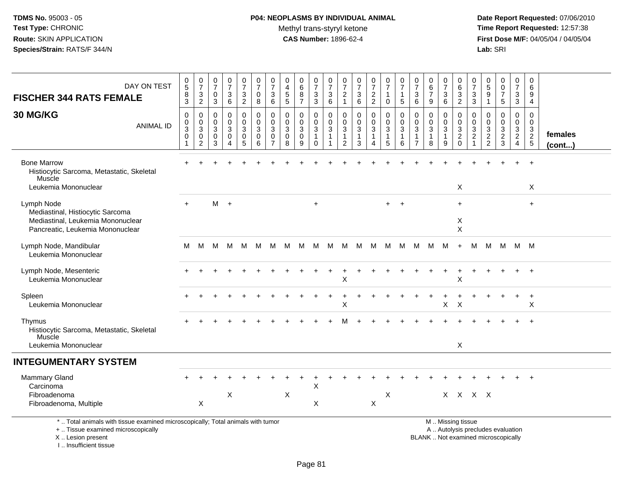# **P04: NEOPLASMS BY INDIVIDUAL ANIMAL**Methyl trans-styryl ketone<br>CAS Number: 1896-62-4

 **Date Report Requested:** 07/06/2010 **Time Report Requested:** 12:57:38 **First Dose M/F:** 04/05/04 / 04/05/04<br>Lab: SRI **Lab:** SRI

| DAY ON TEST<br><b>FISCHER 344 RATS FEMALE</b>                                                                                              | $\mathbf 0$<br>$\overline{5}$<br>8<br>$\mathfrak{S}$                 | $\pmb{0}$<br>$\overline{7}$<br>3<br>$\overline{2}$                          | 0<br>$\overline{7}$<br>$\mathbf 0$<br>3 | $\frac{0}{7}$<br>3<br>$6\phantom{a}$ | $\begin{array}{c} 0 \\ 7 \end{array}$<br>$\mathbf{3}$<br>$\overline{2}$ | $\begin{array}{c} 0 \\ 7 \end{array}$<br>$\mathbf 0$<br>8 | $\boldsymbol{0}$<br>$\overline{7}$<br>$\mathbf{3}$<br>6 | $\pmb{0}$<br>$\overline{4}$<br>$\sqrt{5}$<br>5    | 0<br>6<br>8<br>$\overline{7}$                        | $\frac{0}{7}$<br>$\sqrt{3}$<br>$\overline{3}$                       | $\frac{0}{7}$<br>$\mathbf{3}$<br>6                              | 0<br>$\overline{7}$<br>$\sqrt{2}$<br>$\mathbf{1}$              | $\begin{array}{c} 0 \\ 7 \end{array}$<br>$\sqrt{3}$<br>$\,6\,$ | $\begin{array}{c} 0 \\ 7 \end{array}$<br>$\frac{2}{2}$ | 0<br>$\overline{7}$<br>1<br>$\mathbf 0$              | 0<br>$\overline{7}$<br>1<br>$\sqrt{5}$  | $\pmb{0}$<br>$\overline{7}$<br>$\mathbf{3}$<br>$6\phantom{1}$             | $\pmb{0}$<br>$6\phantom{a}$<br>$\overline{7}$<br>9 | $\begin{array}{c} 0 \\ 7 \end{array}$<br>$\mathbf{3}$<br>$6\phantom{a}$ | 0<br>$\,6\,$<br>$\sqrt{3}$<br>$\overline{2}$                                                  | 0<br>$\overline{7}$<br>3<br>$\mathfrak{S}$          | $\pmb{0}$<br>$\sqrt{5}$<br>9<br>$\mathbf{1}$              | $\begin{smallmatrix}0\0\0\end{smallmatrix}$<br>$\overline{7}$<br>5 | $\pmb{0}$<br>$\overline{7}$<br>3<br>$\overline{3}$ | $\pmb{0}$<br>$\,6\,$<br>9<br>$\overline{4}$ |                   |
|--------------------------------------------------------------------------------------------------------------------------------------------|----------------------------------------------------------------------|-----------------------------------------------------------------------------|-----------------------------------------|--------------------------------------|-------------------------------------------------------------------------|-----------------------------------------------------------|---------------------------------------------------------|---------------------------------------------------|------------------------------------------------------|---------------------------------------------------------------------|-----------------------------------------------------------------|----------------------------------------------------------------|----------------------------------------------------------------|--------------------------------------------------------|------------------------------------------------------|-----------------------------------------|---------------------------------------------------------------------------|----------------------------------------------------|-------------------------------------------------------------------------|-----------------------------------------------------------------------------------------------|-----------------------------------------------------|-----------------------------------------------------------|--------------------------------------------------------------------|----------------------------------------------------|---------------------------------------------|-------------------|
| <b>30 MG/KG</b><br><b>ANIMAL ID</b>                                                                                                        | $\mathbf 0$<br>$\mathsf{O}\xspace$<br>$\sqrt{3}$<br>$\mathbf 0$<br>1 | $\mathbf 0$<br>$\mathbf 0$<br>$\mathbf{3}$<br>$\mathbf 0$<br>$\overline{c}$ | $\Omega$<br>$\mathbf 0$<br>3<br>0<br>3  | 0<br>$\mathbf 0$<br>3<br>0<br>4      | $\pmb{0}$<br>$\mathbf 0$<br>$\mathbf{3}$<br>0<br>5                      | $\mathbf 0$<br>$\mathbf 0$<br>$\mathbf{3}$<br>0<br>6      | $\mathbf 0$<br>$\mathbf 0$<br>3<br>0<br>$\overline{7}$  | $\Omega$<br>$\mathbf 0$<br>$\mathbf{3}$<br>0<br>8 | 0<br>$\mathbf 0$<br>$\mathbf{3}$<br>$\mathbf 0$<br>9 | 0<br>$\mathbf 0$<br>$\mathfrak{S}$<br>$\overline{1}$<br>$\mathbf 0$ | $\mathbf 0$<br>$\mathbf 0$<br>$\mathbf{3}$<br>$\mathbf{1}$<br>1 | 0<br>$\mathbf 0$<br>$\mathbf{3}$<br>$\mathbf{1}$<br>$\sqrt{2}$ | $\mathbf 0$<br>$\mathbf 0$<br>$\sqrt{3}$<br>$\mathbf{1}$<br>3  | 0<br>$\overline{0}$<br>3<br>$\mathbf{1}$<br>4          | $\mathbf 0$<br>$\mathbf 0$<br>$\mathbf{3}$<br>1<br>5 | $\mathbf 0$<br>$\pmb{0}$<br>3<br>1<br>6 | $\Omega$<br>$\mathbf 0$<br>$\mathbf{3}$<br>$\mathbf{1}$<br>$\overline{7}$ | $\Omega$<br>$\mathbf 0$<br>$\mathbf{3}$<br>1<br>8  | 0<br>$\mathbf 0$<br>3<br>$\mathbf{1}$<br>9                              | $\Omega$<br>$\mathbf 0$<br>$\sqrt{3}$<br>$\overline{2}$<br>$\Omega$                           | $\Omega$<br>0<br>3<br>$\overline{c}$<br>$\mathbf 1$ | $\mathbf 0$<br>$\mathbf 0$<br>$\sqrt{3}$<br>$\frac{2}{2}$ | $\mathbf 0$<br>$\mathbf 0$<br>3<br>$\frac{2}{3}$                   | 0<br>$\mathbf 0$<br>3<br>$\overline{2}$<br>4       | $\mathbf 0$<br>$\mathbf 0$<br>$\frac{3}{2}$ | females<br>(cont) |
| <b>Bone Marrow</b><br>Histiocytic Sarcoma, Metastatic, Skeletal<br>Muscle<br>Leukemia Mononuclear                                          |                                                                      |                                                                             |                                         |                                      |                                                                         |                                                           |                                                         |                                                   |                                                      |                                                                     |                                                                 |                                                                |                                                                |                                                        |                                                      |                                         |                                                                           |                                                    |                                                                         | X                                                                                             |                                                     |                                                           |                                                                    |                                                    | $\overline{ }$<br>X                         |                   |
| Lymph Node<br>Mediastinal, Histiocytic Sarcoma<br>Mediastinal, Leukemia Mononuclear<br>Pancreatic, Leukemia Mononuclear                    | $+$                                                                  |                                                                             | $M +$                                   |                                      |                                                                         |                                                           |                                                         |                                                   |                                                      | $\ddot{}$                                                           |                                                                 |                                                                |                                                                |                                                        | $+$                                                  | $\ddot{}$                               |                                                                           |                                                    |                                                                         | $+$<br>X<br>$\times$                                                                          |                                                     |                                                           |                                                                    |                                                    | $+$                                         |                   |
| Lymph Node, Mandibular<br>Leukemia Mononuclear                                                                                             | м                                                                    | М                                                                           | M                                       | M                                    | M                                                                       | M                                                         | м                                                       | M                                                 | M                                                    | M                                                                   | M                                                               | M                                                              | M                                                              | M                                                      | M                                                    | M                                       | M                                                                         | M                                                  | M                                                                       | $\ddot{}$                                                                                     | M                                                   | M                                                         | M                                                                  | M M                                                |                                             |                   |
| Lymph Node, Mesenteric<br>Leukemia Mononuclear                                                                                             |                                                                      |                                                                             |                                         |                                      |                                                                         |                                                           |                                                         |                                                   |                                                      |                                                                     |                                                                 | X                                                              |                                                                |                                                        |                                                      |                                         |                                                                           |                                                    |                                                                         | $\boldsymbol{\mathsf{X}}$                                                                     |                                                     |                                                           |                                                                    |                                                    | $+$                                         |                   |
| Spleen<br>Leukemia Mononuclear                                                                                                             |                                                                      |                                                                             |                                         |                                      |                                                                         |                                                           |                                                         |                                                   |                                                      |                                                                     | $\div$                                                          | ٠<br>х                                                         |                                                                |                                                        |                                                      |                                         |                                                                           |                                                    | $\ddot{}$<br>X                                                          | $\times$                                                                                      |                                                     |                                                           |                                                                    | $\ddot{}$                                          | $+$<br>X                                    |                   |
| Thymus<br>Histiocytic Sarcoma, Metastatic, Skeletal<br>Muscle<br>Leukemia Mononuclear                                                      |                                                                      |                                                                             |                                         |                                      |                                                                         |                                                           |                                                         |                                                   |                                                      |                                                                     |                                                                 |                                                                |                                                                |                                                        |                                                      |                                         |                                                                           |                                                    |                                                                         | X                                                                                             |                                                     |                                                           |                                                                    |                                                    |                                             |                   |
| <b>INTEGUMENTARY SYSTEM</b>                                                                                                                |                                                                      |                                                                             |                                         |                                      |                                                                         |                                                           |                                                         |                                                   |                                                      |                                                                     |                                                                 |                                                                |                                                                |                                                        |                                                      |                                         |                                                                           |                                                    |                                                                         |                                                                                               |                                                     |                                                           |                                                                    |                                                    |                                             |                   |
| <b>Mammary Gland</b><br>Carcinoma<br>Fibroadenoma<br>Fibroadenoma, Multiple                                                                |                                                                      | $\boldsymbol{\mathsf{X}}$                                                   |                                         | X                                    |                                                                         |                                                           |                                                         | X                                                 |                                                      | X<br>X                                                              |                                                                 |                                                                |                                                                | $\mathsf X$                                            | X                                                    |                                         |                                                                           |                                                    |                                                                         | X X X X                                                                                       |                                                     |                                                           |                                                                    |                                                    |                                             |                   |
| *  Total animals with tissue examined microscopically; Total animals with tumor<br>+  Tissue examined microscopically<br>X  Lesion present |                                                                      |                                                                             |                                         |                                      |                                                                         |                                                           |                                                         |                                                   |                                                      |                                                                     |                                                                 |                                                                |                                                                |                                                        |                                                      |                                         |                                                                           |                                                    |                                                                         | M. Missing tissue<br>A  Autolysis precludes evaluation<br>BLANK  Not examined microscopically |                                                     |                                                           |                                                                    |                                                    |                                             |                   |

I .. Insufficient tissue

pically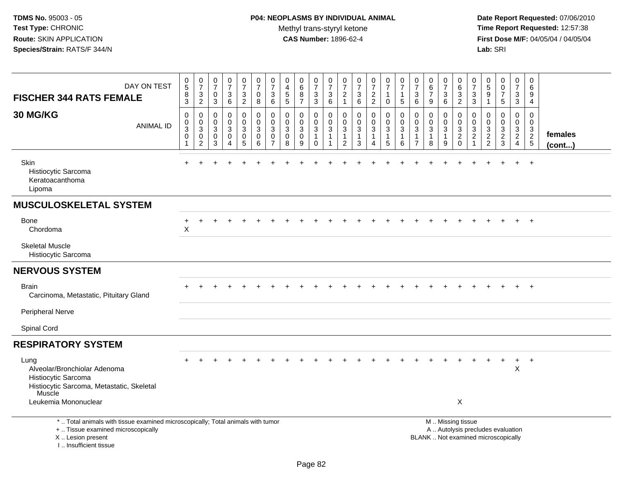**Date Report Requested:** 07/06/2010 **Time Report Requested:** 12:57:38 **First Dose M/F:** 04/05/04 / 04/05/04<br>Lab: SRI **Lab:** SRI

| DAY ON TEST<br><b>FISCHER 344 RATS FEMALE</b>                                                                                                                       | $\begin{array}{c} 0 \\ 5 \end{array}$<br>$\, 8$<br>$\mathbf{3}$ | $\frac{0}{7}$<br>$\sqrt{3}$<br>$\overline{c}$ | $\frac{0}{7}$<br>$\mathsf{O}\xspace$<br>$\mathbf{3}$ | $\frac{0}{7}$<br>$\mathbf{3}$<br>6                                | $\frac{0}{7}$<br>3<br>$\overline{2}$                      | $\frac{0}{7}$<br>$\mathbf 0$<br>8                                | 0<br>$\overline{7}$<br>3<br>6                           | $\mathbf 0$<br>$\overline{4}$<br>$\sqrt{5}$<br>5  | 0<br>$\overline{6}$<br>8<br>$\overline{7}$ | $\begin{array}{c} 0 \\ 7 \end{array}$<br>$\sqrt{3}$<br>$\overline{3}$ | $\begin{array}{c} 0 \\ 7 \end{array}$<br>$\ensuremath{\mathsf{3}}$<br>$\,6$ | $\begin{array}{c} 0 \\ 7 \end{array}$<br>$\overline{c}$<br>$\mathbf{1}$ | $\begin{array}{c} 0 \\ 7 \end{array}$<br>$\sqrt{3}$<br>6 | $\begin{smallmatrix}0\\7\end{smallmatrix}$<br>$\frac{2}{2}$ | $\frac{0}{7}$<br>1<br>0                                   | $\frac{0}{7}$<br>1<br>5         | $\begin{array}{c} 0 \\ 7 \end{array}$<br>$\ensuremath{\mathsf{3}}$<br>6 | $\pmb{0}$<br>$6\phantom{a}$<br>$\overline{7}$<br>9 | $\begin{array}{c} 0 \\ 7 \end{array}$<br>$\sqrt{3}$<br>$\,6\,$ | 0<br>$\,6$<br>$\mathbf{3}$<br>$\overline{2}$                       | 0<br>$\overline{7}$<br>3<br>3                                         | $\pmb{0}$<br>$\overline{5}$<br>9<br>$\mathbf{1}$                         | 0<br>$\ddot{\mathbf{0}}$<br>$\overline{7}$<br>5             | $\begin{array}{c} 0 \\ 7 \end{array}$<br>$\ensuremath{\mathsf{3}}$<br>$\overline{3}$ | 0<br>$\,6\,$<br>9<br>$\overline{4}$               |                   |
|---------------------------------------------------------------------------------------------------------------------------------------------------------------------|-----------------------------------------------------------------|-----------------------------------------------|------------------------------------------------------|-------------------------------------------------------------------|-----------------------------------------------------------|------------------------------------------------------------------|---------------------------------------------------------|---------------------------------------------------|--------------------------------------------|-----------------------------------------------------------------------|-----------------------------------------------------------------------------|-------------------------------------------------------------------------|----------------------------------------------------------|-------------------------------------------------------------|-----------------------------------------------------------|---------------------------------|-------------------------------------------------------------------------|----------------------------------------------------|----------------------------------------------------------------|--------------------------------------------------------------------|-----------------------------------------------------------------------|--------------------------------------------------------------------------|-------------------------------------------------------------|--------------------------------------------------------------------------------------|---------------------------------------------------|-------------------|
| 30 MG/KG<br><b>ANIMAL ID</b>                                                                                                                                        | $\mathbf 0$<br>0<br>$\mathbf{3}$<br>$\mathbf 0$<br>$\mathbf{1}$ | $\mathbf 0$<br>0<br>3<br>0<br>$\overline{c}$  | 0<br>$\mathbf 0$<br>$\mathfrak{S}$<br>0<br>3         | $\mathbf 0$<br>$\mathbf 0$<br>$\mathbf{3}$<br>0<br>$\overline{4}$ | 0<br>$\overline{0}$<br>3<br>$\mathbf 0$<br>$\overline{5}$ | $\mathbf 0$<br>$\mathbf 0$<br>$\sqrt{3}$<br>$\pmb{0}$<br>$\,6\,$ | 0<br>$\mathbf 0$<br>$\mathbf{3}$<br>0<br>$\overline{7}$ | 0<br>$\Omega$<br>$\mathbf{3}$<br>$\mathbf 0$<br>8 | 0<br>0<br>3<br>0<br>9                      | $\mathbf 0$<br>0<br>$\mathbf{3}$<br>$\mathbf{1}$<br>$\mathbf 0$       | 0<br>0<br>$\mathbf{3}$<br>$\mathbf{1}$<br>$\mathbf 1$                       | 0<br>$\mathbf 0$<br>3<br>$\mathbf{1}$<br>2                              | $\mathbf 0$<br>0<br>$\sqrt{3}$<br>$\mathbf{1}$<br>3      | 0<br>$\mathbf 0$<br>$\mathbf{3}$<br>$\mathbf{1}$<br>4       | $\mathbf 0$<br>0<br>$\mathfrak{Z}$<br>1<br>$\overline{5}$ | $\mathbf 0$<br>0<br>3<br>1<br>6 | 0<br>$\mathbf 0$<br>$\mathbf{3}$<br>$\overline{1}$<br>$\overline{7}$    | $\mathbf 0$<br>0<br>$\mathfrak{Z}$<br>1<br>8       | $\mathbf 0$<br>0<br>$\mathbf{3}$<br>$\mathbf{1}$<br>9          | $\Omega$<br>$\mathbf 0$<br>$\sqrt{3}$<br>$\sqrt{2}$<br>$\mathbf 0$ | 0<br>0<br>$\ensuremath{\mathsf{3}}$<br>$\overline{c}$<br>$\mathbf{1}$ | $\mathbf 0$<br>$\mathbf 0$<br>3<br>$\frac{2}{2}$                         | $\mathbf 0$<br>$\mathbf 0$<br>$\mathbf{3}$<br>$\frac{2}{3}$ | $\mathbf 0$<br>$\mathbf 0$<br>$\frac{3}{2}$<br>$\overline{4}$                        | $\mathbf 0$<br>0<br>$\mathbf{3}$<br>$\frac{2}{5}$ | females<br>(cont) |
| Skin<br>Histiocytic Sarcoma<br>Keratoacanthoma<br>Lipoma                                                                                                            |                                                                 |                                               |                                                      |                                                                   |                                                           |                                                                  |                                                         |                                                   |                                            |                                                                       |                                                                             |                                                                         |                                                          |                                                             |                                                           |                                 |                                                                         |                                                    |                                                                |                                                                    |                                                                       |                                                                          |                                                             |                                                                                      |                                                   |                   |
| <b>MUSCULOSKELETAL SYSTEM</b>                                                                                                                                       |                                                                 |                                               |                                                      |                                                                   |                                                           |                                                                  |                                                         |                                                   |                                            |                                                                       |                                                                             |                                                                         |                                                          |                                                             |                                                           |                                 |                                                                         |                                                    |                                                                |                                                                    |                                                                       |                                                                          |                                                             |                                                                                      |                                                   |                   |
| Bone<br>Chordoma                                                                                                                                                    | $\ddot{}$<br>$\times$                                           | ÷                                             |                                                      |                                                                   |                                                           |                                                                  |                                                         |                                                   |                                            |                                                                       |                                                                             |                                                                         |                                                          |                                                             |                                                           |                                 |                                                                         |                                                    |                                                                |                                                                    |                                                                       |                                                                          |                                                             | $+$                                                                                  | $+$                                               |                   |
| <b>Skeletal Muscle</b><br>Histiocytic Sarcoma                                                                                                                       |                                                                 |                                               |                                                      |                                                                   |                                                           |                                                                  |                                                         |                                                   |                                            |                                                                       |                                                                             |                                                                         |                                                          |                                                             |                                                           |                                 |                                                                         |                                                    |                                                                |                                                                    |                                                                       |                                                                          |                                                             |                                                                                      |                                                   |                   |
| <b>NERVOUS SYSTEM</b>                                                                                                                                               |                                                                 |                                               |                                                      |                                                                   |                                                           |                                                                  |                                                         |                                                   |                                            |                                                                       |                                                                             |                                                                         |                                                          |                                                             |                                                           |                                 |                                                                         |                                                    |                                                                |                                                                    |                                                                       |                                                                          |                                                             |                                                                                      |                                                   |                   |
| <b>Brain</b><br>Carcinoma, Metastatic, Pituitary Gland                                                                                                              |                                                                 |                                               |                                                      |                                                                   |                                                           |                                                                  |                                                         |                                                   |                                            |                                                                       |                                                                             |                                                                         |                                                          |                                                             |                                                           |                                 |                                                                         |                                                    |                                                                |                                                                    |                                                                       |                                                                          |                                                             | $+$                                                                                  | $+$                                               |                   |
| <b>Peripheral Nerve</b>                                                                                                                                             |                                                                 |                                               |                                                      |                                                                   |                                                           |                                                                  |                                                         |                                                   |                                            |                                                                       |                                                                             |                                                                         |                                                          |                                                             |                                                           |                                 |                                                                         |                                                    |                                                                |                                                                    |                                                                       |                                                                          |                                                             |                                                                                      |                                                   |                   |
| Spinal Cord                                                                                                                                                         |                                                                 |                                               |                                                      |                                                                   |                                                           |                                                                  |                                                         |                                                   |                                            |                                                                       |                                                                             |                                                                         |                                                          |                                                             |                                                           |                                 |                                                                         |                                                    |                                                                |                                                                    |                                                                       |                                                                          |                                                             |                                                                                      |                                                   |                   |
| <b>RESPIRATORY SYSTEM</b>                                                                                                                                           |                                                                 |                                               |                                                      |                                                                   |                                                           |                                                                  |                                                         |                                                   |                                            |                                                                       |                                                                             |                                                                         |                                                          |                                                             |                                                           |                                 |                                                                         |                                                    |                                                                |                                                                    |                                                                       |                                                                          |                                                             |                                                                                      |                                                   |                   |
| Lung<br>Alveolar/Bronchiolar Adenoma<br>Histiocytic Sarcoma<br>Histiocytic Sarcoma, Metastatic, Skeletal<br>Muscle                                                  |                                                                 |                                               |                                                      |                                                                   |                                                           |                                                                  |                                                         |                                                   |                                            |                                                                       |                                                                             |                                                                         |                                                          |                                                             |                                                           |                                 |                                                                         |                                                    |                                                                |                                                                    |                                                                       |                                                                          |                                                             | $+$<br>X                                                                             | $+$                                               |                   |
| Leukemia Mononuclear                                                                                                                                                |                                                                 |                                               |                                                      |                                                                   |                                                           |                                                                  |                                                         |                                                   |                                            |                                                                       |                                                                             |                                                                         |                                                          |                                                             |                                                           |                                 |                                                                         |                                                    |                                                                | $\times$                                                           |                                                                       |                                                                          |                                                             |                                                                                      |                                                   |                   |
| *  Total animals with tissue examined microscopically; Total animals with tumor<br>+  Tissue examined microscopically<br>X  Lesion present<br>I Insufficient tissue |                                                                 |                                               |                                                      |                                                                   |                                                           |                                                                  |                                                         |                                                   |                                            |                                                                       |                                                                             |                                                                         |                                                          |                                                             |                                                           |                                 |                                                                         |                                                    |                                                                | M. Missing tissue                                                  |                                                                       | A  Autolysis precludes evaluation<br>BLANK  Not examined microscopically |                                                             |                                                                                      |                                                   |                   |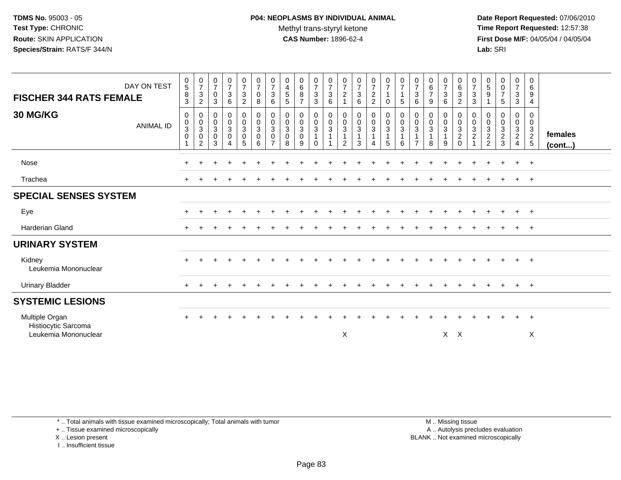**Date Report Requested:** 07/06/2010 **Time Report Requested:** 12:57:38 **First Dose M/F:** 04/05/04 / 04/05/04<br>**Lab:** SRI **Lab:** SRI

| DAY ON TEST<br><b>FISCHER 344 RATS FEMALE</b>                 | $\begin{matrix} 0 \\ 5 \end{matrix}$<br>$\frac{8}{3}$      | $\frac{0}{7}$<br>$\frac{3}{2}$  | $\frac{0}{7}$<br>$\pmb{0}$<br>$\mathbf{3}$                             | $\frac{0}{7}$<br>$\mathbf{3}$<br>$\,6\,$                                  | $\frac{0}{7}$<br>$\frac{3}{2}$                           | $\begin{smallmatrix}0\\7\end{smallmatrix}$<br>$\pmb{0}$<br>8                  | $\frac{0}{7}$<br>$\ensuremath{\mathsf{3}}$<br>6         | $\mathbf 0$<br>$\overline{4}$<br>$\sqrt{5}$<br>$\overline{5}$ | $\begin{smallmatrix}0\0\0\end{smallmatrix}$<br>$\overline{8}$<br>$\overline{7}$ | $\frac{0}{7}$<br>$\mathbf{3}$<br>3                         | $\frac{0}{7}$<br>$\ensuremath{\mathsf{3}}$<br>$6^{\circ}$ | $\frac{0}{7}$<br>$\sqrt{2}$<br>$\mathbf{1}$       | $\frac{0}{7}$<br>$\ensuremath{\mathsf{3}}$<br>$\,6\,$                               | $\frac{0}{7}$<br>$\frac{2}{2}$                                                        | $\frac{0}{7}$<br>$\overline{1}$<br>$\mathbf 0$                              | 0<br>$\overline{7}$<br>5                        | $\frac{0}{7}$<br>$\ensuremath{\mathsf{3}}$<br>6  | $\begin{array}{c} 0 \\ 6 \end{array}$<br>$\overline{7}$<br>$9\,$ | $\frac{0}{7}$<br>$\ensuremath{\mathsf{3}}$<br>6                         | $\begin{smallmatrix}0\0\0\end{smallmatrix}$<br>$\sqrt{3}$<br>$\overline{2}$ | $\frac{0}{7}$<br>$\ensuremath{\mathsf{3}}$<br>3   | $\begin{array}{c} 0 \\ 5 \\ 9 \end{array}$  | $\begin{array}{c} 0 \\ 0 \\ 7 \end{array}$<br>5 | $\frac{0}{7}$<br>$\mathbf{3}$<br>$\mathbf{3}$          | 0<br>6<br>$9\,$<br>$\overline{4}$         |                         |
|---------------------------------------------------------------|------------------------------------------------------------|---------------------------------|------------------------------------------------------------------------|---------------------------------------------------------------------------|----------------------------------------------------------|-------------------------------------------------------------------------------|---------------------------------------------------------|---------------------------------------------------------------|---------------------------------------------------------------------------------|------------------------------------------------------------|-----------------------------------------------------------|---------------------------------------------------|-------------------------------------------------------------------------------------|---------------------------------------------------------------------------------------|-----------------------------------------------------------------------------|-------------------------------------------------|--------------------------------------------------|------------------------------------------------------------------|-------------------------------------------------------------------------|-----------------------------------------------------------------------------|---------------------------------------------------|---------------------------------------------|-------------------------------------------------|--------------------------------------------------------|-------------------------------------------|-------------------------|
| <b>30 MG/KG</b><br><b>ANIMAL ID</b>                           | 0<br>$\mathbf 0$<br>$\ensuremath{\mathsf{3}}$<br>$\pmb{0}$ | $0$<br>$0$<br>$0$<br>$0$<br>$2$ | $\pmb{0}$<br>$\mathbf 0$<br>$\overline{3}$<br>$\mathsf{O}\xspace$<br>3 | 0<br>$\mathsf{O}\xspace$<br>$\mathbf{3}$<br>$\mathbf 0$<br>$\overline{4}$ | $_{\rm 0}^{\rm 0}$<br>$\overline{3}$ 0<br>$\overline{5}$ | $\begin{smallmatrix} 0\\0 \end{smallmatrix}$<br>$\mathsf 3$<br>$\pmb{0}$<br>6 | 0<br>$\mathbf 0$<br>$\mathbf{3}$<br>0<br>$\overline{7}$ | $\mathbf 0$<br>$\mathsf 0$<br>$\mathbf 3$<br>$\mathbf 0$<br>8 | 0<br>$\mathsf{O}\xspace$<br>$\mathbf{3}$<br>$\pmb{0}$<br>9                      | 0<br>$\mathbf 0$<br>$\sqrt{3}$<br>$\mathbf{1}$<br>$\Omega$ | 0<br>$\pmb{0}$<br>$\mathbf{3}$<br>$\mathbf{1}$            | 0<br>$\pmb{0}$<br>$\sqrt{3}$<br>$\mathbf{1}$<br>2 | $\begin{smallmatrix} 0\\0 \end{smallmatrix}$<br>$\overline{3}$<br>$\mathbf{1}$<br>3 | $\begin{smallmatrix} 0\\0 \end{smallmatrix}$<br>$\overline{3}$<br>$\overline{1}$<br>4 | $\begin{smallmatrix}0\\0\\3\end{smallmatrix}$<br>$\mathbf{1}$<br>$\sqrt{5}$ | $\mathbf 0$<br>$\mathbf 0$<br>$\mathbf{3}$<br>6 | 0<br>$\mathbf 0$<br>$\sqrt{3}$<br>$\overline{7}$ | 0<br>$\mathsf{O}\xspace$<br>$\sqrt{3}$<br>8                      | $\mathbf 0$<br>$\mathsf{O}\xspace$<br>$\sqrt{3}$<br>$\overline{1}$<br>9 | $\mathbf 0$<br>$\mathbf 0$<br>$\frac{3}{2}$<br>$\mathbf 0$                  | 0<br>$\mathbf 0$<br>$\mathbf 3$<br>$\overline{2}$ | $\mathbf 0$<br>$\mathbf 0$<br>$\frac{3}{2}$ | 0<br>$\mathsf{O}\xspace$<br>$\frac{3}{2}$       | 0<br>$\overline{0}$<br>$\overline{3}$<br>$\frac{2}{4}$ | $\mathbf 0$<br>$\pmb{0}$<br>$\frac{3}{2}$ | females<br>$($ cont $)$ |
| Nose                                                          | $\pm$                                                      |                                 |                                                                        |                                                                           |                                                          |                                                                               |                                                         |                                                               |                                                                                 |                                                            |                                                           |                                                   |                                                                                     |                                                                                       |                                                                             |                                                 |                                                  |                                                                  |                                                                         |                                                                             |                                                   |                                             |                                                 | $\pm$                                                  | $+$                                       |                         |
| Trachea                                                       | $+$                                                        |                                 |                                                                        |                                                                           |                                                          |                                                                               |                                                         |                                                               |                                                                                 |                                                            |                                                           |                                                   |                                                                                     |                                                                                       |                                                                             |                                                 |                                                  |                                                                  |                                                                         |                                                                             |                                                   |                                             |                                                 | $\ddot{}$                                              | $+$                                       |                         |
| <b>SPECIAL SENSES SYSTEM</b>                                  |                                                            |                                 |                                                                        |                                                                           |                                                          |                                                                               |                                                         |                                                               |                                                                                 |                                                            |                                                           |                                                   |                                                                                     |                                                                                       |                                                                             |                                                 |                                                  |                                                                  |                                                                         |                                                                             |                                                   |                                             |                                                 |                                                        |                                           |                         |
| Eye                                                           |                                                            |                                 |                                                                        |                                                                           |                                                          |                                                                               |                                                         |                                                               |                                                                                 |                                                            |                                                           |                                                   |                                                                                     |                                                                                       |                                                                             |                                                 |                                                  |                                                                  |                                                                         |                                                                             |                                                   |                                             |                                                 | $+$                                                    | $+$                                       |                         |
| <b>Harderian Gland</b>                                        |                                                            |                                 |                                                                        |                                                                           |                                                          |                                                                               |                                                         |                                                               |                                                                                 |                                                            |                                                           |                                                   |                                                                                     |                                                                                       |                                                                             |                                                 |                                                  |                                                                  |                                                                         |                                                                             |                                                   |                                             |                                                 |                                                        | $+$                                       |                         |
| <b>URINARY SYSTEM</b>                                         |                                                            |                                 |                                                                        |                                                                           |                                                          |                                                                               |                                                         |                                                               |                                                                                 |                                                            |                                                           |                                                   |                                                                                     |                                                                                       |                                                                             |                                                 |                                                  |                                                                  |                                                                         |                                                                             |                                                   |                                             |                                                 |                                                        |                                           |                         |
| Kidney<br>Leukemia Mononuclear                                | $\ddot{}$                                                  |                                 |                                                                        |                                                                           |                                                          |                                                                               |                                                         |                                                               |                                                                                 |                                                            |                                                           |                                                   |                                                                                     |                                                                                       |                                                                             |                                                 |                                                  |                                                                  |                                                                         |                                                                             |                                                   |                                             |                                                 |                                                        | $\overline{+}$                            |                         |
| <b>Urinary Bladder</b>                                        | $+$                                                        |                                 |                                                                        |                                                                           |                                                          |                                                                               |                                                         |                                                               |                                                                                 |                                                            |                                                           |                                                   |                                                                                     |                                                                                       |                                                                             |                                                 |                                                  |                                                                  |                                                                         |                                                                             |                                                   |                                             | $\pm$                                           | $+$                                                    | $+$                                       |                         |
| <b>SYSTEMIC LESIONS</b>                                       |                                                            |                                 |                                                                        |                                                                           |                                                          |                                                                               |                                                         |                                                               |                                                                                 |                                                            |                                                           |                                                   |                                                                                     |                                                                                       |                                                                             |                                                 |                                                  |                                                                  |                                                                         |                                                                             |                                                   |                                             |                                                 |                                                        |                                           |                         |
| Multiple Organ<br>Histiocytic Sarcoma<br>Leukemia Mononuclear | $+$                                                        |                                 |                                                                        |                                                                           |                                                          |                                                                               |                                                         |                                                               |                                                                                 |                                                            |                                                           | X                                                 |                                                                                     |                                                                                       |                                                                             |                                                 |                                                  |                                                                  | $X$ $X$                                                                 |                                                                             |                                                   |                                             |                                                 | $+$                                                    | $+$<br>X                                  |                         |

\* .. Total animals with tissue examined microscopically; Total animals with tumor

+ .. Tissue examined microscopically

X .. Lesion present

I .. Insufficient tissue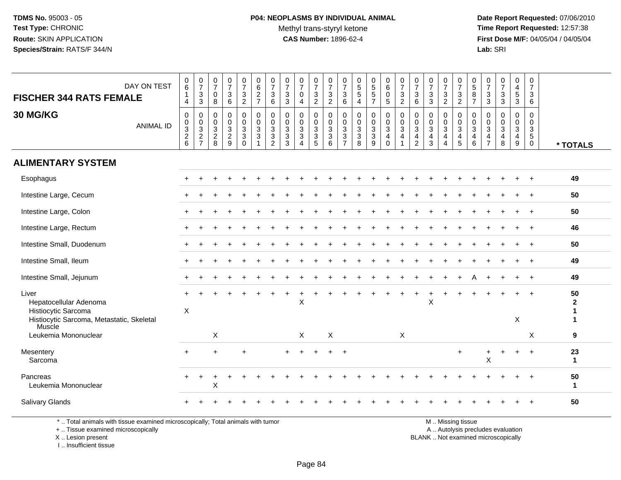**Date Report Requested:** 07/06/2010 **Time Report Requested:** 12:57:38 **First Dose M/F:** 04/05/04 / 04/05/04<br>**Lab:** SRI **Lab:** SRI

| DAY ON TEST<br><b>FISCHER 344 RATS FEMALE</b>                               | $\begin{matrix} 0 \\ 6 \end{matrix}$<br>$\mathbf{1}$<br>4 | $\begin{array}{c} 0 \\ 7 \end{array}$<br>3<br>$\sqrt{3}$                 | 0<br>$\overline{7}$<br>0<br>8                            | $\begin{array}{c} 0 \\ 7 \end{array}$<br>$\mathsf 3$<br>$\,6\,$ | $\frac{0}{7}$<br>$\ensuremath{\mathsf{3}}$<br>$\overline{2}$              | 0<br>$\,6\,$<br>$\overline{c}$<br>$\overline{7}$           | $\frac{0}{7}$<br>$\ensuremath{\mathsf{3}}$<br>6                                              | $\frac{0}{7}$<br>$\mathsf 3$<br>$\sqrt{3}$                                   | $\frac{0}{7}$<br>$\mathsf{O}\xspace$<br>4                             | 0<br>$\overline{7}$<br>$\ensuremath{\mathsf{3}}$<br>$\sqrt{2}$ | 0<br>$\overline{7}$<br>$\mathbf{3}$<br>$\overline{2}$         | 0<br>$\overline{7}$<br>$\sqrt{3}$<br>$\,6\,$                                                         | $\begin{array}{c} 0 \\ 5 \\ 5 \end{array}$<br>$\overline{4}$ | $\begin{array}{c} 0 \\ 5 \\ 5 \end{array}$<br>$\overline{7}$ | $\begin{array}{c} 0 \\ 6 \end{array}$<br>$\pmb{0}$<br>$5\phantom{.0}$ | $\frac{0}{7}$<br>$\sqrt{3}$<br>$\overline{2}$  | 0<br>$\overline{7}$<br>3<br>6              | $\frac{0}{7}$<br>$\sqrt{3}$<br>$\mathbf{3}$                       | 0<br>$\overline{7}$<br>3<br>$\overline{2}$                 | $\frac{0}{7}$<br>$\frac{3}{2}$                  | $\begin{array}{c} 0 \\ 5 \end{array}$<br>$\, 8$<br>$\overline{7}$ | 0<br>$\overline{7}$<br>$\mathbf{3}$<br>$\mathsf 3$     | $\begin{smallmatrix} 0\\7 \end{smallmatrix}$<br>$\sqrt{3}$<br>$\mathbf{3}$ | 0<br>$\overline{4}$<br>$\,$ 5 $\,$<br>$\mathbf{3}$                | 0<br>$\boldsymbol{7}$<br>$\mathbf{3}$<br>6                                                |                         |
|-----------------------------------------------------------------------------|-----------------------------------------------------------|--------------------------------------------------------------------------|----------------------------------------------------------|-----------------------------------------------------------------|---------------------------------------------------------------------------|------------------------------------------------------------|----------------------------------------------------------------------------------------------|------------------------------------------------------------------------------|-----------------------------------------------------------------------|----------------------------------------------------------------|---------------------------------------------------------------|------------------------------------------------------------------------------------------------------|--------------------------------------------------------------|--------------------------------------------------------------|-----------------------------------------------------------------------|------------------------------------------------|--------------------------------------------|-------------------------------------------------------------------|------------------------------------------------------------|-------------------------------------------------|-------------------------------------------------------------------|--------------------------------------------------------|----------------------------------------------------------------------------|-------------------------------------------------------------------|-------------------------------------------------------------------------------------------|-------------------------|
| 30 MG/KG<br><b>ANIMAL ID</b>                                                | $\mathbf 0$<br>$\frac{0}{2}$ 8                            | 0<br>$\begin{smallmatrix} 0\\ 3\\ 2 \end{smallmatrix}$<br>$\overline{7}$ | $\mathbf 0$<br>0<br>$\mathsf 3$<br>$\boldsymbol{2}$<br>8 | $\mathbf 0$<br>$\frac{0}{2}$<br>9                               | 0<br>$\mathbf 0$<br>$\ensuremath{\mathsf{3}}$<br>$\mathbf{3}$<br>$\Omega$ | $\mathbf 0$<br>$\mathbf 0$<br>$\mathbf{3}$<br>$\mathbf{3}$ | $\mathbf 0$<br>$\begin{smallmatrix}0\0\3\end{smallmatrix}$<br>$\ensuremath{\mathsf{3}}$<br>2 | $\mathbf 0$<br>$\mathbf 0$<br>$\mathbf{3}$<br>$\ensuremath{\mathsf{3}}$<br>3 | 0<br>$\pmb{0}$<br>$\ensuremath{\mathsf{3}}$<br>$\sqrt{3}$<br>$\Delta$ | $\mathbf 0$<br>$\mathbf 0$<br>$\frac{3}{3}$<br>5               | $\mathbf 0$<br>$\mathbf 0$<br>$\sqrt{3}$<br>$\mathbf{3}$<br>6 | $\mathbf 0$<br>$\pmb{0}$<br>$\ensuremath{\mathsf{3}}$<br>$\ensuremath{\mathsf{3}}$<br>$\overline{7}$ | $\pmb{0}$<br>$_{3}^{\rm 0}$<br>$\sqrt{3}$<br>8               | 0<br>$\frac{0}{3}$<br>9                                      | $\mathbf 0$<br>$_{3}^{\rm 0}$<br>4<br>$\Omega$                        | $\mathbf 0$<br>$\frac{0}{3}$<br>$\overline{a}$ | $\mathbf 0$<br>0<br>$\mathbf{3}$<br>4<br>2 | $\mathbf 0$<br>$\mathbf 0$<br>$\mathbf{3}$<br>$\overline{4}$<br>3 | 0<br>0<br>3<br>$\overline{4}$<br>$\boldsymbol{\varLambda}$ | 0<br>$\overline{0}$<br>3<br>$\overline{a}$<br>5 | $\mathbf 0$<br>$_{3}^{\rm 0}$<br>$\overline{4}$<br>6              | $\mathbf 0$<br>0<br>$\mathsf 3$<br>4<br>$\overline{7}$ | $\mathbf 0$<br>$\mathbf 0$<br>$\ensuremath{\mathsf{3}}$<br>4<br>8          | $\mathbf 0$<br>$\mathbf 0$<br>$\ensuremath{\mathsf{3}}$<br>4<br>9 | $\mathbf 0$<br>$\mathbf 0$<br>$\ensuremath{\mathsf{3}}$<br>$\overline{5}$<br>$\mathbf{0}$ | * TOTALS                |
| <b>ALIMENTARY SYSTEM</b>                                                    |                                                           |                                                                          |                                                          |                                                                 |                                                                           |                                                            |                                                                                              |                                                                              |                                                                       |                                                                |                                                               |                                                                                                      |                                                              |                                                              |                                                                       |                                                |                                            |                                                                   |                                                            |                                                 |                                                                   |                                                        |                                                                            |                                                                   |                                                                                           |                         |
| Esophagus                                                                   |                                                           |                                                                          |                                                          |                                                                 |                                                                           |                                                            |                                                                                              |                                                                              |                                                                       |                                                                |                                                               |                                                                                                      |                                                              |                                                              |                                                                       |                                                |                                            |                                                                   |                                                            |                                                 |                                                                   |                                                        |                                                                            |                                                                   |                                                                                           | 49                      |
| Intestine Large, Cecum                                                      |                                                           |                                                                          |                                                          |                                                                 |                                                                           |                                                            |                                                                                              |                                                                              |                                                                       |                                                                |                                                               |                                                                                                      |                                                              |                                                              |                                                                       |                                                |                                            |                                                                   |                                                            |                                                 |                                                                   |                                                        |                                                                            |                                                                   | $\overline{1}$                                                                            | 50                      |
| Intestine Large, Colon                                                      |                                                           |                                                                          |                                                          |                                                                 |                                                                           |                                                            |                                                                                              |                                                                              |                                                                       |                                                                |                                                               |                                                                                                      |                                                              |                                                              |                                                                       |                                                |                                            |                                                                   |                                                            |                                                 |                                                                   |                                                        |                                                                            |                                                                   |                                                                                           | 50                      |
| Intestine Large, Rectum                                                     |                                                           |                                                                          |                                                          |                                                                 |                                                                           |                                                            |                                                                                              |                                                                              |                                                                       |                                                                |                                                               |                                                                                                      |                                                              |                                                              |                                                                       |                                                |                                            |                                                                   |                                                            |                                                 |                                                                   |                                                        |                                                                            |                                                                   |                                                                                           | 46                      |
| Intestine Small, Duodenum                                                   |                                                           |                                                                          |                                                          |                                                                 |                                                                           |                                                            |                                                                                              |                                                                              |                                                                       |                                                                |                                                               |                                                                                                      |                                                              |                                                              |                                                                       |                                                |                                            |                                                                   |                                                            |                                                 |                                                                   |                                                        |                                                                            |                                                                   |                                                                                           | 50                      |
| Intestine Small, Ileum                                                      |                                                           |                                                                          |                                                          |                                                                 |                                                                           |                                                            |                                                                                              |                                                                              |                                                                       |                                                                |                                                               |                                                                                                      |                                                              |                                                              |                                                                       |                                                |                                            |                                                                   |                                                            |                                                 |                                                                   |                                                        |                                                                            |                                                                   | $\overline{1}$                                                                            | 49                      |
| Intestine Small, Jejunum                                                    |                                                           |                                                                          |                                                          |                                                                 |                                                                           |                                                            |                                                                                              |                                                                              |                                                                       |                                                                |                                                               |                                                                                                      |                                                              |                                                              |                                                                       |                                                |                                            |                                                                   |                                                            |                                                 |                                                                   |                                                        |                                                                            |                                                                   | $\overline{1}$                                                                            | 49                      |
| Liver<br>Hepatocellular Adenoma<br>Histiocytic Sarcoma                      | X                                                         |                                                                          |                                                          |                                                                 |                                                                           |                                                            |                                                                                              |                                                                              | Χ                                                                     |                                                                |                                                               |                                                                                                      |                                                              |                                                              |                                                                       |                                                |                                            | X                                                                 |                                                            |                                                 |                                                                   |                                                        |                                                                            |                                                                   |                                                                                           | 50<br>$\mathbf{2}$<br>1 |
| Histiocytic Sarcoma, Metastatic, Skeletal<br>Muscle<br>Leukemia Mononuclear |                                                           |                                                                          | X                                                        |                                                                 |                                                                           |                                                            |                                                                                              |                                                                              | X                                                                     |                                                                | $\times$                                                      |                                                                                                      |                                                              |                                                              |                                                                       | X                                              |                                            |                                                                   |                                                            |                                                 |                                                                   |                                                        |                                                                            | $\pmb{\times}$                                                    | X                                                                                         | $\mathbf{1}$<br>9       |
| Mesentery<br>Sarcoma                                                        | ÷                                                         |                                                                          | $\ddot{}$                                                |                                                                 | +                                                                         |                                                            |                                                                                              |                                                                              |                                                                       |                                                                | $\div$                                                        | $\ddot{}$                                                                                            |                                                              |                                                              |                                                                       |                                                |                                            |                                                                   |                                                            | $\ddot{}$                                       |                                                                   | $\pmb{\times}$                                         |                                                                            |                                                                   |                                                                                           | 23<br>$\mathbf{1}$      |
| Pancreas<br>Leukemia Mononuclear                                            |                                                           | ÷                                                                        | X                                                        |                                                                 |                                                                           |                                                            |                                                                                              |                                                                              |                                                                       |                                                                |                                                               |                                                                                                      |                                                              |                                                              |                                                                       |                                                |                                            |                                                                   |                                                            |                                                 |                                                                   |                                                        |                                                                            |                                                                   |                                                                                           | 50<br>$\mathbf{1}$      |
| Salivary Glands                                                             |                                                           |                                                                          |                                                          |                                                                 |                                                                           |                                                            |                                                                                              |                                                                              |                                                                       |                                                                |                                                               |                                                                                                      |                                                              |                                                              |                                                                       |                                                |                                            |                                                                   |                                                            |                                                 |                                                                   |                                                        |                                                                            |                                                                   |                                                                                           | 50                      |

\* .. Total animals with tissue examined microscopically; Total animals with tumor

+ .. Tissue examined microscopically

X .. Lesion present

I .. Insufficient tissue

M .. Missing tissue

y the contract of the contract of the contract of the contract of the contract of the contract of the contract of  $A$ . Autolysis precludes evaluation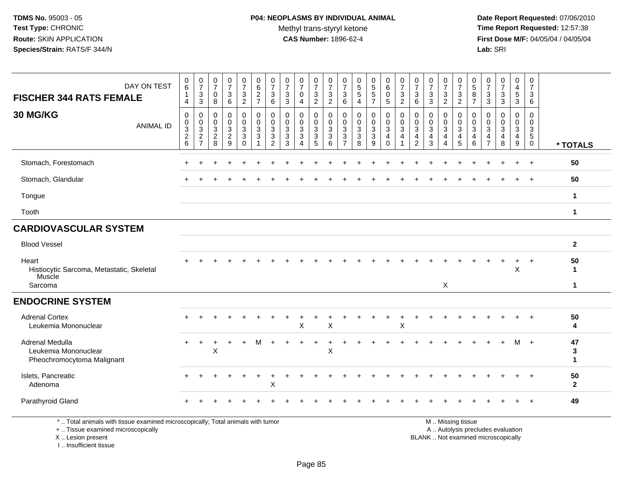## **P04: NEOPLASMS BY INDIVIDUAL ANIMAL**Methyl trans-styryl ketone<br>CAS Number: 1896-62-4

 **Date Report Requested:** 07/06/2010 **Time Report Requested:** 12:57:38 **First Dose M/F:** 04/05/04 / 04/05/04<br>**Lab:** SRI **Lab:** SRI

| DAY ON TEST<br><b>FISCHER 344 RATS FEMALE</b>                         | 0<br>$6\phantom{a}$<br>$\mathbf{1}$<br>4                | $\frac{0}{7}$<br>$\sqrt{3}$<br>$\sqrt{3}$                        | $\frac{0}{7}$<br>$\mathbf 0$<br>8               | $\frac{0}{7}$<br>$\mathbf{3}$<br>6 | $\frac{0}{7}$<br>$\mathbf{3}$<br>$\overline{2}$ | $\begin{array}{c} 0 \\ 6 \end{array}$<br>$\frac{2}{7}$                   | 0<br>$\overline{7}$<br>$\mathbf{3}$<br>6      | 0<br>$\overline{7}$<br>$\sqrt{3}$<br>$\sqrt{3}$ | $\frac{0}{7}$<br>0<br>4 | $\frac{0}{7}$<br>$\sqrt{3}$<br>$\overline{2}$      | 0<br>$\overline{7}$<br>$\sqrt{3}$<br>$\overline{2}$ | $\frac{0}{7}$<br>$\mathbf{3}$<br>$\,6\,$                           | $\begin{array}{c} 0 \\ 5 \end{array}$<br>$\overline{5}$<br>$\overline{4}$ | $\begin{array}{c} 0 \\ 5 \end{array}$<br>$\overline{5}$<br>$\overline{7}$ | $\begin{array}{c} 0 \\ 6 \end{array}$<br>$\mathbf 0$<br>$\overline{5}$ | $\frac{0}{7}$<br>$\mathbf{3}$<br>$\overline{2}$       | $\frac{0}{7}$<br>$\mathbf{3}$<br>6              | $\frac{0}{7}$<br>$\mathbf{3}$<br>$\mathbf{3}$          | 0<br>$\overline{7}$<br>$\ensuremath{\mathsf{3}}$<br>$\overline{c}$ | 0<br>$\overline{7}$<br>$\sqrt{3}$<br>$\overline{c}$ | 0<br>$\overline{5}$<br>8<br>$\overline{7}$ | $\frac{0}{7}$<br>$\mathsf 3$<br>$\mathsf 3$     | $\begin{array}{c} 0 \\ 7 \end{array}$<br>$\sqrt{3}$<br>$\mathfrak{Z}$ | 0<br>$\overline{4}$<br>$\sqrt{5}$<br>$\overline{3}$ | 0<br>$\overline{7}$<br>$\mathbf{3}$<br>6            |                         |
|-----------------------------------------------------------------------|---------------------------------------------------------|------------------------------------------------------------------|-------------------------------------------------|------------------------------------|-------------------------------------------------|--------------------------------------------------------------------------|-----------------------------------------------|-------------------------------------------------|-------------------------|----------------------------------------------------|-----------------------------------------------------|--------------------------------------------------------------------|---------------------------------------------------------------------------|---------------------------------------------------------------------------|------------------------------------------------------------------------|-------------------------------------------------------|-------------------------------------------------|--------------------------------------------------------|--------------------------------------------------------------------|-----------------------------------------------------|--------------------------------------------|-------------------------------------------------|-----------------------------------------------------------------------|-----------------------------------------------------|-----------------------------------------------------|-------------------------|
| 30 MG/KG<br><b>ANIMAL ID</b>                                          | $\mathbf 0$<br>0<br>$\sqrt{3}$<br>$\boldsymbol{2}$<br>6 | 0<br>$\mathbf 0$<br>$\mathbf{3}$<br>$\sqrt{2}$<br>$\overline{7}$ | 0<br>0<br>$\overline{3}$<br>$\overline{c}$<br>8 | 0<br>0<br>3<br>$\overline{c}$<br>9 | 0<br>$\mathbf 0$<br>3<br>3<br>$\Omega$          | $\mathbf 0$<br>$\pmb{0}$<br>$\sqrt{3}$<br>$\mathbf{3}$<br>$\overline{1}$ | 0<br>0<br>3<br>$\mathbf{3}$<br>$\overline{2}$ | $\mathbf 0$<br>0<br>3<br>$\mathbf{3}$<br>3      | 0<br>0<br>3<br>3        | 0<br>$\mathbf 0$<br>$\mathsf 3$<br>$\sqrt{3}$<br>5 | 0<br>$\pmb{0}$<br>$\mathbf{3}$<br>$\sqrt{3}$<br>6   | $\mathbf 0$<br>0<br>$\mathbf{3}$<br>$\mathbf{3}$<br>$\overline{7}$ | 0<br>$\mathbf 0$<br>3<br>$\sqrt{3}$<br>8                                  | 0<br>$\mathbf 0$<br>3<br>3<br>9                                           | 0<br>$\frac{0}{3}$<br>$\overline{4}$<br>$\Omega$                       | 0<br>$\pmb{0}$<br>$\mathbf{3}$<br>$\overline{4}$<br>1 | 0<br>0<br>3<br>$\overline{4}$<br>$\overline{2}$ | $\mathbf 0$<br>$\mathbf 0$<br>3<br>$\overline{4}$<br>3 | 0<br>$\mathbf 0$<br>3<br>$\overline{4}$<br>4                       | 0<br>$\mathbf 0$<br>3<br>$\overline{4}$<br>5        | 0<br>0<br>3<br>$\overline{4}$<br>6         | 0<br>0<br>3<br>$\overline{4}$<br>$\overline{7}$ | $\mathbf 0$<br>$\mathbf 0$<br>3<br>$\overline{4}$<br>8                | 0<br>$\mathbf 0$<br>3<br>$\overline{4}$<br>9        | 0<br>0<br>$\mathbf{3}$<br>$\sqrt{5}$<br>$\mathbf 0$ | * TOTALS                |
| Stomach, Forestomach                                                  |                                                         |                                                                  |                                                 |                                    |                                                 |                                                                          |                                               |                                                 |                         |                                                    |                                                     |                                                                    |                                                                           |                                                                           |                                                                        |                                                       |                                                 |                                                        |                                                                    |                                                     |                                            |                                                 |                                                                       |                                                     | $\ddot{}$                                           | 50                      |
| Stomach, Glandular                                                    |                                                         |                                                                  |                                                 |                                    |                                                 |                                                                          |                                               |                                                 |                         |                                                    |                                                     |                                                                    |                                                                           |                                                                           |                                                                        |                                                       |                                                 |                                                        |                                                                    |                                                     |                                            |                                                 |                                                                       |                                                     |                                                     | 50                      |
| Tongue                                                                |                                                         |                                                                  |                                                 |                                    |                                                 |                                                                          |                                               |                                                 |                         |                                                    |                                                     |                                                                    |                                                                           |                                                                           |                                                                        |                                                       |                                                 |                                                        |                                                                    |                                                     |                                            |                                                 |                                                                       |                                                     |                                                     | $\mathbf{1}$            |
| Tooth                                                                 |                                                         |                                                                  |                                                 |                                    |                                                 |                                                                          |                                               |                                                 |                         |                                                    |                                                     |                                                                    |                                                                           |                                                                           |                                                                        |                                                       |                                                 |                                                        |                                                                    |                                                     |                                            |                                                 |                                                                       |                                                     |                                                     | $\mathbf{1}$            |
| <b>CARDIOVASCULAR SYSTEM</b>                                          |                                                         |                                                                  |                                                 |                                    |                                                 |                                                                          |                                               |                                                 |                         |                                                    |                                                     |                                                                    |                                                                           |                                                                           |                                                                        |                                                       |                                                 |                                                        |                                                                    |                                                     |                                            |                                                 |                                                                       |                                                     |                                                     |                         |
| <b>Blood Vessel</b>                                                   |                                                         |                                                                  |                                                 |                                    |                                                 |                                                                          |                                               |                                                 |                         |                                                    |                                                     |                                                                    |                                                                           |                                                                           |                                                                        |                                                       |                                                 |                                                        |                                                                    |                                                     |                                            |                                                 |                                                                       |                                                     |                                                     | $\overline{2}$          |
| Heart<br>Histiocytic Sarcoma, Metastatic, Skeletal<br>Muscle          |                                                         |                                                                  |                                                 |                                    |                                                 |                                                                          |                                               |                                                 |                         |                                                    |                                                     |                                                                    |                                                                           |                                                                           |                                                                        |                                                       |                                                 |                                                        |                                                                    |                                                     |                                            |                                                 |                                                                       | $\ddot{}$<br>$\mathsf X$                            | $\ddot{}$                                           | 50<br>$\mathbf 1$       |
| Sarcoma                                                               |                                                         |                                                                  |                                                 |                                    |                                                 |                                                                          |                                               |                                                 |                         |                                                    |                                                     |                                                                    |                                                                           |                                                                           |                                                                        |                                                       |                                                 |                                                        | $\mathsf X$                                                        |                                                     |                                            |                                                 |                                                                       |                                                     |                                                     | $\mathbf{1}$            |
| <b>ENDOCRINE SYSTEM</b>                                               |                                                         |                                                                  |                                                 |                                    |                                                 |                                                                          |                                               |                                                 |                         |                                                    |                                                     |                                                                    |                                                                           |                                                                           |                                                                        |                                                       |                                                 |                                                        |                                                                    |                                                     |                                            |                                                 |                                                                       |                                                     |                                                     |                         |
| <b>Adrenal Cortex</b><br>Leukemia Mononuclear                         |                                                         |                                                                  |                                                 |                                    |                                                 |                                                                          |                                               |                                                 | X                       |                                                    | X                                                   |                                                                    |                                                                           |                                                                           |                                                                        | X                                                     |                                                 |                                                        |                                                                    |                                                     |                                            |                                                 |                                                                       |                                                     |                                                     | 50<br>4                 |
| Adrenal Medulla<br>Leukemia Mononuclear<br>Pheochromocytoma Malignant |                                                         |                                                                  | X                                               |                                    |                                                 |                                                                          |                                               |                                                 |                         |                                                    | Χ                                                   |                                                                    |                                                                           |                                                                           |                                                                        |                                                       |                                                 |                                                        |                                                                    |                                                     |                                            |                                                 |                                                                       |                                                     | $+$                                                 | 47<br>3<br>$\mathbf{1}$ |
| Islets, Pancreatic<br>Adenoma                                         |                                                         |                                                                  |                                                 |                                    |                                                 | $\ddot{}$                                                                | ÷<br>X                                        |                                                 |                         |                                                    |                                                     |                                                                    |                                                                           |                                                                           |                                                                        |                                                       |                                                 |                                                        |                                                                    |                                                     |                                            |                                                 |                                                                       |                                                     |                                                     | 50<br>$\mathbf{2}$      |
| Parathyroid Gland                                                     |                                                         |                                                                  |                                                 |                                    |                                                 |                                                                          |                                               |                                                 |                         |                                                    |                                                     |                                                                    |                                                                           |                                                                           |                                                                        |                                                       |                                                 |                                                        |                                                                    |                                                     |                                            |                                                 |                                                                       |                                                     |                                                     | 49                      |

\* .. Total animals with tissue examined microscopically; Total animals with tumor

+ .. Tissue examined microscopically

X .. Lesion present

I .. Insufficient tissue

M .. Missing tissue

y the contract of the contract of the contract of the contract of the contract of the contract of the contract of  $A$ . Autolysis precludes evaluation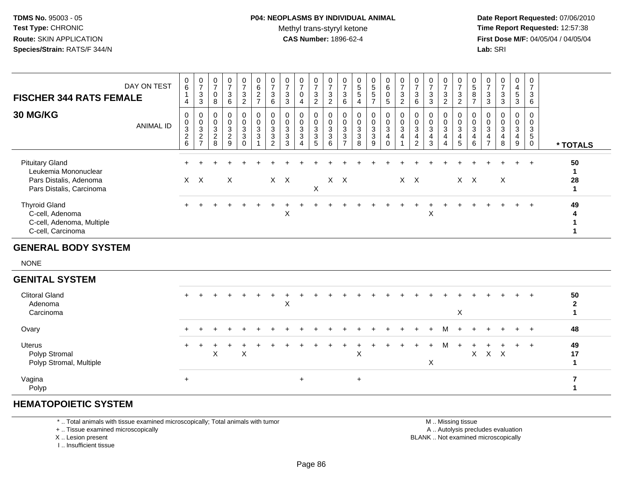## **P04: NEOPLASMS BY INDIVIDUAL ANIMAL**Methyl trans-styryl ketone<br>CAS Number: 1896-62-4

 **Date Report Requested:** 07/06/2010 **Time Report Requested:** 12:57:38 **First Dose M/F:** 04/05/04 / 04/05/04<br>**Lab:** SRI **Lab:** SRI

| <b>FISCHER 344 RATS FEMALE</b>                                                                       | DAY ON TEST      | $\begin{matrix} 0 \\ 6 \end{matrix}$<br>$\overline{1}$<br>4 | $\frac{0}{7}$<br>$\ensuremath{\mathsf{3}}$<br>$\mathbf{3}$                      | 0<br>$\overline{7}$<br>$\mathbf 0$<br>8 | $\frac{0}{7}$<br>$\mathbf{3}$<br>6                      | $\frac{0}{7}$<br>3<br>$\overline{2}$                     | 0<br>$\,6\,$<br>$\overline{c}$<br>$\overline{7}$      | $\frac{0}{7}$<br>3<br>6            | 0<br>$\overline{7}$<br>3<br>3   | $\frac{0}{7}$<br>0<br>4                                                | $\frac{0}{7}$<br>3<br>$\sqrt{2}$            | $\frac{0}{7}$<br>$\mathbf{3}$<br>$\overline{2}$       | 0<br>$\overline{7}$<br>3<br>6      | 0<br>5<br>$\sqrt{5}$<br>4               | $\begin{array}{c} 0 \\ 5 \\ 5 \end{array}$<br>$\overline{7}$ | $\begin{matrix} 0 \\ 6 \end{matrix}$<br>$\mathbf 0$<br>$\sqrt{5}$ | $\frac{0}{7}$<br>$\sqrt{3}$<br>$\overline{2}$                    | $\frac{0}{7}$<br>3<br>6            | $\frac{0}{7}$<br>3<br>$\mathbf{3}$     | $\frac{0}{7}$<br>3<br>$\overline{2}$ | $\frac{0}{7}$<br>$\mathbf{3}$<br>$\overline{c}$                                   | 0<br>$\overline{5}$<br>8<br>$\overline{7}$              | 0<br>$\overline{7}$<br>3<br>3      | 0<br>$\overline{7}$<br>3<br>3   | 0<br>4<br>5<br>3                 | 0<br>$\overline{7}$<br>$\mathbf{3}$<br>6                                |                                          |
|------------------------------------------------------------------------------------------------------|------------------|-------------------------------------------------------------|---------------------------------------------------------------------------------|-----------------------------------------|---------------------------------------------------------|----------------------------------------------------------|-------------------------------------------------------|------------------------------------|---------------------------------|------------------------------------------------------------------------|---------------------------------------------|-------------------------------------------------------|------------------------------------|-----------------------------------------|--------------------------------------------------------------|-------------------------------------------------------------------|------------------------------------------------------------------|------------------------------------|----------------------------------------|--------------------------------------|-----------------------------------------------------------------------------------|---------------------------------------------------------|------------------------------------|---------------------------------|----------------------------------|-------------------------------------------------------------------------|------------------------------------------|
| 30 MG/KG                                                                                             | <b>ANIMAL ID</b> | 0<br>0<br>$\sqrt{3}$<br>$\sqrt{2}$<br>6                     | 0<br>$\pmb{0}$<br>$\ensuremath{\mathsf{3}}$<br>$\overline{c}$<br>$\overline{7}$ | 0<br>0<br>3<br>$\sqrt{2}$<br>8          | 0<br>$\mathbf 0$<br>$\mathbf{3}$<br>$\overline{2}$<br>9 | 0<br>$\mathbf 0$<br>$\sqrt{3}$<br>$\sqrt{3}$<br>$\Omega$ | 0<br>$\mathbf 0$<br>$\mathbf{3}$<br>3<br>$\mathbf{1}$ | 0<br>0<br>3<br>3<br>$\overline{2}$ | 0<br>$\mathbf 0$<br>3<br>3<br>3 | 0<br>$\pmb{0}$<br>$\sqrt{3}$<br>$\mathbf{3}$<br>$\boldsymbol{\Lambda}$ | 0<br>0<br>$\mathbf{3}$<br>$\mathbf{3}$<br>5 | 0<br>$\mathbf 0$<br>$\mathbf{3}$<br>$\mathbf{3}$<br>6 | 0<br>0<br>3<br>3<br>$\overline{7}$ | 0<br>0<br>$\sqrt{3}$<br>$\sqrt{3}$<br>8 | 0<br>$\pmb{0}$<br>$\sqrt{3}$<br>$\mathbf{3}$<br>9            | 0<br>$\mathbf 0$<br>$\mathbf{3}$<br>$\overline{a}$<br>$\mathbf 0$ | 0<br>$\pmb{0}$<br>$\sqrt{3}$<br>$\overline{4}$<br>$\overline{1}$ | 0<br>0<br>3<br>4<br>$\overline{2}$ | 0<br>$\pmb{0}$<br>$\sqrt{3}$<br>4<br>3 | 0<br>0<br>3<br>$\overline{4}$<br>4   | 0<br>$\boldsymbol{0}$<br>$\sqrt{3}$<br>$\overline{\mathbf{4}}$<br>$5\phantom{.0}$ | 0<br>$\mathbf 0$<br>$\mathbf{3}$<br>$\overline{4}$<br>6 | 0<br>0<br>3<br>4<br>$\overline{7}$ | 0<br>$\mathbf 0$<br>3<br>4<br>8 | 0<br>0<br>$\mathbf{3}$<br>4<br>9 | $\mathbf 0$<br>$\mathbf 0$<br>$\mathbf{3}$<br>$\sqrt{5}$<br>$\mathbf 0$ | * TOTALS                                 |
| <b>Pituitary Gland</b><br>Leukemia Mononuclear<br>Pars Distalis, Adenoma<br>Pars Distalis, Carcinoma |                  |                                                             | $X$ $X$                                                                         |                                         | X                                                       |                                                          |                                                       |                                    | $X$ $X$                         |                                                                        | $\sf X$                                     | $\mathsf{X}$                                          | $\mathsf{X}$                       |                                         |                                                              |                                                                   | $X$ $X$                                                          |                                    |                                        |                                      | $X$ $X$                                                                           |                                                         |                                    | $\times$                        | $\ddot{}$                        | $+$                                                                     | 50<br>$\mathbf{1}$<br>28<br>$\mathbf{1}$ |
| <b>Thyroid Gland</b><br>C-cell, Adenoma<br>C-cell, Adenoma, Multiple<br>C-cell, Carcinoma            |                  |                                                             |                                                                                 |                                         |                                                         |                                                          |                                                       |                                    | X                               |                                                                        |                                             |                                                       |                                    |                                         |                                                              |                                                                   |                                                                  |                                    | X                                      |                                      |                                                                                   |                                                         |                                    |                                 |                                  | $\ddot{}$                                                               | 49                                       |
| <b>GENERAL BODY SYSTEM</b>                                                                           |                  |                                                             |                                                                                 |                                         |                                                         |                                                          |                                                       |                                    |                                 |                                                                        |                                             |                                                       |                                    |                                         |                                                              |                                                                   |                                                                  |                                    |                                        |                                      |                                                                                   |                                                         |                                    |                                 |                                  |                                                                         |                                          |
| <b>NONE</b>                                                                                          |                  |                                                             |                                                                                 |                                         |                                                         |                                                          |                                                       |                                    |                                 |                                                                        |                                             |                                                       |                                    |                                         |                                                              |                                                                   |                                                                  |                                    |                                        |                                      |                                                                                   |                                                         |                                    |                                 |                                  |                                                                         |                                          |
| <b>GENITAL SYSTEM</b>                                                                                |                  |                                                             |                                                                                 |                                         |                                                         |                                                          |                                                       |                                    |                                 |                                                                        |                                             |                                                       |                                    |                                         |                                                              |                                                                   |                                                                  |                                    |                                        |                                      |                                                                                   |                                                         |                                    |                                 |                                  |                                                                         |                                          |
| <b>Clitoral Gland</b><br>Adenoma<br>Carcinoma                                                        |                  |                                                             |                                                                                 |                                         |                                                         |                                                          |                                                       |                                    | $\mathsf X$                     |                                                                        |                                             |                                                       |                                    |                                         |                                                              |                                                                   |                                                                  |                                    |                                        |                                      | X                                                                                 |                                                         |                                    |                                 |                                  |                                                                         | 50<br>$\boldsymbol{2}$<br>1              |
| Ovary                                                                                                |                  |                                                             |                                                                                 |                                         |                                                         |                                                          |                                                       |                                    |                                 |                                                                        |                                             |                                                       |                                    |                                         |                                                              |                                                                   |                                                                  |                                    |                                        | M                                    |                                                                                   |                                                         |                                    |                                 | $+$                              | $+$                                                                     | 48                                       |
| <b>Uterus</b><br>Polyp Stromal<br>Polyp Stromal, Multiple                                            |                  | $+$                                                         | +                                                                               | X                                       |                                                         | $\mathsf X$                                              |                                                       |                                    |                                 |                                                                        |                                             |                                                       |                                    | $\sf X$                                 |                                                              |                                                                   |                                                                  |                                    | X                                      | M                                    | $+$                                                                               | $\mathsf{X}$                                            |                                    | $X$ $X$                         | $+$                              | $+$                                                                     | 49<br>17<br>$\mathbf{1}$                 |
| Vagina                                                                                               |                  | $\ddot{}$                                                   |                                                                                 |                                         |                                                         |                                                          |                                                       |                                    |                                 | $\ddot{}$                                                              |                                             |                                                       |                                    | $\ddot{}$                               |                                                              |                                                                   |                                                                  |                                    |                                        |                                      |                                                                                   |                                                         |                                    |                                 |                                  |                                                                         | $\overline{\mathbf{r}}$                  |

### **HEMATOPOIETIC SYSTEM**

Polyp

\* .. Total animals with tissue examined microscopically; Total animals with tumor

+ .. Tissue examined microscopically

X .. Lesion present

I .. Insufficient tissue

 M .. Missing tissuey the contract of the contract of the contract of the contract of the contract of the contract of the contract of  $A$ . Autolysis precludes evaluation Lesion present BLANK .. Not examined microscopically

**<sup>1</sup>**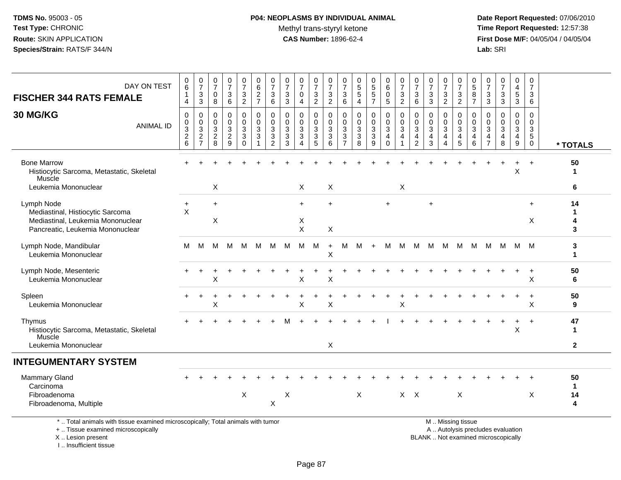# **P04: NEOPLASMS BY INDIVIDUAL ANIMAL**Methyl trans-styryl ketone<br>CAS Number: 1896-62-4

 **Date Report Requested:** 07/06/2010 **Time Report Requested:** 12:57:38 **First Dose M/F:** 04/05/04 / 04/05/04<br>Lab: SRI **Lab:** SRI

| DAY ON TEST<br><b>FISCHER 344 RATS FEMALE</b>                                                                           | $\,0\,$<br>6<br>1<br>$\overline{4}$                                              | $\frac{0}{7}$<br>3<br>$\mathbf{3}$                                      | $\frac{0}{7}$<br>0<br>8                             | $\frac{0}{7}$<br>$\ensuremath{\mathsf{3}}$<br>$6\phantom{a}$ | $\frac{0}{7}$<br>$\ensuremath{\mathsf{3}}$<br>$\overline{2}$ | $\begin{array}{c} 0 \\ 6 \end{array}$<br>$\frac{2}{7}$                       | 0<br>$\overline{7}$<br>$\mathbf{3}$<br>6                         | $\frac{0}{7}$<br>3<br>$\mathsf 3$              | $\frac{0}{7}$<br>0<br>4                      | $\frac{0}{7}$<br>3<br>$\overline{2}$                    | 0<br>$\overline{7}$<br>$\sqrt{3}$<br>$\overline{2}$                 | $\mathbf 0$<br>$\overline{7}$<br>$^3$ 6                                  | 0<br>$\overline{5}$<br>$\sqrt{5}$<br>$\overline{4}$           | $0$<br>5<br>5<br>5<br>7                                                         | $_{6}^{\rm 0}$<br>$\mathbf 0$<br>5 <sup>5</sup>                   | $\frac{0}{7}$<br>$\mathbf{3}$<br>$\overline{2}$ | 0<br>$\overline{7}$<br>$\mathbf{3}$<br>6                             | $\begin{array}{c} 0 \\ 7 \end{array}$<br>$\sqrt{3}$<br>$\overline{3}$          | $\frac{0}{7}$<br>$\ensuremath{\mathsf{3}}$<br>$\overline{2}$        | $\begin{array}{c} 0 \\ 7 \end{array}$<br>$\frac{3}{2}$                                  | 0<br>$\overline{5}$<br>8<br>$\overline{7}$ | $\frac{0}{7}$<br>$_3^3$                                                                        | $\frac{0}{7}$<br>$\mathbf 3$<br>$\overline{3}$                            | 0<br>$\frac{4}{5}$<br>$\overline{3}$      | $\mathbf 0$<br>$\overline{7}$<br>3<br>6                                 |                               |
|-------------------------------------------------------------------------------------------------------------------------|----------------------------------------------------------------------------------|-------------------------------------------------------------------------|-----------------------------------------------------|--------------------------------------------------------------|--------------------------------------------------------------|------------------------------------------------------------------------------|------------------------------------------------------------------|------------------------------------------------|----------------------------------------------|---------------------------------------------------------|---------------------------------------------------------------------|--------------------------------------------------------------------------|---------------------------------------------------------------|---------------------------------------------------------------------------------|-------------------------------------------------------------------|-------------------------------------------------|----------------------------------------------------------------------|--------------------------------------------------------------------------------|---------------------------------------------------------------------|-----------------------------------------------------------------------------------------|--------------------------------------------|------------------------------------------------------------------------------------------------|---------------------------------------------------------------------------|-------------------------------------------|-------------------------------------------------------------------------|-------------------------------|
| 30 MG/KG<br><b>ANIMAL ID</b>                                                                                            | $\mathbf 0$<br>$\mathbf 0$<br>$\ensuremath{\mathsf{3}}$<br>$\boldsymbol{2}$<br>6 | 0<br>0<br>$\ensuremath{\mathsf{3}}$<br>$\overline{c}$<br>$\overline{7}$ | $\Omega$<br>$\mathbf 0$<br>3<br>$\overline{c}$<br>8 | 0<br>0<br>$\mathbf{3}$<br>$\overline{c}$<br>9                | 0<br>0<br>3<br>3<br>$\mathbf 0$                              | $\mathbf 0$<br>$\mathbf 0$<br>$\mathbf{3}$<br>$\mathbf{3}$<br>$\overline{1}$ | $\mathbf 0$<br>$\mathbf{0}$<br>$\sqrt{3}$<br>3<br>$\overline{c}$ | $\Omega$<br>$\Omega$<br>$\mathbf{3}$<br>3<br>3 | 0<br>$\mathbf 0$<br>3<br>3<br>$\overline{4}$ | 0<br>$\mathbf 0$<br>$\ensuremath{\mathsf{3}}$<br>3<br>5 | $\mathbf 0$<br>$\mathbf 0$<br>$\mathbf{3}$<br>$\mathbf{3}$<br>$\,6$ | $\mathbf 0$<br>$\mathbf 0$<br>$\sqrt{3}$<br>$\sqrt{3}$<br>$\overline{7}$ | $\mathbf 0$<br>$\mathbf 0$<br>$\mathbf{3}$<br>$\sqrt{3}$<br>8 | 0<br>$\mathbf 0$<br>$\ensuremath{\mathsf{3}}$<br>$\ensuremath{\mathsf{3}}$<br>9 | 0<br>$\mathbf 0$<br>$\ensuremath{\mathsf{3}}$<br>4<br>$\mathbf 0$ | $\mathbf 0$<br>$\mathbf 0$<br>$\mathbf{3}$<br>4 | $\mathbf{0}$<br>$\mathbf 0$<br>3<br>$\overline{4}$<br>$\overline{2}$ | $\mathbf 0$<br>$\mathbf 0$<br>$\ensuremath{\mathsf{3}}$<br>$\overline{4}$<br>3 | 0<br>$\mathbf 0$<br>$\mathbf 3$<br>$\overline{4}$<br>$\overline{4}$ | $\mathbf 0$<br>$\mathbf 0$<br>$\ensuremath{\mathsf{3}}$<br>$\overline{a}$<br>$\sqrt{5}$ | $\Omega$<br>$\Omega$<br>3<br>4<br>6        | $\Omega$<br>$\Omega$<br>$\ensuremath{\mathsf{3}}$<br>$\overline{\mathbf{4}}$<br>$\overline{7}$ | $\mathbf 0$<br>$\mathbf 0$<br>$\mathbf 3$<br>$\overline{\mathbf{4}}$<br>8 | 0<br>$\Omega$<br>3<br>$\overline{4}$<br>9 | $\Omega$<br>$\mathbf 0$<br>$\sqrt{3}$<br>$5\phantom{.0}$<br>$\mathbf 0$ | * TOTALS                      |
| <b>Bone Marrow</b><br>Histiocytic Sarcoma, Metastatic, Skeletal<br>Muscle                                               |                                                                                  |                                                                         |                                                     |                                                              |                                                              |                                                                              |                                                                  |                                                |                                              |                                                         |                                                                     |                                                                          |                                                               |                                                                                 |                                                                   |                                                 |                                                                      |                                                                                |                                                                     |                                                                                         |                                            |                                                                                                |                                                                           | $\sf X$                                   |                                                                         | 50<br>1                       |
| Leukemia Mononuclear                                                                                                    |                                                                                  |                                                                         | X                                                   |                                                              |                                                              |                                                                              |                                                                  |                                                | $\times$                                     |                                                         | X                                                                   |                                                                          |                                                               |                                                                                 |                                                                   | X                                               |                                                                      |                                                                                |                                                                     |                                                                                         |                                            |                                                                                                |                                                                           |                                           |                                                                         | 6                             |
| Lymph Node<br>Mediastinal, Histiocytic Sarcoma<br>Mediastinal, Leukemia Mononuclear<br>Pancreatic, Leukemia Mononuclear | $\ddot{}$<br>$\sf X$                                                             |                                                                         | $\ddot{}$<br>$\mathsf X$                            |                                                              |                                                              |                                                                              |                                                                  |                                                | $\ddot{}$<br>X<br>X                          |                                                         | $\ddot{}$<br>X                                                      |                                                                          |                                                               |                                                                                 |                                                                   |                                                 |                                                                      | $\overline{ }$                                                                 |                                                                     |                                                                                         |                                            |                                                                                                |                                                                           |                                           | $\ddot{}$<br>X                                                          | 14<br>1<br>4<br>3             |
| Lymph Node, Mandibular<br>Leukemia Mononuclear                                                                          | M                                                                                | M                                                                       | м                                                   | M                                                            | M                                                            | м                                                                            | м                                                                | M                                              | м                                            | M                                                       | $+$<br>$\sf X$                                                      | м                                                                        | M                                                             | $+$                                                                             | M                                                                 | M                                               | M                                                                    | м                                                                              | M                                                                   | M                                                                                       | M                                          | м                                                                                              | M                                                                         | M                                         | - M                                                                     | 3<br>$\mathbf{1}$             |
| Lymph Node, Mesenteric<br>Leukemia Mononuclear                                                                          |                                                                                  |                                                                         | X                                                   |                                                              |                                                              |                                                                              |                                                                  |                                                | Χ                                            |                                                         | X                                                                   |                                                                          |                                                               |                                                                                 |                                                                   |                                                 |                                                                      |                                                                                |                                                                     |                                                                                         |                                            |                                                                                                |                                                                           | $\ddot{}$                                 | $\ddot{}$<br>X                                                          | 50<br>6                       |
| Spleen<br>Leukemia Mononuclear                                                                                          |                                                                                  |                                                                         | X                                                   |                                                              |                                                              |                                                                              |                                                                  |                                                | X                                            |                                                         | X                                                                   |                                                                          |                                                               |                                                                                 |                                                                   | X                                               |                                                                      |                                                                                |                                                                     |                                                                                         |                                            |                                                                                                |                                                                           |                                           | X                                                                       | 50<br>9                       |
| Thymus<br>Histiocytic Sarcoma, Metastatic, Skeletal<br>Muscle                                                           |                                                                                  |                                                                         |                                                     |                                                              |                                                              |                                                                              |                                                                  |                                                |                                              |                                                         |                                                                     |                                                                          |                                                               |                                                                                 |                                                                   |                                                 |                                                                      |                                                                                |                                                                     |                                                                                         |                                            |                                                                                                |                                                                           | X                                         | $\overline{+}$                                                          | 47<br>$\mathbf{1}$            |
| Leukemia Mononuclear                                                                                                    |                                                                                  |                                                                         |                                                     |                                                              |                                                              |                                                                              |                                                                  |                                                |                                              |                                                         | X                                                                   |                                                                          |                                                               |                                                                                 |                                                                   |                                                 |                                                                      |                                                                                |                                                                     |                                                                                         |                                            |                                                                                                |                                                                           |                                           |                                                                         | $\mathbf{2}$                  |
| <b>INTEGUMENTARY SYSTEM</b>                                                                                             |                                                                                  |                                                                         |                                                     |                                                              |                                                              |                                                                              |                                                                  |                                                |                                              |                                                         |                                                                     |                                                                          |                                                               |                                                                                 |                                                                   |                                                 |                                                                      |                                                                                |                                                                     |                                                                                         |                                            |                                                                                                |                                                                           |                                           |                                                                         |                               |
| Mammary Gland<br>Carcinoma<br>Fibroadenoma<br>Fibroadenoma, Multiple                                                    |                                                                                  |                                                                         |                                                     |                                                              | X                                                            |                                                                              | X                                                                | X                                              |                                              |                                                         |                                                                     |                                                                          | X                                                             |                                                                                 |                                                                   | $X$ $X$                                         |                                                                      |                                                                                |                                                                     | X                                                                                       |                                            |                                                                                                |                                                                           |                                           | X                                                                       | 50<br>$\mathbf{1}$<br>14<br>4 |
| *  Total animals with tissue examined microscopically; Total animals with tumor<br>+  Tissue examined microscopically   |                                                                                  |                                                                         |                                                     |                                                              |                                                              |                                                                              |                                                                  |                                                |                                              |                                                         |                                                                     |                                                                          |                                                               |                                                                                 |                                                                   |                                                 |                                                                      |                                                                                |                                                                     | M  Missing tissue                                                                       |                                            |                                                                                                | A  Autolysis precludes evaluation                                         |                                           |                                                                         |                               |

X .. Lesion present

I .. Insufficient tissue

A .. Autolysis precludes evaluation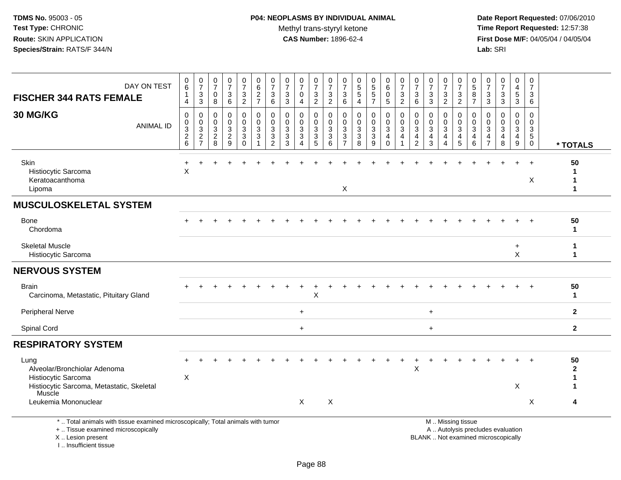**Date Report Requested:** 07/06/2010 **Time Report Requested:** 12:57:38 **First Dose M/F:** 04/05/04 / 04/05/04<br>Lab: SRI **Lab:** SRI

| DAY ON TEST<br><b>FISCHER 344 RATS FEMALE</b>                                                                                              | 0<br>$\,6\,$<br>$\mathbf{1}$<br>$\overline{4}$       | $\pmb{0}$<br>$\overline{7}$<br>$\sqrt{3}$<br>$\sqrt{3}$ | $\frac{0}{7}$<br>$\mathbf 0$<br>8                                        | $\frac{0}{7}$<br>$\mathbf{3}$<br>6      | 0<br>$\overline{7}$<br>3<br>$\overline{2}$            | $\begin{array}{c} 0 \\ 6 \end{array}$<br>$\frac{2}{7}$          | 0<br>$\overline{7}$<br>$\mathbf{3}$<br>$\,6\,$                    | 0<br>$\overline{7}$<br>$\mathbf{3}$<br>$\mathbf{3}$        | $\frac{0}{7}$<br>$\mathbf 0$<br>4                     | 0<br>$\overline{7}$<br>3<br>$\overline{2}$        | 0<br>$\overline{7}$<br>$\ensuremath{\mathsf{3}}$<br>$\overline{2}$ | $\overline{0}$<br>$\overline{7}$<br>$\frac{3}{6}$                          | $\begin{array}{c} 0 \\ 5 \end{array}$<br>$\sqrt{5}$<br>$\overline{4}$      | 0<br>5<br>5<br>$\overline{7}$   | 0<br>$\,6$<br>$\mathbf 0$<br>$\overline{5}$                     | $\frac{0}{7}$<br>$\mathbf{3}$<br>$\overline{2}$                                       | 0<br>$\overline{7}$<br>3<br>$\,6$                                                 | $\frac{0}{7}$<br>3<br>$\mathbf{3}$                                         | 0<br>$\overline{7}$<br>3<br>$\sqrt{2}$ | 0<br>$\overline{7}$<br>3<br>$\overline{2}$                                                    | 0<br>$5\,$<br>8<br>$\overline{7}$     | $\pmb{0}$<br>$\overline{7}$<br>$\ensuremath{\mathsf{3}}$<br>$\overline{3}$ | $\begin{array}{c} 0 \\ 7 \end{array}$<br>$\sqrt{3}$<br>$\overline{3}$                   | $\mathbf 0$<br>$\overline{4}$<br>$\sqrt{5}$<br>$\overline{3}$            | 0<br>$\overline{7}$<br>3<br>6                                           |                                  |
|--------------------------------------------------------------------------------------------------------------------------------------------|------------------------------------------------------|---------------------------------------------------------|--------------------------------------------------------------------------|-----------------------------------------|-------------------------------------------------------|-----------------------------------------------------------------|-------------------------------------------------------------------|------------------------------------------------------------|-------------------------------------------------------|---------------------------------------------------|--------------------------------------------------------------------|----------------------------------------------------------------------------|----------------------------------------------------------------------------|---------------------------------|-----------------------------------------------------------------|---------------------------------------------------------------------------------------|-----------------------------------------------------------------------------------|----------------------------------------------------------------------------|----------------------------------------|-----------------------------------------------------------------------------------------------|---------------------------------------|----------------------------------------------------------------------------|-----------------------------------------------------------------------------------------|--------------------------------------------------------------------------|-------------------------------------------------------------------------|----------------------------------|
| <b>30 MG/KG</b><br><b>ANIMAL ID</b>                                                                                                        | 0<br>0<br>$\sqrt{3}$<br>$\overline{\mathbf{c}}$<br>6 | 0<br>$\mathbf 0$<br>$\sqrt{3}$<br>$\frac{2}{7}$         | $\mathbf 0$<br>$\mathbf 0$<br>$\ensuremath{\mathsf{3}}$<br>$\frac{2}{8}$ | 0<br>0<br>$\mathbf{3}$<br>$\frac{2}{9}$ | 0<br>0<br>$\mathbf{3}$<br>$\mathbf{3}$<br>$\mathbf 0$ | $\mathbf 0$<br>$\mathbf 0$<br>$\sqrt{3}$<br>$\overline{3}$<br>1 | 0<br>$\mathbf{0}$<br>$\mathbf{3}$<br>$\sqrt{3}$<br>$\overline{c}$ | $\mathbf 0$<br>$\Omega$<br>$\mathbf{3}$<br>$\sqrt{3}$<br>3 | 0<br>$\mathbf 0$<br>$\mathbf{3}$<br>$\mathbf{3}$<br>4 | 0<br>$\mathbf 0$<br>$\sqrt{3}$<br>$\sqrt{3}$<br>5 | $\mathbf 0$<br>$\mathbf 0$<br>$\sqrt{3}$<br>$\sqrt{3}$<br>6        | $\mathbf 0$<br>$\mathbf 0$<br>$\sqrt{3}$<br>$\mathbf{3}$<br>$\overline{7}$ | $\mathbf 0$<br>$\mathbf 0$<br>$\sqrt{3}$<br>$\ensuremath{\mathsf{3}}$<br>8 | 0<br>$\mathbf 0$<br>3<br>3<br>9 | 0<br>$\pmb{0}$<br>$\mathbf{3}$<br>$\overline{4}$<br>$\mathbf 0$ | $\mathbf 0$<br>$\pmb{0}$<br>$\ensuremath{\mathsf{3}}$<br>$\overline{\mathbf{4}}$<br>1 | 0<br>$\mathbf 0$<br>$\ensuremath{\mathsf{3}}$<br>$\overline{4}$<br>$\overline{c}$ | $\mathbf 0$<br>$\mathbf 0$<br>$\mathbf{3}$<br>$\overline{\mathbf{4}}$<br>3 | 0<br>0<br>$\sqrt{3}$<br>4<br>4         | 0<br>$\mathbf 0$<br>$\sqrt{3}$<br>$\overline{\mathbf{4}}$<br>5                                | 0<br>$\Omega$<br>$\sqrt{3}$<br>4<br>6 | 0<br>$\Omega$<br>3<br>$\overline{\mathbf{4}}$<br>$\overline{7}$            | $\mathbf 0$<br>$\mathbf 0$<br>$\ensuremath{\mathsf{3}}$<br>$\overline{\mathbf{4}}$<br>8 | $\mathbf 0$<br>$\mathbf 0$<br>$\ensuremath{\mathsf{3}}$<br>$\frac{4}{9}$ | $\mathbf 0$<br>$\mathbf 0$<br>$\mathbf{3}$<br>$\sqrt{5}$<br>$\mathbf 0$ | * TOTALS                         |
| Skin<br>Histiocytic Sarcoma<br>Keratoacanthoma<br>Lipoma                                                                                   | X                                                    |                                                         |                                                                          |                                         |                                                       |                                                                 |                                                                   |                                                            |                                                       |                                                   |                                                                    | X                                                                          |                                                                            |                                 |                                                                 |                                                                                       |                                                                                   |                                                                            |                                        |                                                                                               |                                       |                                                                            |                                                                                         |                                                                          | X                                                                       | 50<br>$\mathbf 1$<br>$\mathbf 1$ |
| <b>MUSCULOSKELETAL SYSTEM</b>                                                                                                              |                                                      |                                                         |                                                                          |                                         |                                                       |                                                                 |                                                                   |                                                            |                                                       |                                                   |                                                                    |                                                                            |                                                                            |                                 |                                                                 |                                                                                       |                                                                                   |                                                                            |                                        |                                                                                               |                                       |                                                                            |                                                                                         |                                                                          |                                                                         |                                  |
| Bone<br>Chordoma                                                                                                                           |                                                      |                                                         |                                                                          |                                         |                                                       |                                                                 |                                                                   |                                                            |                                                       |                                                   |                                                                    |                                                                            |                                                                            |                                 |                                                                 |                                                                                       |                                                                                   |                                                                            |                                        |                                                                                               |                                       |                                                                            |                                                                                         |                                                                          |                                                                         | 50<br>$\mathbf{1}$               |
| <b>Skeletal Muscle</b><br>Histiocytic Sarcoma                                                                                              |                                                      |                                                         |                                                                          |                                         |                                                       |                                                                 |                                                                   |                                                            |                                                       |                                                   |                                                                    |                                                                            |                                                                            |                                 |                                                                 |                                                                                       |                                                                                   |                                                                            |                                        |                                                                                               |                                       |                                                                            |                                                                                         | $\ddot{}$<br>$\sf X$                                                     |                                                                         | -1<br>$\mathbf{1}$               |
| <b>NERVOUS SYSTEM</b>                                                                                                                      |                                                      |                                                         |                                                                          |                                         |                                                       |                                                                 |                                                                   |                                                            |                                                       |                                                   |                                                                    |                                                                            |                                                                            |                                 |                                                                 |                                                                                       |                                                                                   |                                                                            |                                        |                                                                                               |                                       |                                                                            |                                                                                         |                                                                          |                                                                         |                                  |
| <b>Brain</b><br>Carcinoma, Metastatic, Pituitary Gland                                                                                     |                                                      |                                                         |                                                                          |                                         |                                                       |                                                                 |                                                                   |                                                            |                                                       | X                                                 |                                                                    |                                                                            |                                                                            |                                 |                                                                 |                                                                                       |                                                                                   |                                                                            |                                        |                                                                                               |                                       |                                                                            |                                                                                         |                                                                          |                                                                         | 50<br>$\mathbf{1}$               |
| <b>Peripheral Nerve</b>                                                                                                                    |                                                      |                                                         |                                                                          |                                         |                                                       |                                                                 |                                                                   |                                                            | $\ddot{}$                                             |                                                   |                                                                    |                                                                            |                                                                            |                                 |                                                                 |                                                                                       |                                                                                   | $\ddot{}$                                                                  |                                        |                                                                                               |                                       |                                                                            |                                                                                         |                                                                          |                                                                         | $\mathbf{2}$                     |
| Spinal Cord                                                                                                                                |                                                      |                                                         |                                                                          |                                         |                                                       |                                                                 |                                                                   |                                                            | $\ddot{}$                                             |                                                   |                                                                    |                                                                            |                                                                            |                                 |                                                                 |                                                                                       |                                                                                   | $\ddot{}$                                                                  |                                        |                                                                                               |                                       |                                                                            |                                                                                         |                                                                          |                                                                         | $\mathbf{2}$                     |
| <b>RESPIRATORY SYSTEM</b>                                                                                                                  |                                                      |                                                         |                                                                          |                                         |                                                       |                                                                 |                                                                   |                                                            |                                                       |                                                   |                                                                    |                                                                            |                                                                            |                                 |                                                                 |                                                                                       |                                                                                   |                                                                            |                                        |                                                                                               |                                       |                                                                            |                                                                                         |                                                                          |                                                                         |                                  |
| Lung<br>Alveolar/Bronchiolar Adenoma<br>Histiocytic Sarcoma<br>Histiocytic Sarcoma, Metastatic, Skeletal                                   | X                                                    |                                                         |                                                                          |                                         |                                                       |                                                                 |                                                                   |                                                            |                                                       |                                                   |                                                                    |                                                                            |                                                                            |                                 |                                                                 |                                                                                       | Χ                                                                                 |                                                                            |                                        |                                                                                               |                                       |                                                                            |                                                                                         | $\pmb{\times}$                                                           | $\ddot{}$                                                               | 50<br>$\mathbf{2}$<br>1          |
| Muscle<br>Leukemia Mononuclear                                                                                                             |                                                      |                                                         |                                                                          |                                         |                                                       |                                                                 |                                                                   |                                                            | X                                                     |                                                   | X                                                                  |                                                                            |                                                                            |                                 |                                                                 |                                                                                       |                                                                                   |                                                                            |                                        |                                                                                               |                                       |                                                                            |                                                                                         |                                                                          | X                                                                       | 4                                |
| *  Total animals with tissue examined microscopically; Total animals with tumor<br>+  Tissue examined microscopically<br>X  Lesion present |                                                      |                                                         |                                                                          |                                         |                                                       |                                                                 |                                                                   |                                                            |                                                       |                                                   |                                                                    |                                                                            |                                                                            |                                 |                                                                 |                                                                                       |                                                                                   |                                                                            |                                        | M  Missing tissue<br>A  Autolysis precludes evaluation<br>BLANK  Not examined microscopically |                                       |                                                                            |                                                                                         |                                                                          |                                                                         |                                  |

I .. Insufficient tissue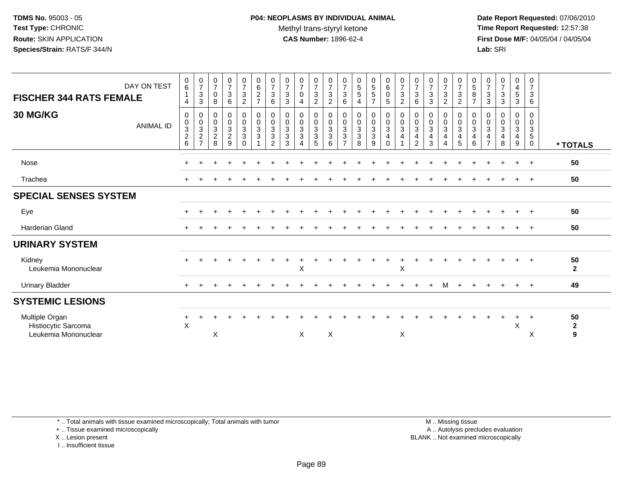**Date Report Requested:** 07/06/2010 **Time Report Requested:** 12:57:38 **First Dose M/F:** 04/05/04 / 04/05/04<br>**Lab:** SRI **Lab:** SRI

| DAY ON TEST<br><b>FISCHER 344 RATS FEMALE</b>                 | $\begin{matrix} 0 \\ 6 \end{matrix}$<br>4       | $\frac{0}{7}$<br>$\sqrt{3}$<br>$\sqrt{3}$                      | $\frac{0}{7}$<br>$\,0\,$<br>8                                             | $\frac{0}{7}$<br>$\mathbf{3}$<br>$\,6$                          | $\frac{0}{7}$<br>$\ensuremath{\mathsf{3}}$<br>$\boldsymbol{2}$           | $\begin{array}{c} 0 \\ 6 \end{array}$<br>$\overline{c}$<br>$\overline{7}$ | $\frac{0}{7}$<br>$\mathbf 3$<br>$\,6\,$                                     | $\frac{0}{7}$<br>$\sqrt{3}$<br>$\sqrt{3}$                                            | $\frac{0}{7}$<br>$\mathsf 0$<br>4                       | $\frac{0}{7}$<br>$\frac{3}{2}$ | $\frac{0}{7}$<br>$\ensuremath{\mathsf{3}}$<br>$\overline{2}$                        | $\frac{0}{7}$<br>$\sqrt{3}$<br>6                                           | $\begin{array}{c} 0 \\ 5 \\ 5 \end{array}$<br>$\overline{4}$ | $\begin{array}{c} 0 \\ 5 \\ 5 \end{array}$<br>$\overline{7}$            | $\begin{smallmatrix}0\0\0\end{smallmatrix}$<br>$\pmb{0}$<br>5                                   | $\frac{0}{7}$<br>$\ensuremath{\mathsf{3}}$<br>$\overline{2}$                     | $\frac{0}{7}$<br>$\sqrt{3}$<br>6                      | $\frac{0}{7}$<br>$\sqrt{3}$<br>$\mathbf{3}$        | $\frac{0}{7}$<br>$\sqrt{3}$<br>$\sqrt{2}$               | $\frac{0}{7}$<br>$\ensuremath{\mathsf{3}}$<br>$\boldsymbol{2}$ | $\begin{matrix} 0 \\ 5 \end{matrix}$<br>$\bf 8$<br>$\overline{7}$ | $\frac{0}{7}$<br>$\sqrt{3}$<br>$\ensuremath{\mathsf{3}}$           | $\begin{smallmatrix}0\\7\end{smallmatrix}$<br>$\frac{3}{3}$      | 0<br>$\frac{4}{5}$<br>$\mathfrak{S}$                             | $\mathbf 0$<br>$\overline{7}$<br>$\mathbf{3}$<br>$\,6\,$ |                                    |
|---------------------------------------------------------------|-------------------------------------------------|----------------------------------------------------------------|---------------------------------------------------------------------------|-----------------------------------------------------------------|--------------------------------------------------------------------------|---------------------------------------------------------------------------|-----------------------------------------------------------------------------|--------------------------------------------------------------------------------------|---------------------------------------------------------|--------------------------------|-------------------------------------------------------------------------------------|----------------------------------------------------------------------------|--------------------------------------------------------------|-------------------------------------------------------------------------|-------------------------------------------------------------------------------------------------|----------------------------------------------------------------------------------|-------------------------------------------------------|----------------------------------------------------|---------------------------------------------------------|----------------------------------------------------------------|-------------------------------------------------------------------|--------------------------------------------------------------------|------------------------------------------------------------------|------------------------------------------------------------------|----------------------------------------------------------|------------------------------------|
| <b>30 MG/KG</b><br><b>ANIMAL ID</b>                           | 0<br>$\pmb{0}$<br>$\sqrt{3}$<br>$\sqrt{2}$<br>6 | $\begin{smallmatrix}0\\0\\3\end{smallmatrix}$<br>$\frac{2}{7}$ | $\mathbf 0$<br>$\mathsf{O}\xspace$<br>$\mathbf{3}$<br>$\overline{c}$<br>8 | 0<br>$\mathsf{O}\xspace$<br>$\mathbf{3}$<br>$\overline{2}$<br>9 | 0<br>$\mathsf{O}\xspace$<br>$\overline{3}$<br>$\mathfrak{S}$<br>$\Omega$ | $_{\rm 0}^{\rm 0}$<br>$\overline{3}$<br>$\sqrt{3}$                        | $\mathbf 0$<br>$\frac{0}{3}$<br>$\ensuremath{\mathsf{3}}$<br>$\overline{2}$ | $\pmb{0}$<br>$\ddot{\mathbf{0}}$<br>$\overline{3}$<br>$\ensuremath{\mathsf{3}}$<br>3 | 0<br>$\mathbf 0$<br>$\mathbf{3}$<br>3<br>$\overline{4}$ | 0<br>$\frac{0}{3}$<br>5        | $\begin{smallmatrix} 0\\0 \end{smallmatrix}$<br>$\overline{3}$<br>$\mathbf{3}$<br>6 | 0<br>$\mathsf{O}\xspace$<br>$\overline{3}$<br>$\sqrt{3}$<br>$\overline{7}$ | $\mathbf 0$<br>$\frac{0}{3}$<br>$\sqrt{3}$<br>8              | 0<br>$\overline{0}$<br>$\overline{3}$<br>$\ensuremath{\mathsf{3}}$<br>9 | $\begin{smallmatrix} 0\\0 \end{smallmatrix}$<br>$\overline{3}$<br>$\overline{4}$<br>$\mathbf 0$ | $\begin{smallmatrix} 0\\0 \end{smallmatrix}$<br>$\overline{3}$<br>$\overline{4}$ | 0<br>$\pmb{0}$<br>$\mathbf{3}$<br>4<br>$\overline{2}$ | 0<br>$\frac{0}{3}$<br>$\overline{\mathbf{4}}$<br>3 | 0<br>$\pmb{0}$<br>$\overline{3}$<br>4<br>$\overline{4}$ | 0<br>$\pmb{0}$<br>$\overline{3}$<br>4<br>5                     | 0<br>$\mathsf{O}$<br>$\mathbf{3}$<br>4<br>6                       | 0<br>0<br>$\sqrt{3}$<br>$\overline{\mathcal{A}}$<br>$\overline{7}$ | 0<br>$\pmb{0}$<br>$\mathfrak{S}$<br>$\overline{\mathbf{4}}$<br>8 | 0<br>$\pmb{0}$<br>$\overline{3}$<br>$\overline{\mathbf{4}}$<br>9 | 0<br>$\mathbf 0$<br>3<br>$\sqrt{5}$<br>$\mathbf 0$       | * TOTALS                           |
| <b>Nose</b>                                                   | $\pm$                                           |                                                                |                                                                           |                                                                 |                                                                          |                                                                           |                                                                             |                                                                                      |                                                         |                                |                                                                                     |                                                                            |                                                              |                                                                         |                                                                                                 |                                                                                  |                                                       |                                                    |                                                         |                                                                |                                                                   |                                                                    |                                                                  |                                                                  | $\overline{+}$                                           | 50                                 |
| Trachea                                                       |                                                 |                                                                |                                                                           |                                                                 |                                                                          |                                                                           |                                                                             |                                                                                      |                                                         |                                |                                                                                     |                                                                            |                                                              |                                                                         |                                                                                                 |                                                                                  |                                                       |                                                    |                                                         |                                                                |                                                                   |                                                                    |                                                                  |                                                                  | $\ddot{}$                                                | 50                                 |
| <b>SPECIAL SENSES SYSTEM</b>                                  |                                                 |                                                                |                                                                           |                                                                 |                                                                          |                                                                           |                                                                             |                                                                                      |                                                         |                                |                                                                                     |                                                                            |                                                              |                                                                         |                                                                                                 |                                                                                  |                                                       |                                                    |                                                         |                                                                |                                                                   |                                                                    |                                                                  |                                                                  |                                                          |                                    |
| Eye                                                           |                                                 |                                                                |                                                                           |                                                                 |                                                                          |                                                                           |                                                                             |                                                                                      |                                                         |                                |                                                                                     |                                                                            |                                                              |                                                                         |                                                                                                 |                                                                                  |                                                       |                                                    |                                                         |                                                                |                                                                   |                                                                    |                                                                  |                                                                  | $\overline{+}$                                           | 50                                 |
| <b>Harderian Gland</b>                                        |                                                 |                                                                |                                                                           |                                                                 |                                                                          |                                                                           |                                                                             |                                                                                      |                                                         |                                |                                                                                     |                                                                            |                                                              |                                                                         |                                                                                                 |                                                                                  |                                                       |                                                    |                                                         |                                                                |                                                                   |                                                                    |                                                                  |                                                                  | $^{+}$                                                   | 50                                 |
| <b>URINARY SYSTEM</b>                                         |                                                 |                                                                |                                                                           |                                                                 |                                                                          |                                                                           |                                                                             |                                                                                      |                                                         |                                |                                                                                     |                                                                            |                                                              |                                                                         |                                                                                                 |                                                                                  |                                                       |                                                    |                                                         |                                                                |                                                                   |                                                                    |                                                                  |                                                                  |                                                          |                                    |
| Kidney<br>Leukemia Mononuclear                                |                                                 |                                                                |                                                                           |                                                                 |                                                                          |                                                                           |                                                                             |                                                                                      | Χ                                                       |                                |                                                                                     |                                                                            |                                                              |                                                                         |                                                                                                 | Χ                                                                                |                                                       |                                                    |                                                         |                                                                |                                                                   |                                                                    |                                                                  | $\div$                                                           | $+$                                                      | 50<br>$\mathbf{2}$                 |
| <b>Urinary Bladder</b>                                        | $\pm$                                           |                                                                |                                                                           |                                                                 |                                                                          |                                                                           |                                                                             |                                                                                      |                                                         |                                |                                                                                     |                                                                            |                                                              |                                                                         |                                                                                                 |                                                                                  |                                                       |                                                    | M                                                       | $\overline{+}$                                                 |                                                                   |                                                                    |                                                                  | $\ddot{}$                                                        | $+$                                                      | 49                                 |
| <b>SYSTEMIC LESIONS</b>                                       |                                                 |                                                                |                                                                           |                                                                 |                                                                          |                                                                           |                                                                             |                                                                                      |                                                         |                                |                                                                                     |                                                                            |                                                              |                                                                         |                                                                                                 |                                                                                  |                                                       |                                                    |                                                         |                                                                |                                                                   |                                                                    |                                                                  |                                                                  |                                                          |                                    |
| Multiple Organ<br>Histiocytic Sarcoma<br>Leukemia Mononuclear | $\overline{+}$<br>$\mathsf{X}$                  |                                                                | X                                                                         |                                                                 |                                                                          |                                                                           |                                                                             |                                                                                      | X                                                       |                                | $\boldsymbol{\mathsf{X}}$                                                           |                                                                            |                                                              |                                                                         |                                                                                                 | X                                                                                |                                                       |                                                    |                                                         |                                                                |                                                                   |                                                                    |                                                                  | $\ddot{}$<br>$\sf X$                                             | $\overline{+}$<br>X                                      | 50<br>$\mathbf{2}$<br>$\mathbf{9}$ |

\* .. Total animals with tissue examined microscopically; Total animals with tumor

+ .. Tissue examined microscopically

X .. Lesion present

I .. Insufficient tissue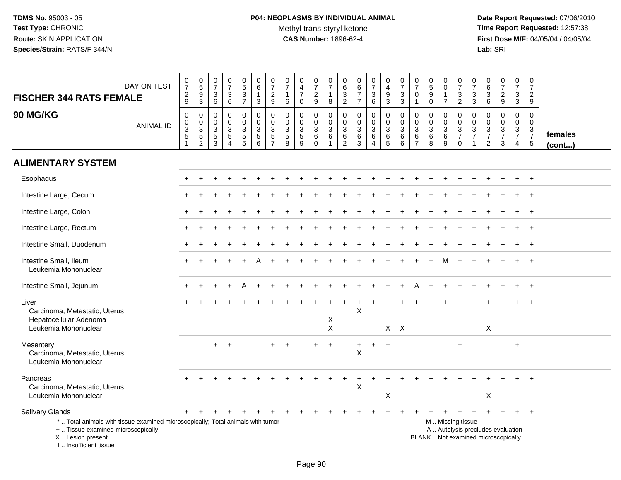**Date Report Requested:** 07/06/2010 **Time Report Requested:** 12:57:38 **First Dose M/F:** 04/05/04 / 04/05/04<br>Lab: SRI **Lab:** SRI

| <b>FISCHER 344 RATS FEMALE</b>                                                                                                                                      | DAY ON TEST      | $\begin{array}{c} 0 \\ 7 \end{array}$<br>$\frac{2}{9}$              | $\begin{array}{c} 0 \\ 5 \\ 3 \end{array}$                          | $\frac{0}{7}$<br>$\sqrt{3}$                                                 | $\begin{array}{c} 0 \\ 7 \end{array}$<br>$\ensuremath{\mathsf{3}}$                                     | 0<br>$\overline{5}$<br>$\frac{3}{7}$                             | 0<br>6<br>$\mathbf{1}$                         | 0<br>$\overline{7}$<br>$\overline{2}$                                | $\pmb{0}$<br>$\overline{7}$                           | $\mathbf 0$<br>$\overline{4}$<br>$\overline{7}$  | $\pmb{0}$<br>$\overline{7}$<br>$\overline{c}$           | 0<br>$\overline{7}$<br>1                          | 0<br>6<br>$\frac{3}{2}$                                               | $\begin{array}{c} 0 \\ 6 \\ 7 \end{array}$                 | 0<br>$\overline{7}$<br>$\frac{3}{6}$                                         | $\pmb{0}$<br>$\overline{4}$<br>$\frac{9}{3}$                                | $\begin{array}{c} 0 \\ 7 \end{array}$<br>$_3^3$                           | $\pmb{0}$<br>$\overline{7}$<br>$\mathbf 0$                                        | $\begin{array}{c} 0 \\ 5 \end{array}$<br>$\boldsymbol{9}$ | 0<br>$\mathbf 0$<br>$\mathbf{1}$                         | 0<br>$\overline{7}$<br>$\mathbf{3}$                                                           | 0<br>$\overline{7}$<br>$_3^3$                                                     | $\begin{array}{c} 0 \\ 6 \end{array}$<br>$\overline{3}$                          | $\begin{array}{c} 0 \\ 7 \end{array}$<br>$\frac{2}{9}$ | $\pmb{0}$<br>$\overline{7}$<br>$\mathbf 3$                                    | $\mathbf 0$<br>$\overline{7}$<br>$\overline{2}$                     |                   |
|---------------------------------------------------------------------------------------------------------------------------------------------------------------------|------------------|---------------------------------------------------------------------|---------------------------------------------------------------------|-----------------------------------------------------------------------------|--------------------------------------------------------------------------------------------------------|------------------------------------------------------------------|------------------------------------------------|----------------------------------------------------------------------|-------------------------------------------------------|--------------------------------------------------|---------------------------------------------------------|---------------------------------------------------|-----------------------------------------------------------------------|------------------------------------------------------------|------------------------------------------------------------------------------|-----------------------------------------------------------------------------|---------------------------------------------------------------------------|-----------------------------------------------------------------------------------|-----------------------------------------------------------|----------------------------------------------------------|-----------------------------------------------------------------------------------------------|-----------------------------------------------------------------------------------|----------------------------------------------------------------------------------|--------------------------------------------------------|-------------------------------------------------------------------------------|---------------------------------------------------------------------|-------------------|
| 90 MG/KG                                                                                                                                                            | <b>ANIMAL ID</b> | $\mathsf 0$<br>$\pmb{0}$<br>$\ensuremath{\mathsf{3}}$<br>$\sqrt{5}$ | $\boldsymbol{0}$<br>$\begin{array}{c} 0 \\ 3 \\ 5 \\ 2 \end{array}$ | 6<br>$\mathbf 0$<br>$\mathbf 0$<br>$\sqrt{3}$<br>$\sqrt{5}$<br>$\mathbf{3}$ | $\,6\,$<br>$\mathbf 0$<br>$\mathbf 0$<br>$\ensuremath{\mathsf{3}}$<br>$\overline{5}$<br>$\overline{4}$ | $\mathbf 0$<br>$\overline{0}$<br>$\frac{3}{5}$<br>$\overline{5}$ | 3<br>$\mathbf 0$<br>$\mathbf 0$<br>3<br>5<br>6 | 9<br>$\mathbf 0$<br>$\mathbf 0$<br>3<br>$\sqrt{5}$<br>$\overline{7}$ | 6<br>$\mathbf 0$<br>$\mathbf 0$<br>$\frac{3}{5}$<br>8 | $\mathbf 0$<br>0<br>$\mathbf 0$<br>$\frac{3}{5}$ | 9<br>0<br>$\mathbf 0$<br>$\sqrt{3}$<br>6<br>$\mathbf 0$ | 8<br>0<br>$\overline{0}$<br>3<br>6<br>$\mathbf 1$ | $\mathbf 0$<br>$\mathbf 0$<br>$\sqrt{3}$<br>$\,6\,$<br>$\overline{2}$ | $\overline{7}$<br>0<br>$\overline{0}$<br>3<br>$\,6\,$<br>3 | $\pmb{0}$<br>$\ddot{\mathbf{0}}$<br>$\mathsf 3$<br>$\,6\,$<br>$\overline{4}$ | $\mathbf 0$<br>$\ddot{\mathbf{0}}$<br>$\sqrt{3}$<br>$\,6$<br>$\overline{5}$ | 0<br>$\mathbf 0$<br>$\ensuremath{\mathsf{3}}$<br>$\,6$<br>$6\phantom{1}6$ | $\overline{1}$<br>$\mathbf 0$<br>$\mathbf 0$<br>$\sqrt{3}$<br>6<br>$\overline{7}$ | $\mathbf 0$<br>0<br>0<br>$\sqrt{3}$<br>6<br>8             | $\overline{7}$<br>0<br>$\frac{0}{3}$<br>$\boldsymbol{9}$ | $\overline{2}$<br>0<br>$\mathbf 0$<br>$\frac{3}{7}$<br>$\mathbf 0$                            | 0<br>$\mathbf 0$<br>$\ensuremath{\mathsf{3}}$<br>$\overline{7}$<br>$\overline{1}$ | $\,6\,$<br>$\mathbf 0$<br>$\ddot{\mathbf{0}}$<br>$\frac{3}{7}$<br>$\overline{2}$ | 0<br>$\mathbf 0$<br>$\frac{3}{7}$<br>3                 | $\mathbf{3}$<br>$\mathbf 0$<br>$\mathbf 0$<br>$\frac{3}{7}$<br>$\overline{4}$ | 9<br>$\Omega$<br>$\Omega$<br>3<br>$\overline{7}$<br>$5\phantom{.0}$ | females<br>(cont) |
| <b>ALIMENTARY SYSTEM</b>                                                                                                                                            |                  |                                                                     |                                                                     |                                                                             |                                                                                                        |                                                                  |                                                |                                                                      |                                                       |                                                  |                                                         |                                                   |                                                                       |                                                            |                                                                              |                                                                             |                                                                           |                                                                                   |                                                           |                                                          |                                                                                               |                                                                                   |                                                                                  |                                                        |                                                                               |                                                                     |                   |
| Esophagus                                                                                                                                                           |                  |                                                                     |                                                                     |                                                                             |                                                                                                        |                                                                  |                                                |                                                                      |                                                       |                                                  |                                                         |                                                   |                                                                       |                                                            |                                                                              |                                                                             |                                                                           |                                                                                   |                                                           |                                                          |                                                                                               |                                                                                   |                                                                                  |                                                        |                                                                               |                                                                     |                   |
| Intestine Large, Cecum                                                                                                                                              |                  |                                                                     |                                                                     |                                                                             |                                                                                                        |                                                                  |                                                |                                                                      |                                                       |                                                  |                                                         |                                                   |                                                                       |                                                            |                                                                              |                                                                             |                                                                           |                                                                                   |                                                           |                                                          |                                                                                               |                                                                                   |                                                                                  |                                                        |                                                                               | $\ddot{}$                                                           |                   |
| Intestine Large, Colon                                                                                                                                              |                  |                                                                     |                                                                     |                                                                             |                                                                                                        |                                                                  |                                                |                                                                      |                                                       |                                                  |                                                         |                                                   |                                                                       |                                                            |                                                                              |                                                                             |                                                                           |                                                                                   |                                                           |                                                          |                                                                                               |                                                                                   |                                                                                  |                                                        |                                                                               | $\ddot{}$                                                           |                   |
| Intestine Large, Rectum                                                                                                                                             |                  |                                                                     |                                                                     |                                                                             |                                                                                                        |                                                                  |                                                |                                                                      |                                                       |                                                  |                                                         |                                                   |                                                                       |                                                            |                                                                              |                                                                             |                                                                           |                                                                                   |                                                           |                                                          |                                                                                               |                                                                                   |                                                                                  |                                                        |                                                                               |                                                                     |                   |
| Intestine Small, Duodenum                                                                                                                                           |                  |                                                                     |                                                                     |                                                                             |                                                                                                        |                                                                  |                                                |                                                                      |                                                       |                                                  |                                                         |                                                   |                                                                       |                                                            |                                                                              |                                                                             |                                                                           |                                                                                   |                                                           |                                                          |                                                                                               |                                                                                   |                                                                                  |                                                        |                                                                               |                                                                     |                   |
| Intestine Small, Ileum<br>Leukemia Mononuclear                                                                                                                      |                  |                                                                     |                                                                     |                                                                             |                                                                                                        |                                                                  |                                                |                                                                      |                                                       |                                                  |                                                         |                                                   |                                                                       |                                                            |                                                                              |                                                                             |                                                                           |                                                                                   |                                                           |                                                          |                                                                                               |                                                                                   |                                                                                  |                                                        |                                                                               |                                                                     |                   |
| Intestine Small, Jejunum                                                                                                                                            |                  |                                                                     |                                                                     |                                                                             |                                                                                                        |                                                                  |                                                |                                                                      |                                                       |                                                  |                                                         |                                                   |                                                                       |                                                            |                                                                              |                                                                             |                                                                           |                                                                                   |                                                           |                                                          |                                                                                               |                                                                                   |                                                                                  |                                                        |                                                                               | $\div$                                                              |                   |
| Liver<br>Carcinoma, Metastatic, Uterus                                                                                                                              |                  |                                                                     |                                                                     |                                                                             |                                                                                                        |                                                                  |                                                |                                                                      |                                                       |                                                  |                                                         |                                                   |                                                                       | X                                                          |                                                                              |                                                                             |                                                                           |                                                                                   |                                                           |                                                          |                                                                                               |                                                                                   |                                                                                  |                                                        |                                                                               |                                                                     |                   |
| Hepatocellular Adenoma<br>Leukemia Mononuclear                                                                                                                      |                  |                                                                     |                                                                     |                                                                             |                                                                                                        |                                                                  |                                                |                                                                      |                                                       |                                                  |                                                         | X<br>$\boldsymbol{\mathsf{X}}$                    |                                                                       |                                                            |                                                                              | $X$ $X$                                                                     |                                                                           |                                                                                   |                                                           |                                                          |                                                                                               |                                                                                   | X                                                                                |                                                        |                                                                               |                                                                     |                   |
| Mesentery<br>Carcinoma, Metastatic, Uterus<br>Leukemia Mononuclear                                                                                                  |                  |                                                                     |                                                                     | $+$                                                                         | $\div$                                                                                                 |                                                                  |                                                |                                                                      |                                                       |                                                  |                                                         | $\ddot{}$                                         |                                                                       | +<br>$\sf X$                                               |                                                                              | $+$                                                                         |                                                                           |                                                                                   |                                                           |                                                          | $\ddot{}$                                                                                     |                                                                                   |                                                                                  |                                                        | $\ddot{}$                                                                     |                                                                     |                   |
| Pancreas<br>Carcinoma, Metastatic, Uterus<br>Leukemia Mononuclear                                                                                                   |                  |                                                                     |                                                                     |                                                                             |                                                                                                        |                                                                  |                                                |                                                                      |                                                       |                                                  |                                                         |                                                   |                                                                       | X                                                          |                                                                              | X                                                                           |                                                                           |                                                                                   |                                                           |                                                          |                                                                                               |                                                                                   | X                                                                                |                                                        |                                                                               |                                                                     |                   |
| Salivary Glands                                                                                                                                                     |                  |                                                                     | $^{+}$                                                              | $\ddot{}$                                                                   | $+$                                                                                                    | $+$                                                              | $+$                                            | $+$                                                                  | $_{+}$                                                | $+$                                              | $+$                                                     | $\ddot{}$                                         |                                                                       |                                                            |                                                                              |                                                                             |                                                                           |                                                                                   | $\ddot{}$                                                 | $+$                                                      | $+$                                                                                           | $+$                                                                               | $+$                                                                              | $+$                                                    | $+$                                                                           | $+$                                                                 |                   |
| *  Total animals with tissue examined microscopically; Total animals with tumor<br>+  Tissue examined microscopically<br>X  Lesion present<br>I Insufficient tissue |                  |                                                                     |                                                                     |                                                                             |                                                                                                        |                                                                  |                                                |                                                                      |                                                       |                                                  |                                                         |                                                   |                                                                       |                                                            |                                                                              |                                                                             |                                                                           |                                                                                   |                                                           |                                                          | M  Missing tissue<br>A  Autolysis precludes evaluation<br>BLANK  Not examined microscopically |                                                                                   |                                                                                  |                                                        |                                                                               |                                                                     |                   |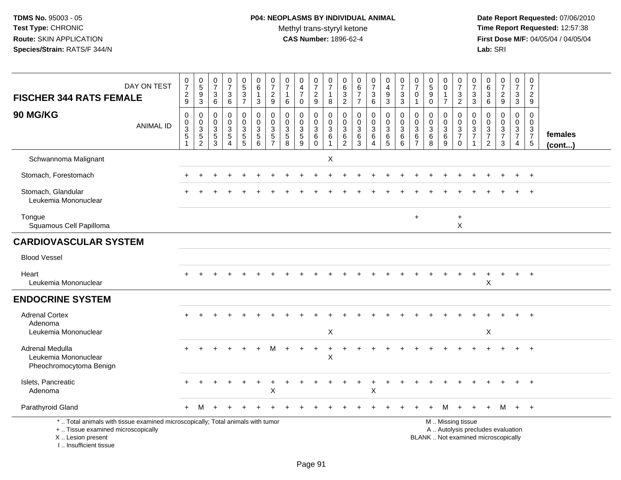# **P04: NEOPLASMS BY INDIVIDUAL ANIMAL**Methyl trans-styryl ketone<br>CAS Number: 1896-62-4

 **Date Report Requested:** 07/06/2010 **Time Report Requested:** 12:57:38 **First Dose M/F:** 04/05/04 / 04/05/04<br>Lab: SRI **Lab:** SRI

| <b>FISCHER 344 RATS FEMALE</b>                                                                                                                                      | DAY ON TEST      | $\frac{0}{7}$<br>$\frac{2}{9}$                                               | $\begin{array}{c} 0 \\ 5 \end{array}$<br>$\frac{9}{3}$                | 0<br>$\overline{7}$<br>$\sqrt{3}$<br>$6\phantom{a}$ | $\begin{array}{c} 0 \\ 7 \end{array}$<br>$^3$ 6                                       | $\begin{array}{c} 0 \\ 5 \end{array}$<br>$\frac{3}{7}$                                 | $\pmb{0}$<br>$\overline{6}$<br>$\mathbf{1}$<br>$\sqrt{3}$                             | $\frac{0}{7}$<br>$\frac{2}{9}$               | $\frac{0}{7}$<br>$\mathbf{1}$<br>$\,6\,$                                            | $_4^{\rm 0}$<br>$\overline{7}$<br>$\mathbf 0$ | $\frac{0}{7}$<br>$\frac{2}{9}$               | $\frac{0}{7}$<br>$\mathbf{1}$<br>$\,8\,$                                  | 0<br>$\begin{array}{c} 6 \\ 3 \\ 2 \end{array}$                | $\begin{array}{c} 0 \\ 6 \end{array}$<br>$\overline{7}$<br>$\overline{7}$            | $\frac{0}{7}$<br>$\mathbf{3}$<br>$6\overline{6}$                | $\begin{array}{c} 0 \\ 4 \\ 9 \end{array}$<br>$\overline{3}$       | $\begin{array}{c} 0 \\ 7 \end{array}$<br>$\frac{3}{3}$                  | $\frac{0}{7}$<br>$\mathbf 0$<br>$\mathbf{1}$ | $\begin{smallmatrix}0\0\5\end{smallmatrix}$<br>$\boldsymbol{9}$<br>$\pmb{0}$ | $_{\rm 0}^{\rm 0}$<br>$\mathbf{1}$<br>$\overline{7}$  | $\begin{array}{c} 0 \\ 7 \end{array}$<br>$\frac{3}{2}$                                  | $\frac{0}{7}$<br>3<br>$\overline{3}$                                      | 0<br>6<br>3<br>6                                                         | $\frac{0}{7}$<br>$\frac{2}{9}$                                           | $\begin{array}{c} 0 \\ 7 \end{array}$<br>$\frac{3}{3}$                         | $\begin{array}{c} 0 \\ 7 \end{array}$<br>$\frac{2}{9}$    |                   |
|---------------------------------------------------------------------------------------------------------------------------------------------------------------------|------------------|------------------------------------------------------------------------------|-----------------------------------------------------------------------|-----------------------------------------------------|---------------------------------------------------------------------------------------|----------------------------------------------------------------------------------------|---------------------------------------------------------------------------------------|----------------------------------------------|-------------------------------------------------------------------------------------|-----------------------------------------------|----------------------------------------------|---------------------------------------------------------------------------|----------------------------------------------------------------|--------------------------------------------------------------------------------------|-----------------------------------------------------------------|--------------------------------------------------------------------|-------------------------------------------------------------------------|----------------------------------------------|------------------------------------------------------------------------------|-------------------------------------------------------|-----------------------------------------------------------------------------------------|---------------------------------------------------------------------------|--------------------------------------------------------------------------|--------------------------------------------------------------------------|--------------------------------------------------------------------------------|-----------------------------------------------------------|-------------------|
| 90 MG/KG                                                                                                                                                            | <b>ANIMAL ID</b> | $\pmb{0}$<br>$\mathsf{O}$<br>$\overline{3}$<br>$\,$ 5 $\,$<br>$\overline{1}$ | $\mathsf{O}\xspace$<br>$\mathbf 0$<br>$\overline{3}$<br>$\frac{5}{2}$ | $\mathbf 0$<br>0<br>$\sqrt{3}$<br>$\frac{5}{3}$     | $\mathbf 0$<br>$\mathbf 0$<br>$\overline{3}$<br>$\,$ 5 $\,$<br>$\boldsymbol{\Lambda}$ | 0<br>$\mathbf 0$<br>$\ensuremath{\mathsf{3}}$<br>$\begin{array}{c} 5 \\ 5 \end{array}$ | $\mathbf 0$<br>$\mathbf 0$<br>$\overline{3}$<br>$\begin{array}{c} 5 \\ 6 \end{array}$ | 0<br>$\mathbf 0$<br>3<br>5<br>$\overline{7}$ | $\pmb{0}$<br>$\mathbf 0$<br>$\overline{3}$<br>$\begin{array}{c} 5 \\ 8 \end{array}$ | 0<br>0<br>$\overline{3}$<br>$\frac{5}{9}$     | 0<br>$\mathbf 0$<br>$\overline{3}$<br>$^6_0$ | $\mathsf 0$<br>$\mathsf 0$<br>$\overline{3}$<br>$\,6\,$<br>$\overline{1}$ | 0<br>$\mathbf 0$<br>$\ensuremath{\mathsf{3}}$<br>$\frac{6}{2}$ | $\mathbf 0$<br>$\mathbf 0$<br>$\ensuremath{\mathsf{3}}$<br>$\,6\,$<br>$\overline{3}$ | 0<br>$\mathbf 0$<br>$\mathbf{3}$<br>6<br>$\boldsymbol{\Lambda}$ | $\mathbf 0$<br>$\ddot{\mathbf{0}}$<br>$\overline{3}$<br>$6\over 5$ | $\mathsf 0$<br>$\mathbf 0$<br>$\overline{3}$<br>$\,6$<br>$\overline{6}$ | 0<br>$\mathbf 0$<br>3<br>6                   | $\pmb{0}$<br>$\mathbf 0$<br>$\overline{3}$<br>$\,6\,$<br>$\overline{8}$      | 0<br>0<br>$\overline{3}$<br>$\,6\,$<br>$\overline{9}$ | $\boldsymbol{0}$<br>$\boldsymbol{0}$<br>$\overline{3}$<br>$\overline{7}$<br>$\mathbf 0$ | $\mathbf 0$<br>$\mathbf 0$<br>$\ensuremath{\mathsf{3}}$<br>$\overline{7}$ | 0<br>$\mathbf 0$<br>$\overline{3}$<br>$\boldsymbol{7}$<br>$\overline{2}$ | $\mathsf 0$<br>$\mathbf 0$<br>$\overline{3}$<br>$\overline{7}$<br>3      | $\pmb{0}$<br>$\mathbf 0$<br>$\overline{3}$<br>$\overline{7}$<br>$\overline{4}$ | $\mathbf 0$<br>$\mathbf 0$<br>$\frac{3}{7}$<br>$\sqrt{5}$ | females<br>(cont) |
| Schwannoma Malignant                                                                                                                                                |                  |                                                                              |                                                                       |                                                     |                                                                                       |                                                                                        |                                                                                       |                                              |                                                                                     |                                               |                                              | X                                                                         |                                                                |                                                                                      |                                                                 |                                                                    |                                                                         |                                              |                                                                              |                                                       |                                                                                         |                                                                           |                                                                          |                                                                          |                                                                                |                                                           |                   |
| Stomach, Forestomach                                                                                                                                                |                  |                                                                              |                                                                       |                                                     |                                                                                       |                                                                                        |                                                                                       |                                              |                                                                                     |                                               |                                              |                                                                           |                                                                |                                                                                      |                                                                 |                                                                    |                                                                         |                                              |                                                                              |                                                       |                                                                                         |                                                                           |                                                                          |                                                                          |                                                                                | $\overline{+}$                                            |                   |
| Stomach, Glandular<br>Leukemia Mononuclear                                                                                                                          |                  |                                                                              |                                                                       |                                                     |                                                                                       |                                                                                        |                                                                                       |                                              |                                                                                     |                                               |                                              |                                                                           |                                                                |                                                                                      |                                                                 |                                                                    |                                                                         |                                              |                                                                              |                                                       |                                                                                         |                                                                           |                                                                          |                                                                          |                                                                                |                                                           |                   |
| Tongue<br>Squamous Cell Papilloma                                                                                                                                   |                  |                                                                              |                                                                       |                                                     |                                                                                       |                                                                                        |                                                                                       |                                              |                                                                                     |                                               |                                              |                                                                           |                                                                |                                                                                      |                                                                 |                                                                    |                                                                         | $+$                                          |                                                                              |                                                       | $\ddot{}$<br>X                                                                          |                                                                           |                                                                          |                                                                          |                                                                                |                                                           |                   |
| <b>CARDIOVASCULAR SYSTEM</b>                                                                                                                                        |                  |                                                                              |                                                                       |                                                     |                                                                                       |                                                                                        |                                                                                       |                                              |                                                                                     |                                               |                                              |                                                                           |                                                                |                                                                                      |                                                                 |                                                                    |                                                                         |                                              |                                                                              |                                                       |                                                                                         |                                                                           |                                                                          |                                                                          |                                                                                |                                                           |                   |
| <b>Blood Vessel</b>                                                                                                                                                 |                  |                                                                              |                                                                       |                                                     |                                                                                       |                                                                                        |                                                                                       |                                              |                                                                                     |                                               |                                              |                                                                           |                                                                |                                                                                      |                                                                 |                                                                    |                                                                         |                                              |                                                                              |                                                       |                                                                                         |                                                                           |                                                                          |                                                                          |                                                                                |                                                           |                   |
| Heart<br>Leukemia Mononuclear                                                                                                                                       |                  |                                                                              |                                                                       |                                                     |                                                                                       |                                                                                        |                                                                                       |                                              |                                                                                     |                                               |                                              |                                                                           |                                                                |                                                                                      |                                                                 |                                                                    |                                                                         |                                              |                                                                              |                                                       |                                                                                         |                                                                           | X                                                                        |                                                                          |                                                                                | $\overline{1}$                                            |                   |
| <b>ENDOCRINE SYSTEM</b>                                                                                                                                             |                  |                                                                              |                                                                       |                                                     |                                                                                       |                                                                                        |                                                                                       |                                              |                                                                                     |                                               |                                              |                                                                           |                                                                |                                                                                      |                                                                 |                                                                    |                                                                         |                                              |                                                                              |                                                       |                                                                                         |                                                                           |                                                                          |                                                                          |                                                                                |                                                           |                   |
| <b>Adrenal Cortex</b><br>Adenoma                                                                                                                                    |                  |                                                                              |                                                                       |                                                     |                                                                                       |                                                                                        |                                                                                       |                                              |                                                                                     |                                               |                                              |                                                                           |                                                                |                                                                                      |                                                                 |                                                                    |                                                                         |                                              |                                                                              |                                                       |                                                                                         |                                                                           |                                                                          |                                                                          |                                                                                |                                                           |                   |
| Leukemia Mononuclear                                                                                                                                                |                  |                                                                              |                                                                       |                                                     |                                                                                       |                                                                                        |                                                                                       |                                              |                                                                                     |                                               |                                              | X                                                                         |                                                                |                                                                                      |                                                                 |                                                                    |                                                                         |                                              |                                                                              |                                                       |                                                                                         |                                                                           | X                                                                        |                                                                          |                                                                                |                                                           |                   |
| Adrenal Medulla<br>Leukemia Mononuclear<br>Pheochromocytoma Benign                                                                                                  |                  |                                                                              |                                                                       |                                                     |                                                                                       |                                                                                        |                                                                                       |                                              |                                                                                     |                                               |                                              | $\mathsf X$                                                               |                                                                |                                                                                      |                                                                 |                                                                    |                                                                         |                                              |                                                                              |                                                       |                                                                                         |                                                                           |                                                                          |                                                                          |                                                                                |                                                           |                   |
| Islets, Pancreatic<br>Adenoma                                                                                                                                       |                  |                                                                              |                                                                       |                                                     |                                                                                       |                                                                                        |                                                                                       | ÷<br>Χ                                       |                                                                                     |                                               |                                              |                                                                           |                                                                |                                                                                      | $\ddot{}$<br>X                                                  |                                                                    |                                                                         |                                              |                                                                              |                                                       |                                                                                         |                                                                           |                                                                          |                                                                          |                                                                                | $+$                                                       |                   |
| Parathyroid Gland                                                                                                                                                   |                  | $+$                                                                          | M                                                                     |                                                     |                                                                                       |                                                                                        |                                                                                       |                                              |                                                                                     |                                               |                                              |                                                                           |                                                                |                                                                                      |                                                                 |                                                                    |                                                                         |                                              |                                                                              | м                                                     |                                                                                         |                                                                           |                                                                          | M                                                                        | $+$                                                                            | $+$                                                       |                   |
| *  Total animals with tissue examined microscopically; Total animals with tumor<br>+  Tissue examined microscopically<br>X  Lesion present<br>I Insufficient tissue |                  |                                                                              |                                                                       |                                                     |                                                                                       |                                                                                        |                                                                                       |                                              |                                                                                     |                                               |                                              |                                                                           |                                                                |                                                                                      |                                                                 |                                                                    |                                                                         |                                              |                                                                              |                                                       | M  Missing tissue                                                                       |                                                                           |                                                                          | A  Autolysis precludes evaluation<br>BLANK  Not examined microscopically |                                                                                |                                                           |                   |

Page 91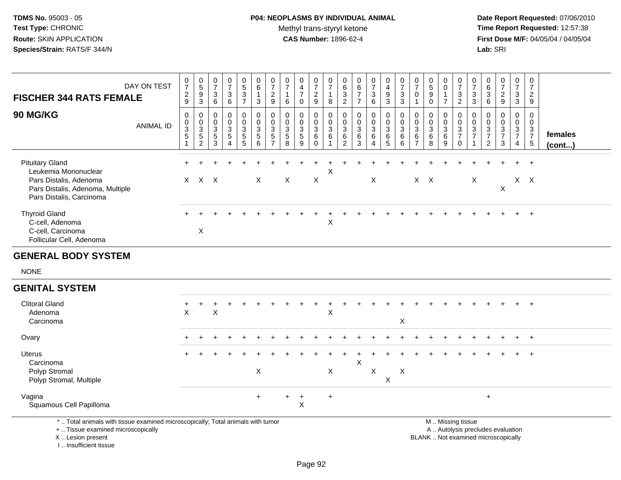## **P04: NEOPLASMS BY INDIVIDUAL ANIMAL**Methyl trans-styryl ketone<br>CAS Number: 1896-62-4

 **Date Report Requested:** 07/06/2010 **Time Report Requested:** 12:57:38 **First Dose M/F:** 04/05/04 / 04/05/04 Lab: SRI **Lab:** SRI

| <b>FISCHER 344 RATS FEMALE</b>                                                                                                           | DAY ON TEST      | 0<br>$\overline{7}$<br>$\overline{c}$<br>9 | $\begin{matrix}0\\5\end{matrix}$<br>$\overline{9}$<br>$\mathbf{3}$ | 0<br>$\overline{ }$<br>$\sqrt{3}$<br>6                                             | 0<br>$\overline{7}$<br>$\ensuremath{\mathsf{3}}$<br>6                   | $\mathbf{0}$<br>$\frac{5}{3}$<br>$\overline{ }$ | $\begin{matrix} 0 \\ 6 \end{matrix}$<br>3 | $\frac{0}{7}$<br>$\overline{2}$<br>$\boldsymbol{9}$                            | 0<br>$\overline{z}$<br>6                                                | 0<br>$\overline{\mathbf{4}}$<br>$\overline{ }$<br>$\Omega$ | $\overline{ }$<br>C.<br>9 | $\frac{0}{7}$<br>8                                   | 0<br>$\,6\,$<br>$\mathsf 3$<br>$\overline{2}$              | $\begin{array}{c} 0 \\ 6 \\ 7 \end{array}$<br>$\overline{7}$ | $\frac{0}{7}$<br>$\sqrt{3}$<br>$6\phantom{1}6$      | 0<br>$\overline{4}$<br>9<br>3      | $\frac{0}{7}$<br>3<br>3                                              | $\frac{0}{7}$<br>$\mathbf 0$                                                 | $\sqrt{5}$<br>$\boldsymbol{9}$<br>$\mathbf 0$                                     | 0<br>$\pmb{0}$<br>$\overline{ }$                                         | $\frac{0}{7}$<br>$\mathbf{3}$<br>$\overline{2}$ | $\mathbf 0$<br>$\overline{7}$<br>$\ensuremath{\mathsf{3}}$<br>3 | 0<br>6<br>$\sqrt{3}$<br>6                   | $\overline{ }$<br>$\overline{\mathbf{c}}$<br>9  | 0<br>$\overline{ }$<br>$\sqrt{3}$<br>$\mathbf{3}$                | 0<br>$\overline{ }$<br>$\overline{2}$<br>$\boldsymbol{9}$ |                   |  |
|------------------------------------------------------------------------------------------------------------------------------------------|------------------|--------------------------------------------|--------------------------------------------------------------------|------------------------------------------------------------------------------------|-------------------------------------------------------------------------|-------------------------------------------------|-------------------------------------------|--------------------------------------------------------------------------------|-------------------------------------------------------------------------|------------------------------------------------------------|---------------------------|------------------------------------------------------|------------------------------------------------------------|--------------------------------------------------------------|-----------------------------------------------------|------------------------------------|----------------------------------------------------------------------|------------------------------------------------------------------------------|-----------------------------------------------------------------------------------|--------------------------------------------------------------------------|-------------------------------------------------|-----------------------------------------------------------------|---------------------------------------------|-------------------------------------------------|------------------------------------------------------------------|-----------------------------------------------------------|-------------------|--|
| 90 MG/KG                                                                                                                                 | <b>ANIMAL ID</b> | 0<br>$\mathbf 0$<br>$\overline{3}$<br>5    | $\begin{array}{c} 0 \\ 0 \\ 3 \\ 5 \end{array}$<br>$\overline{2}$  | $\begin{smallmatrix} 0\\0 \end{smallmatrix}$<br>$\overline{3}$<br>$\,$ 5 $\,$<br>3 | 0<br>$\overline{0}$<br>$\ensuremath{\mathsf{3}}$<br>$\overline{5}$<br>4 | $_0^0$<br>$\frac{3}{5}$<br>5                    | $_0^0$<br>$\frac{3}{5}$<br>6              | $\begin{smallmatrix} 0\\0 \end{smallmatrix}$<br>$\frac{3}{5}$<br>$\rightarrow$ | $\ddot{\mathbf{0}}$<br>$\ensuremath{\mathsf{3}}$<br>$\overline{5}$<br>8 | 0<br>$\overline{0}$<br>3<br>5<br>9                         | 0<br>3<br>6               | $_{\rm 0}^{\rm 0}$<br>$\ensuremath{\mathsf{3}}$<br>6 | $_0^0$<br>$\ensuremath{\mathsf{3}}$<br>$\,6\,$<br>$\Omega$ | $\begin{matrix} 0 \\ 0 \\ 3 \\ 6 \end{matrix}$<br>3          | $\begin{matrix} 0 \\ 0 \\ 3 \\ 6 \end{matrix}$<br>4 | $_0^0$<br>$\overline{3}$<br>6<br>5 | $\begin{smallmatrix}0\0\0\end{smallmatrix}$<br>$\mathbf 3$<br>6<br>6 | $_{\rm 0}^{\rm 0}$<br>$\ensuremath{\mathsf{3}}$<br>$\,6\,$<br>$\overline{ }$ | $\begin{matrix} 0 \\ 0 \end{matrix}$<br>$\ensuremath{\mathsf{3}}$<br>$\,6\,$<br>8 | $\begin{smallmatrix} 0\\0 \end{smallmatrix}$<br>$\sqrt{3}$<br>$\,6$<br>9 | $_{0}^{0}$<br>3<br>$\overline{ }$<br>0          | $\,0\,$<br>$\ensuremath{\mathsf{3}}$<br>$\overline{7}$          | $_0^0$<br>$\sqrt{3}$<br>$\overline{ }$<br>2 | $\frac{0}{0}$<br>$\ensuremath{\mathsf{3}}$<br>3 | 0<br>$\pmb{0}$<br>$\sqrt{3}$<br>$\overline{ }$<br>$\overline{4}$ | 0<br>0<br>$\sqrt{3}$<br>$\overline{ }$<br>5               | females<br>(cont) |  |
| <b>Pituitary Gland</b><br>Leukemia Mononuclear<br>Pars Distalis, Adenoma<br>Pars Distalis, Adenoma, Multiple<br>Pars Distalis, Carcinoma |                  |                                            | $X$ $X$ $X$                                                        |                                                                                    |                                                                         |                                                 | X                                         |                                                                                | X                                                                       |                                                            | X                         | X                                                    |                                                            |                                                              | X                                                   |                                    |                                                                      |                                                                              | $X$ $X$                                                                           |                                                                          |                                                 | X                                                               |                                             | X                                               | $+$ $+$<br>$X$ $X$                                               |                                                           |                   |  |
| <b>Thyroid Gland</b><br>C-cell, Adenoma<br>C-cell, Carcinoma<br>Follicular Cell, Adenoma                                                 |                  |                                            | Χ                                                                  |                                                                                    |                                                                         |                                                 |                                           |                                                                                |                                                                         |                                                            |                           | X                                                    |                                                            |                                                              |                                                     |                                    |                                                                      |                                                                              |                                                                                   |                                                                          |                                                 |                                                                 |                                             |                                                 | $+$                                                              | $+$                                                       |                   |  |

#### **GENERAL BODY SYSTEM**

NONE

### **GENITAL SYSTEM**

| <b>Clitoral Gland</b><br>Adenoma<br>Carcinoma                          | $+$<br>X. | X   |  | ÷.  | ÷.  |                           | $+$<br>X       | $\div$ | ÷.                        |   | $\div$ | $\pm$<br>X | $\div$ | $+$ | $+$ | $\pm$ | $+$ | $+$ | $+$ | $+$ $+$ |  |  |
|------------------------------------------------------------------------|-----------|-----|--|-----|-----|---------------------------|----------------|--------|---------------------------|---|--------|------------|--------|-----|-----|-------|-----|-----|-----|---------|--|--|
| Ovary                                                                  | $+$       | $+$ |  |     |     |                           |                |        | $+$                       |   | $+$    |            |        | ÷   |     |       |     | $+$ | $+$ | $+$ $+$ |  |  |
| <b>Uterus</b><br>Carcinoma<br>Polyp Stromal<br>Polyp Stromal, Multiple | $+$       | $+$ |  | Χ   |     |                           | Χ              |        | $\checkmark$<br>$\lambda$ | Χ | Χ      | X          |        |     |     |       |     | $+$ | $+$ | $+$ $+$ |  |  |
| Vagina<br>Squamous Cell Papilloma                                      |           |     |  | $+$ | $+$ | $\checkmark$<br>$\lambda$ | $\overline{+}$ |        |                           |   |        |            |        |     |     |       |     | +   |     |         |  |  |

\* .. Total animals with tissue examined microscopically; Total animals with tumor

+ .. Tissue examined microscopically

X .. Lesion present

I .. Insufficient tissue

M .. Missing tissue

y the contract of the contract of the contract of the contract of the contract of the contract of the contract of  $A$ . Autolysis precludes evaluation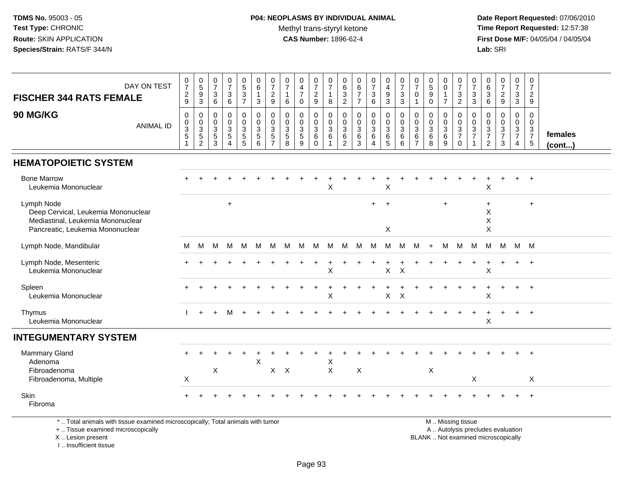**Date Report Requested:** 07/06/2010 **Time Report Requested:** 12:57:38 **First Dose M/F:** 04/05/04 / 04/05/04<br>**Lab:** SRI **Lab:** SRI

| DAY ON TEST<br><b>FISCHER 344 RATS FEMALE</b>                                                                              | $\begin{array}{c} 0 \\ 7 \end{array}$<br>$\frac{2}{9}$ | $\begin{array}{c} 0 \\ 5 \\ 3 \end{array}$                                  | $\begin{array}{c} 0 \\ 7 \end{array}$<br>$\mathbf{3}$<br>6        | $\frac{0}{7}$<br>$\mathbf{3}$<br>6           | $\begin{array}{c} 0 \\ 5 \end{array}$<br>$\overline{3}$<br>$\overline{7}$ | $\begin{array}{c} 0 \\ 6 \end{array}$<br>$\mathbf{1}$<br>3                                                                                                                                                                    | 0<br>$\overline{7}$<br>$\boldsymbol{2}$<br>9 | 0<br>$\overline{7}$<br>$\overline{1}$<br>6           | 0<br>$\overline{\mathbf{4}}$<br>$\overline{7}$<br>$\mathbf{0}$             | 0<br>$\overline{7}$<br>$\boldsymbol{2}$<br>$\mathsf g$      | 0<br>$\overline{7}$<br>$\mathbf{1}$<br>8   | 0<br>$6\overline{6}$<br>$\overline{3}$<br>$\overline{2}$ | $\begin{array}{c} 0 \\ 6 \end{array}$<br>$\overline{7}$<br>$\overline{7}$ | $\begin{array}{c} 0 \\ 7 \end{array}$<br>$\frac{3}{6}$          | 0<br>$\overline{4}$<br>$\boldsymbol{9}$<br>$\overline{3}$ | 0<br>$\overline{7}$<br>$\mathbf{3}$<br>3  | 0<br>$\overline{7}$<br>0<br>1                | $\begin{smallmatrix}0\0\5\end{smallmatrix}$<br>$\overline{9}$<br>$\Omega$ | 0<br>$\mathbf 0$<br>$\mathbf{1}$<br>$\overline{7}$                | $\frac{0}{7}$<br>$\frac{3}{2}$                           | 0<br>$\overline{7}$<br>3<br>3                                                  | 0<br>$6\overline{6}$<br>$\ensuremath{\mathsf{3}}$<br>6             | $\frac{0}{7}$<br>$\frac{2}{9}$               | 0<br>$\overline{7}$<br>$\mathbf{3}$<br>$\overline{3}$                | 0<br>$\overline{7}$<br>$\overline{2}$<br>9                                    |                   |
|----------------------------------------------------------------------------------------------------------------------------|--------------------------------------------------------|-----------------------------------------------------------------------------|-------------------------------------------------------------------|----------------------------------------------|---------------------------------------------------------------------------|-------------------------------------------------------------------------------------------------------------------------------------------------------------------------------------------------------------------------------|----------------------------------------------|------------------------------------------------------|----------------------------------------------------------------------------|-------------------------------------------------------------|--------------------------------------------|----------------------------------------------------------|---------------------------------------------------------------------------|-----------------------------------------------------------------|-----------------------------------------------------------|-------------------------------------------|----------------------------------------------|---------------------------------------------------------------------------|-------------------------------------------------------------------|----------------------------------------------------------|--------------------------------------------------------------------------------|--------------------------------------------------------------------|----------------------------------------------|----------------------------------------------------------------------|-------------------------------------------------------------------------------|-------------------|
| 90 MG/KG<br><b>ANIMAL ID</b>                                                                                               | 0<br>$\pmb{0}$<br>$\sqrt{3}$<br>5                      | $\mathbf 0$<br>$\begin{array}{c} 0 \\ 3 \\ 5 \end{array}$<br>$\overline{2}$ | $\mathbf 0$<br>$\mathbf 0$<br>$\mathbf{3}$<br>$\overline{5}$<br>3 | 0<br>$\mathbf 0$<br>3<br>5<br>$\overline{4}$ | $\pmb{0}$<br>$\mathbf 0$<br>$\mathbf{3}$<br>$\sqrt{5}$<br>5               | $\mathbf 0$<br>$\mathsf 0$<br>$\mathbf{3}$<br>5<br>6                                                                                                                                                                          | $\mathbf 0$<br>0<br>3<br>5<br>$\overline{7}$ | $\mathbf 0$<br>$\mathbf 0$<br>$\mathbf{3}$<br>5<br>8 | $\mathbf 0$<br>$\mathbf 0$<br>$\ensuremath{\mathsf{3}}$<br>$\sqrt{5}$<br>9 | $\mathbf 0$<br>$\mathbf 0$<br>$\mathbf{3}$<br>6<br>$\Omega$ | $\mathbf 0$<br>0<br>$\mathbf{3}$<br>6<br>1 | 0<br>0<br>$\mathbf{3}$<br>6<br>$\overline{2}$            | $\mathbf 0$<br>$\pmb{0}$<br>$\mathfrak{S}$<br>$\,6\,$<br>$\mathbf{3}$     | $\mathbf 0$<br>$\mathbf 0$<br>$\sqrt{3}$<br>6<br>$\overline{4}$ | $\mathbf 0$<br>$_{3}^{\rm 0}$<br>6<br>5                   | $\mathbf 0$<br>$\mathbf 0$<br>3<br>6<br>6 | $\mathbf 0$<br>0<br>3<br>6<br>$\overline{7}$ | $\mathbf 0$<br>$\pmb{0}$<br>$\sqrt{3}$<br>$\,6$<br>8                      | $\mathbf 0$<br>$\mathbf 0$<br>$\mathbf{3}$<br>$6\phantom{1}$<br>9 | $\mathbf 0$<br>$\mathsf{O}$<br>$\frac{3}{7}$<br>$\Omega$ | $\mathbf 0$<br>$\mathbf 0$<br>$\mathbf{3}$<br>$\overline{7}$<br>$\overline{1}$ | $\mathbf 0$<br>0<br>$\sqrt{3}$<br>$\overline{7}$<br>$\overline{2}$ | $\mathbf 0$<br>0<br>3<br>$\overline{7}$<br>3 | 0<br>$\mathbf 0$<br>$\mathbf{3}$<br>$\overline{7}$<br>$\overline{4}$ | $\mathbf 0$<br>$\mathbf 0$<br>$\sqrt{3}$<br>$\overline{7}$<br>$5\phantom{.0}$ | females<br>(cont) |
| <b>HEMATOPOIETIC SYSTEM</b>                                                                                                |                                                        |                                                                             |                                                                   |                                              |                                                                           |                                                                                                                                                                                                                               |                                              |                                                      |                                                                            |                                                             |                                            |                                                          |                                                                           |                                                                 |                                                           |                                           |                                              |                                                                           |                                                                   |                                                          |                                                                                |                                                                    |                                              |                                                                      |                                                                               |                   |
| <b>Bone Marrow</b><br>Leukemia Mononuclear                                                                                 |                                                        |                                                                             |                                                                   |                                              |                                                                           |                                                                                                                                                                                                                               |                                              |                                                      |                                                                            |                                                             | X                                          |                                                          |                                                                           |                                                                 | $\times$                                                  |                                           |                                              |                                                                           |                                                                   |                                                          |                                                                                | X                                                                  |                                              |                                                                      | $\overline{+}$                                                                |                   |
| Lymph Node<br>Deep Cervical, Leukemia Mononuclear<br>Mediastinal, Leukemia Mononuclear<br>Pancreatic, Leukemia Mononuclear |                                                        |                                                                             |                                                                   | $\ddot{}$                                    |                                                                           |                                                                                                                                                                                                                               |                                              |                                                      |                                                                            |                                                             |                                            |                                                          |                                                                           | $+$                                                             | $\overline{+}$<br>X                                       |                                           |                                              |                                                                           | $+$                                                               |                                                          |                                                                                | $\ddot{}$<br>$\boldsymbol{\mathsf{X}}$<br>$\mathsf X$<br>X         |                                              |                                                                      | $\ddot{}$                                                                     |                   |
| Lymph Node, Mandibular                                                                                                     | м                                                      | М                                                                           | M                                                                 | M                                            | M                                                                         | M                                                                                                                                                                                                                             | м                                            | м                                                    | M                                                                          | M                                                           | M                                          | M M                                                      |                                                                           | - M                                                             | M                                                         | M                                         | M                                            | $+$                                                                       | M                                                                 | M                                                        | M                                                                              | M                                                                  | M                                            | M M                                                                  |                                                                               |                   |
| Lymph Node, Mesenteric<br>Leukemia Mononuclear                                                                             |                                                        |                                                                             |                                                                   |                                              |                                                                           |                                                                                                                                                                                                                               |                                              |                                                      |                                                                            |                                                             | X                                          |                                                          |                                                                           |                                                                 | $\mathsf{X}$                                              | $\sf X$                                   |                                              |                                                                           |                                                                   |                                                          |                                                                                | X                                                                  |                                              |                                                                      | $+$                                                                           |                   |
| Spleen<br>Leukemia Mononuclear                                                                                             |                                                        |                                                                             |                                                                   |                                              |                                                                           |                                                                                                                                                                                                                               |                                              |                                                      |                                                                            |                                                             | X                                          |                                                          |                                                                           |                                                                 | $\sf X$                                                   | $\times$                                  |                                              |                                                                           |                                                                   |                                                          |                                                                                | X                                                                  |                                              |                                                                      | $+$                                                                           |                   |
| Thymus<br>Leukemia Mononuclear                                                                                             |                                                        | $\ddot{}$                                                                   | $\ddot{}$                                                         | м                                            |                                                                           |                                                                                                                                                                                                                               |                                              |                                                      |                                                                            |                                                             |                                            |                                                          |                                                                           |                                                                 |                                                           |                                           |                                              |                                                                           |                                                                   |                                                          |                                                                                | Χ                                                                  |                                              | $\ddot{}$                                                            | $+$                                                                           |                   |
| <b>INTEGUMENTARY SYSTEM</b>                                                                                                |                                                        |                                                                             |                                                                   |                                              |                                                                           |                                                                                                                                                                                                                               |                                              |                                                      |                                                                            |                                                             |                                            |                                                          |                                                                           |                                                                 |                                                           |                                           |                                              |                                                                           |                                                                   |                                                          |                                                                                |                                                                    |                                              |                                                                      |                                                                               |                   |
| Mammary Gland<br>Adenoma<br>Fibroadenoma<br>Fibroadenoma, Multiple                                                         | X                                                      |                                                                             | $\boldsymbol{\mathsf{X}}$                                         |                                              |                                                                           | $\boldsymbol{\mathsf{X}}$                                                                                                                                                                                                     | X                                            | $\times$                                             |                                                                            |                                                             | X<br>$\mathsf{X}$                          |                                                          | $\boldsymbol{\mathsf{X}}$                                                 |                                                                 |                                                           |                                           |                                              | $\pmb{\times}$                                                            |                                                                   |                                                          | $\boldsymbol{\mathsf{X}}$                                                      |                                                                    |                                              |                                                                      | $+$<br>X                                                                      |                   |
| Skin<br>Fibroma                                                                                                            |                                                        |                                                                             |                                                                   |                                              |                                                                           | a the collection of the collection of the collection of the collection of the collection of the collection of the collection of the collection of the collection of the collection of the collection of the collection of the |                                              |                                                      |                                                                            |                                                             |                                            |                                                          |                                                                           |                                                                 |                                                           |                                           |                                              |                                                                           |                                                                   |                                                          |                                                                                |                                                                    |                                              |                                                                      | $\ddot{+}$                                                                    |                   |

\* .. Total animals with tissue examined microscopically; Total animals with tumor

+ .. Tissue examined microscopically

X .. Lesion present

I .. Insufficient tissue

M .. Missing tissue

y the contract of the contract of the contract of the contract of the contract of the contract of the contract of  $A$ . Autolysis precludes evaluation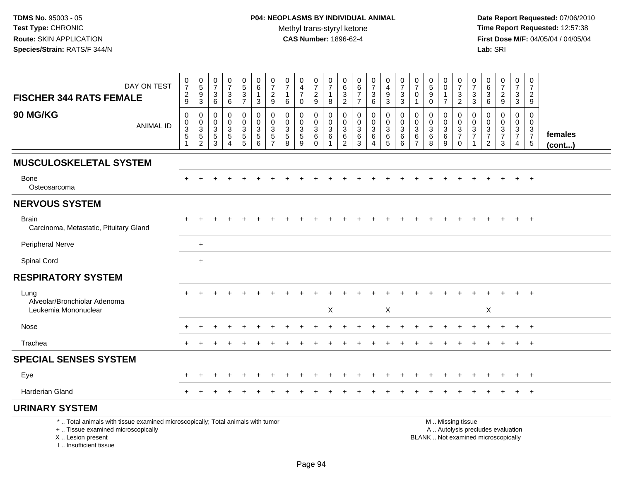**Date Report Requested:** 07/06/2010 **Time Report Requested:** 12:57:38 **First Dose M/F:** 04/05/04 / 04/05/04<br>Lab: SRI **Lab:** SRI

| DAY ON TEST<br><b>FISCHER 344 RATS FEMALE</b>                                                                         | $\frac{0}{7}$<br>$\frac{2}{9}$                                         | $\begin{array}{c} 0 \\ 5 \\ 9 \\ 3 \end{array}$ | $\begin{array}{c} 0 \\ 7 \end{array}$<br>3<br>6 | $\frac{0}{7}$<br>$\ensuremath{\mathsf{3}}$<br>$6\phantom{1}$ | $0$<br>$5$<br>$3$<br>$7$                                       | $\begin{array}{c} 0 \\ 6 \end{array}$<br>$\mathbf{1}$<br>$\mathbf{3}$ | $\frac{0}{7}$<br>$\overline{c}$<br>9                                           | $\frac{0}{7}$<br>$\mathbf{1}$<br>6                  | $_4^{\rm 0}$<br>$\overline{7}$<br>$\Omega$ | $\begin{smallmatrix}0\\7\end{smallmatrix}$<br>$\frac{2}{9}$            | $\frac{0}{7}$<br>$\mathbf{1}$<br>8                               | 0<br>$\,6\,$<br>$\ensuremath{\mathsf{3}}$<br>$\overline{c}$ | 0<br>$\,6\,$<br>$\overline{7}$<br>$\overline{7}$           | $\frac{0}{7}$<br>$\ensuremath{\mathsf{3}}$<br>$6\phantom{a}$ | $\begin{smallmatrix}0\\4\end{smallmatrix}$<br>$\boldsymbol{9}$<br>$\mathbf{3}$ | $\begin{array}{c} 0 \\ 7 \end{array}$<br>$\ensuremath{\mathsf{3}}$<br>$\mathbf{3}$ | $\frac{0}{7}$<br>0                                     | $\begin{array}{c} 0 \\ 5 \end{array}$<br>$\overline{9}$<br>$\Omega$ | 0<br>$\overline{0}$<br>$\mathbf{1}$<br>$\overline{7}$ | $\frac{0}{7}$<br>$\mathbf{3}$<br>$\overline{2}$            | $\frac{0}{7}$<br>$\ensuremath{\mathsf{3}}$<br>3 | 0<br>$\,6\,$<br>$\sqrt{3}$<br>6                     | $\frac{0}{7}$<br>$\sqrt{2}$<br>$\overline{9}$             | $\begin{array}{c} 0 \\ 7 \end{array}$<br>$_3^3$               | 0<br>$\overline{7}$<br>$\overline{c}$<br>9                     |                         |
|-----------------------------------------------------------------------------------------------------------------------|------------------------------------------------------------------------|-------------------------------------------------|-------------------------------------------------|--------------------------------------------------------------|----------------------------------------------------------------|-----------------------------------------------------------------------|--------------------------------------------------------------------------------|-----------------------------------------------------|--------------------------------------------|------------------------------------------------------------------------|------------------------------------------------------------------|-------------------------------------------------------------|------------------------------------------------------------|--------------------------------------------------------------|--------------------------------------------------------------------------------|------------------------------------------------------------------------------------|--------------------------------------------------------|---------------------------------------------------------------------|-------------------------------------------------------|------------------------------------------------------------|-------------------------------------------------|-----------------------------------------------------|-----------------------------------------------------------|---------------------------------------------------------------|----------------------------------------------------------------|-------------------------|
| 90 MG/KG<br><b>ANIMAL ID</b>                                                                                          | $\pmb{0}$<br>$\pmb{0}$<br>$\sqrt{3}$<br>$\overline{5}$<br>$\mathbf{1}$ | $\pmb{0}$<br>$\pmb{0}$<br>$\frac{3}{2}$         | $\mathbf 0$<br>$\pmb{0}$<br>$\frac{3}{5}$       | $\mathbf 0$<br>$\pmb{0}$<br>$\frac{3}{5}$<br>$\overline{4}$  | $\mathbf 0$<br>$\begin{array}{c} 0 \\ 3 \\ 5 \\ 5 \end{array}$ | $\pmb{0}$<br>$\begin{array}{c} 0 \\ 3 \\ 5 \end{array}$<br>6          | $\mathbf 0$<br>$\mathbf 0$<br>$\mathbf{3}$<br>$\overline{5}$<br>$\overline{7}$ | 0<br>$\mathbf 0$<br>$\frac{3}{5}$<br>$\overline{8}$ | $\mathbf 0$<br>0<br>$\frac{3}{5}$          | 0<br>$\begin{array}{c} 0 \\ 3 \\ 6 \end{array}$<br>$\ddot{\mathbf{0}}$ | $\mathbf 0$<br>$\mathbf 0$<br>$\overline{3}$ 6<br>$\overline{1}$ | 0<br>$\mathbf 0$<br>$\mathbf{3}$<br>$\,6$<br>$\overline{2}$ | $\mathbf 0$<br>$\mathbf 0$<br>3<br>$\,6$<br>$\overline{3}$ | 0<br>0<br>$\mathbf{3}$<br>$6\phantom{a}$<br>4                | 0<br>$\mathbf 0$<br>$\frac{3}{6}$<br>$\overline{5}$                            | $\mathbf 0$<br>$\pmb{0}$<br>$^3$ 6<br>6                                            | $\mathbf 0$<br>$\mathbf 0$<br>$^3$ 6<br>$\overline{7}$ | $\mathbf 0$<br>$\mathbf 0$<br>$\mathbf{3}$<br>6<br>8                | 0<br>$\mathbf 0$<br>$\frac{3}{6}$                     | $\mathbf 0$<br>$\mathbf 0$<br>$\frac{3}{7}$<br>$\mathbf 0$ | 0<br>0<br>$\frac{3}{7}$<br>$\mathbf{1}$         | $\mathbf 0$<br>0<br>$\frac{3}{7}$<br>$\overline{2}$ | $\mathbf 0$<br>$\pmb{0}$<br>$\frac{3}{7}$<br>$\mathbf{3}$ | $\mathbf 0$<br>$\mathbf 0$<br>$\frac{3}{7}$<br>$\overline{4}$ | $\mathbf 0$<br>$\mathbf 0$<br>$\frac{3}{7}$<br>$5\phantom{.0}$ | females<br>$($ cont $)$ |
| <b>MUSCULOSKELETAL SYSTEM</b>                                                                                         |                                                                        |                                                 |                                                 |                                                              |                                                                |                                                                       |                                                                                |                                                     |                                            |                                                                        |                                                                  |                                                             |                                                            |                                                              |                                                                                |                                                                                    |                                                        |                                                                     |                                                       |                                                            |                                                 |                                                     |                                                           |                                                               |                                                                |                         |
| Bone<br>Osteosarcoma                                                                                                  |                                                                        |                                                 |                                                 |                                                              |                                                                |                                                                       |                                                                                |                                                     |                                            |                                                                        |                                                                  |                                                             |                                                            |                                                              |                                                                                |                                                                                    |                                                        |                                                                     |                                                       |                                                            |                                                 |                                                     |                                                           |                                                               |                                                                |                         |
| <b>NERVOUS SYSTEM</b>                                                                                                 |                                                                        |                                                 |                                                 |                                                              |                                                                |                                                                       |                                                                                |                                                     |                                            |                                                                        |                                                                  |                                                             |                                                            |                                                              |                                                                                |                                                                                    |                                                        |                                                                     |                                                       |                                                            |                                                 |                                                     |                                                           |                                                               |                                                                |                         |
| <b>Brain</b><br>Carcinoma, Metastatic, Pituitary Gland                                                                |                                                                        |                                                 |                                                 |                                                              |                                                                |                                                                       |                                                                                |                                                     |                                            |                                                                        |                                                                  |                                                             |                                                            |                                                              |                                                                                |                                                                                    |                                                        |                                                                     |                                                       |                                                            |                                                 |                                                     |                                                           | $+$                                                           | $+$                                                            |                         |
| <b>Peripheral Nerve</b>                                                                                               |                                                                        | $+$                                             |                                                 |                                                              |                                                                |                                                                       |                                                                                |                                                     |                                            |                                                                        |                                                                  |                                                             |                                                            |                                                              |                                                                                |                                                                                    |                                                        |                                                                     |                                                       |                                                            |                                                 |                                                     |                                                           |                                                               |                                                                |                         |
| <b>Spinal Cord</b>                                                                                                    |                                                                        | $+$                                             |                                                 |                                                              |                                                                |                                                                       |                                                                                |                                                     |                                            |                                                                        |                                                                  |                                                             |                                                            |                                                              |                                                                                |                                                                                    |                                                        |                                                                     |                                                       |                                                            |                                                 |                                                     |                                                           |                                                               |                                                                |                         |
| <b>RESPIRATORY SYSTEM</b>                                                                                             |                                                                        |                                                 |                                                 |                                                              |                                                                |                                                                       |                                                                                |                                                     |                                            |                                                                        |                                                                  |                                                             |                                                            |                                                              |                                                                                |                                                                                    |                                                        |                                                                     |                                                       |                                                            |                                                 |                                                     |                                                           |                                                               |                                                                |                         |
| Lung<br>Alveolar/Bronchiolar Adenoma<br>Leukemia Mononuclear                                                          |                                                                        |                                                 |                                                 |                                                              |                                                                |                                                                       |                                                                                |                                                     |                                            |                                                                        | X                                                                |                                                             |                                                            |                                                              | X                                                                              |                                                                                    |                                                        |                                                                     |                                                       |                                                            |                                                 | $\mathsf X$                                         |                                                           |                                                               | $+$                                                            |                         |
| Nose                                                                                                                  |                                                                        |                                                 |                                                 |                                                              |                                                                |                                                                       |                                                                                |                                                     |                                            |                                                                        |                                                                  |                                                             |                                                            |                                                              |                                                                                |                                                                                    |                                                        |                                                                     |                                                       |                                                            |                                                 |                                                     |                                                           | $\ddot{}$                                                     | $+$                                                            |                         |
| Trachea                                                                                                               |                                                                        |                                                 |                                                 |                                                              |                                                                |                                                                       |                                                                                |                                                     |                                            |                                                                        |                                                                  |                                                             |                                                            |                                                              |                                                                                |                                                                                    |                                                        |                                                                     |                                                       |                                                            |                                                 |                                                     |                                                           |                                                               | $+$                                                            |                         |
| <b>SPECIAL SENSES SYSTEM</b>                                                                                          |                                                                        |                                                 |                                                 |                                                              |                                                                |                                                                       |                                                                                |                                                     |                                            |                                                                        |                                                                  |                                                             |                                                            |                                                              |                                                                                |                                                                                    |                                                        |                                                                     |                                                       |                                                            |                                                 |                                                     |                                                           |                                                               |                                                                |                         |
| Eye                                                                                                                   |                                                                        |                                                 |                                                 |                                                              |                                                                |                                                                       |                                                                                |                                                     |                                            |                                                                        |                                                                  |                                                             |                                                            |                                                              |                                                                                |                                                                                    |                                                        |                                                                     |                                                       |                                                            |                                                 |                                                     |                                                           | $\ddot{}$                                                     | $+$                                                            |                         |
| Harderian Gland                                                                                                       |                                                                        |                                                 |                                                 |                                                              |                                                                |                                                                       |                                                                                |                                                     |                                            |                                                                        |                                                                  |                                                             |                                                            |                                                              |                                                                                |                                                                                    |                                                        |                                                                     |                                                       |                                                            |                                                 |                                                     |                                                           | $\ddot{}$                                                     | $+$                                                            |                         |
| <b>URINARY SYSTEM</b>                                                                                                 |                                                                        |                                                 |                                                 |                                                              |                                                                |                                                                       |                                                                                |                                                     |                                            |                                                                        |                                                                  |                                                             |                                                            |                                                              |                                                                                |                                                                                    |                                                        |                                                                     |                                                       |                                                            |                                                 |                                                     |                                                           |                                                               |                                                                |                         |
| *  Total animals with tissue examined microscopically; Total animals with tumor<br>+  Tissue examined microscopically |                                                                        |                                                 |                                                 |                                                              |                                                                |                                                                       |                                                                                |                                                     |                                            |                                                                        |                                                                  |                                                             |                                                            |                                                              |                                                                                |                                                                                    |                                                        |                                                                     |                                                       | M  Missing tissue                                          |                                                 |                                                     | A  Autolysis precludes evaluation                         |                                                               |                                                                |                         |

I .. Insufficient tissue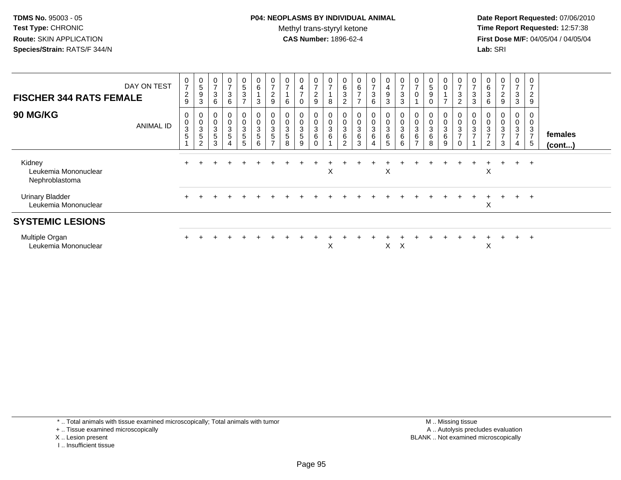# **P04: NEOPLASMS BY INDIVIDUAL ANIMAL**Methyl trans-styryl ketone<br>CAS Number: 1896-62-4

 **Date Report Requested:** 07/06/2010 **Time Report Requested:** 12:57:38 **First Dose M/F:** 04/05/04 / 04/05/04<br>**Lab:** SRI **Lab:** SRI

| <b>FISCHER 344 RATS FEMALE</b>                   | DAY ON TEST      | $\begin{array}{c} 0 \\ 7 \end{array}$<br>$\frac{2}{9}$ | $\mathbf 0$<br>$\sqrt{5}$<br>$\boldsymbol{9}$<br>$\mathbf{3}$ | 0<br>$\overline{ }$<br>3<br>6              | $\mathbf 0$<br>$\overline{ }$<br>$\sqrt{3}$<br>$\,6\,$                       | $\mathbf 0$<br>$\frac{5}{3}$<br>$\overline{ }$ | $\begin{array}{c} 0 \\ 6 \end{array}$<br>$\overline{1}$<br>$\mathbf{3}$ | 0<br>$\overline{ }$<br>$\frac{2}{9}$                            | $\frac{0}{7}$<br>6                            | $\mathbf 0$<br>$\overline{4}$<br>$\overline{ }$<br>$\Omega$ | $\frac{0}{7}$<br>$\boldsymbol{2}$<br>9 | 0<br>$\overline{ }$<br>$\bf 8$          | $\begin{array}{c} 0 \\ 6 \end{array}$<br>$\mathsf 3$<br>$\overline{2}$ | $\pmb{0}$<br>$\,6\,$<br>$\overline{ }$<br>$\overline{ }$                 | 0<br>$\overline{7}$<br>3<br>6              | $\pmb{0}$<br>$\overline{\mathbf{4}}$<br>$\boldsymbol{9}$<br>$\overline{3}$ | $\frac{0}{7}$<br>$\ensuremath{\mathsf{3}}$<br>3         | 0<br>$\overline{ }$                     | $\mathbf 0$<br>$\,$ 5 $\,$<br>$\boldsymbol{9}$<br>$\mathbf 0$ | $\pmb{0}$<br>0<br>$\overline{ }$ | $\begin{matrix} 0 \\ 7 \end{matrix}$<br>$\frac{3}{2}$                          | 0<br>$\overline{ }$<br>3<br>3     | $\pmb{0}$<br>6<br>$\mathbf{3}$<br>6                             | $\mathbf 0$<br>$\overline{7}$<br>$\frac{2}{9}$ | 0<br>$\overline{\phantom{a}}$<br>3<br>$\mathbf{3}$ | 0<br>$\overline{ }$<br>$\overline{2}$<br>$9\,$      |                         |
|--------------------------------------------------|------------------|--------------------------------------------------------|---------------------------------------------------------------|--------------------------------------------|------------------------------------------------------------------------------|------------------------------------------------|-------------------------------------------------------------------------|-----------------------------------------------------------------|-----------------------------------------------|-------------------------------------------------------------|----------------------------------------|-----------------------------------------|------------------------------------------------------------------------|--------------------------------------------------------------------------|--------------------------------------------|----------------------------------------------------------------------------|---------------------------------------------------------|-----------------------------------------|---------------------------------------------------------------|----------------------------------|--------------------------------------------------------------------------------|-----------------------------------|-----------------------------------------------------------------|------------------------------------------------|----------------------------------------------------|-----------------------------------------------------|-------------------------|
| 90 MG/KG                                         | <b>ANIMAL ID</b> | 0<br>$\mathbf 0$<br>$\sqrt{3}$<br>5                    | 0<br>$\pmb{0}$<br>$\sqrt{3}$<br>$\sqrt{5}$<br>2               | $\pmb{0}$<br>$\sqrt{3}$<br>$\sqrt{5}$<br>3 | $\boldsymbol{0}$<br>$\pmb{0}$<br>$\mathsf 3$<br>$\sqrt{5}$<br>$\overline{4}$ | 0<br>0<br>3<br>$\sqrt{5}$<br>5                 | $\begin{smallmatrix}0\\0\\3\end{smallmatrix}$<br>5<br>6                 | $\mathbf 0$<br>$\ensuremath{\mathsf{3}}$<br>5<br>$\overline{ }$ | $\pmb{0}$<br>$\mathbf{3}$<br>$\,$ 5 $\,$<br>8 | 0<br>$\mathsf{O}\xspace$<br>3<br>5<br>9                     | 0<br>0<br>3<br>6<br>0                  | 0<br>$\pmb{0}$<br>$\sqrt{3}$<br>$\,6\,$ | $\frac{0}{3}$<br>$\,6\,$<br>$\overline{2}$                             | $\begin{smallmatrix}0\\0\end{smallmatrix}$<br>$\sqrt{3}$<br>$\,6\,$<br>3 | 0<br>$\pmb{0}$<br>3<br>6<br>$\overline{4}$ | $\pmb{0}$<br>$\sqrt{3}$<br>$\,6\,$<br>$5\phantom{.0}$                      | 0<br>$\mathbf 0$<br>$\ensuremath{\mathsf{3}}$<br>6<br>6 | 0<br>$\mathbf 3$<br>6<br>$\overline{ }$ | 0<br>$\pmb{0}$<br>$\mathbf{3}$<br>$\,6\,$<br>$\bf8$           | 0<br>0<br>$\sqrt{3}$<br>6<br>9   | $\begin{smallmatrix} 0\\0\\3 \end{smallmatrix}$<br>$\overline{7}$<br>$\pmb{0}$ | $\mathbf 0$<br>3<br>$\rightarrow$ | $\mathbf 0$<br>$\mathbf{3}$<br>$\overline{ }$<br>$\overline{2}$ | 0<br>0<br>$\mathbf{3}$<br>$\overline{ }$<br>3  | 0<br>0<br>$\sqrt{3}$<br>$\overline{ }$<br>4        | 0<br>$\pmb{0}$<br>3<br>$\overline{7}$<br>$\sqrt{5}$ | females<br>$($ cont $)$ |
| Kidney<br>Leukemia Mononuclear<br>Nephroblastoma |                  |                                                        |                                                               |                                            |                                                                              |                                                |                                                                         |                                                                 |                                               |                                                             |                                        | X                                       |                                                                        |                                                                          |                                            | X                                                                          |                                                         |                                         |                                                               |                                  |                                                                                |                                   | X                                                               | $\pm$                                          | $+$                                                | $+$                                                 |                         |
| <b>Urinary Bladder</b><br>Leukemia Mononuclear   |                  |                                                        |                                                               |                                            |                                                                              |                                                |                                                                         |                                                                 |                                               |                                                             |                                        |                                         |                                                                        |                                                                          |                                            |                                                                            |                                                         |                                         |                                                               |                                  |                                                                                |                                   | Χ                                                               | $\pm$                                          | $+$                                                | $+$                                                 |                         |
| <b>SYSTEMIC LESIONS</b>                          |                  |                                                        |                                                               |                                            |                                                                              |                                                |                                                                         |                                                                 |                                               |                                                             |                                        |                                         |                                                                        |                                                                          |                                            |                                                                            |                                                         |                                         |                                                               |                                  |                                                                                |                                   |                                                                 |                                                |                                                    |                                                     |                         |
| Multiple Organ<br>Leukemia Mononuclear           |                  |                                                        |                                                               |                                            |                                                                              |                                                |                                                                         |                                                                 |                                               |                                                             |                                        | X                                       |                                                                        |                                                                          |                                            | X                                                                          | $\mathsf{X}$                                            |                                         |                                                               |                                  |                                                                                |                                   | X                                                               | $\div$                                         | $+$                                                | $\overline{ }$                                      |                         |

- X .. Lesion present
- I .. Insufficient tissue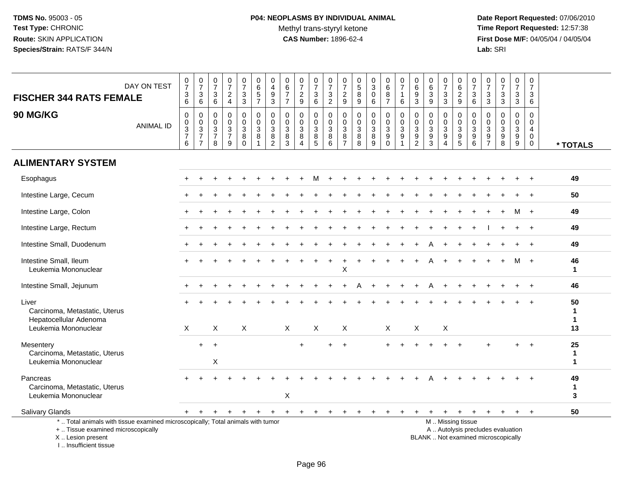**Date Report Requested:** 07/06/2010 **Time Report Requested:** 12:57:38 **First Dose M/F:** 04/05/04 / 04/05/04<br>Lab: SRI **Lab:** SRI

| <b>FISCHER 344 RATS FEMALE</b>                                                                                                             | DAY ON TEST      | 0<br>$\boldsymbol{7}$<br>$^3$ 6                                | $\frac{0}{7}$<br>$^3$ 6                                             | 0<br>$\overline{7}$<br>$\mathbf{3}$<br>$\,6\,$                    | $\pmb{0}$<br>$\overline{7}$<br>$\overline{c}$<br>$\overline{4}$ | $\frac{0}{7}$<br>$\frac{3}{3}$                    | 0<br>6<br>$\frac{5}{7}$                                 | $\begin{smallmatrix}0\0\4\end{smallmatrix}$<br>$\boldsymbol{9}$<br>$\overline{3}$ | $\begin{array}{c} 0 \\ 6 \end{array}$<br>$\boldsymbol{7}$<br>$\overline{7}$ | $\frac{0}{7}$<br>$\frac{2}{9}$                                         | $\frac{0}{7}$<br>3<br>$\,6\,$                   | $\frac{0}{7}$<br>$\frac{3}{2}$         | 0<br>$\overline{7}$<br>$\frac{2}{9}$                                           | 0<br>$\sqrt{5}$<br>8<br>$\overline{9}$ | $_{3}^{\rm 0}$<br>$\pmb{0}$<br>$\,6\,$                            | $\begin{array}{c} 0 \\ 6 \end{array}$<br>8<br>$\overline{7}$     | $\frac{0}{7}$<br>$\mathbf{1}$<br>6                   | $\begin{array}{c} 0 \\ 6 \end{array}$<br>$\boldsymbol{9}$<br>$\overline{3}$      | $\pmb{0}$<br>$\,6$<br>$\ensuremath{\mathsf{3}}$<br>$\overline{9}$ | $\frac{0}{7}$<br>$\frac{3}{3}$                          | $\begin{array}{c} 0 \\ 6 \end{array}$<br>$\frac{2}{9}$                                        | $\frac{0}{7}$<br>$\sqrt{3}$<br>6                                    | 0<br>$\overline{7}$<br>$\mathbf{3}$<br>3                                         | 0<br>$\boldsymbol{7}$<br>$\frac{3}{3}$                            | $\frac{0}{7}$<br>$\sqrt{3}$<br>$\overline{3}$                       | 0<br>$\overline{7}$<br>3<br>$6\phantom{1}$                             |                                    |
|--------------------------------------------------------------------------------------------------------------------------------------------|------------------|----------------------------------------------------------------|---------------------------------------------------------------------|-------------------------------------------------------------------|-----------------------------------------------------------------|---------------------------------------------------|---------------------------------------------------------|-----------------------------------------------------------------------------------|-----------------------------------------------------------------------------|------------------------------------------------------------------------|-------------------------------------------------|----------------------------------------|--------------------------------------------------------------------------------|----------------------------------------|-------------------------------------------------------------------|------------------------------------------------------------------|------------------------------------------------------|----------------------------------------------------------------------------------|-------------------------------------------------------------------|---------------------------------------------------------|-----------------------------------------------------------------------------------------------|---------------------------------------------------------------------|----------------------------------------------------------------------------------|-------------------------------------------------------------------|---------------------------------------------------------------------|------------------------------------------------------------------------|------------------------------------|
| 90 MG/KG                                                                                                                                   | <b>ANIMAL ID</b> | $\mathbf 0$<br>$\begin{array}{c} 0 \\ 3 \\ 7 \end{array}$<br>6 | $\pmb{0}$<br>$\mathsf{O}\xspace$<br>$\frac{3}{7}$<br>$\overline{7}$ | $\mathbf 0$<br>$\mathbf 0$<br>$\mathbf{3}$<br>$\overline{7}$<br>8 | $\mathbf 0$<br>$\mathbf 0$<br>$\sqrt{3}$<br>$\overline{7}$<br>9 | 0<br>$\mathbf 0$<br>$\mathbf{3}$<br>8<br>$\Omega$ | $\mathbf 0$<br>$\mathbf 0$<br>$\mathfrak{S}$<br>$\,8\,$ | 0<br>$\pmb{0}$<br>$\sqrt{3}$<br>$\bf 8$<br>$\overline{2}$                         | $\mathbf 0$<br>$\mathbf 0$<br>$\sqrt{3}$<br>$\overline{8}$<br>3             | $\mathbf 0$<br>$\mathbf 0$<br>$\sqrt{3}$<br>$\overline{8}$<br>$\Delta$ | $\mathbf 0$<br>$\mathbf 0$<br>3<br>$\bf 8$<br>5 | 0<br>$\mathbf 0$<br>$\frac{3}{8}$<br>6 | $\mathbf 0$<br>$\mathbf 0$<br>$\mathbf{3}$<br>$\overline{8}$<br>$\overline{7}$ | 0<br>$\mathbf 0$<br>3<br>$\bf 8$<br>8  | $\mathbf 0$<br>$\pmb{0}$<br>$\overline{3}$<br>$\overline{8}$<br>9 | 0<br>$\mathbf 0$<br>$\mathsf 3$<br>$\overline{9}$<br>$\mathbf 0$ | 0<br>$\mathbf 0$<br>$\mathbf{3}$<br>$\boldsymbol{9}$ | $\mathbf 0$<br>$\mathbf 0$<br>$\overline{3}$<br>$\overline{9}$<br>$\overline{2}$ | $\mathbf 0$<br>0<br>$\ensuremath{\mathsf{3}}$<br>$\frac{9}{3}$    | $\mathbf 0$<br>$\mathbf 0$<br>$\frac{3}{9}$<br>$\Delta$ | 0<br>$\mathbf 0$<br>$\frac{3}{9}$<br>$\sqrt{5}$                                               | $\mathbf 0$<br>$\mathbf 0$<br>$\overline{3}$<br>$\overline{9}$<br>6 | $\mathbf 0$<br>$\mathbf 0$<br>$\mathbf{3}$<br>$\boldsymbol{9}$<br>$\overline{7}$ | $\mathbf 0$<br>$\mathbf 0$<br>$\sqrt{3}$<br>$\boldsymbol{9}$<br>8 | $\mathbf 0$<br>$\mathbf 0$<br>$\overline{3}$<br>$\overline{9}$<br>9 | $\mathbf 0$<br>$\mathbf{0}$<br>4<br>$\mathsf{O}\xspace$<br>$\mathbf 0$ | * TOTALS                           |
| <b>ALIMENTARY SYSTEM</b>                                                                                                                   |                  |                                                                |                                                                     |                                                                   |                                                                 |                                                   |                                                         |                                                                                   |                                                                             |                                                                        |                                                 |                                        |                                                                                |                                        |                                                                   |                                                                  |                                                      |                                                                                  |                                                                   |                                                         |                                                                                               |                                                                     |                                                                                  |                                                                   |                                                                     |                                                                        |                                    |
| Esophagus                                                                                                                                  |                  |                                                                |                                                                     |                                                                   |                                                                 |                                                   |                                                         |                                                                                   |                                                                             |                                                                        | м                                               | $\ddot{}$                              | $\pm$                                                                          |                                        |                                                                   |                                                                  |                                                      |                                                                                  |                                                                   |                                                         |                                                                                               |                                                                     |                                                                                  |                                                                   |                                                                     | $\overline{+}$                                                         | 49                                 |
| Intestine Large, Cecum                                                                                                                     |                  |                                                                |                                                                     |                                                                   |                                                                 |                                                   |                                                         |                                                                                   |                                                                             |                                                                        |                                                 |                                        |                                                                                |                                        |                                                                   |                                                                  |                                                      |                                                                                  |                                                                   |                                                         |                                                                                               |                                                                     |                                                                                  |                                                                   |                                                                     |                                                                        | 50                                 |
| Intestine Large, Colon                                                                                                                     |                  |                                                                |                                                                     |                                                                   |                                                                 |                                                   |                                                         |                                                                                   |                                                                             |                                                                        |                                                 |                                        |                                                                                |                                        |                                                                   |                                                                  |                                                      |                                                                                  |                                                                   |                                                         |                                                                                               |                                                                     |                                                                                  |                                                                   | M +                                                                 |                                                                        | 49                                 |
| Intestine Large, Rectum                                                                                                                    |                  |                                                                |                                                                     |                                                                   |                                                                 |                                                   |                                                         |                                                                                   |                                                                             |                                                                        |                                                 |                                        |                                                                                |                                        |                                                                   |                                                                  |                                                      |                                                                                  |                                                                   |                                                         |                                                                                               |                                                                     |                                                                                  |                                                                   | $\div$                                                              | $\overline{+}$                                                         | 49                                 |
| Intestine Small, Duodenum                                                                                                                  |                  |                                                                |                                                                     |                                                                   |                                                                 |                                                   |                                                         |                                                                                   |                                                                             |                                                                        |                                                 |                                        |                                                                                |                                        |                                                                   |                                                                  |                                                      |                                                                                  |                                                                   |                                                         |                                                                                               |                                                                     |                                                                                  |                                                                   |                                                                     |                                                                        | 49                                 |
| Intestine Small, Ileum<br>Leukemia Mononuclear                                                                                             |                  |                                                                |                                                                     |                                                                   |                                                                 |                                                   |                                                         |                                                                                   |                                                                             |                                                                        |                                                 |                                        | $\pmb{\times}$                                                                 |                                        |                                                                   |                                                                  |                                                      |                                                                                  |                                                                   |                                                         |                                                                                               |                                                                     |                                                                                  |                                                                   | M                                                                   | $\ddot{\phantom{1}}$                                                   | 46<br>$\mathbf{1}$                 |
| Intestine Small, Jejunum                                                                                                                   |                  |                                                                |                                                                     |                                                                   |                                                                 |                                                   |                                                         |                                                                                   |                                                                             |                                                                        |                                                 |                                        |                                                                                |                                        |                                                                   |                                                                  |                                                      |                                                                                  |                                                                   |                                                         |                                                                                               |                                                                     |                                                                                  |                                                                   |                                                                     |                                                                        | 46                                 |
| Liver<br>Carcinoma, Metastatic, Uterus<br>Hepatocellular Adenoma<br>Leukemia Mononuclear                                                   |                  | $\boldsymbol{X}$                                               |                                                                     | X                                                                 |                                                                 | X                                                 |                                                         |                                                                                   | X                                                                           |                                                                        | X                                               |                                        | Χ                                                                              |                                        |                                                                   | X                                                                |                                                      | X                                                                                |                                                                   | X                                                       |                                                                                               |                                                                     |                                                                                  |                                                                   |                                                                     | $\div$                                                                 | 50<br>1<br>$\mathbf 1$<br>13       |
| Mesentery<br>Carcinoma, Metastatic, Uterus<br>Leukemia Mononuclear                                                                         |                  |                                                                | $+$                                                                 | $+$<br>$\times$                                                   |                                                                 |                                                   |                                                         |                                                                                   |                                                                             |                                                                        |                                                 |                                        |                                                                                |                                        |                                                                   |                                                                  |                                                      |                                                                                  |                                                                   |                                                         |                                                                                               |                                                                     |                                                                                  |                                                                   |                                                                     | $+$                                                                    | 25<br>$\mathbf{1}$<br>$\mathbf{1}$ |
| Pancreas<br>Carcinoma, Metastatic, Uterus<br>Leukemia Mononuclear                                                                          |                  |                                                                |                                                                     |                                                                   |                                                                 |                                                   |                                                         |                                                                                   | X                                                                           |                                                                        |                                                 |                                        |                                                                                |                                        |                                                                   |                                                                  |                                                      |                                                                                  |                                                                   |                                                         |                                                                                               |                                                                     |                                                                                  |                                                                   |                                                                     |                                                                        | 49<br>$\mathbf{1}$<br>3            |
| <b>Salivary Glands</b>                                                                                                                     |                  |                                                                |                                                                     |                                                                   |                                                                 |                                                   |                                                         |                                                                                   | $\pm$                                                                       | $\ddot{}$                                                              | $\ddot{}$                                       |                                        |                                                                                |                                        |                                                                   |                                                                  |                                                      |                                                                                  |                                                                   | $\overline{+}$                                          |                                                                                               |                                                                     |                                                                                  |                                                                   | $+$                                                                 | $+$                                                                    | 50                                 |
| *  Total animals with tissue examined microscopically; Total animals with tumor<br>+  Tissue examined microscopically<br>X  Lesion present |                  |                                                                |                                                                     |                                                                   |                                                                 |                                                   |                                                         |                                                                                   |                                                                             |                                                                        |                                                 |                                        |                                                                                |                                        |                                                                   |                                                                  |                                                      |                                                                                  |                                                                   |                                                         | M  Missing tissue<br>A  Autolysis precludes evaluation<br>BLANK  Not examined microscopically |                                                                     |                                                                                  |                                                                   |                                                                     |                                                                        |                                    |

I .. Insufficient tissue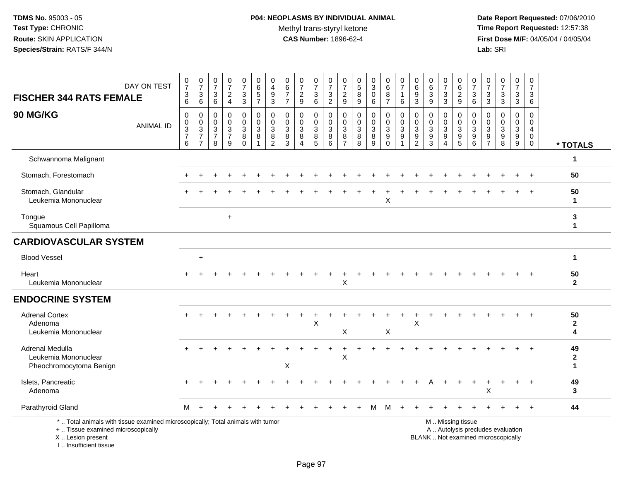# **P04: NEOPLASMS BY INDIVIDUAL ANIMAL**Methyl trans-styryl ketone<br>CAS Number: 1896-62-4

 **Date Report Requested:** 07/06/2010 **Time Report Requested:** 12:57:38 **First Dose M/F:** 04/05/04 / 04/05/04<br>Lab: SRI **Lab:** SRI

| <b>FISCHER 344 RATS FEMALE</b>                                                                                                             | DAY ON TEST | $\frac{0}{7}$<br>$\ensuremath{\mathsf{3}}$<br>6 | $\frac{0}{7}$<br>$\ensuremath{\mathsf{3}}$<br>6                    | 0<br>$\overline{7}$<br>$\mathbf{3}$<br>6 | $\frac{0}{7}$<br>$\sqrt{2}$<br>$\overline{4}$       | 0<br>$\overline{7}$<br>$\ensuremath{\mathsf{3}}$<br>3 | 0<br>6<br>$\,$ 5 $\,$<br>$\overline{7}$                              | 0<br>4<br>$\boldsymbol{9}$<br>3                        | 0<br>$6\phantom{a}$<br>$\overline{7}$<br>$\overline{7}$ | $\frac{0}{7}$<br>$\overline{c}$<br>9 | $\frac{0}{7}$<br>$\ensuremath{\mathsf{3}}$<br>6 | $\boldsymbol{0}$<br>$\overline{7}$<br>$\frac{3}{2}$ | 0<br>$\overline{7}$<br>$\overline{2}$<br>9   | 0<br>$\overline{5}$<br>$\bf8$<br>9                         | $_3^0$<br>$\mathbf 0$<br>6       | 0<br>$6\phantom{a}$<br>$\bf 8$<br>$\overline{7}$     | $\frac{0}{7}$<br>$\mathbf{1}$<br>6                      | $\pmb{0}$<br>$6\phantom{a}$<br>$\boldsymbol{9}$<br>3 | $\begin{array}{c} 0 \\ 6 \end{array}$<br>$\ensuremath{\mathsf{3}}$<br>9 | 0<br>$\overline{7}$<br>$\ensuremath{\mathsf{3}}$<br>3 | 0<br>$\,6\,$<br>$\sqrt{2}$<br>9                                                               | 0<br>$\overline{7}$<br>3<br>6                  | $\frac{0}{7}$<br>$\ensuremath{\mathsf{3}}$<br>3  | $\frac{0}{7}$<br>$\mathbf{3}$<br>3                        | 0<br>$\overline{7}$<br>$\mathbf{3}$<br>3 | 0<br>$\overline{7}$<br>3<br>6                                              |                         |
|--------------------------------------------------------------------------------------------------------------------------------------------|-------------|-------------------------------------------------|--------------------------------------------------------------------|------------------------------------------|-----------------------------------------------------|-------------------------------------------------------|----------------------------------------------------------------------|--------------------------------------------------------|---------------------------------------------------------|--------------------------------------|-------------------------------------------------|-----------------------------------------------------|----------------------------------------------|------------------------------------------------------------|----------------------------------|------------------------------------------------------|---------------------------------------------------------|------------------------------------------------------|-------------------------------------------------------------------------|-------------------------------------------------------|-----------------------------------------------------------------------------------------------|------------------------------------------------|--------------------------------------------------|-----------------------------------------------------------|------------------------------------------|----------------------------------------------------------------------------|-------------------------|
| 90 MG/KG                                                                                                                                   | ANIMAL ID   | 0<br>$\mathsf{O}\xspace$<br>$\frac{3}{7}$<br>6  | 0<br>$\mathbf 0$<br>$\sqrt{3}$<br>$\overline{7}$<br>$\overline{7}$ | 0<br>0<br>3<br>$\overline{7}$<br>8       | 0<br>$\pmb{0}$<br>$\sqrt{3}$<br>$\overline{7}$<br>9 | 0<br>0<br>3<br>8<br>$\mathbf 0$                       | $\mathbf 0$<br>$\mathbf 0$<br>$\mathbf{3}$<br>$\bf8$<br>$\mathbf{1}$ | $\mathbf 0$<br>$\mathbf 0$<br>3<br>8<br>$\overline{2}$ | $\mathbf 0$<br>$\mathbf 0$<br>3<br>$\bf8$<br>3          | 0<br>$\mathbf 0$<br>3<br>8<br>4      | 0<br>0<br>$\sqrt{3}$<br>8<br>5                  | 0<br>$\Omega$<br>$\mathbf{3}$<br>$\bf 8$<br>$\,6\,$ | 0<br>$\mathbf 0$<br>3<br>8<br>$\overline{7}$ | $\mathbf 0$<br>$\mathbf 0$<br>$\mathbf{3}$<br>$\,8\,$<br>8 | 0<br>0<br>$\mathbf{3}$<br>8<br>9 | 0<br>$\pmb{0}$<br>3<br>$\overline{9}$<br>$\mathsf 0$ | 0<br>$\mathbf 0$<br>$\mathbf{3}$<br>$\overline{9}$<br>1 | 0<br>0<br>3<br>$\boldsymbol{9}$<br>$\overline{c}$    | 0<br>$\mathbf 0$<br>$\mathbf{3}$<br>$\overline{9}$<br>$\mathbf{3}$      | 0<br>$\mathbf 0$<br>3<br>$\boldsymbol{9}$<br>4        | 0<br>$\mathbf 0$<br>$\mathbf{3}$<br>$\overline{9}$<br>$\overline{5}$                          | 0<br>$\mathbf 0$<br>3<br>$\boldsymbol{9}$<br>6 | $\mathbf 0$<br>$\mathbf 0$<br>3<br>$\frac{9}{7}$ | 0<br>$\mathbf 0$<br>$\mathbf{3}$<br>$\boldsymbol{9}$<br>8 | 0<br>$\mathbf 0$<br>3<br>$^9_9$          | $\mathbf 0$<br>$\mathbf 0$<br>$\overline{4}$<br>$\mathbf 0$<br>$\mathbf 0$ | * TOTALS                |
| Schwannoma Malignant                                                                                                                       |             |                                                 |                                                                    |                                          |                                                     |                                                       |                                                                      |                                                        |                                                         |                                      |                                                 |                                                     |                                              |                                                            |                                  |                                                      |                                                         |                                                      |                                                                         |                                                       |                                                                                               |                                                |                                                  |                                                           |                                          |                                                                            | 1                       |
| Stomach, Forestomach                                                                                                                       |             |                                                 |                                                                    |                                          |                                                     |                                                       |                                                                      |                                                        |                                                         |                                      |                                                 |                                                     |                                              |                                                            |                                  |                                                      |                                                         |                                                      |                                                                         |                                                       |                                                                                               |                                                |                                                  |                                                           |                                          |                                                                            | 50                      |
| Stomach, Glandular<br>Leukemia Mononuclear                                                                                                 |             |                                                 |                                                                    |                                          |                                                     |                                                       |                                                                      |                                                        |                                                         |                                      |                                                 |                                                     |                                              |                                                            |                                  | X                                                    |                                                         |                                                      |                                                                         |                                                       |                                                                                               |                                                |                                                  |                                                           |                                          |                                                                            | 50<br>1                 |
| Tongue<br>Squamous Cell Papilloma                                                                                                          |             |                                                 |                                                                    |                                          | $\ddot{}$                                           |                                                       |                                                                      |                                                        |                                                         |                                      |                                                 |                                                     |                                              |                                                            |                                  |                                                      |                                                         |                                                      |                                                                         |                                                       |                                                                                               |                                                |                                                  |                                                           |                                          |                                                                            | 3<br>$\mathbf{1}$       |
| <b>CARDIOVASCULAR SYSTEM</b>                                                                                                               |             |                                                 |                                                                    |                                          |                                                     |                                                       |                                                                      |                                                        |                                                         |                                      |                                                 |                                                     |                                              |                                                            |                                  |                                                      |                                                         |                                                      |                                                                         |                                                       |                                                                                               |                                                |                                                  |                                                           |                                          |                                                                            |                         |
| <b>Blood Vessel</b>                                                                                                                        |             |                                                 | $\ddot{}$                                                          |                                          |                                                     |                                                       |                                                                      |                                                        |                                                         |                                      |                                                 |                                                     |                                              |                                                            |                                  |                                                      |                                                         |                                                      |                                                                         |                                                       |                                                                                               |                                                |                                                  |                                                           |                                          |                                                                            | 1                       |
| Heart<br>Leukemia Mononuclear                                                                                                              |             |                                                 |                                                                    |                                          |                                                     |                                                       |                                                                      |                                                        |                                                         |                                      |                                                 |                                                     | X                                            |                                                            |                                  |                                                      |                                                         |                                                      |                                                                         |                                                       |                                                                                               |                                                |                                                  |                                                           |                                          |                                                                            | 50<br>$\mathbf{2}$      |
| <b>ENDOCRINE SYSTEM</b>                                                                                                                    |             |                                                 |                                                                    |                                          |                                                     |                                                       |                                                                      |                                                        |                                                         |                                      |                                                 |                                                     |                                              |                                                            |                                  |                                                      |                                                         |                                                      |                                                                         |                                                       |                                                                                               |                                                |                                                  |                                                           |                                          |                                                                            |                         |
| <b>Adrenal Cortex</b><br>Adenoma<br>Leukemia Mononuclear                                                                                   |             |                                                 |                                                                    |                                          |                                                     |                                                       |                                                                      |                                                        |                                                         |                                      | X                                               |                                                     | X                                            |                                                            |                                  | X                                                    |                                                         | X                                                    |                                                                         |                                                       |                                                                                               |                                                |                                                  |                                                           |                                          |                                                                            | 50<br>$\mathbf{2}$<br>4 |
| Adrenal Medulla<br>Leukemia Mononuclear<br>Pheochromocytoma Benign                                                                         |             |                                                 |                                                                    |                                          |                                                     |                                                       |                                                                      |                                                        | X                                                       |                                      |                                                 |                                                     | $\mathsf X$                                  |                                                            |                                  |                                                      |                                                         |                                                      |                                                                         |                                                       |                                                                                               |                                                |                                                  |                                                           |                                          |                                                                            | 49<br>$\mathbf{2}$<br>1 |
| Islets, Pancreatic<br>Adenoma                                                                                                              |             |                                                 |                                                                    |                                          |                                                     |                                                       |                                                                      |                                                        |                                                         |                                      |                                                 |                                                     |                                              |                                                            |                                  |                                                      |                                                         |                                                      |                                                                         |                                                       |                                                                                               |                                                | х                                                |                                                           |                                          | $\overline{1}$                                                             | 49<br>3                 |
| Parathyroid Gland                                                                                                                          |             | м                                               |                                                                    |                                          |                                                     |                                                       |                                                                      |                                                        |                                                         |                                      |                                                 |                                                     |                                              |                                                            | М                                | м                                                    |                                                         |                                                      |                                                                         |                                                       |                                                                                               |                                                |                                                  |                                                           |                                          | $\overline{1}$                                                             | 44                      |
| *  Total animals with tissue examined microscopically; Total animals with tumor<br>+  Tissue examined microscopically<br>X  Lesion present |             |                                                 |                                                                    |                                          |                                                     |                                                       |                                                                      |                                                        |                                                         |                                      |                                                 |                                                     |                                              |                                                            |                                  |                                                      |                                                         |                                                      |                                                                         |                                                       | M  Missing tissue<br>A  Autolysis precludes evaluation<br>BLANK  Not examined microscopically |                                                |                                                  |                                                           |                                          |                                                                            |                         |

I .. Insufficient tissue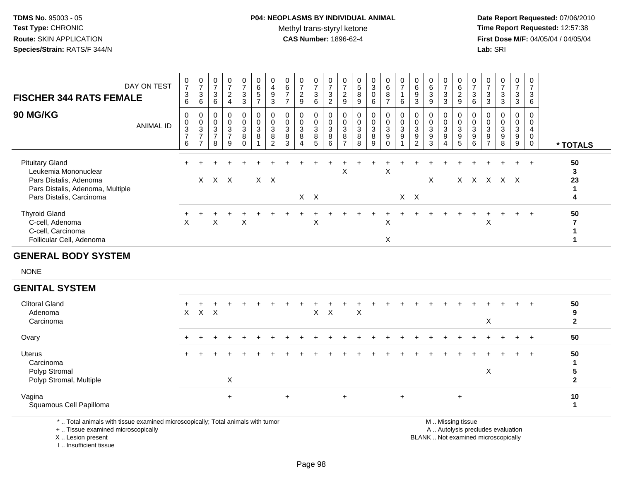## **P04: NEOPLASMS BY INDIVIDUAL ANIMAL**Methyl trans-styryl ketone<br>CAS Number: 1896-62-4

 **Date Report Requested:** 07/06/2010 **Time Report Requested:** 12:57:38 **First Dose M/F:** 04/05/04 / 04/05/04<br>**Lab:** SRI **Lab:** SRI

| <b>FISCHER 344 RATS FEMALE</b>                                                                                                           | DAY ON TEST      | $\frac{0}{7}$<br>3<br>$\,6$                     | $\frac{0}{7}$<br>3<br>6                                | $\overline{7}$<br>3<br>6               | $\frac{0}{7}$<br>$\overline{c}$<br>$\overline{4}$ | $\frac{0}{7}$<br>$\ensuremath{\mathsf{3}}$<br>3             | $\begin{array}{c} 0 \\ 6 \end{array}$<br>$\sqrt{5}$<br>$\overline{7}$ | $\overline{4}$<br>$\boldsymbol{9}$<br>3        | $\begin{array}{c} 6 \\ 7 \end{array}$<br>$\overline{7}$ | $\frac{0}{7}$<br>$\overline{c}$<br>9 | $\frac{0}{7}$<br>3<br>6                                       | $\frac{0}{7}$<br>$\mathbf{3}$<br>$\overline{c}$ | 0<br>$\overline{7}$<br>$\overline{c}$<br>9                               | $\begin{array}{c} 0 \\ 5 \\ 8 \end{array}$<br>9 | $\begin{smallmatrix} 0\\3\\0 \end{smallmatrix}$<br>$6\phantom{a}$ | $_6^0$<br>8<br>$\overline{ }$ | $\frac{0}{7}$<br>$\,6\,$ | $\frac{0}{6}$<br>$\boldsymbol{9}$<br>$\mathbf{3}$                            | $\,6$<br>$\ensuremath{\mathsf{3}}$<br>9                 | $\frac{0}{7}$<br>3<br>3 | $_6^0$<br>$\overline{c}$<br>9                  | $\frac{0}{7}$<br>$\sqrt{3}$<br>$\,6\,$                  | $\frac{0}{7}$<br>$\mathbf{3}$<br>$\mathbf{3}$              | $\begin{array}{c} 0 \\ 7 \\ 3 \end{array}$<br>3                        | 0<br>$\overline{7}$<br>3<br>3    | $\overline{7}$<br>3<br>$\,6\,$ |                               |
|------------------------------------------------------------------------------------------------------------------------------------------|------------------|-------------------------------------------------|--------------------------------------------------------|----------------------------------------|---------------------------------------------------|-------------------------------------------------------------|-----------------------------------------------------------------------|------------------------------------------------|---------------------------------------------------------|--------------------------------------|---------------------------------------------------------------|-------------------------------------------------|--------------------------------------------------------------------------|-------------------------------------------------|-------------------------------------------------------------------|-------------------------------|--------------------------|------------------------------------------------------------------------------|---------------------------------------------------------|-------------------------|------------------------------------------------|---------------------------------------------------------|------------------------------------------------------------|------------------------------------------------------------------------|----------------------------------|--------------------------------|-------------------------------|
| <b>90 MG/KG</b>                                                                                                                          | <b>ANIMAL ID</b> | 0<br>$\overline{0}$<br>3<br>$\overline{7}$<br>6 | 0<br>$\frac{0}{3}$<br>$\overline{ }$<br>$\overline{ }$ | 0<br>$\sqrt{3}$<br>$\overline{7}$<br>8 | 0<br>$\mathsf 0$<br>$\frac{3}{7}$<br>9            | 0<br>$\begin{smallmatrix} 0\\ 3\\ 8 \end{smallmatrix}$<br>0 | 0<br>$\pmb{0}$<br>$\frac{3}{8}$                                       | $\pmb{0}$<br>$\sqrt{3}$<br>8<br>$\overline{2}$ | $\pmb{0}$<br>$\frac{3}{8}$<br>3                         | 0<br>3<br>8<br>4                     | 0<br>$\mathbf 0$<br>$\ensuremath{\mathsf{3}}$<br>$\bf 8$<br>5 | $\mathbf 0$<br>$\mathbf{3}$<br>8<br>6           | 0<br>$\pmb{0}$<br>$\ensuremath{\mathsf{3}}$<br>$\bf 8$<br>$\overline{ }$ | $\pmb{0}$<br>$\frac{3}{8}$<br>8                 | 0<br>$\frac{0}{3}$<br>9                                           | 0<br>$\frac{0}{3}$<br>0       | 0<br>$\frac{0}{3}$       | $\pmb{0}$<br>$\ensuremath{\mathsf{3}}$<br>$\boldsymbol{9}$<br>$\overline{2}$ | $\boldsymbol{0}$<br>$\ensuremath{\mathsf{3}}$<br>9<br>3 | 0<br>3<br>9             | 0<br>0<br>$\mathbf 3$<br>$\boldsymbol{9}$<br>5 | 0<br>$\ensuremath{\mathsf{3}}$<br>$\boldsymbol{9}$<br>6 | 0<br>0<br>$\sqrt{3}$<br>$\boldsymbol{9}$<br>$\overline{7}$ | $\begin{smallmatrix} 0\\ 3 \end{smallmatrix}$<br>$\boldsymbol{9}$<br>8 | 0<br>0<br>$\mathbf{3}$<br>9<br>9 | 0<br>$\mathbf 0$               | * TOTALS                      |
| <b>Pituitary Gland</b><br>Leukemia Mononuclear<br>Pars Distalis, Adenoma<br>Pars Distalis, Adenoma, Multiple<br>Pars Distalis, Carcinoma |                  |                                                 | X                                                      |                                        | $X$ $X$                                           |                                                             |                                                                       | X X                                            |                                                         |                                      | $X$ $X$                                                       |                                                 | X                                                                        |                                                 |                                                                   | X                             | $X$ $X$                  |                                                                              | X                                                       |                         |                                                |                                                         | x x x x x                                                  |                                                                        | ÷                                |                                | 50<br>$\mathbf{3}$<br>23<br>4 |
| <b>Thyroid Gland</b><br>C-cell, Adenoma<br>C-cell, Carcinoma<br>Follicular Cell, Adenoma                                                 |                  | X                                               |                                                        | X                                      |                                                   | X                                                           |                                                                       |                                                |                                                         |                                      | X                                                             |                                                 |                                                                          |                                                 |                                                                   | Χ<br>X                        |                          |                                                                              |                                                         |                         |                                                |                                                         | X                                                          |                                                                        | $\ddot{}$                        | $\pm$                          | 50                            |
| <b>GENERAL BODY SYSTEM</b><br><b>NONE</b>                                                                                                |                  |                                                 |                                                        |                                        |                                                   |                                                             |                                                                       |                                                |                                                         |                                      |                                                               |                                                 |                                                                          |                                                 |                                                                   |                               |                          |                                                                              |                                                         |                         |                                                |                                                         |                                                            |                                                                        |                                  |                                |                               |

### **GENITAL SYSTEM**

| <b>Clitoral Gland</b><br>Adenoma<br>Carcinoma                   | $+$ | X X X  |     |       |  |    |  | X X |       | Χ |  |           |  |  | X | $\div$ | $+$ | $+$     | 50<br>9<br>$\mathbf{c}$ |
|-----------------------------------------------------------------|-----|--------|-----|-------|--|----|--|-----|-------|---|--|-----------|--|--|---|--------|-----|---------|-------------------------|
| Ovary                                                           | $+$ |        | $+$ |       |  |    |  |     |       |   |  |           |  |  |   |        |     | $+$ $+$ | 50                      |
| Uterus<br>Carcinoma<br>Polyp Stromal<br>Polyp Stromal, Multiple | $+$ | $\div$ | $+$ | X     |  |    |  |     |       | ÷ |  |           |  |  | Χ | $\div$ | $+$ | $+$     | 50<br>ົ                 |
| Vagina<br>Squamous Cell Papilloma                               |     |        |     | $\pm$ |  | ÷. |  |     | $\pm$ |   |  | $\ddot{}$ |  |  |   |        |     |         | 10<br>и                 |

\* .. Total animals with tissue examined microscopically; Total animals with tumor

+ .. Tissue examined microscopically

 Lesion present BLANK .. Not examined microscopicallyX .. Lesion present

I .. Insufficient tissue

M .. Missing tissue

y the contract of the contract of the contract of the contract of the contract of the contract of the contract of  $A$ . Autolysis precludes evaluation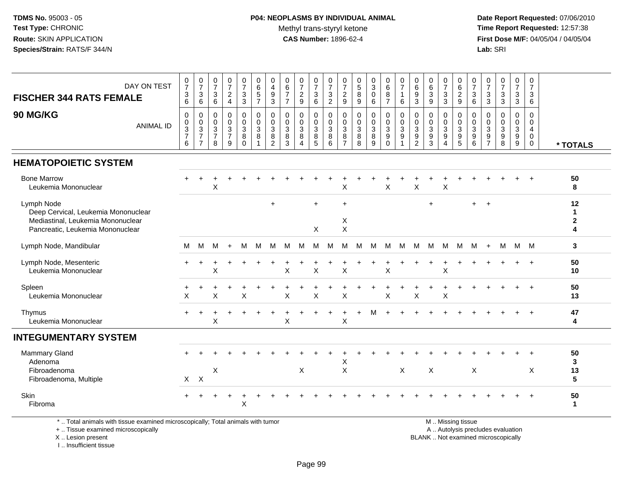## **P04: NEOPLASMS BY INDIVIDUAL ANIMAL**Methyl trans-styryl ketone<br>CAS Number: 1896-62-4

 **Date Report Requested:** 07/06/2010 **Time Report Requested:** 12:57:38 **First Dose M/F:** 04/05/04 / 04/05/04<br>**Lab:** SRI **Lab:** SRI

| DAY ON TEST<br><b>FISCHER 344 RATS FEMALE</b><br>90 MG/KG                                                                  | $\frac{0}{7}$<br>$\ensuremath{\mathsf{3}}$<br>6<br>$\mathbf 0$ | $\begin{smallmatrix} 0\\7 \end{smallmatrix}$<br>$\frac{3}{6}$<br>$\mathbf 0$ | $\begin{array}{c} 0 \\ 7 \end{array}$<br>$\sqrt{3}$<br>6<br>$\mathbf 0$ | $\frac{0}{7}$<br>$\overline{2}$<br>$\overline{4}$<br>0 | $\frac{0}{7}$<br>$\mathbf{3}$<br>$\overline{3}$<br>0 | $\begin{array}{c} 0 \\ 6 \end{array}$<br>$\sqrt{5}$<br>$\overline{7}$<br>0 | 0<br>4<br>$\boldsymbol{9}$<br>$\mathbf{3}$<br>$\mathbf 0$ | $\boldsymbol{0}$<br>6<br>$\overline{7}$<br>$\overline{7}$<br>$\mathbf 0$ | $\pmb{0}$<br>$\overline{7}$<br>$\boldsymbol{2}$<br>$9\,$<br>0 | 0<br>$\overline{7}$<br>3<br>6<br>$\mathbf 0$ | 0<br>$\overline{7}$<br>$\frac{3}{2}$<br>$\mathbf 0$ | 0<br>$\overline{7}$<br>$\frac{2}{9}$<br>0      | $\begin{array}{c} 0 \\ 5 \\ 8 \end{array}$<br>9<br>$\mathbf 0$ | $_{3}^{\rm 0}$<br>$\pmb{0}$<br>6<br>0    | $\pmb{0}$<br>$\,6\,$<br>$\,8\,$<br>$\overline{7}$<br>$\mathbf 0$ | 0<br>$\overline{7}$<br>$\mathbf{1}$<br>6<br>$\mathbf 0$ | $\pmb{0}$<br>$\,6$<br>$\boldsymbol{9}$<br>$\mathbf{3}$<br>$\mathbf 0$ | $\pmb{0}$<br>$6\phantom{a}$<br>$\overline{3}$<br>9<br>$\mathbf 0$ | $\begin{array}{c} 0 \\ 7 \end{array}$<br>$\ensuremath{\mathsf{3}}$<br>$\overline{3}$<br>$\mathbf 0$ | 0<br>$\,6\,$<br>$\boldsymbol{2}$<br>$\mathsf g$<br>$\mathbf 0$ | $\pmb{0}$<br>$\overline{7}$<br>$\mathbf{3}$<br>6<br>$\mathbf 0$ | $\frac{0}{7}$<br>$\frac{3}{3}$<br>$\mathbf 0$                     | $\frac{0}{7}$<br>$\mathbf{3}$<br>$\overline{3}$<br>0 | 0<br>$\overline{7}$<br>3<br>3<br>$\mathbf 0$     | 0<br>$\overline{7}$<br>3<br>6<br>$\mathbf{0}$                |                             |
|----------------------------------------------------------------------------------------------------------------------------|----------------------------------------------------------------|------------------------------------------------------------------------------|-------------------------------------------------------------------------|--------------------------------------------------------|------------------------------------------------------|----------------------------------------------------------------------------|-----------------------------------------------------------|--------------------------------------------------------------------------|---------------------------------------------------------------|----------------------------------------------|-----------------------------------------------------|------------------------------------------------|----------------------------------------------------------------|------------------------------------------|------------------------------------------------------------------|---------------------------------------------------------|-----------------------------------------------------------------------|-------------------------------------------------------------------|-----------------------------------------------------------------------------------------------------|----------------------------------------------------------------|-----------------------------------------------------------------|-------------------------------------------------------------------|------------------------------------------------------|--------------------------------------------------|--------------------------------------------------------------|-----------------------------|
| <b>ANIMAL ID</b>                                                                                                           | $\pmb{0}$<br>$\ensuremath{\mathsf{3}}$<br>$\overline{7}$<br>6  | $\begin{array}{c} 0 \\ 3 \\ 7 \end{array}$<br>$\overline{7}$                 | $\pmb{0}$<br>$\sqrt{3}$<br>$\overline{7}$<br>8                          | $\mathbf 0$<br>3<br>$\overline{7}$<br>9                | $\mathbf 0$<br>$\sqrt{3}$<br>8<br>$\Omega$           | $\mathbf 0$<br>$\mathbf{3}$<br>$\bf 8$<br>1                                | 0<br>3<br>$\bf 8$<br>$\overline{2}$                       | $\mathbf 0$<br>$\mathbf 3$<br>$\, 8$<br>3                                | 0<br>$\sqrt{3}$<br>$\bf 8$<br>4                               | $\mathbf 0$<br>$\mathbf{3}$<br>8<br>5        | $\mathbf 0$<br>3<br>$\bf 8$<br>6                    | 0<br>$\mathbf{3}$<br>$\,8\,$<br>$\overline{7}$ | $_{3}^{\rm 0}$<br>$\bf 8$<br>8                                 | $\mathbf 0$<br>$\sqrt{3}$<br>$\bf8$<br>9 | $\pmb{0}$<br>$\mathbf{3}$<br>$9\,$<br>$\Omega$                   | $\mathbf 0$<br>$\mathbf{3}$<br>9                        | $\mathbf 0$<br>$\mathsf 3$<br>$\boldsymbol{9}$<br>$\overline{2}$      | 0<br>$\sqrt{3}$<br>$\boldsymbol{9}$<br>3                          | $\mathbf 0$<br>$\sqrt{3}$<br>$\boldsymbol{9}$<br>$\Delta$                                           | $\mathbf 0$<br>$\mathbf{3}$<br>$\boldsymbol{9}$<br>5           | $\mathbf 0$<br>$\mathbf{3}$<br>$\boldsymbol{9}$<br>6            | $\mathbf 0$<br>$\mathbf{3}$<br>$\boldsymbol{9}$<br>$\overline{7}$ | $\pmb{0}$<br>$\mathbf{3}$<br>$\boldsymbol{9}$<br>8   | $\overline{0}$<br>3<br>$\boldsymbol{9}$<br>$9\,$ | $\mathbf{0}$<br>$\overline{4}$<br>$\mathbf 0$<br>$\mathbf 0$ | * TOTALS                    |
| <b>HEMATOPOIETIC SYSTEM</b>                                                                                                |                                                                |                                                                              |                                                                         |                                                        |                                                      |                                                                            |                                                           |                                                                          |                                                               |                                              |                                                     |                                                |                                                                |                                          |                                                                  |                                                         |                                                                       |                                                                   |                                                                                                     |                                                                |                                                                 |                                                                   |                                                      |                                                  |                                                              |                             |
| <b>Bone Marrow</b><br>Leukemia Mononuclear                                                                                 |                                                                |                                                                              | $\boldsymbol{\mathsf{X}}$                                               |                                                        |                                                      |                                                                            |                                                           |                                                                          |                                                               |                                              |                                                     | X                                              |                                                                |                                          | $\boldsymbol{\mathsf{X}}$                                        |                                                         | X                                                                     |                                                                   | $\mathsf X$                                                                                         |                                                                |                                                                 |                                                                   |                                                      |                                                  |                                                              | 50<br>8                     |
| Lymph Node<br>Deep Cervical, Leukemia Mononuclear<br>Mediastinal, Leukemia Mononuclear<br>Pancreatic, Leukemia Mononuclear |                                                                |                                                                              |                                                                         |                                                        |                                                      |                                                                            | $\ddot{}$                                                 |                                                                          |                                                               | $\ddot{}$<br>X                               |                                                     | $+$<br>X<br>X                                  |                                                                |                                          |                                                                  |                                                         |                                                                       | $\ddot{}$                                                         |                                                                                                     |                                                                | $+$                                                             | $\overline{+}$                                                    |                                                      |                                                  |                                                              | 12<br>1<br>$\mathbf 2$<br>4 |
| Lymph Node, Mandibular                                                                                                     | м                                                              | м                                                                            | м                                                                       | $+$                                                    | M                                                    | M                                                                          | М                                                         | M                                                                        | M                                                             | M                                            | M                                                   | M                                              | M                                                              | M                                        | M                                                                | M                                                       | M                                                                     | M                                                                 | M                                                                                                   | М                                                              | M                                                               | $+$                                                               | M                                                    | M M                                              |                                                              | 3                           |
| Lymph Node, Mesenteric<br>Leukemia Mononuclear                                                                             |                                                                |                                                                              | X                                                                       |                                                        |                                                      |                                                                            |                                                           | $\times$                                                                 |                                                               | X                                            |                                                     | X                                              |                                                                |                                          | X                                                                |                                                         |                                                                       |                                                                   | X                                                                                                   |                                                                |                                                                 |                                                                   |                                                      |                                                  |                                                              | 50<br>10                    |
| Spleen<br>Leukemia Mononuclear                                                                                             | X                                                              |                                                                              | X                                                                       |                                                        | X                                                    |                                                                            |                                                           | X                                                                        |                                                               | X                                            |                                                     | X                                              |                                                                |                                          | X                                                                |                                                         | X                                                                     |                                                                   | $\mathsf X$                                                                                         |                                                                |                                                                 |                                                                   |                                                      |                                                  | $\overline{+}$                                               | 50<br>13                    |
| Thymus<br>Leukemia Mononuclear                                                                                             |                                                                |                                                                              | $\boldsymbol{\mathsf{X}}$                                               |                                                        |                                                      |                                                                            |                                                           | $\pmb{\times}$                                                           |                                                               |                                              |                                                     | X                                              |                                                                |                                          |                                                                  |                                                         |                                                                       |                                                                   |                                                                                                     |                                                                |                                                                 |                                                                   |                                                      |                                                  |                                                              | 47<br>4                     |
| <b>INTEGUMENTARY SYSTEM</b>                                                                                                |                                                                |                                                                              |                                                                         |                                                        |                                                      |                                                                            |                                                           |                                                                          |                                                               |                                              |                                                     |                                                |                                                                |                                          |                                                                  |                                                         |                                                                       |                                                                   |                                                                                                     |                                                                |                                                                 |                                                                   |                                                      |                                                  |                                                              |                             |
| Mammary Gland<br>Adenoma<br>Fibroadenoma<br>Fibroadenoma, Multiple                                                         | X                                                              | $\times$                                                                     | $\boldsymbol{\mathsf{X}}$                                               |                                                        |                                                      |                                                                            |                                                           |                                                                          | X                                                             |                                              |                                                     | X<br>$\boldsymbol{\mathsf{X}}$                 |                                                                |                                          |                                                                  | X                                                       |                                                                       | X                                                                 |                                                                                                     |                                                                | $\mathsf X$                                                     |                                                                   |                                                      |                                                  | X                                                            | 50<br>3<br>13<br>5          |
| Skin<br>Fibroma                                                                                                            |                                                                |                                                                              |                                                                         |                                                        | $\mathsf X$                                          |                                                                            |                                                           |                                                                          |                                                               |                                              |                                                     |                                                |                                                                |                                          |                                                                  |                                                         |                                                                       |                                                                   |                                                                                                     |                                                                |                                                                 |                                                                   |                                                      |                                                  |                                                              | 50<br>$\mathbf{1}$          |

\* .. Total animals with tissue examined microscopically; Total animals with tumor

+ .. Tissue examined microscopically

X .. Lesion present

I .. Insufficient tissue

M .. Missing tissue

y the contract of the contract of the contract of the contract of the contract of the contract of the contract of  $A$ . Autolysis precludes evaluation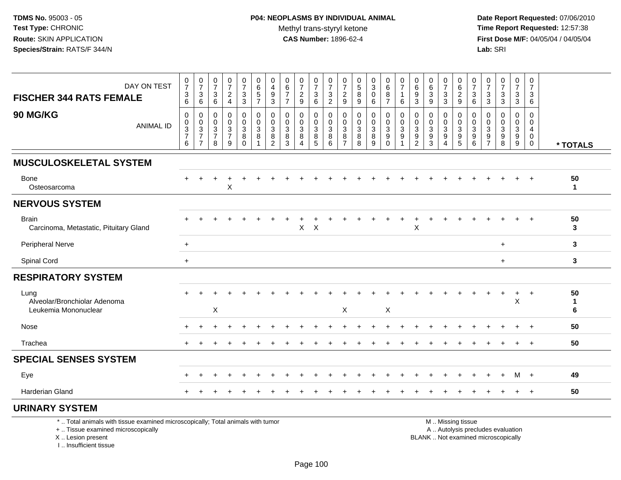**Date Report Requested:** 07/06/2010 **Time Report Requested:** 12:57:38 **First Dose M/F:** 04/05/04 / 04/05/04<br>Lab: SRI **Lab:** SRI

| DAY ON TEST<br><b>FISCHER 344 RATS FEMALE</b>                                   | $\frac{0}{7}$<br>$\frac{3}{6}$       | $\frac{0}{7}$<br>$\ensuremath{\mathsf{3}}$<br>6                         | $\frac{0}{7}$<br>3<br>6                      | $\frac{0}{7}$<br>$\overline{c}$<br>$\overline{4}$     | $\frac{0}{7}$<br>$\frac{3}{3}$                                      | 0<br>6<br>5<br>$\overline{7}$ | 0<br>4<br>9<br>3                   | 0<br>6<br>$\overline{7}$<br>$\overline{7}$ | $\frac{0}{7}$<br>$\frac{2}{9}$                        | $\frac{0}{7}$<br>$\frac{3}{6}$                                               | $\frac{0}{7}$<br>$\frac{3}{2}$                       | 0<br>$\overline{7}$<br>$\overline{c}$<br>9 | $\frac{0}{5}$<br>8<br>9       | $\frac{0}{3}$<br>$\mathbf 0$<br>6             | 0<br>6<br>8<br>$\overline{7}$   | $\pmb{0}$<br>$\overline{7}$<br>$\mathbf{1}$<br>6                    | 0<br>$\,6\,$<br>$9\,$<br>3         | 0<br>6<br>3<br>9      | $\frac{0}{7}$<br>3<br>3                               | 0<br>6<br>$\boldsymbol{2}$<br>9 | $\boldsymbol{0}$<br>$\overline{7}$<br>$\ensuremath{\mathsf{3}}$<br>6         | 0<br>$\overline{7}$<br>3<br>3      | $\frac{0}{7}$<br>$\sqrt{3}$<br>3          | $\frac{0}{7}$<br>$\frac{3}{3}$ | 0<br>$\overline{7}$<br>3<br>6             |                        |
|---------------------------------------------------------------------------------|--------------------------------------|-------------------------------------------------------------------------|----------------------------------------------|-------------------------------------------------------|---------------------------------------------------------------------|-------------------------------|------------------------------------|--------------------------------------------|-------------------------------------------------------|------------------------------------------------------------------------------|------------------------------------------------------|--------------------------------------------|-------------------------------|-----------------------------------------------|---------------------------------|---------------------------------------------------------------------|------------------------------------|-----------------------|-------------------------------------------------------|---------------------------------|------------------------------------------------------------------------------|------------------------------------|-------------------------------------------|--------------------------------|-------------------------------------------|------------------------|
| 90 MG/KG<br><b>ANIMAL ID</b>                                                    | $\pmb{0}$<br>0<br>$\frac{3}{7}$<br>6 | $\,0\,$<br>$\begin{array}{c} 0 \\ 3 \\ 7 \end{array}$<br>$\overline{7}$ | $\mathbf 0$<br>0<br>3<br>$\overline{7}$<br>8 | $\mathbf 0$<br>0<br>$\sqrt{3}$<br>$\overline{7}$<br>9 | $\mathbf 0$<br>0<br>$\ensuremath{\mathsf{3}}$<br>$_{\rm 0}^{\rm 8}$ | 0<br>0<br>3<br>8<br>1         | 0<br>0<br>3<br>8<br>$\overline{2}$ | 0<br>0<br>3<br>$^8_3$                      | $\mathbf 0$<br>0<br>$\sqrt{3}$<br>8<br>$\overline{A}$ | 0<br>0<br>$\ensuremath{\mathsf{3}}$<br>$\begin{array}{c} 8 \\ 5 \end{array}$ | $\mathbf 0$<br>$\mathbf 0$<br>$\mathbf{3}$<br>8<br>6 | 0<br>0<br>3<br>8<br>$\overline{7}$         | $\pmb{0}$<br>0<br>3<br>8<br>8 | 0<br>0<br>$\ensuremath{\mathsf{3}}$<br>$^8_9$ | 0<br>0<br>3<br>9<br>$\mathbf 0$ | $\mathbf 0$<br>$\pmb{0}$<br>$\overline{3}$<br>$\boldsymbol{9}$<br>1 | 0<br>0<br>3<br>9<br>$\overline{c}$ | 0<br>0<br>3<br>9<br>3 | 0<br>0<br>$\mathbf{3}$<br>9<br>$\boldsymbol{\Lambda}$ | 0<br>0<br>3<br>$\frac{9}{5}$    | 0<br>0<br>$\ensuremath{\mathsf{3}}$<br>$\begin{array}{c} 9 \\ 6 \end{array}$ | 0<br>0<br>3<br>9<br>$\overline{7}$ | $\mathbf 0$<br>$\mathbf 0$<br>3<br>9<br>8 | 0<br>0<br>3<br>$^9_9$          | 0<br>0<br>4<br>$\mathbf 0$<br>$\mathbf 0$ | * TOTALS               |
| <b>MUSCULOSKELETAL SYSTEM</b>                                                   |                                      |                                                                         |                                              |                                                       |                                                                     |                               |                                    |                                            |                                                       |                                                                              |                                                      |                                            |                               |                                               |                                 |                                                                     |                                    |                       |                                                       |                                 |                                                                              |                                    |                                           |                                |                                           |                        |
| <b>Bone</b><br>Osteosarcoma                                                     |                                      |                                                                         |                                              | X                                                     |                                                                     |                               |                                    |                                            |                                                       |                                                                              |                                                      |                                            |                               |                                               |                                 |                                                                     |                                    |                       |                                                       |                                 |                                                                              |                                    |                                           |                                | $\overline{+}$                            | 50<br>$\mathbf{1}$     |
| <b>NERVOUS SYSTEM</b>                                                           |                                      |                                                                         |                                              |                                                       |                                                                     |                               |                                    |                                            |                                                       |                                                                              |                                                      |                                            |                               |                                               |                                 |                                                                     |                                    |                       |                                                       |                                 |                                                                              |                                    |                                           |                                |                                           |                        |
| <b>Brain</b><br>Carcinoma, Metastatic, Pituitary Gland                          |                                      |                                                                         |                                              |                                                       |                                                                     |                               |                                    |                                            | $\mathsf{X}$                                          | $\boldsymbol{\mathsf{X}}$                                                    |                                                      |                                            |                               |                                               |                                 |                                                                     | +<br>$\mathsf X$                   |                       |                                                       |                                 |                                                                              |                                    |                                           |                                |                                           | 50<br>3                |
| <b>Peripheral Nerve</b>                                                         | $+$                                  |                                                                         |                                              |                                                       |                                                                     |                               |                                    |                                            |                                                       |                                                                              |                                                      |                                            |                               |                                               |                                 |                                                                     |                                    |                       |                                                       |                                 |                                                                              |                                    | $+$                                       |                                |                                           | $\mathbf{3}$           |
| Spinal Cord                                                                     | $+$                                  |                                                                         |                                              |                                                       |                                                                     |                               |                                    |                                            |                                                       |                                                                              |                                                      |                                            |                               |                                               |                                 |                                                                     |                                    |                       |                                                       |                                 |                                                                              |                                    | $+$                                       |                                |                                           | $\mathbf{3}$           |
| <b>RESPIRATORY SYSTEM</b>                                                       |                                      |                                                                         |                                              |                                                       |                                                                     |                               |                                    |                                            |                                                       |                                                                              |                                                      |                                            |                               |                                               |                                 |                                                                     |                                    |                       |                                                       |                                 |                                                                              |                                    |                                           |                                |                                           |                        |
| Lung<br>Alveolar/Bronchiolar Adenoma<br>Leukemia Mononuclear                    |                                      |                                                                         | X                                            |                                                       |                                                                     |                               |                                    |                                            |                                                       |                                                                              |                                                      | $\boldsymbol{X}$                           |                               |                                               | X                               |                                                                     |                                    |                       |                                                       |                                 |                                                                              |                                    |                                           | $\ddot{}$<br>X                 | $\overline{+}$                            | 50<br>$\mathbf 1$<br>6 |
| Nose                                                                            |                                      |                                                                         |                                              |                                                       |                                                                     |                               |                                    |                                            |                                                       |                                                                              |                                                      |                                            |                               |                                               |                                 |                                                                     |                                    |                       |                                                       |                                 |                                                                              |                                    |                                           |                                |                                           | 50                     |
| Trachea                                                                         | $\pm$                                |                                                                         |                                              |                                                       |                                                                     |                               |                                    |                                            |                                                       |                                                                              |                                                      |                                            |                               |                                               |                                 |                                                                     |                                    |                       |                                                       |                                 |                                                                              |                                    |                                           |                                |                                           | 50                     |
| <b>SPECIAL SENSES SYSTEM</b>                                                    |                                      |                                                                         |                                              |                                                       |                                                                     |                               |                                    |                                            |                                                       |                                                                              |                                                      |                                            |                               |                                               |                                 |                                                                     |                                    |                       |                                                       |                                 |                                                                              |                                    |                                           |                                |                                           |                        |
| Eye                                                                             |                                      |                                                                         |                                              |                                                       |                                                                     |                               |                                    |                                            |                                                       |                                                                              |                                                      |                                            |                               |                                               |                                 |                                                                     |                                    |                       |                                                       |                                 |                                                                              |                                    | $\ddot{}$                                 | $M +$                          |                                           | 49                     |
| Harderian Gland                                                                 |                                      |                                                                         |                                              |                                                       |                                                                     |                               |                                    |                                            |                                                       |                                                                              |                                                      |                                            |                               |                                               |                                 |                                                                     |                                    |                       |                                                       |                                 |                                                                              |                                    |                                           | ٠                              | $\overline{+}$                            | 50                     |
| <b>URINARY SYSTEM</b>                                                           |                                      |                                                                         |                                              |                                                       |                                                                     |                               |                                    |                                            |                                                       |                                                                              |                                                      |                                            |                               |                                               |                                 |                                                                     |                                    |                       |                                                       |                                 |                                                                              |                                    |                                           |                                |                                           |                        |
| *  Total animals with tissue examined microscopically; Total animals with tumor |                                      |                                                                         |                                              |                                                       |                                                                     |                               |                                    |                                            |                                                       |                                                                              |                                                      |                                            |                               |                                               |                                 |                                                                     |                                    |                       |                                                       | M  Missing tissue               |                                                                              |                                    |                                           |                                |                                           |                        |

+ .. Tissue examined microscopically

X .. Lesion present

I .. Insufficient tissue